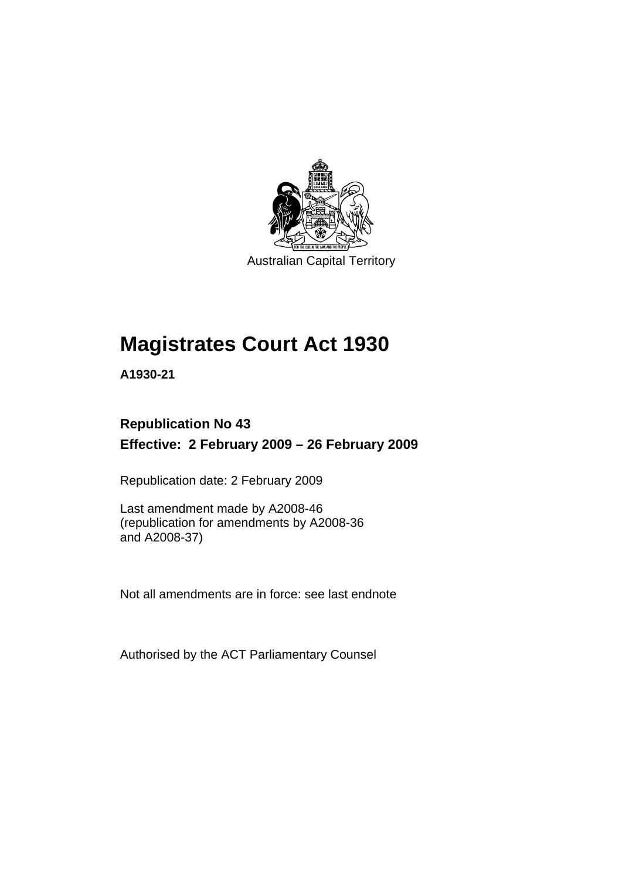

Australian Capital Territory

# **[Magistrates Court Act 1930](#page-16-0)**

**A1930-21** 

# **Republication No 43 Effective: 2 February 2009 – 26 February 2009**

Republication date: 2 February 2009

Last amendment made by A2008-46 (republication for amendments by A2008-36 and A2008-37)

Not all amendments are in force: see last endnote

Authorised by the ACT Parliamentary Counsel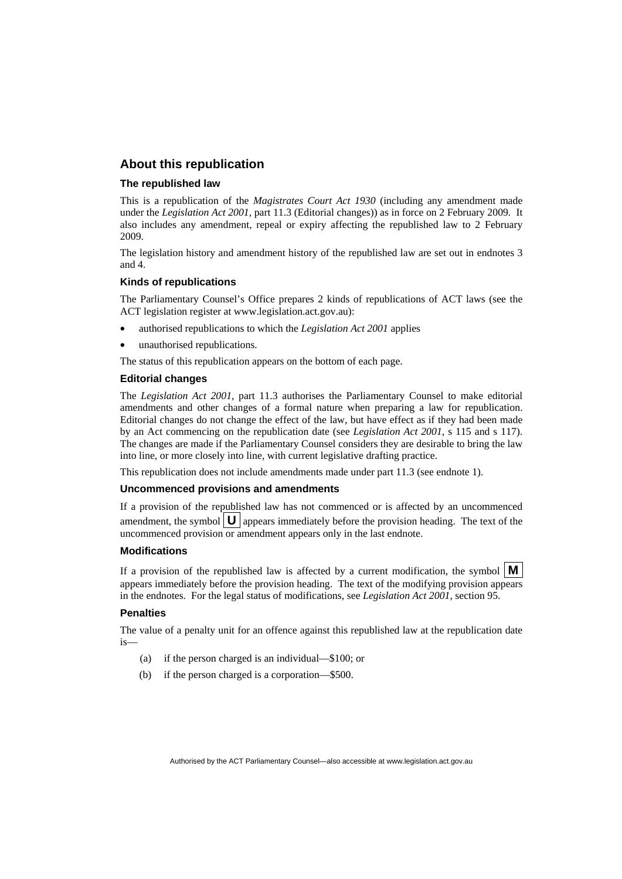#### **About this republication**

#### **The republished law**

This is a republication of the *Magistrates Court Act 1930* (including any amendment made under the *Legislation Act 2001*, part 11.3 (Editorial changes)) as in force on 2 February 2009*.* It also includes any amendment, repeal or expiry affecting the republished law to 2 February 2009.

The legislation history and amendment history of the republished law are set out in endnotes 3 and 4.

#### **Kinds of republications**

The Parliamentary Counsel's Office prepares 2 kinds of republications of ACT laws (see the ACT legislation register at www.legislation.act.gov.au):

- authorised republications to which the *Legislation Act 2001* applies
- unauthorised republications.

The status of this republication appears on the bottom of each page.

#### **Editorial changes**

The *Legislation Act 2001*, part 11.3 authorises the Parliamentary Counsel to make editorial amendments and other changes of a formal nature when preparing a law for republication. Editorial changes do not change the effect of the law, but have effect as if they had been made by an Act commencing on the republication date (see *Legislation Act 2001*, s 115 and s 117). The changes are made if the Parliamentary Counsel considers they are desirable to bring the law into line, or more closely into line, with current legislative drafting practice.

This republication does not include amendments made under part 11.3 (see endnote 1).

#### **Uncommenced provisions and amendments**

If a provision of the republished law has not commenced or is affected by an uncommenced amendment, the symbol  $\mathbf{U}$  appears immediately before the provision heading. The text of the uncommenced provision  $\overline{or}$  amendment appears only in the last endnote.

#### **Modifications**

If a provision of the republished law is affected by a current modification, the symbol  $\mathbf{M}$ appears immediately before the provision heading. The text of the modifying provision appears in the endnotes. For the legal status of modifications, see *Legislation Act 2001*, section 95.

#### **Penalties**

The value of a penalty unit for an offence against this republished law at the republication date is—

- (a) if the person charged is an individual—\$100; or
- (b) if the person charged is a corporation—\$500.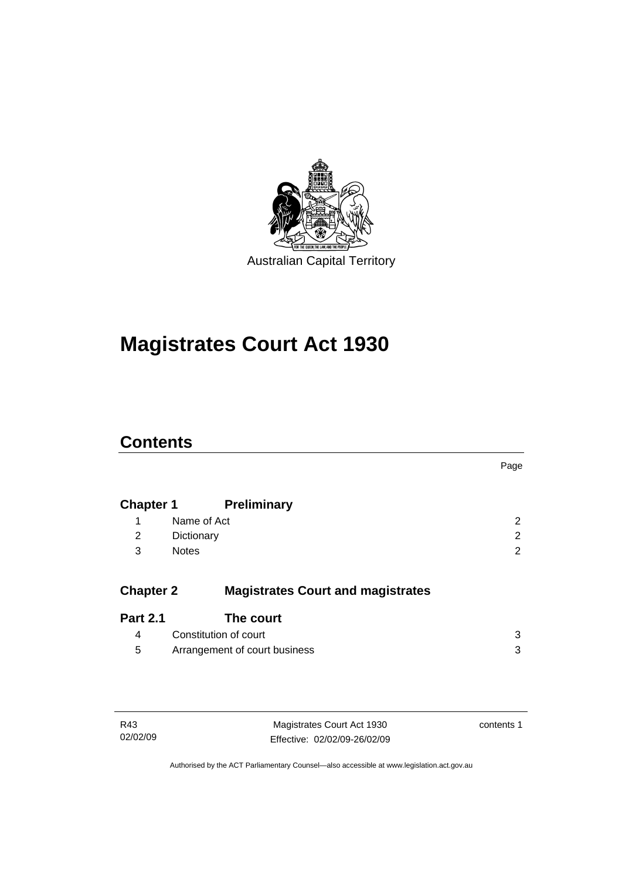

# **[Magistrates Court Act 1930](#page-16-0)**

# **Contents**

|                  |                                          | Page |
|------------------|------------------------------------------|------|
| <b>Chapter 1</b> | <b>Preliminary</b>                       |      |
| 1                | Name of Act                              | 2    |
| 2                | Dictionary                               | 2    |
| 3                | <b>Notes</b>                             | 2    |
| <b>Chapter 2</b> | <b>Magistrates Court and magistrates</b> |      |
| <b>Part 2.1</b>  | The court                                |      |
| 4                | Constitution of court                    | 3    |
| 5                | Arrangement of court business            | 3    |

| R43      | Magistrates Court Act 1930   | contents 1 |
|----------|------------------------------|------------|
| 02/02/09 | Effective: 02/02/09-26/02/09 |            |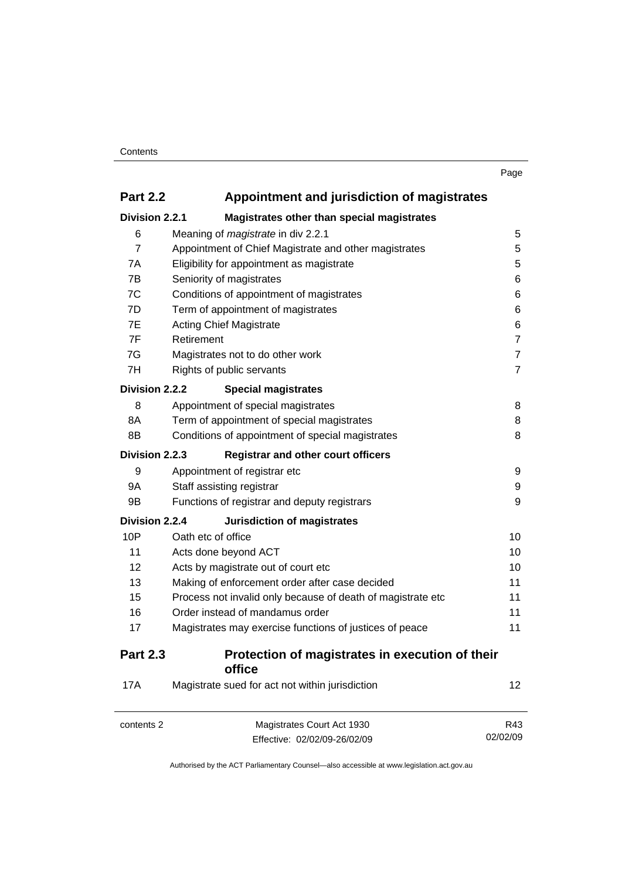| I<br>. .<br>٧ |
|---------------|
|---------------|

| <b>Part 2.2</b> | Appointment and jurisdiction of magistrates |
|-----------------|---------------------------------------------|
| Division 2.2.1  | Magietrates other than special magistrates  |

| Division 2.2.1<br>Magistrates other than special magistrates |                                                             |                |  |
|--------------------------------------------------------------|-------------------------------------------------------------|----------------|--|
| 6                                                            | Meaning of magistrate in div 2.2.1                          | 5              |  |
| $\overline{7}$                                               | Appointment of Chief Magistrate and other magistrates       |                |  |
| 7Α                                                           | Eligibility for appointment as magistrate                   |                |  |
| 7B                                                           | Seniority of magistrates                                    |                |  |
| 7C                                                           | Conditions of appointment of magistrates                    | 6              |  |
| 7D                                                           | Term of appointment of magistrates                          | 6              |  |
| 7E                                                           | <b>Acting Chief Magistrate</b>                              | 6              |  |
| 7F                                                           | Retirement                                                  | $\overline{7}$ |  |
| 7G                                                           | Magistrates not to do other work                            | 7              |  |
| 7H                                                           | Rights of public servants                                   | $\overline{7}$ |  |
| Division 2.2.2                                               | <b>Special magistrates</b>                                  |                |  |
| 8                                                            | Appointment of special magistrates                          | 8              |  |
| 8Α                                                           | Term of appointment of special magistrates                  | 8              |  |
| 8B                                                           | Conditions of appointment of special magistrates            | 8              |  |
| Division 2.2.3                                               | <b>Registrar and other court officers</b>                   |                |  |
| 9                                                            | Appointment of registrar etc                                | 9              |  |
| 9Α                                                           | Staff assisting registrar                                   | 9              |  |
| 9B                                                           | Functions of registrar and deputy registrars                | 9              |  |
| Division 2.2.4                                               | Jurisdiction of magistrates                                 |                |  |
| 10P                                                          | Oath etc of office                                          | 10             |  |
| 11                                                           | Acts done beyond ACT                                        | 10             |  |
| 12                                                           | Acts by magistrate out of court etc                         | 10             |  |
| 13                                                           | Making of enforcement order after case decided              |                |  |
| 15                                                           | Process not invalid only because of death of magistrate etc |                |  |
| 16                                                           | Order instead of mandamus order                             |                |  |
| 17                                                           | Magistrates may exercise functions of justices of peace     | 11             |  |
| <b>Part 2.3</b>                                              | Protection of magistrates in execution of their<br>office   |                |  |
| <b>17A</b>                                                   | Magistrate sued for act not within jurisdiction             | 12             |  |
| contents 2                                                   | Magistrates Court Act 1930                                  | R43            |  |

Effective: 02/02/09-26/02/09

02/02/09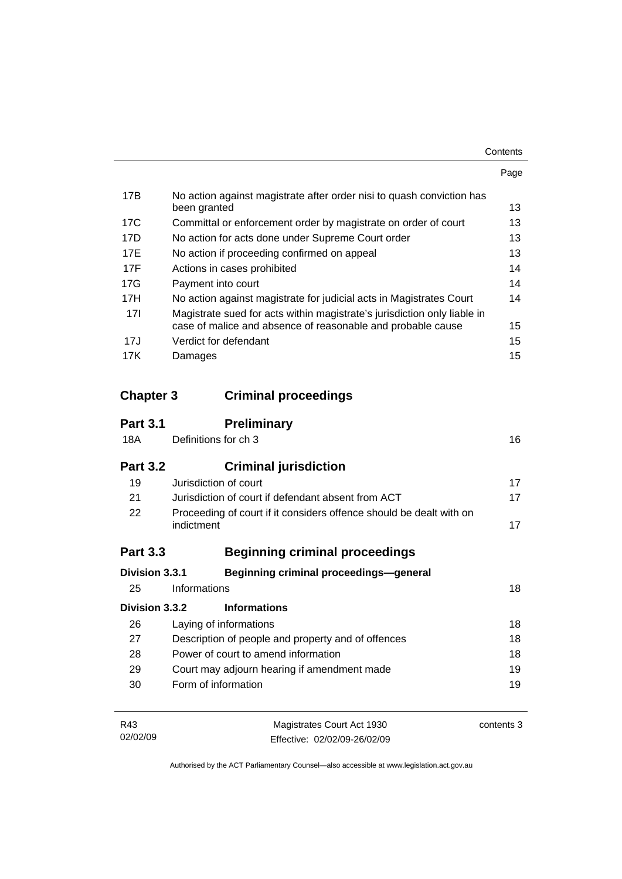|                                                                                                                                         | Page |
|-----------------------------------------------------------------------------------------------------------------------------------------|------|
| No action against magistrate after order nisi to quash conviction has<br>been granted                                                   | 13   |
| Committal or enforcement order by magistrate on order of court                                                                          | 13   |
| No action for acts done under Supreme Court order                                                                                       | 13   |
| No action if proceeding confirmed on appeal                                                                                             | 13   |
| Actions in cases prohibited                                                                                                             | 14   |
| Payment into court                                                                                                                      | 14   |
| No action against magistrate for judicial acts in Magistrates Court                                                                     | 14   |
| Magistrate sued for acts within magistrate's jurisdiction only liable in<br>case of malice and absence of reasonable and probable cause | 15   |
| Verdict for defendant                                                                                                                   | 15   |
| Damages                                                                                                                                 | 15   |
|                                                                                                                                         |      |

## **Chapter 3 Criminal proceedings**

02/02/09

| <b>Part 3.1</b> | <b>Preliminary</b>                                                                       |            |  |
|-----------------|------------------------------------------------------------------------------------------|------------|--|
| 18A             | Definitions for ch 3                                                                     |            |  |
| <b>Part 3.2</b> | <b>Criminal jurisdiction</b>                                                             |            |  |
| 19              | Jurisdiction of court                                                                    | 17         |  |
| 21              | Jurisdiction of court if defendant absent from ACT                                       |            |  |
| 22              | Proceeding of court if it considers offence should be dealt with on<br>indictment        |            |  |
| <b>Part 3.3</b> | <b>Beginning criminal proceedings</b>                                                    |            |  |
| Division 3.3.1  | <b>Beginning criminal proceedings-general</b>                                            |            |  |
| 25              | Informations                                                                             | 18         |  |
| Division 3.3.2  | <b>Informations</b>                                                                      |            |  |
| 26              | Laying of informations                                                                   | 18         |  |
| 27              | Description of people and property and of offences                                       |            |  |
| 28              | Power of court to amend information<br>29<br>Court may adjourn hearing if amendment made |            |  |
|                 |                                                                                          |            |  |
| 30              | Form of information                                                                      | 19         |  |
| R43             | Magistrates Court Act 1930                                                               | contents 3 |  |

Authorised by the ACT Parliamentary Counsel—also accessible at www.legislation.act.gov.au

Effective: 02/02/09-26/02/09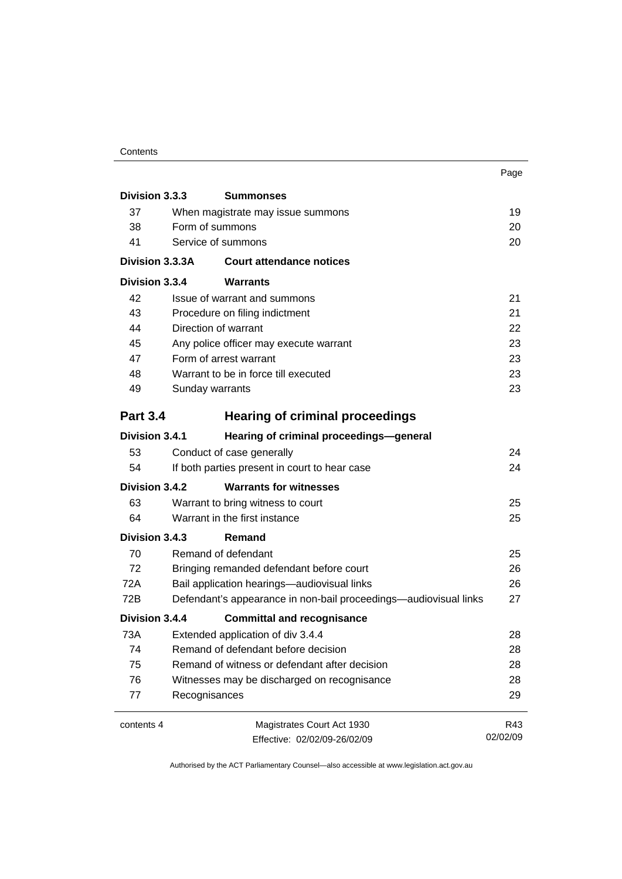#### **Contents**

|                                                    |                                               |                                                                  | Page     |  |
|----------------------------------------------------|-----------------------------------------------|------------------------------------------------------------------|----------|--|
| Division 3.3.3                                     |                                               | <b>Summonses</b>                                                 |          |  |
| 37                                                 | When magistrate may issue summons             |                                                                  |          |  |
| 38                                                 | Form of summons                               |                                                                  |          |  |
| 41                                                 |                                               | Service of summons                                               | 20       |  |
| Division 3.3.3A<br><b>Court attendance notices</b> |                                               |                                                                  |          |  |
| Division 3.3.4                                     |                                               | Warrants                                                         |          |  |
| 42                                                 |                                               | Issue of warrant and summons                                     | 21       |  |
| 43                                                 |                                               | Procedure on filing indictment                                   | 21       |  |
| 44                                                 |                                               | Direction of warrant                                             | 22       |  |
| 45                                                 |                                               | Any police officer may execute warrant                           | 23       |  |
| 47                                                 |                                               | Form of arrest warrant                                           | 23       |  |
| 48                                                 |                                               | Warrant to be in force till executed                             | 23       |  |
| 49                                                 |                                               | Sunday warrants                                                  |          |  |
| <b>Part 3.4</b>                                    |                                               | <b>Hearing of criminal proceedings</b>                           |          |  |
| Division 3.4.1                                     |                                               | Hearing of criminal proceedings-general                          |          |  |
| 53                                                 |                                               | Conduct of case generally                                        | 24       |  |
| 54                                                 | If both parties present in court to hear case |                                                                  | 24       |  |
| Division 3.4.2                                     |                                               | <b>Warrants for witnesses</b>                                    |          |  |
| 63                                                 |                                               | Warrant to bring witness to court                                | 25       |  |
| 64                                                 | Warrant in the first instance                 |                                                                  | 25       |  |
| Division 3.4.3                                     |                                               | Remand                                                           |          |  |
| 70                                                 |                                               | Remand of defendant                                              | 25       |  |
| 72                                                 |                                               | Bringing remanded defendant before court                         |          |  |
| 72A                                                | Bail application hearings-audiovisual links   |                                                                  |          |  |
| 72B                                                |                                               | Defendant's appearance in non-bail proceedings—audiovisual links | 27       |  |
| Division 3.4.4                                     |                                               | <b>Committal and recognisance</b>                                |          |  |
| 73A                                                |                                               | Extended application of div 3.4.4                                | 28       |  |
| 74                                                 | Remand of defendant before decision           |                                                                  | 28       |  |
| 75                                                 | Remand of witness or defendant after decision |                                                                  | 28       |  |
| 76                                                 | Witnesses may be discharged on recognisance   |                                                                  | 28       |  |
| 77                                                 | 29<br>Recognisances                           |                                                                  |          |  |
| contents 4                                         |                                               | Magistrates Court Act 1930                                       | R43      |  |
|                                                    |                                               | Effective: 02/02/09-26/02/09                                     | 02/02/09 |  |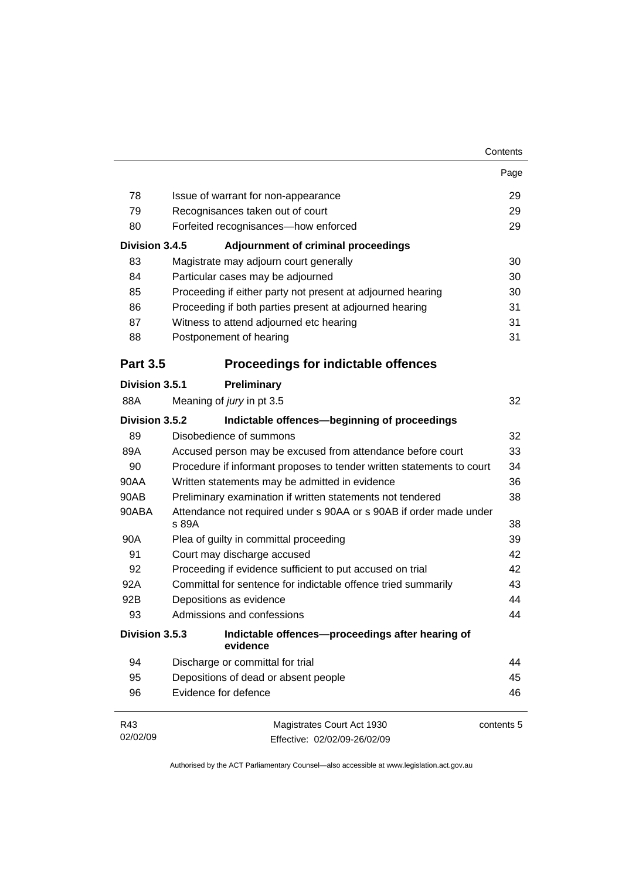|                 |                                                                             | Page       |  |
|-----------------|-----------------------------------------------------------------------------|------------|--|
| 78              | Issue of warrant for non-appearance                                         | 29         |  |
| 79              | Recognisances taken out of court                                            |            |  |
| 80              | Forfeited recognisances-how enforced                                        | 29         |  |
| Division 3.4.5  | <b>Adjournment of criminal proceedings</b>                                  |            |  |
| 83              | Magistrate may adjourn court generally                                      | 30         |  |
| 84              | Particular cases may be adjourned                                           | 30         |  |
| 85              | Proceeding if either party not present at adjourned hearing                 | 30         |  |
| 86              | Proceeding if both parties present at adjourned hearing                     | 31         |  |
| 87              | Witness to attend adjourned etc hearing                                     | 31         |  |
| 88              | Postponement of hearing                                                     | 31         |  |
| <b>Part 3.5</b> | <b>Proceedings for indictable offences</b>                                  |            |  |
| Division 3.5.1  | Preliminary                                                                 |            |  |
| 88A             | Meaning of jury in pt 3.5                                                   | 32         |  |
| Division 3.5.2  | Indictable offences-beginning of proceedings                                |            |  |
| 89              | Disobedience of summons                                                     | 32         |  |
| 89A             | Accused person may be excused from attendance before court                  | 33         |  |
| 90              | Procedure if informant proposes to tender written statements to court       |            |  |
| 90AA            | Written statements may be admitted in evidence                              | 36         |  |
| 90AB            | Preliminary examination if written statements not tendered                  | 38         |  |
| 90ABA           | Attendance not required under s 90AA or s 90AB if order made under<br>s 89A | 38         |  |
| 90A             | Plea of guilty in committal proceeding                                      | 39         |  |
| 91              | Court may discharge accused                                                 | 42         |  |
| 92              | Proceeding if evidence sufficient to put accused on trial                   | 42         |  |
| 92A             | Committal for sentence for indictable offence tried summarily               | 43         |  |
| 92B             | Depositions as evidence                                                     | 44         |  |
| 93              | Admissions and confessions                                                  | 44         |  |
| Division 3.5.3  | Indictable offences--proceedings after hearing of<br>evidence               |            |  |
| 94              | Discharge or committal for trial                                            | 44         |  |
| 95              | Depositions of dead or absent people                                        | 45         |  |
| 96              | Evidence for defence                                                        | 46         |  |
| R43             | Magistrates Court Act 1930                                                  | contents 5 |  |
| 02/02/09        | Effective: 02/02/09-26/02/09                                                |            |  |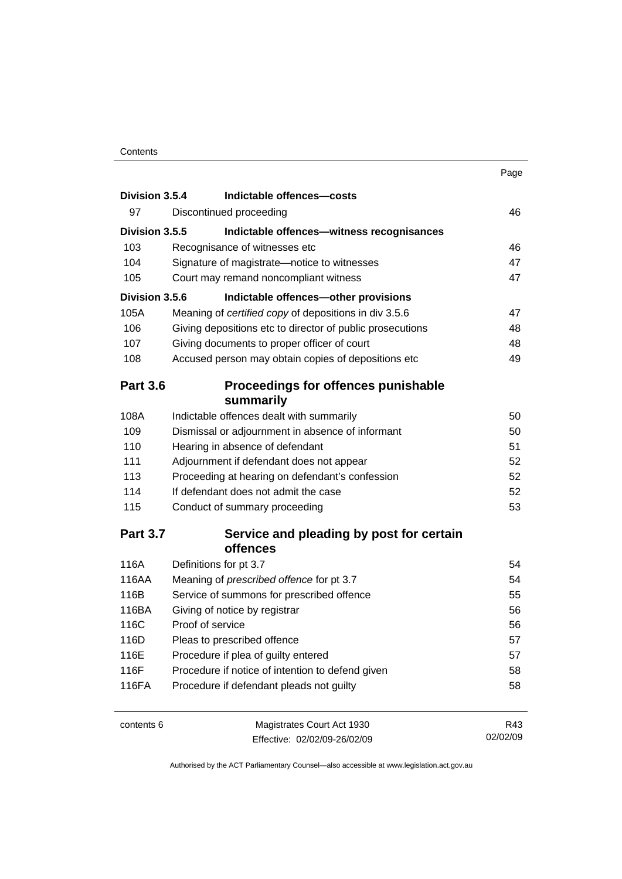| Division 3.5.4  | Indictable offences-costs                                 |    |
|-----------------|-----------------------------------------------------------|----|
| 97              | Discontinued proceeding                                   | 46 |
| Division 3.5.5  | Indictable offences-witness recognisances                 |    |
| 103             | Recognisance of witnesses etc                             | 46 |
| 104             | Signature of magistrate-notice to witnesses               | 47 |
| 105             | Court may remand noncompliant witness                     | 47 |
| Division 3.5.6  | Indictable offences-other provisions                      |    |
| 105A            | Meaning of certified copy of depositions in div 3.5.6     | 47 |
| 106             | Giving depositions etc to director of public prosecutions | 48 |
| 107             | Giving documents to proper officer of court               | 48 |
| 108             | Accused person may obtain copies of depositions etc       | 49 |
| <b>Part 3.6</b> | Proceedings for offences punishable                       |    |
|                 | summarily                                                 |    |
| 108A            | Indictable offences dealt with summarily                  | 50 |
| 109             | Dismissal or adjournment in absence of informant          | 50 |
| 110             | Hearing in absence of defendant                           | 51 |
| 111             | Adjournment if defendant does not appear                  | 52 |
| 113             | Proceeding at hearing on defendant's confession           | 52 |
| 114             | If defendant does not admit the case                      | 52 |
| 115             | Conduct of summary proceeding                             | 53 |
| <b>Part 3.7</b> | Service and pleading by post for certain                  |    |

#### **Part 3.7 Service and pleading by post of for certain**  $\frac{1}{2}$  **of for certain**  $\frac{1}{2}$ **offences**

| 116A  | Definitions for pt 3.7                           | 54 |
|-------|--------------------------------------------------|----|
| 116AA | Meaning of <i>prescribed</i> offence for pt 3.7  | 54 |
| 116B  | Service of summons for prescribed offence        | 55 |
| 116BA | Giving of notice by registrar                    | 56 |
| 116C  | Proof of service                                 | 56 |
| 116D  | Pleas to prescribed offence                      | 57 |
| 116E  | Procedure if plea of guilty entered              | 57 |
| 116F  | Procedure if notice of intention to defend given | 58 |
| 116FA | Procedure if defendant pleads not guilty         | 58 |
|       |                                                  |    |

| contents 6 | Magistrates Court Act 1930   | R43      |
|------------|------------------------------|----------|
|            | Effective: 02/02/09-26/02/09 | 02/02/09 |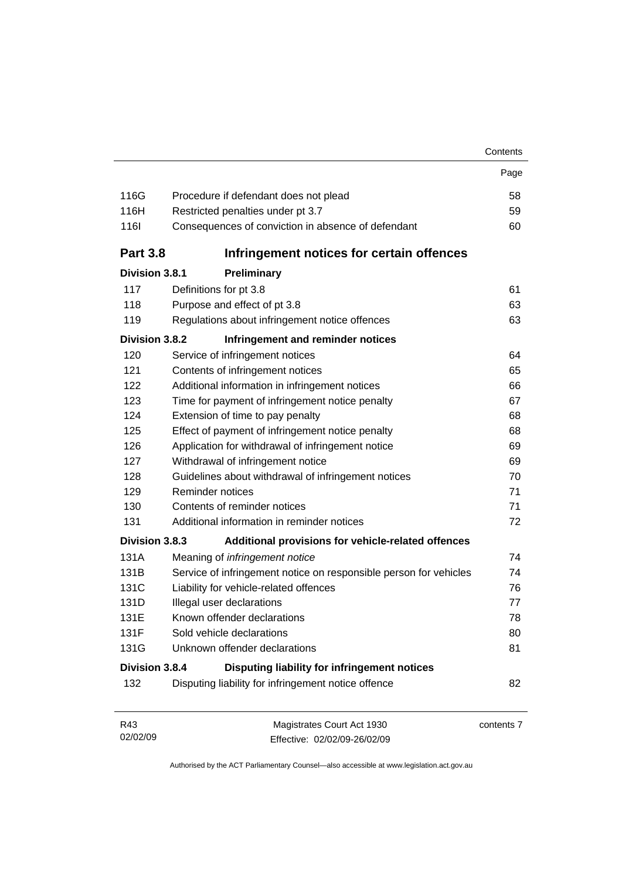|                 |                                                                   | Contents |
|-----------------|-------------------------------------------------------------------|----------|
|                 |                                                                   | Page     |
| 116G            | Procedure if defendant does not plead                             | 58       |
| 116H            | Restricted penalties under pt 3.7                                 | 59       |
| <b>116l</b>     | Consequences of conviction in absence of defendant                | 60       |
| <b>Part 3.8</b> | Infringement notices for certain offences                         |          |
| Division 3.8.1  | Preliminary                                                       |          |
| 117             | Definitions for pt 3.8                                            | 61       |
| 118             | Purpose and effect of pt 3.8                                      | 63       |
| 119             | Regulations about infringement notice offences                    | 63       |
| Division 3.8.2  | Infringement and reminder notices                                 |          |
| 120             | Service of infringement notices                                   | 64       |
| 121             | Contents of infringement notices                                  | 65       |
| 122             | Additional information in infringement notices                    | 66       |
| 123             | Time for payment of infringement notice penalty                   | 67       |
| 124             | Extension of time to pay penalty                                  | 68       |
| 125             | Effect of payment of infringement notice penalty                  | 68       |
| 126             | Application for withdrawal of infringement notice                 | 69       |
| 127             | Withdrawal of infringement notice                                 | 69       |
| 128             | Guidelines about withdrawal of infringement notices               | 70       |
| 129             | Reminder notices                                                  | 71       |
| 130             | Contents of reminder notices                                      | 71       |
| 131             | Additional information in reminder notices                        | 72       |
| Division 3.8.3  | Additional provisions for vehicle-related offences                |          |
| 131A            | Meaning of infringement notice                                    | 74       |
| 131B            | Service of infringement notice on responsible person for vehicles | 74       |
| 131C            | Liability for vehicle-related offences                            | 76       |
| 131D            | Illegal user declarations                                         | 77       |
| 131E            | Known offender declarations                                       | 78       |
| 131F            | Sold vehicle declarations                                         | 80       |
| 131G            | Unknown offender declarations                                     | 81       |
| Division 3.8.4  | Disputing liability for infringement notices                      |          |
| 132             | Disputing liability for infringement notice offence               | 82       |

| R43      | Magistrates Court Act 1930   | contents 7 |
|----------|------------------------------|------------|
| 02/02/09 | Effective: 02/02/09-26/02/09 |            |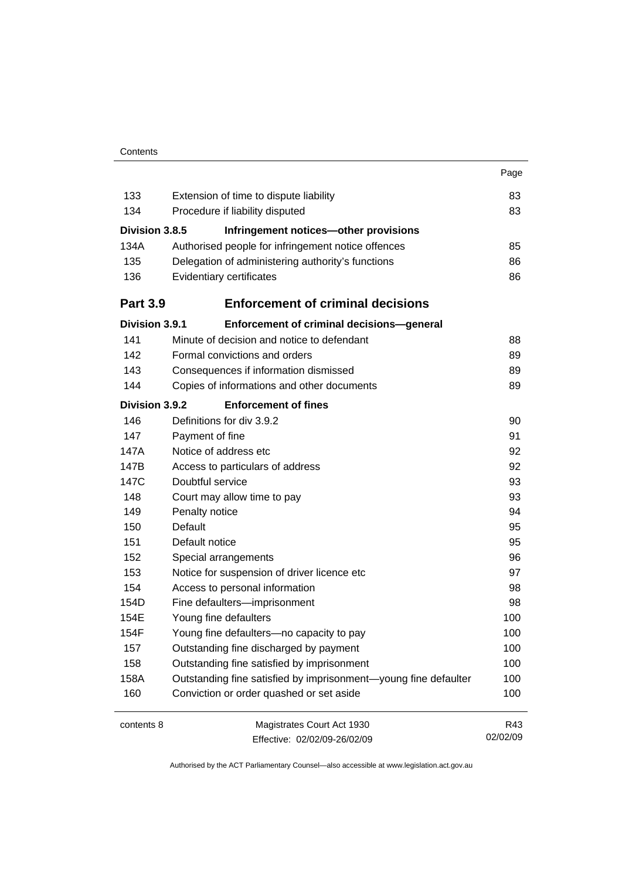|                 |                                                                 | Page     |
|-----------------|-----------------------------------------------------------------|----------|
| 133             | Extension of time to dispute liability                          | 83       |
| 134             | Procedure if liability disputed                                 | 83       |
| Division 3.8.5  | Infringement notices-other provisions                           |          |
| 134A            | Authorised people for infringement notice offences              | 85       |
| 135             | Delegation of administering authority's functions               | 86       |
| 136             | Evidentiary certificates                                        | 86       |
| <b>Part 3.9</b> | <b>Enforcement of criminal decisions</b>                        |          |
| Division 3.9.1  | Enforcement of criminal decisions-general                       |          |
| 141             | Minute of decision and notice to defendant                      | 88       |
| 142             | Formal convictions and orders                                   | 89       |
| 143             | Consequences if information dismissed                           | 89       |
| 144             | Copies of informations and other documents                      | 89       |
| Division 3.9.2  | <b>Enforcement of fines</b>                                     |          |
| 146             | Definitions for div 3.9.2                                       | 90       |
| 147             | Payment of fine                                                 | 91       |
| 147A            | Notice of address etc                                           | 92       |
| 147B            | Access to particulars of address                                | 92       |
| 147C            | Doubtful service                                                | 93       |
| 148             | Court may allow time to pay                                     | 93       |
| 149             | Penalty notice                                                  | 94       |
| 150             | Default                                                         | 95       |
| 151             | Default notice                                                  | 95       |
| 152             | Special arrangements                                            | 96       |
| 153             | Notice for suspension of driver licence etc                     | 97       |
| 154             | Access to personal information                                  | 98       |
| 154D            | Fine defaulters-imprisonment                                    | 98       |
| 154E            | Young fine defaulters                                           | 100      |
| 154F            | Young fine defaulters—no capacity to pay                        | 100      |
| 157             | Outstanding fine discharged by payment                          | 100      |
| 158             | Outstanding fine satisfied by imprisonment                      | 100      |
| 158A            | Outstanding fine satisfied by imprisonment-young fine defaulter | 100      |
| 160             | Conviction or order quashed or set aside                        | 100      |
| contents 8      | Magistrates Court Act 1930                                      | R43      |
|                 | Effective: 02/02/09-26/02/09                                    | 02/02/09 |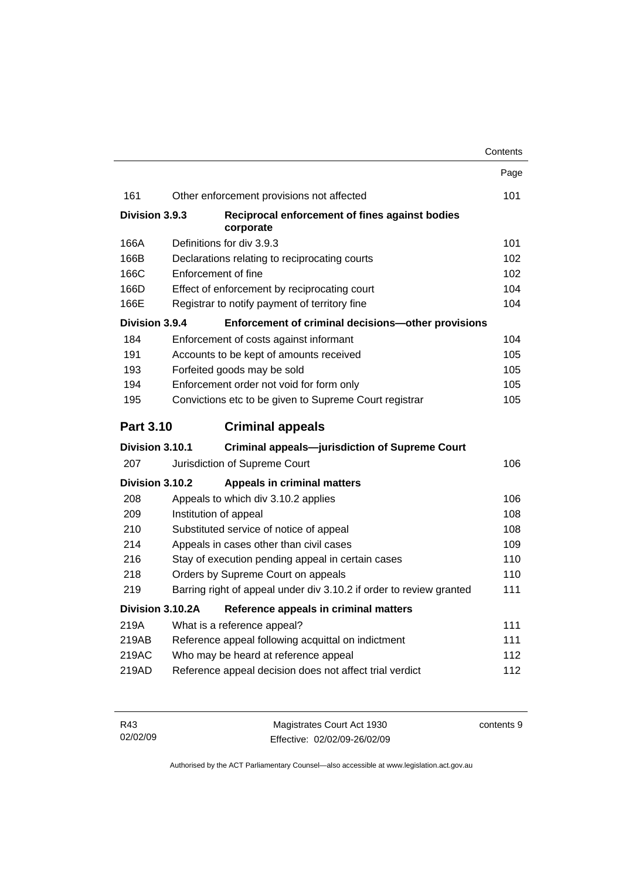|                  |                  |                                                                     | Contents |
|------------------|------------------|---------------------------------------------------------------------|----------|
|                  |                  |                                                                     | Page     |
| 161              |                  | Other enforcement provisions not affected                           | 101      |
| Division 3.9.3   |                  | Reciprocal enforcement of fines against bodies<br>corporate         |          |
| 166A             |                  | Definitions for div 3.9.3                                           | 101      |
| 166B             |                  | Declarations relating to reciprocating courts                       | 102      |
| 166C             |                  | Enforcement of fine                                                 | 102      |
| 166D             |                  | Effect of enforcement by reciprocating court                        | 104      |
| 166E             |                  | Registrar to notify payment of territory fine                       | 104      |
| Division 3.9.4   |                  | Enforcement of criminal decisions-other provisions                  |          |
| 184              |                  | Enforcement of costs against informant                              | 104      |
| 191              |                  | Accounts to be kept of amounts received                             | 105      |
| 193              |                  | Forfeited goods may be sold                                         | 105      |
| 194              |                  | Enforcement order not void for form only                            | 105      |
| 195              |                  | Convictions etc to be given to Supreme Court registrar              | 105      |
| <b>Part 3.10</b> |                  | <b>Criminal appeals</b>                                             |          |
| Division 3.10.1  |                  | <b>Criminal appeals-jurisdiction of Supreme Court</b>               |          |
| 207              |                  | Jurisdiction of Supreme Court                                       | 106      |
| Division 3.10.2  |                  | <b>Appeals in criminal matters</b>                                  |          |
| 208              |                  | Appeals to which div 3.10.2 applies                                 | 106      |
| 209              |                  | Institution of appeal                                               | 108      |
| 210              |                  | Substituted service of notice of appeal                             | 108      |
| 214              |                  | Appeals in cases other than civil cases                             | 109      |
| 216              |                  | Stay of execution pending appeal in certain cases                   | 110      |
| 218              |                  | Orders by Supreme Court on appeals                                  | 110      |
| 219              |                  | Barring right of appeal under div 3.10.2 if order to review granted | 111      |
|                  | Division 3.10.2A | Reference appeals in criminal matters                               |          |
| 219A             |                  | What is a reference appeal?                                         | 111      |
| 219AB            |                  | Reference appeal following acquittal on indictment                  | 111      |
| 219AC            |                  | Who may be heard at reference appeal                                | 112      |
| 219AD            |                  | Reference appeal decision does not affect trial verdict             | 112      |

| R43      | Magistrates Court Act 1930   | contents 9 |
|----------|------------------------------|------------|
| 02/02/09 | Effective: 02/02/09-26/02/09 |            |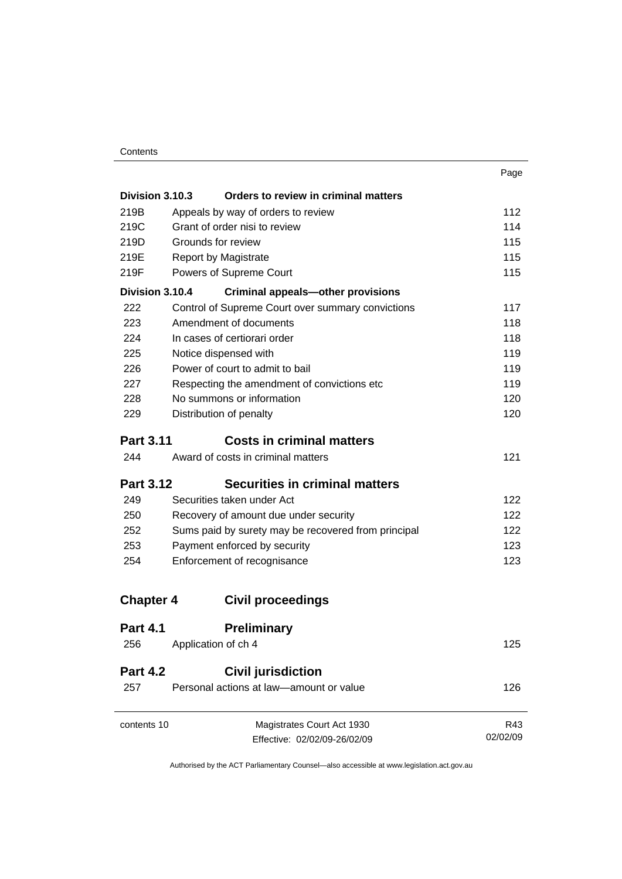| . .<br>٧<br>w<br>۰. |
|---------------------|
|---------------------|

| Division 3.10.3                                             | Orders to review in criminal matters                                                |          |
|-------------------------------------------------------------|-------------------------------------------------------------------------------------|----------|
| 219B                                                        | Appeals by way of orders to review                                                  | 112      |
| 219C                                                        | Grant of order nisi to review                                                       | 114      |
| 219D                                                        | Grounds for review                                                                  | 115      |
| 219E                                                        | <b>Report by Magistrate</b>                                                         | 115      |
| 219F                                                        | Powers of Supreme Court                                                             | 115      |
| Division 3.10.4<br><b>Criminal appeals-other provisions</b> |                                                                                     |          |
| 222                                                         | Control of Supreme Court over summary convictions                                   | 117      |
| 223                                                         | Amendment of documents                                                              | 118      |
| 224                                                         | In cases of certiorari order                                                        | 118      |
| 225                                                         | Notice dispensed with                                                               | 119      |
| 226                                                         | Power of court to admit to bail                                                     | 119      |
| 227                                                         | Respecting the amendment of convictions etc                                         | 119      |
| 228                                                         | No summons or information<br>Distribution of penalty                                | 120      |
| 229                                                         |                                                                                     | 120      |
|                                                             | <b>Costs in criminal matters</b><br><b>Part 3.11</b>                                |          |
| 244                                                         | Award of costs in criminal matters                                                  | 121      |
| <b>Part 3.12</b>                                            | <b>Securities in criminal matters</b>                                               |          |
| 249                                                         | Securities taken under Act                                                          | 122      |
| 250                                                         | Recovery of amount due under security                                               | 122      |
| 252                                                         | Sums paid by surety may be recovered from principal<br>Payment enforced by security | 122      |
| 253                                                         |                                                                                     | 123      |
| 254                                                         | Enforcement of recognisance                                                         | 123      |
| <b>Chapter 4</b>                                            | <b>Civil proceedings</b>                                                            |          |
| <b>Part 4.1</b>                                             | <b>Preliminary</b>                                                                  |          |
| 256                                                         | Application of ch 4                                                                 | 125      |
| <b>Part 4.2</b>                                             | <b>Civil jurisdiction</b>                                                           |          |
| 257                                                         | Personal actions at law-amount or value                                             | 126      |
| contents 10                                                 | Magistrates Court Act 1930                                                          | R43      |
|                                                             | Effective: 02/02/09-26/02/09                                                        | 02/02/09 |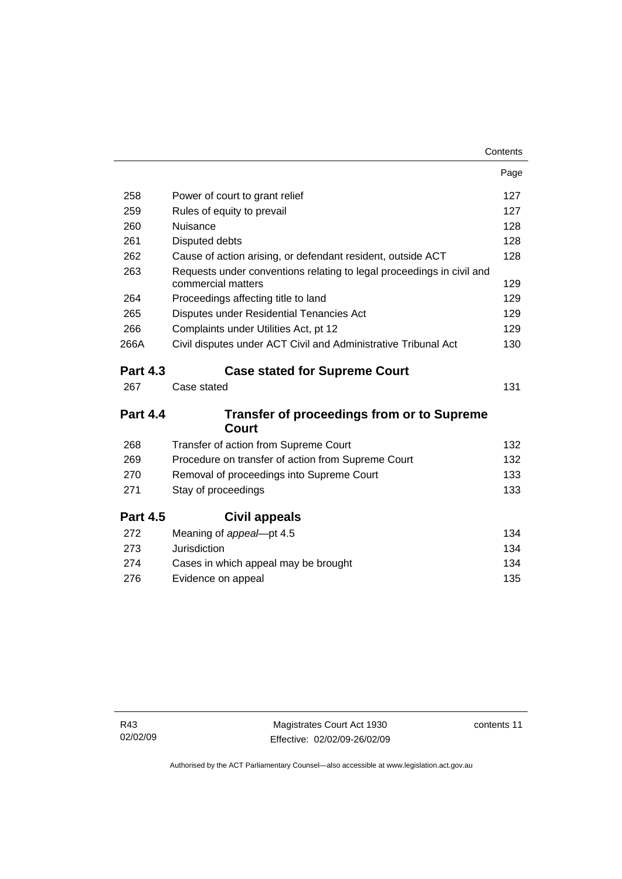| Page                                                                         |
|------------------------------------------------------------------------------|
| 127                                                                          |
| 127                                                                          |
| 128                                                                          |
| 128                                                                          |
| 128<br>Cause of action arising, or defendant resident, outside ACT           |
| Requests under conventions relating to legal proceedings in civil and<br>129 |
| 129                                                                          |
| 129                                                                          |
| 129                                                                          |
| Civil disputes under ACT Civil and Administrative Tribunal Act<br>130        |
| <b>Case stated for Supreme Court</b>                                         |
| 131                                                                          |
| <b>Transfer of proceedings from or to Supreme</b>                            |
| 132                                                                          |
| Procedure on transfer of action from Supreme Court<br>132                    |
| 133                                                                          |
| 133                                                                          |
|                                                                              |
| 134                                                                          |
| 134                                                                          |
| 134                                                                          |
| 135                                                                          |
|                                                                              |

contents 11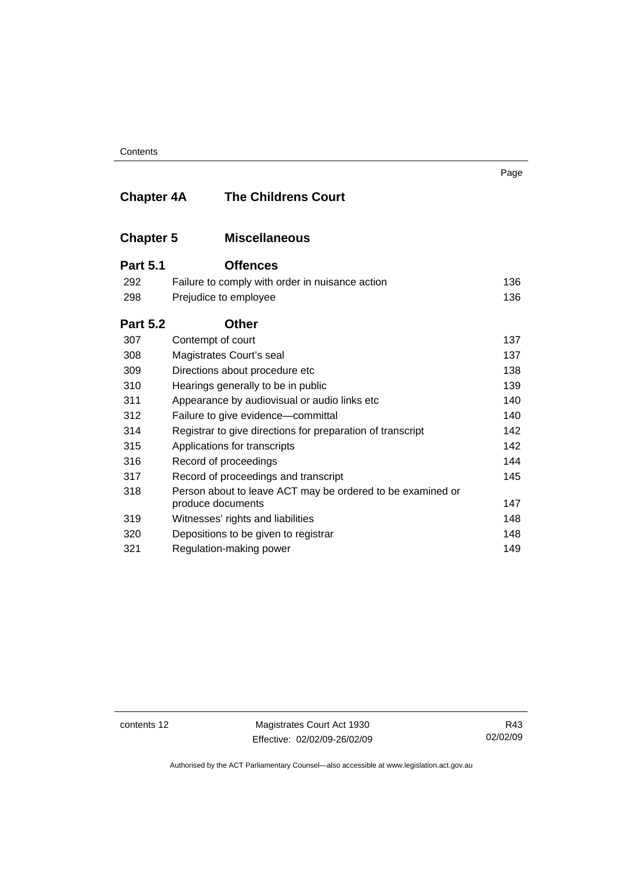**Contents** 

| <b>Chapter 4A</b> | <b>The Childrens Court</b>                                        | ı ay <del>c</del> |  |  |
|-------------------|-------------------------------------------------------------------|-------------------|--|--|
| <b>Chapter 5</b>  | <b>Miscellaneous</b>                                              |                   |  |  |
| <b>Part 5.1</b>   | <b>Offences</b>                                                   |                   |  |  |
| 292               | Failure to comply with order in nuisance action                   | 136               |  |  |
| 298               | Prejudice to employee                                             | 136               |  |  |
| <b>Part 5.2</b>   | <b>Other</b>                                                      |                   |  |  |
| 307               | Contempt of court                                                 | 137               |  |  |
| 308               | Magistrates Court's seal                                          | 137               |  |  |
| 309               | Directions about procedure etc                                    | 138               |  |  |
| 310               | 139<br>Hearings generally to be in public                         |                   |  |  |
| 311               | 140<br>Appearance by audiovisual or audio links etc               |                   |  |  |
| 312               | 140<br>Failure to give evidence-committal                         |                   |  |  |
| 314               | 142<br>Registrar to give directions for preparation of transcript |                   |  |  |
| 315               | Applications for transcripts                                      | 142               |  |  |
| 316               | Record of proceedings                                             | 144               |  |  |
| 317               | Record of proceedings and transcript                              | 145               |  |  |
| 318               | Person about to leave ACT may be ordered to be examined or        |                   |  |  |
|                   | produce documents                                                 | 147               |  |  |
| 319               | Witnesses' rights and liabilities                                 | 148               |  |  |
| 320               | Depositions to be given to registrar                              | 148               |  |  |
| 321               | Regulation-making power                                           | 149               |  |  |

contents 12 Magistrates Court Act 1930 Effective: 02/02/09-26/02/09

R43 02/02/09

Page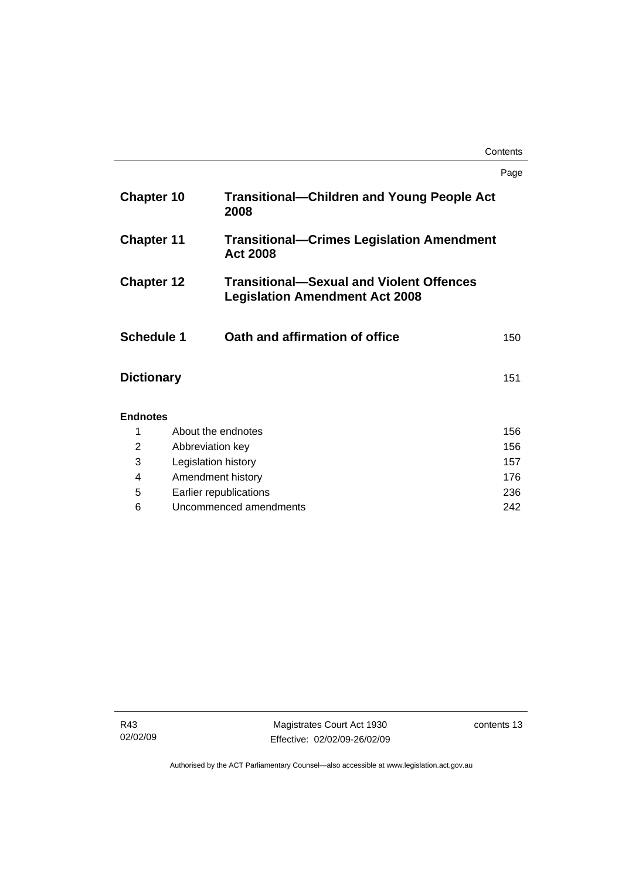#### **Contents**

|                   |                               |                                                                                          | Page |
|-------------------|-------------------------------|------------------------------------------------------------------------------------------|------|
| <b>Chapter 10</b> |                               | <b>Transitional-Children and Young People Act</b><br>2008                                |      |
| <b>Chapter 11</b> |                               | <b>Transitional–Crimes Legislation Amendment</b><br><b>Act 2008</b>                      |      |
| <b>Chapter 12</b> |                               | <b>Transitional-Sexual and Violent Offences</b><br><b>Legislation Amendment Act 2008</b> |      |
| <b>Schedule 1</b> |                               | Oath and affirmation of office                                                           | 150  |
| <b>Dictionary</b> |                               |                                                                                          | 151  |
| <b>Endnotes</b>   |                               |                                                                                          |      |
| 1                 | About the endnotes            |                                                                                          |      |
| $\overline{2}$    | Abbreviation key              |                                                                                          | 156  |
| 3                 | 157<br>Legislation history    |                                                                                          |      |
| 4                 | 176<br>Amendment history      |                                                                                          |      |
| 5                 | Earlier republications<br>236 |                                                                                          |      |
| 6                 | Uncommenced amendments<br>242 |                                                                                          |      |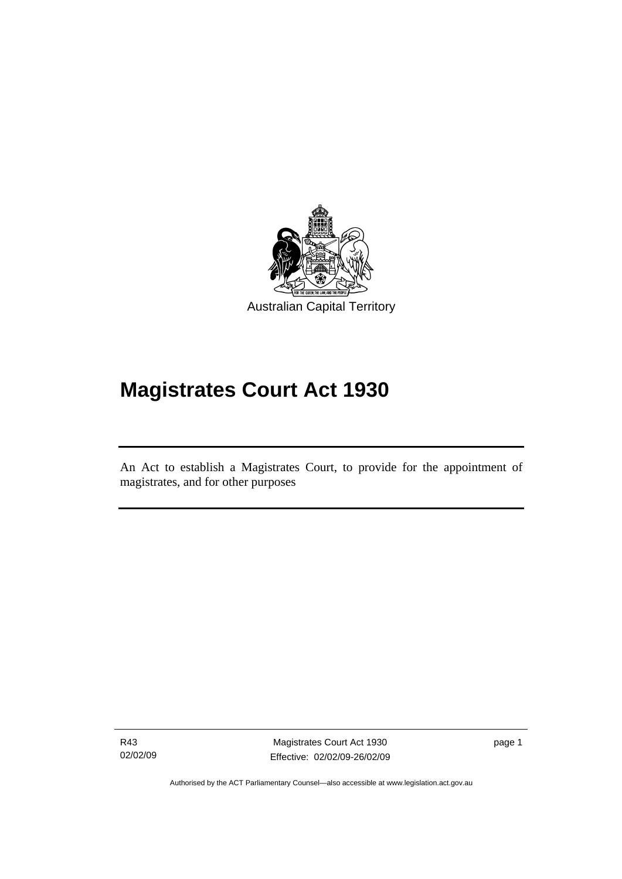<span id="page-16-0"></span>

# **Magistrates Court Act 1930**

An Act to establish a Magistrates Court, to provide for the appointment of magistrates, and for other purposes

R43 02/02/09

l

Magistrates Court Act 1930 Effective: 02/02/09-26/02/09 page 1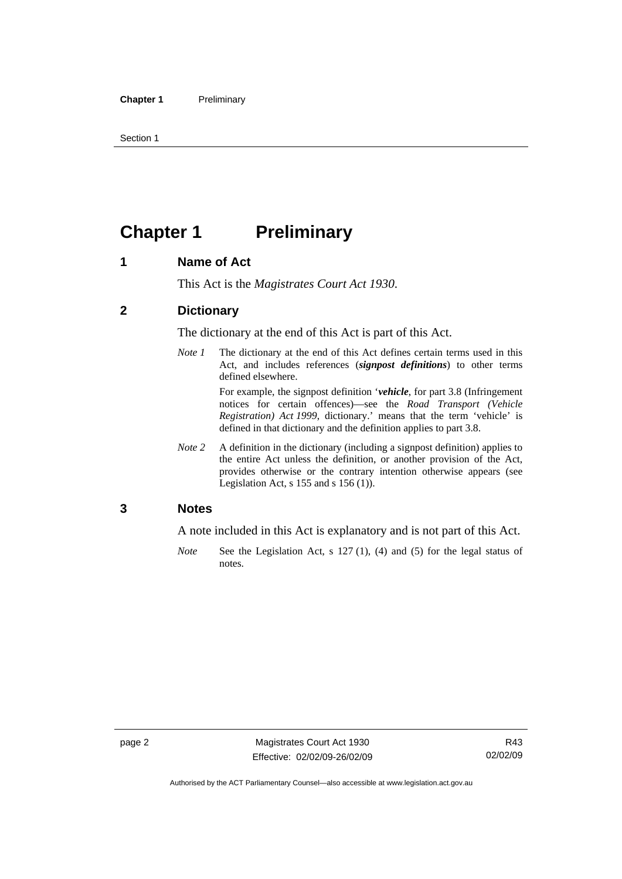<span id="page-17-0"></span>Section 1

# **Chapter 1** Preliminary

#### **1 Name of Act**

This Act is the *Magistrates Court Act 1930*.

#### **2 Dictionary**

The dictionary at the end of this Act is part of this Act.

*Note 1* The dictionary at the end of this Act defines certain terms used in this Act, and includes references (*signpost definitions*) to other terms defined elsewhere.

> For example, the signpost definition '*vehicle*, for part 3.8 (Infringement notices for certain offences)—see the *Road Transport (Vehicle Registration) Act 1999*, dictionary.' means that the term 'vehicle' is defined in that dictionary and the definition applies to part 3.8.

*Note 2* A definition in the dictionary (including a signpost definition) applies to the entire Act unless the definition, or another provision of the Act, provides otherwise or the contrary intention otherwise appears (see Legislation Act, s 155 and s 156 (1)).

#### **3 Notes**

A note included in this Act is explanatory and is not part of this Act.

*Note* See the Legislation Act, s 127 (1), (4) and (5) for the legal status of notes.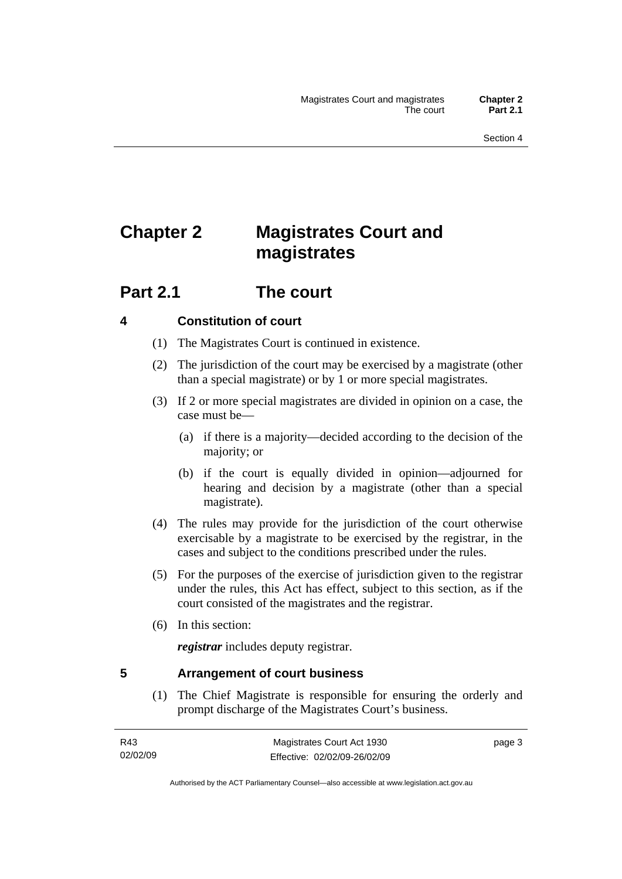# <span id="page-18-0"></span>**Chapter 2 Magistrates Court and magistrates**

## **Part 2.1 The court**

#### **4 Constitution of court**

- (1) The Magistrates Court is continued in existence.
- (2) The jurisdiction of the court may be exercised by a magistrate (other than a special magistrate) or by 1 or more special magistrates.
- (3) If 2 or more special magistrates are divided in opinion on a case, the case must be—
	- (a) if there is a majority—decided according to the decision of the majority; or
	- (b) if the court is equally divided in opinion—adjourned for hearing and decision by a magistrate (other than a special magistrate).
- (4) The rules may provide for the jurisdiction of the court otherwise exercisable by a magistrate to be exercised by the registrar, in the cases and subject to the conditions prescribed under the rules.
- (5) For the purposes of the exercise of jurisdiction given to the registrar under the rules, this Act has effect, subject to this section, as if the court consisted of the magistrates and the registrar.
- (6) In this section:

*registrar* includes deputy registrar.

#### **5 Arrangement of court business**

 (1) The Chief Magistrate is responsible for ensuring the orderly and prompt discharge of the Magistrates Court's business.

page 3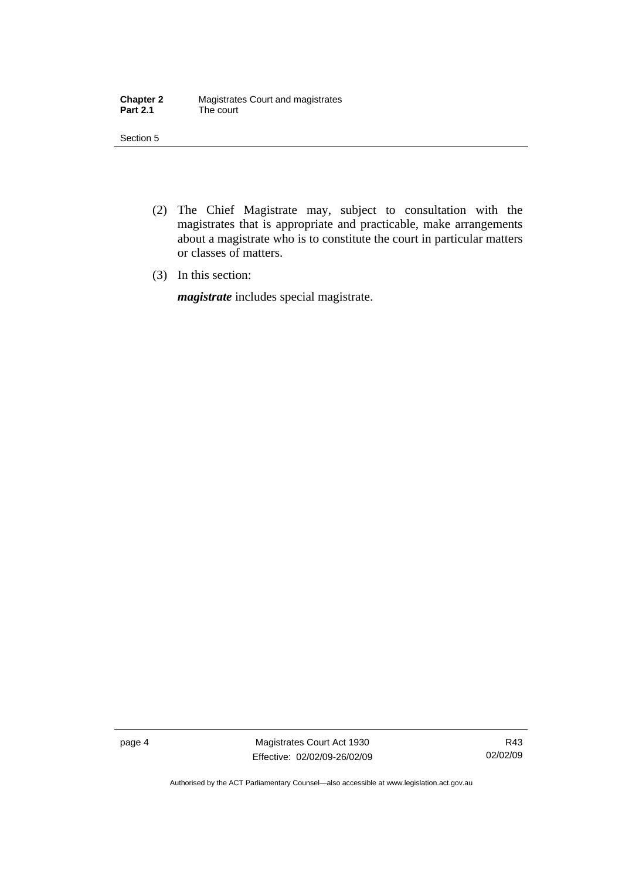| <b>Chapter 2</b> | Magistrates Court and magistrates |
|------------------|-----------------------------------|
| <b>Part 2.1</b>  | The court                         |

Section 5

- (2) The Chief Magistrate may, subject to consultation with the magistrates that is appropriate and practicable, make arrangements about a magistrate who is to constitute the court in particular matters or classes of matters.
- (3) In this section:

*magistrate* includes special magistrate.

page 4 Magistrates Court Act 1930 Effective: 02/02/09-26/02/09

R43 02/02/09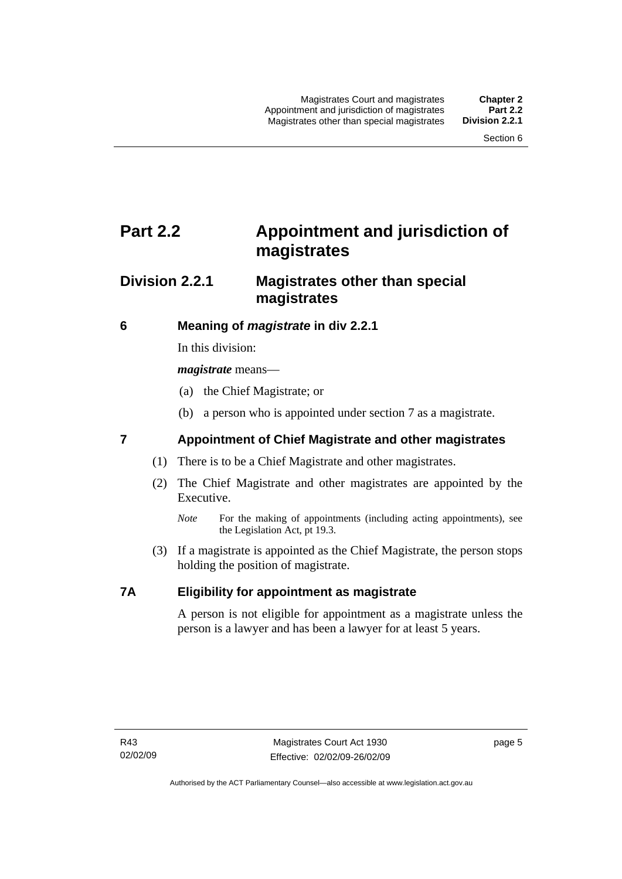# <span id="page-20-0"></span>**Part 2.2 Appointment and jurisdiction of magistrates**

### **Division 2.2.1 Magistrates other than special magistrates**

#### **6 Meaning of** *magistrate* **in div 2.2.1**

In this division:

*magistrate* means—

- (a) the Chief Magistrate; or
- (b) a person who is appointed under section 7 as a magistrate.

### **7 Appointment of Chief Magistrate and other magistrates**

- (1) There is to be a Chief Magistrate and other magistrates.
- (2) The Chief Magistrate and other magistrates are appointed by the Executive.
	- *Note* For the making of appointments (including acting appointments), see the Legislation Act, pt 19.3.
- (3) If a magistrate is appointed as the Chief Magistrate, the person stops holding the position of magistrate.

#### **7A Eligibility for appointment as magistrate**

A person is not eligible for appointment as a magistrate unless the person is a lawyer and has been a lawyer for at least 5 years.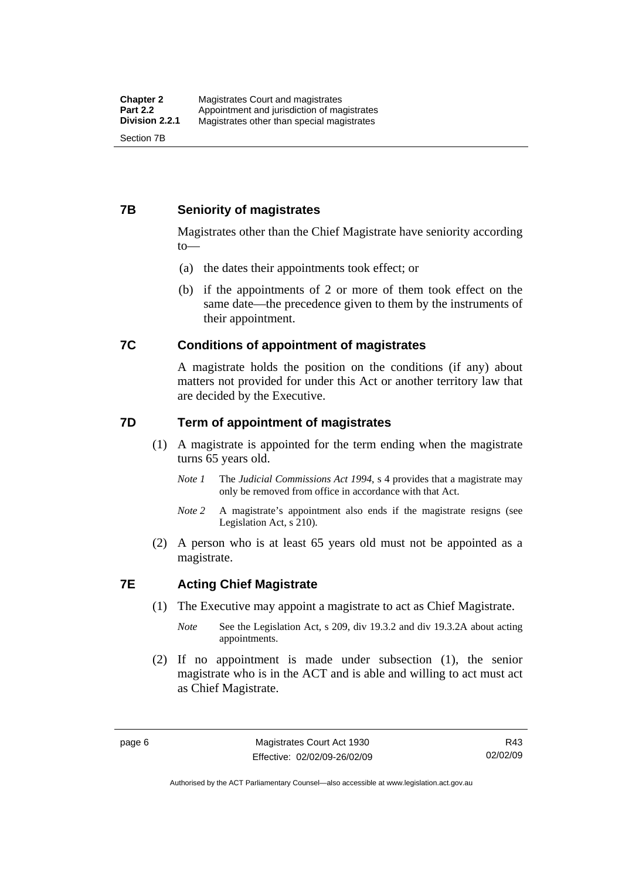#### <span id="page-21-0"></span>**7B Seniority of magistrates**

Magistrates other than the Chief Magistrate have seniority according to—

- (a) the dates their appointments took effect; or
- (b) if the appointments of 2 or more of them took effect on the same date—the precedence given to them by the instruments of their appointment.

#### **7C Conditions of appointment of magistrates**

A magistrate holds the position on the conditions (if any) about matters not provided for under this Act or another territory law that are decided by the Executive.

#### **7D Term of appointment of magistrates**

- (1) A magistrate is appointed for the term ending when the magistrate turns 65 years old.
	- *Note 1* The *Judicial Commissions Act 1994*, s 4 provides that a magistrate may only be removed from office in accordance with that Act.
	- *Note 2* A magistrate's appointment also ends if the magistrate resigns (see Legislation Act, s 210).
- (2) A person who is at least 65 years old must not be appointed as a magistrate.

#### **7E Acting Chief Magistrate**

- (1) The Executive may appoint a magistrate to act as Chief Magistrate.
	- *Note* See the Legislation Act, s 209, div 19.3.2 and div 19.3.2A about acting appointments.
- (2) If no appointment is made under subsection (1), the senior magistrate who is in the ACT and is able and willing to act must act as Chief Magistrate.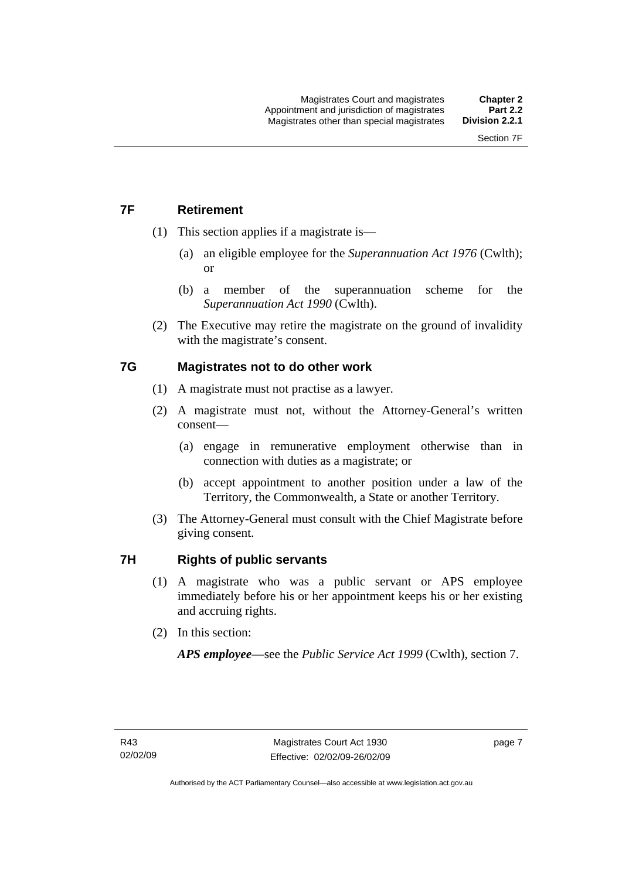### <span id="page-22-0"></span>**7F Retirement**

- (1) This section applies if a magistrate is—
	- (a) an eligible employee for the *Superannuation Act 1976* (Cwlth); or
	- (b) a member of the superannuation scheme for the *Superannuation Act 1990* (Cwlth).
- (2) The Executive may retire the magistrate on the ground of invalidity with the magistrate's consent.

#### **7G Magistrates not to do other work**

- (1) A magistrate must not practise as a lawyer.
- (2) A magistrate must not, without the Attorney-General's written consent—
	- (a) engage in remunerative employment otherwise than in connection with duties as a magistrate; or
	- (b) accept appointment to another position under a law of the Territory, the Commonwealth, a State or another Territory.
- (3) The Attorney-General must consult with the Chief Magistrate before giving consent.

#### **7H Rights of public servants**

- (1) A magistrate who was a public servant or APS employee immediately before his or her appointment keeps his or her existing and accruing rights.
- (2) In this section:

*APS employee*—see the *Public Service Act 1999* (Cwlth), section 7.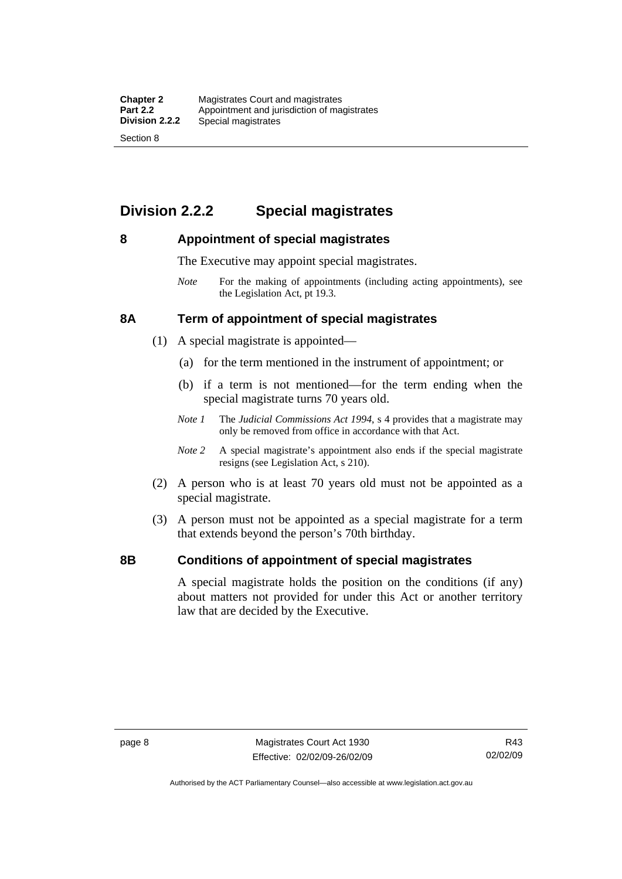## <span id="page-23-0"></span>**Division 2.2.2 Special magistrates**

#### **8 Appointment of special magistrates**

The Executive may appoint special magistrates.

*Note* For the making of appointments (including acting appointments), see the Legislation Act, pt 19.3.

#### **8A Term of appointment of special magistrates**

- (1) A special magistrate is appointed—
	- (a) for the term mentioned in the instrument of appointment; or
	- (b) if a term is not mentioned—for the term ending when the special magistrate turns 70 years old.
	- *Note 1* The *Judicial Commissions Act 1994*, s 4 provides that a magistrate may only be removed from office in accordance with that Act.
	- *Note 2* A special magistrate's appointment also ends if the special magistrate resigns (see Legislation Act, s 210).
- (2) A person who is at least 70 years old must not be appointed as a special magistrate.
- (3) A person must not be appointed as a special magistrate for a term that extends beyond the person's 70th birthday.

#### **8B Conditions of appointment of special magistrates**

A special magistrate holds the position on the conditions (if any) about matters not provided for under this Act or another territory law that are decided by the Executive.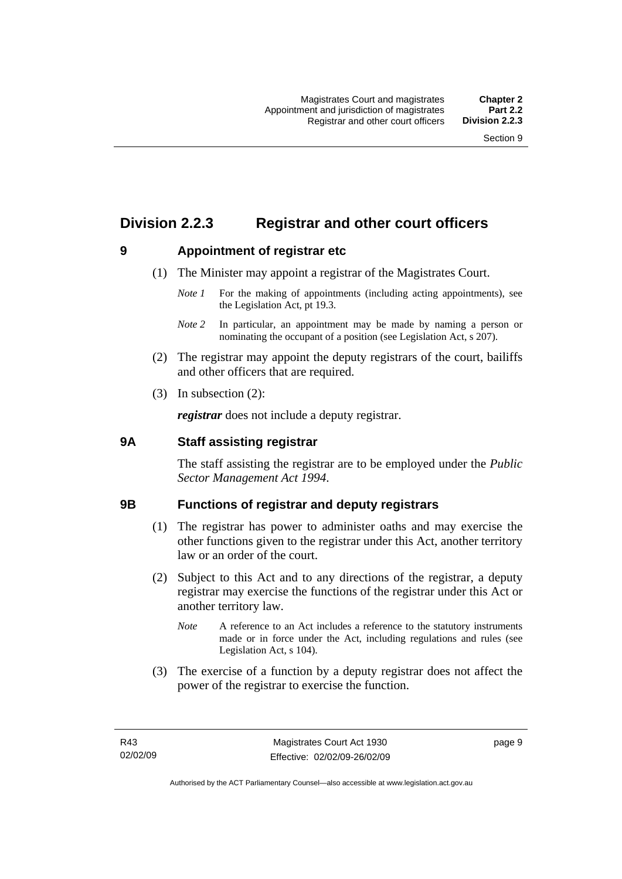### <span id="page-24-0"></span>**Division 2.2.3 Registrar and other court officers**

#### **9 Appointment of registrar etc**

- (1) The Minister may appoint a registrar of the Magistrates Court.
	- *Note 1* For the making of appointments (including acting appointments), see the Legislation Act, pt 19.3.
	- *Note 2* In particular, an appointment may be made by naming a person or nominating the occupant of a position (see Legislation Act, s 207).
- (2) The registrar may appoint the deputy registrars of the court, bailiffs and other officers that are required.
- (3) In subsection (2):

*registrar* does not include a deputy registrar.

#### **9A Staff assisting registrar**

The staff assisting the registrar are to be employed under the *Public Sector Management Act 1994*.

#### **9B Functions of registrar and deputy registrars**

- (1) The registrar has power to administer oaths and may exercise the other functions given to the registrar under this Act, another territory law or an order of the court.
- (2) Subject to this Act and to any directions of the registrar, a deputy registrar may exercise the functions of the registrar under this Act or another territory law.
	- *Note* A reference to an Act includes a reference to the statutory instruments made or in force under the Act, including regulations and rules (see Legislation Act, s 104).
- (3) The exercise of a function by a deputy registrar does not affect the power of the registrar to exercise the function.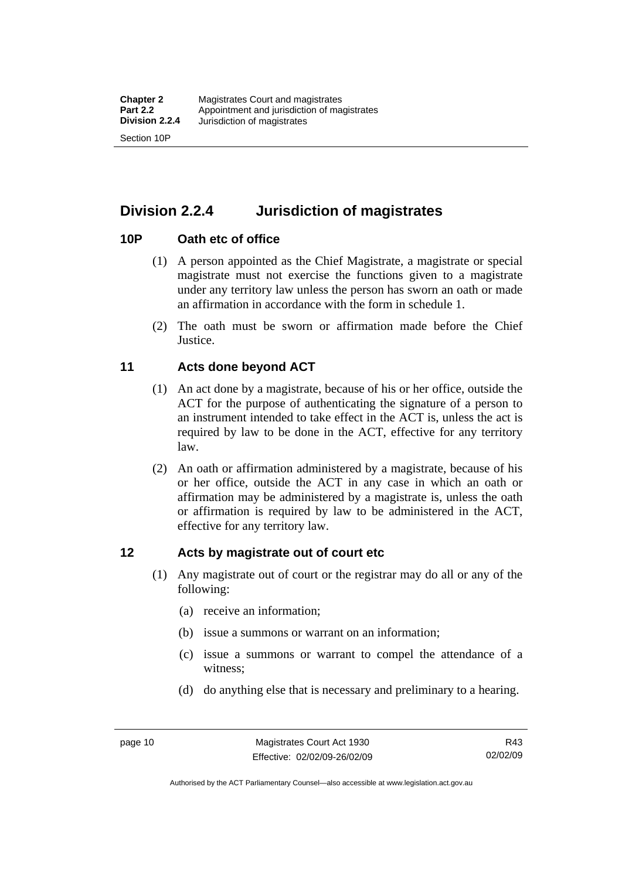<span id="page-25-0"></span>**Division 2.2.4 Jurisdiction of magistrates** 

#### **10P Oath etc of office**

- (1) A person appointed as the Chief Magistrate, a magistrate or special magistrate must not exercise the functions given to a magistrate under any territory law unless the person has sworn an oath or made an affirmation in accordance with the form in schedule 1.
- (2) The oath must be sworn or affirmation made before the Chief **Justice**.

#### **11 Acts done beyond ACT**

- (1) An act done by a magistrate, because of his or her office, outside the ACT for the purpose of authenticating the signature of a person to an instrument intended to take effect in the ACT is, unless the act is required by law to be done in the ACT, effective for any territory law.
- (2) An oath or affirmation administered by a magistrate, because of his or her office, outside the ACT in any case in which an oath or affirmation may be administered by a magistrate is, unless the oath or affirmation is required by law to be administered in the ACT, effective for any territory law.

#### **12 Acts by magistrate out of court etc**

- (1) Any magistrate out of court or the registrar may do all or any of the following:
	- (a) receive an information;
	- (b) issue a summons or warrant on an information;
	- (c) issue a summons or warrant to compel the attendance of a witness;
	- (d) do anything else that is necessary and preliminary to a hearing.

Authorised by the ACT Parliamentary Counsel—also accessible at www.legislation.act.gov.au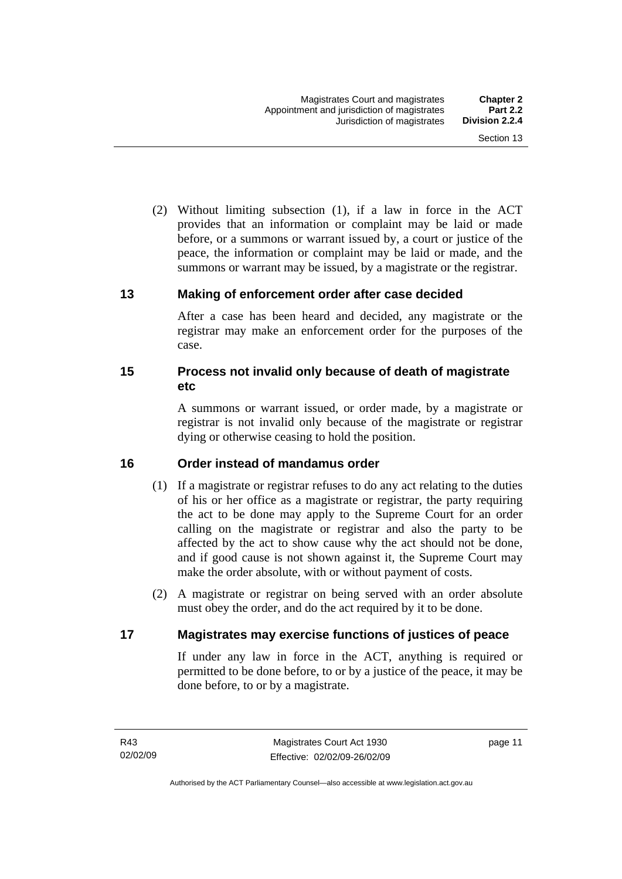<span id="page-26-0"></span> (2) Without limiting subsection (1), if a law in force in the ACT provides that an information or complaint may be laid or made before, or a summons or warrant issued by, a court or justice of the peace, the information or complaint may be laid or made, and the summons or warrant may be issued, by a magistrate or the registrar.

#### **13 Making of enforcement order after case decided**

After a case has been heard and decided, any magistrate or the registrar may make an enforcement order for the purposes of the case.

#### **15 Process not invalid only because of death of magistrate etc**

A summons or warrant issued, or order made, by a magistrate or registrar is not invalid only because of the magistrate or registrar dying or otherwise ceasing to hold the position.

#### **16 Order instead of mandamus order**

- (1) If a magistrate or registrar refuses to do any act relating to the duties of his or her office as a magistrate or registrar, the party requiring the act to be done may apply to the Supreme Court for an order calling on the magistrate or registrar and also the party to be affected by the act to show cause why the act should not be done, and if good cause is not shown against it, the Supreme Court may make the order absolute, with or without payment of costs.
- (2) A magistrate or registrar on being served with an order absolute must obey the order, and do the act required by it to be done.

#### **17 Magistrates may exercise functions of justices of peace**

If under any law in force in the ACT, anything is required or permitted to be done before, to or by a justice of the peace, it may be done before, to or by a magistrate.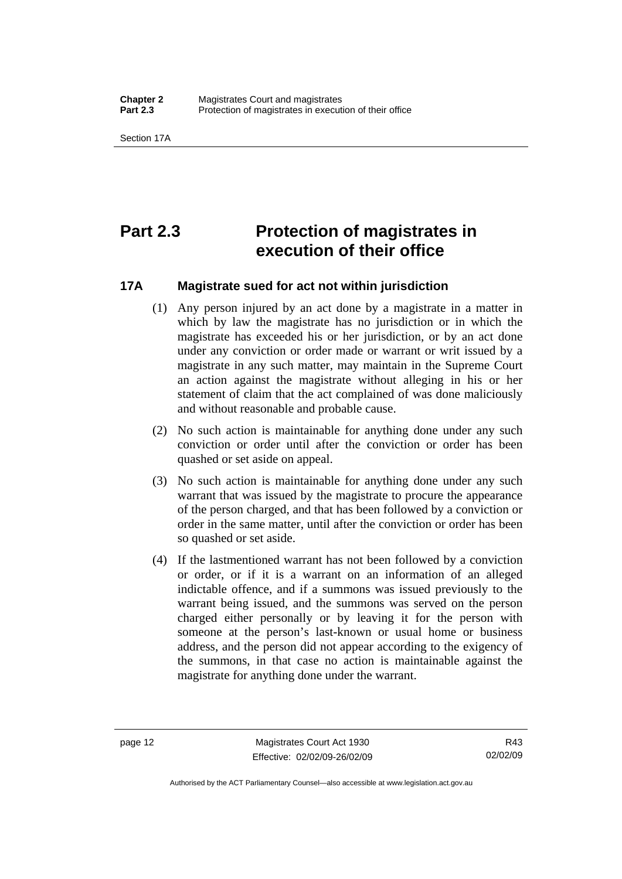<span id="page-27-0"></span>Section 17A

# **Part 2.3 Protection of magistrates in execution of their office**

#### **17A Magistrate sued for act not within jurisdiction**

- (1) Any person injured by an act done by a magistrate in a matter in which by law the magistrate has no jurisdiction or in which the magistrate has exceeded his or her jurisdiction, or by an act done under any conviction or order made or warrant or writ issued by a magistrate in any such matter, may maintain in the Supreme Court an action against the magistrate without alleging in his or her statement of claim that the act complained of was done maliciously and without reasonable and probable cause.
- (2) No such action is maintainable for anything done under any such conviction or order until after the conviction or order has been quashed or set aside on appeal.
- (3) No such action is maintainable for anything done under any such warrant that was issued by the magistrate to procure the appearance of the person charged, and that has been followed by a conviction or order in the same matter, until after the conviction or order has been so quashed or set aside.
- (4) If the lastmentioned warrant has not been followed by a conviction or order, or if it is a warrant on an information of an alleged indictable offence, and if a summons was issued previously to the warrant being issued, and the summons was served on the person charged either personally or by leaving it for the person with someone at the person's last-known or usual home or business address, and the person did not appear according to the exigency of the summons, in that case no action is maintainable against the magistrate for anything done under the warrant.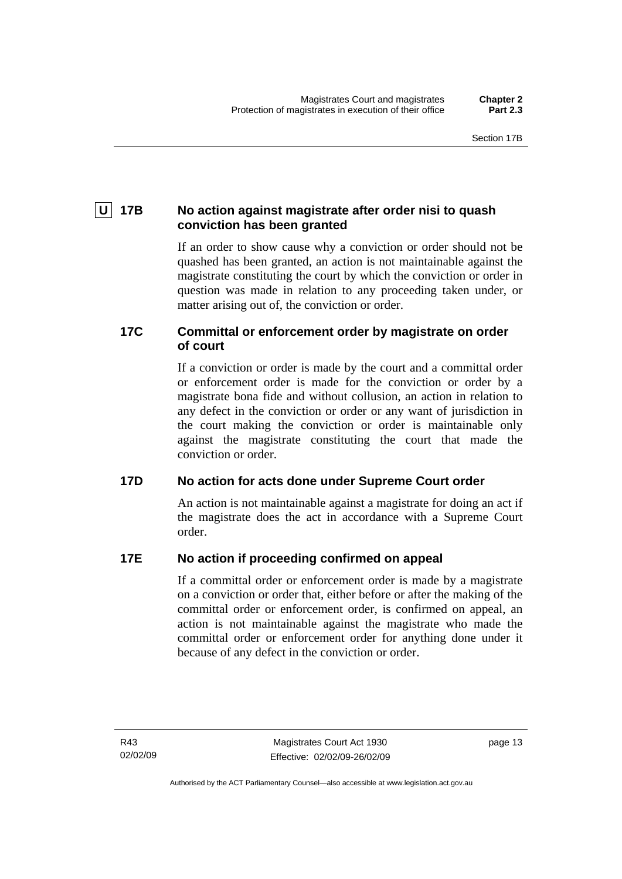### <span id="page-28-0"></span> **U 17B No action against magistrate after order nisi to quash conviction has been granted**

If an order to show cause why a conviction or order should not be quashed has been granted, an action is not maintainable against the magistrate constituting the court by which the conviction or order in question was made in relation to any proceeding taken under, or matter arising out of, the conviction or order.

#### **17C Committal or enforcement order by magistrate on order of court**

If a conviction or order is made by the court and a committal order or enforcement order is made for the conviction or order by a magistrate bona fide and without collusion, an action in relation to any defect in the conviction or order or any want of jurisdiction in the court making the conviction or order is maintainable only against the magistrate constituting the court that made the conviction or order.

#### **17D No action for acts done under Supreme Court order**

An action is not maintainable against a magistrate for doing an act if the magistrate does the act in accordance with a Supreme Court order.

#### **17E No action if proceeding confirmed on appeal**

If a committal order or enforcement order is made by a magistrate on a conviction or order that, either before or after the making of the committal order or enforcement order, is confirmed on appeal, an action is not maintainable against the magistrate who made the committal order or enforcement order for anything done under it because of any defect in the conviction or order.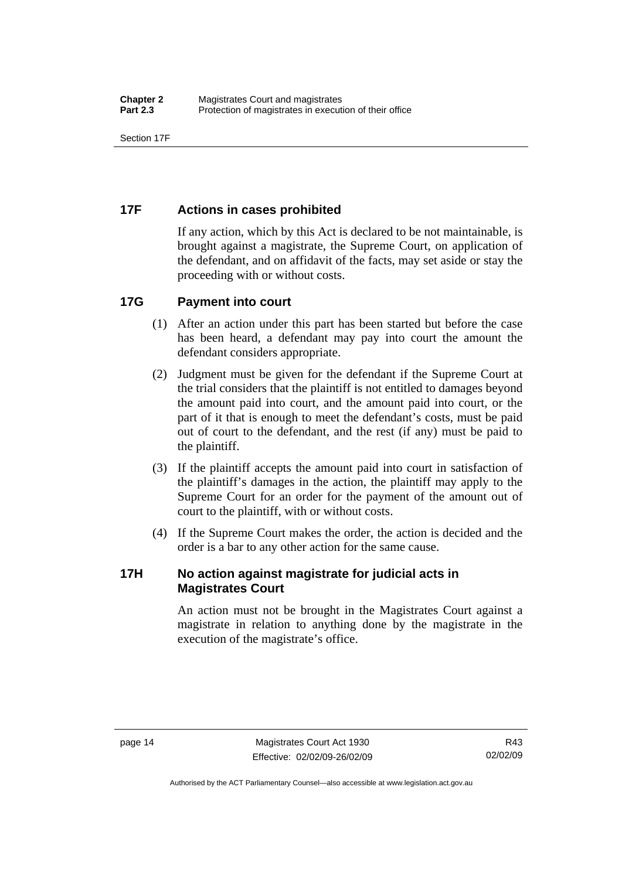<span id="page-29-0"></span>Section 17F

### **17F Actions in cases prohibited**

If any action, which by this Act is declared to be not maintainable, is brought against a magistrate, the Supreme Court, on application of the defendant, and on affidavit of the facts, may set aside or stay the proceeding with or without costs.

#### **17G Payment into court**

- (1) After an action under this part has been started but before the case has been heard, a defendant may pay into court the amount the defendant considers appropriate.
- (2) Judgment must be given for the defendant if the Supreme Court at the trial considers that the plaintiff is not entitled to damages beyond the amount paid into court, and the amount paid into court, or the part of it that is enough to meet the defendant's costs, must be paid out of court to the defendant, and the rest (if any) must be paid to the plaintiff.
- (3) If the plaintiff accepts the amount paid into court in satisfaction of the plaintiff's damages in the action, the plaintiff may apply to the Supreme Court for an order for the payment of the amount out of court to the plaintiff, with or without costs.
- (4) If the Supreme Court makes the order, the action is decided and the order is a bar to any other action for the same cause.

#### **17H No action against magistrate for judicial acts in Magistrates Court**

An action must not be brought in the Magistrates Court against a magistrate in relation to anything done by the magistrate in the execution of the magistrate's office.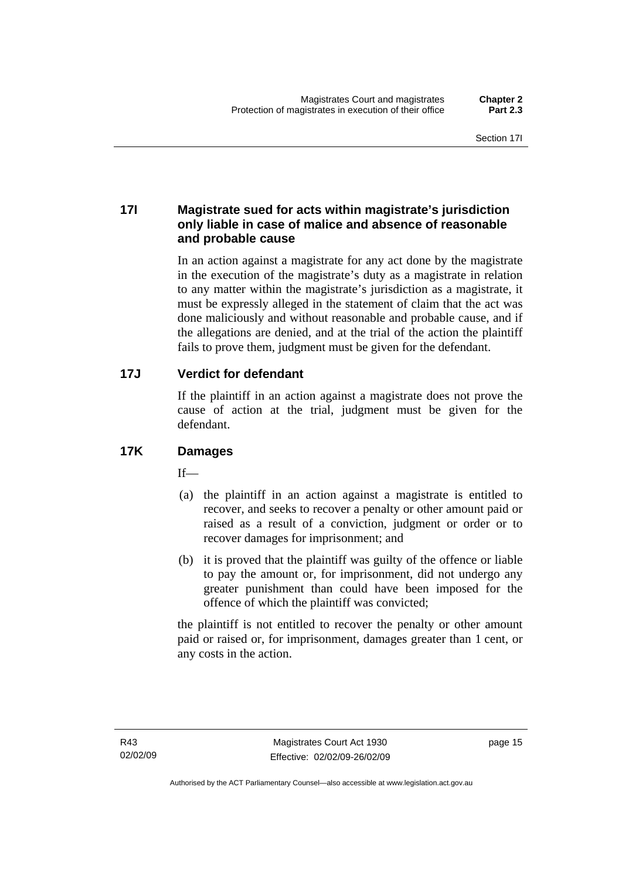#### <span id="page-30-0"></span>**17I Magistrate sued for acts within magistrate's jurisdiction only liable in case of malice and absence of reasonable and probable cause**

In an action against a magistrate for any act done by the magistrate in the execution of the magistrate's duty as a magistrate in relation to any matter within the magistrate's jurisdiction as a magistrate, it must be expressly alleged in the statement of claim that the act was done maliciously and without reasonable and probable cause, and if the allegations are denied, and at the trial of the action the plaintiff fails to prove them, judgment must be given for the defendant.

### **17J Verdict for defendant**

If the plaintiff in an action against a magistrate does not prove the cause of action at the trial, judgment must be given for the defendant.

### **17K Damages**

 $If$ —

- (a) the plaintiff in an action against a magistrate is entitled to recover, and seeks to recover a penalty or other amount paid or raised as a result of a conviction, judgment or order or to recover damages for imprisonment; and
- (b) it is proved that the plaintiff was guilty of the offence or liable to pay the amount or, for imprisonment, did not undergo any greater punishment than could have been imposed for the offence of which the plaintiff was convicted;

the plaintiff is not entitled to recover the penalty or other amount paid or raised or, for imprisonment, damages greater than 1 cent, or any costs in the action.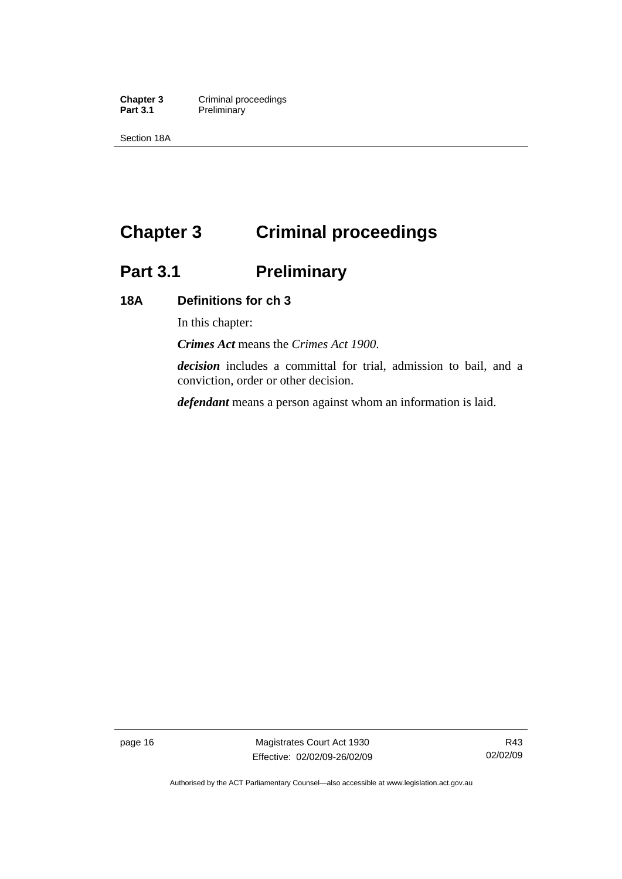<span id="page-31-0"></span>**Chapter 3 Criminal proceedings**<br> **Part 3.1 Preliminary Preliminary** 

Section 18A

# **Chapter 3 Criminal proceedings**

# **Part 3.1 Preliminary**

#### **18A Definitions for ch 3**

In this chapter:

*Crimes Act* means the *Crimes Act 1900*.

*decision* includes a committal for trial, admission to bail, and a conviction, order or other decision.

*defendant* means a person against whom an information is laid.

page 16 Magistrates Court Act 1930 Effective: 02/02/09-26/02/09

R43 02/02/09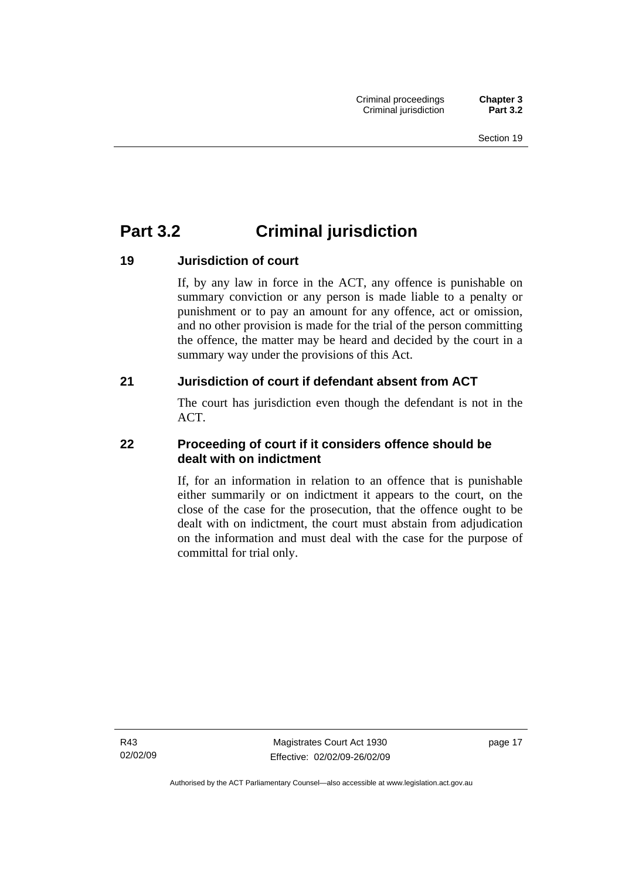# <span id="page-32-0"></span>**Part 3.2 Criminal jurisdiction**

#### **19 Jurisdiction of court**

If, by any law in force in the ACT, any offence is punishable on summary conviction or any person is made liable to a penalty or punishment or to pay an amount for any offence, act or omission, and no other provision is made for the trial of the person committing the offence, the matter may be heard and decided by the court in a summary way under the provisions of this Act.

#### **21 Jurisdiction of court if defendant absent from ACT**

The court has jurisdiction even though the defendant is not in the ACT.

#### **22 Proceeding of court if it considers offence should be dealt with on indictment**

If, for an information in relation to an offence that is punishable either summarily or on indictment it appears to the court, on the close of the case for the prosecution, that the offence ought to be dealt with on indictment, the court must abstain from adjudication on the information and must deal with the case for the purpose of committal for trial only.

R43 02/02/09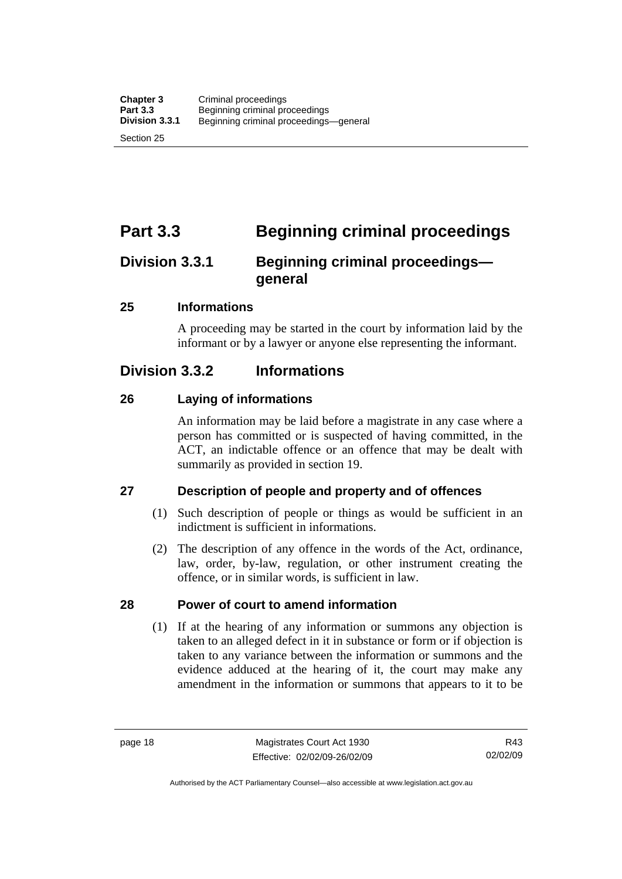<span id="page-33-0"></span>Section 25

# **Part 3.3 Beginning criminal proceedings**

## **Division 3.3.1 Beginning criminal proceedings general**

#### **25 Informations**

A proceeding may be started in the court by information laid by the informant or by a lawyer or anyone else representing the informant.

### **Division 3.3.2 Informations**

#### **26 Laying of informations**

An information may be laid before a magistrate in any case where a person has committed or is suspected of having committed, in the ACT, an indictable offence or an offence that may be dealt with summarily as provided in section 19.

#### **27 Description of people and property and of offences**

- (1) Such description of people or things as would be sufficient in an indictment is sufficient in informations.
- (2) The description of any offence in the words of the Act, ordinance, law, order, by-law, regulation, or other instrument creating the offence, or in similar words, is sufficient in law.

#### **28 Power of court to amend information**

 (1) If at the hearing of any information or summons any objection is taken to an alleged defect in it in substance or form or if objection is taken to any variance between the information or summons and the evidence adduced at the hearing of it, the court may make any amendment in the information or summons that appears to it to be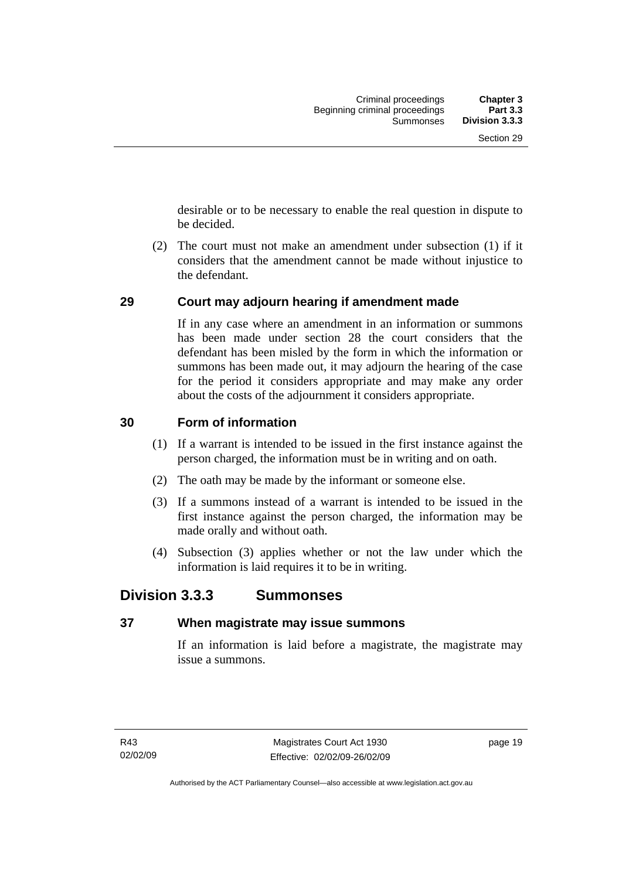<span id="page-34-0"></span>desirable or to be necessary to enable the real question in dispute to be decided.

 (2) The court must not make an amendment under subsection (1) if it considers that the amendment cannot be made without injustice to the defendant.

#### **29 Court may adjourn hearing if amendment made**

If in any case where an amendment in an information or summons has been made under section 28 the court considers that the defendant has been misled by the form in which the information or summons has been made out, it may adjourn the hearing of the case for the period it considers appropriate and may make any order about the costs of the adjournment it considers appropriate.

#### **30 Form of information**

- (1) If a warrant is intended to be issued in the first instance against the person charged, the information must be in writing and on oath.
- (2) The oath may be made by the informant or someone else.
- (3) If a summons instead of a warrant is intended to be issued in the first instance against the person charged, the information may be made orally and without oath.
- (4) Subsection (3) applies whether or not the law under which the information is laid requires it to be in writing.

### **Division 3.3.3 Summonses**

#### **37 When magistrate may issue summons**

If an information is laid before a magistrate, the magistrate may issue a summons.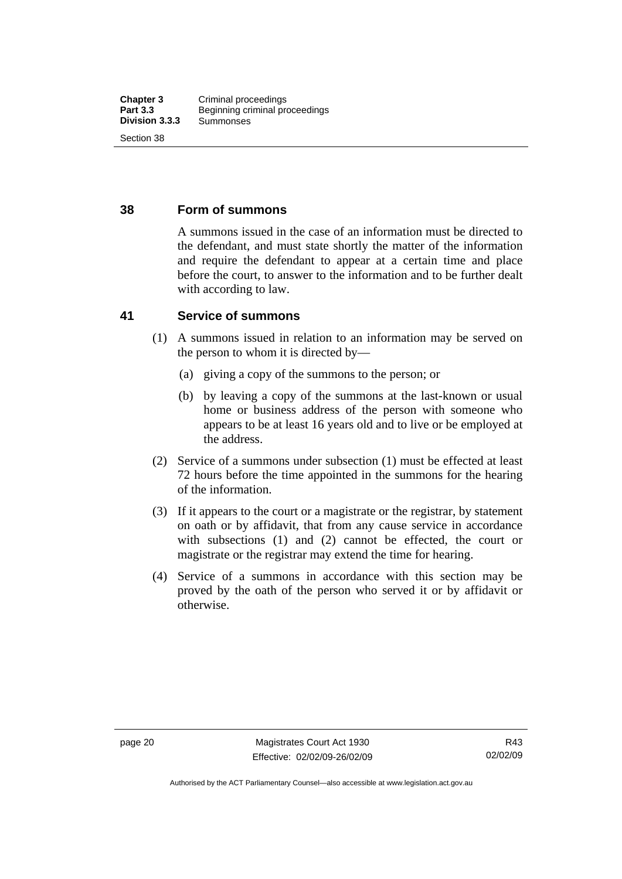#### <span id="page-35-0"></span>**38 Form of summons**

A summons issued in the case of an information must be directed to the defendant, and must state shortly the matter of the information and require the defendant to appear at a certain time and place before the court, to answer to the information and to be further dealt with according to law.

#### **41 Service of summons**

- (1) A summons issued in relation to an information may be served on the person to whom it is directed by—
	- (a) giving a copy of the summons to the person; or
	- (b) by leaving a copy of the summons at the last-known or usual home or business address of the person with someone who appears to be at least 16 years old and to live or be employed at the address.
- (2) Service of a summons under subsection (1) must be effected at least 72 hours before the time appointed in the summons for the hearing of the information.
- (3) If it appears to the court or a magistrate or the registrar, by statement on oath or by affidavit, that from any cause service in accordance with subsections (1) and (2) cannot be effected, the court or magistrate or the registrar may extend the time for hearing.
- (4) Service of a summons in accordance with this section may be proved by the oath of the person who served it or by affidavit or otherwise.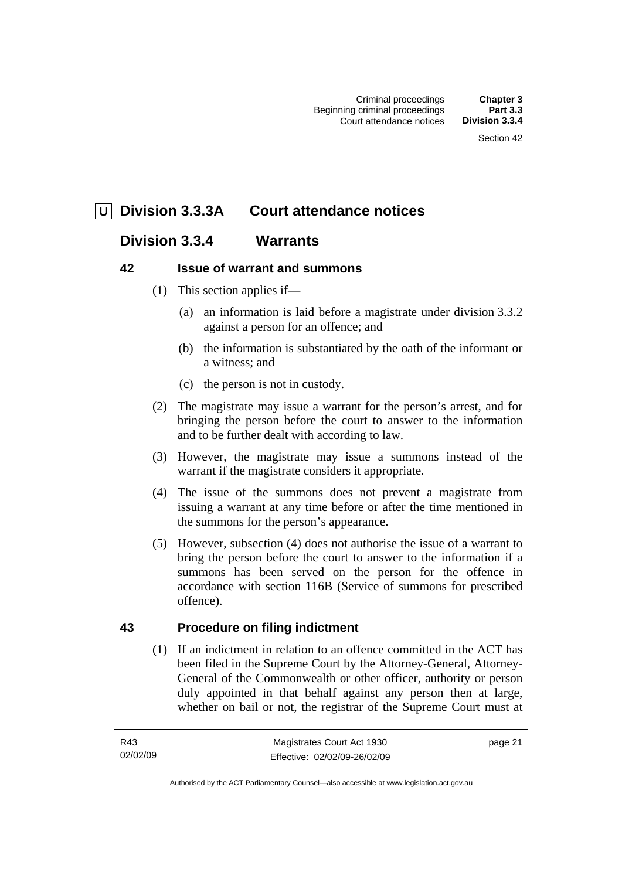# **U Division 3.3.3A Court attendance notices**

# **Division 3.3.4 Warrants**

# **42 Issue of warrant and summons**

- (1) This section applies if—
	- (a) an information is laid before a magistrate under division 3.3.2 against a person for an offence; and
	- (b) the information is substantiated by the oath of the informant or a witness; and
	- (c) the person is not in custody.
- (2) The magistrate may issue a warrant for the person's arrest, and for bringing the person before the court to answer to the information and to be further dealt with according to law.
- (3) However, the magistrate may issue a summons instead of the warrant if the magistrate considers it appropriate.
- (4) The issue of the summons does not prevent a magistrate from issuing a warrant at any time before or after the time mentioned in the summons for the person's appearance.
- (5) However, subsection (4) does not authorise the issue of a warrant to bring the person before the court to answer to the information if a summons has been served on the person for the offence in accordance with section 116B (Service of summons for prescribed offence).

# **43 Procedure on filing indictment**

 (1) If an indictment in relation to an offence committed in the ACT has been filed in the Supreme Court by the Attorney-General, Attorney-General of the Commonwealth or other officer, authority or person duly appointed in that behalf against any person then at large, whether on bail or not, the registrar of the Supreme Court must at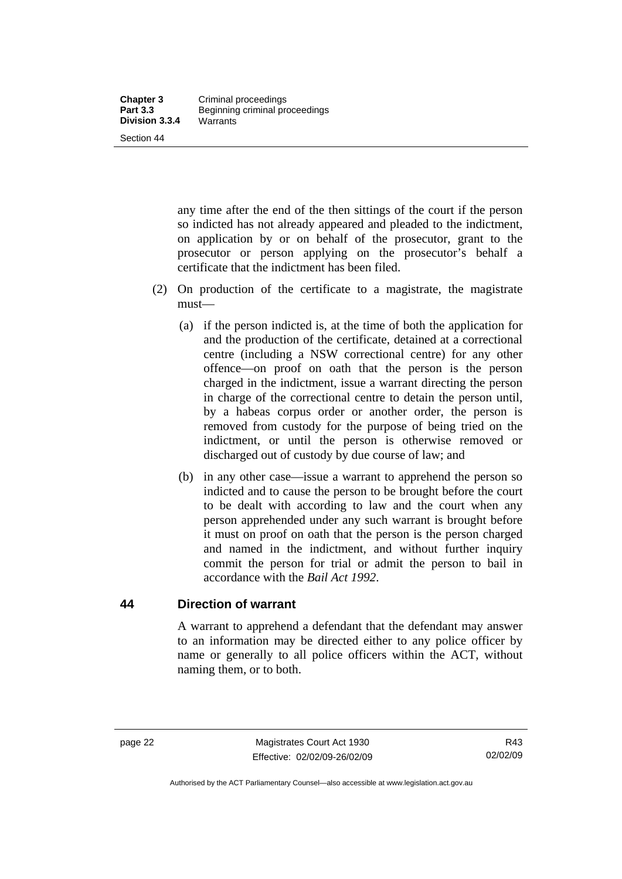any time after the end of the then sittings of the court if the person so indicted has not already appeared and pleaded to the indictment, on application by or on behalf of the prosecutor, grant to the prosecutor or person applying on the prosecutor's behalf a certificate that the indictment has been filed.

- (2) On production of the certificate to a magistrate, the magistrate must—
	- (a) if the person indicted is, at the time of both the application for and the production of the certificate, detained at a correctional centre (including a NSW correctional centre) for any other offence—on proof on oath that the person is the person charged in the indictment, issue a warrant directing the person in charge of the correctional centre to detain the person until, by a habeas corpus order or another order, the person is removed from custody for the purpose of being tried on the indictment, or until the person is otherwise removed or discharged out of custody by due course of law; and
	- (b) in any other case—issue a warrant to apprehend the person so indicted and to cause the person to be brought before the court to be dealt with according to law and the court when any person apprehended under any such warrant is brought before it must on proof on oath that the person is the person charged and named in the indictment, and without further inquiry commit the person for trial or admit the person to bail in accordance with the *Bail Act 1992*.

#### **44 Direction of warrant**

A warrant to apprehend a defendant that the defendant may answer to an information may be directed either to any police officer by name or generally to all police officers within the ACT, without naming them, or to both.

Authorised by the ACT Parliamentary Counsel—also accessible at www.legislation.act.gov.au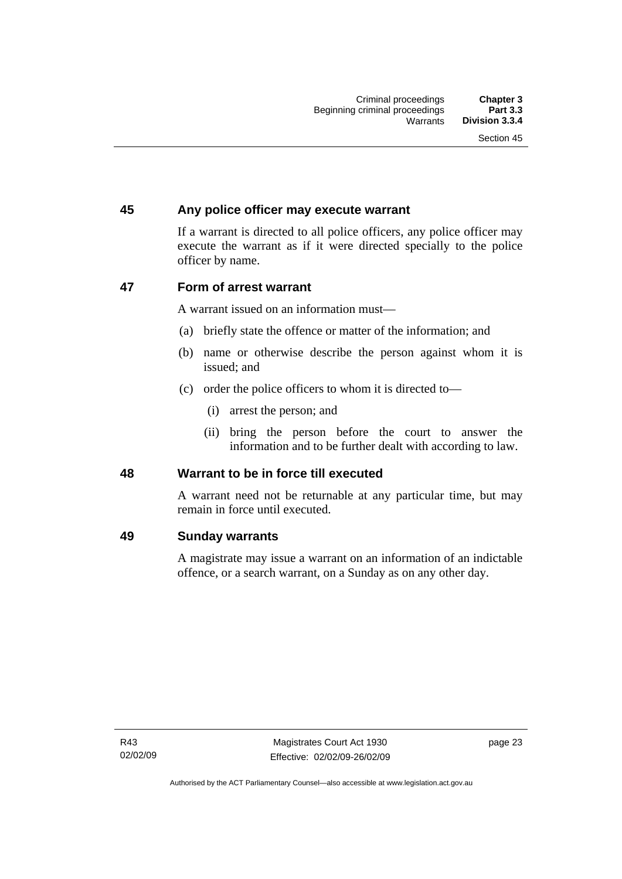# **45 Any police officer may execute warrant**

If a warrant is directed to all police officers, any police officer may execute the warrant as if it were directed specially to the police officer by name.

# **47 Form of arrest warrant**

A warrant issued on an information must—

- (a) briefly state the offence or matter of the information; and
- (b) name or otherwise describe the person against whom it is issued; and
- (c) order the police officers to whom it is directed to—
	- (i) arrest the person; and
	- (ii) bring the person before the court to answer the information and to be further dealt with according to law.

#### **48 Warrant to be in force till executed**

A warrant need not be returnable at any particular time, but may remain in force until executed.

#### **49 Sunday warrants**

A magistrate may issue a warrant on an information of an indictable offence, or a search warrant, on a Sunday as on any other day.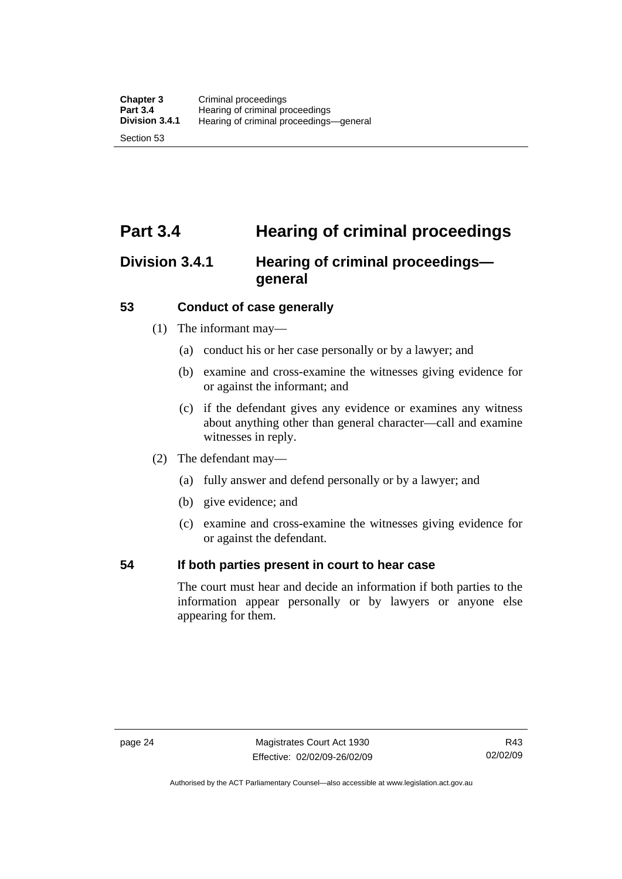# **Part 3.4 Hearing of criminal proceedings**

# **Division 3.4.1 Hearing of criminal proceedings general**

# **53 Conduct of case generally**

- (1) The informant may—
	- (a) conduct his or her case personally or by a lawyer; and
	- (b) examine and cross-examine the witnesses giving evidence for or against the informant; and
	- (c) if the defendant gives any evidence or examines any witness about anything other than general character—call and examine witnesses in reply.
- (2) The defendant may—
	- (a) fully answer and defend personally or by a lawyer; and
	- (b) give evidence; and
	- (c) examine and cross-examine the witnesses giving evidence for or against the defendant.

# **54 If both parties present in court to hear case**

The court must hear and decide an information if both parties to the information appear personally or by lawyers or anyone else appearing for them.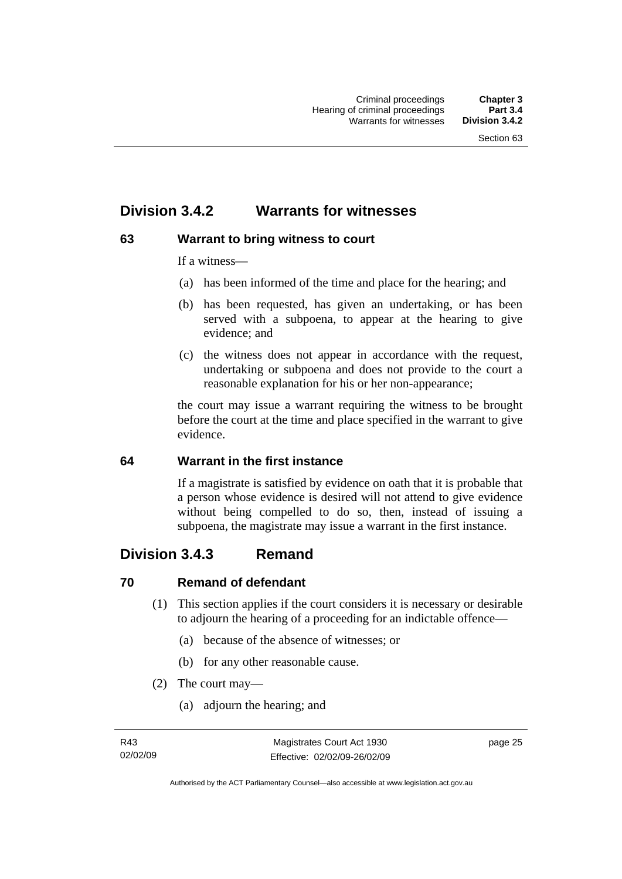# **Division 3.4.2 Warrants for witnesses**

# **63 Warrant to bring witness to court**

If a witness—

- (a) has been informed of the time and place for the hearing; and
- (b) has been requested, has given an undertaking, or has been served with a subpoena, to appear at the hearing to give evidence; and
- (c) the witness does not appear in accordance with the request, undertaking or subpoena and does not provide to the court a reasonable explanation for his or her non-appearance;

the court may issue a warrant requiring the witness to be brought before the court at the time and place specified in the warrant to give evidence.

# **64 Warrant in the first instance**

If a magistrate is satisfied by evidence on oath that it is probable that a person whose evidence is desired will not attend to give evidence without being compelled to do so, then, instead of issuing a subpoena, the magistrate may issue a warrant in the first instance.

# **Division 3.4.3 Remand**

# **70 Remand of defendant**

- (1) This section applies if the court considers it is necessary or desirable to adjourn the hearing of a proceeding for an indictable offence—
	- (a) because of the absence of witnesses; or
	- (b) for any other reasonable cause.
- (2) The court may—
	- (a) adjourn the hearing; and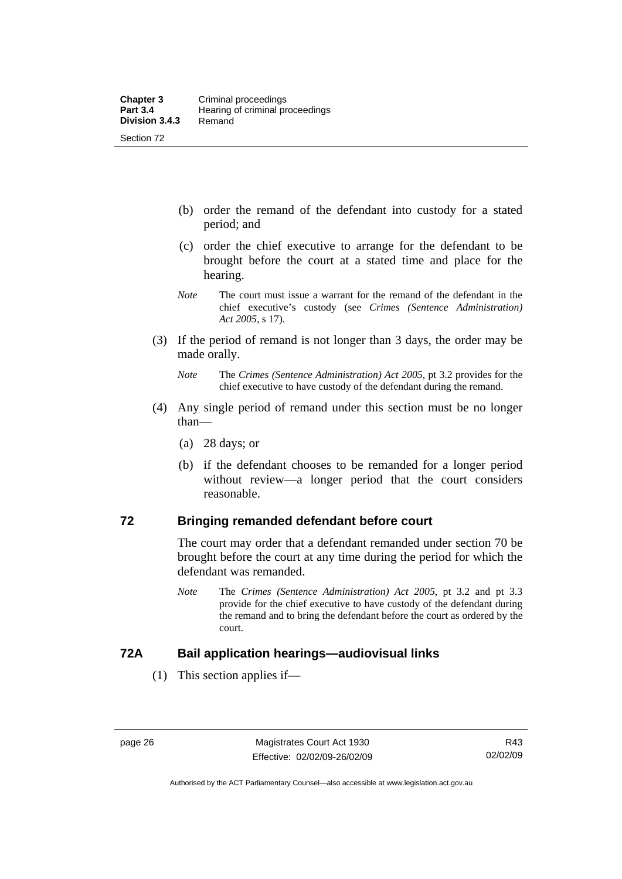- (b) order the remand of the defendant into custody for a stated period; and
- (c) order the chief executive to arrange for the defendant to be brought before the court at a stated time and place for the hearing.
- *Note* The court must issue a warrant for the remand of the defendant in the chief executive's custody (see *Crimes (Sentence Administration) Act 2005*, s 17).
- (3) If the period of remand is not longer than 3 days, the order may be made orally.
	- *Note* The *Crimes (Sentence Administration) Act 2005*, pt 3.2 provides for the chief executive to have custody of the defendant during the remand.
- (4) Any single period of remand under this section must be no longer than—
	- (a) 28 days; or
	- (b) if the defendant chooses to be remanded for a longer period without review—a longer period that the court considers reasonable.

### **72 Bringing remanded defendant before court**

The court may order that a defendant remanded under section 70 be brought before the court at any time during the period for which the defendant was remanded.

*Note* The *Crimes (Sentence Administration) Act 2005*, pt 3.2 and pt 3.3 provide for the chief executive to have custody of the defendant during the remand and to bring the defendant before the court as ordered by the court.

#### **72A Bail application hearings—audiovisual links**

(1) This section applies if—

Authorised by the ACT Parliamentary Counsel—also accessible at www.legislation.act.gov.au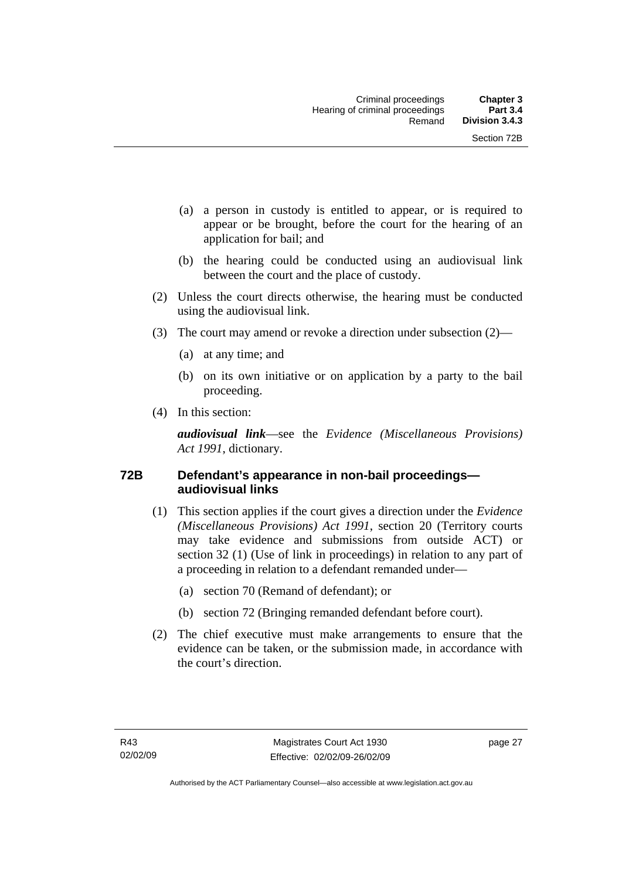- (a) a person in custody is entitled to appear, or is required to appear or be brought, before the court for the hearing of an application for bail; and
- (b) the hearing could be conducted using an audiovisual link between the court and the place of custody.
- (2) Unless the court directs otherwise, the hearing must be conducted using the audiovisual link.
- (3) The court may amend or revoke a direction under subsection (2)—
	- (a) at any time; and
	- (b) on its own initiative or on application by a party to the bail proceeding.
- (4) In this section:

*audiovisual link*—see the *Evidence (Miscellaneous Provisions) Act 1991*, dictionary.

#### **72B Defendant's appearance in non-bail proceedings audiovisual links**

- (1) This section applies if the court gives a direction under the *Evidence (Miscellaneous Provisions) Act 1991*, section 20 (Territory courts may take evidence and submissions from outside ACT) or section 32 (1) (Use of link in proceedings) in relation to any part of a proceeding in relation to a defendant remanded under—
	- (a) section 70 (Remand of defendant); or
	- (b) section 72 (Bringing remanded defendant before court).
- (2) The chief executive must make arrangements to ensure that the evidence can be taken, or the submission made, in accordance with the court's direction.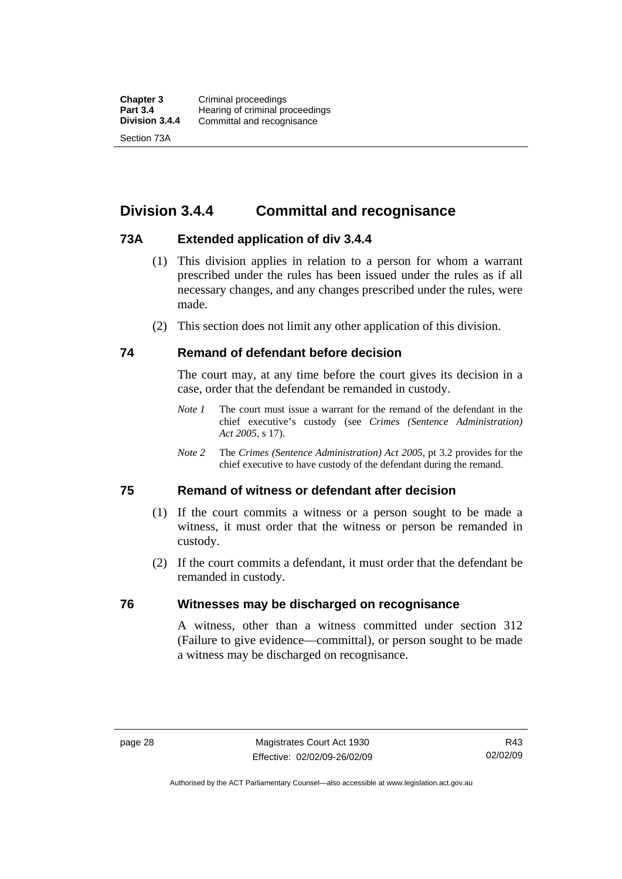# **Division 3.4.4 Committal and recognisance**

# **73A Extended application of div 3.4.4**

- (1) This division applies in relation to a person for whom a warrant prescribed under the rules has been issued under the rules as if all necessary changes, and any changes prescribed under the rules, were made.
- (2) This section does not limit any other application of this division.

#### **74 Remand of defendant before decision**

The court may, at any time before the court gives its decision in a case, order that the defendant be remanded in custody.

- *Note 1* The court must issue a warrant for the remand of the defendant in the chief executive's custody (see *Crimes (Sentence Administration) Act 2005*, s 17).
- *Note 2* The *Crimes (Sentence Administration) Act 2005*, pt 3.2 provides for the chief executive to have custody of the defendant during the remand.

#### **75 Remand of witness or defendant after decision**

- (1) If the court commits a witness or a person sought to be made a witness, it must order that the witness or person be remanded in custody.
- (2) If the court commits a defendant, it must order that the defendant be remanded in custody.

# **76 Witnesses may be discharged on recognisance**

A witness, other than a witness committed under section 312 (Failure to give evidence—committal), or person sought to be made a witness may be discharged on recognisance.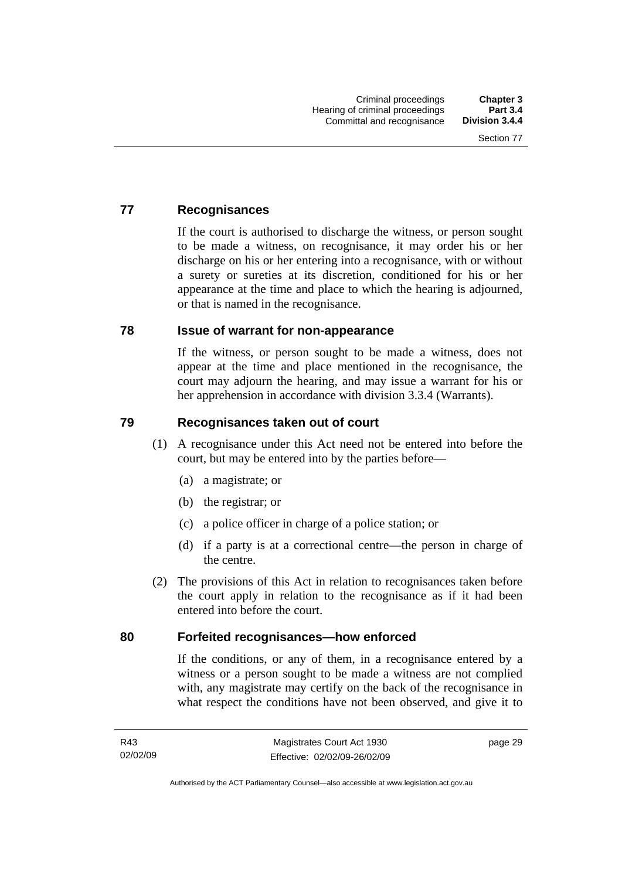# **77 Recognisances**

If the court is authorised to discharge the witness, or person sought to be made a witness, on recognisance, it may order his or her discharge on his or her entering into a recognisance, with or without a surety or sureties at its discretion, conditioned for his or her appearance at the time and place to which the hearing is adjourned, or that is named in the recognisance.

#### **78 Issue of warrant for non-appearance**

If the witness, or person sought to be made a witness, does not appear at the time and place mentioned in the recognisance, the court may adjourn the hearing, and may issue a warrant for his or her apprehension in accordance with division 3.3.4 (Warrants).

# **79 Recognisances taken out of court**

- (1) A recognisance under this Act need not be entered into before the court, but may be entered into by the parties before—
	- (a) a magistrate; or
	- (b) the registrar; or
	- (c) a police officer in charge of a police station; or
	- (d) if a party is at a correctional centre—the person in charge of the centre.
- (2) The provisions of this Act in relation to recognisances taken before the court apply in relation to the recognisance as if it had been entered into before the court.

#### **80 Forfeited recognisances—how enforced**

If the conditions, or any of them, in a recognisance entered by a witness or a person sought to be made a witness are not complied with, any magistrate may certify on the back of the recognisance in what respect the conditions have not been observed, and give it to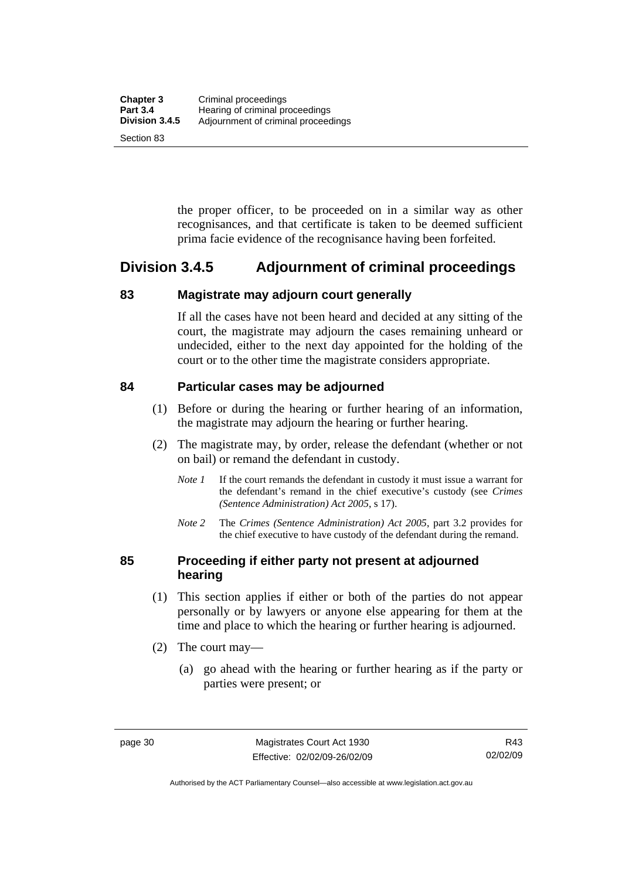the proper officer, to be proceeded on in a similar way as other recognisances, and that certificate is taken to be deemed sufficient prima facie evidence of the recognisance having been forfeited.

# **Division 3.4.5 Adjournment of criminal proceedings**

#### **83 Magistrate may adjourn court generally**

If all the cases have not been heard and decided at any sitting of the court, the magistrate may adjourn the cases remaining unheard or undecided, either to the next day appointed for the holding of the court or to the other time the magistrate considers appropriate.

# **84 Particular cases may be adjourned**

- (1) Before or during the hearing or further hearing of an information, the magistrate may adjourn the hearing or further hearing.
- (2) The magistrate may, by order, release the defendant (whether or not on bail) or remand the defendant in custody.
	- *Note 1* If the court remands the defendant in custody it must issue a warrant for the defendant's remand in the chief executive's custody (see *Crimes (Sentence Administration) Act 2005*, s 17).
	- *Note 2* The *Crimes (Sentence Administration) Act 2005*, part 3.2 provides for the chief executive to have custody of the defendant during the remand.

# **85 Proceeding if either party not present at adjourned hearing**

- (1) This section applies if either or both of the parties do not appear personally or by lawyers or anyone else appearing for them at the time and place to which the hearing or further hearing is adjourned.
- (2) The court may—
	- (a) go ahead with the hearing or further hearing as if the party or parties were present; or

Authorised by the ACT Parliamentary Counsel—also accessible at www.legislation.act.gov.au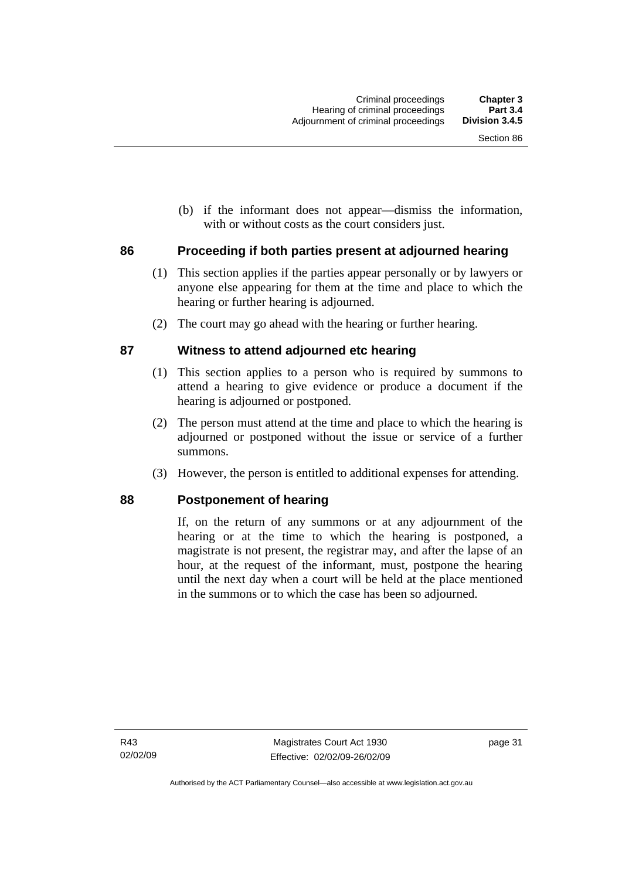(b) if the informant does not appear—dismiss the information, with or without costs as the court considers just.

# **86 Proceeding if both parties present at adjourned hearing**

- (1) This section applies if the parties appear personally or by lawyers or anyone else appearing for them at the time and place to which the hearing or further hearing is adjourned.
- (2) The court may go ahead with the hearing or further hearing.

# **87 Witness to attend adjourned etc hearing**

- (1) This section applies to a person who is required by summons to attend a hearing to give evidence or produce a document if the hearing is adjourned or postponed.
- (2) The person must attend at the time and place to which the hearing is adjourned or postponed without the issue or service of a further summons.
- (3) However, the person is entitled to additional expenses for attending.

#### **88 Postponement of hearing**

If, on the return of any summons or at any adjournment of the hearing or at the time to which the hearing is postponed, a magistrate is not present, the registrar may, and after the lapse of an hour, at the request of the informant, must, postpone the hearing until the next day when a court will be held at the place mentioned in the summons or to which the case has been so adjourned.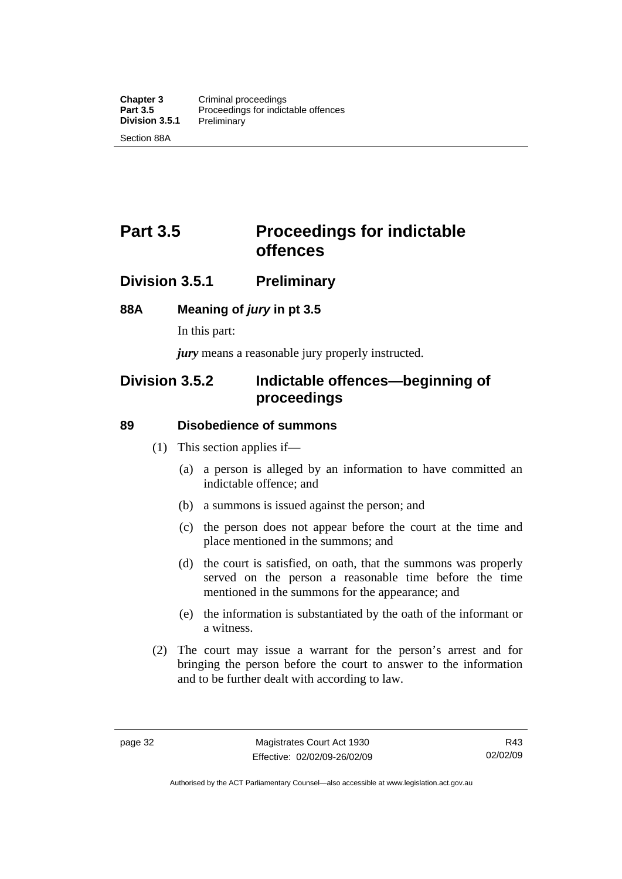# **Part 3.5** Proceedings for indictable **offences**

# **Division 3.5.1 Preliminary**

# **88A Meaning of** *jury* **in pt 3.5**

In this part:

*jury* means a reasonable jury properly instructed.

# **Division 3.5.2 Indictable offences—beginning of proceedings**

#### **89 Disobedience of summons**

- (1) This section applies if—
	- (a) a person is alleged by an information to have committed an indictable offence; and
	- (b) a summons is issued against the person; and
	- (c) the person does not appear before the court at the time and place mentioned in the summons; and
	- (d) the court is satisfied, on oath, that the summons was properly served on the person a reasonable time before the time mentioned in the summons for the appearance; and
	- (e) the information is substantiated by the oath of the informant or a witness.
- (2) The court may issue a warrant for the person's arrest and for bringing the person before the court to answer to the information and to be further dealt with according to law.

Authorised by the ACT Parliamentary Counsel—also accessible at www.legislation.act.gov.au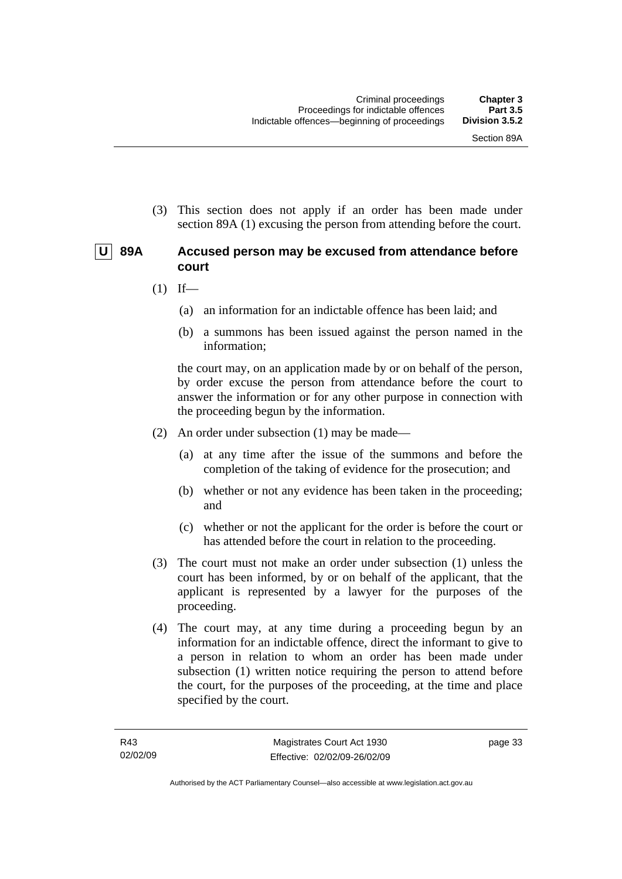(3) This section does not apply if an order has been made under section 89A (1) excusing the person from attending before the court.

# **U 89A Accused person may be excused from attendance before court**

- $(1)$  If—
	- (a) an information for an indictable offence has been laid; and
	- (b) a summons has been issued against the person named in the information;

the court may, on an application made by or on behalf of the person, by order excuse the person from attendance before the court to answer the information or for any other purpose in connection with the proceeding begun by the information.

- (2) An order under subsection (1) may be made—
	- (a) at any time after the issue of the summons and before the completion of the taking of evidence for the prosecution; and
	- (b) whether or not any evidence has been taken in the proceeding; and
	- (c) whether or not the applicant for the order is before the court or has attended before the court in relation to the proceeding.
- (3) The court must not make an order under subsection (1) unless the court has been informed, by or on behalf of the applicant, that the applicant is represented by a lawyer for the purposes of the proceeding.
- (4) The court may, at any time during a proceeding begun by an information for an indictable offence, direct the informant to give to a person in relation to whom an order has been made under subsection (1) written notice requiring the person to attend before the court, for the purposes of the proceeding, at the time and place specified by the court.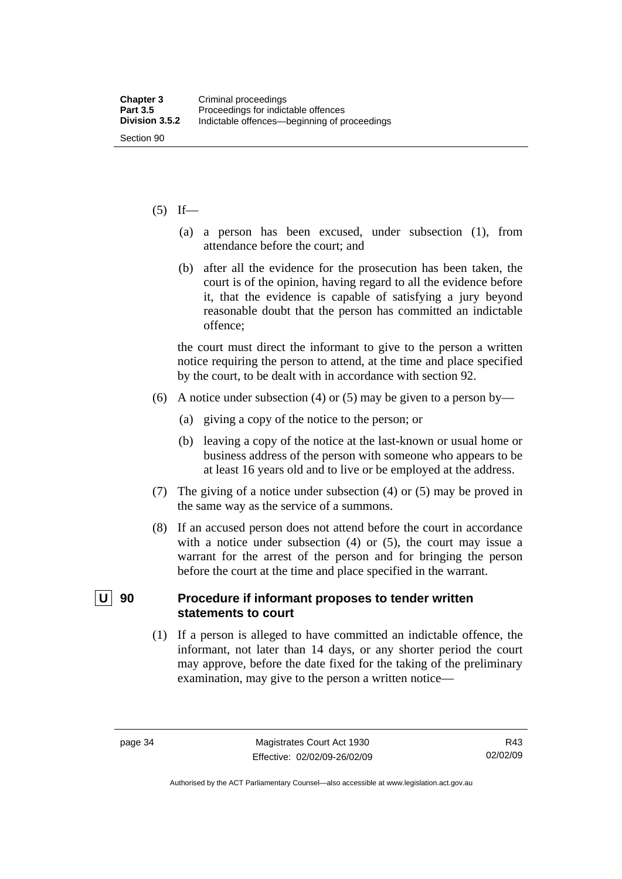#### $(5)$  If—

- (a) a person has been excused, under subsection (1), from attendance before the court; and
- (b) after all the evidence for the prosecution has been taken, the court is of the opinion, having regard to all the evidence before it, that the evidence is capable of satisfying a jury beyond reasonable doubt that the person has committed an indictable offence;

the court must direct the informant to give to the person a written notice requiring the person to attend, at the time and place specified by the court, to be dealt with in accordance with section 92.

- (6) A notice under subsection (4) or (5) may be given to a person by—
	- (a) giving a copy of the notice to the person; or
	- (b) leaving a copy of the notice at the last-known or usual home or business address of the person with someone who appears to be at least 16 years old and to live or be employed at the address.
- (7) The giving of a notice under subsection (4) or (5) may be proved in the same way as the service of a summons.
- (8) If an accused person does not attend before the court in accordance with a notice under subsection (4) or (5), the court may issue a warrant for the arrest of the person and for bringing the person before the court at the time and place specified in the warrant.

### **U** 90 Procedure if informant proposes to tender written **statements to court**

 (1) If a person is alleged to have committed an indictable offence, the informant, not later than 14 days, or any shorter period the court may approve, before the date fixed for the taking of the preliminary examination, may give to the person a written notice—

R43 02/02/09

Authorised by the ACT Parliamentary Counsel—also accessible at www.legislation.act.gov.au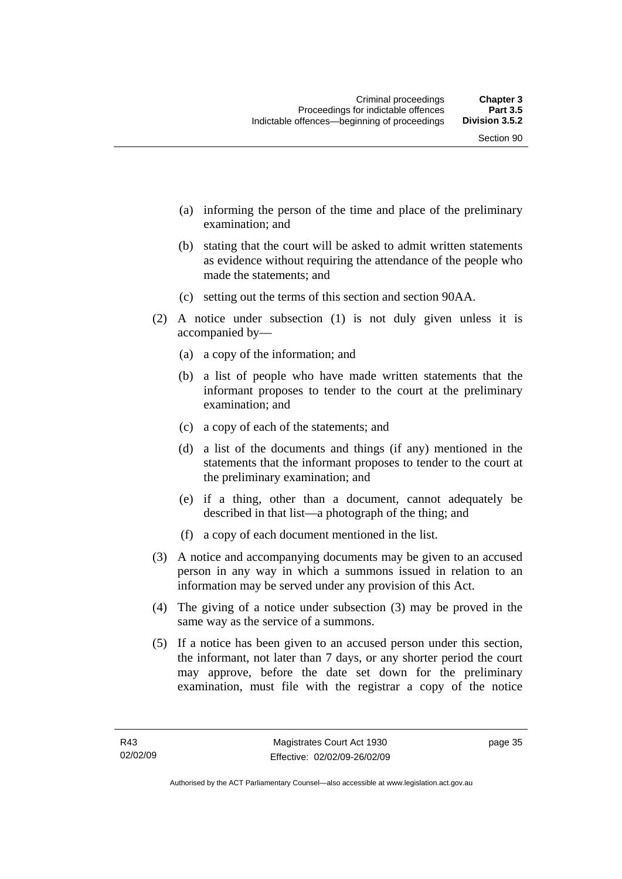- (a) informing the person of the time and place of the preliminary examination; and
- (b) stating that the court will be asked to admit written statements as evidence without requiring the attendance of the people who made the statements; and
- (c) setting out the terms of this section and section 90AA.
- (2) A notice under subsection (1) is not duly given unless it is accompanied by—
	- (a) a copy of the information; and
	- (b) a list of people who have made written statements that the informant proposes to tender to the court at the preliminary examination; and
	- (c) a copy of each of the statements; and
	- (d) a list of the documents and things (if any) mentioned in the statements that the informant proposes to tender to the court at the preliminary examination; and
	- (e) if a thing, other than a document, cannot adequately be described in that list—a photograph of the thing; and
	- (f) a copy of each document mentioned in the list.
- (3) A notice and accompanying documents may be given to an accused person in any way in which a summons issued in relation to an information may be served under any provision of this Act.
- (4) The giving of a notice under subsection (3) may be proved in the same way as the service of a summons.
- (5) If a notice has been given to an accused person under this section, the informant, not later than 7 days, or any shorter period the court may approve, before the date set down for the preliminary examination, must file with the registrar a copy of the notice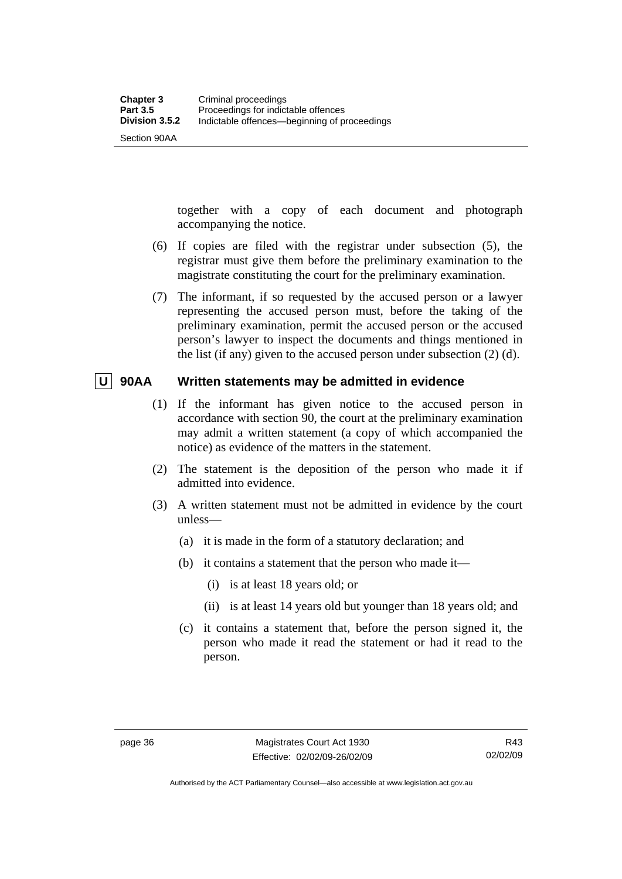Section 90AA

together with a copy of each document and photograph accompanying the notice.

- (6) If copies are filed with the registrar under subsection (5), the registrar must give them before the preliminary examination to the magistrate constituting the court for the preliminary examination.
- (7) The informant, if so requested by the accused person or a lawyer representing the accused person must, before the taking of the preliminary examination, permit the accused person or the accused person's lawyer to inspect the documents and things mentioned in the list (if any) given to the accused person under subsection (2) (d).

# **U 90AA Written statements may be admitted in evidence**

- (1) If the informant has given notice to the accused person in accordance with section 90, the court at the preliminary examination may admit a written statement (a copy of which accompanied the notice) as evidence of the matters in the statement.
- (2) The statement is the deposition of the person who made it if admitted into evidence.
- (3) A written statement must not be admitted in evidence by the court unless—
	- (a) it is made in the form of a statutory declaration; and
	- (b) it contains a statement that the person who made it—
		- (i) is at least 18 years old; or
		- (ii) is at least 14 years old but younger than 18 years old; and
	- (c) it contains a statement that, before the person signed it, the person who made it read the statement or had it read to the person.

Authorised by the ACT Parliamentary Counsel—also accessible at www.legislation.act.gov.au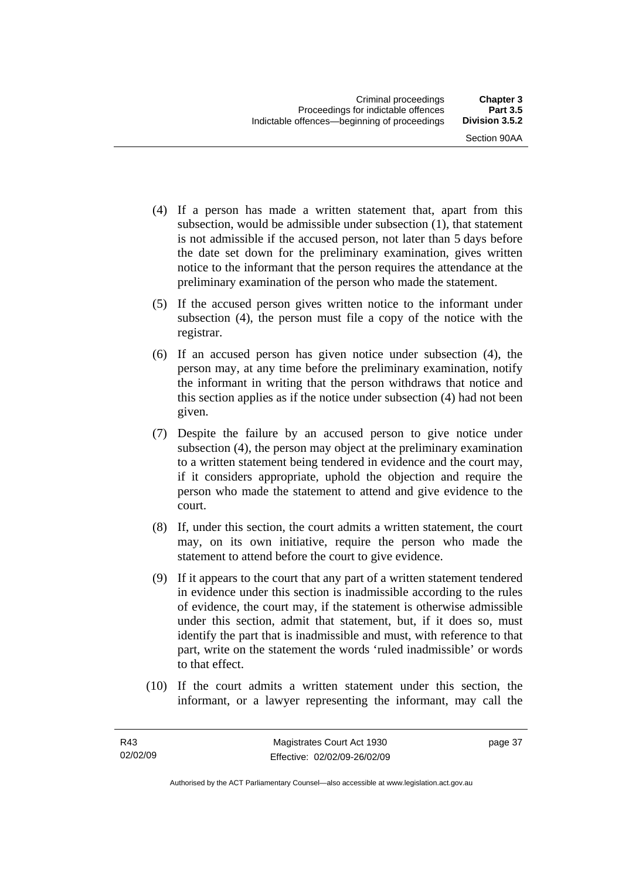- (4) If a person has made a written statement that, apart from this subsection, would be admissible under subsection (1), that statement is not admissible if the accused person, not later than 5 days before the date set down for the preliminary examination, gives written notice to the informant that the person requires the attendance at the preliminary examination of the person who made the statement.
- (5) If the accused person gives written notice to the informant under subsection (4), the person must file a copy of the notice with the registrar.
- (6) If an accused person has given notice under subsection (4), the person may, at any time before the preliminary examination, notify the informant in writing that the person withdraws that notice and this section applies as if the notice under subsection (4) had not been given.
- (7) Despite the failure by an accused person to give notice under subsection (4), the person may object at the preliminary examination to a written statement being tendered in evidence and the court may, if it considers appropriate, uphold the objection and require the person who made the statement to attend and give evidence to the court.
- (8) If, under this section, the court admits a written statement, the court may, on its own initiative, require the person who made the statement to attend before the court to give evidence.
- (9) If it appears to the court that any part of a written statement tendered in evidence under this section is inadmissible according to the rules of evidence, the court may, if the statement is otherwise admissible under this section, admit that statement, but, if it does so, must identify the part that is inadmissible and must, with reference to that part, write on the statement the words 'ruled inadmissible' or words to that effect.
- (10) If the court admits a written statement under this section, the informant, or a lawyer representing the informant, may call the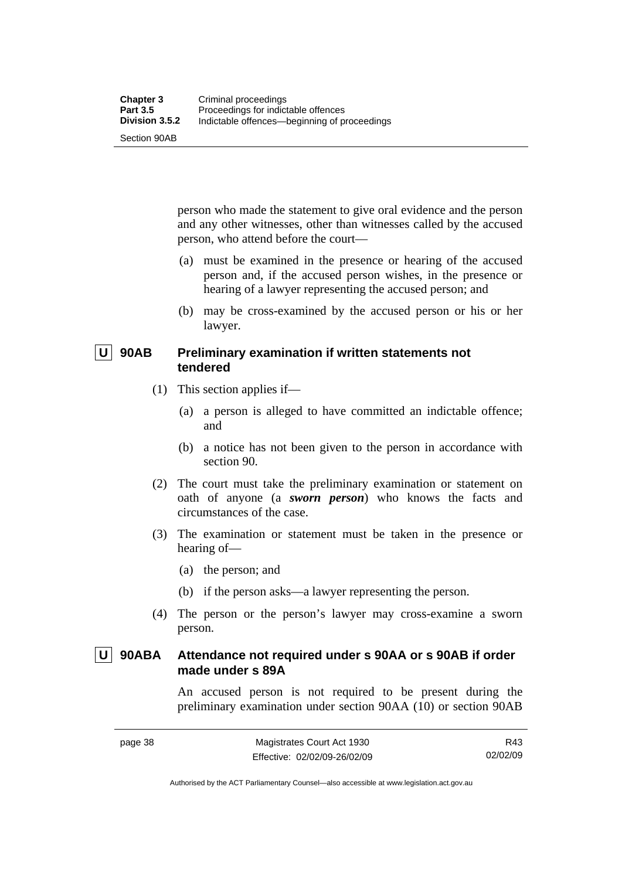Section 90AB

person who made the statement to give oral evidence and the person and any other witnesses, other than witnesses called by the accused person, who attend before the court—

- (a) must be examined in the presence or hearing of the accused person and, if the accused person wishes, in the presence or hearing of a lawyer representing the accused person; and
- (b) may be cross-examined by the accused person or his or her lawyer.

# **U** 90AB Preliminary examination if written statements not **tendered**

- (1) This section applies if—
	- (a) a person is alleged to have committed an indictable offence; and
	- (b) a notice has not been given to the person in accordance with section 90.
- (2) The court must take the preliminary examination or statement on oath of anyone (a *sworn person*) who knows the facts and circumstances of the case.
- (3) The examination or statement must be taken in the presence or hearing of—
	- (a) the person; and
	- (b) if the person asks—a lawyer representing the person.
- (4) The person or the person's lawyer may cross-examine a sworn person.

# **U 90ABA Attendance not required under s 90AA or s 90AB if order made under s 89A**

An accused person is not required to be present during the preliminary examination under section 90AA (10) or section 90AB

R43 02/02/09

Authorised by the ACT Parliamentary Counsel—also accessible at www.legislation.act.gov.au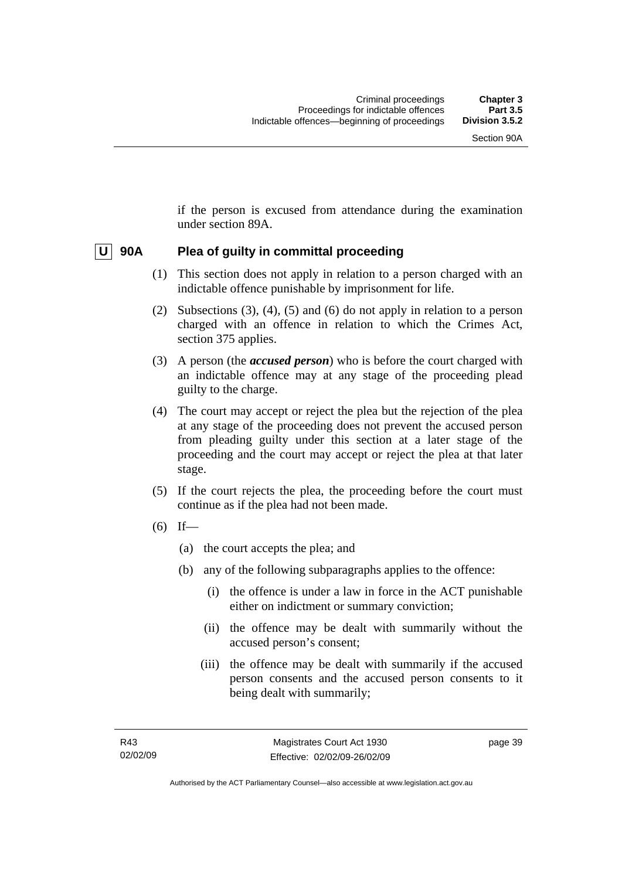if the person is excused from attendance during the examination under section 89A.

# **U 90A Plea of guilty in committal proceeding**

- (1) This section does not apply in relation to a person charged with an indictable offence punishable by imprisonment for life.
- (2) Subsections (3), (4), (5) and (6) do not apply in relation to a person charged with an offence in relation to which the Crimes Act, section 375 applies.
- (3) A person (the *accused person*) who is before the court charged with an indictable offence may at any stage of the proceeding plead guilty to the charge.
- (4) The court may accept or reject the plea but the rejection of the plea at any stage of the proceeding does not prevent the accused person from pleading guilty under this section at a later stage of the proceeding and the court may accept or reject the plea at that later stage.
- (5) If the court rejects the plea, the proceeding before the court must continue as if the plea had not been made.
- $(6)$  If—
	- (a) the court accepts the plea; and
	- (b) any of the following subparagraphs applies to the offence:
		- (i) the offence is under a law in force in the ACT punishable either on indictment or summary conviction;
		- (ii) the offence may be dealt with summarily without the accused person's consent;
		- (iii) the offence may be dealt with summarily if the accused person consents and the accused person consents to it being dealt with summarily;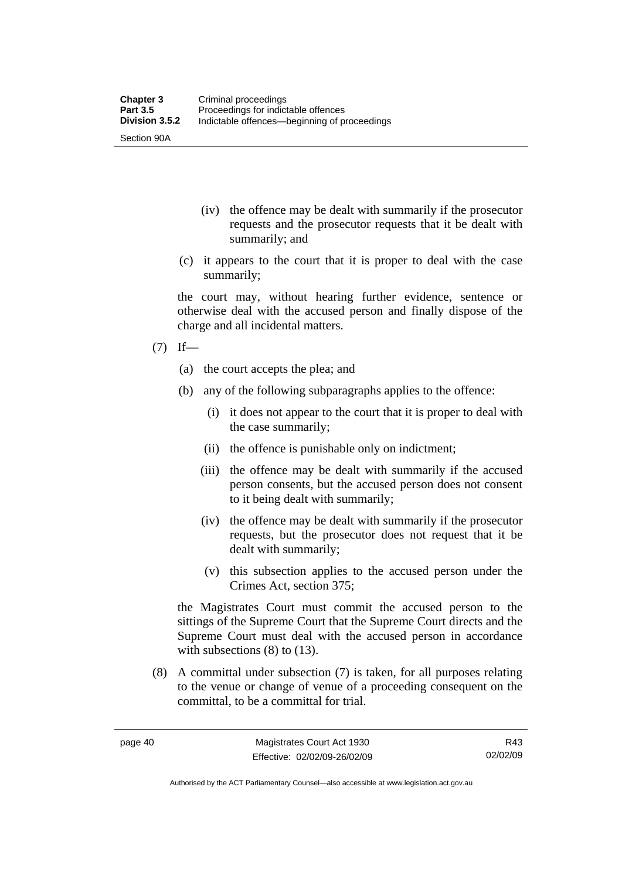- (iv) the offence may be dealt with summarily if the prosecutor requests and the prosecutor requests that it be dealt with summarily; and
- (c) it appears to the court that it is proper to deal with the case summarily;

the court may, without hearing further evidence, sentence or otherwise deal with the accused person and finally dispose of the charge and all incidental matters.

 $(7)$  If—

Section 90A

- (a) the court accepts the plea; and
- (b) any of the following subparagraphs applies to the offence:
	- (i) it does not appear to the court that it is proper to deal with the case summarily;
	- (ii) the offence is punishable only on indictment;
	- (iii) the offence may be dealt with summarily if the accused person consents, but the accused person does not consent to it being dealt with summarily;
	- (iv) the offence may be dealt with summarily if the prosecutor requests, but the prosecutor does not request that it be dealt with summarily;
	- (v) this subsection applies to the accused person under the Crimes Act, section 375;

the Magistrates Court must commit the accused person to the sittings of the Supreme Court that the Supreme Court directs and the Supreme Court must deal with the accused person in accordance with subsections (8) to (13).

 (8) A committal under subsection (7) is taken, for all purposes relating to the venue or change of venue of a proceeding consequent on the committal, to be a committal for trial.

Authorised by the ACT Parliamentary Counsel—also accessible at www.legislation.act.gov.au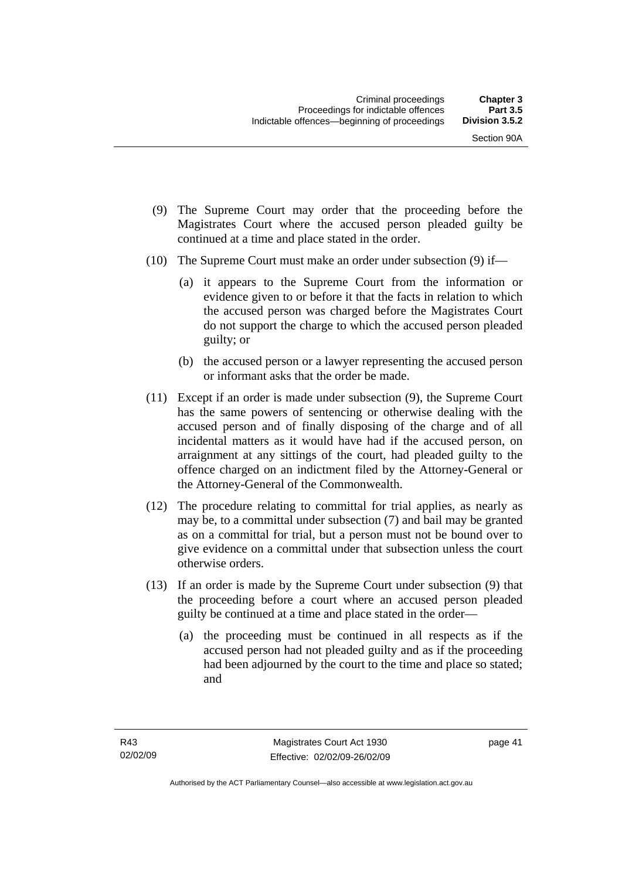- (9) The Supreme Court may order that the proceeding before the Magistrates Court where the accused person pleaded guilty be continued at a time and place stated in the order.
- (10) The Supreme Court must make an order under subsection (9) if—
	- (a) it appears to the Supreme Court from the information or evidence given to or before it that the facts in relation to which the accused person was charged before the Magistrates Court do not support the charge to which the accused person pleaded guilty; or
	- (b) the accused person or a lawyer representing the accused person or informant asks that the order be made.
- (11) Except if an order is made under subsection (9), the Supreme Court has the same powers of sentencing or otherwise dealing with the accused person and of finally disposing of the charge and of all incidental matters as it would have had if the accused person, on arraignment at any sittings of the court, had pleaded guilty to the offence charged on an indictment filed by the Attorney-General or the Attorney-General of the Commonwealth.
- (12) The procedure relating to committal for trial applies, as nearly as may be, to a committal under subsection (7) and bail may be granted as on a committal for trial, but a person must not be bound over to give evidence on a committal under that subsection unless the court otherwise orders.
- (13) If an order is made by the Supreme Court under subsection (9) that the proceeding before a court where an accused person pleaded guilty be continued at a time and place stated in the order—
	- (a) the proceeding must be continued in all respects as if the accused person had not pleaded guilty and as if the proceeding had been adjourned by the court to the time and place so stated; and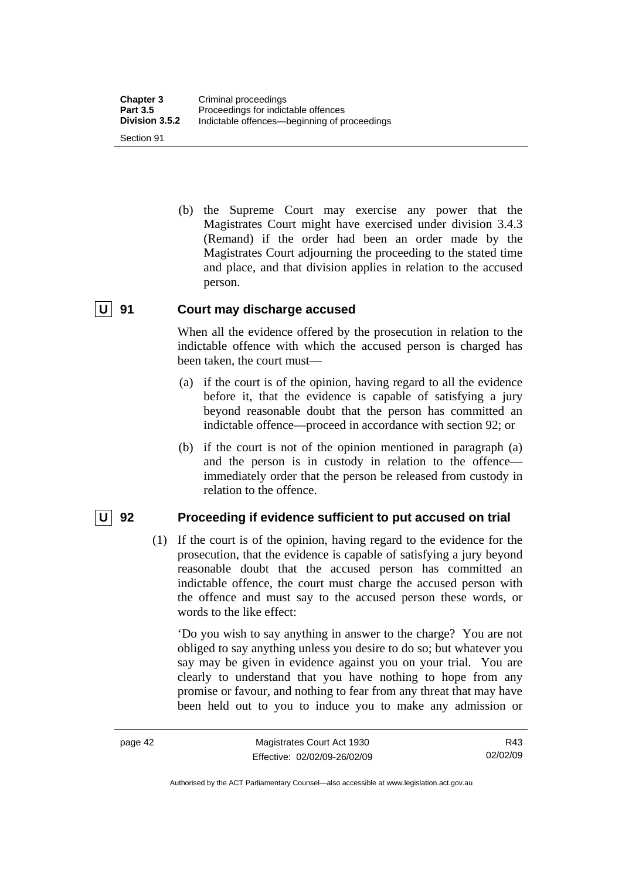(b) the Supreme Court may exercise any power that the Magistrates Court might have exercised under division 3.4.3 (Remand) if the order had been an order made by the Magistrates Court adjourning the proceeding to the stated time and place, and that division applies in relation to the accused person.

# **U 91 Court may discharge accused**

When all the evidence offered by the prosecution in relation to the indictable offence with which the accused person is charged has been taken, the court must—

- (a) if the court is of the opinion, having regard to all the evidence before it, that the evidence is capable of satisfying a jury beyond reasonable doubt that the person has committed an indictable offence—proceed in accordance with section 92; or
- (b) if the court is not of the opinion mentioned in paragraph (a) and the person is in custody in relation to the offence immediately order that the person be released from custody in relation to the offence.

#### **U** 92 Proceeding if evidence sufficient to put accused on trial

 (1) If the court is of the opinion, having regard to the evidence for the prosecution, that the evidence is capable of satisfying a jury beyond reasonable doubt that the accused person has committed an indictable offence, the court must charge the accused person with the offence and must say to the accused person these words, or words to the like effect:

'Do you wish to say anything in answer to the charge? You are not obliged to say anything unless you desire to do so; but whatever you say may be given in evidence against you on your trial. You are clearly to understand that you have nothing to hope from any promise or favour, and nothing to fear from any threat that may have been held out to you to induce you to make any admission or

Authorised by the ACT Parliamentary Counsel—also accessible at www.legislation.act.gov.au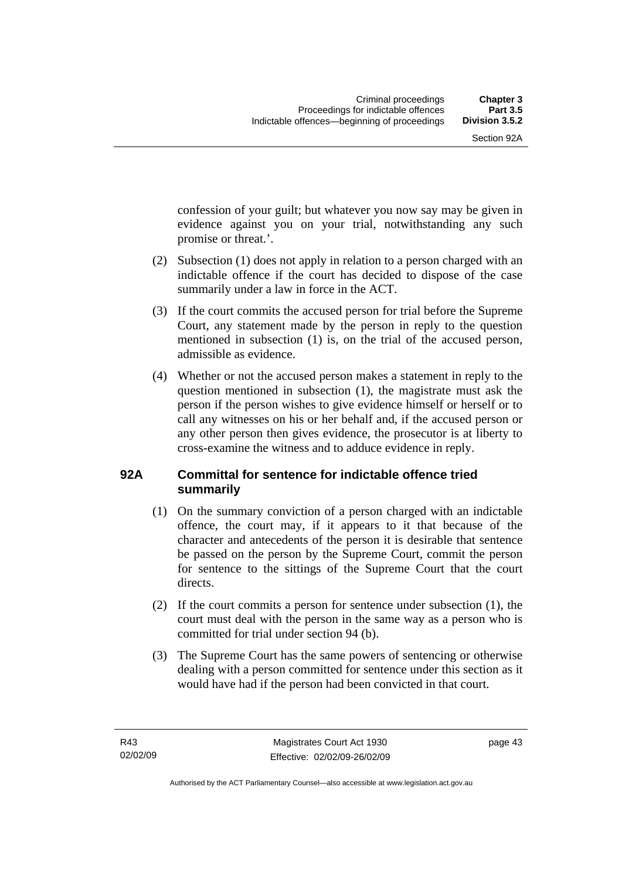confession of your guilt; but whatever you now say may be given in evidence against you on your trial, notwithstanding any such promise or threat.'.

- (2) Subsection (1) does not apply in relation to a person charged with an indictable offence if the court has decided to dispose of the case summarily under a law in force in the ACT.
- (3) If the court commits the accused person for trial before the Supreme Court, any statement made by the person in reply to the question mentioned in subsection (1) is, on the trial of the accused person, admissible as evidence.
- (4) Whether or not the accused person makes a statement in reply to the question mentioned in subsection (1), the magistrate must ask the person if the person wishes to give evidence himself or herself or to call any witnesses on his or her behalf and, if the accused person or any other person then gives evidence, the prosecutor is at liberty to cross-examine the witness and to adduce evidence in reply.

# **92A Committal for sentence for indictable offence tried summarily**

- (1) On the summary conviction of a person charged with an indictable offence, the court may, if it appears to it that because of the character and antecedents of the person it is desirable that sentence be passed on the person by the Supreme Court, commit the person for sentence to the sittings of the Supreme Court that the court directs.
- (2) If the court commits a person for sentence under subsection (1), the court must deal with the person in the same way as a person who is committed for trial under section 94 (b).
- (3) The Supreme Court has the same powers of sentencing or otherwise dealing with a person committed for sentence under this section as it would have had if the person had been convicted in that court.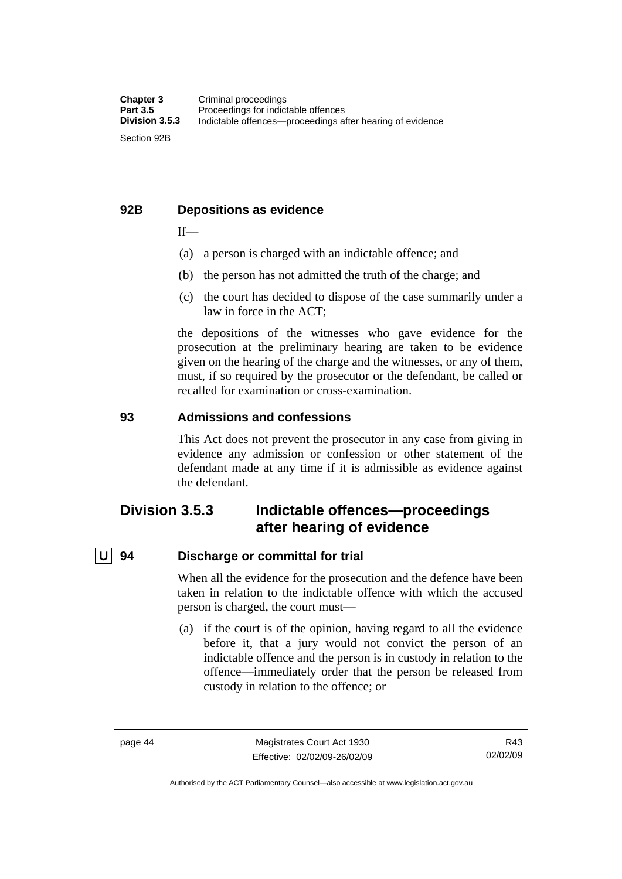# **92B Depositions as evidence**

 $If$ —

- (a) a person is charged with an indictable offence; and
- (b) the person has not admitted the truth of the charge; and
- (c) the court has decided to dispose of the case summarily under a law in force in the ACT;

the depositions of the witnesses who gave evidence for the prosecution at the preliminary hearing are taken to be evidence given on the hearing of the charge and the witnesses, or any of them, must, if so required by the prosecutor or the defendant, be called or recalled for examination or cross-examination.

# **93 Admissions and confessions**

This Act does not prevent the prosecutor in any case from giving in evidence any admission or confession or other statement of the defendant made at any time if it is admissible as evidence against the defendant.

# **Division 3.5.3 Indictable offences—proceedings after hearing of evidence**

# **U 94 Discharge or committal for trial**

When all the evidence for the prosecution and the defence have been taken in relation to the indictable offence with which the accused person is charged, the court must—

 (a) if the court is of the opinion, having regard to all the evidence before it, that a jury would not convict the person of an indictable offence and the person is in custody in relation to the offence—immediately order that the person be released from custody in relation to the offence; or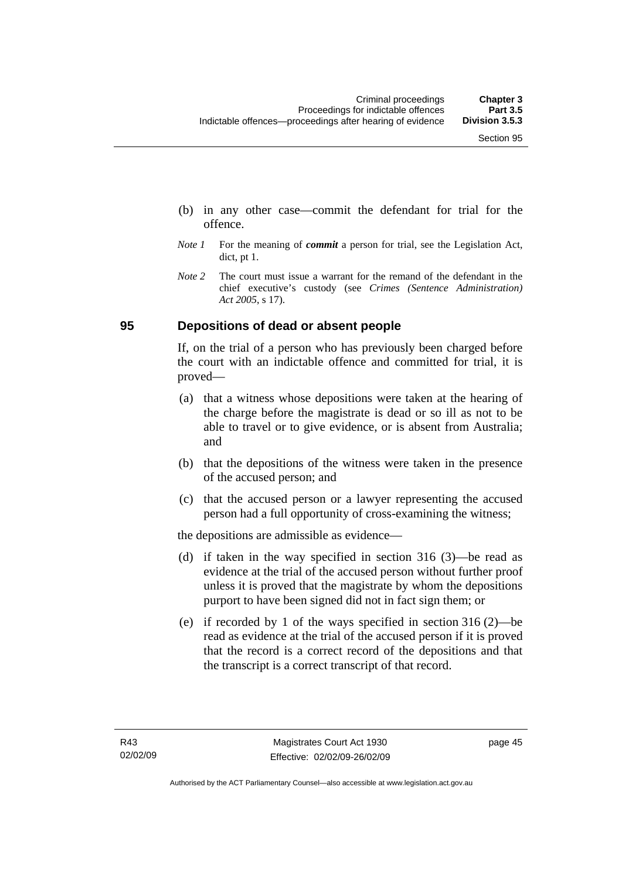- (b) in any other case—commit the defendant for trial for the offence.
- *Note 1* For the meaning of *commit* a person for trial, see the Legislation Act, dict, pt 1.
- *Note* 2 The court must issue a warrant for the remand of the defendant in the chief executive's custody (see *Crimes (Sentence Administration) Act 2005*, s 17).

# **95 Depositions of dead or absent people**

If, on the trial of a person who has previously been charged before the court with an indictable offence and committed for trial, it is proved—

- (a) that a witness whose depositions were taken at the hearing of the charge before the magistrate is dead or so ill as not to be able to travel or to give evidence, or is absent from Australia; and
- (b) that the depositions of the witness were taken in the presence of the accused person; and
- (c) that the accused person or a lawyer representing the accused person had a full opportunity of cross-examining the witness;

the depositions are admissible as evidence—

- (d) if taken in the way specified in section 316 (3)—be read as evidence at the trial of the accused person without further proof unless it is proved that the magistrate by whom the depositions purport to have been signed did not in fact sign them; or
- (e) if recorded by 1 of the ways specified in section 316 (2)—be read as evidence at the trial of the accused person if it is proved that the record is a correct record of the depositions and that the transcript is a correct transcript of that record.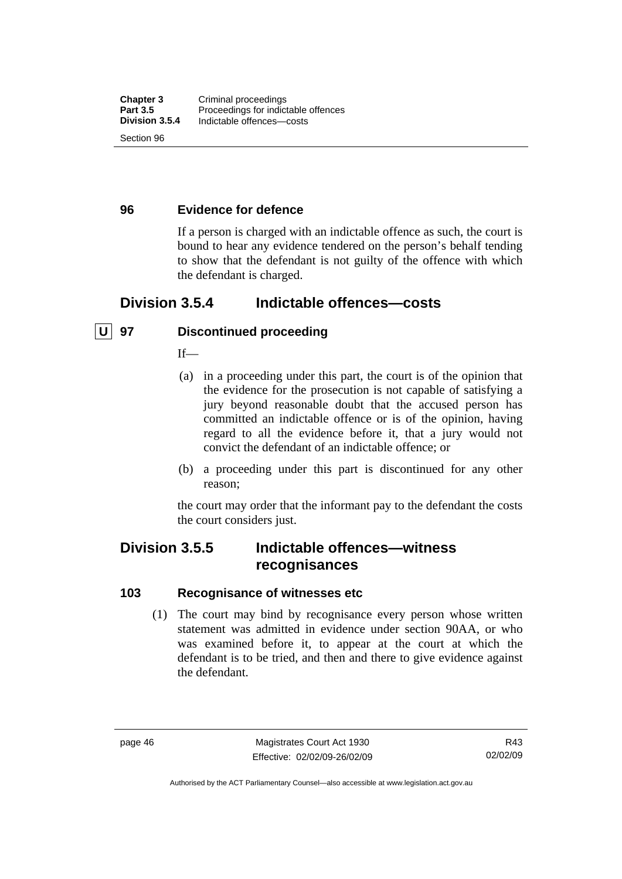# **96 Evidence for defence**

If a person is charged with an indictable offence as such, the court is bound to hear any evidence tendered on the person's behalf tending to show that the defendant is not guilty of the offence with which the defendant is charged.

# **Division 3.5.4 Indictable offences—costs**

# **U 97 Discontinued proceeding**

 $If$ <sub>—</sub>

- (a) in a proceeding under this part, the court is of the opinion that the evidence for the prosecution is not capable of satisfying a jury beyond reasonable doubt that the accused person has committed an indictable offence or is of the opinion, having regard to all the evidence before it, that a jury would not convict the defendant of an indictable offence; or
- (b) a proceeding under this part is discontinued for any other reason;

the court may order that the informant pay to the defendant the costs the court considers just.

# **Division 3.5.5 Indictable offences—witness recognisances**

#### **103 Recognisance of witnesses etc**

 (1) The court may bind by recognisance every person whose written statement was admitted in evidence under section 90AA, or who was examined before it, to appear at the court at which the defendant is to be tried, and then and there to give evidence against the defendant.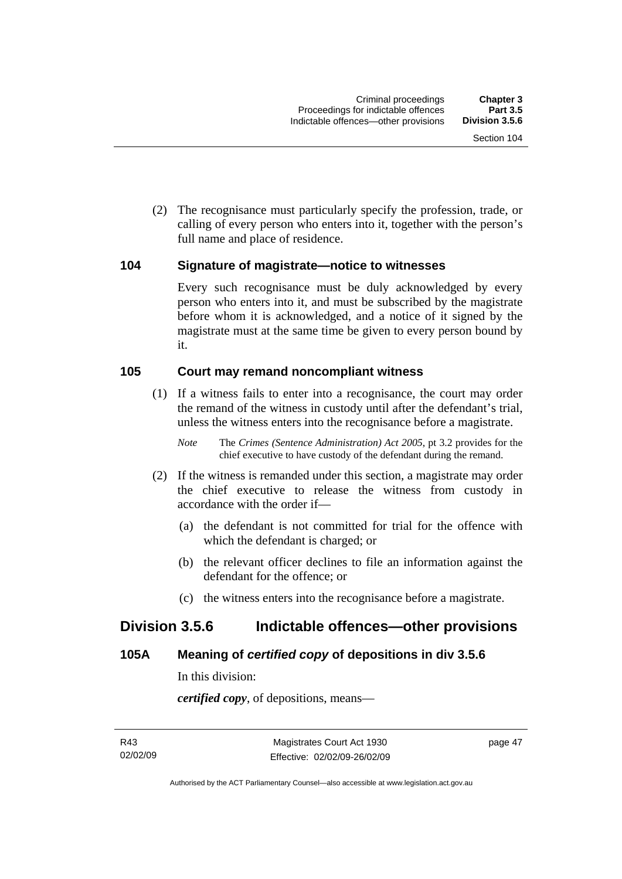(2) The recognisance must particularly specify the profession, trade, or calling of every person who enters into it, together with the person's full name and place of residence.

#### **104 Signature of magistrate—notice to witnesses**

Every such recognisance must be duly acknowledged by every person who enters into it, and must be subscribed by the magistrate before whom it is acknowledged, and a notice of it signed by the magistrate must at the same time be given to every person bound by it.

### **105 Court may remand noncompliant witness**

 (1) If a witness fails to enter into a recognisance, the court may order the remand of the witness in custody until after the defendant's trial, unless the witness enters into the recognisance before a magistrate.

*Note* The *Crimes (Sentence Administration) Act 2005*, pt 3.2 provides for the chief executive to have custody of the defendant during the remand.

- (2) If the witness is remanded under this section, a magistrate may order the chief executive to release the witness from custody in accordance with the order if—
	- (a) the defendant is not committed for trial for the offence with which the defendant is charged; or
	- (b) the relevant officer declines to file an information against the defendant for the offence; or
	- (c) the witness enters into the recognisance before a magistrate.

# **Division 3.5.6 Indictable offences—other provisions**

# **105A Meaning of** *certified copy* **of depositions in div 3.5.6**

In this division:

*certified copy*, of depositions, means—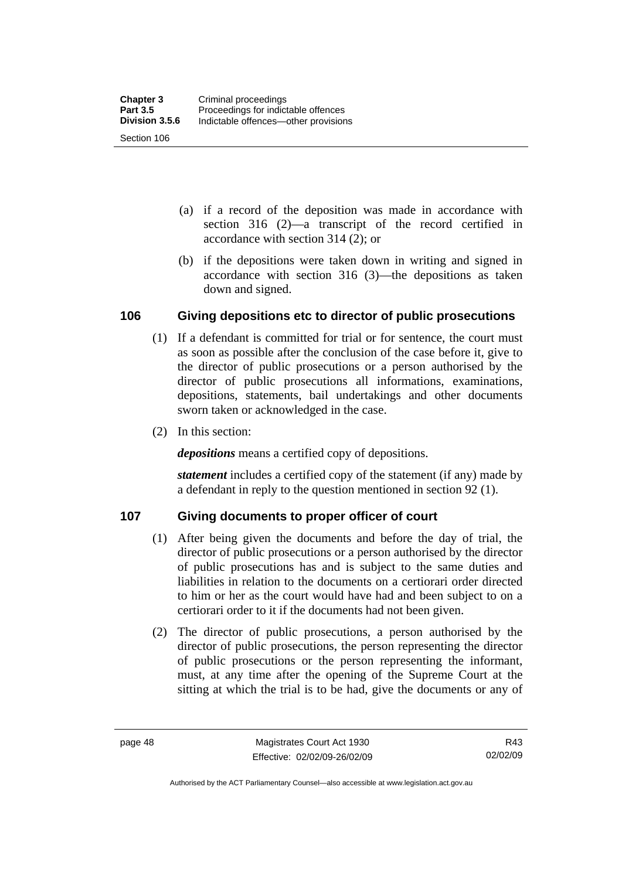- (a) if a record of the deposition was made in accordance with section 316 (2)—a transcript of the record certified in accordance with section 314 (2); or
- (b) if the depositions were taken down in writing and signed in accordance with section 316 (3)—the depositions as taken down and signed.

# **106 Giving depositions etc to director of public prosecutions**

- (1) If a defendant is committed for trial or for sentence, the court must as soon as possible after the conclusion of the case before it, give to the director of public prosecutions or a person authorised by the director of public prosecutions all informations, examinations, depositions, statements, bail undertakings and other documents sworn taken or acknowledged in the case.
- (2) In this section:

*depositions* means a certified copy of depositions.

*statement* includes a certified copy of the statement (if any) made by a defendant in reply to the question mentioned in section 92 (1).

# **107 Giving documents to proper officer of court**

- (1) After being given the documents and before the day of trial, the director of public prosecutions or a person authorised by the director of public prosecutions has and is subject to the same duties and liabilities in relation to the documents on a certiorari order directed to him or her as the court would have had and been subject to on a certiorari order to it if the documents had not been given.
- (2) The director of public prosecutions, a person authorised by the director of public prosecutions, the person representing the director of public prosecutions or the person representing the informant, must, at any time after the opening of the Supreme Court at the sitting at which the trial is to be had, give the documents or any of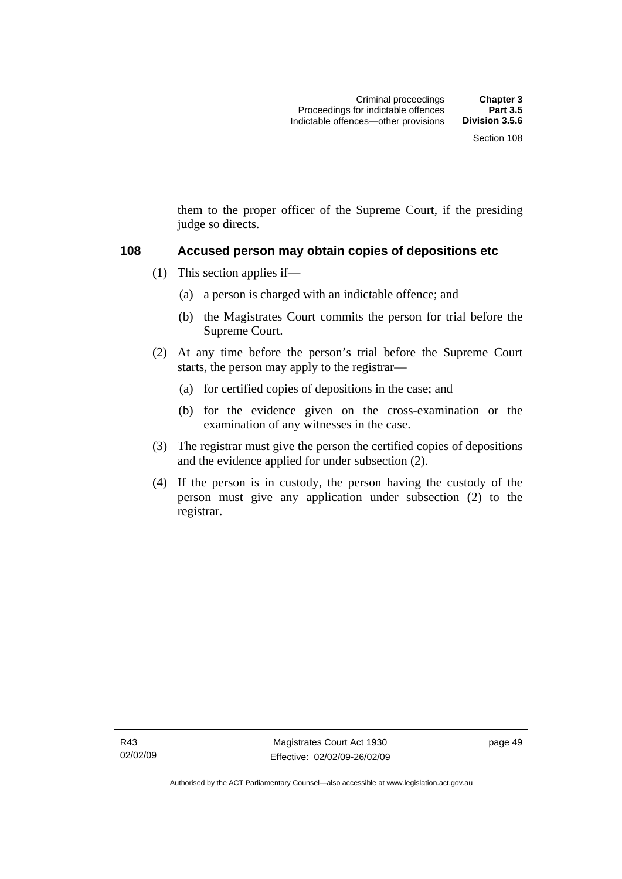them to the proper officer of the Supreme Court, if the presiding judge so directs.

#### **108 Accused person may obtain copies of depositions etc**

- (1) This section applies if—
	- (a) a person is charged with an indictable offence; and
	- (b) the Magistrates Court commits the person for trial before the Supreme Court.
- (2) At any time before the person's trial before the Supreme Court starts, the person may apply to the registrar—
	- (a) for certified copies of depositions in the case; and
	- (b) for the evidence given on the cross-examination or the examination of any witnesses in the case.
- (3) The registrar must give the person the certified copies of depositions and the evidence applied for under subsection (2).
- (4) If the person is in custody, the person having the custody of the person must give any application under subsection (2) to the registrar.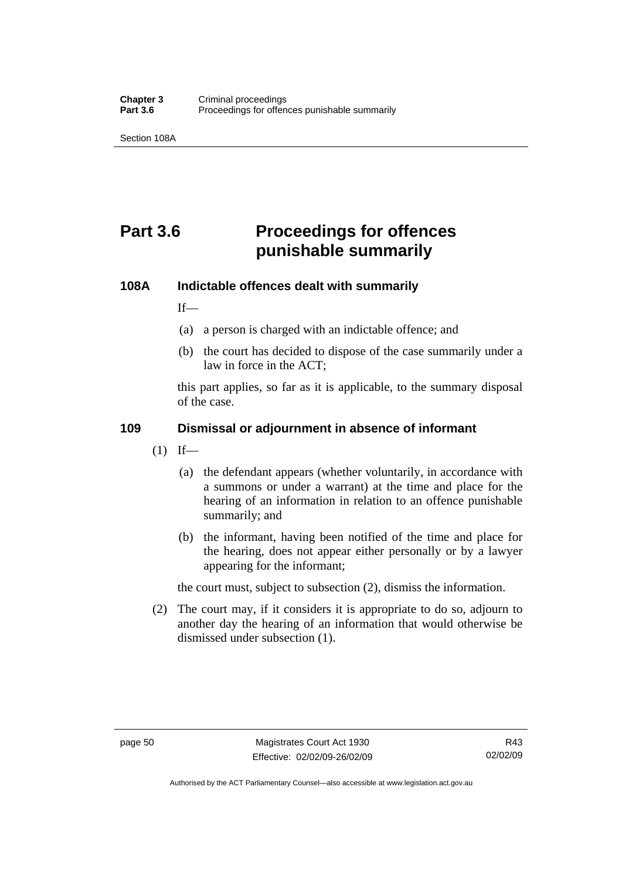Section 108A

# **Part 3.6 Proceedings for offences punishable summarily**

# **108A Indictable offences dealt with summarily**

 $If$ <sub>—</sub>

- (a) a person is charged with an indictable offence; and
- (b) the court has decided to dispose of the case summarily under a law in force in the ACT;

this part applies, so far as it is applicable, to the summary disposal of the case.

# **109 Dismissal or adjournment in absence of informant**

- $(1)$  If—
	- (a) the defendant appears (whether voluntarily, in accordance with a summons or under a warrant) at the time and place for the hearing of an information in relation to an offence punishable summarily; and
	- (b) the informant, having been notified of the time and place for the hearing, does not appear either personally or by a lawyer appearing for the informant;

the court must, subject to subsection (2), dismiss the information.

 (2) The court may, if it considers it is appropriate to do so, adjourn to another day the hearing of an information that would otherwise be dismissed under subsection (1).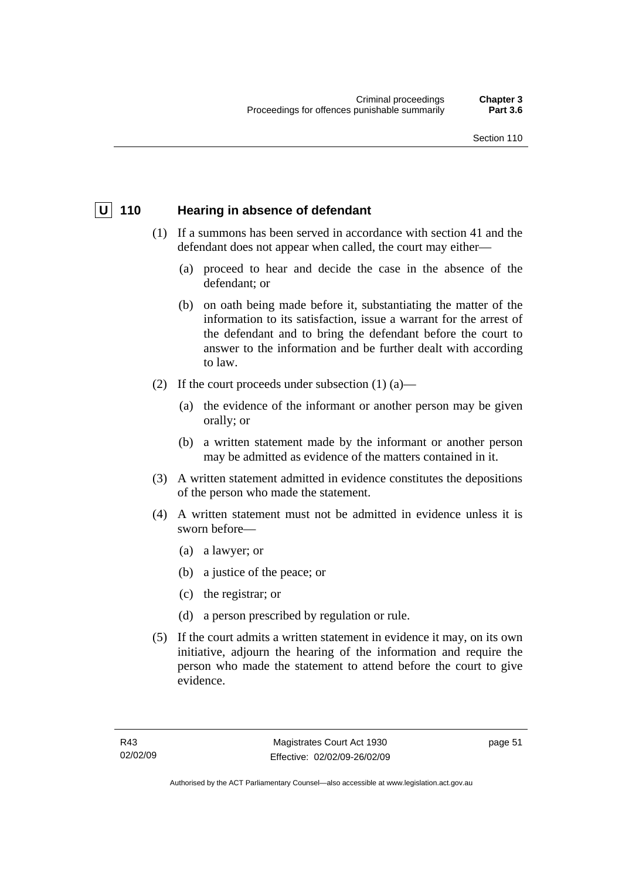# **U** 110 Hearing in absence of defendant

- (1) If a summons has been served in accordance with section 41 and the defendant does not appear when called, the court may either—
	- (a) proceed to hear and decide the case in the absence of the defendant; or
	- (b) on oath being made before it, substantiating the matter of the information to its satisfaction, issue a warrant for the arrest of the defendant and to bring the defendant before the court to answer to the information and be further dealt with according to law.
- (2) If the court proceeds under subsection  $(1)$   $(a)$ 
	- (a) the evidence of the informant or another person may be given orally; or
	- (b) a written statement made by the informant or another person may be admitted as evidence of the matters contained in it.
- (3) A written statement admitted in evidence constitutes the depositions of the person who made the statement.
- (4) A written statement must not be admitted in evidence unless it is sworn before—
	- (a) a lawyer; or
	- (b) a justice of the peace; or
	- (c) the registrar; or
	- (d) a person prescribed by regulation or rule.
- (5) If the court admits a written statement in evidence it may, on its own initiative, adjourn the hearing of the information and require the person who made the statement to attend before the court to give evidence.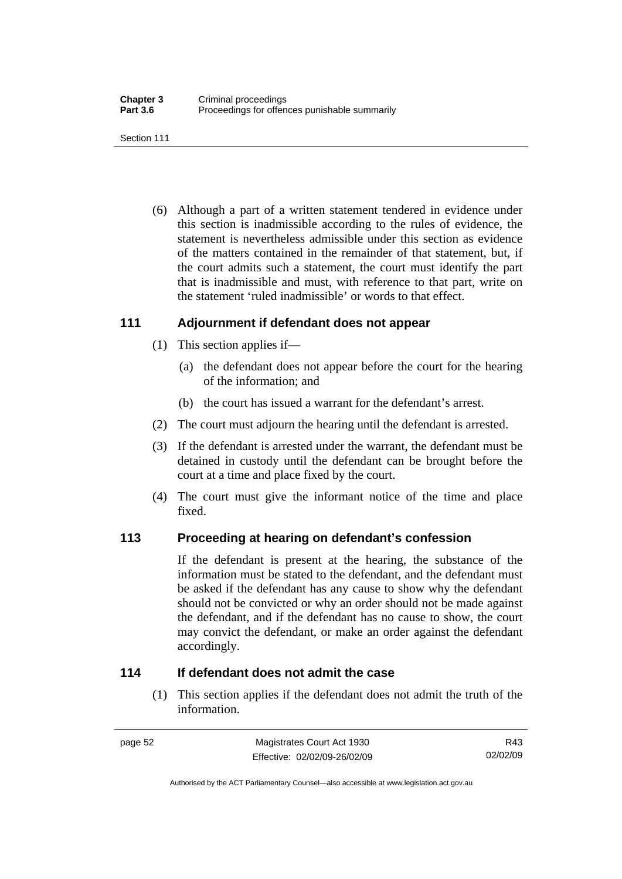Section 111

 (6) Although a part of a written statement tendered in evidence under this section is inadmissible according to the rules of evidence, the statement is nevertheless admissible under this section as evidence of the matters contained in the remainder of that statement, but, if the court admits such a statement, the court must identify the part that is inadmissible and must, with reference to that part, write on the statement 'ruled inadmissible' or words to that effect.

# **111 Adjournment if defendant does not appear**

- (1) This section applies if—
	- (a) the defendant does not appear before the court for the hearing of the information; and
	- (b) the court has issued a warrant for the defendant's arrest.
- (2) The court must adjourn the hearing until the defendant is arrested.
- (3) If the defendant is arrested under the warrant, the defendant must be detained in custody until the defendant can be brought before the court at a time and place fixed by the court.
- (4) The court must give the informant notice of the time and place fixed.

#### **113 Proceeding at hearing on defendant's confession**

If the defendant is present at the hearing, the substance of the information must be stated to the defendant, and the defendant must be asked if the defendant has any cause to show why the defendant should not be convicted or why an order should not be made against the defendant, and if the defendant has no cause to show, the court may convict the defendant, or make an order against the defendant accordingly.

#### **114 If defendant does not admit the case**

 (1) This section applies if the defendant does not admit the truth of the information.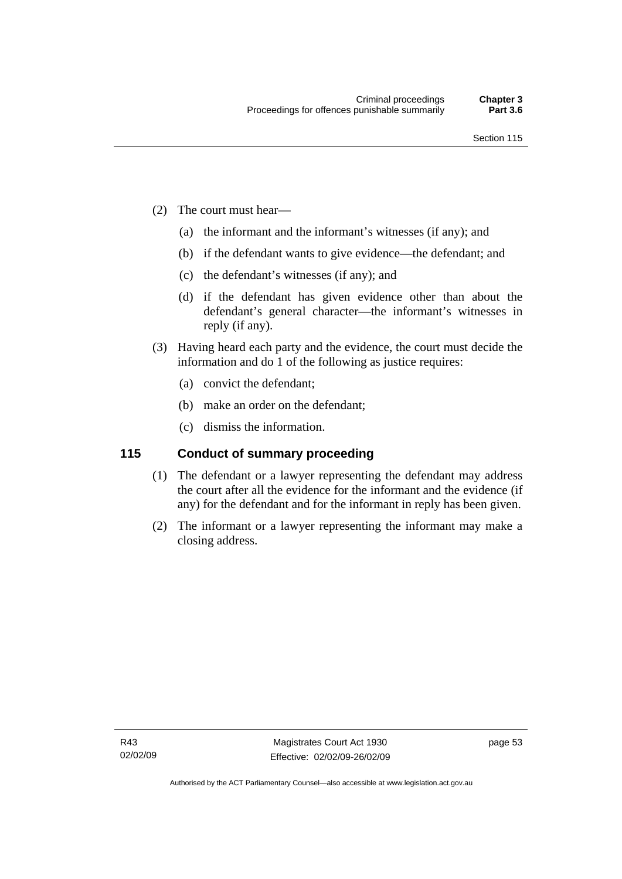- (2) The court must hear—
	- (a) the informant and the informant's witnesses (if any); and
	- (b) if the defendant wants to give evidence—the defendant; and
	- (c) the defendant's witnesses (if any); and
	- (d) if the defendant has given evidence other than about the defendant's general character—the informant's witnesses in reply (if any).
- (3) Having heard each party and the evidence, the court must decide the information and do 1 of the following as justice requires:
	- (a) convict the defendant;
	- (b) make an order on the defendant;
	- (c) dismiss the information.

# **115 Conduct of summary proceeding**

- (1) The defendant or a lawyer representing the defendant may address the court after all the evidence for the informant and the evidence (if any) for the defendant and for the informant in reply has been given.
- (2) The informant or a lawyer representing the informant may make a closing address.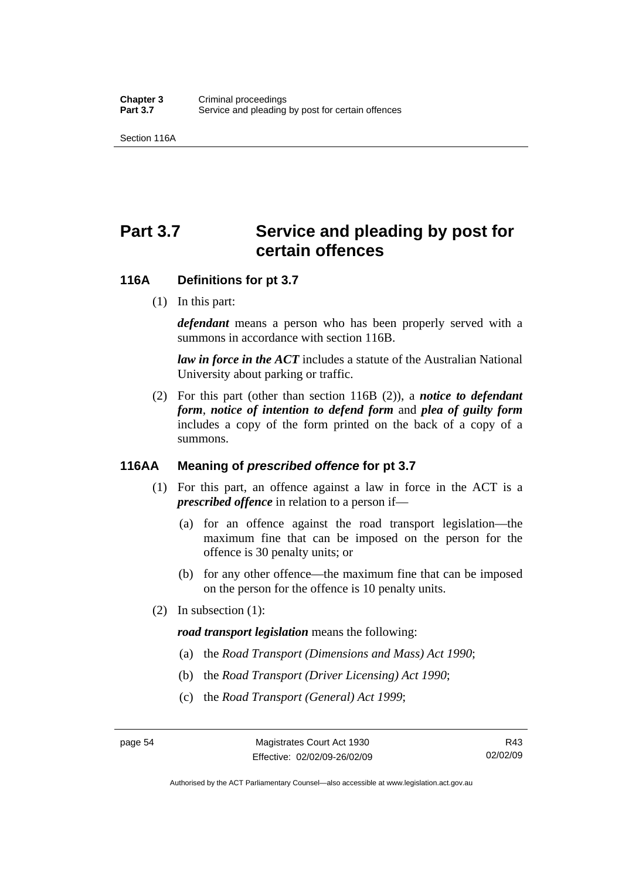Section 116A

# Part 3.7 Service and pleading by post for **certain offences**

#### **116A Definitions for pt 3.7**

(1) In this part:

*defendant* means a person who has been properly served with a summons in accordance with section 116B.

*law in force in the ACT* includes a statute of the Australian National University about parking or traffic.

 (2) For this part (other than section 116B (2)), a *notice to defendant form*, *notice of intention to defend form* and *plea of guilty form* includes a copy of the form printed on the back of a copy of a summons.

# **116AA Meaning of** *prescribed offence* **for pt 3.7**

- (1) For this part, an offence against a law in force in the ACT is a *prescribed offence* in relation to a person if—
	- (a) for an offence against the road transport legislation—the maximum fine that can be imposed on the person for the offence is 30 penalty units; or
	- (b) for any other offence—the maximum fine that can be imposed on the person for the offence is 10 penalty units.
- (2) In subsection (1):

#### *road transport legislation* means the following:

- (a) the *Road Transport (Dimensions and Mass) Act 1990*;
- (b) the *Road Transport (Driver Licensing) Act 1990*;
- (c) the *Road Transport (General) Act 1999*;

Authorised by the ACT Parliamentary Counsel—also accessible at www.legislation.act.gov.au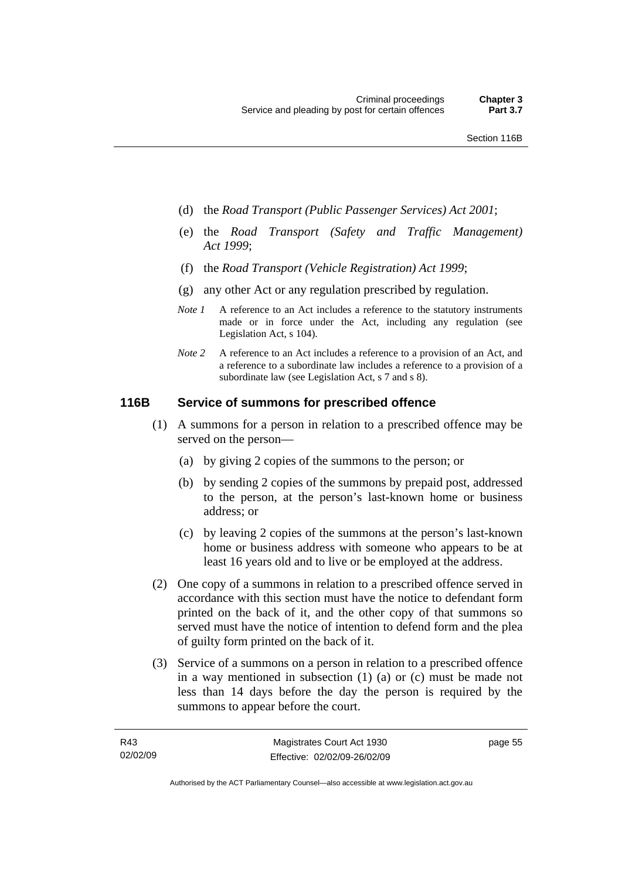- (d) the *Road Transport (Public Passenger Services) Act 2001*;
- (e) the *Road Transport (Safety and Traffic Management) Act 1999*;
- (f) the *Road Transport (Vehicle Registration) Act 1999*;
- (g) any other Act or any regulation prescribed by regulation.
- *Note 1* A reference to an Act includes a reference to the statutory instruments made or in force under the Act, including any regulation (see Legislation Act, s 104).
- *Note 2* A reference to an Act includes a reference to a provision of an Act, and a reference to a subordinate law includes a reference to a provision of a subordinate law (see Legislation Act, s 7 and s 8).

#### **116B Service of summons for prescribed offence**

- (1) A summons for a person in relation to a prescribed offence may be served on the person—
	- (a) by giving 2 copies of the summons to the person; or
	- (b) by sending 2 copies of the summons by prepaid post, addressed to the person, at the person's last-known home or business address; or
	- (c) by leaving 2 copies of the summons at the person's last-known home or business address with someone who appears to be at least 16 years old and to live or be employed at the address.
- (2) One copy of a summons in relation to a prescribed offence served in accordance with this section must have the notice to defendant form printed on the back of it, and the other copy of that summons so served must have the notice of intention to defend form and the plea of guilty form printed on the back of it.
- (3) Service of a summons on a person in relation to a prescribed offence in a way mentioned in subsection (1) (a) or (c) must be made not less than 14 days before the day the person is required by the summons to appear before the court.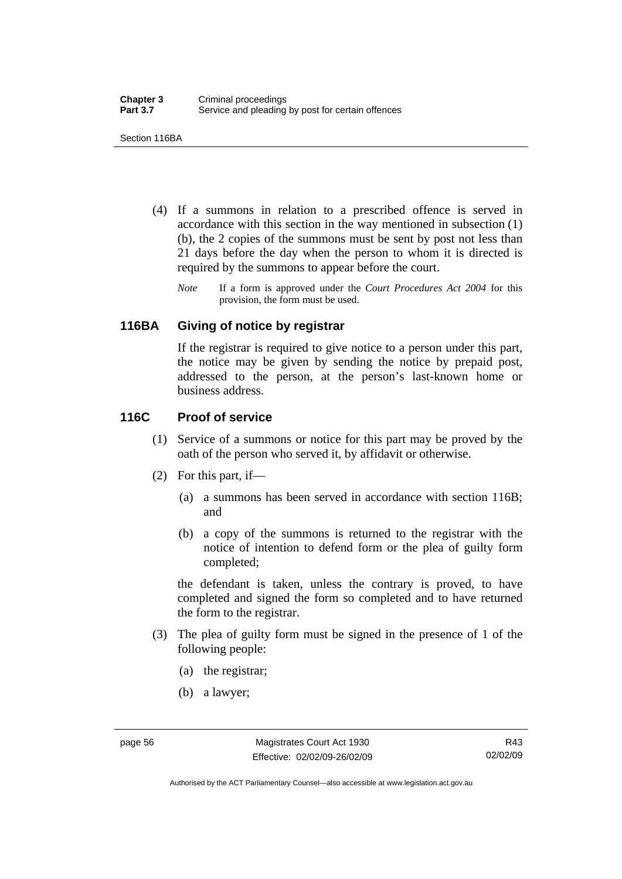Section 116BA

- (4) If a summons in relation to a prescribed offence is served in accordance with this section in the way mentioned in subsection (1) (b), the 2 copies of the summons must be sent by post not less than 21 days before the day when the person to whom it is directed is required by the summons to appear before the court.
	- *Note* If a form is approved under the *Court Procedures Act 2004* for this provision, the form must be used.

#### **116BA Giving of notice by registrar**

If the registrar is required to give notice to a person under this part, the notice may be given by sending the notice by prepaid post, addressed to the person, at the person's last-known home or business address.

# **116C Proof of service**

- (1) Service of a summons or notice for this part may be proved by the oath of the person who served it, by affidavit or otherwise.
- (2) For this part, if—
	- (a) a summons has been served in accordance with section 116B; and
	- (b) a copy of the summons is returned to the registrar with the notice of intention to defend form or the plea of guilty form completed;

the defendant is taken, unless the contrary is proved, to have completed and signed the form so completed and to have returned the form to the registrar.

- (3) The plea of guilty form must be signed in the presence of 1 of the following people:
	- (a) the registrar;
	- (b) a lawyer;

Authorised by the ACT Parliamentary Counsel—also accessible at www.legislation.act.gov.au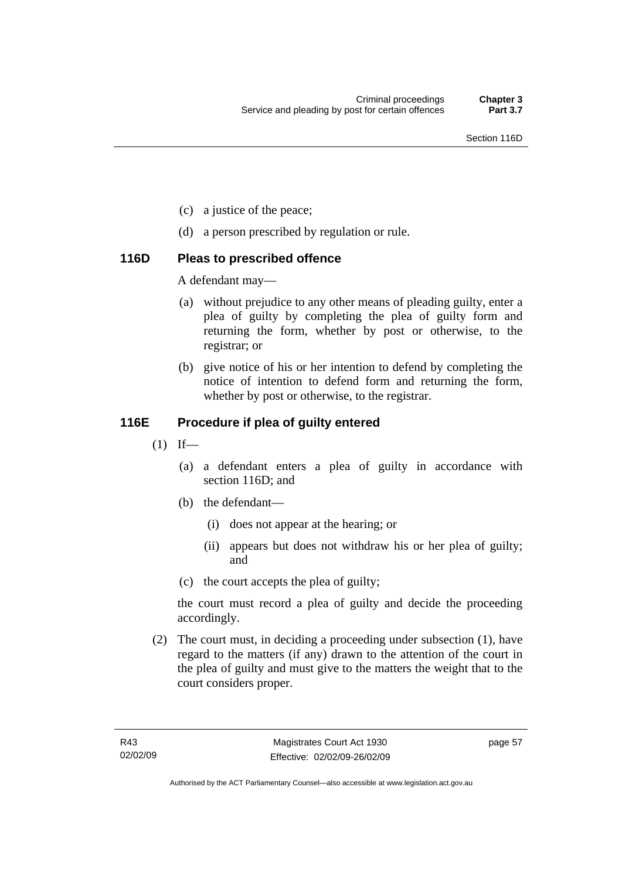- (c) a justice of the peace;
- (d) a person prescribed by regulation or rule.

#### **116D Pleas to prescribed offence**

A defendant may—

- (a) without prejudice to any other means of pleading guilty, enter a plea of guilty by completing the plea of guilty form and returning the form, whether by post or otherwise, to the registrar; or
- (b) give notice of his or her intention to defend by completing the notice of intention to defend form and returning the form, whether by post or otherwise, to the registrar.

#### **116E Procedure if plea of guilty entered**

- $(1)$  If—
	- (a) a defendant enters a plea of guilty in accordance with section 116D; and
	- (b) the defendant—
		- (i) does not appear at the hearing; or
		- (ii) appears but does not withdraw his or her plea of guilty; and
	- (c) the court accepts the plea of guilty;

the court must record a plea of guilty and decide the proceeding accordingly.

 (2) The court must, in deciding a proceeding under subsection (1), have regard to the matters (if any) drawn to the attention of the court in the plea of guilty and must give to the matters the weight that to the court considers proper.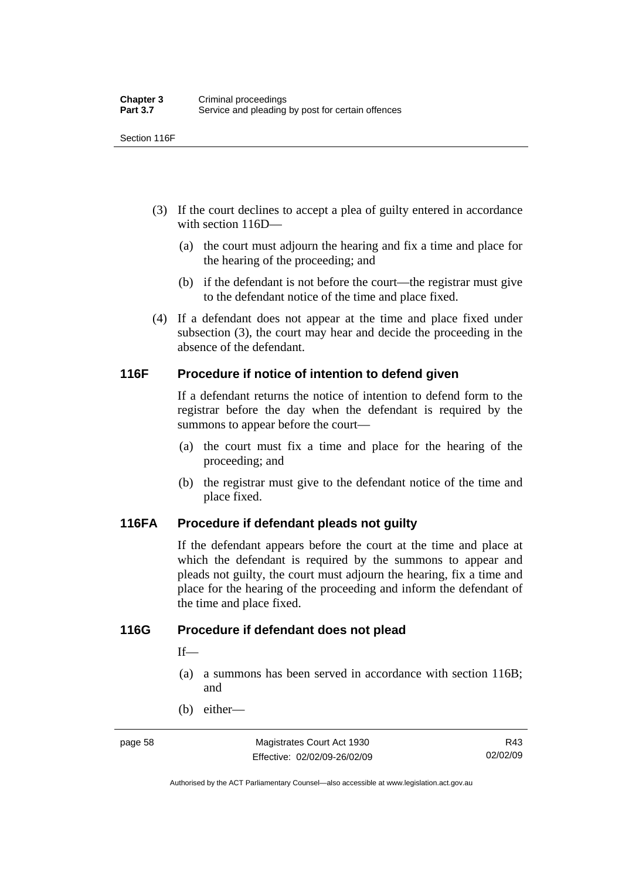Section 116F

- (3) If the court declines to accept a plea of guilty entered in accordance with section 116D—
	- (a) the court must adjourn the hearing and fix a time and place for the hearing of the proceeding; and
	- (b) if the defendant is not before the court—the registrar must give to the defendant notice of the time and place fixed.
- (4) If a defendant does not appear at the time and place fixed under subsection (3), the court may hear and decide the proceeding in the absence of the defendant.

#### **116F Procedure if notice of intention to defend given**

If a defendant returns the notice of intention to defend form to the registrar before the day when the defendant is required by the summons to appear before the court—

- (a) the court must fix a time and place for the hearing of the proceeding; and
- (b) the registrar must give to the defendant notice of the time and place fixed.

#### **116FA Procedure if defendant pleads not guilty**

If the defendant appears before the court at the time and place at which the defendant is required by the summons to appear and pleads not guilty, the court must adjourn the hearing, fix a time and place for the hearing of the proceeding and inform the defendant of the time and place fixed.

#### **116G Procedure if defendant does not plead**

 $If$ —

- (a) a summons has been served in accordance with section 116B; and
- (b) either—

Authorised by the ACT Parliamentary Counsel—also accessible at www.legislation.act.gov.au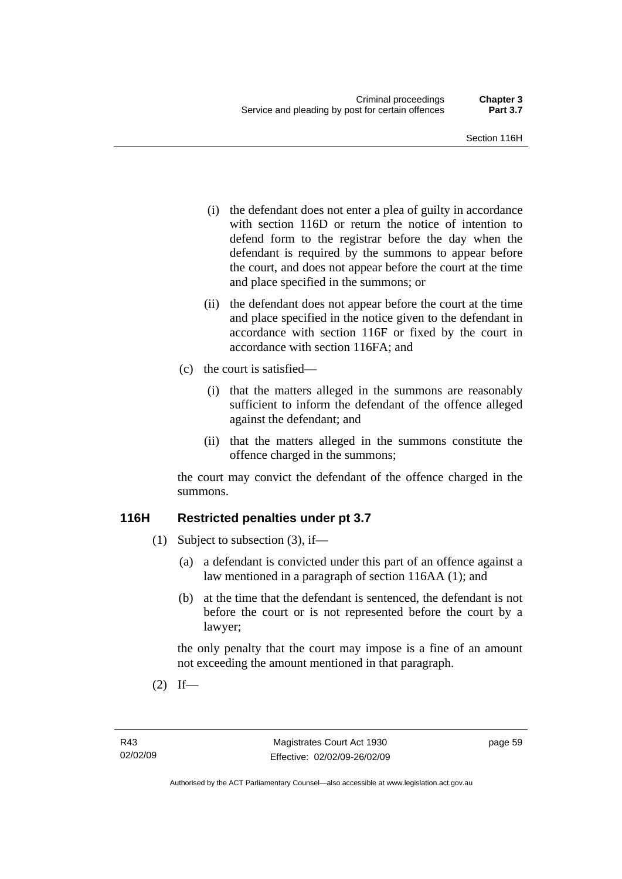- (i) the defendant does not enter a plea of guilty in accordance with section 116D or return the notice of intention to defend form to the registrar before the day when the defendant is required by the summons to appear before the court, and does not appear before the court at the time and place specified in the summons; or
- (ii) the defendant does not appear before the court at the time and place specified in the notice given to the defendant in accordance with section 116F or fixed by the court in accordance with section 116FA; and
- (c) the court is satisfied—
	- (i) that the matters alleged in the summons are reasonably sufficient to inform the defendant of the offence alleged against the defendant; and
	- (ii) that the matters alleged in the summons constitute the offence charged in the summons;

the court may convict the defendant of the offence charged in the summons.

#### **116H Restricted penalties under pt 3.7**

- (1) Subject to subsection (3), if—
	- (a) a defendant is convicted under this part of an offence against a law mentioned in a paragraph of section 116AA (1); and
	- (b) at the time that the defendant is sentenced, the defendant is not before the court or is not represented before the court by a lawyer;

the only penalty that the court may impose is a fine of an amount not exceeding the amount mentioned in that paragraph.

 $(2)$  If—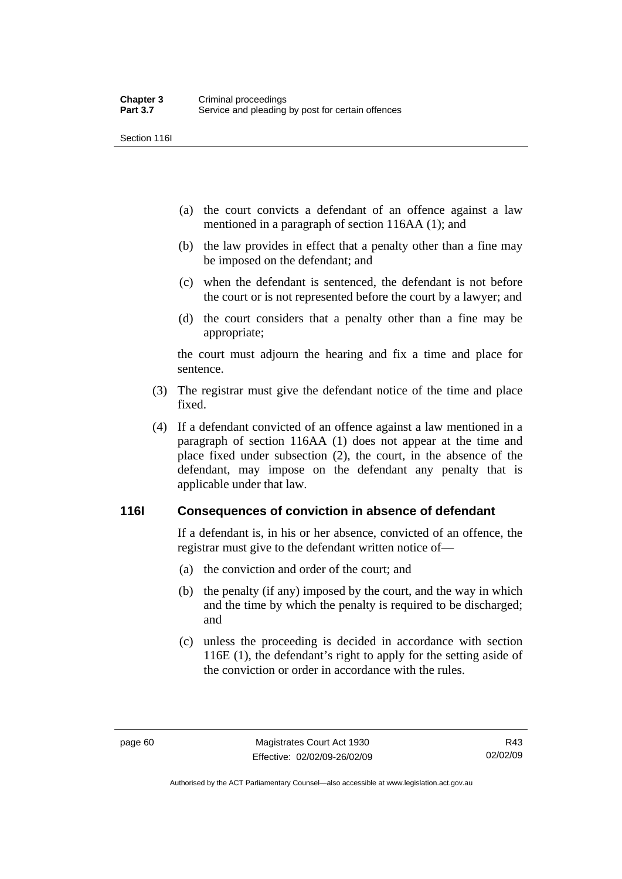Section 116I

- (a) the court convicts a defendant of an offence against a law mentioned in a paragraph of section 116AA (1); and
- (b) the law provides in effect that a penalty other than a fine may be imposed on the defendant; and
- (c) when the defendant is sentenced, the defendant is not before the court or is not represented before the court by a lawyer; and
- (d) the court considers that a penalty other than a fine may be appropriate;

the court must adjourn the hearing and fix a time and place for sentence.

- (3) The registrar must give the defendant notice of the time and place fixed.
- (4) If a defendant convicted of an offence against a law mentioned in a paragraph of section 116AA (1) does not appear at the time and place fixed under subsection (2), the court, in the absence of the defendant, may impose on the defendant any penalty that is applicable under that law.

#### **116I Consequences of conviction in absence of defendant**

If a defendant is, in his or her absence, convicted of an offence, the registrar must give to the defendant written notice of—

- (a) the conviction and order of the court; and
- (b) the penalty (if any) imposed by the court, and the way in which and the time by which the penalty is required to be discharged; and
- (c) unless the proceeding is decided in accordance with section 116E (1), the defendant's right to apply for the setting aside of the conviction or order in accordance with the rules.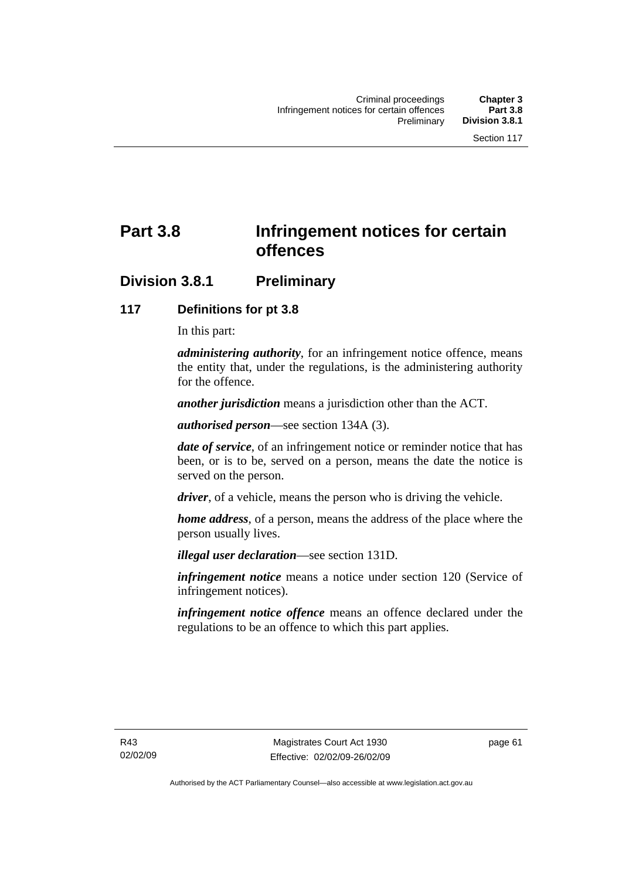# **Part 3.8 Infringement notices for certain offences**

## **Division 3.8.1 Preliminary**

#### **117 Definitions for pt 3.8**

In this part:

*administering authority*, for an infringement notice offence, means the entity that, under the regulations, is the administering authority for the offence.

*another jurisdiction* means a jurisdiction other than the ACT.

*authorised person*—see section 134A (3).

*date of service*, of an infringement notice or reminder notice that has been, or is to be, served on a person, means the date the notice is served on the person.

*driver*, of a vehicle, means the person who is driving the vehicle.

*home address*, of a person, means the address of the place where the person usually lives.

*illegal user declaration*—see section 131D.

*infringement notice* means a notice under section 120 (Service of infringement notices).

*infringement notice offence* means an offence declared under the regulations to be an offence to which this part applies.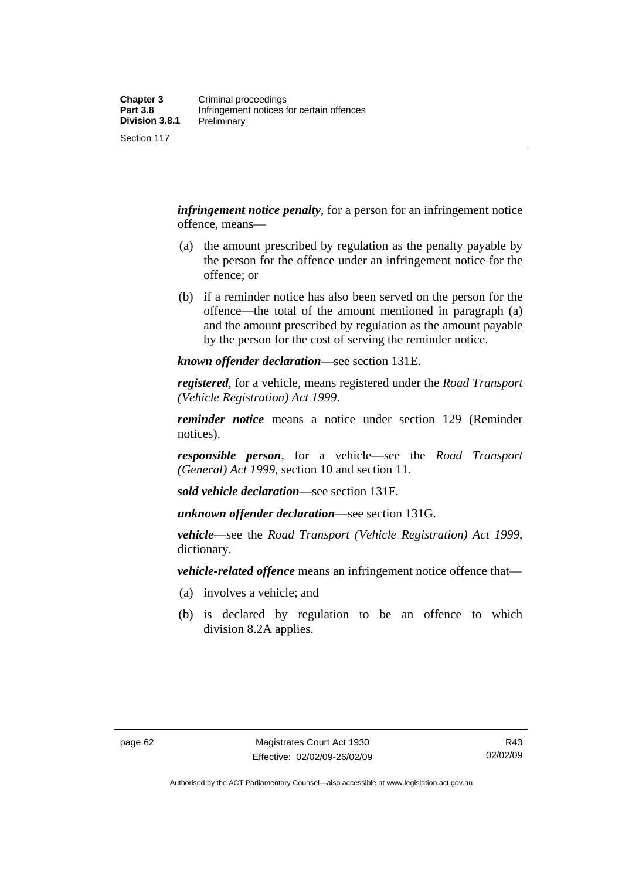Section 117

*infringement notice penalty*, for a person for an infringement notice offence, means—

- (a) the amount prescribed by regulation as the penalty payable by the person for the offence under an infringement notice for the offence; or
- (b) if a reminder notice has also been served on the person for the offence—the total of the amount mentioned in paragraph (a) and the amount prescribed by regulation as the amount payable by the person for the cost of serving the reminder notice.

*known offender declaration*—see section 131E.

*registered*, for a vehicle, means registered under the *Road Transport (Vehicle Registration) Act 1999*.

*reminder notice* means a notice under section 129 (Reminder notices).

*responsible person*, for a vehicle—see the *Road Transport (General) Act 1999*, section 10 and section 11.

*sold vehicle declaration*—see section 131F.

*unknown offender declaration*—see section 131G.

*vehicle*—see the *Road Transport (Vehicle Registration) Act 1999*, dictionary.

*vehicle-related offence* means an infringement notice offence that—

- (a) involves a vehicle; and
- (b) is declared by regulation to be an offence to which division 8.2A applies.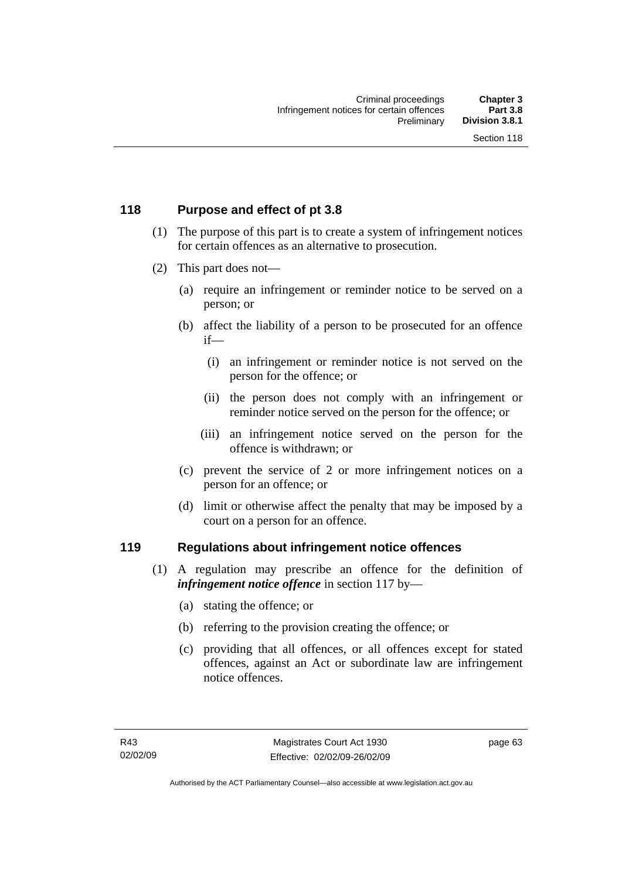### **118 Purpose and effect of pt 3.8**

- (1) The purpose of this part is to create a system of infringement notices for certain offences as an alternative to prosecution.
- (2) This part does not—
	- (a) require an infringement or reminder notice to be served on a person; or
	- (b) affect the liability of a person to be prosecuted for an offence if—
		- (i) an infringement or reminder notice is not served on the person for the offence; or
		- (ii) the person does not comply with an infringement or reminder notice served on the person for the offence; or
		- (iii) an infringement notice served on the person for the offence is withdrawn; or
	- (c) prevent the service of 2 or more infringement notices on a person for an offence; or
	- (d) limit or otherwise affect the penalty that may be imposed by a court on a person for an offence.

#### **119 Regulations about infringement notice offences**

- (1) A regulation may prescribe an offence for the definition of *infringement notice offence* in section 117 by—
	- (a) stating the offence; or
	- (b) referring to the provision creating the offence; or
	- (c) providing that all offences, or all offences except for stated offences, against an Act or subordinate law are infringement notice offences.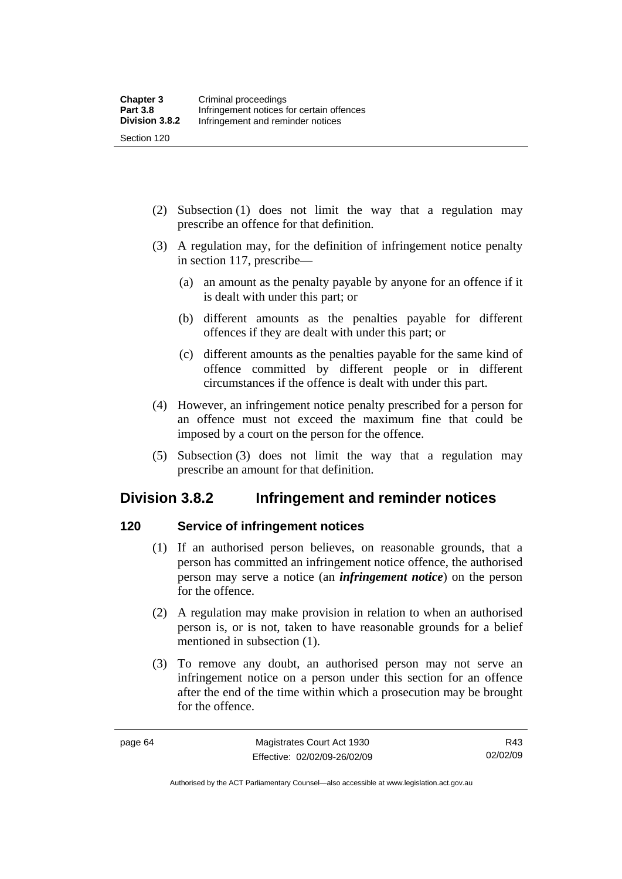Section 120

- (2) Subsection (1) does not limit the way that a regulation may prescribe an offence for that definition.
- (3) A regulation may, for the definition of infringement notice penalty in section 117, prescribe—
	- (a) an amount as the penalty payable by anyone for an offence if it is dealt with under this part; or
	- (b) different amounts as the penalties payable for different offences if they are dealt with under this part; or
	- (c) different amounts as the penalties payable for the same kind of offence committed by different people or in different circumstances if the offence is dealt with under this part.
- (4) However, an infringement notice penalty prescribed for a person for an offence must not exceed the maximum fine that could be imposed by a court on the person for the offence.
- (5) Subsection (3) does not limit the way that a regulation may prescribe an amount for that definition.

## **Division 3.8.2 Infringement and reminder notices**

## **120 Service of infringement notices**

- (1) If an authorised person believes, on reasonable grounds, that a person has committed an infringement notice offence, the authorised person may serve a notice (an *infringement notice*) on the person for the offence.
- (2) A regulation may make provision in relation to when an authorised person is, or is not, taken to have reasonable grounds for a belief mentioned in subsection (1).
- (3) To remove any doubt, an authorised person may not serve an infringement notice on a person under this section for an offence after the end of the time within which a prosecution may be brought for the offence.

Authorised by the ACT Parliamentary Counsel—also accessible at www.legislation.act.gov.au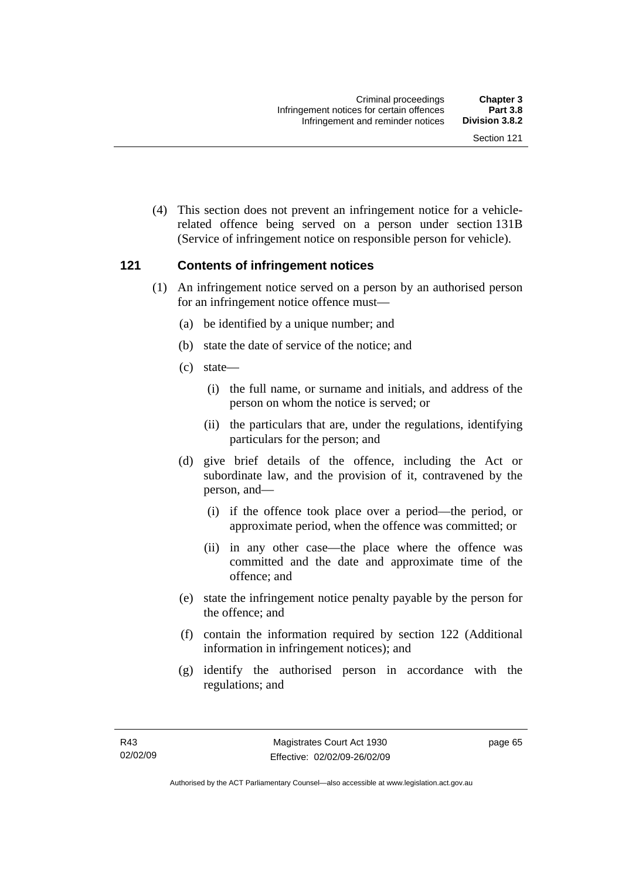(4) This section does not prevent an infringement notice for a vehiclerelated offence being served on a person under section 131B (Service of infringement notice on responsible person for vehicle).

#### **121 Contents of infringement notices**

- (1) An infringement notice served on a person by an authorised person for an infringement notice offence must—
	- (a) be identified by a unique number; and
	- (b) state the date of service of the notice; and
	- (c) state—
		- (i) the full name, or surname and initials, and address of the person on whom the notice is served; or
		- (ii) the particulars that are, under the regulations, identifying particulars for the person; and
	- (d) give brief details of the offence, including the Act or subordinate law, and the provision of it, contravened by the person, and—
		- (i) if the offence took place over a period—the period, or approximate period, when the offence was committed; or
		- (ii) in any other case—the place where the offence was committed and the date and approximate time of the offence; and
	- (e) state the infringement notice penalty payable by the person for the offence; and
	- (f) contain the information required by section 122 (Additional information in infringement notices); and
	- (g) identify the authorised person in accordance with the regulations; and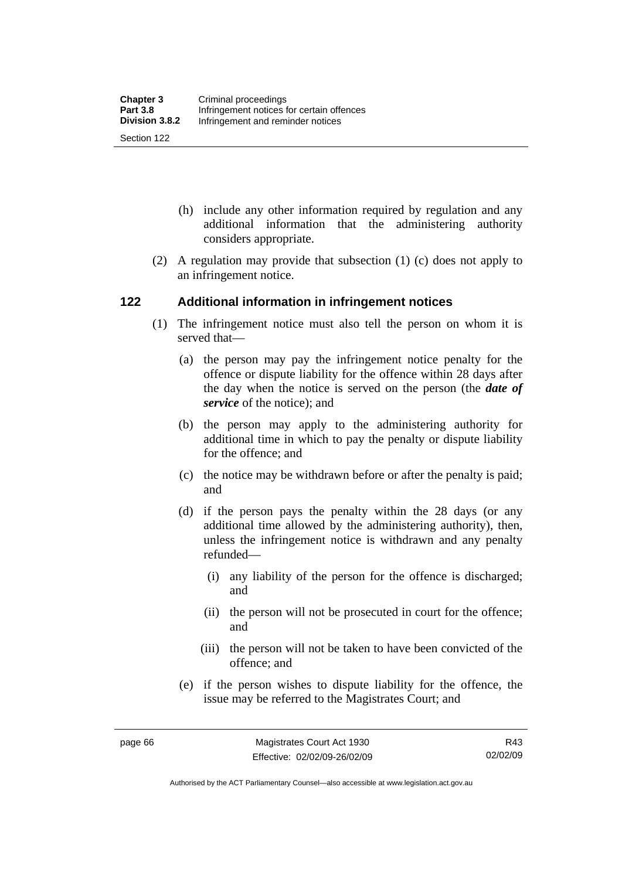- (h) include any other information required by regulation and any additional information that the administering authority considers appropriate.
- (2) A regulation may provide that subsection (1) (c) does not apply to an infringement notice.

#### **122 Additional information in infringement notices**

- (1) The infringement notice must also tell the person on whom it is served that—
	- (a) the person may pay the infringement notice penalty for the offence or dispute liability for the offence within 28 days after the day when the notice is served on the person (the *date of service* of the notice); and
	- (b) the person may apply to the administering authority for additional time in which to pay the penalty or dispute liability for the offence; and
	- (c) the notice may be withdrawn before or after the penalty is paid; and
	- (d) if the person pays the penalty within the 28 days (or any additional time allowed by the administering authority), then, unless the infringement notice is withdrawn and any penalty refunded—
		- (i) any liability of the person for the offence is discharged; and
		- (ii) the person will not be prosecuted in court for the offence; and
		- (iii) the person will not be taken to have been convicted of the offence; and
	- (e) if the person wishes to dispute liability for the offence, the issue may be referred to the Magistrates Court; and

Authorised by the ACT Parliamentary Counsel—also accessible at www.legislation.act.gov.au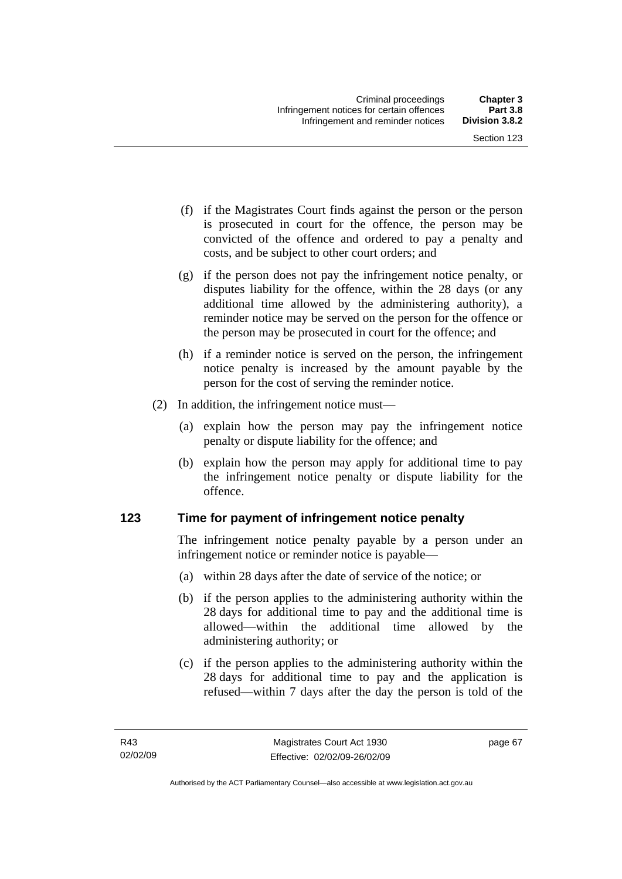- (f) if the Magistrates Court finds against the person or the person is prosecuted in court for the offence, the person may be convicted of the offence and ordered to pay a penalty and costs, and be subject to other court orders; and
- (g) if the person does not pay the infringement notice penalty, or disputes liability for the offence, within the 28 days (or any additional time allowed by the administering authority), a reminder notice may be served on the person for the offence or the person may be prosecuted in court for the offence; and
- (h) if a reminder notice is served on the person, the infringement notice penalty is increased by the amount payable by the person for the cost of serving the reminder notice.
- (2) In addition, the infringement notice must—
	- (a) explain how the person may pay the infringement notice penalty or dispute liability for the offence; and
	- (b) explain how the person may apply for additional time to pay the infringement notice penalty or dispute liability for the offence.

## **123 Time for payment of infringement notice penalty**

The infringement notice penalty payable by a person under an infringement notice or reminder notice is payable—

- (a) within 28 days after the date of service of the notice; or
- (b) if the person applies to the administering authority within the 28 days for additional time to pay and the additional time is allowed—within the additional time allowed by the administering authority; or
- (c) if the person applies to the administering authority within the 28 days for additional time to pay and the application is refused—within 7 days after the day the person is told of the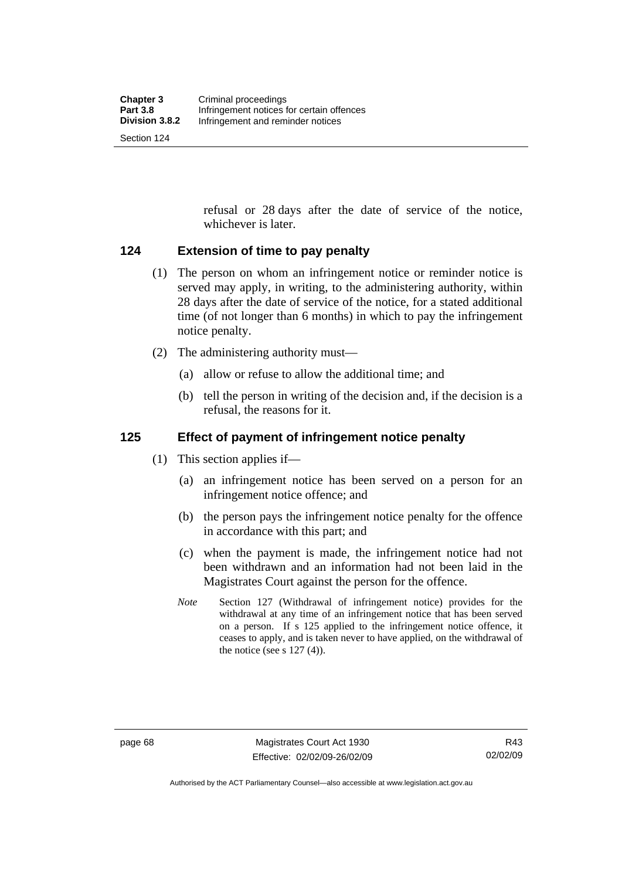Section 124

refusal or 28 days after the date of service of the notice, whichever is later.

#### **124 Extension of time to pay penalty**

- (1) The person on whom an infringement notice or reminder notice is served may apply, in writing, to the administering authority, within 28 days after the date of service of the notice, for a stated additional time (of not longer than 6 months) in which to pay the infringement notice penalty.
- (2) The administering authority must—
	- (a) allow or refuse to allow the additional time; and
	- (b) tell the person in writing of the decision and, if the decision is a refusal, the reasons for it.

### **125 Effect of payment of infringement notice penalty**

- (1) This section applies if—
	- (a) an infringement notice has been served on a person for an infringement notice offence; and
	- (b) the person pays the infringement notice penalty for the offence in accordance with this part; and
	- (c) when the payment is made, the infringement notice had not been withdrawn and an information had not been laid in the Magistrates Court against the person for the offence.
	- *Note* Section 127 (Withdrawal of infringement notice) provides for the withdrawal at any time of an infringement notice that has been served on a person. If s 125 applied to the infringement notice offence, it ceases to apply, and is taken never to have applied, on the withdrawal of the notice (see s  $127(4)$ ).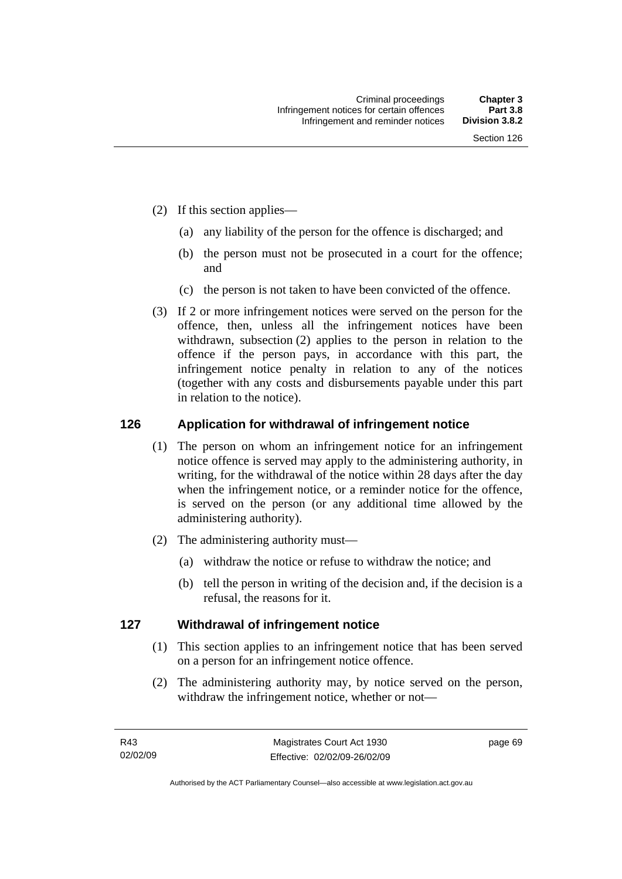- (2) If this section applies—
	- (a) any liability of the person for the offence is discharged; and
	- (b) the person must not be prosecuted in a court for the offence; and
	- (c) the person is not taken to have been convicted of the offence.
- (3) If 2 or more infringement notices were served on the person for the offence, then, unless all the infringement notices have been withdrawn, subsection (2) applies to the person in relation to the offence if the person pays, in accordance with this part, the infringement notice penalty in relation to any of the notices (together with any costs and disbursements payable under this part in relation to the notice).

#### **126 Application for withdrawal of infringement notice**

- (1) The person on whom an infringement notice for an infringement notice offence is served may apply to the administering authority, in writing, for the withdrawal of the notice within 28 days after the day when the infringement notice, or a reminder notice for the offence, is served on the person (or any additional time allowed by the administering authority).
- (2) The administering authority must—
	- (a) withdraw the notice or refuse to withdraw the notice; and
	- (b) tell the person in writing of the decision and, if the decision is a refusal, the reasons for it.

#### **127 Withdrawal of infringement notice**

- (1) This section applies to an infringement notice that has been served on a person for an infringement notice offence.
- (2) The administering authority may, by notice served on the person, withdraw the infringement notice, whether or not—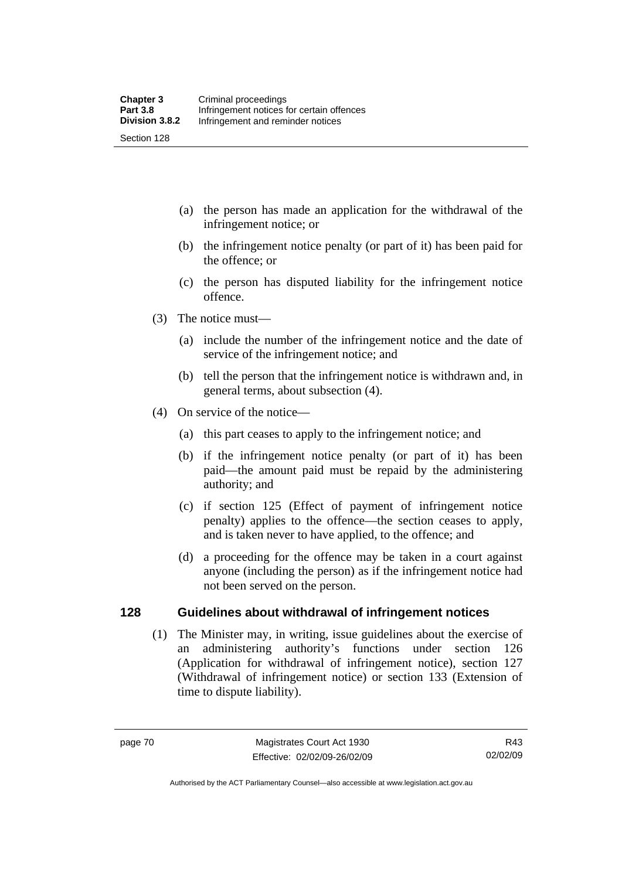- (a) the person has made an application for the withdrawal of the infringement notice; or
- (b) the infringement notice penalty (or part of it) has been paid for the offence; or
- (c) the person has disputed liability for the infringement notice offence.
- (3) The notice must—
	- (a) include the number of the infringement notice and the date of service of the infringement notice; and
	- (b) tell the person that the infringement notice is withdrawn and, in general terms, about subsection (4).
- (4) On service of the notice—
	- (a) this part ceases to apply to the infringement notice; and
	- (b) if the infringement notice penalty (or part of it) has been paid—the amount paid must be repaid by the administering authority; and
	- (c) if section 125 (Effect of payment of infringement notice penalty) applies to the offence—the section ceases to apply, and is taken never to have applied, to the offence; and
	- (d) a proceeding for the offence may be taken in a court against anyone (including the person) as if the infringement notice had not been served on the person.

#### **128 Guidelines about withdrawal of infringement notices**

 (1) The Minister may, in writing, issue guidelines about the exercise of an administering authority's functions under section 126 (Application for withdrawal of infringement notice), section 127 (Withdrawal of infringement notice) or section 133 (Extension of time to dispute liability).

R43 02/02/09

Authorised by the ACT Parliamentary Counsel—also accessible at www.legislation.act.gov.au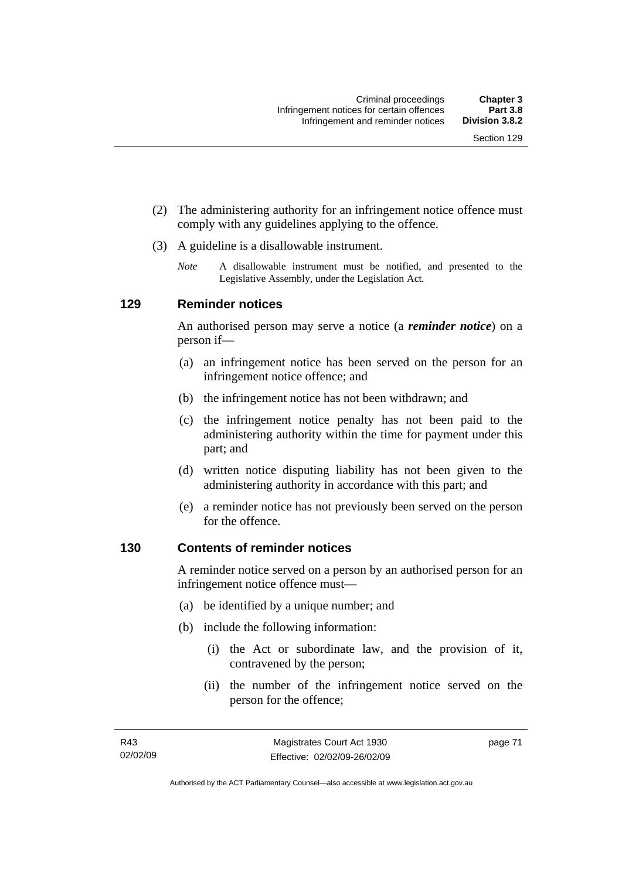- (2) The administering authority for an infringement notice offence must comply with any guidelines applying to the offence.
- (3) A guideline is a disallowable instrument.
	- *Note* A disallowable instrument must be notified, and presented to the Legislative Assembly, under the Legislation Act*.*

#### **129 Reminder notices**

An authorised person may serve a notice (a *reminder notice*) on a person if—

- (a) an infringement notice has been served on the person for an infringement notice offence; and
- (b) the infringement notice has not been withdrawn; and
- (c) the infringement notice penalty has not been paid to the administering authority within the time for payment under this part; and
- (d) written notice disputing liability has not been given to the administering authority in accordance with this part; and
- (e) a reminder notice has not previously been served on the person for the offence.

#### **130 Contents of reminder notices**

A reminder notice served on a person by an authorised person for an infringement notice offence must—

- (a) be identified by a unique number; and
- (b) include the following information:
	- (i) the Act or subordinate law, and the provision of it, contravened by the person;
	- (ii) the number of the infringement notice served on the person for the offence;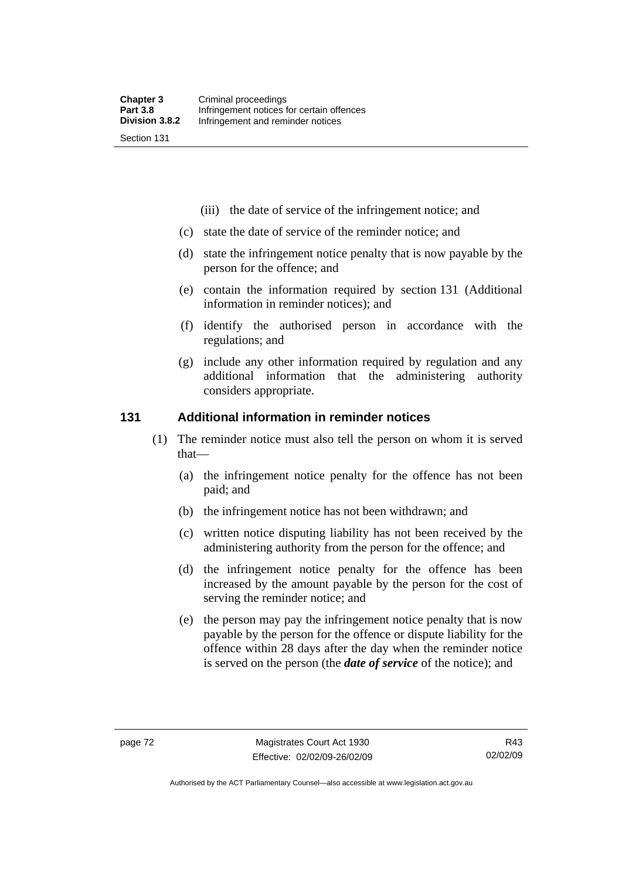- (iii) the date of service of the infringement notice; and
- (c) state the date of service of the reminder notice; and
- (d) state the infringement notice penalty that is now payable by the person for the offence; and
- (e) contain the information required by section 131 (Additional information in reminder notices); and
- (f) identify the authorised person in accordance with the regulations; and
- (g) include any other information required by regulation and any additional information that the administering authority considers appropriate.

#### **131 Additional information in reminder notices**

- (1) The reminder notice must also tell the person on whom it is served that—
	- (a) the infringement notice penalty for the offence has not been paid; and
	- (b) the infringement notice has not been withdrawn; and
	- (c) written notice disputing liability has not been received by the administering authority from the person for the offence; and
	- (d) the infringement notice penalty for the offence has been increased by the amount payable by the person for the cost of serving the reminder notice; and
	- (e) the person may pay the infringement notice penalty that is now payable by the person for the offence or dispute liability for the offence within 28 days after the day when the reminder notice is served on the person (the *date of service* of the notice); and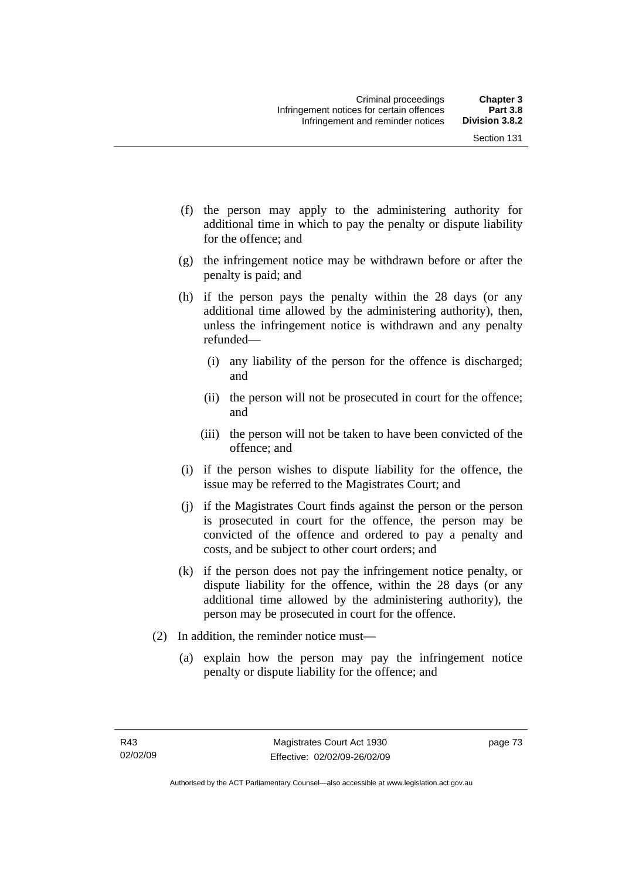Section 131

- (f) the person may apply to the administering authority for additional time in which to pay the penalty or dispute liability for the offence; and
- (g) the infringement notice may be withdrawn before or after the penalty is paid; and
- (h) if the person pays the penalty within the 28 days (or any additional time allowed by the administering authority), then, unless the infringement notice is withdrawn and any penalty refunded—
	- (i) any liability of the person for the offence is discharged; and
	- (ii) the person will not be prosecuted in court for the offence; and
	- (iii) the person will not be taken to have been convicted of the offence; and
- (i) if the person wishes to dispute liability for the offence, the issue may be referred to the Magistrates Court; and
- (j) if the Magistrates Court finds against the person or the person is prosecuted in court for the offence, the person may be convicted of the offence and ordered to pay a penalty and costs, and be subject to other court orders; and
- (k) if the person does not pay the infringement notice penalty, or dispute liability for the offence, within the 28 days (or any additional time allowed by the administering authority), the person may be prosecuted in court for the offence.
- (2) In addition, the reminder notice must—
	- (a) explain how the person may pay the infringement notice penalty or dispute liability for the offence; and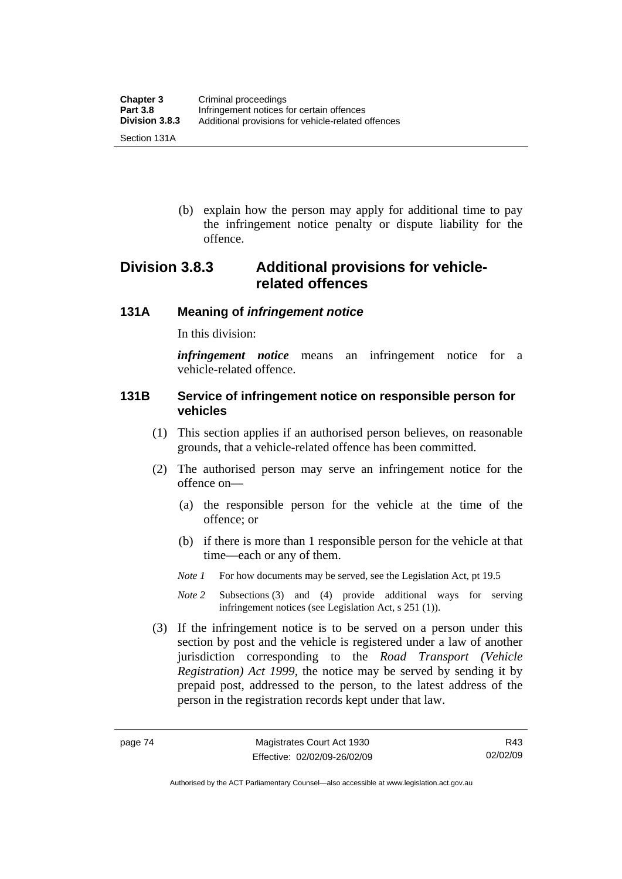(b) explain how the person may apply for additional time to pay the infringement notice penalty or dispute liability for the offence.

## **Division 3.8.3 Additional provisions for vehiclerelated offences**

#### **131A Meaning of** *infringement notice*

In this division:

*infringement notice* means an infringement notice for a vehicle-related offence.

#### **131B Service of infringement notice on responsible person for vehicles**

- (1) This section applies if an authorised person believes, on reasonable grounds, that a vehicle-related offence has been committed.
- (2) The authorised person may serve an infringement notice for the offence on—
	- (a) the responsible person for the vehicle at the time of the offence; or
	- (b) if there is more than 1 responsible person for the vehicle at that time—each or any of them.
	- *Note 1* For how documents may be served, see the Legislation Act, pt 19.5
	- *Note 2* Subsections (3) and (4) provide additional ways for serving infringement notices (see Legislation Act, s 251 (1)).
- (3) If the infringement notice is to be served on a person under this section by post and the vehicle is registered under a law of another jurisdiction corresponding to the *Road Transport (Vehicle Registration) Act 1999*, the notice may be served by sending it by prepaid post, addressed to the person, to the latest address of the person in the registration records kept under that law.

Authorised by the ACT Parliamentary Counsel—also accessible at www.legislation.act.gov.au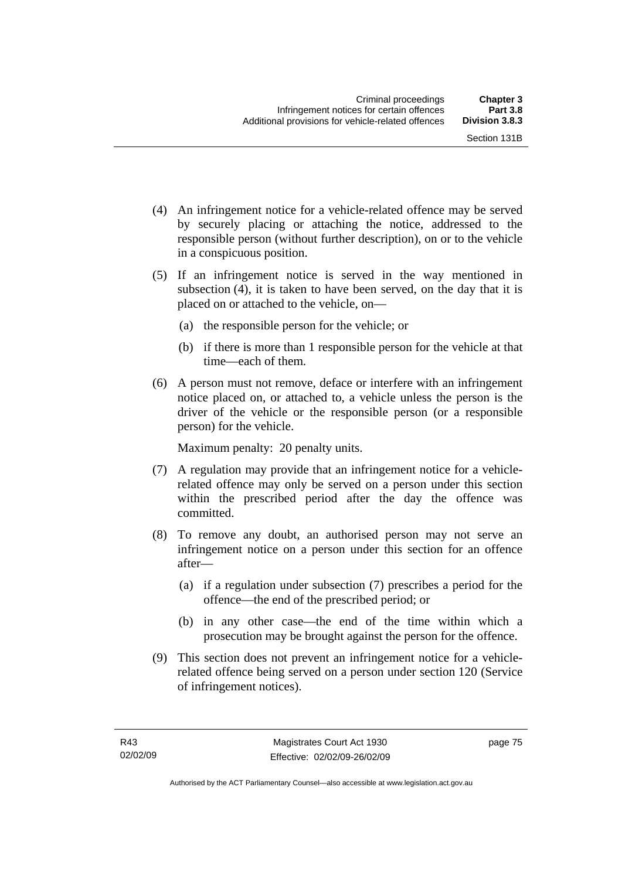- (4) An infringement notice for a vehicle-related offence may be served by securely placing or attaching the notice, addressed to the responsible person (without further description), on or to the vehicle in a conspicuous position.
- (5) If an infringement notice is served in the way mentioned in subsection (4), it is taken to have been served, on the day that it is placed on or attached to the vehicle, on—
	- (a) the responsible person for the vehicle; or
	- (b) if there is more than 1 responsible person for the vehicle at that time—each of them.
- (6) A person must not remove, deface or interfere with an infringement notice placed on, or attached to, a vehicle unless the person is the driver of the vehicle or the responsible person (or a responsible person) for the vehicle.

Maximum penalty: 20 penalty units.

- (7) A regulation may provide that an infringement notice for a vehiclerelated offence may only be served on a person under this section within the prescribed period after the day the offence was committed.
- (8) To remove any doubt, an authorised person may not serve an infringement notice on a person under this section for an offence after—
	- (a) if a regulation under subsection (7) prescribes a period for the offence—the end of the prescribed period; or
	- (b) in any other case—the end of the time within which a prosecution may be brought against the person for the offence.
- (9) This section does not prevent an infringement notice for a vehiclerelated offence being served on a person under section 120 (Service of infringement notices).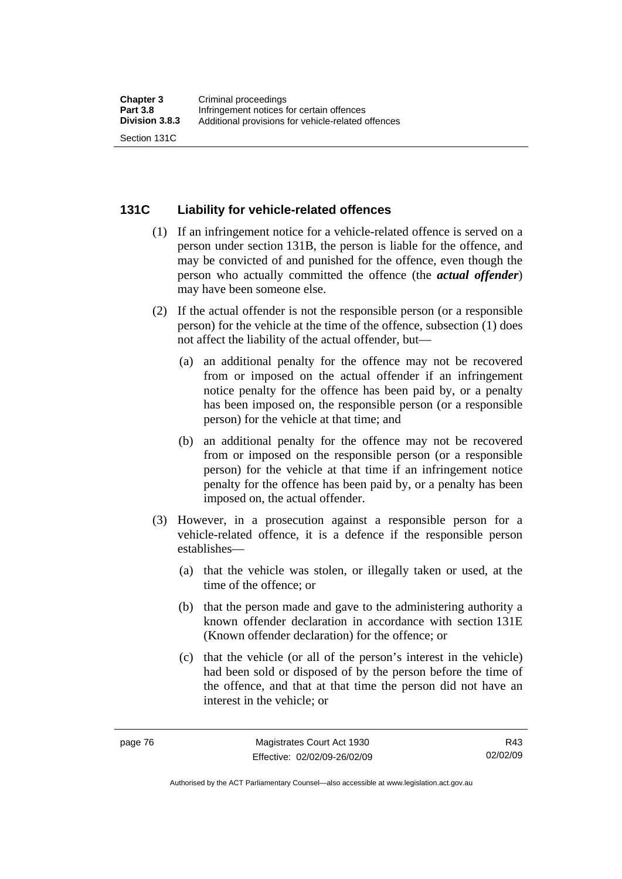#### **131C Liability for vehicle-related offences**

- (1) If an infringement notice for a vehicle-related offence is served on a person under section 131B, the person is liable for the offence, and may be convicted of and punished for the offence, even though the person who actually committed the offence (the *actual offender*) may have been someone else.
- (2) If the actual offender is not the responsible person (or a responsible person) for the vehicle at the time of the offence, subsection (1) does not affect the liability of the actual offender, but—
	- (a) an additional penalty for the offence may not be recovered from or imposed on the actual offender if an infringement notice penalty for the offence has been paid by, or a penalty has been imposed on, the responsible person (or a responsible person) for the vehicle at that time; and
	- (b) an additional penalty for the offence may not be recovered from or imposed on the responsible person (or a responsible person) for the vehicle at that time if an infringement notice penalty for the offence has been paid by, or a penalty has been imposed on, the actual offender.
- (3) However, in a prosecution against a responsible person for a vehicle-related offence, it is a defence if the responsible person establishes—
	- (a) that the vehicle was stolen, or illegally taken or used, at the time of the offence; or
	- (b) that the person made and gave to the administering authority a known offender declaration in accordance with section 131E (Known offender declaration) for the offence; or
	- (c) that the vehicle (or all of the person's interest in the vehicle) had been sold or disposed of by the person before the time of the offence, and that at that time the person did not have an interest in the vehicle; or

R43 02/02/09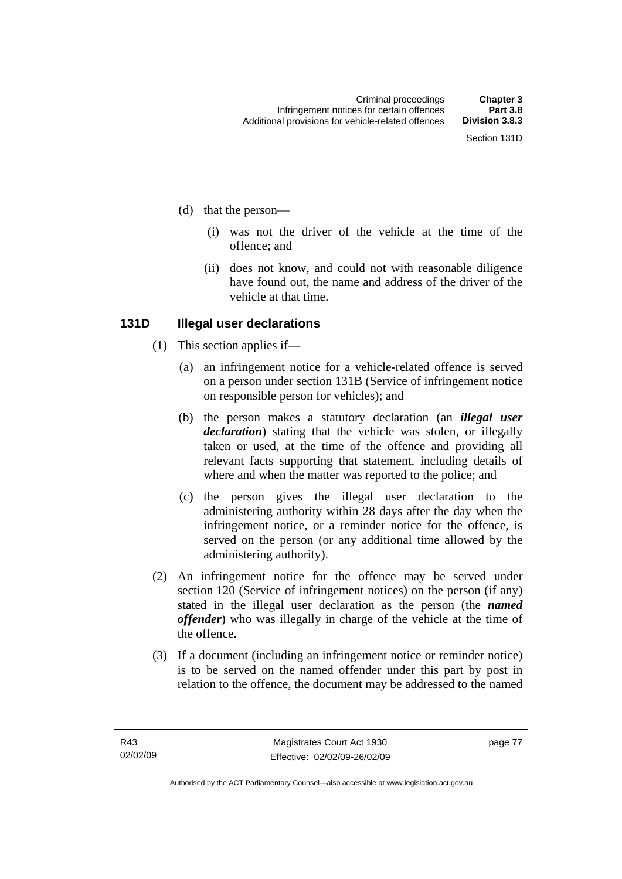- (d) that the person—
	- (i) was not the driver of the vehicle at the time of the offence; and
	- (ii) does not know, and could not with reasonable diligence have found out, the name and address of the driver of the vehicle at that time.

#### **131D Illegal user declarations**

- (1) This section applies if—
	- (a) an infringement notice for a vehicle-related offence is served on a person under section 131B (Service of infringement notice on responsible person for vehicles); and
	- (b) the person makes a statutory declaration (an *illegal user declaration*) stating that the vehicle was stolen, or illegally taken or used, at the time of the offence and providing all relevant facts supporting that statement, including details of where and when the matter was reported to the police; and
	- (c) the person gives the illegal user declaration to the administering authority within 28 days after the day when the infringement notice, or a reminder notice for the offence, is served on the person (or any additional time allowed by the administering authority).
- (2) An infringement notice for the offence may be served under section 120 (Service of infringement notices) on the person (if any) stated in the illegal user declaration as the person (the *named offender*) who was illegally in charge of the vehicle at the time of the offence.
- (3) If a document (including an infringement notice or reminder notice) is to be served on the named offender under this part by post in relation to the offence, the document may be addressed to the named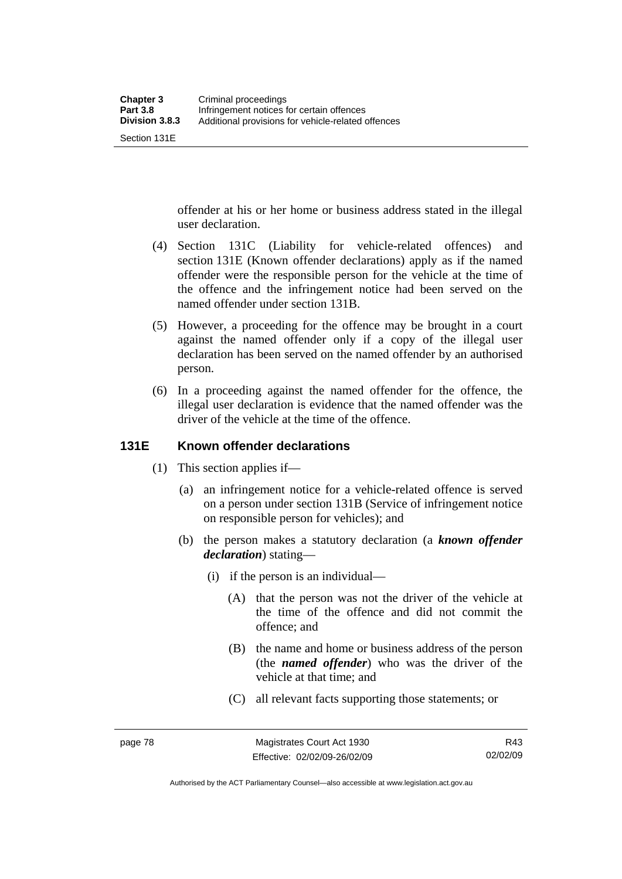Section 131E

offender at his or her home or business address stated in the illegal user declaration.

- (4) Section 131C (Liability for vehicle-related offences) and section 131E (Known offender declarations) apply as if the named offender were the responsible person for the vehicle at the time of the offence and the infringement notice had been served on the named offender under section 131B.
- (5) However, a proceeding for the offence may be brought in a court against the named offender only if a copy of the illegal user declaration has been served on the named offender by an authorised person.
- (6) In a proceeding against the named offender for the offence, the illegal user declaration is evidence that the named offender was the driver of the vehicle at the time of the offence.

#### **131E Known offender declarations**

- (1) This section applies if—
	- (a) an infringement notice for a vehicle-related offence is served on a person under section 131B (Service of infringement notice on responsible person for vehicles); and
	- (b) the person makes a statutory declaration (a *known offender declaration*) stating—
		- (i) if the person is an individual—
			- (A) that the person was not the driver of the vehicle at the time of the offence and did not commit the offence; and
			- (B) the name and home or business address of the person (the *named offender*) who was the driver of the vehicle at that time; and
			- (C) all relevant facts supporting those statements; or

R43 02/02/09

Authorised by the ACT Parliamentary Counsel—also accessible at www.legislation.act.gov.au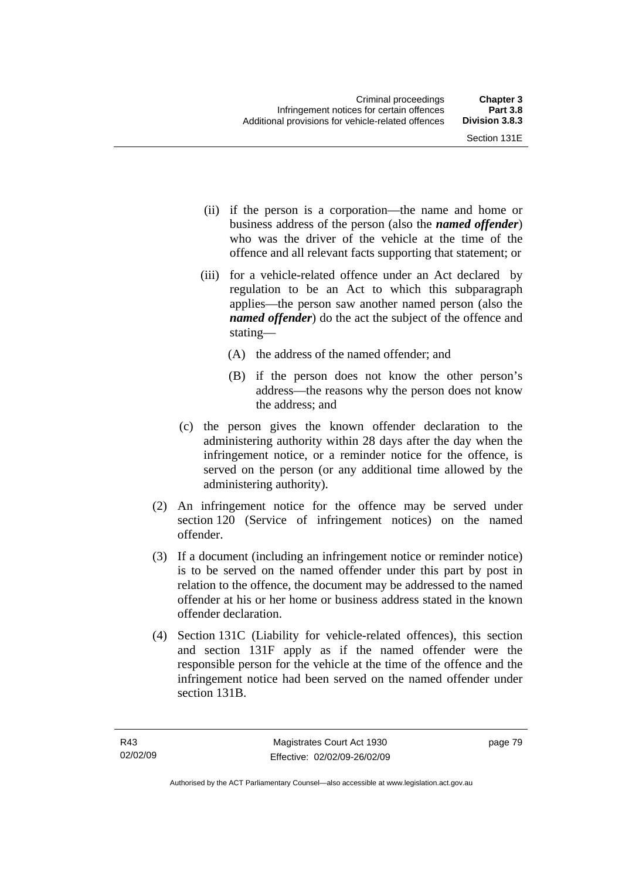- (ii) if the person is a corporation—the name and home or business address of the person (also the *named offender*) who was the driver of the vehicle at the time of the offence and all relevant facts supporting that statement; or
- (iii) for a vehicle-related offence under an Act declared by regulation to be an Act to which this subparagraph applies—the person saw another named person (also the *named offender*) do the act the subject of the offence and stating—
	- (A) the address of the named offender; and
	- (B) if the person does not know the other person's address—the reasons why the person does not know the address; and
- (c) the person gives the known offender declaration to the administering authority within 28 days after the day when the infringement notice, or a reminder notice for the offence, is served on the person (or any additional time allowed by the administering authority).
- (2) An infringement notice for the offence may be served under section 120 (Service of infringement notices) on the named offender.
- (3) If a document (including an infringement notice or reminder notice) is to be served on the named offender under this part by post in relation to the offence, the document may be addressed to the named offender at his or her home or business address stated in the known offender declaration.
- (4) Section 131C (Liability for vehicle-related offences), this section and section 131F apply as if the named offender were the responsible person for the vehicle at the time of the offence and the infringement notice had been served on the named offender under section 131B.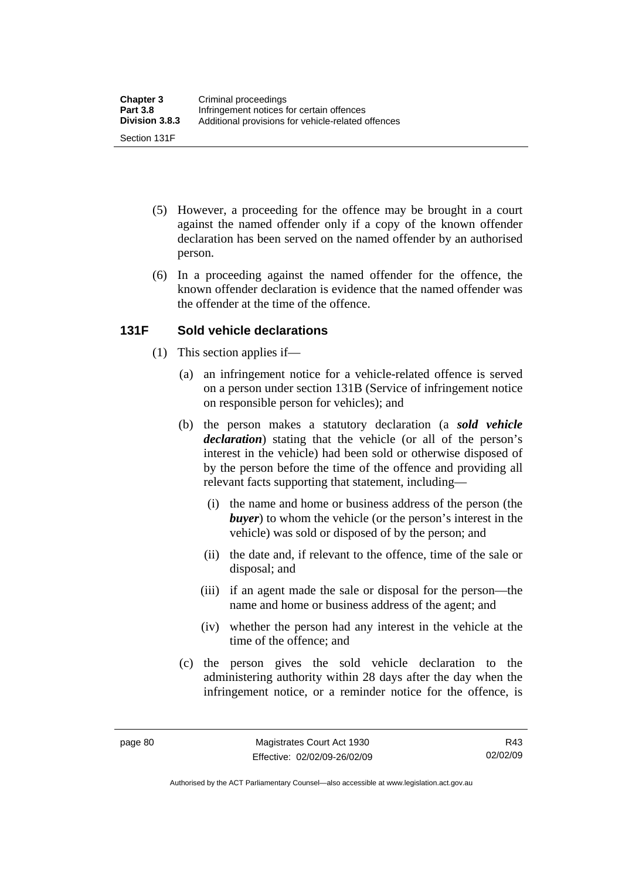- (5) However, a proceeding for the offence may be brought in a court against the named offender only if a copy of the known offender declaration has been served on the named offender by an authorised person.
- (6) In a proceeding against the named offender for the offence, the known offender declaration is evidence that the named offender was the offender at the time of the offence.

### **131F Sold vehicle declarations**

- (1) This section applies if—
	- (a) an infringement notice for a vehicle-related offence is served on a person under section 131B (Service of infringement notice on responsible person for vehicles); and
	- (b) the person makes a statutory declaration (a *sold vehicle declaration*) stating that the vehicle (or all of the person's interest in the vehicle) had been sold or otherwise disposed of by the person before the time of the offence and providing all relevant facts supporting that statement, including—
		- (i) the name and home or business address of the person (the *buyer*) to whom the vehicle (or the person's interest in the vehicle) was sold or disposed of by the person; and
		- (ii) the date and, if relevant to the offence, time of the sale or disposal; and
		- (iii) if an agent made the sale or disposal for the person—the name and home or business address of the agent; and
		- (iv) whether the person had any interest in the vehicle at the time of the offence; and
	- (c) the person gives the sold vehicle declaration to the administering authority within 28 days after the day when the infringement notice, or a reminder notice for the offence, is

Authorised by the ACT Parliamentary Counsel—also accessible at www.legislation.act.gov.au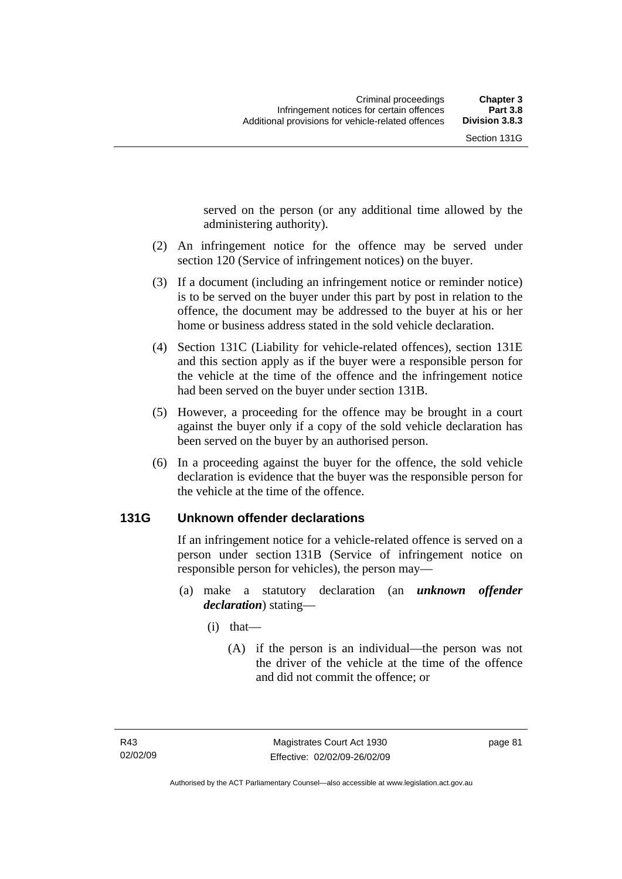served on the person (or any additional time allowed by the administering authority).

- (2) An infringement notice for the offence may be served under section 120 (Service of infringement notices) on the buyer.
- (3) If a document (including an infringement notice or reminder notice) is to be served on the buyer under this part by post in relation to the offence, the document may be addressed to the buyer at his or her home or business address stated in the sold vehicle declaration.
- (4) Section 131C (Liability for vehicle-related offences), section 131E and this section apply as if the buyer were a responsible person for the vehicle at the time of the offence and the infringement notice had been served on the buyer under section 131B.
- (5) However, a proceeding for the offence may be brought in a court against the buyer only if a copy of the sold vehicle declaration has been served on the buyer by an authorised person.
- (6) In a proceeding against the buyer for the offence, the sold vehicle declaration is evidence that the buyer was the responsible person for the vehicle at the time of the offence.

#### **131G Unknown offender declarations**

If an infringement notice for a vehicle-related offence is served on a person under section 131B (Service of infringement notice on responsible person for vehicles), the person may—

- (a) make a statutory declaration (an *unknown offender declaration*) stating—
	- (i) that—
		- (A) if the person is an individual—the person was not the driver of the vehicle at the time of the offence and did not commit the offence; or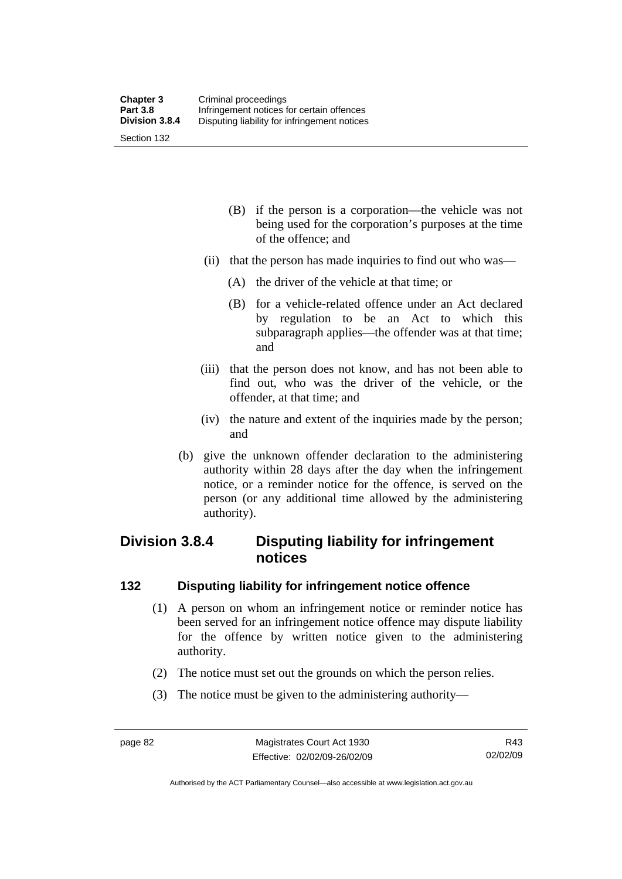- (B) if the person is a corporation—the vehicle was not being used for the corporation's purposes at the time of the offence; and
- (ii) that the person has made inquiries to find out who was—
	- (A) the driver of the vehicle at that time; or
	- (B) for a vehicle-related offence under an Act declared by regulation to be an Act to which this subparagraph applies—the offender was at that time; and
- (iii) that the person does not know, and has not been able to find out, who was the driver of the vehicle, or the offender, at that time; and
- (iv) the nature and extent of the inquiries made by the person; and
- (b) give the unknown offender declaration to the administering authority within 28 days after the day when the infringement notice, or a reminder notice for the offence, is served on the person (or any additional time allowed by the administering authority).

## **Division 3.8.4 Disputing liability for infringement notices**

#### **132 Disputing liability for infringement notice offence**

- (1) A person on whom an infringement notice or reminder notice has been served for an infringement notice offence may dispute liability for the offence by written notice given to the administering authority.
- (2) The notice must set out the grounds on which the person relies.
- (3) The notice must be given to the administering authority—

Authorised by the ACT Parliamentary Counsel—also accessible at www.legislation.act.gov.au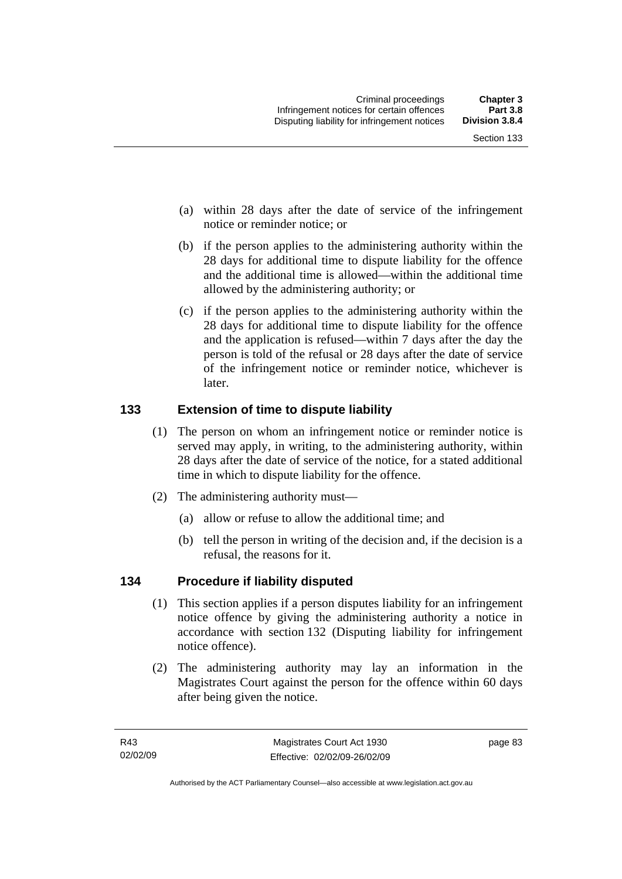- (a) within 28 days after the date of service of the infringement notice or reminder notice; or
- (b) if the person applies to the administering authority within the 28 days for additional time to dispute liability for the offence and the additional time is allowed—within the additional time allowed by the administering authority; or
- (c) if the person applies to the administering authority within the 28 days for additional time to dispute liability for the offence and the application is refused—within 7 days after the day the person is told of the refusal or 28 days after the date of service of the infringement notice or reminder notice, whichever is later.

## **133 Extension of time to dispute liability**

- (1) The person on whom an infringement notice or reminder notice is served may apply, in writing, to the administering authority, within 28 days after the date of service of the notice, for a stated additional time in which to dispute liability for the offence.
- (2) The administering authority must—
	- (a) allow or refuse to allow the additional time; and
	- (b) tell the person in writing of the decision and, if the decision is a refusal, the reasons for it.

## **134 Procedure if liability disputed**

- (1) This section applies if a person disputes liability for an infringement notice offence by giving the administering authority a notice in accordance with section 132 (Disputing liability for infringement notice offence).
- (2) The administering authority may lay an information in the Magistrates Court against the person for the offence within 60 days after being given the notice.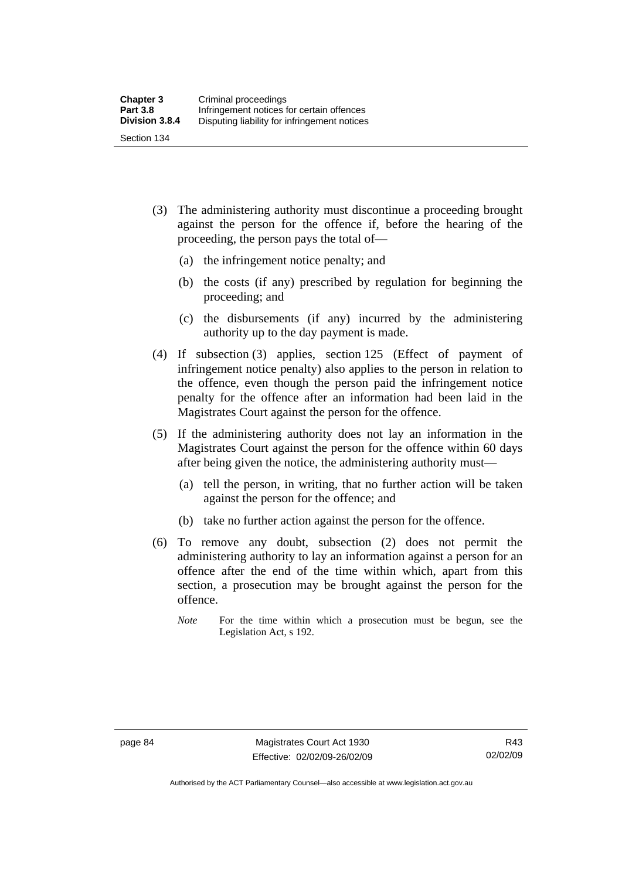- (3) The administering authority must discontinue a proceeding brought against the person for the offence if, before the hearing of the proceeding, the person pays the total of—
	- (a) the infringement notice penalty; and
	- (b) the costs (if any) prescribed by regulation for beginning the proceeding; and
	- (c) the disbursements (if any) incurred by the administering authority up to the day payment is made.
- (4) If subsection (3) applies, section 125 (Effect of payment of infringement notice penalty) also applies to the person in relation to the offence, even though the person paid the infringement notice penalty for the offence after an information had been laid in the Magistrates Court against the person for the offence.
- (5) If the administering authority does not lay an information in the Magistrates Court against the person for the offence within 60 days after being given the notice, the administering authority must—
	- (a) tell the person, in writing, that no further action will be taken against the person for the offence; and
	- (b) take no further action against the person for the offence.
- (6) To remove any doubt, subsection (2) does not permit the administering authority to lay an information against a person for an offence after the end of the time within which, apart from this section, a prosecution may be brought against the person for the offence.
	- *Note* For the time within which a prosecution must be begun, see the Legislation Act, s 192.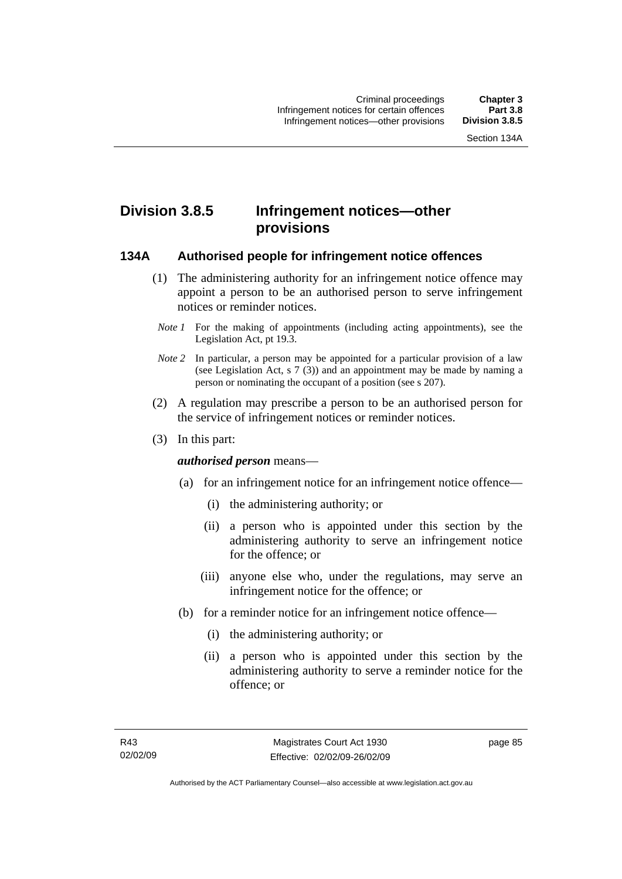## **Division 3.8.5 Infringement notices—other provisions**

#### **134A Authorised people for infringement notice offences**

- (1) The administering authority for an infringement notice offence may appoint a person to be an authorised person to serve infringement notices or reminder notices.
- *Note 1* For the making of appointments (including acting appointments), see the Legislation Act, pt 19.3.
- *Note 2* In particular, a person may be appointed for a particular provision of a law (see Legislation Act, s 7 (3)) and an appointment may be made by naming a person or nominating the occupant of a position (see s 207).
- (2) A regulation may prescribe a person to be an authorised person for the service of infringement notices or reminder notices.
- (3) In this part:

#### *authorised person* means—

- (a) for an infringement notice for an infringement notice offence—
	- (i) the administering authority; or
	- (ii) a person who is appointed under this section by the administering authority to serve an infringement notice for the offence; or
	- (iii) anyone else who, under the regulations, may serve an infringement notice for the offence; or
- (b) for a reminder notice for an infringement notice offence—
	- (i) the administering authority; or
	- (ii) a person who is appointed under this section by the administering authority to serve a reminder notice for the offence; or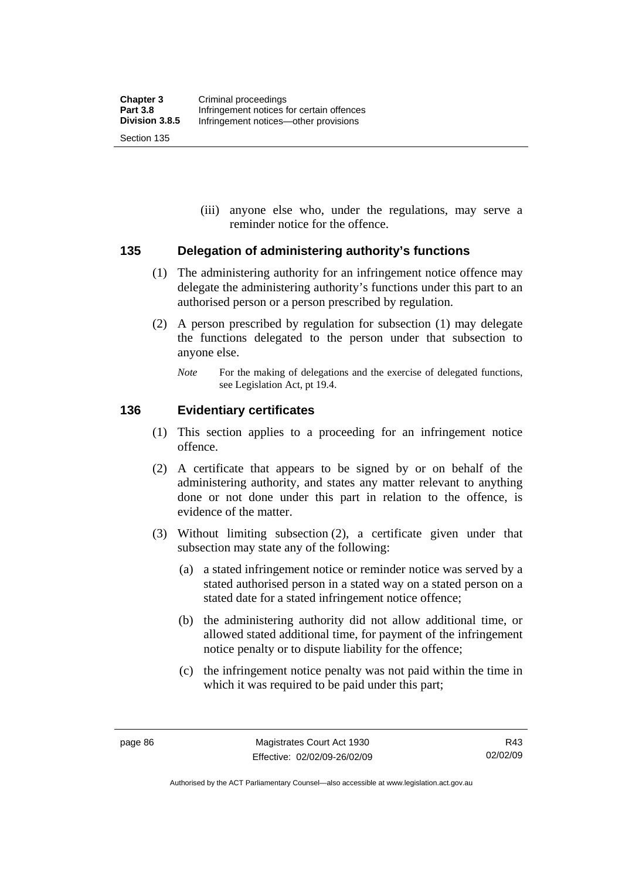(iii) anyone else who, under the regulations, may serve a reminder notice for the offence.

#### **135 Delegation of administering authority's functions**

- (1) The administering authority for an infringement notice offence may delegate the administering authority's functions under this part to an authorised person or a person prescribed by regulation.
- (2) A person prescribed by regulation for subsection (1) may delegate the functions delegated to the person under that subsection to anyone else.
	- *Note* For the making of delegations and the exercise of delegated functions, see Legislation Act, pt 19.4.

#### **136 Evidentiary certificates**

- (1) This section applies to a proceeding for an infringement notice offence.
- (2) A certificate that appears to be signed by or on behalf of the administering authority, and states any matter relevant to anything done or not done under this part in relation to the offence, is evidence of the matter.
- (3) Without limiting subsection (2), a certificate given under that subsection may state any of the following:
	- (a) a stated infringement notice or reminder notice was served by a stated authorised person in a stated way on a stated person on a stated date for a stated infringement notice offence;
	- (b) the administering authority did not allow additional time, or allowed stated additional time, for payment of the infringement notice penalty or to dispute liability for the offence;
	- (c) the infringement notice penalty was not paid within the time in which it was required to be paid under this part;

R43 02/02/09

Authorised by the ACT Parliamentary Counsel—also accessible at www.legislation.act.gov.au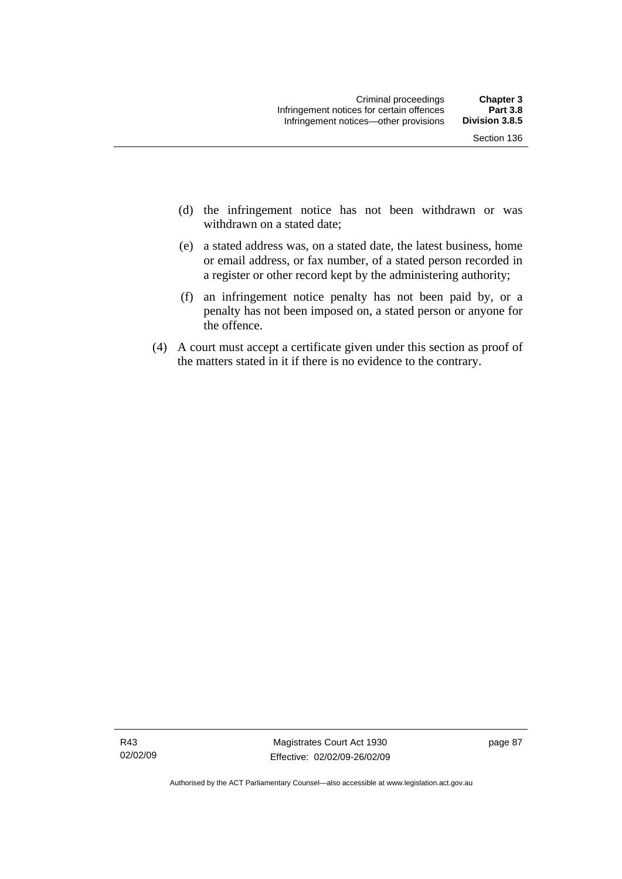- (d) the infringement notice has not been withdrawn or was withdrawn on a stated date:
- (e) a stated address was, on a stated date, the latest business, home or email address, or fax number, of a stated person recorded in a register or other record kept by the administering authority;
- (f) an infringement notice penalty has not been paid by, or a penalty has not been imposed on, a stated person or anyone for the offence.
- (4) A court must accept a certificate given under this section as proof of the matters stated in it if there is no evidence to the contrary.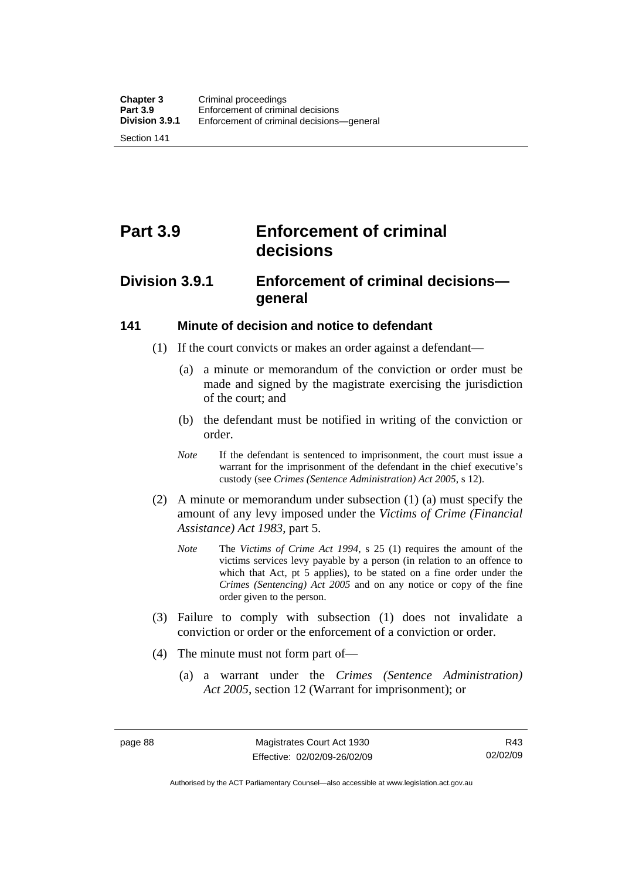Section 141

# **Part 3.9 Enforcement of criminal decisions**

## **Division 3.9.1 Enforcement of criminal decisions general**

#### **141 Minute of decision and notice to defendant**

- (1) If the court convicts or makes an order against a defendant—
	- (a) a minute or memorandum of the conviction or order must be made and signed by the magistrate exercising the jurisdiction of the court; and
	- (b) the defendant must be notified in writing of the conviction or order.
	- *Note* If the defendant is sentenced to imprisonment, the court must issue a warrant for the imprisonment of the defendant in the chief executive's custody (see *Crimes (Sentence Administration) Act 2005*, s 12).
- (2) A minute or memorandum under subsection (1) (a) must specify the amount of any levy imposed under the *Victims of Crime (Financial Assistance) Act 1983*, part 5.
	- *Note* The *Victims of Crime Act 1994*, s 25 (1) requires the amount of the victims services levy payable by a person (in relation to an offence to which that Act, pt 5 applies), to be stated on a fine order under the *Crimes (Sentencing) Act 2005* and on any notice or copy of the fine order given to the person.
- (3) Failure to comply with subsection (1) does not invalidate a conviction or order or the enforcement of a conviction or order.
- (4) The minute must not form part of—
	- (a) a warrant under the *Crimes (Sentence Administration) Act 2005*, section 12 (Warrant for imprisonment); or

R43 02/02/09

Authorised by the ACT Parliamentary Counsel—also accessible at www.legislation.act.gov.au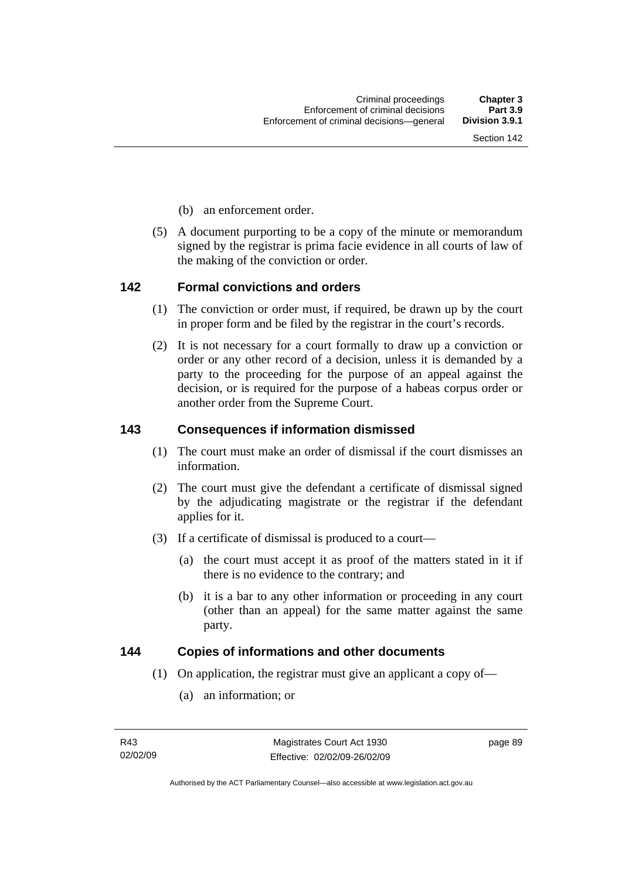- (b) an enforcement order.
- (5) A document purporting to be a copy of the minute or memorandum signed by the registrar is prima facie evidence in all courts of law of the making of the conviction or order.

#### **142 Formal convictions and orders**

- (1) The conviction or order must, if required, be drawn up by the court in proper form and be filed by the registrar in the court's records.
- (2) It is not necessary for a court formally to draw up a conviction or order or any other record of a decision, unless it is demanded by a party to the proceeding for the purpose of an appeal against the decision, or is required for the purpose of a habeas corpus order or another order from the Supreme Court.

#### **143 Consequences if information dismissed**

- (1) The court must make an order of dismissal if the court dismisses an information.
- (2) The court must give the defendant a certificate of dismissal signed by the adjudicating magistrate or the registrar if the defendant applies for it.
- (3) If a certificate of dismissal is produced to a court—
	- (a) the court must accept it as proof of the matters stated in it if there is no evidence to the contrary; and
	- (b) it is a bar to any other information or proceeding in any court (other than an appeal) for the same matter against the same party.

#### **144 Copies of informations and other documents**

- (1) On application, the registrar must give an applicant a copy of—
	- (a) an information; or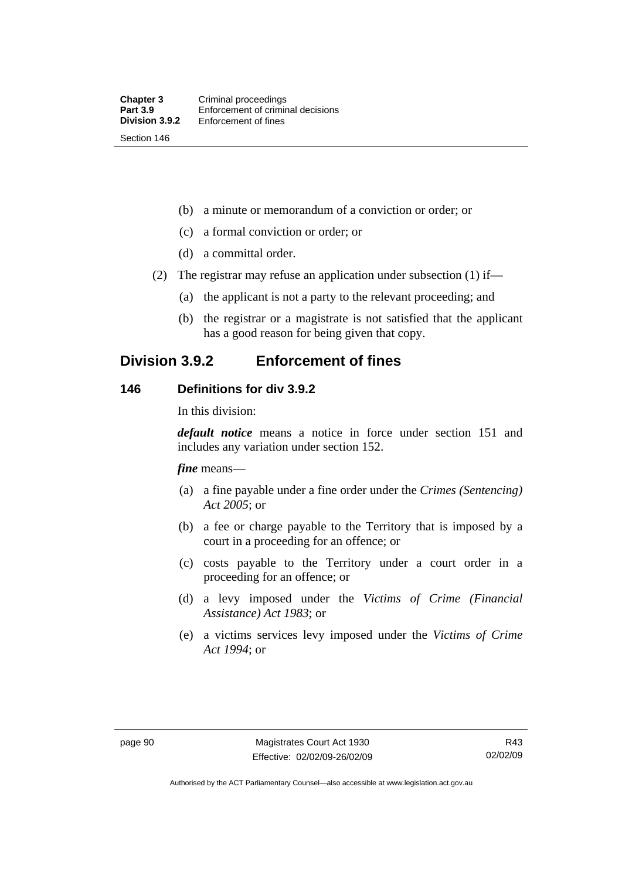(b) a minute or memorandum of a conviction or order; or

- (c) a formal conviction or order; or
- (d) a committal order.
- (2) The registrar may refuse an application under subsection (1) if—
	- (a) the applicant is not a party to the relevant proceeding; and
	- (b) the registrar or a magistrate is not satisfied that the applicant has a good reason for being given that copy.

## **Division 3.9.2 Enforcement of fines**

#### **146 Definitions for div 3.9.2**

In this division:

*default notice* means a notice in force under section 151 and includes any variation under section 152.

*fine* means—

- (a) a fine payable under a fine order under the *Crimes (Sentencing) Act 2005*; or
- (b) a fee or charge payable to the Territory that is imposed by a court in a proceeding for an offence; or
- (c) costs payable to the Territory under a court order in a proceeding for an offence; or
- (d) a levy imposed under the *Victims of Crime (Financial Assistance) Act 1983*; or
- (e) a victims services levy imposed under the *Victims of Crime Act 1994*; or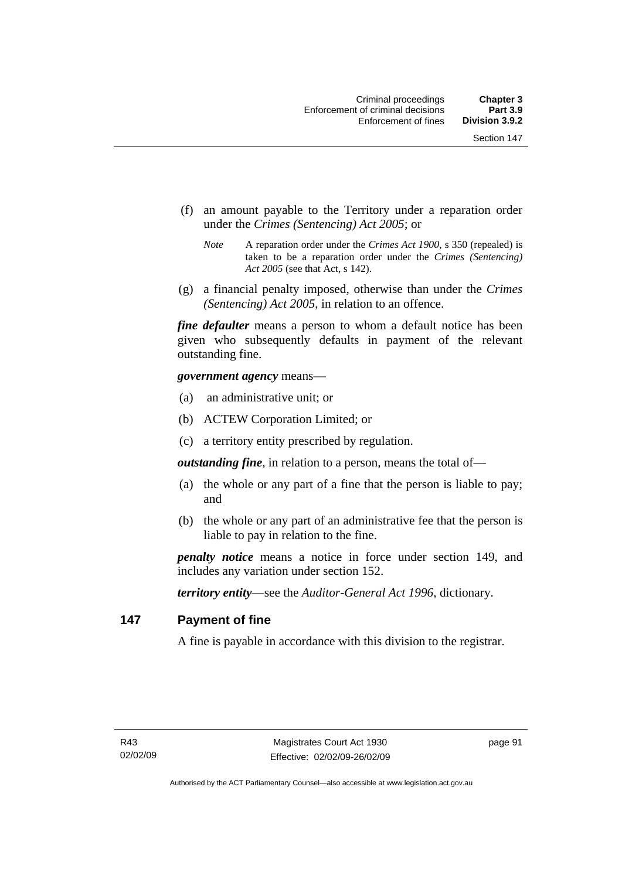- (f) an amount payable to the Territory under a reparation order under the *Crimes (Sentencing) Act 2005*; or
	- *Note* A reparation order under the *Crimes Act 1900*, s 350 (repealed) is taken to be a reparation order under the *Crimes (Sentencing) Act 2005* (see that Act, s 142).
- (g) a financial penalty imposed, otherwise than under the *Crimes (Sentencing) Act 2005*, in relation to an offence.

*fine defaulter* means a person to whom a default notice has been given who subsequently defaults in payment of the relevant outstanding fine.

*government agency* means—

- (a) an administrative unit; or
- (b) ACTEW Corporation Limited; or
- (c) a territory entity prescribed by regulation.

*outstanding fine*, in relation to a person, means the total of—

- (a) the whole or any part of a fine that the person is liable to pay; and
- (b) the whole or any part of an administrative fee that the person is liable to pay in relation to the fine.

*penalty notice* means a notice in force under section 149, and includes any variation under section 152.

*territory entity*—see the *Auditor-General Act 1996*, dictionary.

#### **147 Payment of fine**

A fine is payable in accordance with this division to the registrar.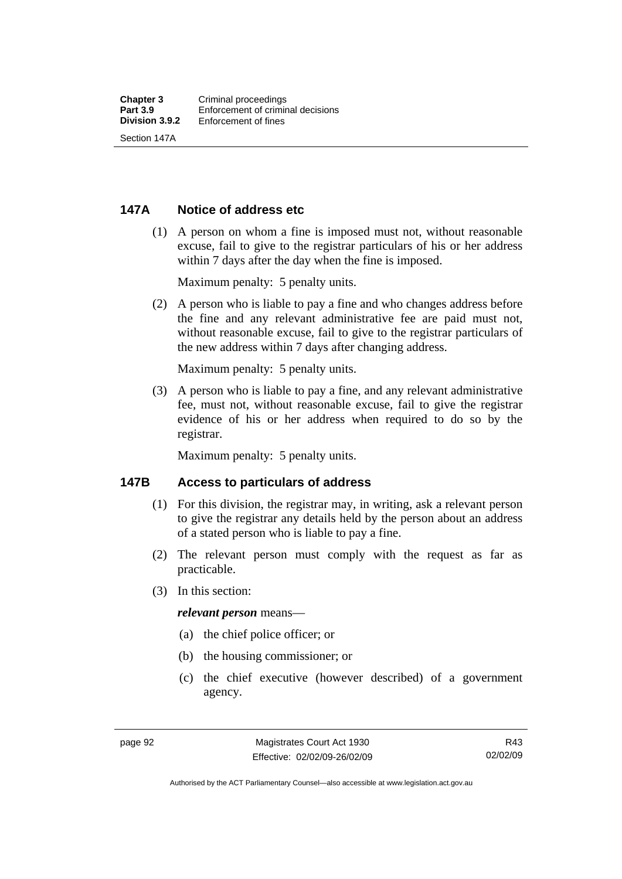#### **147A Notice of address etc**

 (1) A person on whom a fine is imposed must not, without reasonable excuse, fail to give to the registrar particulars of his or her address within 7 days after the day when the fine is imposed.

Maximum penalty: 5 penalty units.

 (2) A person who is liable to pay a fine and who changes address before the fine and any relevant administrative fee are paid must not, without reasonable excuse, fail to give to the registrar particulars of the new address within 7 days after changing address.

Maximum penalty: 5 penalty units.

 (3) A person who is liable to pay a fine, and any relevant administrative fee, must not, without reasonable excuse, fail to give the registrar evidence of his or her address when required to do so by the registrar.

Maximum penalty: 5 penalty units.

#### **147B Access to particulars of address**

- (1) For this division, the registrar may, in writing, ask a relevant person to give the registrar any details held by the person about an address of a stated person who is liable to pay a fine.
- (2) The relevant person must comply with the request as far as practicable.
- (3) In this section:

#### *relevant person* means—

- (a) the chief police officer; or
- (b) the housing commissioner; or
- (c) the chief executive (however described) of a government agency.

Authorised by the ACT Parliamentary Counsel—also accessible at www.legislation.act.gov.au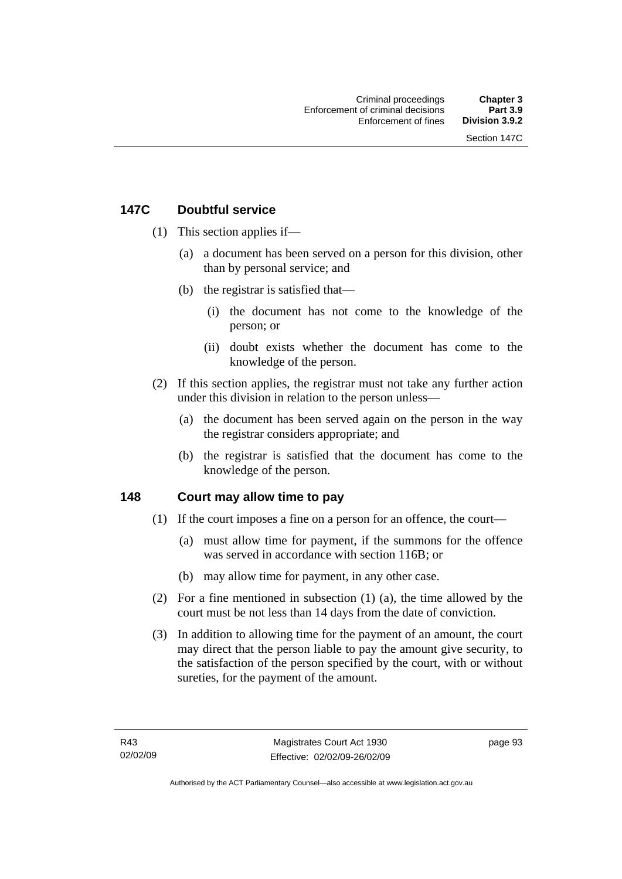## **147C Doubtful service**

- (1) This section applies if—
	- (a) a document has been served on a person for this division, other than by personal service; and
	- (b) the registrar is satisfied that—
		- (i) the document has not come to the knowledge of the person; or
		- (ii) doubt exists whether the document has come to the knowledge of the person.
- (2) If this section applies, the registrar must not take any further action under this division in relation to the person unless—
	- (a) the document has been served again on the person in the way the registrar considers appropriate; and
	- (b) the registrar is satisfied that the document has come to the knowledge of the person.

## **148 Court may allow time to pay**

- (1) If the court imposes a fine on a person for an offence, the court—
	- (a) must allow time for payment, if the summons for the offence was served in accordance with section 116B; or
	- (b) may allow time for payment, in any other case.
- (2) For a fine mentioned in subsection (1) (a), the time allowed by the court must be not less than 14 days from the date of conviction.
- (3) In addition to allowing time for the payment of an amount, the court may direct that the person liable to pay the amount give security, to the satisfaction of the person specified by the court, with or without sureties, for the payment of the amount.

page 93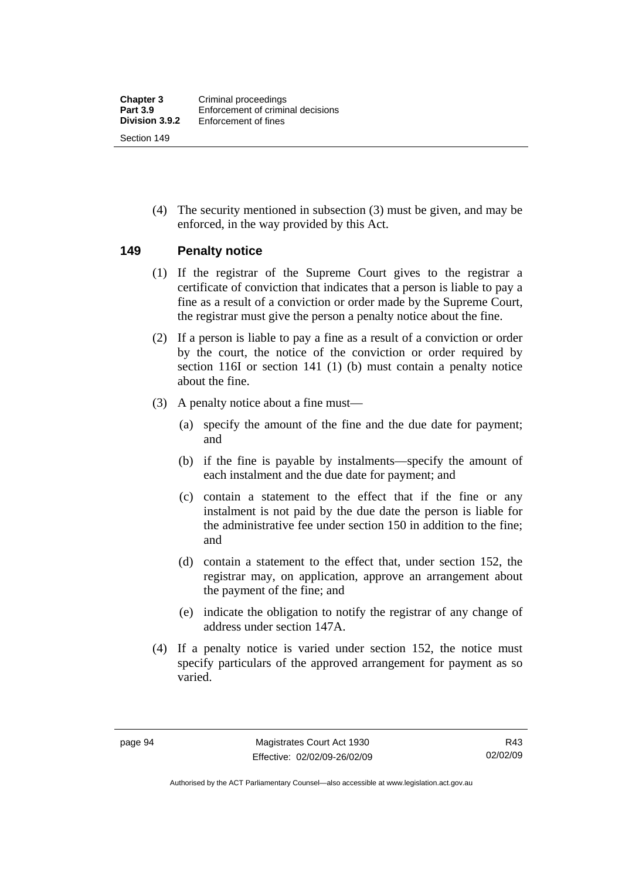(4) The security mentioned in subsection (3) must be given, and may be enforced, in the way provided by this Act.

#### **149 Penalty notice**

- (1) If the registrar of the Supreme Court gives to the registrar a certificate of conviction that indicates that a person is liable to pay a fine as a result of a conviction or order made by the Supreme Court, the registrar must give the person a penalty notice about the fine.
- (2) If a person is liable to pay a fine as a result of a conviction or order by the court, the notice of the conviction or order required by section 116I or section 141 (1) (b) must contain a penalty notice about the fine.
- (3) A penalty notice about a fine must—
	- (a) specify the amount of the fine and the due date for payment; and
	- (b) if the fine is payable by instalments—specify the amount of each instalment and the due date for payment; and
	- (c) contain a statement to the effect that if the fine or any instalment is not paid by the due date the person is liable for the administrative fee under section 150 in addition to the fine; and
	- (d) contain a statement to the effect that, under section 152, the registrar may, on application, approve an arrangement about the payment of the fine; and
	- (e) indicate the obligation to notify the registrar of any change of address under section 147A.
- (4) If a penalty notice is varied under section 152, the notice must specify particulars of the approved arrangement for payment as so varied.

Authorised by the ACT Parliamentary Counsel—also accessible at www.legislation.act.gov.au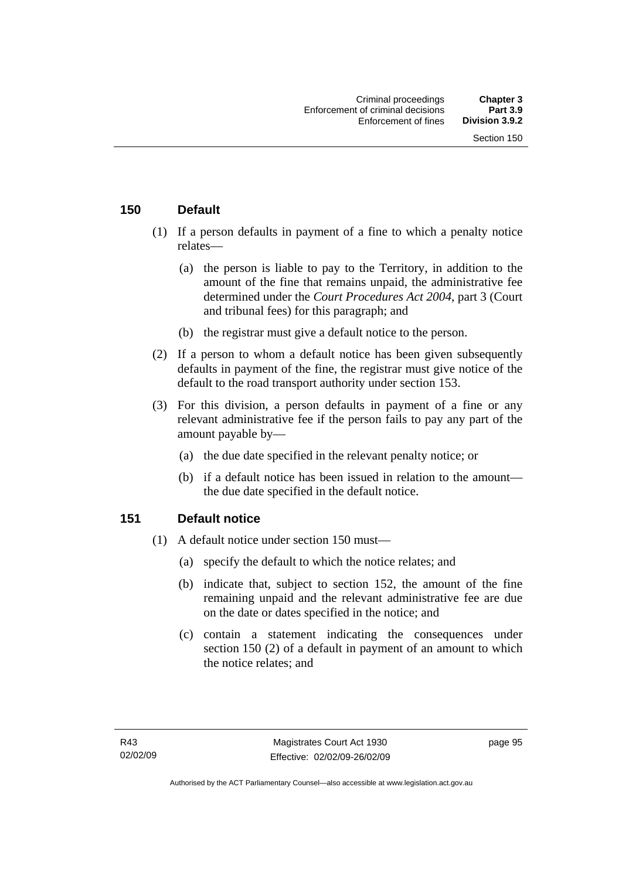## **150 Default**

- (1) If a person defaults in payment of a fine to which a penalty notice relates—
	- (a) the person is liable to pay to the Territory, in addition to the amount of the fine that remains unpaid, the administrative fee determined under the *Court Procedures Act 2004*, part 3 (Court and tribunal fees) for this paragraph; and
	- (b) the registrar must give a default notice to the person.
- (2) If a person to whom a default notice has been given subsequently defaults in payment of the fine, the registrar must give notice of the default to the road transport authority under section 153.
- (3) For this division, a person defaults in payment of a fine or any relevant administrative fee if the person fails to pay any part of the amount payable by—
	- (a) the due date specified in the relevant penalty notice; or
	- (b) if a default notice has been issued in relation to the amount the due date specified in the default notice.

## **151 Default notice**

- (1) A default notice under section 150 must—
	- (a) specify the default to which the notice relates; and
	- (b) indicate that, subject to section 152, the amount of the fine remaining unpaid and the relevant administrative fee are due on the date or dates specified in the notice; and
	- (c) contain a statement indicating the consequences under section 150 (2) of a default in payment of an amount to which the notice relates; and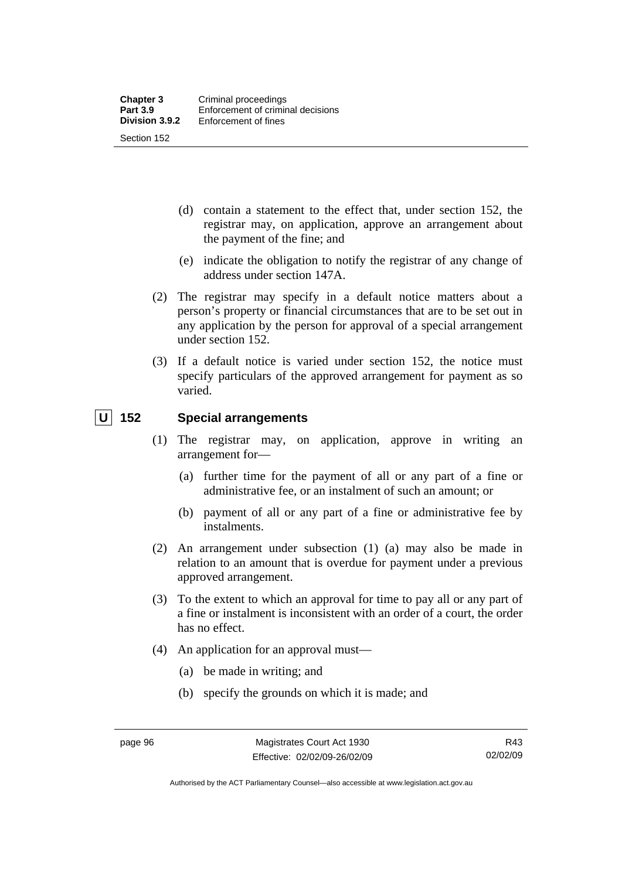- (d) contain a statement to the effect that, under section 152, the registrar may, on application, approve an arrangement about the payment of the fine; and
- (e) indicate the obligation to notify the registrar of any change of address under section 147A.
- (2) The registrar may specify in a default notice matters about a person's property or financial circumstances that are to be set out in any application by the person for approval of a special arrangement under section 152.
- (3) If a default notice is varied under section 152, the notice must specify particulars of the approved arrangement for payment as so varied.

## **U 152 Special arrangements**

- (1) The registrar may, on application, approve in writing an arrangement for—
	- (a) further time for the payment of all or any part of a fine or administrative fee, or an instalment of such an amount; or
	- (b) payment of all or any part of a fine or administrative fee by instalments.
- (2) An arrangement under subsection (1) (a) may also be made in relation to an amount that is overdue for payment under a previous approved arrangement.
- (3) To the extent to which an approval for time to pay all or any part of a fine or instalment is inconsistent with an order of a court, the order has no effect.
- (4) An application for an approval must—
	- (a) be made in writing; and
	- (b) specify the grounds on which it is made; and

Authorised by the ACT Parliamentary Counsel—also accessible at www.legislation.act.gov.au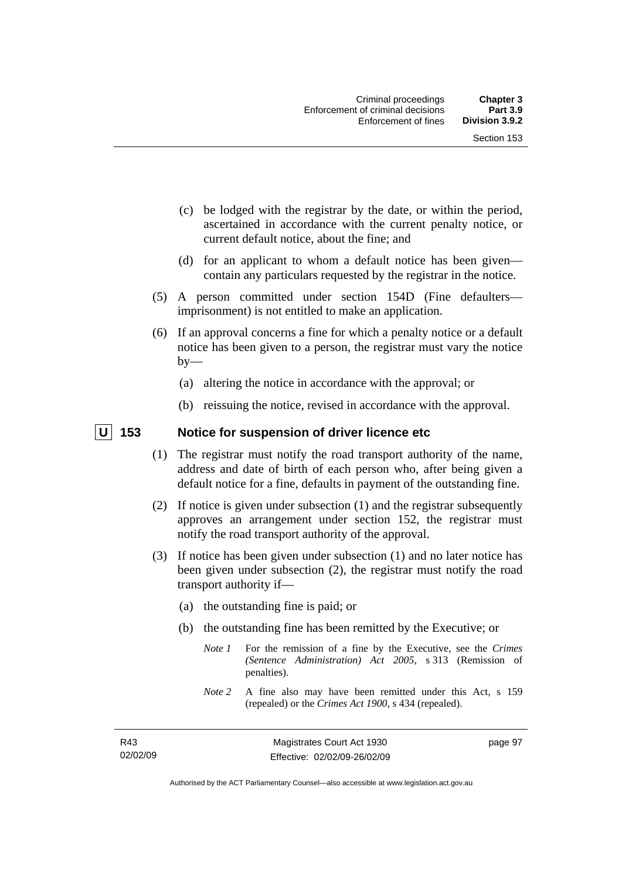- (c) be lodged with the registrar by the date, or within the period, ascertained in accordance with the current penalty notice, or current default notice, about the fine; and
- (d) for an applicant to whom a default notice has been given contain any particulars requested by the registrar in the notice.
- (5) A person committed under section 154D (Fine defaulters imprisonment) is not entitled to make an application.
- (6) If an approval concerns a fine for which a penalty notice or a default notice has been given to a person, the registrar must vary the notice  $by-$ 
	- (a) altering the notice in accordance with the approval; or
	- (b) reissuing the notice, revised in accordance with the approval.

## **U** 153 Notice for suspension of driver licence etc

- (1) The registrar must notify the road transport authority of the name, address and date of birth of each person who, after being given a default notice for a fine, defaults in payment of the outstanding fine.
- (2) If notice is given under subsection (1) and the registrar subsequently approves an arrangement under section 152, the registrar must notify the road transport authority of the approval.
- (3) If notice has been given under subsection (1) and no later notice has been given under subsection (2), the registrar must notify the road transport authority if—
	- (a) the outstanding fine is paid; or
	- (b) the outstanding fine has been remitted by the Executive; or
		- *Note 1* For the remission of a fine by the Executive, see the *Crimes (Sentence Administration) Act 2005*, s 313 (Remission of penalties).
		- *Note 2* A fine also may have been remitted under this Act, s 159 (repealed) or the *Crimes Act 1900*, s 434 (repealed).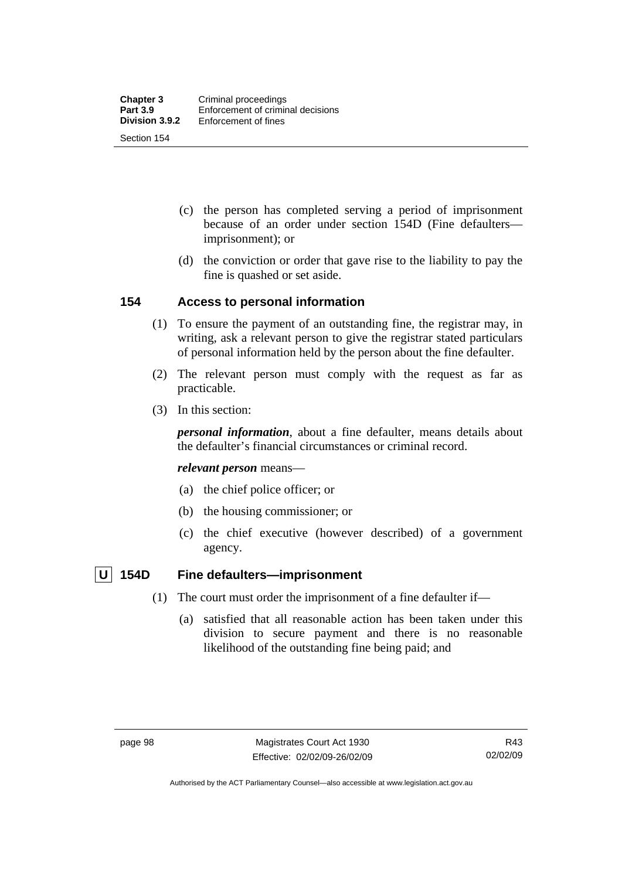- (c) the person has completed serving a period of imprisonment because of an order under section 154D (Fine defaulters imprisonment); or
- (d) the conviction or order that gave rise to the liability to pay the fine is quashed or set aside.

## **154 Access to personal information**

- (1) To ensure the payment of an outstanding fine, the registrar may, in writing, ask a relevant person to give the registrar stated particulars of personal information held by the person about the fine defaulter.
- (2) The relevant person must comply with the request as far as practicable.
- (3) In this section:

*personal information*, about a fine defaulter, means details about the defaulter's financial circumstances or criminal record.

#### *relevant person* means—

- (a) the chief police officer; or
- (b) the housing commissioner; or
- (c) the chief executive (however described) of a government agency.

## **U** 154D Fine defaulters—imprisonment

- (1) The court must order the imprisonment of a fine defaulter if—
	- (a) satisfied that all reasonable action has been taken under this division to secure payment and there is no reasonable likelihood of the outstanding fine being paid; and

Authorised by the ACT Parliamentary Counsel—also accessible at www.legislation.act.gov.au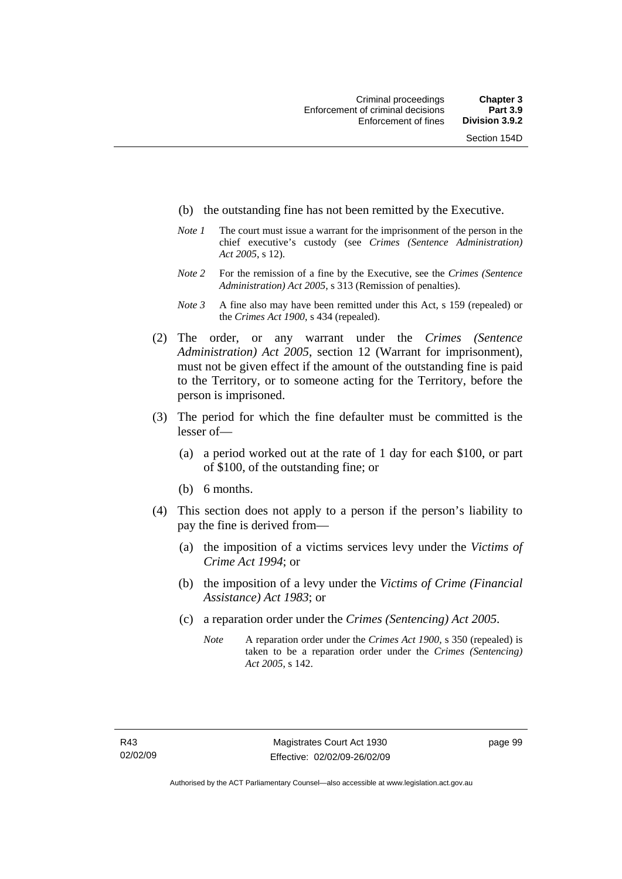- (b) the outstanding fine has not been remitted by the Executive.
- *Note 1* The court must issue a warrant for the imprisonment of the person in the chief executive's custody (see *Crimes (Sentence Administration) Act 2005*, s 12).
- *Note 2* For the remission of a fine by the Executive, see the *Crimes (Sentence Administration) Act 2005*, s 313 (Remission of penalties).
- *Note 3* A fine also may have been remitted under this Act, s 159 (repealed) or the *Crimes Act 1900*, s 434 (repealed).
- (2) The order, or any warrant under the *Crimes (Sentence Administration) Act 2005*, section 12 (Warrant for imprisonment), must not be given effect if the amount of the outstanding fine is paid to the Territory, or to someone acting for the Territory, before the person is imprisoned.
- (3) The period for which the fine defaulter must be committed is the lesser of—
	- (a) a period worked out at the rate of 1 day for each \$100, or part of \$100, of the outstanding fine; or
	- (b) 6 months.
- (4) This section does not apply to a person if the person's liability to pay the fine is derived from—
	- (a) the imposition of a victims services levy under the *Victims of Crime Act 1994*; or
	- (b) the imposition of a levy under the *Victims of Crime (Financial Assistance) Act 1983*; or
	- (c) a reparation order under the *Crimes (Sentencing) Act 2005*.
		- *Note* A reparation order under the *Crimes Act 1900,* s 350 (repealed) is taken to be a reparation order under the *Crimes (Sentencing) Act 2005*, s 142.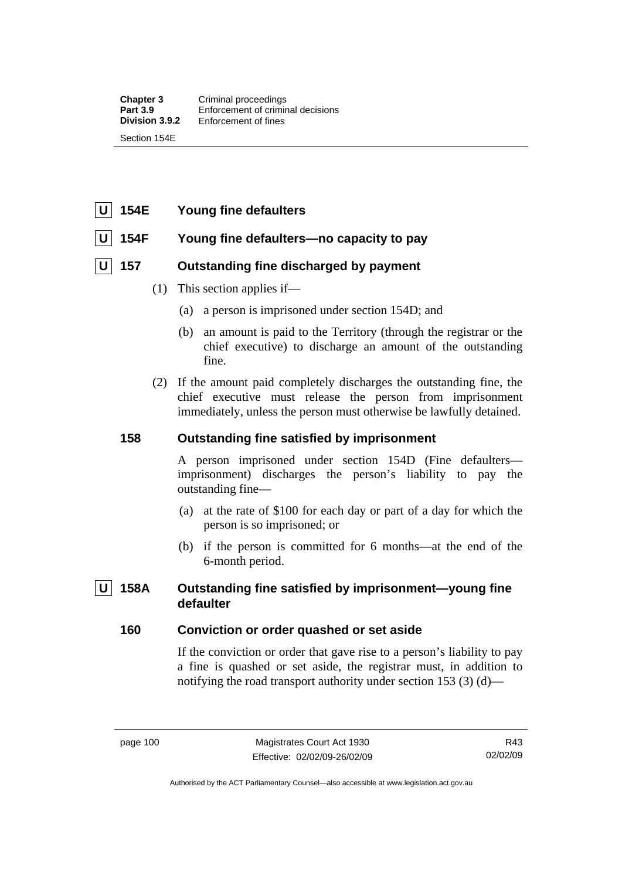## **U 154E Young fine defaulters**

## 154F Young fine defaulters—no capacity to pay

## **U 157 Outstanding fine discharged by payment**

- (1) This section applies if—
	- (a) a person is imprisoned under section 154D; and
	- (b) an amount is paid to the Territory (through the registrar or the chief executive) to discharge an amount of the outstanding fine.
- (2) If the amount paid completely discharges the outstanding fine, the chief executive must release the person from imprisonment immediately, unless the person must otherwise be lawfully detained.

## **158 Outstanding fine satisfied by imprisonment**

A person imprisoned under section 154D (Fine defaulters imprisonment) discharges the person's liability to pay the outstanding fine—

- (a) at the rate of \$100 for each day or part of a day for which the person is so imprisoned; or
- (b) if the person is committed for 6 months—at the end of the 6-month period.

## 158A Outstanding fine satisfied by imprisonment—voung fine **defaulter**

## **160 Conviction or order quashed or set aside**

If the conviction or order that gave rise to a person's liability to pay a fine is quashed or set aside, the registrar must, in addition to notifying the road transport authority under section 153 (3) (d)—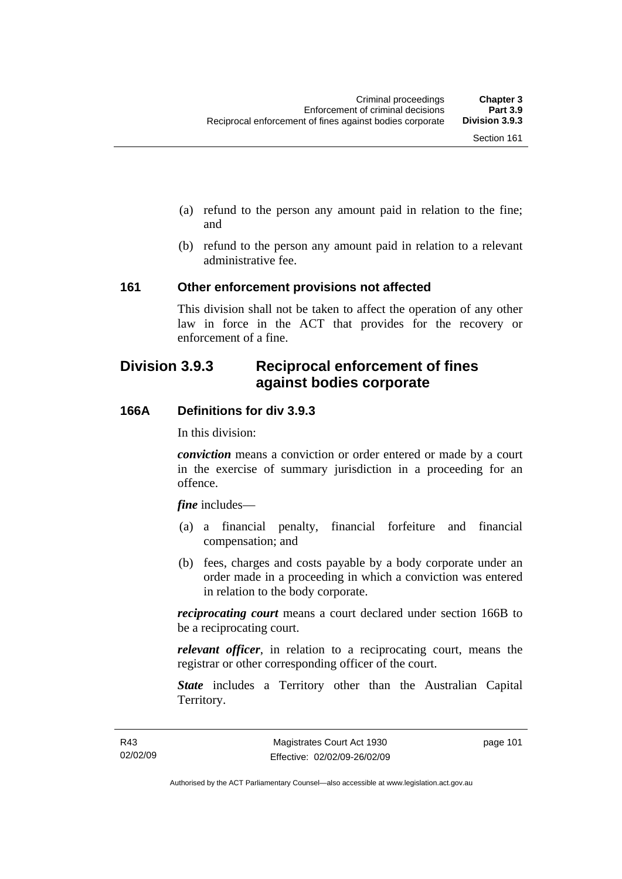- (a) refund to the person any amount paid in relation to the fine; and
- (b) refund to the person any amount paid in relation to a relevant administrative fee.

#### **161 Other enforcement provisions not affected**

This division shall not be taken to affect the operation of any other law in force in the ACT that provides for the recovery or enforcement of a fine.

# **Division 3.9.3 Reciprocal enforcement of fines against bodies corporate**

## **166A Definitions for div 3.9.3**

In this division:

*conviction* means a conviction or order entered or made by a court in the exercise of summary jurisdiction in a proceeding for an offence.

*fine* includes—

- (a) a financial penalty, financial forfeiture and financial compensation; and
- (b) fees, charges and costs payable by a body corporate under an order made in a proceeding in which a conviction was entered in relation to the body corporate.

*reciprocating court* means a court declared under section 166B to be a reciprocating court.

*relevant officer*, in relation to a reciprocating court, means the registrar or other corresponding officer of the court.

*State* includes a Territory other than the Australian Capital Territory.

page 101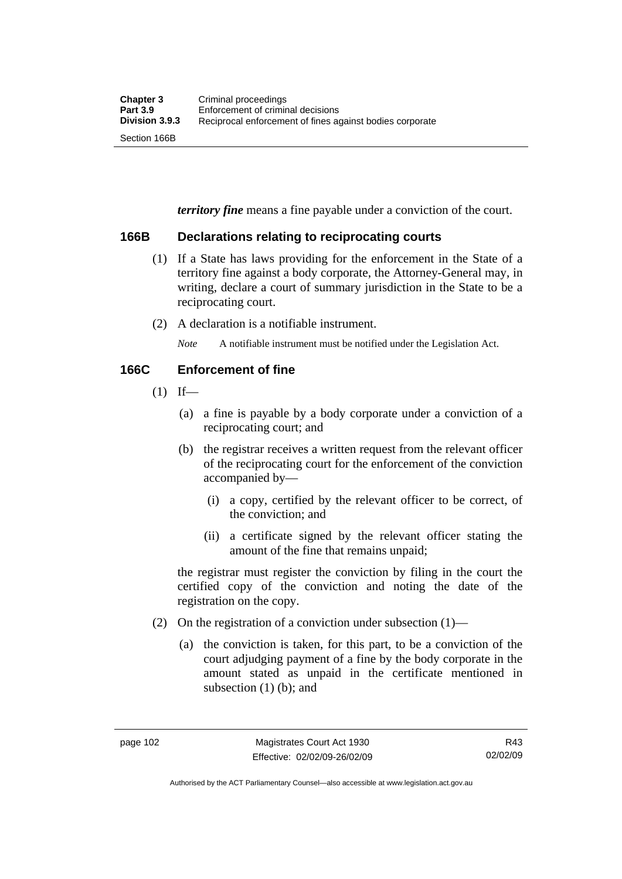*territory fine* means a fine payable under a conviction of the court.

## **166B Declarations relating to reciprocating courts**

- (1) If a State has laws providing for the enforcement in the State of a territory fine against a body corporate, the Attorney-General may, in writing, declare a court of summary jurisdiction in the State to be a reciprocating court.
- (2) A declaration is a notifiable instrument.

*Note* A notifiable instrument must be notified under the Legislation Act.

## **166C Enforcement of fine**

- $(1)$  If—
	- (a) a fine is payable by a body corporate under a conviction of a reciprocating court; and
	- (b) the registrar receives a written request from the relevant officer of the reciprocating court for the enforcement of the conviction accompanied by—
		- (i) a copy, certified by the relevant officer to be correct, of the conviction; and
		- (ii) a certificate signed by the relevant officer stating the amount of the fine that remains unpaid;

the registrar must register the conviction by filing in the court the certified copy of the conviction and noting the date of the registration on the copy.

- (2) On the registration of a conviction under subsection (1)—
	- (a) the conviction is taken, for this part, to be a conviction of the court adjudging payment of a fine by the body corporate in the amount stated as unpaid in the certificate mentioned in subsection (1) (b); and

Authorised by the ACT Parliamentary Counsel—also accessible at www.legislation.act.gov.au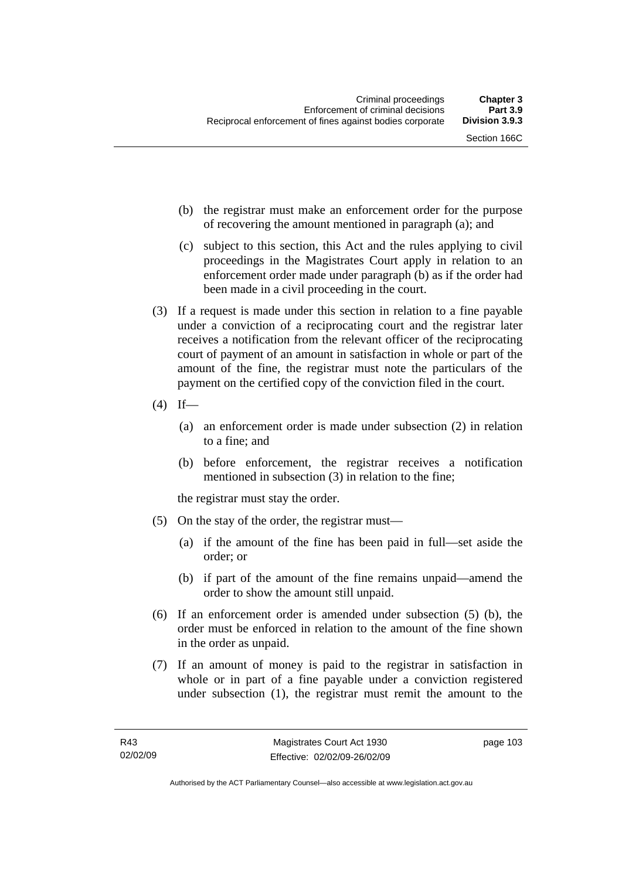- (b) the registrar must make an enforcement order for the purpose of recovering the amount mentioned in paragraph (a); and
- (c) subject to this section, this Act and the rules applying to civil proceedings in the Magistrates Court apply in relation to an enforcement order made under paragraph (b) as if the order had been made in a civil proceeding in the court.
- (3) If a request is made under this section in relation to a fine payable under a conviction of a reciprocating court and the registrar later receives a notification from the relevant officer of the reciprocating court of payment of an amount in satisfaction in whole or part of the amount of the fine, the registrar must note the particulars of the payment on the certified copy of the conviction filed in the court.
- $(4)$  If—
	- (a) an enforcement order is made under subsection (2) in relation to a fine; and
	- (b) before enforcement, the registrar receives a notification mentioned in subsection (3) in relation to the fine;

the registrar must stay the order.

- (5) On the stay of the order, the registrar must—
	- (a) if the amount of the fine has been paid in full—set aside the order; or
	- (b) if part of the amount of the fine remains unpaid—amend the order to show the amount still unpaid.
- (6) If an enforcement order is amended under subsection (5) (b), the order must be enforced in relation to the amount of the fine shown in the order as unpaid.
- (7) If an amount of money is paid to the registrar in satisfaction in whole or in part of a fine payable under a conviction registered under subsection (1), the registrar must remit the amount to the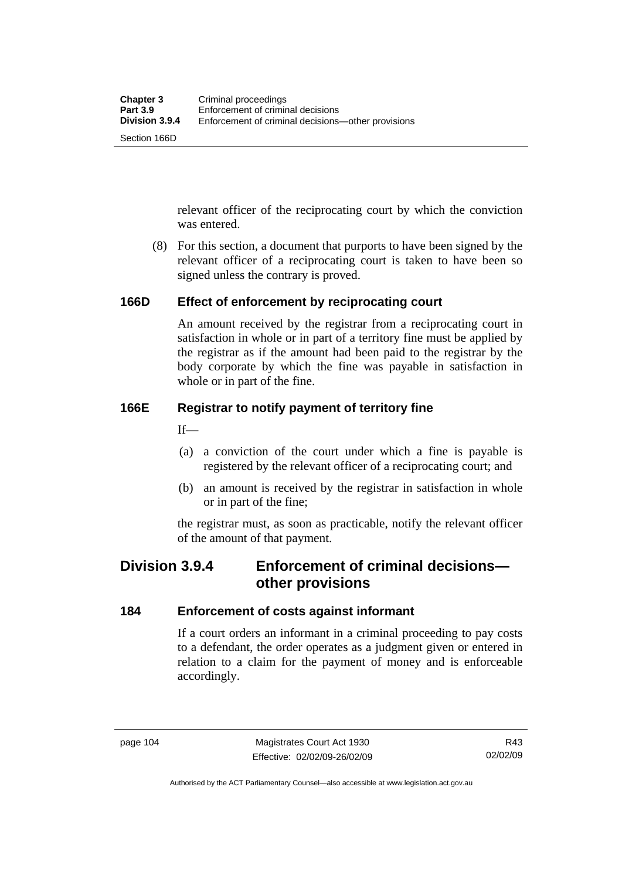relevant officer of the reciprocating court by which the conviction was entered.

 (8) For this section, a document that purports to have been signed by the relevant officer of a reciprocating court is taken to have been so signed unless the contrary is proved.

## **166D Effect of enforcement by reciprocating court**

An amount received by the registrar from a reciprocating court in satisfaction in whole or in part of a territory fine must be applied by the registrar as if the amount had been paid to the registrar by the body corporate by which the fine was payable in satisfaction in whole or in part of the fine.

## **166E Registrar to notify payment of territory fine**

 $If$ —

- (a) a conviction of the court under which a fine is payable is registered by the relevant officer of a reciprocating court; and
- (b) an amount is received by the registrar in satisfaction in whole or in part of the fine;

the registrar must, as soon as practicable, notify the relevant officer of the amount of that payment.

## **Division 3.9.4 Enforcement of criminal decisions other provisions**

## **184 Enforcement of costs against informant**

If a court orders an informant in a criminal proceeding to pay costs to a defendant, the order operates as a judgment given or entered in relation to a claim for the payment of money and is enforceable accordingly.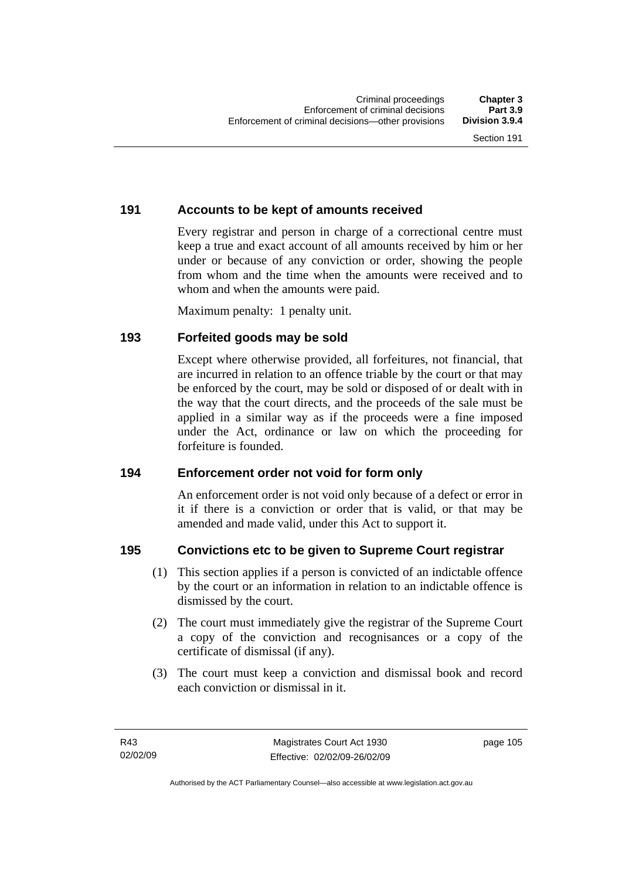## **191 Accounts to be kept of amounts received**

Every registrar and person in charge of a correctional centre must keep a true and exact account of all amounts received by him or her under or because of any conviction or order, showing the people from whom and the time when the amounts were received and to whom and when the amounts were paid.

Maximum penalty: 1 penalty unit.

## **193 Forfeited goods may be sold**

Except where otherwise provided, all forfeitures, not financial, that are incurred in relation to an offence triable by the court or that may be enforced by the court, may be sold or disposed of or dealt with in the way that the court directs, and the proceeds of the sale must be applied in a similar way as if the proceeds were a fine imposed under the Act, ordinance or law on which the proceeding for forfeiture is founded.

## **194 Enforcement order not void for form only**

An enforcement order is not void only because of a defect or error in it if there is a conviction or order that is valid, or that may be amended and made valid, under this Act to support it.

## **195 Convictions etc to be given to Supreme Court registrar**

- (1) This section applies if a person is convicted of an indictable offence by the court or an information in relation to an indictable offence is dismissed by the court.
- (2) The court must immediately give the registrar of the Supreme Court a copy of the conviction and recognisances or a copy of the certificate of dismissal (if any).
- (3) The court must keep a conviction and dismissal book and record each conviction or dismissal in it.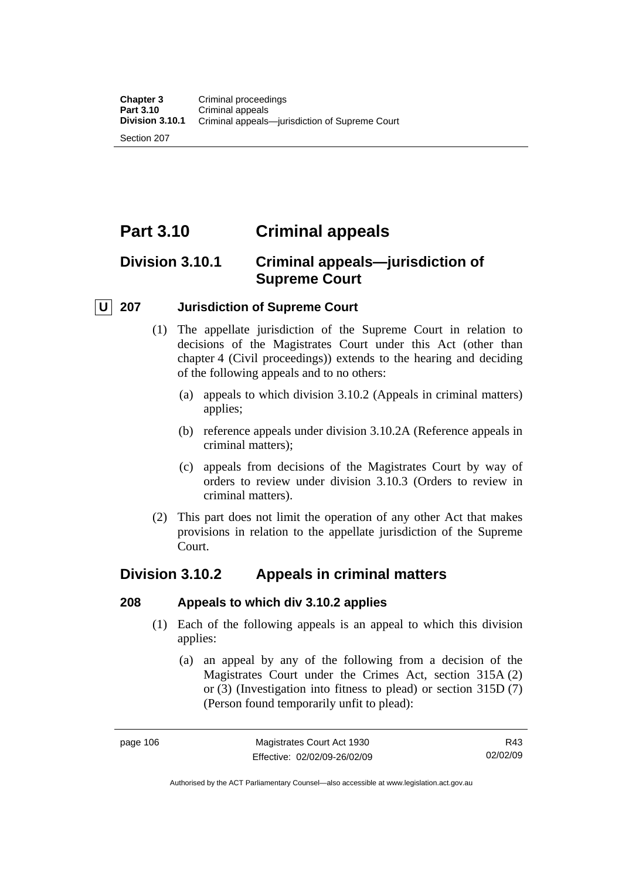# **Part 3.10 Criminal appeals**

# **Division 3.10.1 Criminal appeals—jurisdiction of Supreme Court**

## **U 207 Jurisdiction of Supreme Court**

- (1) The appellate jurisdiction of the Supreme Court in relation to decisions of the Magistrates Court under this Act (other than chapter 4 (Civil proceedings)) extends to the hearing and deciding of the following appeals and to no others:
	- (a) appeals to which division 3.10.2 (Appeals in criminal matters) applies;
	- (b) reference appeals under division 3.10.2A (Reference appeals in criminal matters);
	- (c) appeals from decisions of the Magistrates Court by way of orders to review under division 3.10.3 (Orders to review in criminal matters).
- (2) This part does not limit the operation of any other Act that makes provisions in relation to the appellate jurisdiction of the Supreme Court.

## **Division 3.10.2 Appeals in criminal matters**

## **208 Appeals to which div 3.10.2 applies**

- (1) Each of the following appeals is an appeal to which this division applies:
	- (a) an appeal by any of the following from a decision of the Magistrates Court under the Crimes Act, section 315A (2) or (3) (Investigation into fitness to plead) or section 315D (7) (Person found temporarily unfit to plead):

R43 02/02/09

Authorised by the ACT Parliamentary Counsel—also accessible at www.legislation.act.gov.au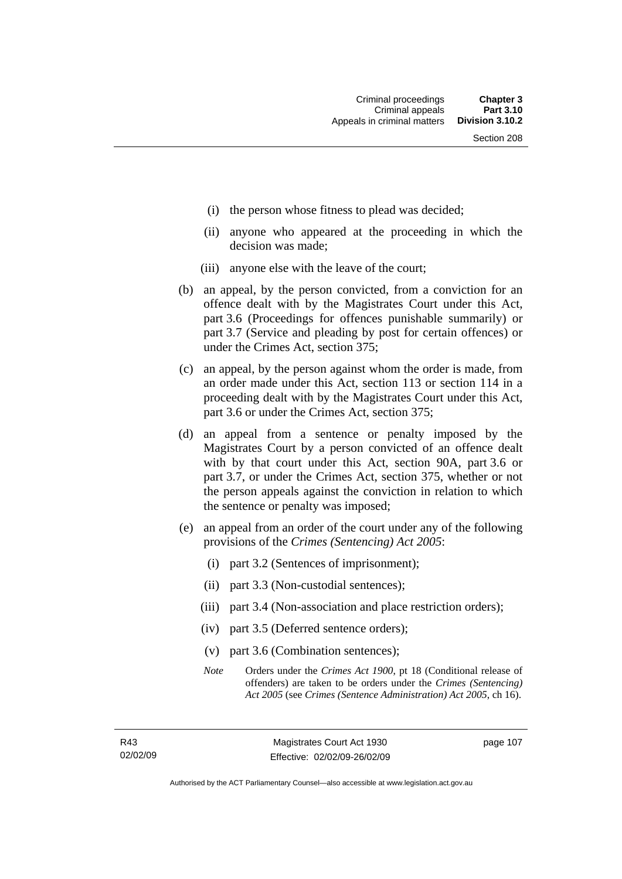- (i) the person whose fitness to plead was decided;
- (ii) anyone who appeared at the proceeding in which the decision was made;
- (iii) anyone else with the leave of the court;
- (b) an appeal, by the person convicted, from a conviction for an offence dealt with by the Magistrates Court under this Act, part 3.6 (Proceedings for offences punishable summarily) or part 3.7 (Service and pleading by post for certain offences) or under the Crimes Act, section 375;
- (c) an appeal, by the person against whom the order is made, from an order made under this Act, section 113 or section 114 in a proceeding dealt with by the Magistrates Court under this Act, part 3.6 or under the Crimes Act, section 375;
- (d) an appeal from a sentence or penalty imposed by the Magistrates Court by a person convicted of an offence dealt with by that court under this Act, section 90A, part 3.6 or part 3.7, or under the Crimes Act, section 375, whether or not the person appeals against the conviction in relation to which the sentence or penalty was imposed;
- (e) an appeal from an order of the court under any of the following provisions of the *Crimes (Sentencing) Act 2005*:
	- (i) part 3.2 (Sentences of imprisonment);
	- (ii) part 3.3 (Non-custodial sentences);
	- (iii) part 3.4 (Non-association and place restriction orders);
	- (iv) part 3.5 (Deferred sentence orders);
	- (v) part 3.6 (Combination sentences);
	- *Note* Orders under the *Crimes Act 1900*, pt 18 (Conditional release of offenders) are taken to be orders under the *Crimes (Sentencing) Act 2005* (see *Crimes (Sentence Administration) Act 2005*, ch 16).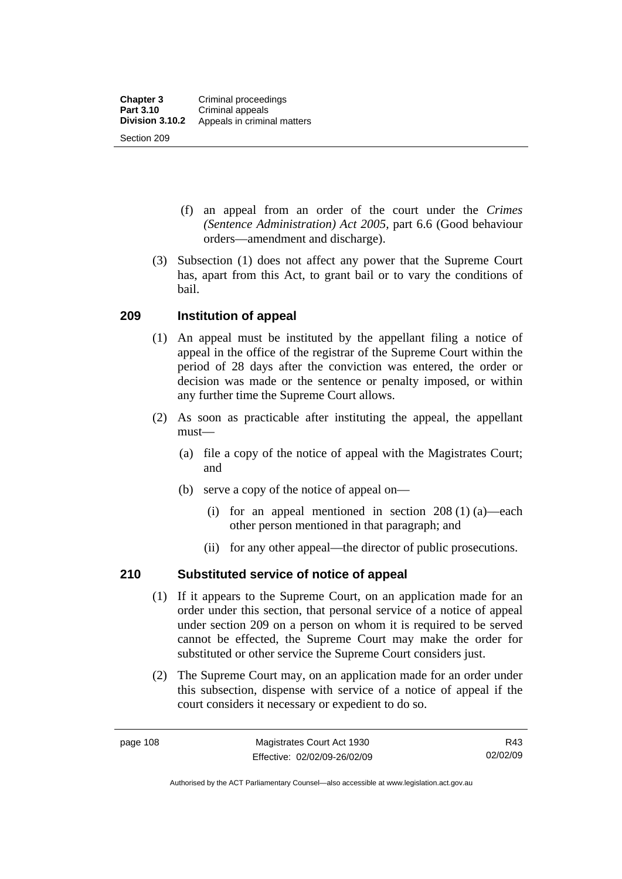- (f) an appeal from an order of the court under the *Crimes (Sentence Administration) Act 2005,* part 6.6 (Good behaviour orders—amendment and discharge).
- (3) Subsection (1) does not affect any power that the Supreme Court has, apart from this Act, to grant bail or to vary the conditions of bail.

## **209 Institution of appeal**

- (1) An appeal must be instituted by the appellant filing a notice of appeal in the office of the registrar of the Supreme Court within the period of 28 days after the conviction was entered, the order or decision was made or the sentence or penalty imposed, or within any further time the Supreme Court allows.
- (2) As soon as practicable after instituting the appeal, the appellant must—
	- (a) file a copy of the notice of appeal with the Magistrates Court; and
	- (b) serve a copy of the notice of appeal on—
		- (i) for an appeal mentioned in section 208 (1) (a)—each other person mentioned in that paragraph; and
		- (ii) for any other appeal—the director of public prosecutions.

## **210 Substituted service of notice of appeal**

- (1) If it appears to the Supreme Court, on an application made for an order under this section, that personal service of a notice of appeal under section 209 on a person on whom it is required to be served cannot be effected, the Supreme Court may make the order for substituted or other service the Supreme Court considers just.
- (2) The Supreme Court may, on an application made for an order under this subsection, dispense with service of a notice of appeal if the court considers it necessary or expedient to do so.

Authorised by the ACT Parliamentary Counsel—also accessible at www.legislation.act.gov.au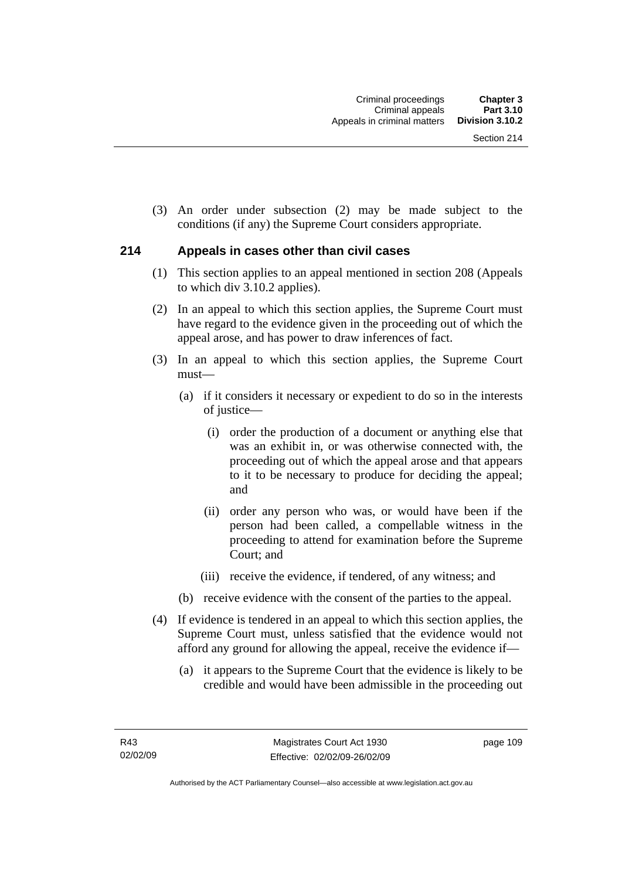(3) An order under subsection (2) may be made subject to the conditions (if any) the Supreme Court considers appropriate.

## **214 Appeals in cases other than civil cases**

- (1) This section applies to an appeal mentioned in section 208 (Appeals to which div 3.10.2 applies).
- (2) In an appeal to which this section applies, the Supreme Court must have regard to the evidence given in the proceeding out of which the appeal arose, and has power to draw inferences of fact.
- (3) In an appeal to which this section applies, the Supreme Court must—
	- (a) if it considers it necessary or expedient to do so in the interests of justice—
		- (i) order the production of a document or anything else that was an exhibit in, or was otherwise connected with, the proceeding out of which the appeal arose and that appears to it to be necessary to produce for deciding the appeal; and
		- (ii) order any person who was, or would have been if the person had been called, a compellable witness in the proceeding to attend for examination before the Supreme Court; and
		- (iii) receive the evidence, if tendered, of any witness; and
	- (b) receive evidence with the consent of the parties to the appeal.
- (4) If evidence is tendered in an appeal to which this section applies, the Supreme Court must, unless satisfied that the evidence would not afford any ground for allowing the appeal, receive the evidence if—
	- (a) it appears to the Supreme Court that the evidence is likely to be credible and would have been admissible in the proceeding out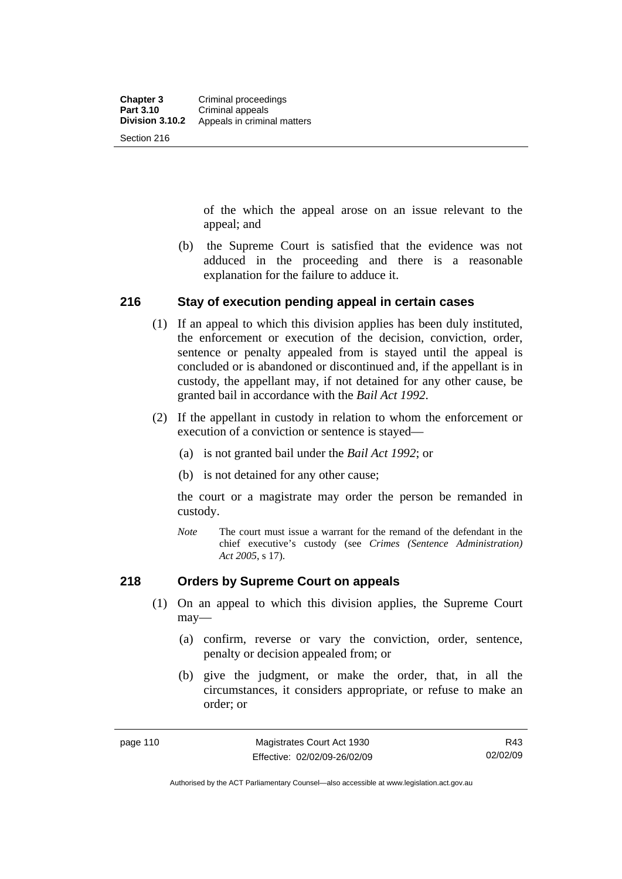of the which the appeal arose on an issue relevant to the appeal; and

 (b) the Supreme Court is satisfied that the evidence was not adduced in the proceeding and there is a reasonable explanation for the failure to adduce it.

## **216 Stay of execution pending appeal in certain cases**

- (1) If an appeal to which this division applies has been duly instituted, the enforcement or execution of the decision, conviction, order, sentence or penalty appealed from is stayed until the appeal is concluded or is abandoned or discontinued and, if the appellant is in custody, the appellant may, if not detained for any other cause, be granted bail in accordance with the *Bail Act 1992*.
- (2) If the appellant in custody in relation to whom the enforcement or execution of a conviction or sentence is stayed—
	- (a) is not granted bail under the *Bail Act 1992*; or
	- (b) is not detained for any other cause;

the court or a magistrate may order the person be remanded in custody.

*Note* The court must issue a warrant for the remand of the defendant in the chief executive's custody (see *Crimes (Sentence Administration) Act 2005*, s 17).

## **218 Orders by Supreme Court on appeals**

- (1) On an appeal to which this division applies, the Supreme Court may—
	- (a) confirm, reverse or vary the conviction, order, sentence, penalty or decision appealed from; or
	- (b) give the judgment, or make the order, that, in all the circumstances, it considers appropriate, or refuse to make an order; or

Authorised by the ACT Parliamentary Counsel—also accessible at www.legislation.act.gov.au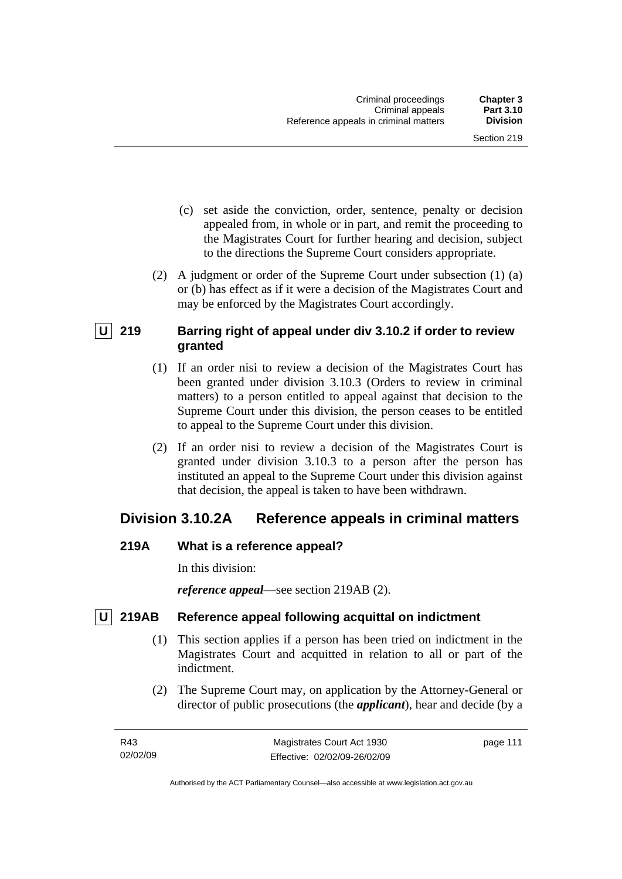- (c) set aside the conviction, order, sentence, penalty or decision appealed from, in whole or in part, and remit the proceeding to the Magistrates Court for further hearing and decision, subject to the directions the Supreme Court considers appropriate.
- (2) A judgment or order of the Supreme Court under subsection (1) (a) or (b) has effect as if it were a decision of the Magistrates Court and may be enforced by the Magistrates Court accordingly.

## **U 219 Barring right of appeal under div 3.10.2 if order to review granted**

- (1) If an order nisi to review a decision of the Magistrates Court has been granted under division 3.10.3 (Orders to review in criminal matters) to a person entitled to appeal against that decision to the Supreme Court under this division, the person ceases to be entitled to appeal to the Supreme Court under this division.
- (2) If an order nisi to review a decision of the Magistrates Court is granted under division 3.10.3 to a person after the person has instituted an appeal to the Supreme Court under this division against that decision, the appeal is taken to have been withdrawn.

# **Division 3.10.2A Reference appeals in criminal matters**

## **219A What is a reference appeal?**

In this division:

*reference appeal*—see section 219AB (2).

## **U** 219AB Reference appeal following acquittal on indictment

- (1) This section applies if a person has been tried on indictment in the Magistrates Court and acquitted in relation to all or part of the indictment.
- (2) The Supreme Court may, on application by the Attorney-General or director of public prosecutions (the *applicant*), hear and decide (by a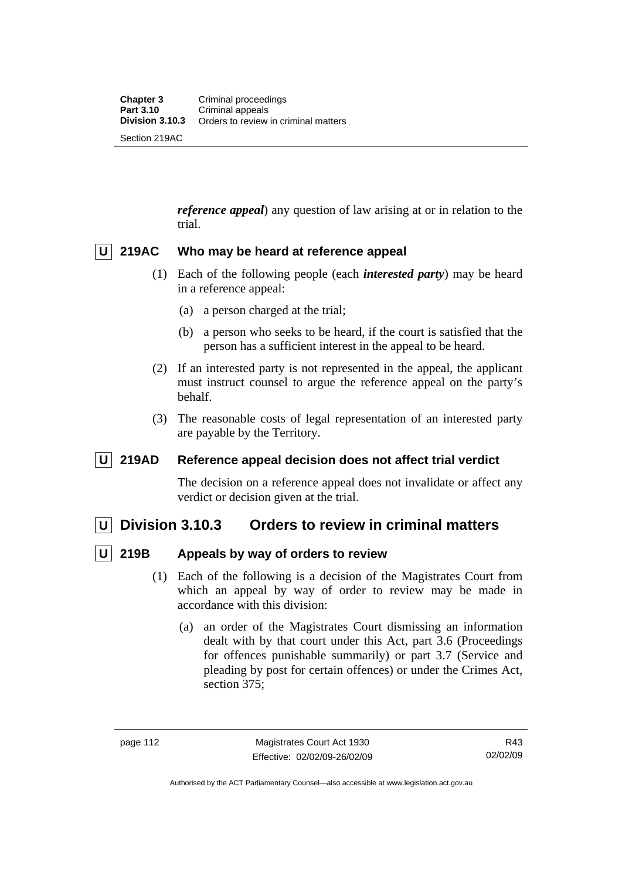*reference appeal*) any question of law arising at or in relation to the trial.

## **U 219AC Who may be heard at reference appeal**

- (1) Each of the following people (each *interested party*) may be heard in a reference appeal:
	- (a) a person charged at the trial;
	- (b) a person who seeks to be heard, if the court is satisfied that the person has a sufficient interest in the appeal to be heard.
- (2) If an interested party is not represented in the appeal, the applicant must instruct counsel to argue the reference appeal on the party's behalf.
- (3) The reasonable costs of legal representation of an interested party are payable by the Territory.

## **U 219AD Reference appeal decision does not affect trial verdict**

The decision on a reference appeal does not invalidate or affect any verdict or decision given at the trial.

## **U Division 3.10.3 Orders to review in criminal matters**

## **U 219B Appeals by way of orders to review**

- (1) Each of the following is a decision of the Magistrates Court from which an appeal by way of order to review may be made in accordance with this division:
	- (a) an order of the Magistrates Court dismissing an information dealt with by that court under this Act, part 3.6 (Proceedings for offences punishable summarily) or part 3.7 (Service and pleading by post for certain offences) or under the Crimes Act, section 375;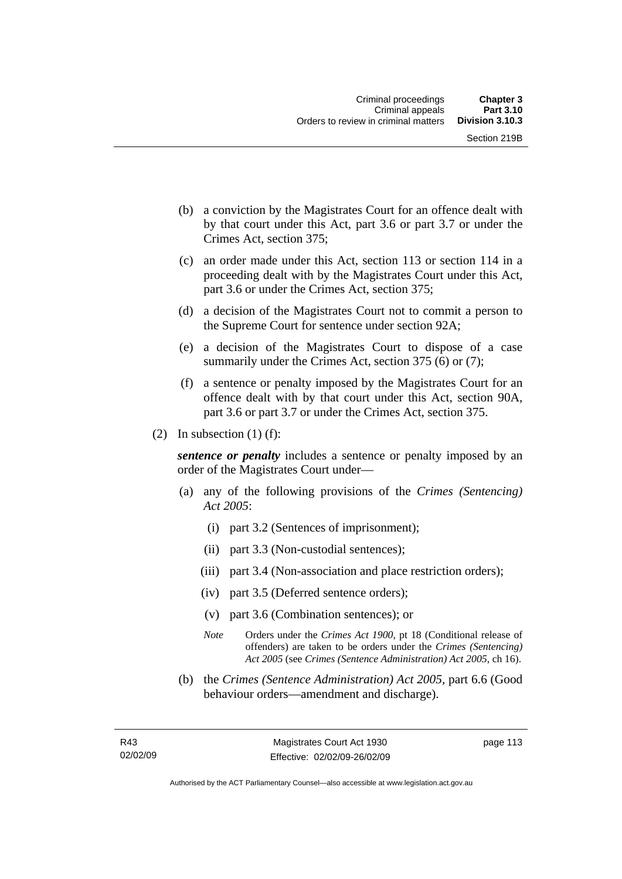- (b) a conviction by the Magistrates Court for an offence dealt with by that court under this Act, part 3.6 or part 3.7 or under the Crimes Act, section 375;
- (c) an order made under this Act, section 113 or section 114 in a proceeding dealt with by the Magistrates Court under this Act, part 3.6 or under the Crimes Act, section 375;
- (d) a decision of the Magistrates Court not to commit a person to the Supreme Court for sentence under section 92A;
- (e) a decision of the Magistrates Court to dispose of a case summarily under the Crimes Act, section 375 (6) or (7);
- (f) a sentence or penalty imposed by the Magistrates Court for an offence dealt with by that court under this Act, section 90A, part 3.6 or part 3.7 or under the Crimes Act, section 375.
- (2) In subsection (1) (f):

*sentence or penalty* includes a sentence or penalty imposed by an order of the Magistrates Court under—

- (a) any of the following provisions of the *Crimes (Sentencing) Act 2005*:
	- (i) part 3.2 (Sentences of imprisonment);
	- (ii) part 3.3 (Non-custodial sentences);
	- (iii) part 3.4 (Non-association and place restriction orders);
	- (iv) part 3.5 (Deferred sentence orders);
	- (v) part 3.6 (Combination sentences); or
	- *Note* Orders under the *Crimes Act 1900*, pt 18 (Conditional release of offenders) are taken to be orders under the *Crimes (Sentencing) Act 2005* (see *Crimes (Sentence Administration) Act 2005*, ch 16).
- (b) the *Crimes (Sentence Administration) Act 2005,* part 6.6 (Good behaviour orders—amendment and discharge).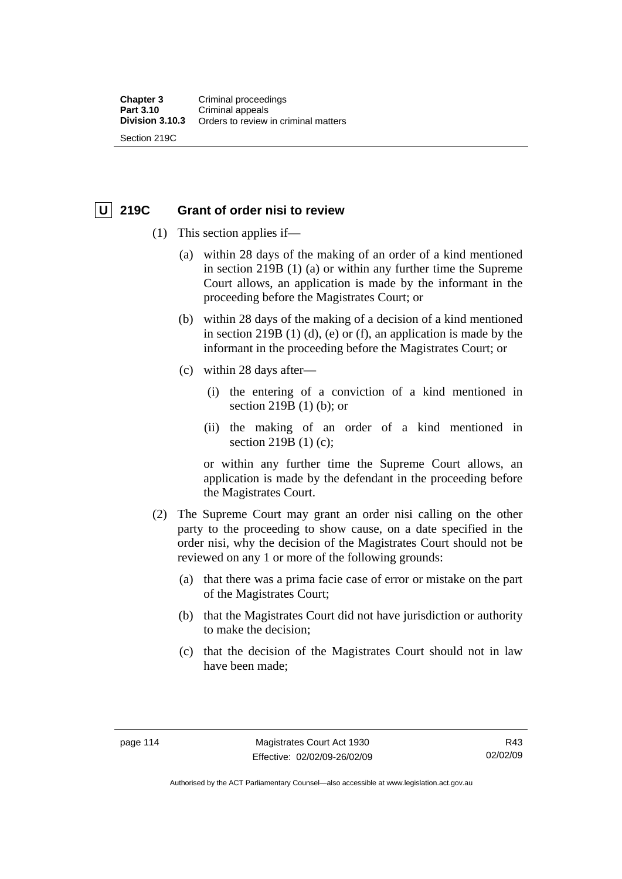Section 219C

## **U 219C Grant of order nisi to review**

- (1) This section applies if—
	- (a) within 28 days of the making of an order of a kind mentioned in section 219B (1) (a) or within any further time the Supreme Court allows, an application is made by the informant in the proceeding before the Magistrates Court; or
	- (b) within 28 days of the making of a decision of a kind mentioned in section 219B (1) (d), (e) or (f), an application is made by the informant in the proceeding before the Magistrates Court; or
	- (c) within 28 days after—
		- (i) the entering of a conviction of a kind mentioned in section 219B (1) (b); or
		- (ii) the making of an order of a kind mentioned in section 219B (1) (c);

or within any further time the Supreme Court allows, an application is made by the defendant in the proceeding before the Magistrates Court.

- (2) The Supreme Court may grant an order nisi calling on the other party to the proceeding to show cause, on a date specified in the order nisi, why the decision of the Magistrates Court should not be reviewed on any 1 or more of the following grounds:
	- (a) that there was a prima facie case of error or mistake on the part of the Magistrates Court;
	- (b) that the Magistrates Court did not have jurisdiction or authority to make the decision;
	- (c) that the decision of the Magistrates Court should not in law have been made;

Authorised by the ACT Parliamentary Counsel—also accessible at www.legislation.act.gov.au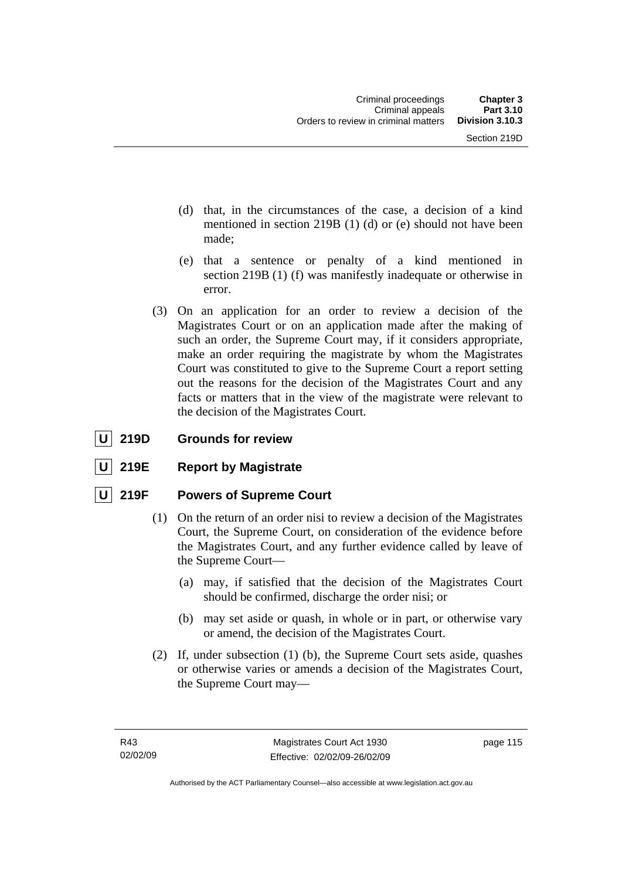- (d) that, in the circumstances of the case, a decision of a kind mentioned in section 219B (1) (d) or (e) should not have been made;
- (e) that a sentence or penalty of a kind mentioned in section 219B (1) (f) was manifestly inadequate or otherwise in error.
- (3) On an application for an order to review a decision of the Magistrates Court or on an application made after the making of such an order, the Supreme Court may, if it considers appropriate, make an order requiring the magistrate by whom the Magistrates Court was constituted to give to the Supreme Court a report setting out the reasons for the decision of the Magistrates Court and any facts or matters that in the view of the magistrate were relevant to the decision of the Magistrates Court.

## **U** 219D Grounds for review

**219E** Report by Magistrate

## **U 219F Powers of Supreme Court**

- (1) On the return of an order nisi to review a decision of the Magistrates Court, the Supreme Court, on consideration of the evidence before the Magistrates Court, and any further evidence called by leave of the Supreme Court—
	- (a) may, if satisfied that the decision of the Magistrates Court should be confirmed, discharge the order nisi; or
	- (b) may set aside or quash, in whole or in part, or otherwise vary or amend, the decision of the Magistrates Court.
- (2) If, under subsection (1) (b), the Supreme Court sets aside, quashes or otherwise varies or amends a decision of the Magistrates Court, the Supreme Court may—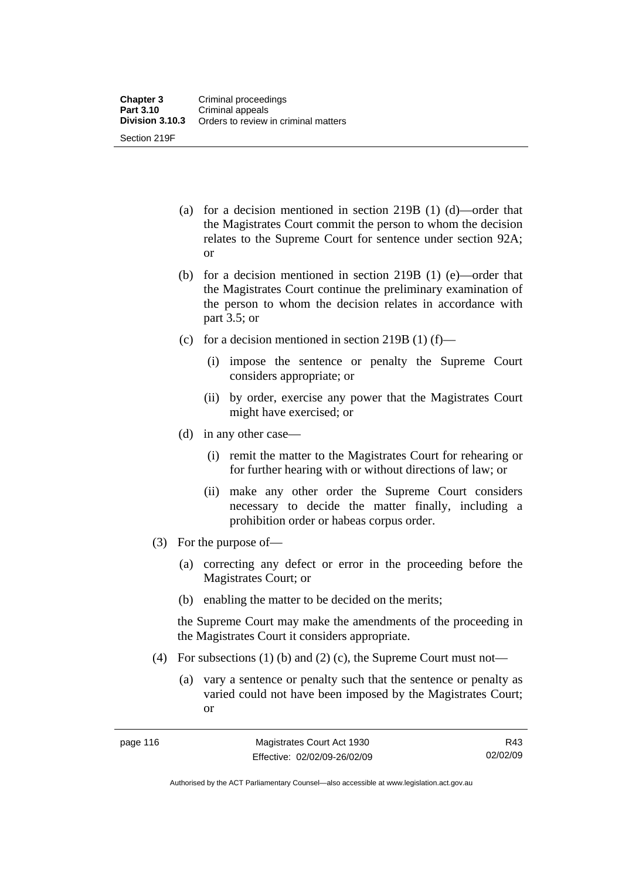- (a) for a decision mentioned in section 219B (1) (d)—order that the Magistrates Court commit the person to whom the decision relates to the Supreme Court for sentence under section 92A; or
- (b) for a decision mentioned in section 219B (1) (e)—order that the Magistrates Court continue the preliminary examination of the person to whom the decision relates in accordance with part 3.5; or
- (c) for a decision mentioned in section 219B  $(1)$  (f)—
	- (i) impose the sentence or penalty the Supreme Court considers appropriate; or
	- (ii) by order, exercise any power that the Magistrates Court might have exercised; or
- (d) in any other case—
	- (i) remit the matter to the Magistrates Court for rehearing or for further hearing with or without directions of law; or
	- (ii) make any other order the Supreme Court considers necessary to decide the matter finally, including a prohibition order or habeas corpus order.
- (3) For the purpose of—
	- (a) correcting any defect or error in the proceeding before the Magistrates Court; or
	- (b) enabling the matter to be decided on the merits;

the Supreme Court may make the amendments of the proceeding in the Magistrates Court it considers appropriate.

- (4) For subsections (1) (b) and (2) (c), the Supreme Court must not—
	- (a) vary a sentence or penalty such that the sentence or penalty as varied could not have been imposed by the Magistrates Court; or

R43 02/02/09

Authorised by the ACT Parliamentary Counsel—also accessible at www.legislation.act.gov.au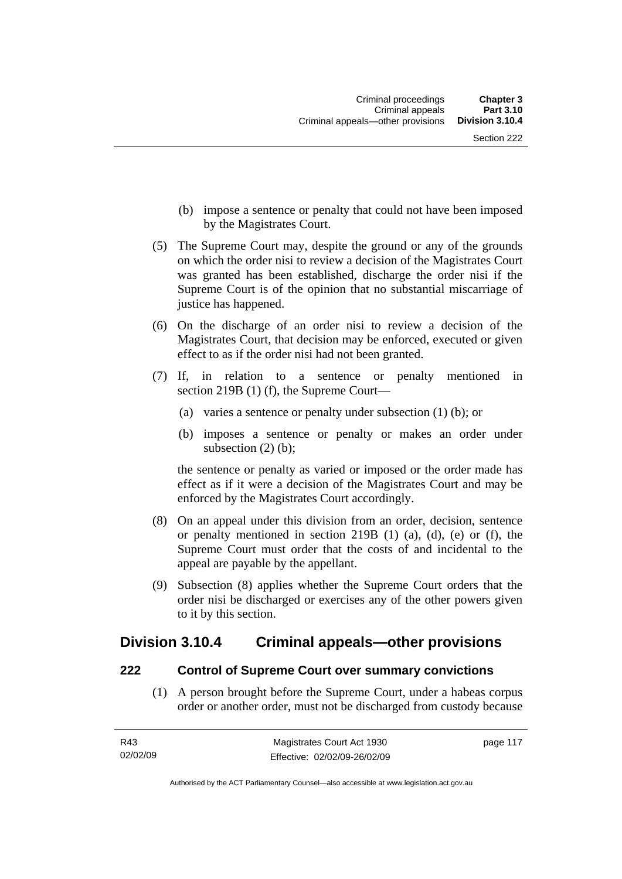- (b) impose a sentence or penalty that could not have been imposed by the Magistrates Court.
- (5) The Supreme Court may, despite the ground or any of the grounds on which the order nisi to review a decision of the Magistrates Court was granted has been established, discharge the order nisi if the Supreme Court is of the opinion that no substantial miscarriage of justice has happened.
- (6) On the discharge of an order nisi to review a decision of the Magistrates Court, that decision may be enforced, executed or given effect to as if the order nisi had not been granted.
- (7) If, in relation to a sentence or penalty mentioned in section 219B (1) (f), the Supreme Court—
	- (a) varies a sentence or penalty under subsection (1) (b); or
	- (b) imposes a sentence or penalty or makes an order under subsection (2) (b);

the sentence or penalty as varied or imposed or the order made has effect as if it were a decision of the Magistrates Court and may be enforced by the Magistrates Court accordingly.

- (8) On an appeal under this division from an order, decision, sentence or penalty mentioned in section 219B (1) (a), (d), (e) or (f), the Supreme Court must order that the costs of and incidental to the appeal are payable by the appellant.
- (9) Subsection (8) applies whether the Supreme Court orders that the order nisi be discharged or exercises any of the other powers given to it by this section.

## **Division 3.10.4 Criminal appeals—other provisions**

## **222 Control of Supreme Court over summary convictions**

 (1) A person brought before the Supreme Court, under a habeas corpus order or another order, must not be discharged from custody because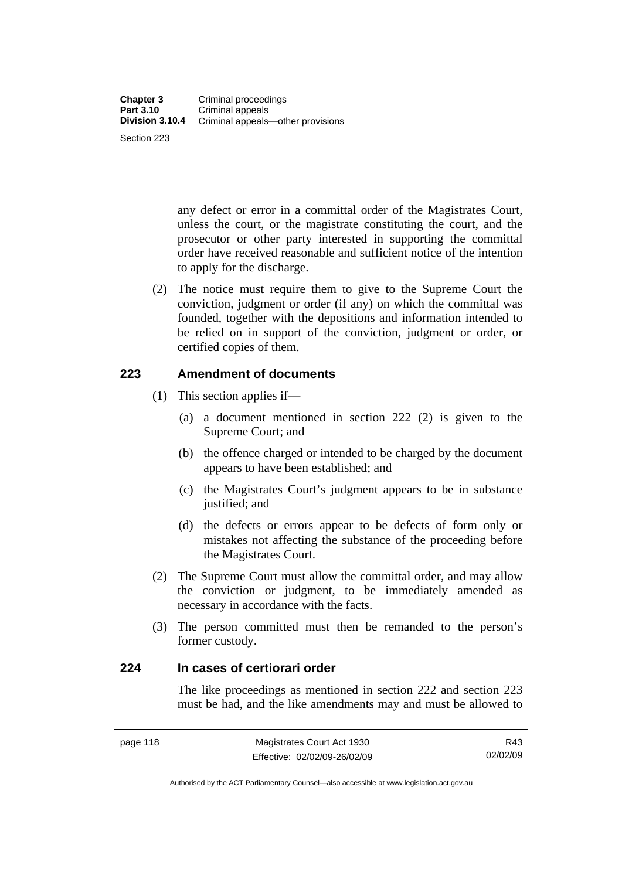any defect or error in a committal order of the Magistrates Court, unless the court, or the magistrate constituting the court, and the prosecutor or other party interested in supporting the committal order have received reasonable and sufficient notice of the intention to apply for the discharge.

 (2) The notice must require them to give to the Supreme Court the conviction, judgment or order (if any) on which the committal was founded, together with the depositions and information intended to be relied on in support of the conviction, judgment or order, or certified copies of them.

## **223 Amendment of documents**

- (1) This section applies if—
	- (a) a document mentioned in section 222 (2) is given to the Supreme Court; and
	- (b) the offence charged or intended to be charged by the document appears to have been established; and
	- (c) the Magistrates Court's judgment appears to be in substance justified; and
	- (d) the defects or errors appear to be defects of form only or mistakes not affecting the substance of the proceeding before the Magistrates Court.
- (2) The Supreme Court must allow the committal order, and may allow the conviction or judgment, to be immediately amended as necessary in accordance with the facts.
- (3) The person committed must then be remanded to the person's former custody.

## **224 In cases of certiorari order**

The like proceedings as mentioned in section 222 and section 223 must be had, and the like amendments may and must be allowed to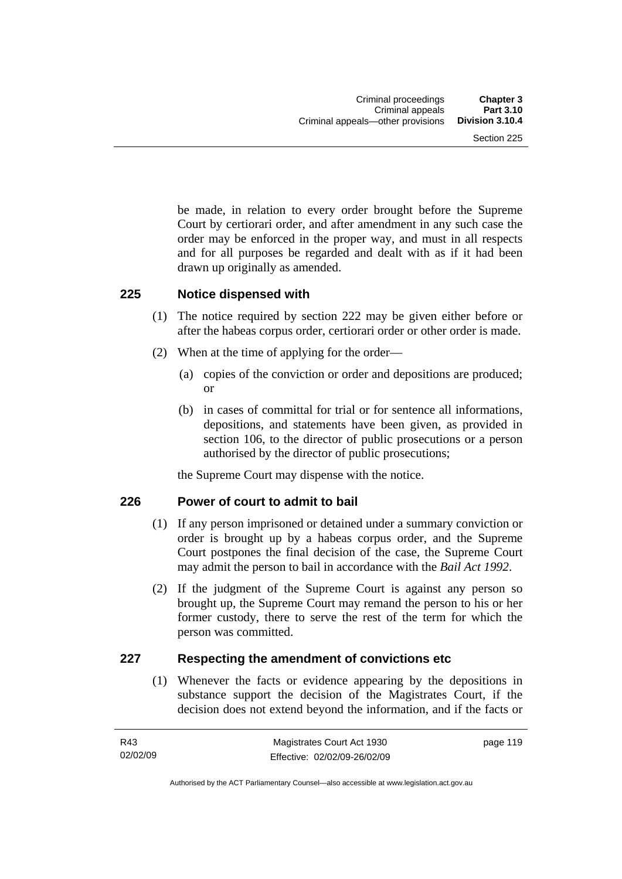be made, in relation to every order brought before the Supreme Court by certiorari order, and after amendment in any such case the order may be enforced in the proper way, and must in all respects and for all purposes be regarded and dealt with as if it had been drawn up originally as amended.

## **225 Notice dispensed with**

- (1) The notice required by section 222 may be given either before or after the habeas corpus order, certiorari order or other order is made.
- (2) When at the time of applying for the order—
	- (a) copies of the conviction or order and depositions are produced; or
	- (b) in cases of committal for trial or for sentence all informations, depositions, and statements have been given, as provided in section 106, to the director of public prosecutions or a person authorised by the director of public prosecutions;

the Supreme Court may dispense with the notice.

## **226 Power of court to admit to bail**

- (1) If any person imprisoned or detained under a summary conviction or order is brought up by a habeas corpus order, and the Supreme Court postpones the final decision of the case, the Supreme Court may admit the person to bail in accordance with the *Bail Act 1992*.
- (2) If the judgment of the Supreme Court is against any person so brought up, the Supreme Court may remand the person to his or her former custody, there to serve the rest of the term for which the person was committed.

## **227 Respecting the amendment of convictions etc**

 (1) Whenever the facts or evidence appearing by the depositions in substance support the decision of the Magistrates Court, if the decision does not extend beyond the information, and if the facts or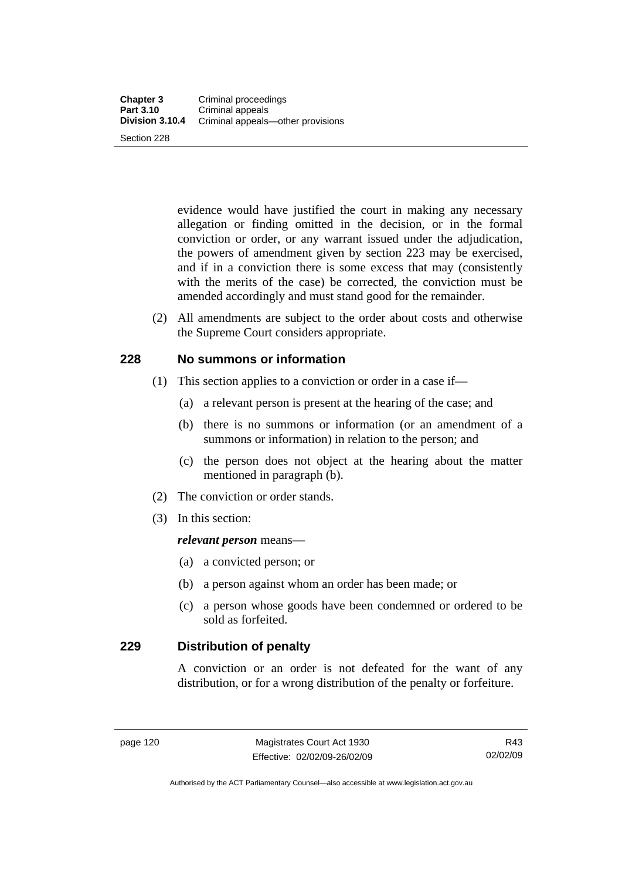evidence would have justified the court in making any necessary allegation or finding omitted in the decision, or in the formal conviction or order, or any warrant issued under the adjudication, the powers of amendment given by section 223 may be exercised, and if in a conviction there is some excess that may (consistently with the merits of the case) be corrected, the conviction must be amended accordingly and must stand good for the remainder.

 (2) All amendments are subject to the order about costs and otherwise the Supreme Court considers appropriate.

## **228 No summons or information**

- (1) This section applies to a conviction or order in a case if—
	- (a) a relevant person is present at the hearing of the case; and
	- (b) there is no summons or information (or an amendment of a summons or information) in relation to the person; and
	- (c) the person does not object at the hearing about the matter mentioned in paragraph (b).
- (2) The conviction or order stands.
- (3) In this section:

#### *relevant person* means—

- (a) a convicted person; or
- (b) a person against whom an order has been made; or
- (c) a person whose goods have been condemned or ordered to be sold as forfeited.

## **229 Distribution of penalty**

A conviction or an order is not defeated for the want of any distribution, or for a wrong distribution of the penalty or forfeiture.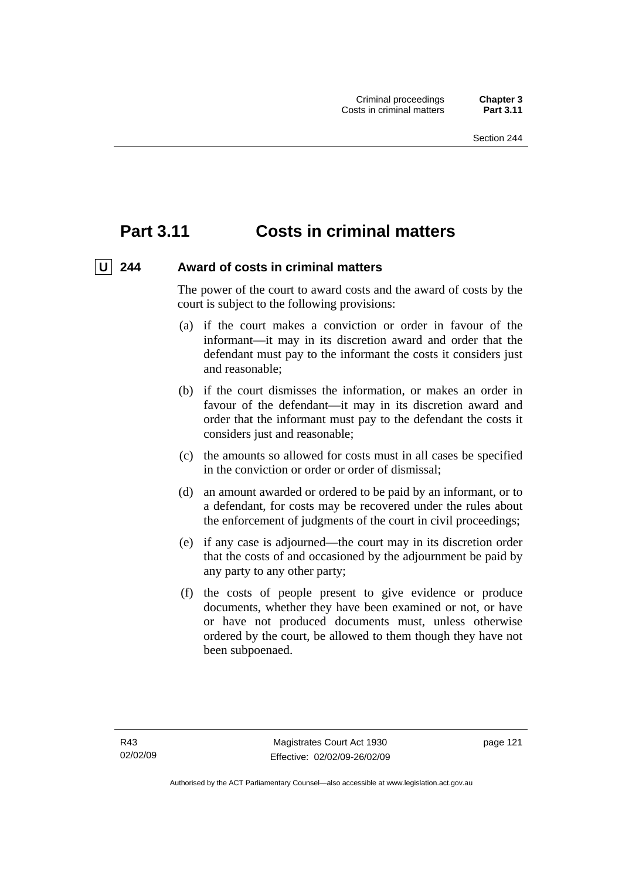# **Part 3.11 Costs in criminal matters**

## U 244 Award of costs in criminal matters

The power of the court to award costs and the award of costs by the court is subject to the following provisions:

- (a) if the court makes a conviction or order in favour of the informant—it may in its discretion award and order that the defendant must pay to the informant the costs it considers just and reasonable;
- (b) if the court dismisses the information, or makes an order in favour of the defendant—it may in its discretion award and order that the informant must pay to the defendant the costs it considers just and reasonable;
- (c) the amounts so allowed for costs must in all cases be specified in the conviction or order or order of dismissal;
- (d) an amount awarded or ordered to be paid by an informant, or to a defendant, for costs may be recovered under the rules about the enforcement of judgments of the court in civil proceedings;
- (e) if any case is adjourned—the court may in its discretion order that the costs of and occasioned by the adjournment be paid by any party to any other party;
- (f) the costs of people present to give evidence or produce documents, whether they have been examined or not, or have or have not produced documents must, unless otherwise ordered by the court, be allowed to them though they have not been subpoenaed.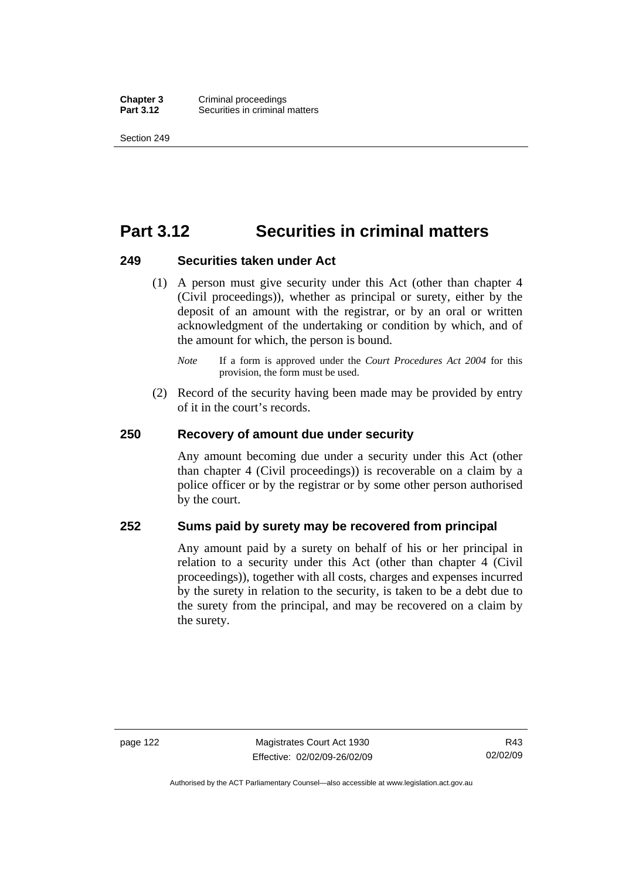**Chapter 3** Criminal proceedings<br>**Part 3.12** Securities in criminal **Securities in criminal matters** 

Section 249

# **Part 3.12 Securities in criminal matters**

#### **249 Securities taken under Act**

- (1) A person must give security under this Act (other than chapter 4 (Civil proceedings)), whether as principal or surety, either by the deposit of an amount with the registrar, or by an oral or written acknowledgment of the undertaking or condition by which, and of the amount for which, the person is bound.
	- *Note* If a form is approved under the *Court Procedures Act 2004* for this provision, the form must be used.
- (2) Record of the security having been made may be provided by entry of it in the court's records.

#### **250 Recovery of amount due under security**

Any amount becoming due under a security under this Act (other than chapter 4 (Civil proceedings)) is recoverable on a claim by a police officer or by the registrar or by some other person authorised by the court.

## **252 Sums paid by surety may be recovered from principal**

Any amount paid by a surety on behalf of his or her principal in relation to a security under this Act (other than chapter 4 (Civil proceedings)), together with all costs, charges and expenses incurred by the surety in relation to the security, is taken to be a debt due to the surety from the principal, and may be recovered on a claim by the surety.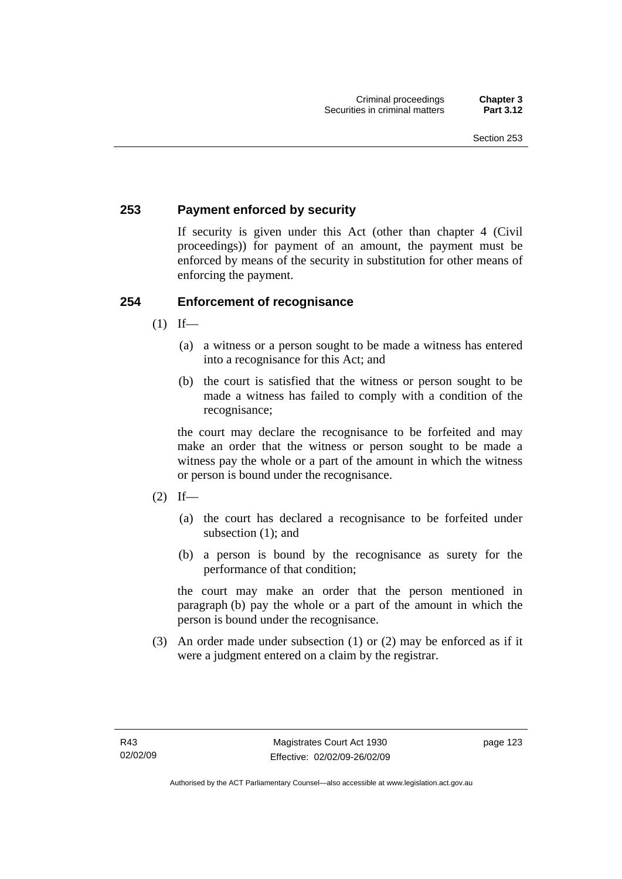## **253 Payment enforced by security**

If security is given under this Act (other than chapter 4 (Civil proceedings)) for payment of an amount, the payment must be enforced by means of the security in substitution for other means of enforcing the payment.

## **254 Enforcement of recognisance**

- $(1)$  If—
	- (a) a witness or a person sought to be made a witness has entered into a recognisance for this Act; and
	- (b) the court is satisfied that the witness or person sought to be made a witness has failed to comply with a condition of the recognisance;

the court may declare the recognisance to be forfeited and may make an order that the witness or person sought to be made a witness pay the whole or a part of the amount in which the witness or person is bound under the recognisance.

- $(2)$  If—
	- (a) the court has declared a recognisance to be forfeited under subsection (1); and
	- (b) a person is bound by the recognisance as surety for the performance of that condition;

the court may make an order that the person mentioned in paragraph (b) pay the whole or a part of the amount in which the person is bound under the recognisance.

 (3) An order made under subsection (1) or (2) may be enforced as if it were a judgment entered on a claim by the registrar.

page 123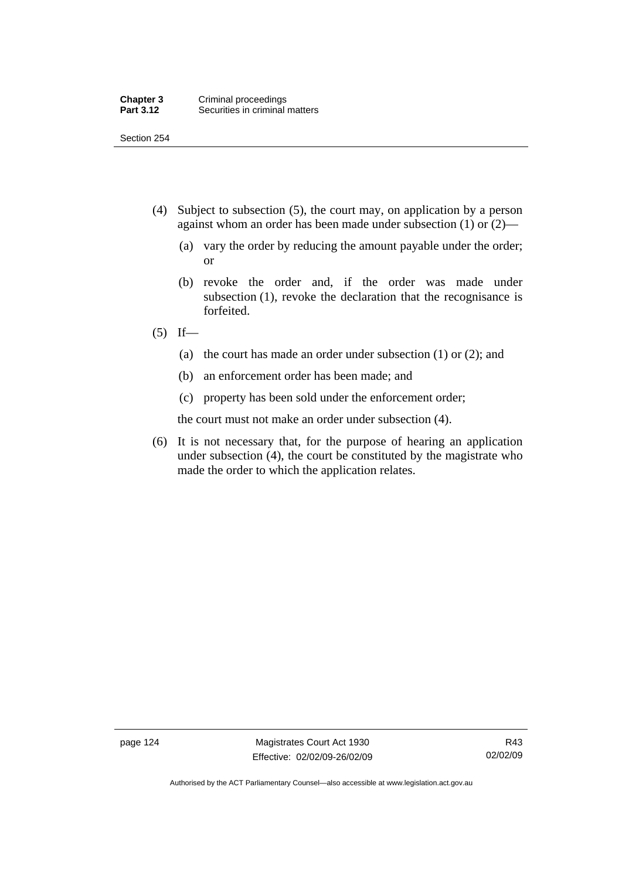Section 254

- (4) Subject to subsection (5), the court may, on application by a person against whom an order has been made under subsection (1) or (2)—
	- (a) vary the order by reducing the amount payable under the order; or
	- (b) revoke the order and, if the order was made under subsection (1), revoke the declaration that the recognisance is forfeited.
- $(5)$  If—
	- (a) the court has made an order under subsection (1) or (2); and
	- (b) an enforcement order has been made; and
	- (c) property has been sold under the enforcement order;

the court must not make an order under subsection (4).

 (6) It is not necessary that, for the purpose of hearing an application under subsection (4), the court be constituted by the magistrate who made the order to which the application relates.

page 124 Magistrates Court Act 1930 Effective: 02/02/09-26/02/09

Authorised by the ACT Parliamentary Counsel—also accessible at www.legislation.act.gov.au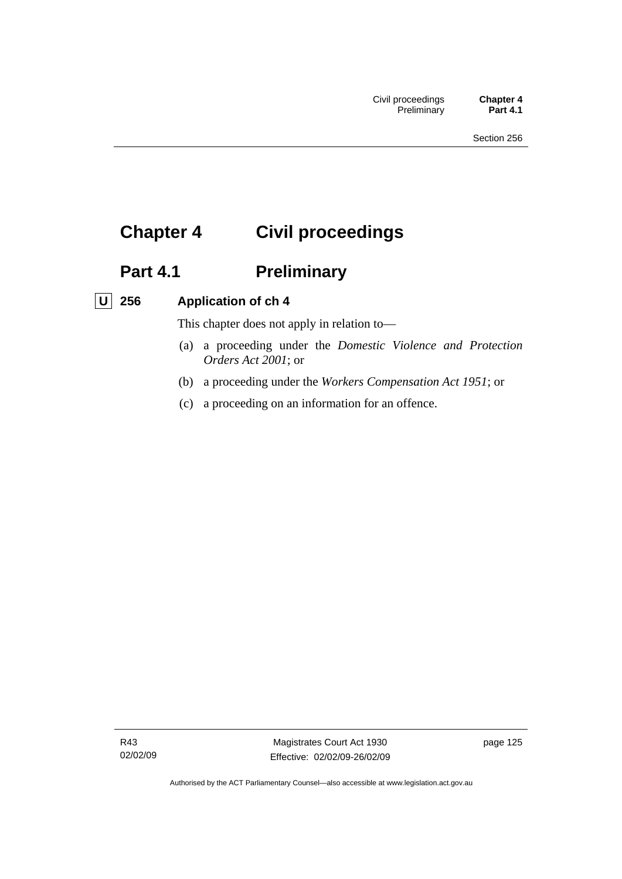# **Chapter 4 Civil proceedings**

# Part 4.1 **Preliminary**

## **U 256 Application of ch 4**

This chapter does not apply in relation to—

- (a) a proceeding under the *Domestic Violence and Protection Orders Act 2001*; or
- (b) a proceeding under the *Workers Compensation Act 1951*; or
- (c) a proceeding on an information for an offence.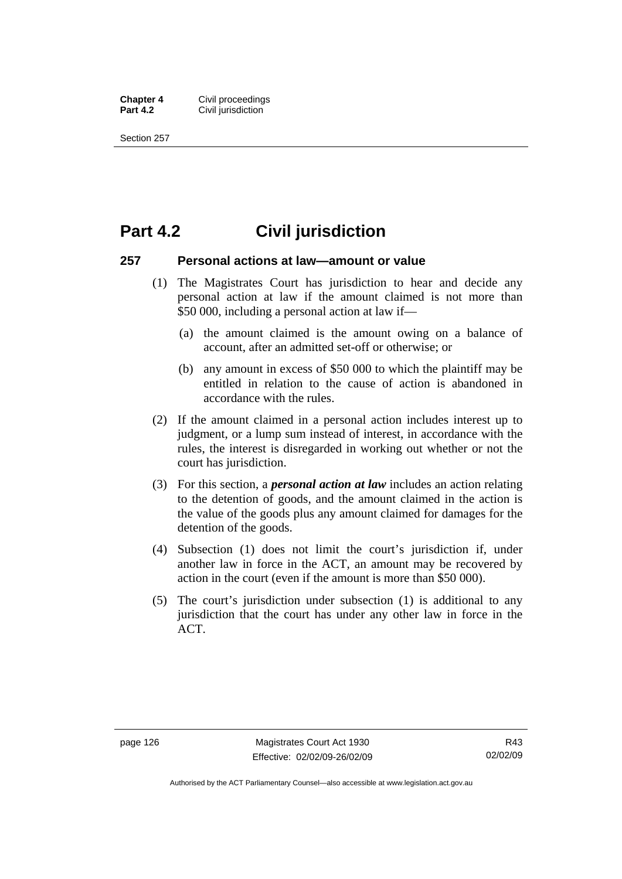**Chapter 4 Civil proceedings**<br>**Part 4.2 Civil iurisdiction Civil jurisdiction** 

Section 257

# **Part 4.2 Civil jurisdiction**

#### **257 Personal actions at law—amount or value**

- (1) The Magistrates Court has jurisdiction to hear and decide any personal action at law if the amount claimed is not more than \$50 000, including a personal action at law if—
	- (a) the amount claimed is the amount owing on a balance of account, after an admitted set-off or otherwise; or
	- (b) any amount in excess of \$50 000 to which the plaintiff may be entitled in relation to the cause of action is abandoned in accordance with the rules.
- (2) If the amount claimed in a personal action includes interest up to judgment, or a lump sum instead of interest, in accordance with the rules, the interest is disregarded in working out whether or not the court has jurisdiction.
- (3) For this section, a *personal action at law* includes an action relating to the detention of goods, and the amount claimed in the action is the value of the goods plus any amount claimed for damages for the detention of the goods.
- (4) Subsection (1) does not limit the court's jurisdiction if, under another law in force in the ACT, an amount may be recovered by action in the court (even if the amount is more than \$50 000).
- (5) The court's jurisdiction under subsection (1) is additional to any jurisdiction that the court has under any other law in force in the ACT.

Authorised by the ACT Parliamentary Counsel—also accessible at www.legislation.act.gov.au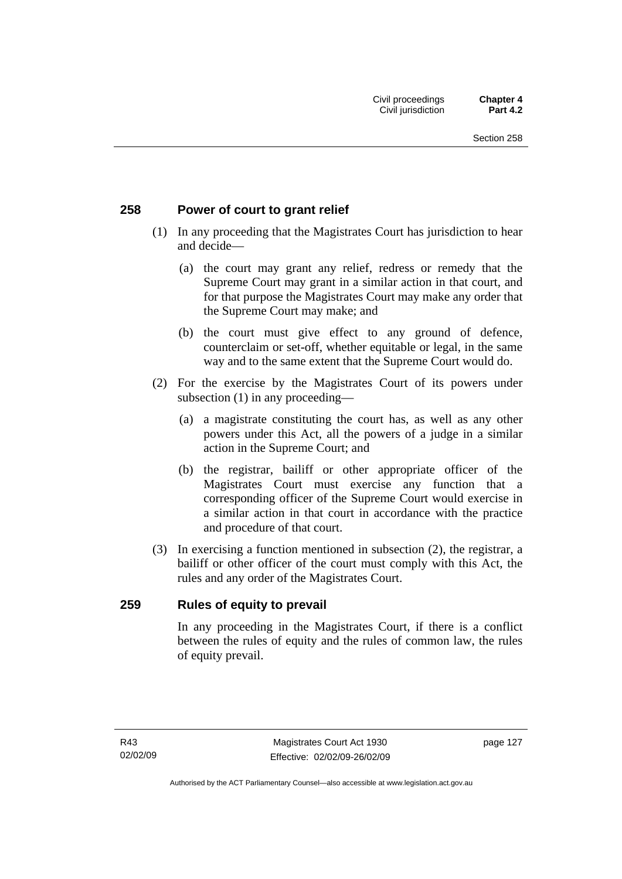## **258 Power of court to grant relief**

- (1) In any proceeding that the Magistrates Court has jurisdiction to hear and decide—
	- (a) the court may grant any relief, redress or remedy that the Supreme Court may grant in a similar action in that court, and for that purpose the Magistrates Court may make any order that the Supreme Court may make; and
	- (b) the court must give effect to any ground of defence, counterclaim or set-off, whether equitable or legal, in the same way and to the same extent that the Supreme Court would do.
- (2) For the exercise by the Magistrates Court of its powers under subsection (1) in any proceeding—
	- (a) a magistrate constituting the court has, as well as any other powers under this Act, all the powers of a judge in a similar action in the Supreme Court; and
	- (b) the registrar, bailiff or other appropriate officer of the Magistrates Court must exercise any function that a corresponding officer of the Supreme Court would exercise in a similar action in that court in accordance with the practice and procedure of that court.
- (3) In exercising a function mentioned in subsection (2), the registrar, a bailiff or other officer of the court must comply with this Act, the rules and any order of the Magistrates Court.

## **259 Rules of equity to prevail**

In any proceeding in the Magistrates Court, if there is a conflict between the rules of equity and the rules of common law, the rules of equity prevail.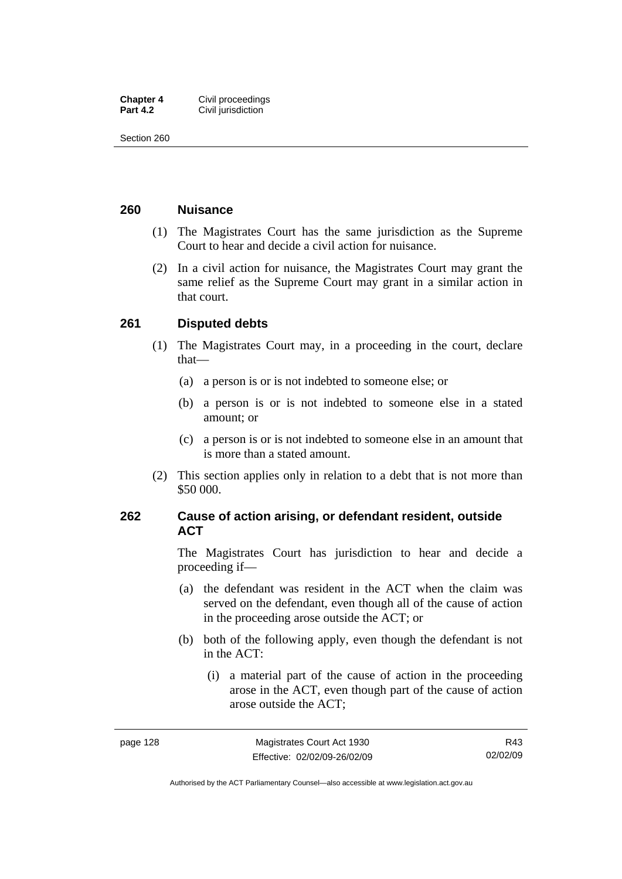| <b>Chapter 4</b> | Civil proceedings  |
|------------------|--------------------|
| <b>Part 4.2</b>  | Civil jurisdiction |

Section 260

## **260 Nuisance**

- (1) The Magistrates Court has the same jurisdiction as the Supreme Court to hear and decide a civil action for nuisance.
- (2) In a civil action for nuisance, the Magistrates Court may grant the same relief as the Supreme Court may grant in a similar action in that court.

## **261 Disputed debts**

- (1) The Magistrates Court may, in a proceeding in the court, declare that—
	- (a) a person is or is not indebted to someone else; or
	- (b) a person is or is not indebted to someone else in a stated amount; or
	- (c) a person is or is not indebted to someone else in an amount that is more than a stated amount.
- (2) This section applies only in relation to a debt that is not more than \$50 000.

## **262 Cause of action arising, or defendant resident, outside ACT**

The Magistrates Court has jurisdiction to hear and decide a proceeding if—

- (a) the defendant was resident in the ACT when the claim was served on the defendant, even though all of the cause of action in the proceeding arose outside the ACT; or
- (b) both of the following apply, even though the defendant is not in the ACT:
	- (i) a material part of the cause of action in the proceeding arose in the ACT, even though part of the cause of action arose outside the ACT;

Authorised by the ACT Parliamentary Counsel—also accessible at www.legislation.act.gov.au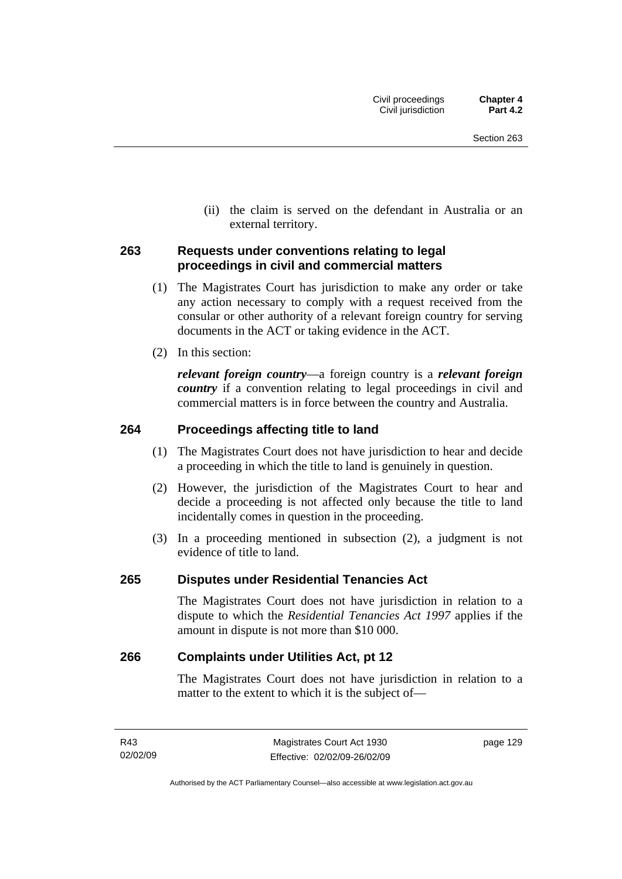(ii) the claim is served on the defendant in Australia or an external territory.

## **263 Requests under conventions relating to legal proceedings in civil and commercial matters**

- (1) The Magistrates Court has jurisdiction to make any order or take any action necessary to comply with a request received from the consular or other authority of a relevant foreign country for serving documents in the ACT or taking evidence in the ACT.
- (2) In this section:

*relevant foreign country*—a foreign country is a *relevant foreign country* if a convention relating to legal proceedings in civil and commercial matters is in force between the country and Australia.

## **264 Proceedings affecting title to land**

- (1) The Magistrates Court does not have jurisdiction to hear and decide a proceeding in which the title to land is genuinely in question.
- (2) However, the jurisdiction of the Magistrates Court to hear and decide a proceeding is not affected only because the title to land incidentally comes in question in the proceeding.
- (3) In a proceeding mentioned in subsection (2), a judgment is not evidence of title to land.

## **265 Disputes under Residential Tenancies Act**

The Magistrates Court does not have jurisdiction in relation to a dispute to which the *Residential Tenancies Act 1997* applies if the amount in dispute is not more than \$10 000.

## **266 Complaints under Utilities Act, pt 12**

The Magistrates Court does not have jurisdiction in relation to a matter to the extent to which it is the subject of—

page 129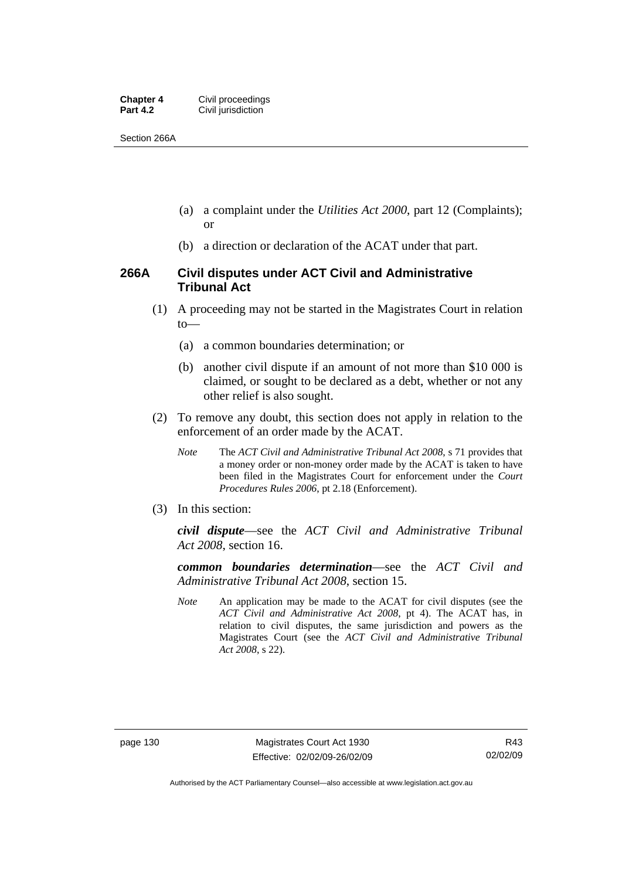| <b>Chapter 4</b> | Civil proceedings  |
|------------------|--------------------|
| <b>Part 4.2</b>  | Civil jurisdiction |

Section 266A

- (a) a complaint under the *Utilities Act 2000*, part 12 (Complaints); or
- (b) a direction or declaration of the ACAT under that part.

## **266A Civil disputes under ACT Civil and Administrative Tribunal Act**

- (1) A proceeding may not be started in the Magistrates Court in relation to—
	- (a) a common boundaries determination; or
	- (b) another civil dispute if an amount of not more than \$10 000 is claimed, or sought to be declared as a debt, whether or not any other relief is also sought.
- (2) To remove any doubt, this section does not apply in relation to the enforcement of an order made by the ACAT.
	- *Note* The *ACT Civil and Administrative Tribunal Act 2008*, s 71 provides that a money order or non-money order made by the ACAT is taken to have been filed in the Magistrates Court for enforcement under the *Court Procedures Rules 2006*, pt 2.18 (Enforcement).
- (3) In this section:

*civil dispute*—see the *ACT Civil and Administrative Tribunal Act 2008*, section 16.

*common boundaries determination*—see the *ACT Civil and Administrative Tribunal Act 2008*, section 15.

*Note* An application may be made to the ACAT for civil disputes (see the *ACT Civil and Administrative Act 2008*, pt 4). The ACAT has, in relation to civil disputes, the same jurisdiction and powers as the Magistrates Court (see the *ACT Civil and Administrative Tribunal Act 2008*, s 22).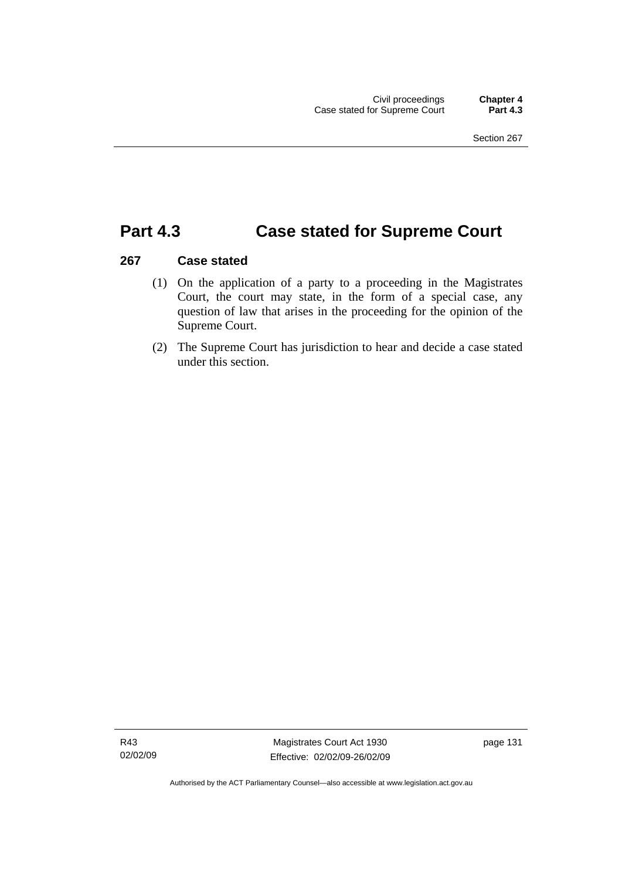## **Part 4.3 Case stated for Supreme Court**

## **267 Case stated**

- (1) On the application of a party to a proceeding in the Magistrates Court, the court may state, in the form of a special case, any question of law that arises in the proceeding for the opinion of the Supreme Court.
- (2) The Supreme Court has jurisdiction to hear and decide a case stated under this section.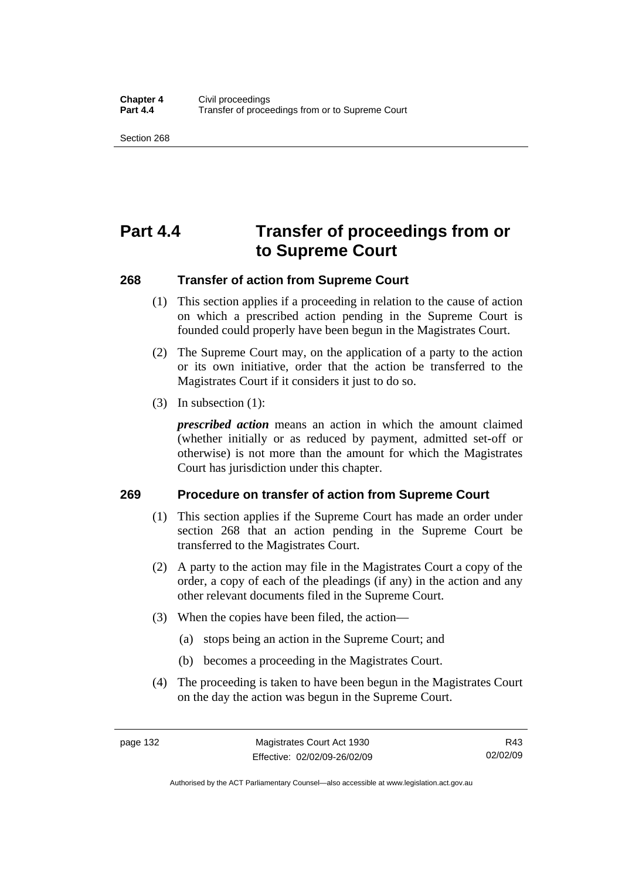Section 268

# **Part 4.4 Transfer of proceedings from or to Supreme Court**

## **268 Transfer of action from Supreme Court**

- (1) This section applies if a proceeding in relation to the cause of action on which a prescribed action pending in the Supreme Court is founded could properly have been begun in the Magistrates Court.
- (2) The Supreme Court may, on the application of a party to the action or its own initiative, order that the action be transferred to the Magistrates Court if it considers it just to do so.
- (3) In subsection (1):

*prescribed action* means an action in which the amount claimed (whether initially or as reduced by payment, admitted set-off or otherwise) is not more than the amount for which the Magistrates Court has jurisdiction under this chapter.

## **269 Procedure on transfer of action from Supreme Court**

- (1) This section applies if the Supreme Court has made an order under section 268 that an action pending in the Supreme Court be transferred to the Magistrates Court.
- (2) A party to the action may file in the Magistrates Court a copy of the order, a copy of each of the pleadings (if any) in the action and any other relevant documents filed in the Supreme Court.
- (3) When the copies have been filed, the action—
	- (a) stops being an action in the Supreme Court; and
	- (b) becomes a proceeding in the Magistrates Court.
- (4) The proceeding is taken to have been begun in the Magistrates Court on the day the action was begun in the Supreme Court.

Authorised by the ACT Parliamentary Counsel—also accessible at www.legislation.act.gov.au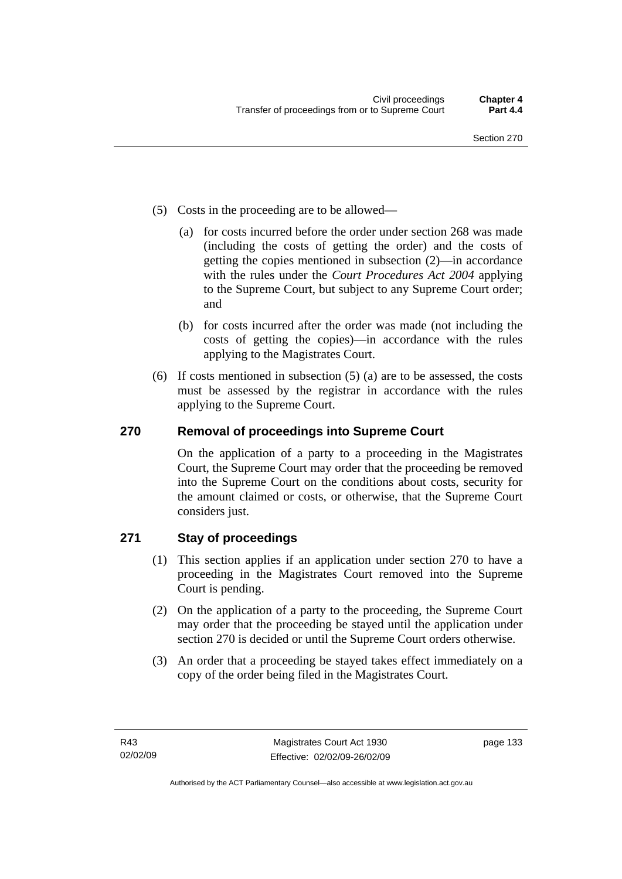- (5) Costs in the proceeding are to be allowed—
	- (a) for costs incurred before the order under section 268 was made (including the costs of getting the order) and the costs of getting the copies mentioned in subsection (2)—in accordance with the rules under the *Court Procedures Act 2004* applying to the Supreme Court, but subject to any Supreme Court order; and
	- (b) for costs incurred after the order was made (not including the costs of getting the copies)—in accordance with the rules applying to the Magistrates Court.
- (6) If costs mentioned in subsection (5) (a) are to be assessed, the costs must be assessed by the registrar in accordance with the rules applying to the Supreme Court.

## **270 Removal of proceedings into Supreme Court**

On the application of a party to a proceeding in the Magistrates Court, the Supreme Court may order that the proceeding be removed into the Supreme Court on the conditions about costs, security for the amount claimed or costs, or otherwise, that the Supreme Court considers just.

## **271 Stay of proceedings**

- (1) This section applies if an application under section 270 to have a proceeding in the Magistrates Court removed into the Supreme Court is pending.
- (2) On the application of a party to the proceeding, the Supreme Court may order that the proceeding be stayed until the application under section 270 is decided or until the Supreme Court orders otherwise.
- (3) An order that a proceeding be stayed takes effect immediately on a copy of the order being filed in the Magistrates Court.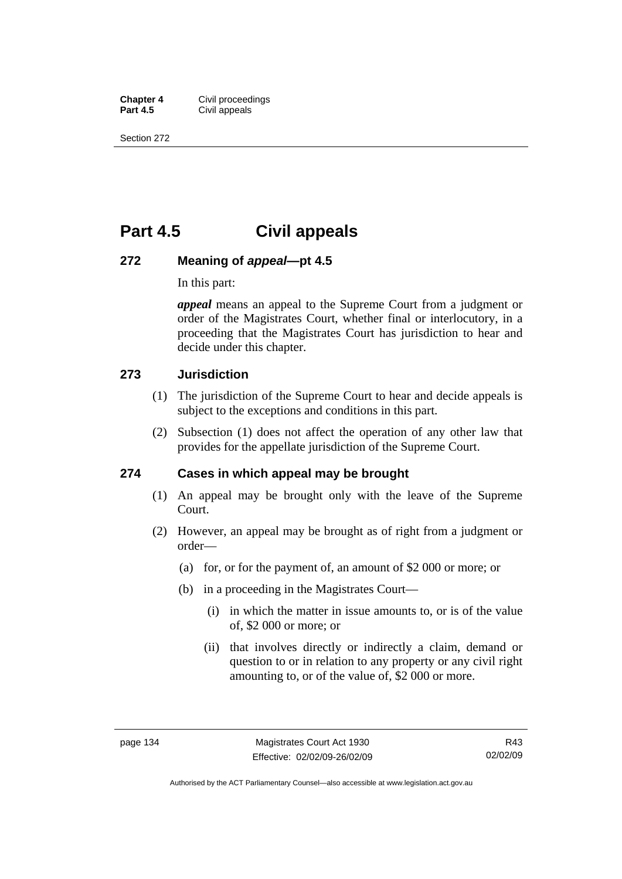**Chapter 4 Civil proceedings**<br>**Part 4.5 Civil appeals Civil appeals** 

Section 272

## **Part 4.5 Civil appeals**

## **272 Meaning of** *appeal***—pt 4.5**

In this part:

*appeal* means an appeal to the Supreme Court from a judgment or order of the Magistrates Court, whether final or interlocutory, in a proceeding that the Magistrates Court has jurisdiction to hear and decide under this chapter.

## **273 Jurisdiction**

- (1) The jurisdiction of the Supreme Court to hear and decide appeals is subject to the exceptions and conditions in this part.
- (2) Subsection (1) does not affect the operation of any other law that provides for the appellate jurisdiction of the Supreme Court.

## **274 Cases in which appeal may be brought**

- (1) An appeal may be brought only with the leave of the Supreme Court.
- (2) However, an appeal may be brought as of right from a judgment or order—
	- (a) for, or for the payment of, an amount of \$2 000 or more; or
	- (b) in a proceeding in the Magistrates Court—
		- (i) in which the matter in issue amounts to, or is of the value of, \$2 000 or more; or
		- (ii) that involves directly or indirectly a claim, demand or question to or in relation to any property or any civil right amounting to, or of the value of, \$2 000 or more.

R43 02/02/09

Authorised by the ACT Parliamentary Counsel—also accessible at www.legislation.act.gov.au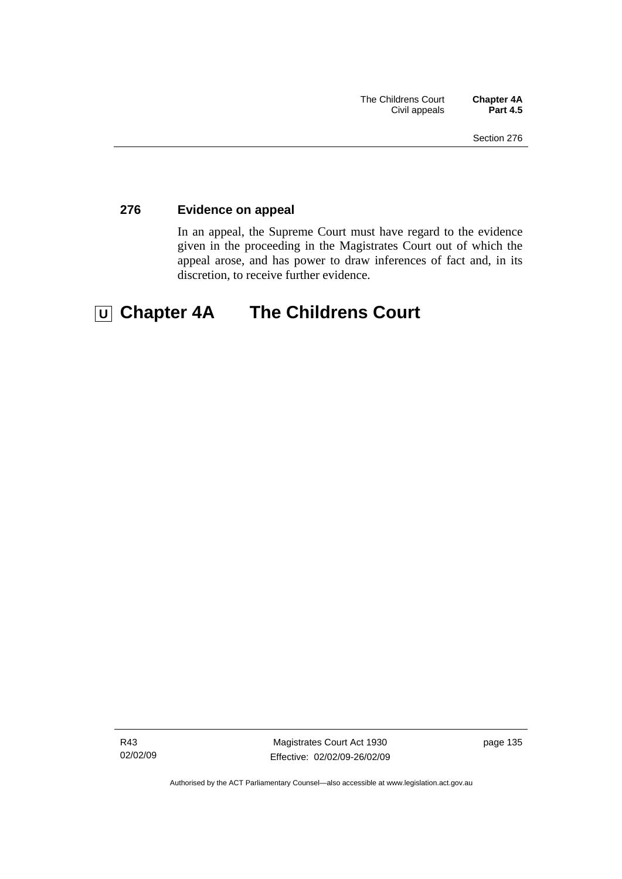## **276 Evidence on appeal**

In an appeal, the Supreme Court must have regard to the evidence given in the proceeding in the Magistrates Court out of which the appeal arose, and has power to draw inferences of fact and, in its discretion, to receive further evidence.

# **U Chapter 4A The Childrens Court**

R43 02/02/09

Magistrates Court Act 1930 Effective: 02/02/09-26/02/09 page 135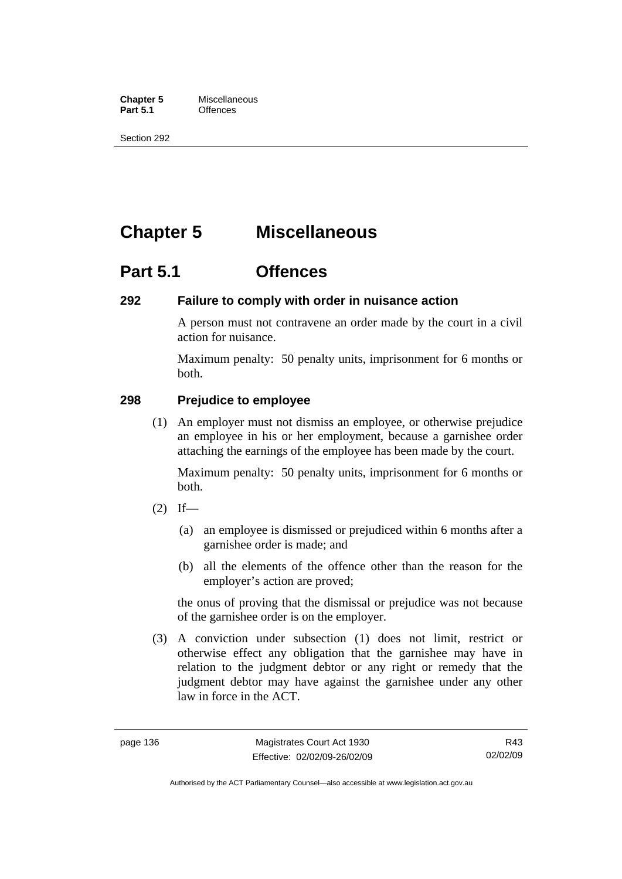**Chapter 5** Miscellaneous<br>**Part 5.1** Offences **Part 5.1** 

Section 292

# **Chapter 5 Miscellaneous**

## **Part 5.1 Offences**

## **292 Failure to comply with order in nuisance action**

A person must not contravene an order made by the court in a civil action for nuisance.

Maximum penalty: 50 penalty units, imprisonment for 6 months or both.

## **298 Prejudice to employee**

 (1) An employer must not dismiss an employee, or otherwise prejudice an employee in his or her employment, because a garnishee order attaching the earnings of the employee has been made by the court.

Maximum penalty: 50 penalty units, imprisonment for 6 months or both.

- $(2)$  If—
	- (a) an employee is dismissed or prejudiced within 6 months after a garnishee order is made; and
	- (b) all the elements of the offence other than the reason for the employer's action are proved;

the onus of proving that the dismissal or prejudice was not because of the garnishee order is on the employer.

 (3) A conviction under subsection (1) does not limit, restrict or otherwise effect any obligation that the garnishee may have in relation to the judgment debtor or any right or remedy that the judgment debtor may have against the garnishee under any other law in force in the ACT.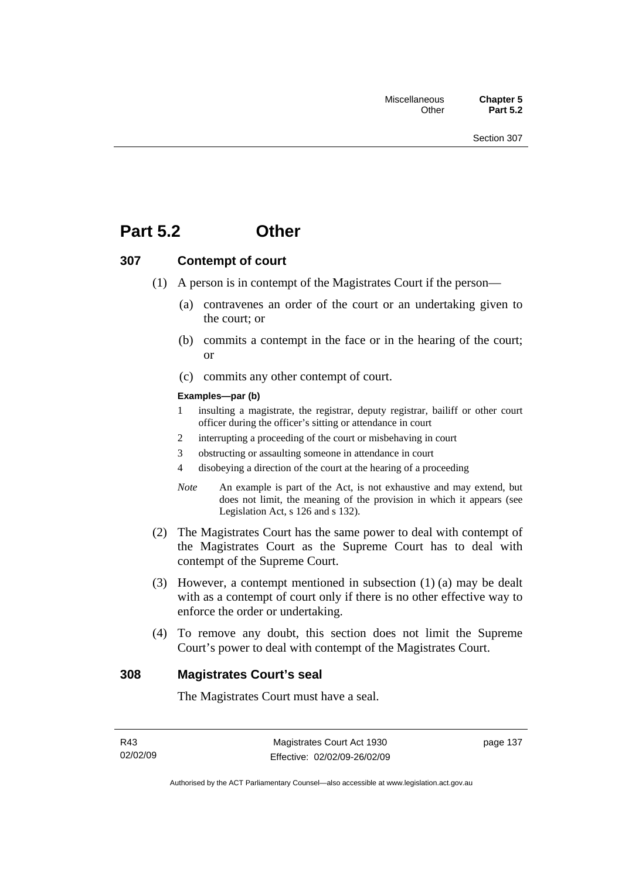## **Part 5.2 Other**

## **307 Contempt of court**

- (1) A person is in contempt of the Magistrates Court if the person—
	- (a) contravenes an order of the court or an undertaking given to the court; or
	- (b) commits a contempt in the face or in the hearing of the court; or
	- (c) commits any other contempt of court.

#### **Examples—par (b)**

- 1 insulting a magistrate, the registrar, deputy registrar, bailiff or other court officer during the officer's sitting or attendance in court
- 2 interrupting a proceeding of the court or misbehaving in court
- 3 obstructing or assaulting someone in attendance in court
- 4 disobeying a direction of the court at the hearing of a proceeding
- *Note* An example is part of the Act, is not exhaustive and may extend, but does not limit, the meaning of the provision in which it appears (see Legislation Act, s 126 and s 132).
- (2) The Magistrates Court has the same power to deal with contempt of the Magistrates Court as the Supreme Court has to deal with contempt of the Supreme Court.
- (3) However, a contempt mentioned in subsection (1) (a) may be dealt with as a contempt of court only if there is no other effective way to enforce the order or undertaking.
- (4) To remove any doubt, this section does not limit the Supreme Court's power to deal with contempt of the Magistrates Court.

### **308 Magistrates Court's seal**

The Magistrates Court must have a seal.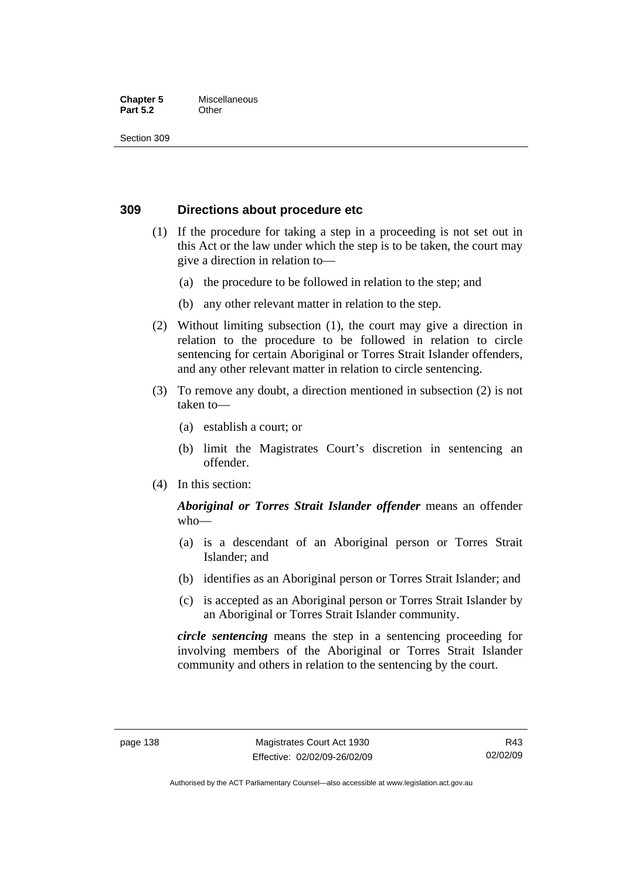#### **Chapter 5** Miscellaneous **Part 5.2** Other

Section 309

## **309 Directions about procedure etc**

- (1) If the procedure for taking a step in a proceeding is not set out in this Act or the law under which the step is to be taken, the court may give a direction in relation to—
	- (a) the procedure to be followed in relation to the step; and
	- (b) any other relevant matter in relation to the step.
- (2) Without limiting subsection (1), the court may give a direction in relation to the procedure to be followed in relation to circle sentencing for certain Aboriginal or Torres Strait Islander offenders, and any other relevant matter in relation to circle sentencing.
- (3) To remove any doubt, a direction mentioned in subsection (2) is not taken to—
	- (a) establish a court; or
	- (b) limit the Magistrates Court's discretion in sentencing an offender.
- (4) In this section:

## *Aboriginal or Torres Strait Islander offender* means an offender who—

- (a) is a descendant of an Aboriginal person or Torres Strait Islander; and
- (b) identifies as an Aboriginal person or Torres Strait Islander; and
- (c) is accepted as an Aboriginal person or Torres Strait Islander by an Aboriginal or Torres Strait Islander community.

*circle sentencing* means the step in a sentencing proceeding for involving members of the Aboriginal or Torres Strait Islander community and others in relation to the sentencing by the court.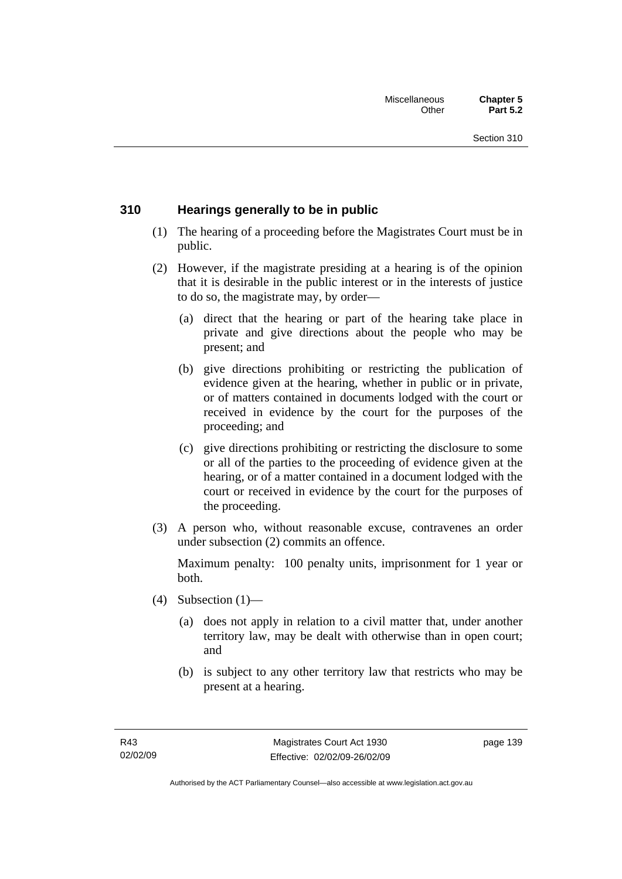## **310 Hearings generally to be in public**

- (1) The hearing of a proceeding before the Magistrates Court must be in public.
- (2) However, if the magistrate presiding at a hearing is of the opinion that it is desirable in the public interest or in the interests of justice to do so, the magistrate may, by order—
	- (a) direct that the hearing or part of the hearing take place in private and give directions about the people who may be present; and
	- (b) give directions prohibiting or restricting the publication of evidence given at the hearing, whether in public or in private, or of matters contained in documents lodged with the court or received in evidence by the court for the purposes of the proceeding; and
	- (c) give directions prohibiting or restricting the disclosure to some or all of the parties to the proceeding of evidence given at the hearing, or of a matter contained in a document lodged with the court or received in evidence by the court for the purposes of the proceeding.
- (3) A person who, without reasonable excuse, contravenes an order under subsection (2) commits an offence.

Maximum penalty: 100 penalty units, imprisonment for 1 year or both.

- (4) Subsection  $(1)$ 
	- (a) does not apply in relation to a civil matter that, under another territory law, may be dealt with otherwise than in open court; and
	- (b) is subject to any other territory law that restricts who may be present at a hearing.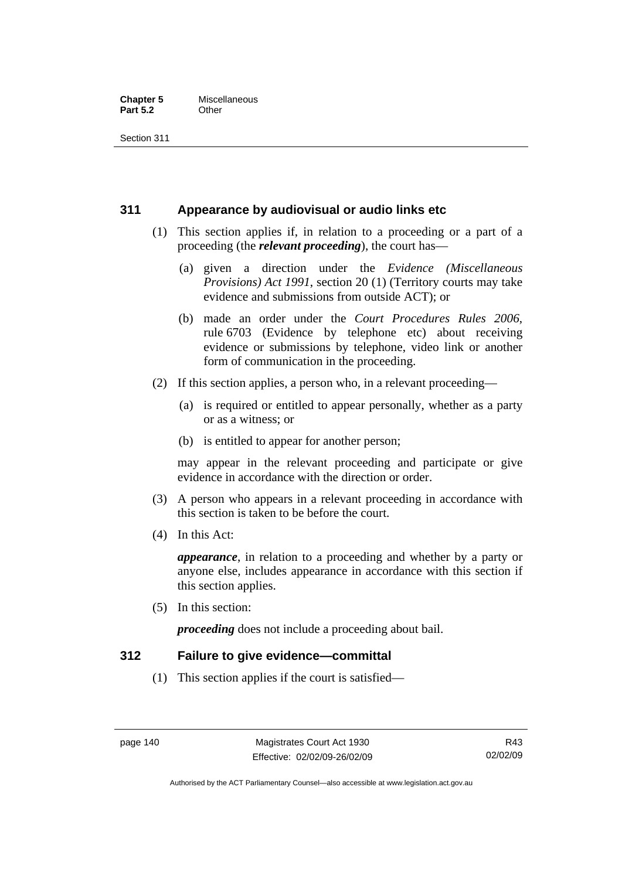#### **Chapter 5** Miscellaneous<br>**Part 5.2** Other **Part 5.2**

Section 311

## **311 Appearance by audiovisual or audio links etc**

- (1) This section applies if, in relation to a proceeding or a part of a proceeding (the *relevant proceeding*), the court has—
	- (a) given a direction under the *Evidence (Miscellaneous Provisions) Act 1991*, section 20 (1) (Territory courts may take evidence and submissions from outside ACT); or
	- (b) made an order under the *Court Procedures Rules 2006*, rule 6703 (Evidence by telephone etc) about receiving evidence or submissions by telephone, video link or another form of communication in the proceeding.
- (2) If this section applies, a person who, in a relevant proceeding—
	- (a) is required or entitled to appear personally, whether as a party or as a witness; or
	- (b) is entitled to appear for another person;

may appear in the relevant proceeding and participate or give evidence in accordance with the direction or order.

- (3) A person who appears in a relevant proceeding in accordance with this section is taken to be before the court.
- (4) In this Act:

*appearance*, in relation to a proceeding and whether by a party or anyone else, includes appearance in accordance with this section if this section applies.

(5) In this section:

*proceeding* does not include a proceeding about bail.

## **312 Failure to give evidence—committal**

(1) This section applies if the court is satisfied—

Authorised by the ACT Parliamentary Counsel—also accessible at www.legislation.act.gov.au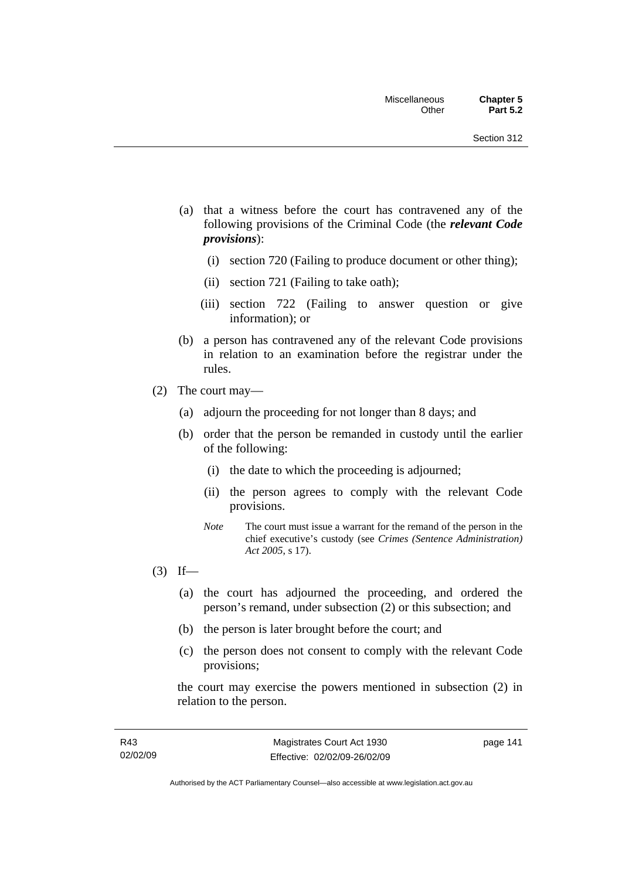- (a) that a witness before the court has contravened any of the following provisions of the Criminal Code (the *relevant Code provisions*):
	- (i) section 720 (Failing to produce document or other thing);
	- (ii) section 721 (Failing to take oath);
	- (iii) section 722 (Failing to answer question or give information); or
- (b) a person has contravened any of the relevant Code provisions in relation to an examination before the registrar under the rules.
- (2) The court may—
	- (a) adjourn the proceeding for not longer than 8 days; and
	- (b) order that the person be remanded in custody until the earlier of the following:
		- (i) the date to which the proceeding is adjourned;
		- (ii) the person agrees to comply with the relevant Code provisions.
		- *Note* The court must issue a warrant for the remand of the person in the chief executive's custody (see *Crimes (Sentence Administration) Act 2005*, s 17).
- $(3)$  If—
	- (a) the court has adjourned the proceeding, and ordered the person's remand, under subsection (2) or this subsection; and
	- (b) the person is later brought before the court; and
	- (c) the person does not consent to comply with the relevant Code provisions;

the court may exercise the powers mentioned in subsection (2) in relation to the person.

page 141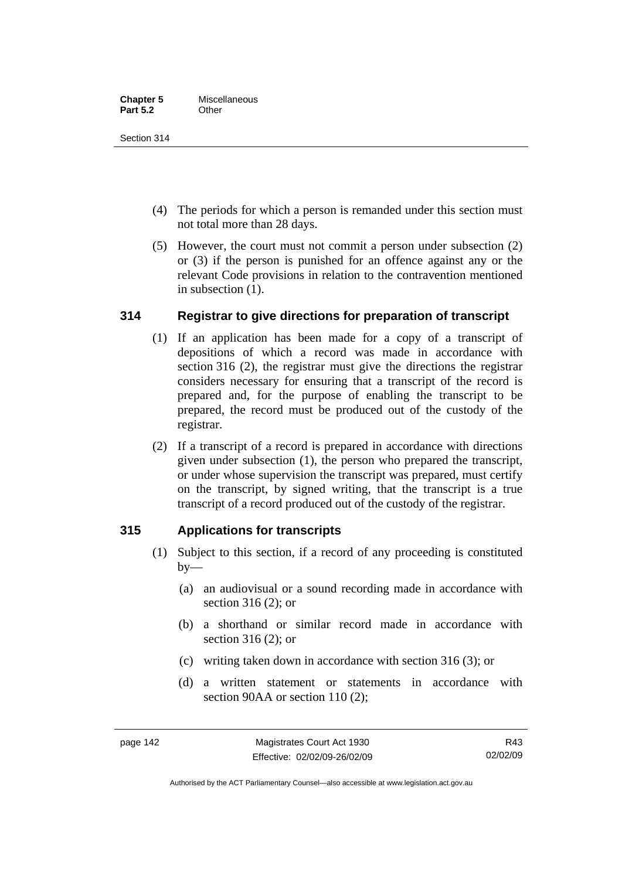Section 314

- (4) The periods for which a person is remanded under this section must not total more than 28 days.
- (5) However, the court must not commit a person under subsection (2) or (3) if the person is punished for an offence against any or the relevant Code provisions in relation to the contravention mentioned in subsection (1).

## **314 Registrar to give directions for preparation of transcript**

- (1) If an application has been made for a copy of a transcript of depositions of which a record was made in accordance with section 316 (2), the registrar must give the directions the registrar considers necessary for ensuring that a transcript of the record is prepared and, for the purpose of enabling the transcript to be prepared, the record must be produced out of the custody of the registrar.
- (2) If a transcript of a record is prepared in accordance with directions given under subsection (1), the person who prepared the transcript, or under whose supervision the transcript was prepared, must certify on the transcript, by signed writing, that the transcript is a true transcript of a record produced out of the custody of the registrar.

## **315 Applications for transcripts**

- (1) Subject to this section, if a record of any proceeding is constituted  $by-$ 
	- (a) an audiovisual or a sound recording made in accordance with section 316 (2); or
	- (b) a shorthand or similar record made in accordance with section 316 (2); or
	- (c) writing taken down in accordance with section 316 (3); or
	- (d) a written statement or statements in accordance with section 90AA or section 110 (2):

Authorised by the ACT Parliamentary Counsel—also accessible at www.legislation.act.gov.au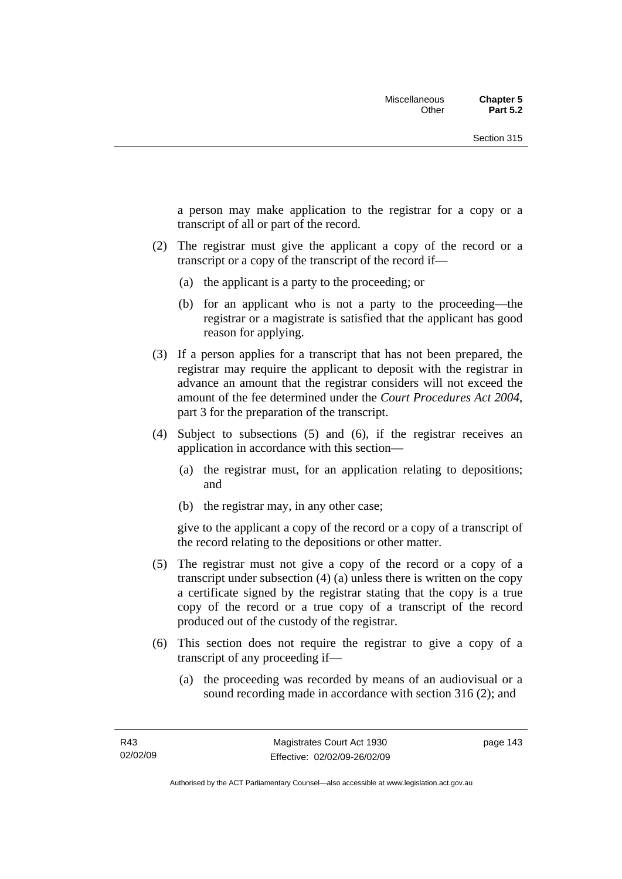a person may make application to the registrar for a copy or a transcript of all or part of the record.

- (2) The registrar must give the applicant a copy of the record or a transcript or a copy of the transcript of the record if—
	- (a) the applicant is a party to the proceeding; or
	- (b) for an applicant who is not a party to the proceeding—the registrar or a magistrate is satisfied that the applicant has good reason for applying.
- (3) If a person applies for a transcript that has not been prepared, the registrar may require the applicant to deposit with the registrar in advance an amount that the registrar considers will not exceed the amount of the fee determined under the *Court Procedures Act 2004*, part 3 for the preparation of the transcript.
- (4) Subject to subsections (5) and (6), if the registrar receives an application in accordance with this section—
	- (a) the registrar must, for an application relating to depositions; and
	- (b) the registrar may, in any other case;

give to the applicant a copy of the record or a copy of a transcript of the record relating to the depositions or other matter.

- (5) The registrar must not give a copy of the record or a copy of a transcript under subsection (4) (a) unless there is written on the copy a certificate signed by the registrar stating that the copy is a true copy of the record or a true copy of a transcript of the record produced out of the custody of the registrar.
- (6) This section does not require the registrar to give a copy of a transcript of any proceeding if—
	- (a) the proceeding was recorded by means of an audiovisual or a sound recording made in accordance with section 316 (2); and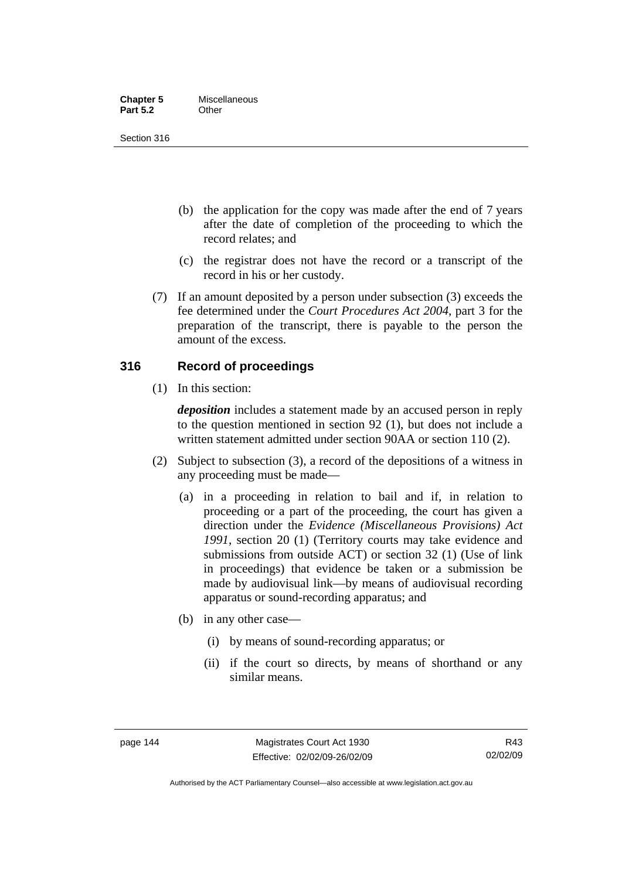| <b>Chapter 5</b> | Miscellaneous |
|------------------|---------------|
| <b>Part 5.2</b>  | Other         |

Section 316

- (b) the application for the copy was made after the end of 7 years after the date of completion of the proceeding to which the record relates; and
- (c) the registrar does not have the record or a transcript of the record in his or her custody.
- (7) If an amount deposited by a person under subsection (3) exceeds the fee determined under the *Court Procedures Act 2004*, part 3 for the preparation of the transcript, there is payable to the person the amount of the excess.

## **316 Record of proceedings**

(1) In this section:

*deposition* includes a statement made by an accused person in reply to the question mentioned in section 92 (1), but does not include a written statement admitted under section 90AA or section 110 (2).

- (2) Subject to subsection (3), a record of the depositions of a witness in any proceeding must be made—
	- (a) in a proceeding in relation to bail and if, in relation to proceeding or a part of the proceeding, the court has given a direction under the *Evidence (Miscellaneous Provisions) Act 1991*, section 20 (1) (Territory courts may take evidence and submissions from outside ACT) or section 32 (1) (Use of link in proceedings) that evidence be taken or a submission be made by audiovisual link—by means of audiovisual recording apparatus or sound-recording apparatus; and
	- (b) in any other case—
		- (i) by means of sound-recording apparatus; or
		- (ii) if the court so directs, by means of shorthand or any similar means.

Authorised by the ACT Parliamentary Counsel—also accessible at www.legislation.act.gov.au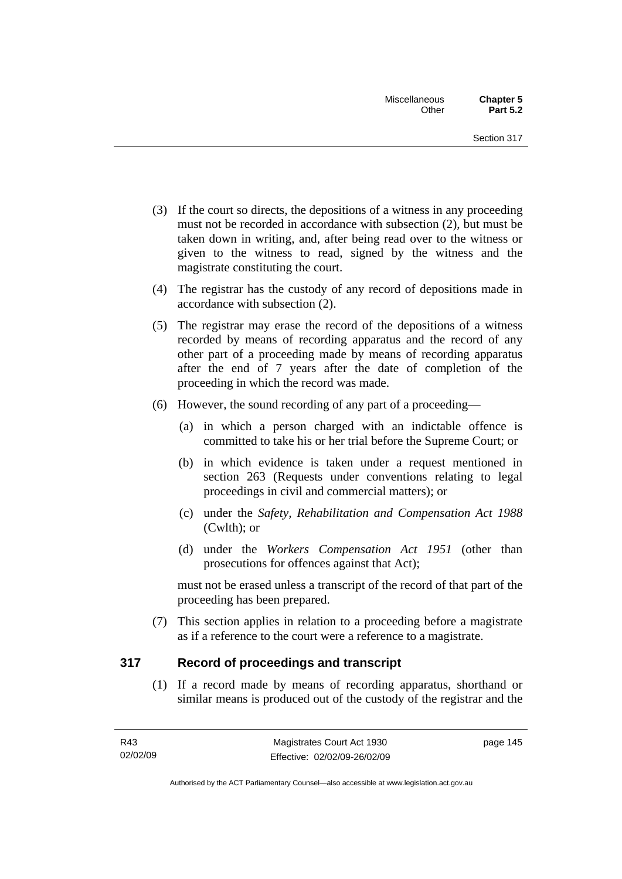- (3) If the court so directs, the depositions of a witness in any proceeding must not be recorded in accordance with subsection (2), but must be taken down in writing, and, after being read over to the witness or given to the witness to read, signed by the witness and the magistrate constituting the court.
- (4) The registrar has the custody of any record of depositions made in accordance with subsection (2).
- (5) The registrar may erase the record of the depositions of a witness recorded by means of recording apparatus and the record of any other part of a proceeding made by means of recording apparatus after the end of 7 years after the date of completion of the proceeding in which the record was made.
- (6) However, the sound recording of any part of a proceeding—
	- (a) in which a person charged with an indictable offence is committed to take his or her trial before the Supreme Court; or
	- (b) in which evidence is taken under a request mentioned in section 263 (Requests under conventions relating to legal proceedings in civil and commercial matters); or
	- (c) under the *Safety, Rehabilitation and Compensation Act 1988* (Cwlth); or
	- (d) under the *Workers Compensation Act 1951* (other than prosecutions for offences against that Act);

must not be erased unless a transcript of the record of that part of the proceeding has been prepared.

 (7) This section applies in relation to a proceeding before a magistrate as if a reference to the court were a reference to a magistrate.

## **317 Record of proceedings and transcript**

 (1) If a record made by means of recording apparatus, shorthand or similar means is produced out of the custody of the registrar and the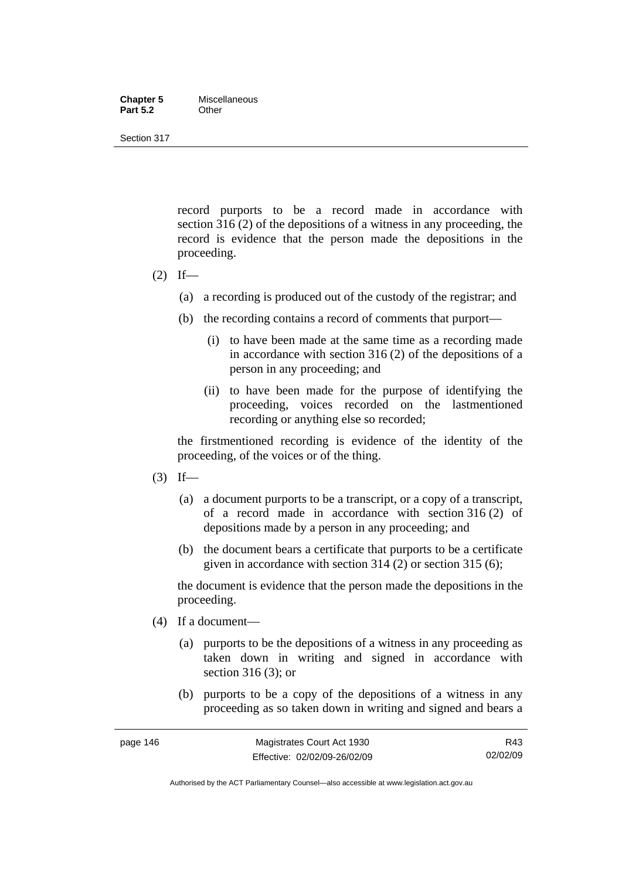#### **Chapter 5** Miscellaneous **Part 5.2** Other

Section 317

record purports to be a record made in accordance with section 316 (2) of the depositions of a witness in any proceeding, the record is evidence that the person made the depositions in the proceeding.

- $(2)$  If—
	- (a) a recording is produced out of the custody of the registrar; and
	- (b) the recording contains a record of comments that purport—
		- (i) to have been made at the same time as a recording made in accordance with section 316 (2) of the depositions of a person in any proceeding; and
		- (ii) to have been made for the purpose of identifying the proceeding, voices recorded on the lastmentioned recording or anything else so recorded;

the firstmentioned recording is evidence of the identity of the proceeding, of the voices or of the thing.

- $(3)$  If—
	- (a) a document purports to be a transcript, or a copy of a transcript, of a record made in accordance with section 316 (2) of depositions made by a person in any proceeding; and
	- (b) the document bears a certificate that purports to be a certificate given in accordance with section 314 (2) or section 315 (6);

the document is evidence that the person made the depositions in the proceeding.

- (4) If a document—
	- (a) purports to be the depositions of a witness in any proceeding as taken down in writing and signed in accordance with section 316 (3); or
	- (b) purports to be a copy of the depositions of a witness in any proceeding as so taken down in writing and signed and bears a

Authorised by the ACT Parliamentary Counsel—also accessible at www.legislation.act.gov.au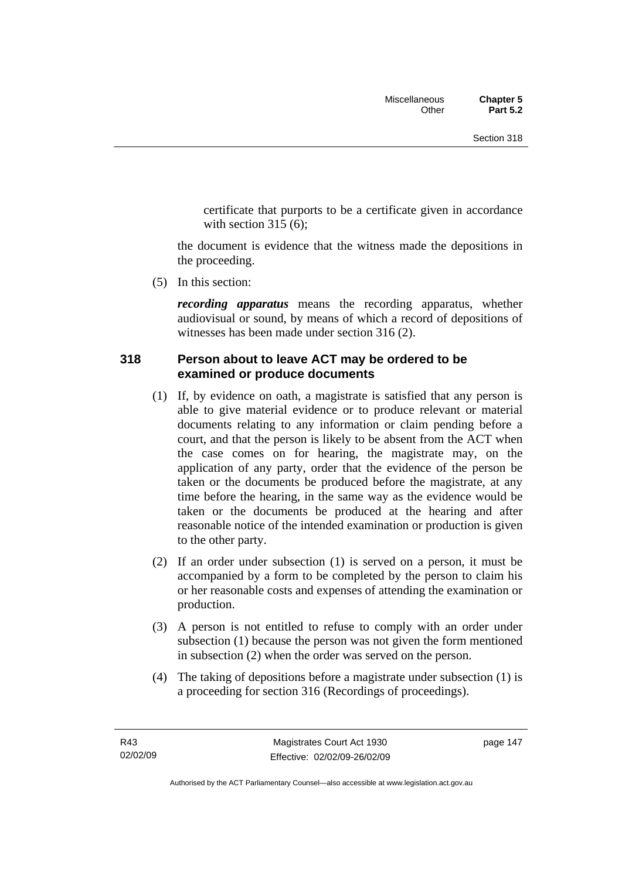certificate that purports to be a certificate given in accordance with section  $315(6)$ :

the document is evidence that the witness made the depositions in the proceeding.

(5) In this section:

*recording apparatus* means the recording apparatus, whether audiovisual or sound, by means of which a record of depositions of witnesses has been made under section 316 (2).

## **318 Person about to leave ACT may be ordered to be examined or produce documents**

- (1) If, by evidence on oath, a magistrate is satisfied that any person is able to give material evidence or to produce relevant or material documents relating to any information or claim pending before a court, and that the person is likely to be absent from the ACT when the case comes on for hearing, the magistrate may, on the application of any party, order that the evidence of the person be taken or the documents be produced before the magistrate, at any time before the hearing, in the same way as the evidence would be taken or the documents be produced at the hearing and after reasonable notice of the intended examination or production is given to the other party.
- (2) If an order under subsection (1) is served on a person, it must be accompanied by a form to be completed by the person to claim his or her reasonable costs and expenses of attending the examination or production.
- (3) A person is not entitled to refuse to comply with an order under subsection (1) because the person was not given the form mentioned in subsection (2) when the order was served on the person.
- (4) The taking of depositions before a magistrate under subsection (1) is a proceeding for section 316 (Recordings of proceedings).

page 147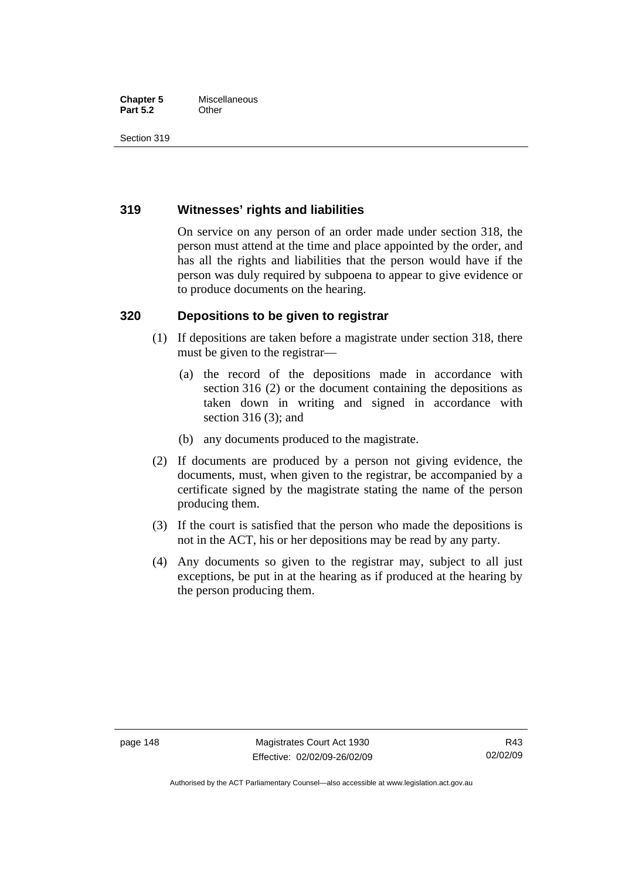#### **Chapter 5** Miscellaneous<br>**Part 5.2** Other **Part 5.2**

Section 319

## **319 Witnesses' rights and liabilities**

On service on any person of an order made under section 318, the person must attend at the time and place appointed by the order, and has all the rights and liabilities that the person would have if the person was duly required by subpoena to appear to give evidence or to produce documents on the hearing.

## **320 Depositions to be given to registrar**

- (1) If depositions are taken before a magistrate under section 318, there must be given to the registrar—
	- (a) the record of the depositions made in accordance with section 316 (2) or the document containing the depositions as taken down in writing and signed in accordance with section 316 (3); and
	- (b) any documents produced to the magistrate.
- (2) If documents are produced by a person not giving evidence, the documents, must, when given to the registrar, be accompanied by a certificate signed by the magistrate stating the name of the person producing them.
- (3) If the court is satisfied that the person who made the depositions is not in the ACT, his or her depositions may be read by any party.
- (4) Any documents so given to the registrar may, subject to all just exceptions, be put in at the hearing as if produced at the hearing by the person producing them.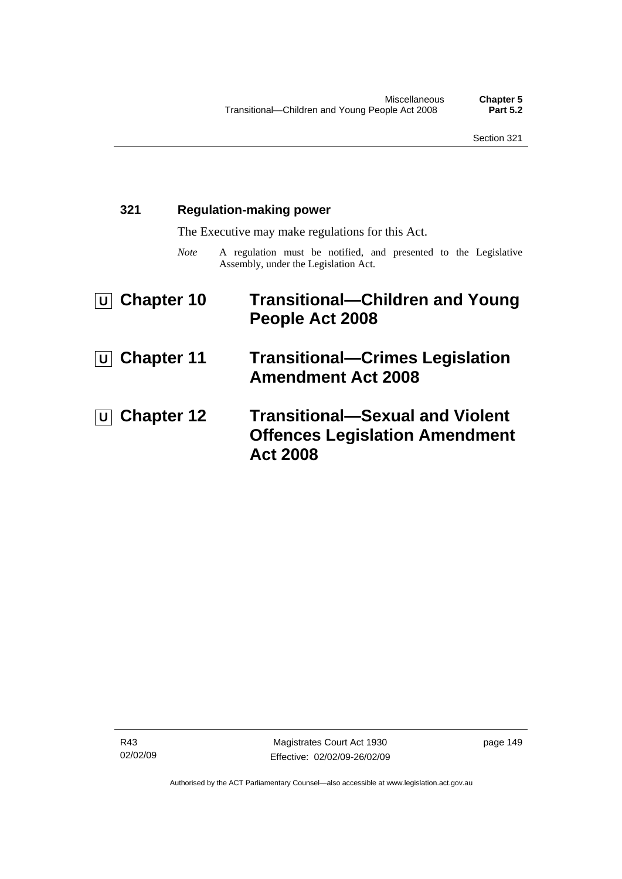| 321                       |             | <b>Regulation-making power</b>                                                                          |  |  |
|---------------------------|-------------|---------------------------------------------------------------------------------------------------------|--|--|
|                           |             | The Executive may make regulations for this Act.                                                        |  |  |
|                           | <b>Note</b> | A regulation must be notified, and presented to the Legislative<br>Assembly, under the Legislation Act. |  |  |
| $\boxed{U}$ Chapter 10    |             | <b>Transitional-Children and Young</b><br>People Act 2008                                               |  |  |
| <b>U</b> Chapter 11       |             | <b>Transitional–Crimes Legislation</b><br><b>Amendment Act 2008</b>                                     |  |  |
| $\overline{U}$ Chapter 12 |             | <b>Transitional-Sexual and Violent</b><br><b>Offences Legislation Amendment</b><br><b>Act 2008</b>      |  |  |

R43 02/02/09 page 149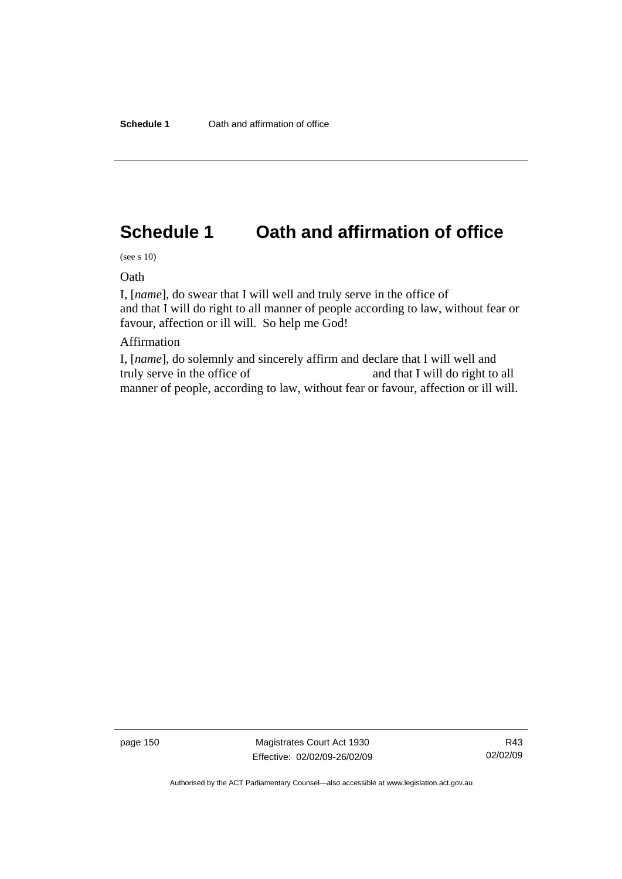# **Schedule 1 Oath and affirmation of office**

(see s 10)

Oath

I, [*name*], do swear that I will well and truly serve in the office of and that I will do right to all manner of people according to law, without fear or favour, affection or ill will. So help me God!

#### Affirmation

I, [*name*], do solemnly and sincerely affirm and declare that I will well and truly serve in the office of and that I will do right to all manner of people, according to law, without fear or favour, affection or ill will.

page 150 Magistrates Court Act 1930 Effective: 02/02/09-26/02/09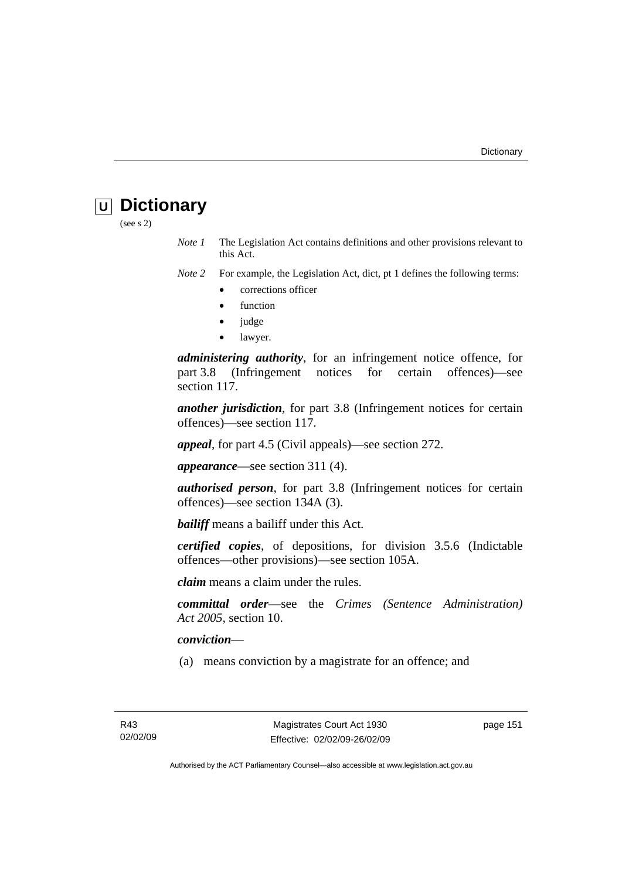# **U Dictionary**

(see s 2)

*Note 1* The Legislation Act contains definitions and other provisions relevant to this Act.

*Note 2* For example, the Legislation Act, dict, pt 1 defines the following terms:

- corrections officer
- **function**
- judge
- lawyer.

*administering authority*, for an infringement notice offence, for part 3.8 (Infringement notices for certain offences)—see section 117.

*another jurisdiction*, for part 3.8 (Infringement notices for certain offences)—see section 117.

*appeal*, for part 4.5 (Civil appeals)—see section 272.

*appearance*—see section 311 (4).

*authorised person*, for part 3.8 (Infringement notices for certain offences)—see section 134A (3).

*bailiff* means a bailiff under this Act.

*certified copies*, of depositions, for division 3.5.6 (Indictable offences—other provisions)—see section 105A.

*claim* means a claim under the rules.

*committal order*—see the *Crimes (Sentence Administration) Act 2005*, section 10.

#### *conviction*—

(a) means conviction by a magistrate for an offence; and

page 151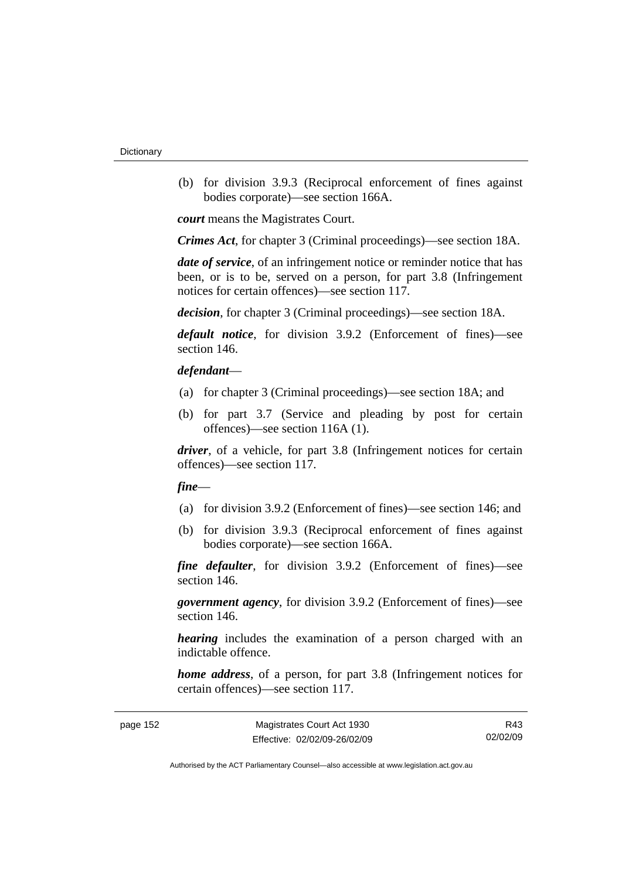(b) for division 3.9.3 (Reciprocal enforcement of fines against bodies corporate)—see section 166A.

*court* means the Magistrates Court.

*Crimes Act*, for chapter 3 (Criminal proceedings)—see section 18A.

*date of service*, of an infringement notice or reminder notice that has been, or is to be, served on a person, for part 3.8 (Infringement notices for certain offences)—see section 117.

*decision*, for chapter 3 (Criminal proceedings)—see section 18A.

*default notice*, for division 3.9.2 (Enforcement of fines)—see section 146.

#### *defendant*—

- (a) for chapter 3 (Criminal proceedings)—see section 18A; and
- (b) for part 3.7 (Service and pleading by post for certain offences)—see section 116A (1).

*driver*, of a vehicle, for part 3.8 (Infringement notices for certain offences)—see section 117.

#### *fine*—

- (a) for division 3.9.2 (Enforcement of fines)—see section 146; and
- (b) for division 3.9.3 (Reciprocal enforcement of fines against bodies corporate)—see section 166A.

*fine defaulter*, for division 3.9.2 (Enforcement of fines)—see section 146.

*government agency*, for division 3.9.2 (Enforcement of fines)—see section 146.

*hearing* includes the examination of a person charged with an indictable offence.

*home address*, of a person, for part 3.8 (Infringement notices for certain offences)—see section 117.

| page 152 |  |
|----------|--|
|----------|--|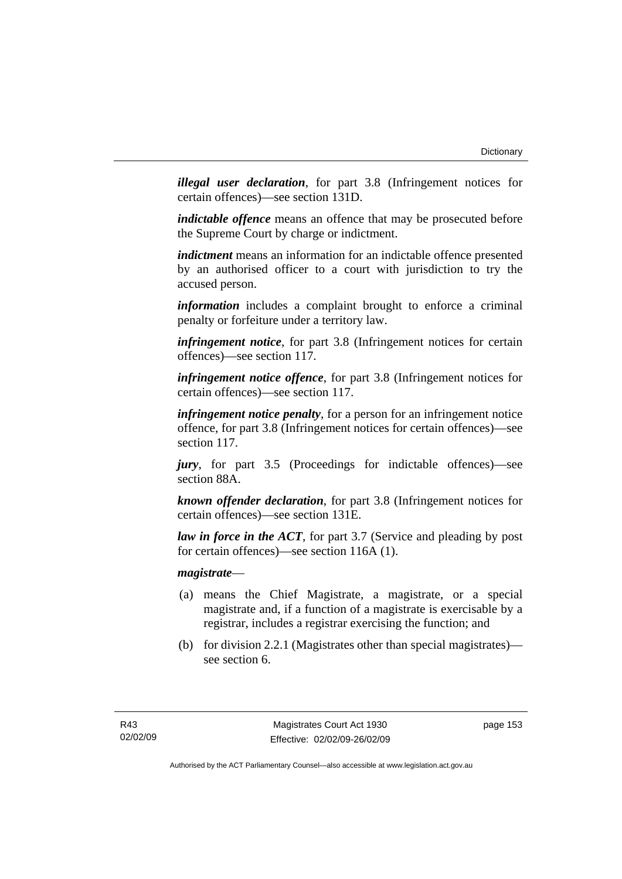*illegal user declaration*, for part 3.8 (Infringement notices for certain offences)—see section 131D.

*indictable offence* means an offence that may be prosecuted before the Supreme Court by charge or indictment.

*indictment* means an information for an indictable offence presented by an authorised officer to a court with jurisdiction to try the accused person.

*information* includes a complaint brought to enforce a criminal penalty or forfeiture under a territory law.

*infringement notice*, for part 3.8 (Infringement notices for certain offences)—see section 117.

*infringement notice offence*, for part 3.8 (Infringement notices for certain offences)—see section 117.

*infringement notice penalty*, for a person for an infringement notice offence, for part 3.8 (Infringement notices for certain offences)—see section 117.

*jury*, for part 3.5 (Proceedings for indictable offences)—see section 88A.

*known offender declaration*, for part 3.8 (Infringement notices for certain offences)—see section 131E.

*law in force in the ACT*, for part 3.7 (Service and pleading by post for certain offences)—see section 116A (1).

*magistrate*—

- (a) means the Chief Magistrate, a magistrate, or a special magistrate and, if a function of a magistrate is exercisable by a registrar, includes a registrar exercising the function; and
- (b) for division 2.2.1 (Magistrates other than special magistrates) see section 6.

page 153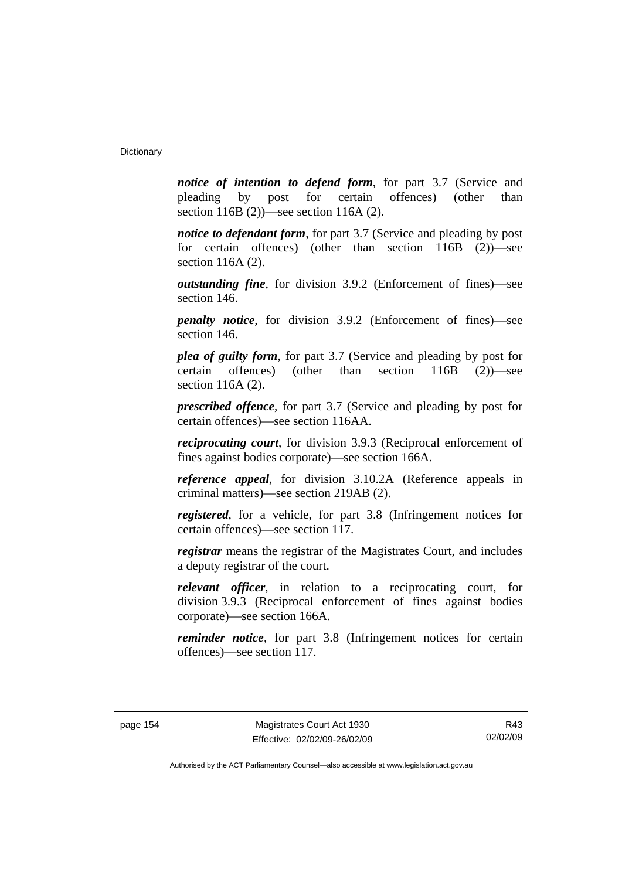*notice of intention to defend form*, for part 3.7 (Service and pleading by post for certain offences) (other than section 116B (2))—see section 116A (2).

*notice to defendant form*, for part 3.7 (Service and pleading by post) for certain offences) (other than section 116B (2))—see section 116A (2).

*outstanding fine*, for division 3.9.2 (Enforcement of fines)—see section 146.

*penalty notice*, for division 3.9.2 (Enforcement of fines)—see section 146.

*plea of guilty form*, for part 3.7 (Service and pleading by post for certain offences) (other than section 116B (2))—see section 116A (2).

*prescribed offence*, for part 3.7 (Service and pleading by post for certain offences)—see section 116AA.

*reciprocating court*, for division 3.9.3 (Reciprocal enforcement of fines against bodies corporate)—see section 166A.

*reference appeal*, for division 3.10.2A (Reference appeals in criminal matters)—see section 219AB (2).

*registered*, for a vehicle, for part 3.8 (Infringement notices for certain offences)—see section 117.

*registrar* means the registrar of the Magistrates Court, and includes a deputy registrar of the court.

*relevant officer*, in relation to a reciprocating court, for division 3.9.3 (Reciprocal enforcement of fines against bodies corporate)—see section 166A.

*reminder notice*, for part 3.8 (Infringement notices for certain offences)—see section 117.

R43 02/02/09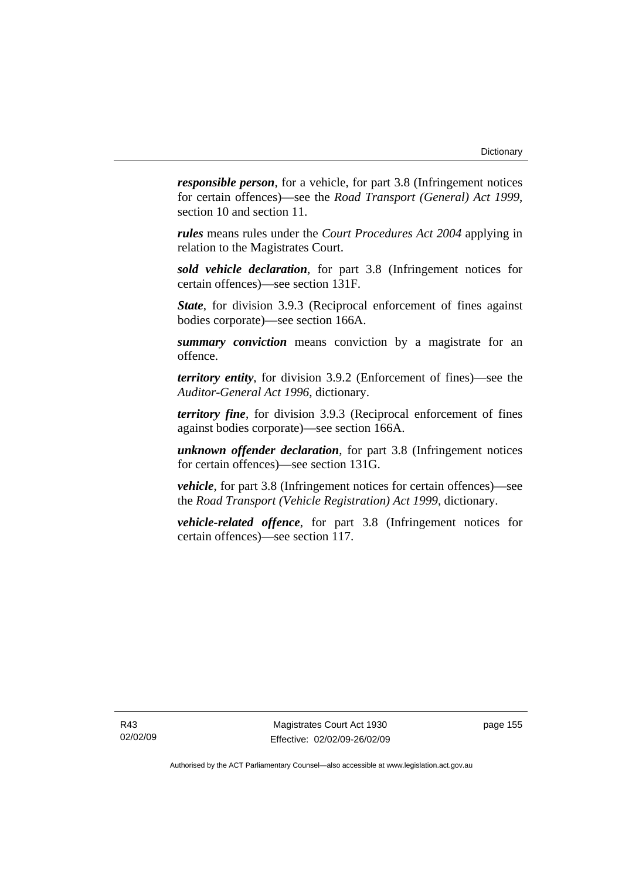*responsible person*, for a vehicle, for part 3.8 (Infringement notices for certain offences)—see the *Road Transport (General) Act 1999*, section 10 and section 11.

*rules* means rules under the *Court Procedures Act 2004* applying in relation to the Magistrates Court.

*sold vehicle declaration*, for part 3.8 (Infringement notices for certain offences)—see section 131F.

*State*, for division 3.9.3 (Reciprocal enforcement of fines against bodies corporate)—see section 166A.

*summary conviction* means conviction by a magistrate for an offence.

*territory entity*, for division 3.9.2 (Enforcement of fines)—see the *Auditor-General Act 1996*, dictionary.

*territory fine*, for division 3.9.3 (Reciprocal enforcement of fines against bodies corporate)—see section 166A.

*unknown offender declaration*, for part 3.8 (Infringement notices for certain offences)—see section 131G.

*vehicle*, for part 3.8 (Infringement notices for certain offences)—see the *Road Transport (Vehicle Registration) Act 1999*, dictionary.

*vehicle-related offence*, for part 3.8 (Infringement notices for certain offences)—see section 117.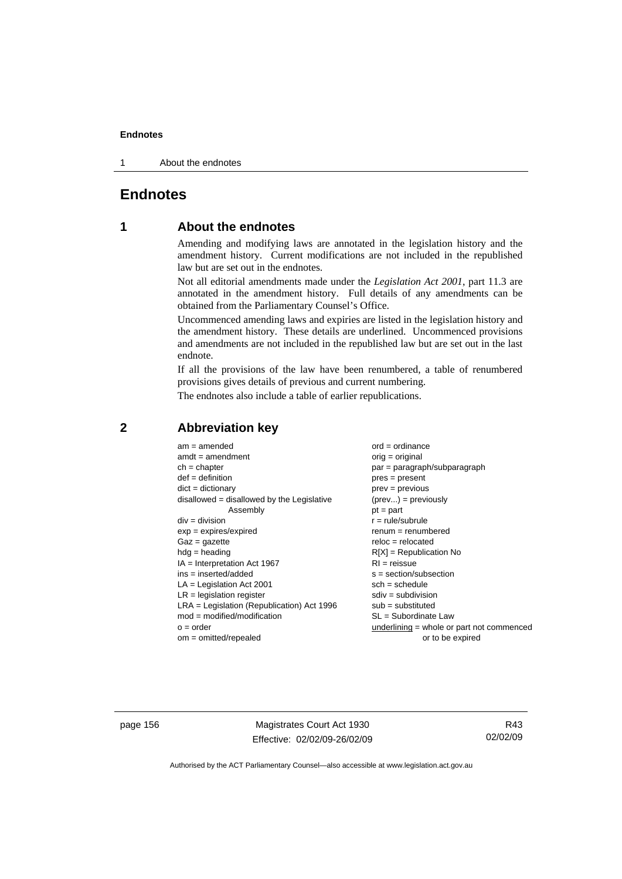1 About the endnotes

## **Endnotes**

## **1 About the endnotes**

Amending and modifying laws are annotated in the legislation history and the amendment history. Current modifications are not included in the republished law but are set out in the endnotes.

Not all editorial amendments made under the *Legislation Act 2001*, part 11.3 are annotated in the amendment history. Full details of any amendments can be obtained from the Parliamentary Counsel's Office.

Uncommenced amending laws and expiries are listed in the legislation history and the amendment history. These details are underlined. Uncommenced provisions and amendments are not included in the republished law but are set out in the last endnote.

If all the provisions of the law have been renumbered, a table of renumbered provisions gives details of previous and current numbering.

The endnotes also include a table of earlier republications.

| $am = amended$                               | $ord = ordinance$                         |  |  |
|----------------------------------------------|-------------------------------------------|--|--|
| $amdt = amendment$                           | orig = original                           |  |  |
| $ch = chapter$                               | par = paragraph/subparagraph              |  |  |
| $def = definition$                           | $pres = present$                          |  |  |
| $dict = dictionary$                          | $prev = previous$                         |  |  |
| $disallowed = disallowed by the Legislative$ | $(\text{prev}) = \text{previously}$       |  |  |
| Assembly                                     | $pt = part$                               |  |  |
| $div = division$                             | $r = rule/subrule$                        |  |  |
| $exp = expires/expired$                      | $renum = renumbered$                      |  |  |
| $Gaz = gazette$                              | $reloc = relocated$                       |  |  |
| $hdg =$ heading                              | $R[X]$ = Republication No                 |  |  |
| $IA = Interpretation Act 1967$               | $RI = reissue$                            |  |  |
| $ins = inserted/added$                       | $s = section/subsection$                  |  |  |
| $LA =$ Legislation Act 2001                  | $sch = schedule$                          |  |  |
| $LR =$ legislation register                  | $sdiv = subdivision$                      |  |  |
| $LRA =$ Legislation (Republication) Act 1996 | $sub = substituted$                       |  |  |
| $mod = modified/modification$                | SL = Subordinate Law                      |  |  |
| $o = order$                                  | underlining = whole or part not commenced |  |  |
| $om = omitted/repealed$                      | or to be expired                          |  |  |
|                                              |                                           |  |  |

## **2 Abbreviation key**

page 156 Magistrates Court Act 1930 Effective: 02/02/09-26/02/09

R43 02/02/09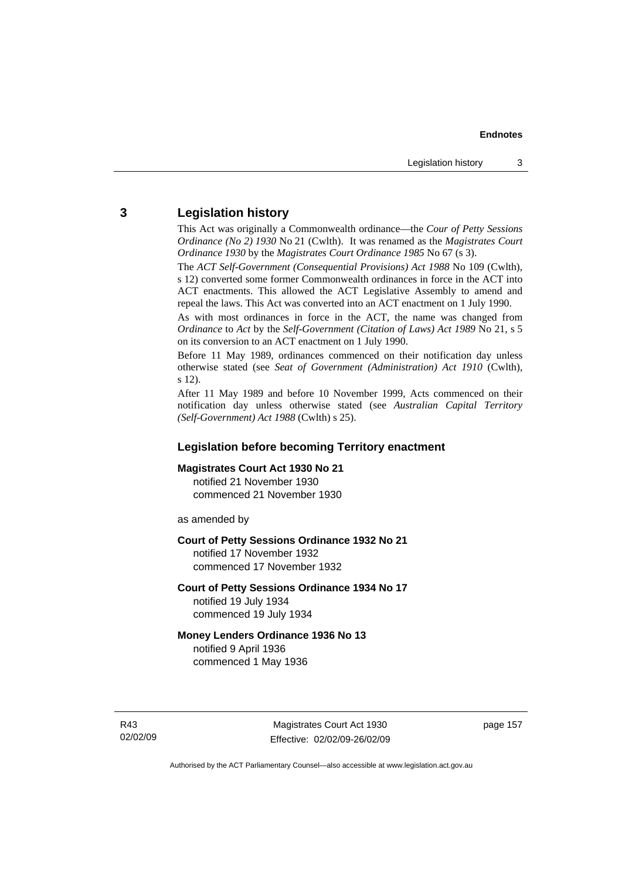## **3 Legislation history**

This Act was originally a Commonwealth ordinance—the *Cour of Petty Sessions Ordinance (No 2) 1930* No 21 (Cwlth). It was renamed as the *Magistrates Court Ordinance 1930* by the *Magistrates Court Ordinance 1985* No 67 (s 3).

The *ACT Self-Government (Consequential Provisions) Act 1988* No 109 (Cwlth), s 12) converted some former Commonwealth ordinances in force in the ACT into ACT enactments. This allowed the ACT Legislative Assembly to amend and repeal the laws. This Act was converted into an ACT enactment on 1 July 1990.

As with most ordinances in force in the ACT, the name was changed from *Ordinance* to *Act* by the *Self-Government (Citation of Laws) Act 1989* No 21, s 5 on its conversion to an ACT enactment on 1 July 1990.

Before 11 May 1989, ordinances commenced on their notification day unless otherwise stated (see *Seat of Government (Administration) Act 1910* (Cwlth), s 12).

After 11 May 1989 and before 10 November 1999, Acts commenced on their notification day unless otherwise stated (see *Australian Capital Territory (Self-Government) Act 1988* (Cwlth) s 25).

#### **Legislation before becoming Territory enactment**

#### **Magistrates Court Act 1930 No 21**

notified 21 November 1930 commenced 21 November 1930

as amended by

#### **Court of Petty Sessions Ordinance 1932 No 21**

notified 17 November 1932 commenced 17 November 1932

#### **Court of Petty Sessions Ordinance 1934 No 17**

notified 19 July 1934 commenced 19 July 1934

#### **Money Lenders Ordinance 1936 No 13**  notified 9 April 1936

commenced 1 May 1936

R43 02/02/09 page 157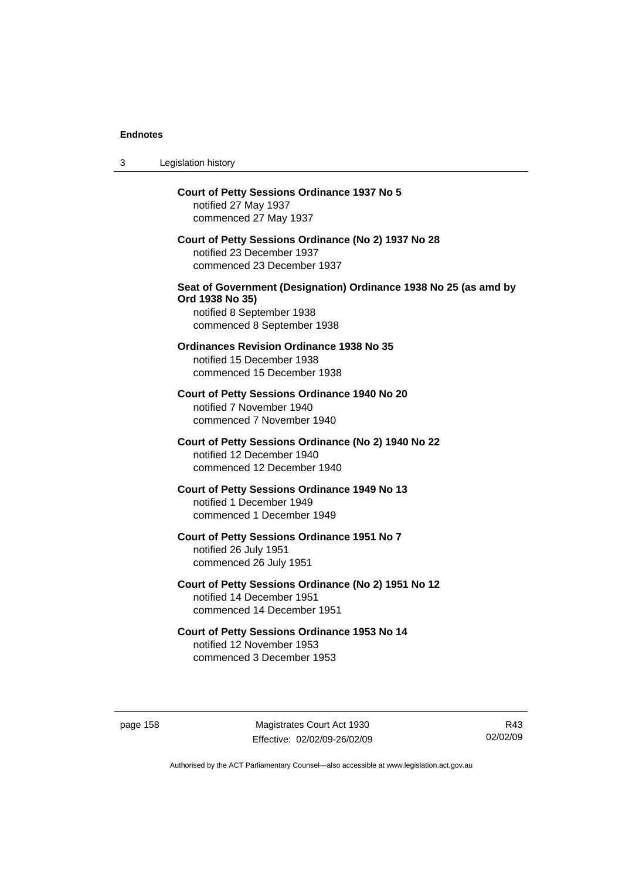| 3 | Legislation history                                                                                                                            |
|---|------------------------------------------------------------------------------------------------------------------------------------------------|
|   | <b>Court of Petty Sessions Ordinance 1937 No 5</b><br>notified 27 May 1937<br>commenced 27 May 1937                                            |
|   | Court of Petty Sessions Ordinance (No 2) 1937 No 28<br>notified 23 December 1937<br>commenced 23 December 1937                                 |
|   | Seat of Government (Designation) Ordinance 1938 No 25 (as amd by<br>Ord 1938 No 35)<br>notified 8 September 1938<br>commenced 8 September 1938 |
|   | <b>Ordinances Revision Ordinance 1938 No 35</b><br>notified 15 December 1938<br>commenced 15 December 1938                                     |
|   | Court of Petty Sessions Ordinance 1940 No 20<br>notified 7 November 1940<br>commenced 7 November 1940                                          |
|   | Court of Petty Sessions Ordinance (No 2) 1940 No 22<br>notified 12 December 1940<br>commenced 12 December 1940                                 |
|   | Court of Petty Sessions Ordinance 1949 No 13<br>notified 1 December 1949<br>commenced 1 December 1949                                          |
|   | Court of Petty Sessions Ordinance 1951 No 7<br>notified 26 July 1951<br>commenced 26 July 1951                                                 |
|   | Court of Petty Sessions Ordinance (No 2) 1951 No 12<br>notified 14 December 1951<br>commenced 14 December 1951                                 |
|   | Court of Petty Sessions Ordinance 1953 No 14<br>notified 12 November 1953<br>commenced 3 December 1953                                         |

page 158 Magistrates Court Act 1930 Effective: 02/02/09-26/02/09

R43 02/02/09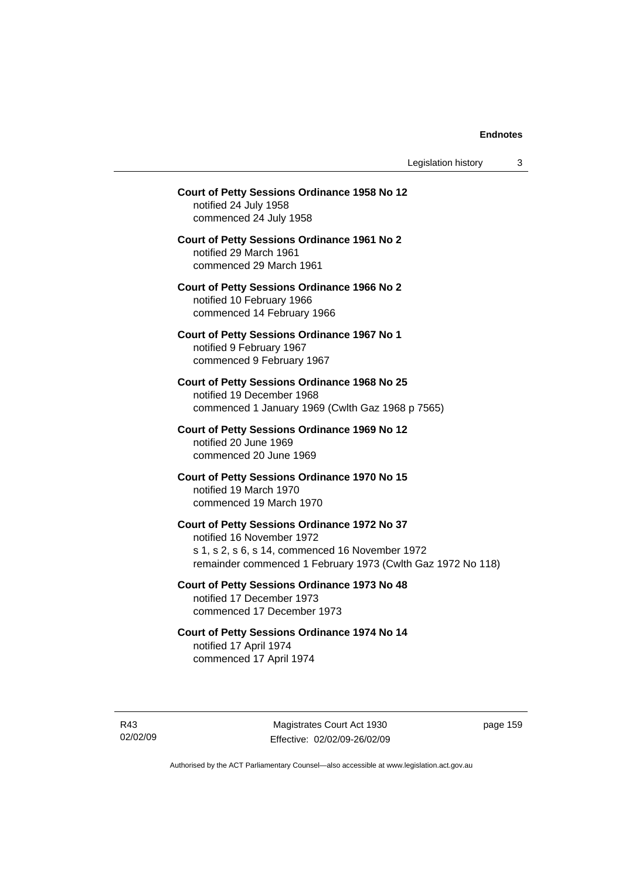Legislation history 3

## **Court of Petty Sessions Ordinance 1958 No 12**  notified 24 July 1958 commenced 24 July 1958 **Court of Petty Sessions Ordinance 1961 No 2**  notified 29 March 1961 commenced 29 March 1961 **Court of Petty Sessions Ordinance 1966 No 2**  notified 10 February 1966 commenced 14 February 1966 **Court of Petty Sessions Ordinance 1967 No 1**  notified 9 February 1967 commenced 9 February 1967 **Court of Petty Sessions Ordinance 1968 No 25**  notified 19 December 1968 commenced 1 January 1969 (Cwlth Gaz 1968 p 7565) **Court of Petty Sessions Ordinance 1969 No 12**  notified 20 June 1969 commenced 20 June 1969 **Court of Petty Sessions Ordinance 1970 No 15**  notified 19 March 1970 commenced 19 March 1970 **Court of Petty Sessions Ordinance 1972 No 37**  notified 16 November 1972 s 1, s 2, s 6, s 14, commenced 16 November 1972 remainder commenced 1 February 1973 (Cwlth Gaz 1972 No 118) **Court of Petty Sessions Ordinance 1973 No 48**  notified 17 December 1973 commenced 17 December 1973 **Court of Petty Sessions Ordinance 1974 No 14**

notified 17 April 1974 commenced 17 April 1974

R43 02/02/09

Magistrates Court Act 1930 Effective: 02/02/09-26/02/09 page 159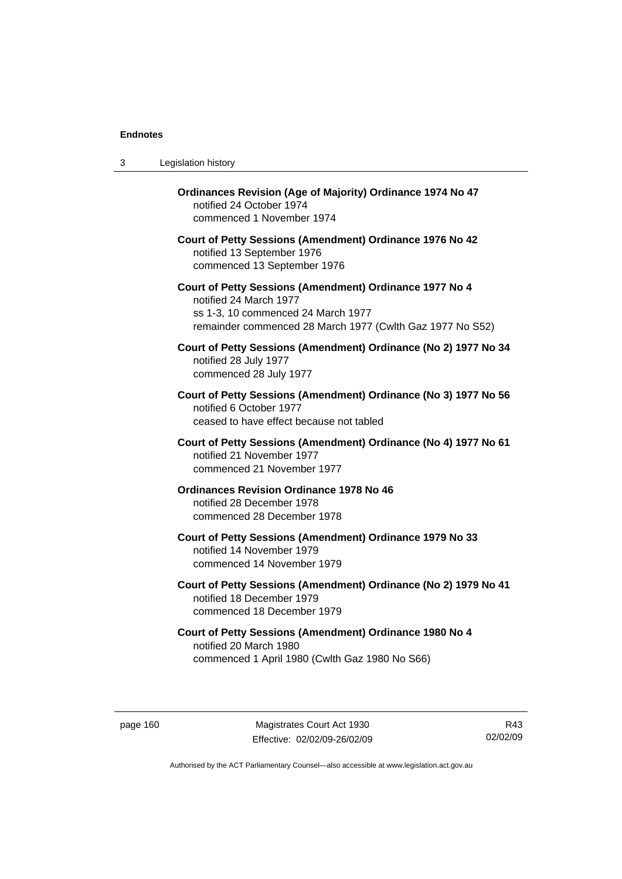| 3 | Legislation history                                                                                                                                                                  |
|---|--------------------------------------------------------------------------------------------------------------------------------------------------------------------------------------|
|   | Ordinances Revision (Age of Majority) Ordinance 1974 No 47<br>notified 24 October 1974<br>commenced 1 November 1974                                                                  |
|   | Court of Petty Sessions (Amendment) Ordinance 1976 No 42<br>notified 13 September 1976<br>commenced 13 September 1976                                                                |
|   | Court of Petty Sessions (Amendment) Ordinance 1977 No 4<br>notified 24 March 1977<br>ss 1-3, 10 commenced 24 March 1977<br>remainder commenced 28 March 1977 (Cwlth Gaz 1977 No S52) |
|   | Court of Petty Sessions (Amendment) Ordinance (No 2) 1977 No 34<br>notified 28 July 1977<br>commenced 28 July 1977                                                                   |
|   | Court of Petty Sessions (Amendment) Ordinance (No 3) 1977 No 56<br>notified 6 October 1977<br>ceased to have effect because not tabled                                               |
|   | Court of Petty Sessions (Amendment) Ordinance (No 4) 1977 No 61<br>notified 21 November 1977<br>commenced 21 November 1977                                                           |
|   | <b>Ordinances Revision Ordinance 1978 No 46</b><br>notified 28 December 1978<br>commenced 28 December 1978                                                                           |
|   | Court of Petty Sessions (Amendment) Ordinance 1979 No 33<br>notified 14 November 1979<br>commenced 14 November 1979                                                                  |
|   | Court of Petty Sessions (Amendment) Ordinance (No 2) 1979 No 41<br>notified 18 December 1979<br>commenced 18 December 1979                                                           |
|   | Court of Petty Sessions (Amendment) Ordinance 1980 No 4<br>notified 20 March 1980<br>commenced 1 April 1980 (Cwlth Gaz 1980 No S66)                                                  |

page 160 Magistrates Court Act 1930 Effective: 02/02/09-26/02/09

R43 02/02/09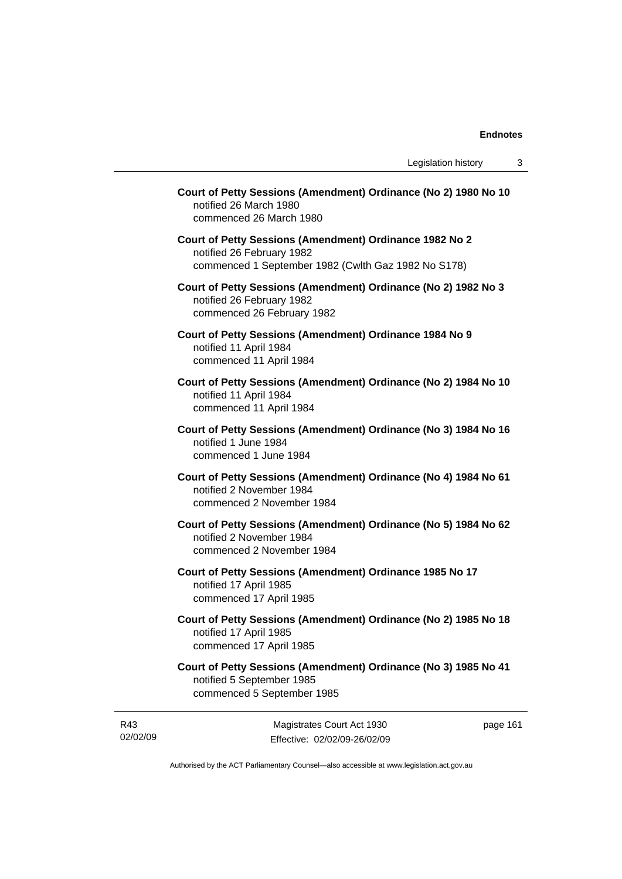| Court of Petty Sessions (Amendment) Ordinance (No 2) 1980 No 10<br>notified 26 March 1980<br>commenced 26 March 1980                        |
|---------------------------------------------------------------------------------------------------------------------------------------------|
| Court of Petty Sessions (Amendment) Ordinance 1982 No 2<br>notified 26 February 1982<br>commenced 1 September 1982 (Cwlth Gaz 1982 No S178) |
| Court of Petty Sessions (Amendment) Ordinance (No 2) 1982 No 3<br>notified 26 February 1982<br>commenced 26 February 1982                   |
| Court of Petty Sessions (Amendment) Ordinance 1984 No 9<br>notified 11 April 1984<br>commenced 11 April 1984                                |
| Court of Petty Sessions (Amendment) Ordinance (No 2) 1984 No 10<br>notified 11 April 1984<br>commenced 11 April 1984                        |
| Court of Petty Sessions (Amendment) Ordinance (No 3) 1984 No 16<br>notified 1 June 1984<br>commenced 1 June 1984                            |
| Court of Petty Sessions (Amendment) Ordinance (No 4) 1984 No 61<br>notified 2 November 1984<br>commenced 2 November 1984                    |
| Court of Petty Sessions (Amendment) Ordinance (No 5) 1984 No 62<br>notified 2 November 1984<br>commenced 2 November 1984                    |
| Court of Petty Sessions (Amendment) Ordinance 1985 No 17<br>notified 17 April 1985<br>commenced 17 April 1985                               |
| Court of Petty Sessions (Amendment) Ordinance (No 2) 1985 No 18<br>notified 17 April 1985<br>commenced 17 April 1985                        |
| Court of Petty Sessions (Amendment) Ordinance (No 3) 1985 No 41<br>notified 5 September 1985<br>commenced 5 September 1985                  |

R43 02/02/09

Magistrates Court Act 1930 Effective: 02/02/09-26/02/09 page 161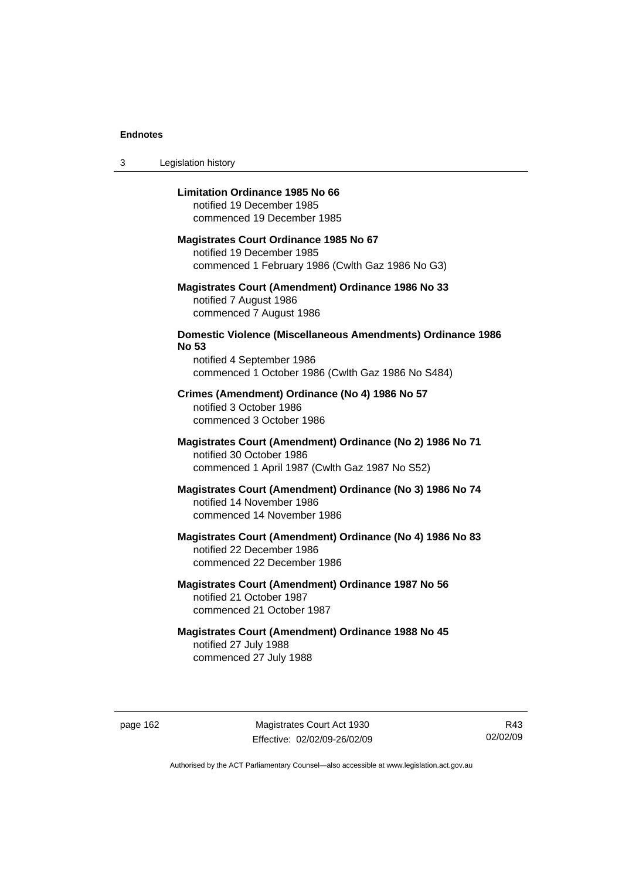3 Legislation history

#### **Limitation Ordinance 1985 No 66**

notified 19 December 1985 commenced 19 December 1985

#### **Magistrates Court Ordinance 1985 No 67**

notified 19 December 1985 commenced 1 February 1986 (Cwlth Gaz 1986 No G3)

#### **Magistrates Court (Amendment) Ordinance 1986 No 33**  notified 7 August 1986 commenced 7 August 1986

#### **Domestic Violence (Miscellaneous Amendments) Ordinance 1986 No 53**

notified 4 September 1986 commenced 1 October 1986 (Cwlth Gaz 1986 No S484)

#### **Crimes (Amendment) Ordinance (No 4) 1986 No 57**  notified 3 October 1986 commenced 3 October 1986

#### **Magistrates Court (Amendment) Ordinance (No 2) 1986 No 71**  notified 30 October 1986 commenced 1 April 1987 (Cwlth Gaz 1987 No S52)

#### **Magistrates Court (Amendment) Ordinance (No 3) 1986 No 74**  notified 14 November 1986 commenced 14 November 1986

### **Magistrates Court (Amendment) Ordinance (No 4) 1986 No 83**  notified 22 December 1986 commenced 22 December 1986

### **Magistrates Court (Amendment) Ordinance 1987 No 56**  notified 21 October 1987 commenced 21 October 1987

#### **Magistrates Court (Amendment) Ordinance 1988 No 45**  notified 27 July 1988 commenced 27 July 1988

page 162 Magistrates Court Act 1930 Effective: 02/02/09-26/02/09

R43 02/02/09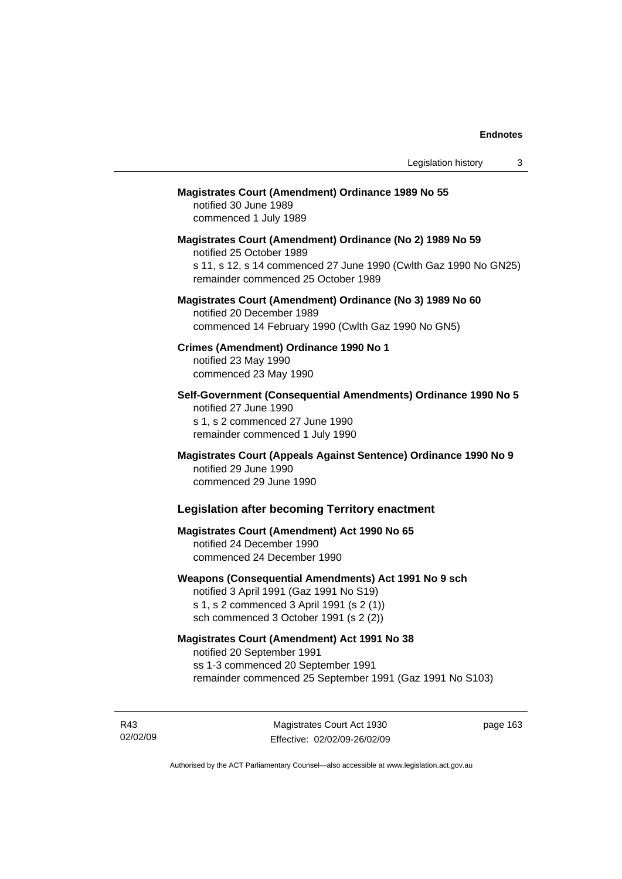#### **Magistrates Court (Amendment) Ordinance 1989 No 55**

notified 30 June 1989 commenced 1 July 1989

**Magistrates Court (Amendment) Ordinance (No 2) 1989 No 59**  notified 25 October 1989 s 11, s 12, s 14 commenced 27 June 1990 (Cwlth Gaz 1990 No GN25) remainder commenced 25 October 1989

#### **Magistrates Court (Amendment) Ordinance (No 3) 1989 No 60**  notified 20 December 1989 commenced 14 February 1990 (Cwlth Gaz 1990 No GN5)

**Crimes (Amendment) Ordinance 1990 No 1**  notified 23 May 1990

commenced 23 May 1990

**Self-Government (Consequential Amendments) Ordinance 1990 No 5**  notified 27 June 1990 s 1, s 2 commenced 27 June 1990 remainder commenced 1 July 1990

**Magistrates Court (Appeals Against Sentence) Ordinance 1990 No 9**  notified 29 June 1990 commenced 29 June 1990

#### **Legislation after becoming Territory enactment**

#### **Magistrates Court (Amendment) Act 1990 No 65**  notified 24 December 1990 commenced 24 December 1990

#### **Weapons (Consequential Amendments) Act 1991 No 9 sch**

notified 3 April 1991 (Gaz 1991 No S19) s 1, s 2 commenced 3 April 1991 (s 2 (1)) sch commenced 3 October 1991 (s 2 (2))

#### **Magistrates Court (Amendment) Act 1991 No 38**

notified 20 September 1991 ss 1-3 commenced 20 September 1991 remainder commenced 25 September 1991 (Gaz 1991 No S103)

R43 02/02/09

Magistrates Court Act 1930 Effective: 02/02/09-26/02/09 page 163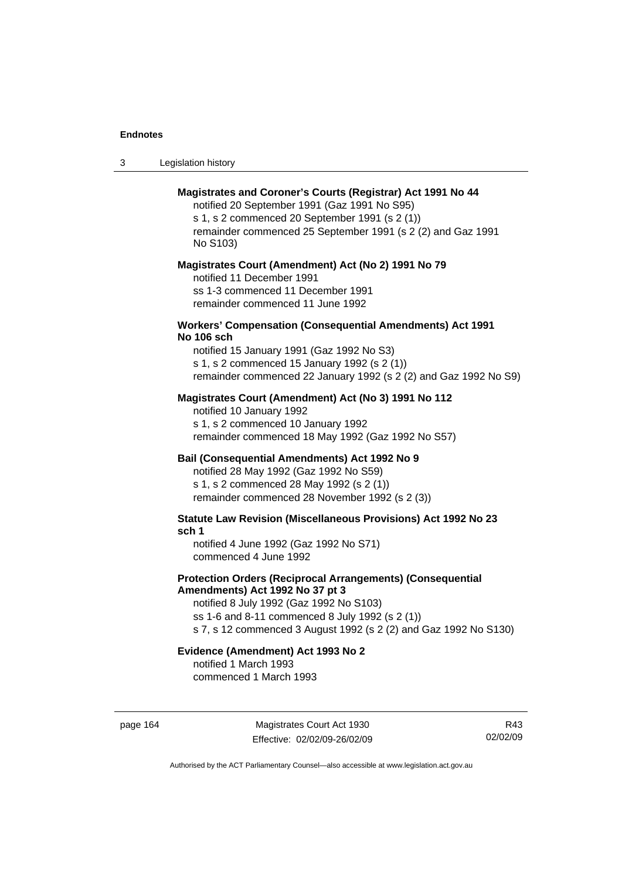| -3 | Legislation history |  |
|----|---------------------|--|
|----|---------------------|--|

#### **Magistrates and Coroner's Courts (Registrar) Act 1991 No 44**

notified 20 September 1991 (Gaz 1991 No S95) s 1, s 2 commenced 20 September 1991 (s 2 (1)) remainder commenced 25 September 1991 (s 2 (2) and Gaz 1991 No S103)

#### **Magistrates Court (Amendment) Act (No 2) 1991 No 79**

notified 11 December 1991 ss 1-3 commenced 11 December 1991 remainder commenced 11 June 1992

#### **Workers' Compensation (Consequential Amendments) Act 1991 No 106 sch**

notified 15 January 1991 (Gaz 1992 No S3) s 1, s 2 commenced 15 January 1992 (s 2 (1)) remainder commenced 22 January 1992 (s 2 (2) and Gaz 1992 No S9)

#### **Magistrates Court (Amendment) Act (No 3) 1991 No 112**

notified 10 January 1992 s 1, s 2 commenced 10 January 1992 remainder commenced 18 May 1992 (Gaz 1992 No S57)

#### **Bail (Consequential Amendments) Act 1992 No 9**

notified 28 May 1992 (Gaz 1992 No S59) s 1, s 2 commenced 28 May 1992 (s 2 (1)) remainder commenced 28 November 1992 (s 2 (3))

**Statute Law Revision (Miscellaneous Provisions) Act 1992 No 23 sch 1** 

notified 4 June 1992 (Gaz 1992 No S71) commenced 4 June 1992

#### **Protection Orders (Reciprocal Arrangements) (Consequential Amendments) Act 1992 No 37 pt 3**

notified 8 July 1992 (Gaz 1992 No S103) ss 1-6 and 8-11 commenced 8 July 1992 (s 2 (1)) s 7, s 12 commenced 3 August 1992 (s 2 (2) and Gaz 1992 No S130)

#### **Evidence (Amendment) Act 1993 No 2**

notified 1 March 1993 commenced 1 March 1993

page 164 Magistrates Court Act 1930 Effective: 02/02/09-26/02/09

R43 02/02/09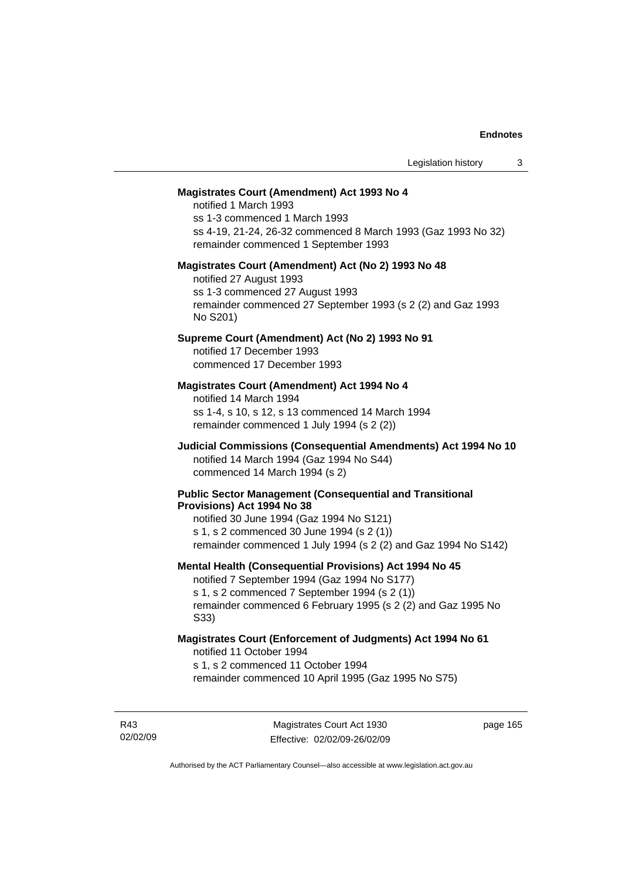## **Magistrates Court (Amendment) Act 1993 No 4**

notified 1 March 1993 ss 1-3 commenced 1 March 1993 ss 4-19, 21-24, 26-32 commenced 8 March 1993 (Gaz 1993 No 32) remainder commenced 1 September 1993

#### **Magistrates Court (Amendment) Act (No 2) 1993 No 48**

notified 27 August 1993 ss 1-3 commenced 27 August 1993 remainder commenced 27 September 1993 (s 2 (2) and Gaz 1993 No S201)

## **Supreme Court (Amendment) Act (No 2) 1993 No 91**

notified 17 December 1993 commenced 17 December 1993

# **Magistrates Court (Amendment) Act 1994 No 4**

notified 14 March 1994 ss 1-4, s 10, s 12, s 13 commenced 14 March 1994 remainder commenced 1 July 1994 (s 2 (2))

# **Judicial Commissions (Consequential Amendments) Act 1994 No 10**  notified 14 March 1994 (Gaz 1994 No S44) commenced 14 March 1994 (s 2)

### **Public Sector Management (Consequential and Transitional Provisions) Act 1994 No 38**

notified 30 June 1994 (Gaz 1994 No S121) s 1, s 2 commenced 30 June 1994 (s 2 (1)) remainder commenced 1 July 1994 (s 2 (2) and Gaz 1994 No S142)

#### **Mental Health (Consequential Provisions) Act 1994 No 45**

notified 7 September 1994 (Gaz 1994 No S177) s 1, s 2 commenced 7 September 1994 (s 2 (1)) remainder commenced 6 February 1995 (s 2 (2) and Gaz 1995 No S33)

### **Magistrates Court (Enforcement of Judgments) Act 1994 No 61**  notified 11 October 1994

s 1, s 2 commenced 11 October 1994

remainder commenced 10 April 1995 (Gaz 1995 No S75)

R43 02/02/09 page 165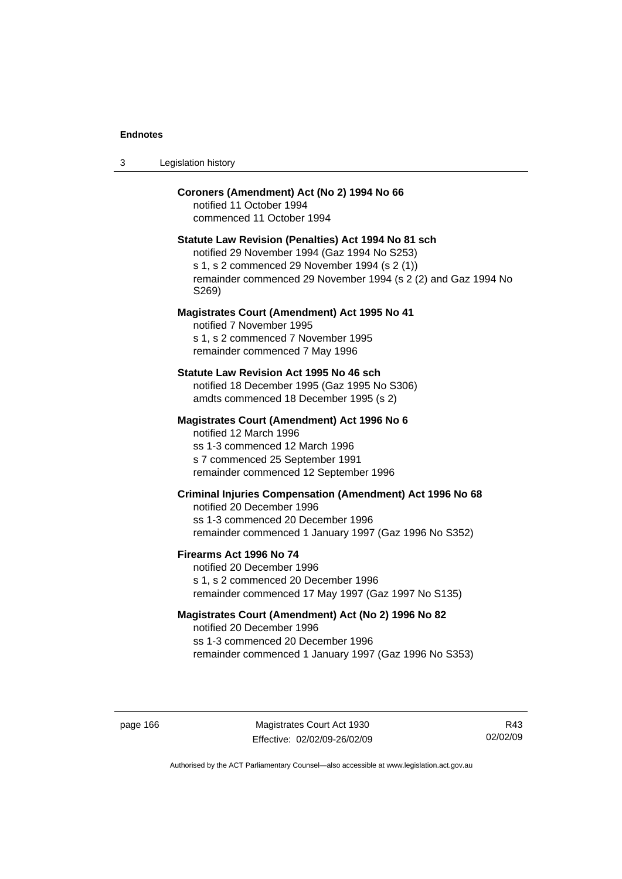| -3 | Legislation history |  |
|----|---------------------|--|
|----|---------------------|--|

# **Coroners (Amendment) Act (No 2) 1994 No 66**

notified 11 October 1994 commenced 11 October 1994

# **Statute Law Revision (Penalties) Act 1994 No 81 sch**

notified 29 November 1994 (Gaz 1994 No S253) s 1, s 2 commenced 29 November 1994 (s 2 (1)) remainder commenced 29 November 1994 (s 2 (2) and Gaz 1994 No S269)

### **Magistrates Court (Amendment) Act 1995 No 41**

notified 7 November 1995 s 1, s 2 commenced 7 November 1995 remainder commenced 7 May 1996

### **Statute Law Revision Act 1995 No 46 sch**

notified 18 December 1995 (Gaz 1995 No S306) amdts commenced 18 December 1995 (s 2)

## **Magistrates Court (Amendment) Act 1996 No 6**

notified 12 March 1996 ss 1-3 commenced 12 March 1996 s 7 commenced 25 September 1991 remainder commenced 12 September 1996

# **Criminal Injuries Compensation (Amendment) Act 1996 No 68**

notified 20 December 1996 ss 1-3 commenced 20 December 1996 remainder commenced 1 January 1997 (Gaz 1996 No S352)

### **Firearms Act 1996 No 74**

notified 20 December 1996 s 1, s 2 commenced 20 December 1996 remainder commenced 17 May 1997 (Gaz 1997 No S135)

# **Magistrates Court (Amendment) Act (No 2) 1996 No 82**

notified 20 December 1996 ss 1-3 commenced 20 December 1996 remainder commenced 1 January 1997 (Gaz 1996 No S353)

page 166 Magistrates Court Act 1930 Effective: 02/02/09-26/02/09

R43 02/02/09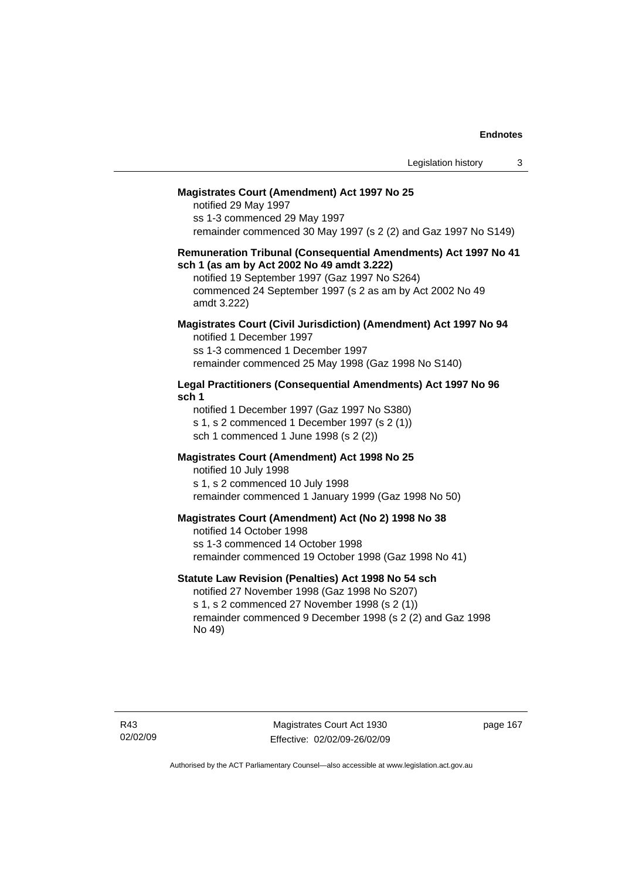### **Magistrates Court (Amendment) Act 1997 No 25**

notified 29 May 1997 ss 1-3 commenced 29 May 1997 remainder commenced 30 May 1997 (s 2 (2) and Gaz 1997 No S149)

### **Remuneration Tribunal (Consequential Amendments) Act 1997 No 41 sch 1 (as am by Act 2002 No 49 amdt 3.222)**

notified 19 September 1997 (Gaz 1997 No S264) commenced 24 September 1997 (s 2 as am by Act 2002 No 49 amdt 3.222)

# **Magistrates Court (Civil Jurisdiction) (Amendment) Act 1997 No 94**

notified 1 December 1997 ss 1-3 commenced 1 December 1997 remainder commenced 25 May 1998 (Gaz 1998 No S140)

# **Legal Practitioners (Consequential Amendments) Act 1997 No 96 sch 1**

notified 1 December 1997 (Gaz 1997 No S380) s 1, s 2 commenced 1 December 1997 (s 2 (1)) sch 1 commenced 1 June 1998 (s 2 (2))

# **Magistrates Court (Amendment) Act 1998 No 25**

notified 10 July 1998 s 1, s 2 commenced 10 July 1998 remainder commenced 1 January 1999 (Gaz 1998 No 50)

### **Magistrates Court (Amendment) Act (No 2) 1998 No 38**

notified 14 October 1998 ss 1-3 commenced 14 October 1998 remainder commenced 19 October 1998 (Gaz 1998 No 41)

# **Statute Law Revision (Penalties) Act 1998 No 54 sch**

notified 27 November 1998 (Gaz 1998 No S207) s 1, s 2 commenced 27 November 1998 (s 2 (1)) remainder commenced 9 December 1998 (s 2 (2) and Gaz 1998 No 49)

Magistrates Court Act 1930 Effective: 02/02/09-26/02/09 page 167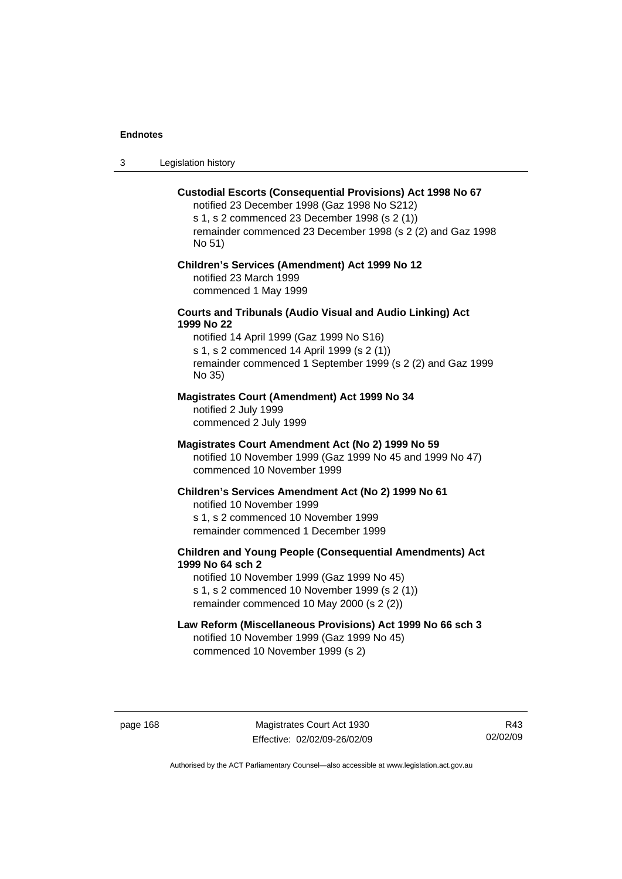3 Legislation history

### **Custodial Escorts (Consequential Provisions) Act 1998 No 67**

notified 23 December 1998 (Gaz 1998 No S212) s 1, s 2 commenced 23 December 1998 (s 2 (1)) remainder commenced 23 December 1998 (s 2 (2) and Gaz 1998 No 51)

# **Children's Services (Amendment) Act 1999 No 12**  notified 23 March 1999

commenced 1 May 1999

# **Courts and Tribunals (Audio Visual and Audio Linking) Act 1999 No 22**

notified 14 April 1999 (Gaz 1999 No S16) s 1, s 2 commenced 14 April 1999 (s 2 (1)) remainder commenced 1 September 1999 (s 2 (2) and Gaz 1999 No 35)

# **Magistrates Court (Amendment) Act 1999 No 34**

notified 2 July 1999 commenced 2 July 1999

### **Magistrates Court Amendment Act (No 2) 1999 No 59**

notified 10 November 1999 (Gaz 1999 No 45 and 1999 No 47) commenced 10 November 1999

#### **Children's Services Amendment Act (No 2) 1999 No 61**

notified 10 November 1999 s 1, s 2 commenced 10 November 1999 remainder commenced 1 December 1999

# **Children and Young People (Consequential Amendments) Act 1999 No 64 sch 2**

notified 10 November 1999 (Gaz 1999 No 45) s 1, s 2 commenced 10 November 1999 (s 2 (1)) remainder commenced 10 May 2000 (s 2 (2))

# **Law Reform (Miscellaneous Provisions) Act 1999 No 66 sch 3**

notified 10 November 1999 (Gaz 1999 No 45) commenced 10 November 1999 (s 2)

page 168 Magistrates Court Act 1930 Effective: 02/02/09-26/02/09

R43 02/02/09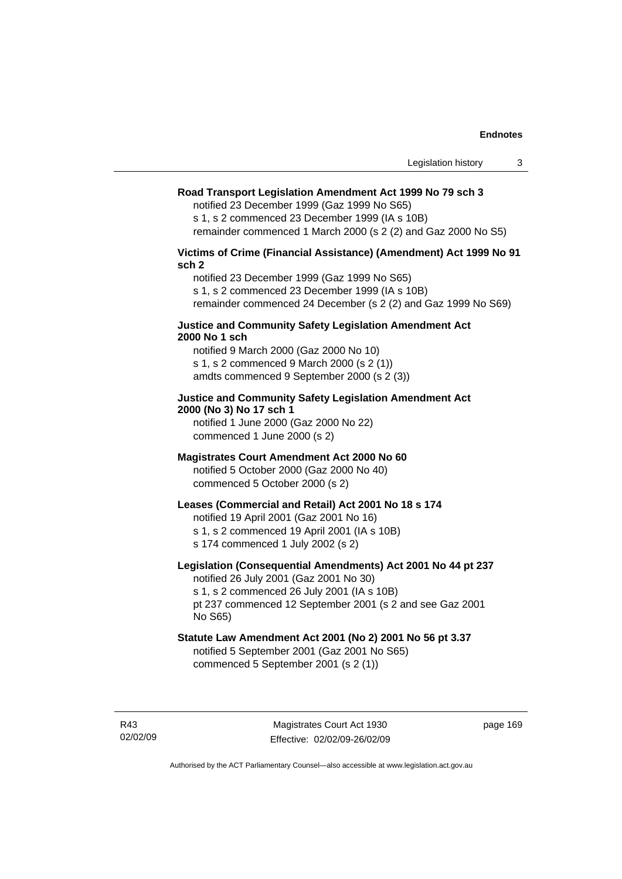# **Road Transport Legislation Amendment Act 1999 No 79 sch 3**

notified 23 December 1999 (Gaz 1999 No S65)

s 1, s 2 commenced 23 December 1999 (IA s 10B) remainder commenced 1 March 2000 (s 2 (2) and Gaz 2000 No S5)

# **Victims of Crime (Financial Assistance) (Amendment) Act 1999 No 91 sch 2**

notified 23 December 1999 (Gaz 1999 No S65) s 1, s 2 commenced 23 December 1999 (IA s 10B) remainder commenced 24 December (s 2 (2) and Gaz 1999 No S69)

### **Justice and Community Safety Legislation Amendment Act 2000 No 1 sch**

notified 9 March 2000 (Gaz 2000 No 10) s 1, s 2 commenced 9 March 2000 (s 2 (1)) amdts commenced 9 September 2000 (s 2 (3))

# **Justice and Community Safety Legislation Amendment Act 2000 (No 3) No 17 sch 1**

notified 1 June 2000 (Gaz 2000 No 22) commenced 1 June 2000 (s 2)

# **Magistrates Court Amendment Act 2000 No 60**

notified 5 October 2000 (Gaz 2000 No 40) commenced 5 October 2000 (s 2)

# **Leases (Commercial and Retail) Act 2001 No 18 s 174**

notified 19 April 2001 (Gaz 2001 No 16)

s 1, s 2 commenced 19 April 2001 (IA s 10B)

s 174 commenced 1 July 2002 (s 2)

# **Legislation (Consequential Amendments) Act 2001 No 44 pt 237**

notified 26 July 2001 (Gaz 2001 No 30) s 1, s 2 commenced 26 July 2001 (IA s 10B)

pt 237 commenced 12 September 2001 (s 2 and see Gaz 2001 No S65)

# **Statute Law Amendment Act 2001 (No 2) 2001 No 56 pt 3.37**

notified 5 September 2001 (Gaz 2001 No S65) commenced 5 September 2001 (s 2 (1))

R43 02/02/09 page 169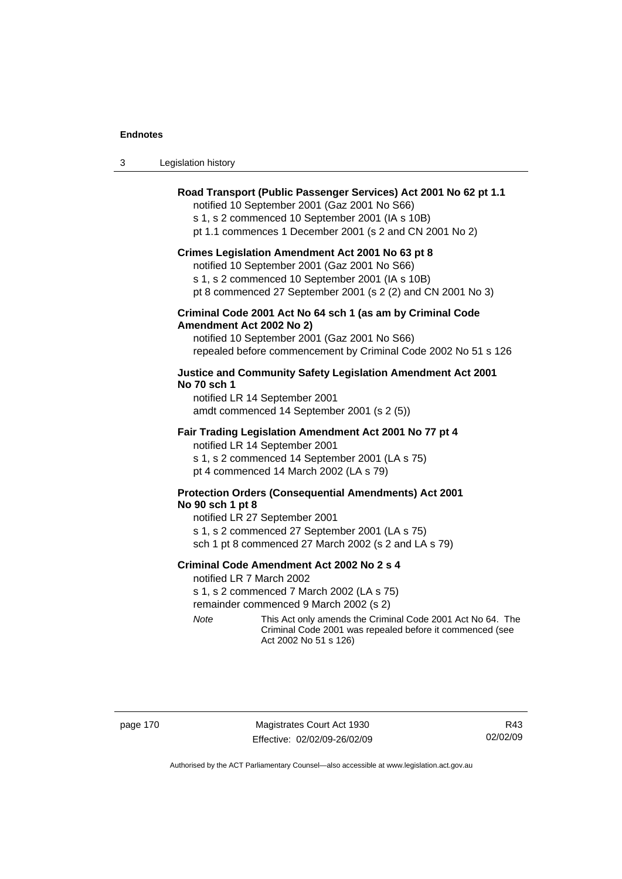| Legislation history<br>-3 |  |
|---------------------------|--|
|---------------------------|--|

# **Road Transport (Public Passenger Services) Act 2001 No 62 pt 1.1**

notified 10 September 2001 (Gaz 2001 No S66)

s 1, s 2 commenced 10 September 2001 (IA s 10B)

pt 1.1 commences 1 December 2001 (s 2 and CN 2001 No 2)

#### **Crimes Legislation Amendment Act 2001 No 63 pt 8**

notified 10 September 2001 (Gaz 2001 No S66)

s 1, s 2 commenced 10 September 2001 (IA s 10B)

pt 8 commenced 27 September 2001 (s 2 (2) and CN 2001 No 3)

# **Criminal Code 2001 Act No 64 sch 1 (as am by Criminal Code Amendment Act 2002 No 2)**

notified 10 September 2001 (Gaz 2001 No S66) repealed before commencement by Criminal Code 2002 No 51 s 126

# **Justice and Community Safety Legislation Amendment Act 2001 No 70 sch 1**

notified LR 14 September 2001 amdt commenced 14 September 2001 (s 2 (5))

### **Fair Trading Legislation Amendment Act 2001 No 77 pt 4**

notified LR 14 September 2001 s 1, s 2 commenced 14 September 2001 (LA s 75) pt 4 commenced 14 March 2002 (LA s 79)

# **Protection Orders (Consequential Amendments) Act 2001 No 90 sch 1 pt 8**

notified LR 27 September 2001 s 1, s 2 commenced 27 September 2001 (LA s 75) sch 1 pt 8 commenced 27 March 2002 (s 2 and LA s 79)

### **Criminal Code Amendment Act 2002 No 2 s 4**

notified LR 7 March 2002

s 1, s 2 commenced 7 March 2002 (LA s 75)

remainder commenced 9 March 2002 (s 2)

*Note* This Act only amends the Criminal Code 2001 Act No 64. The Criminal Code 2001 was repealed before it commenced (see Act 2002 No 51 s 126)

page 170 Magistrates Court Act 1930 Effective: 02/02/09-26/02/09

R43 02/02/09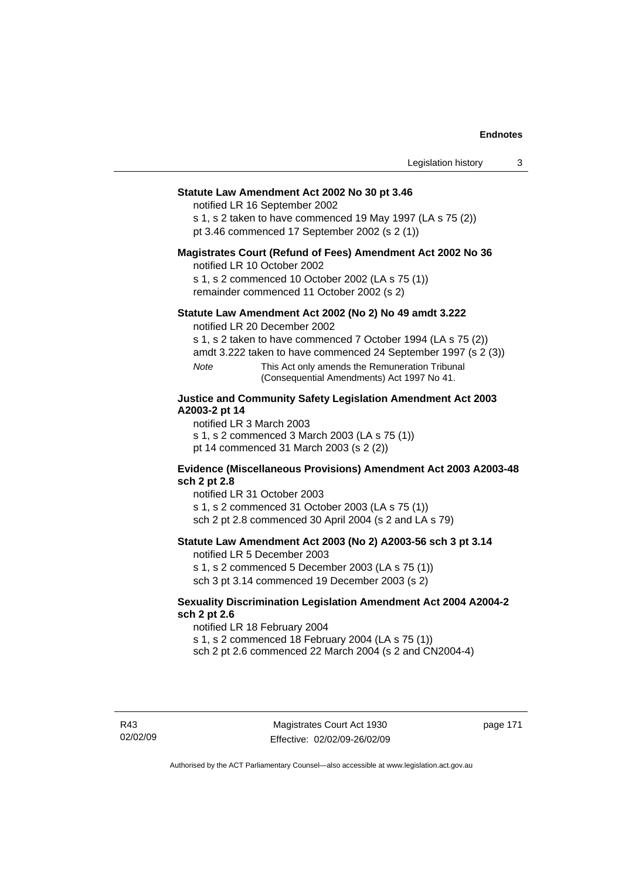### **Statute Law Amendment Act 2002 No 30 pt 3.46**

notified LR 16 September 2002

s 1, s 2 taken to have commenced 19 May 1997 (LA s 75 (2)) pt 3.46 commenced 17 September 2002 (s 2 (1))

# **Magistrates Court (Refund of Fees) Amendment Act 2002 No 36**

notified LR 10 October 2002

s 1, s 2 commenced 10 October 2002 (LA s 75 (1)) remainder commenced 11 October 2002 (s 2)

# **Statute Law Amendment Act 2002 (No 2) No 49 amdt 3.222**

notified LR 20 December 2002

s 1, s 2 taken to have commenced 7 October 1994 (LA s 75 (2))

amdt 3.222 taken to have commenced 24 September 1997 (s 2 (3))

*Note* This Act only amends the Remuneration Tribunal (Consequential Amendments) Act 1997 No 41.

# **Justice and Community Safety Legislation Amendment Act 2003 A2003-2 pt 14**

notified LR 3 March 2003

s 1, s 2 commenced 3 March 2003 (LA s 75 (1))

pt 14 commenced 31 March 2003 (s 2 (2))

### **Evidence (Miscellaneous Provisions) Amendment Act 2003 A2003-48 sch 2 pt 2.8**

notified LR 31 October 2003

s 1, s 2 commenced 31 October 2003 (LA s 75 (1))

sch 2 pt 2.8 commenced 30 April 2004 (s 2 and LA s 79)

# **Statute Law Amendment Act 2003 (No 2) A2003-56 sch 3 pt 3.14**

notified LR 5 December 2003

s 1, s 2 commenced 5 December 2003 (LA s 75 (1)) sch 3 pt 3.14 commenced 19 December 2003 (s 2)

# **Sexuality Discrimination Legislation Amendment Act 2004 A2004-2 sch 2 pt 2.6**

notified LR 18 February 2004

s 1, s 2 commenced 18 February 2004 (LA s 75 (1))

sch 2 pt 2.6 commenced 22 March 2004 (s 2 and CN2004-4)

R43 02/02/09 page 171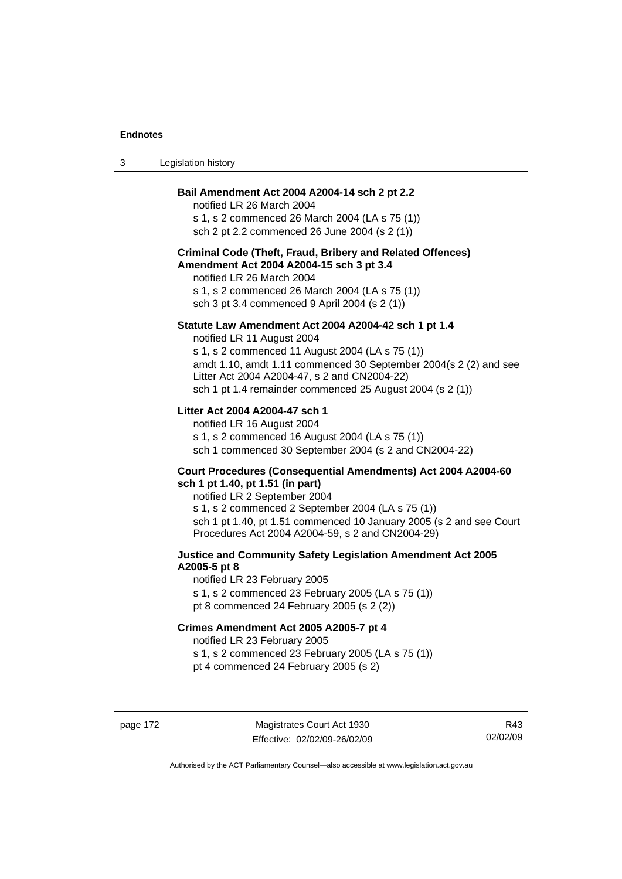| Legislation history<br>-3 |  |
|---------------------------|--|
|---------------------------|--|

# **Bail Amendment Act 2004 A2004-14 sch 2 pt 2.2**

notified LR 26 March 2004 s 1, s 2 commenced 26 March 2004 (LA s 75 (1)) sch 2 pt 2.2 commenced 26 June 2004 (s 2 (1))

# **Criminal Code (Theft, Fraud, Bribery and Related Offences) Amendment Act 2004 A2004-15 sch 3 pt 3.4**

notified LR 26 March 2004 s 1, s 2 commenced 26 March 2004 (LA s 75 (1)) sch 3 pt 3.4 commenced 9 April 2004 (s 2 (1))

### **Statute Law Amendment Act 2004 A2004-42 sch 1 pt 1.4**

notified LR 11 August 2004 s 1, s 2 commenced 11 August 2004 (LA s 75 (1)) amdt 1.10, amdt 1.11 commenced 30 September 2004(s 2 (2) and see Litter Act 2004 A2004-47, s 2 and CN2004-22) sch 1 pt 1.4 remainder commenced 25 August 2004 (s 2 (1))

# **Litter Act 2004 A2004-47 sch 1**

notified LR 16 August 2004 s 1, s 2 commenced 16 August 2004 (LA s 75 (1)) sch 1 commenced 30 September 2004 (s 2 and CN2004-22)

### **Court Procedures (Consequential Amendments) Act 2004 A2004-60 sch 1 pt 1.40, pt 1.51 (in part)**

notified LR 2 September 2004 s 1, s 2 commenced 2 September 2004 (LA s 75 (1)) sch 1 pt 1.40, pt 1.51 commenced 10 January 2005 (s 2 and see Court Procedures Act 2004 A2004-59, s 2 and CN2004-29)

# **Justice and Community Safety Legislation Amendment Act 2005 A2005-5 pt 8**

notified LR 23 February 2005 s 1, s 2 commenced 23 February 2005 (LA s 75 (1)) pt 8 commenced 24 February 2005 (s 2 (2))

# **Crimes Amendment Act 2005 A2005-7 pt 4**

notified LR 23 February 2005

s 1, s 2 commenced 23 February 2005 (LA s 75 (1))

pt 4 commenced 24 February 2005 (s 2)

page 172 Magistrates Court Act 1930 Effective: 02/02/09-26/02/09

R43 02/02/09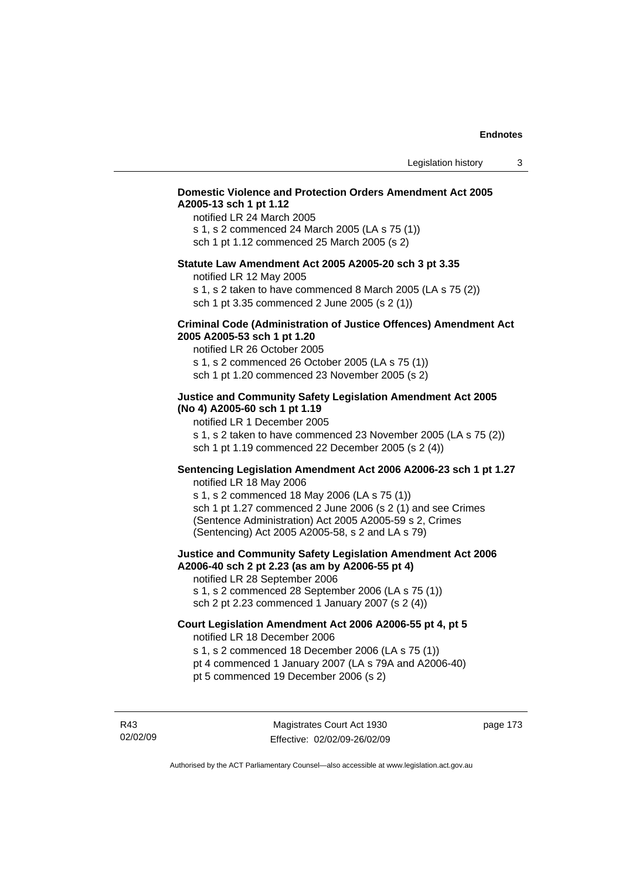# **Domestic Violence and Protection Orders Amendment Act 2005 A2005-13 sch 1 pt 1.12**

notified LR 24 March 2005 s 1, s 2 commenced 24 March 2005 (LA s 75 (1)) sch 1 pt 1.12 commenced 25 March 2005 (s 2)

### **Statute Law Amendment Act 2005 A2005-20 sch 3 pt 3.35**

notified LR 12 May 2005

s 1, s 2 taken to have commenced 8 March 2005 (LA s 75 (2)) sch 1 pt 3.35 commenced 2 June 2005 (s 2 (1))

### **Criminal Code (Administration of Justice Offences) Amendment Act 2005 A2005-53 sch 1 pt 1.20**

notified LR 26 October 2005 s 1, s 2 commenced 26 October 2005 (LA s 75 (1)) sch 1 pt 1.20 commenced 23 November 2005 (s 2)

# **Justice and Community Safety Legislation Amendment Act 2005 (No 4) A2005-60 sch 1 pt 1.19**

notified LR 1 December 2005

s 1, s 2 taken to have commenced 23 November 2005 (LA s 75 (2)) sch 1 pt 1.19 commenced 22 December 2005 (s 2 (4))

# **Sentencing Legislation Amendment Act 2006 A2006-23 sch 1 pt 1.27**

notified LR 18 May 2006 s 1, s 2 commenced 18 May 2006 (LA s 75 (1)) sch 1 pt 1.27 commenced 2 June 2006 (s 2 (1) and see Crimes (Sentence Administration) Act 2005 A2005-59 s 2, Crimes (Sentencing) Act 2005 A2005-58, s 2 and LA s 79)

### **Justice and Community Safety Legislation Amendment Act 2006 A2006-40 sch 2 pt 2.23 (as am by A2006-55 pt 4)**  notified LR 28 September 2006

s 1, s 2 commenced 28 September 2006 (LA s 75 (1)) sch 2 pt 2.23 commenced 1 January 2007 (s 2 (4))

# **Court Legislation Amendment Act 2006 A2006-55 pt 4, pt 5**  notified LR 18 December 2006

s 1, s 2 commenced 18 December 2006 (LA s 75 (1))

- pt 4 commenced 1 January 2007 (LA s 79A and A2006-40)
- pt 5 commenced 19 December 2006 (s 2)

R43 02/02/09 page 173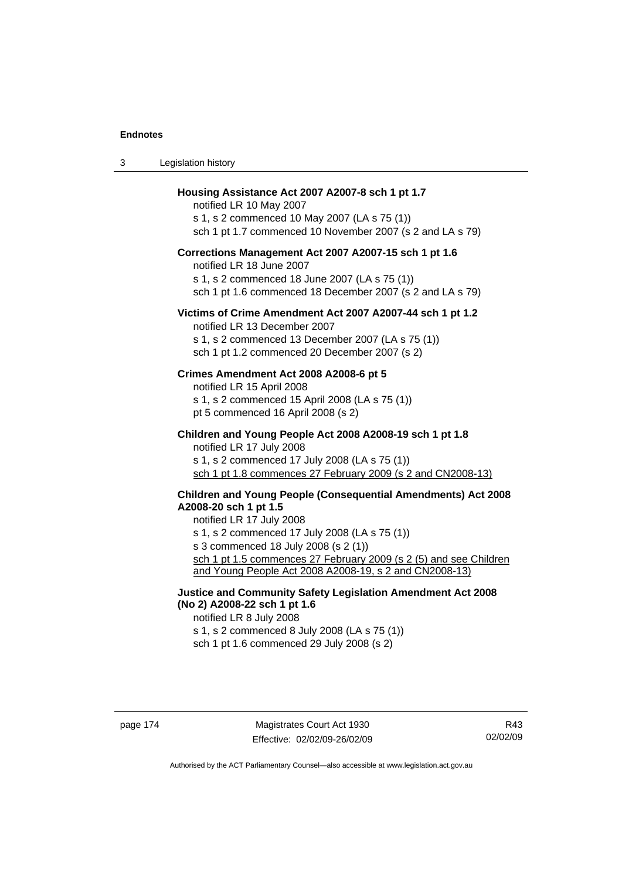| Legislation history<br>3 |  |
|--------------------------|--|
|--------------------------|--|

### **Housing Assistance Act 2007 A2007-8 sch 1 pt 1.7**

notified LR 10 May 2007 s 1, s 2 commenced 10 May 2007 (LA s 75 (1)) sch 1 pt 1.7 commenced 10 November 2007 (s 2 and LA s 79)

# **Corrections Management Act 2007 A2007-15 sch 1 pt 1.6**

notified LR 18 June 2007

s 1, s 2 commenced 18 June 2007 (LA s 75 (1)) sch 1 pt 1.6 commenced 18 December 2007 (s 2 and LA s 79)

#### **Victims of Crime Amendment Act 2007 A2007-44 sch 1 pt 1.2**

notified LR 13 December 2007 s 1, s 2 commenced 13 December 2007 (LA s 75 (1)) sch 1 pt 1.2 commenced 20 December 2007 (s 2)

### **Crimes Amendment Act 2008 A2008-6 pt 5**

notified LR 15 April 2008 s 1, s 2 commenced 15 April 2008 (LA s 75 (1)) pt 5 commenced 16 April 2008 (s 2)

**Children and Young People Act 2008 A2008-19 sch 1 pt 1.8**  notified LR 17 July 2008 s 1, s 2 commenced 17 July 2008 (LA s 75 (1)) sch 1 pt 1.8 commences 27 February 2009 (s 2 and CN2008-13)

# **Children and Young People (Consequential Amendments) Act 2008**

**A2008-20 sch 1 pt 1.5** 

notified LR 17 July 2008 s 1, s 2 commenced 17 July 2008 (LA s 75 (1)) s 3 commenced 18 July 2008 (s 2 (1)) sch 1 pt 1.5 commences 27 February 2009 (s 2 (5) and see Children and Young People Act 2008 A2008-19, s 2 and CN2008-13)

**Justice and Community Safety Legislation Amendment Act 2008 (No 2) A2008-22 sch 1 pt 1.6** 

notified LR 8 July 2008 s 1, s 2 commenced 8 July 2008 (LA s 75 (1)) sch 1 pt 1.6 commenced 29 July 2008 (s 2)

page 174 Magistrates Court Act 1930 Effective: 02/02/09-26/02/09

R43 02/02/09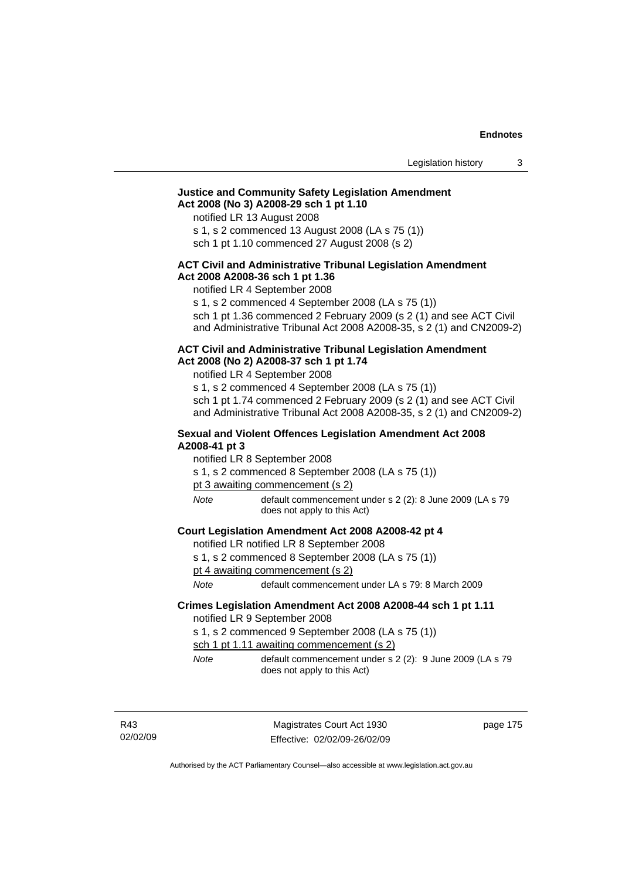# **Justice and Community Safety Legislation Amendment Act 2008 (No 3) A2008-29 sch 1 pt 1.10**

notified LR 13 August 2008

s 1, s 2 commenced 13 August 2008 (LA s 75 (1))

sch 1 pt 1.10 commenced 27 August 2008 (s 2)

# **ACT Civil and Administrative Tribunal Legislation Amendment Act 2008 A2008-36 sch 1 pt 1.36**

notified LR 4 September 2008

s 1, s 2 commenced 4 September 2008 (LA s 75 (1))

sch 1 pt 1.36 commenced 2 February 2009 (s 2 (1) and see ACT Civil and Administrative Tribunal Act 2008 A2008-35, s 2 (1) and CN2009-2)

### **ACT Civil and Administrative Tribunal Legislation Amendment Act 2008 (No 2) A2008-37 sch 1 pt 1.74**

notified LR 4 September 2008

s 1, s 2 commenced 4 September 2008 (LA s 75 (1)) sch 1 pt 1.74 commenced 2 February 2009 (s 2 (1) and see ACT Civil and Administrative Tribunal Act 2008 A2008-35, s 2 (1) and CN2009-2)

### **Sexual and Violent Offences Legislation Amendment Act 2008 A2008-41 pt 3**

notified LR 8 September 2008

s 1, s 2 commenced 8 September 2008 (LA s 75 (1))

pt 3 awaiting commencement (s 2)

*Note* default commencement under s 2 (2): 8 June 2009 (LA s 79 does not apply to this Act)

### **Court Legislation Amendment Act 2008 A2008-42 pt 4**

notified LR notified LR 8 September 2008

s 1, s 2 commenced 8 September 2008 (LA s 75 (1))

pt 4 awaiting commencement (s 2)

*Note* default commencement under LA s 79: 8 March 2009

### **Crimes Legislation Amendment Act 2008 A2008-44 sch 1 pt 1.11**  notified LR 9 September 2008

s 1, s 2 commenced 9 September 2008 (LA s 75 (1))

sch 1 pt 1.11 awaiting commencement (s 2)

*Note* default commencement under s 2 (2): 9 June 2009 (LA s 79 does not apply to this Act)

R43 02/02/09 page 175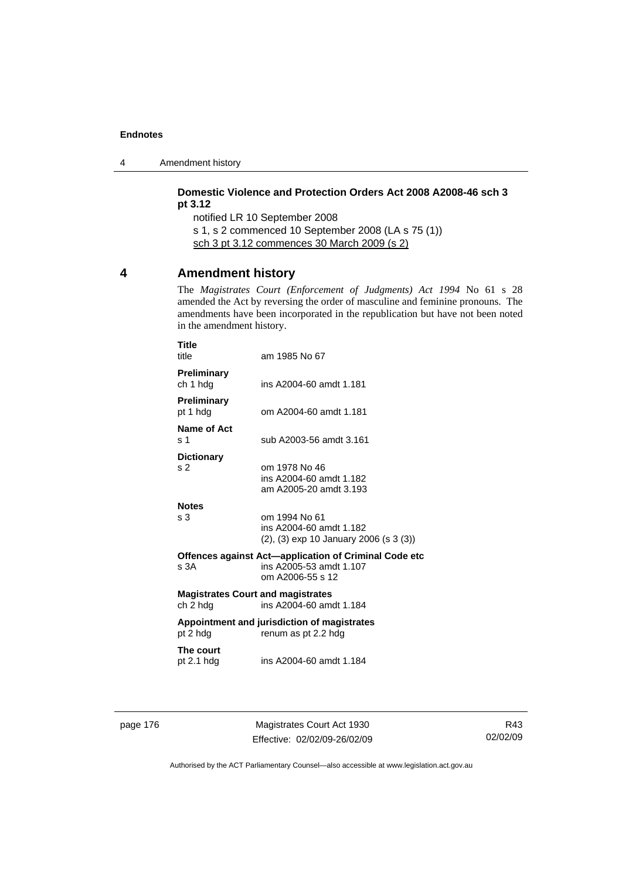4 Amendment history

# **Domestic Violence and Protection Orders Act 2008 A2008-46 sch 3 pt 3.12**

notified LR 10 September 2008 s 1, s 2 commenced 10 September 2008 (LA s 75 (1)) sch 3 pt 3.12 commences 30 March 2009 (s 2)

# **4 Amendment history**

**Title** 

The *Magistrates Court (Enforcement of Judgments) Act 1994* No 61 s 28 amended the Act by reversing the order of masculine and feminine pronouns. The amendments have been incorporated in the republication but have not been noted in the amendment history.

| l itle<br>title                                      | am 1985 No 67                                                                                        |
|------------------------------------------------------|------------------------------------------------------------------------------------------------------|
| <b>Preliminary</b><br>ch 1 hdg                       | ins A2004-60 amdt 1.181                                                                              |
| Preliminary<br>pt 1 hdg                              | om A2004-60 amdt 1.181                                                                               |
| Name of Act<br>s 1                                   | sub A2003-56 amdt 3.161                                                                              |
| <b>Dictionary</b><br>s 2                             | om 1978 No 46<br>ins A2004-60 amdt 1.182<br>am A2005-20 amdt 3.193                                   |
| <b>Notes</b><br>s 3                                  | om 1994 No 61<br>ins A2004-60 amdt 1.182<br>$(2)$ , $(3)$ exp 10 January 2006 (s 3 $(3)$ )           |
| s 3A                                                 | Offences against Act-application of Criminal Code etc<br>ins A2005-53 amdt 1.107<br>om A2006-55 s 12 |
| <b>Magistrates Court and magistrates</b><br>ch 2 hdg | ins A2004-60 amdt 1.184                                                                              |
| pt 2 hdg                                             | Appointment and jurisdiction of magistrates<br>renum as pt 2.2 hdg                                   |
| The court<br>pt $2.1$ hdg                            | ins A2004-60 amdt 1.184                                                                              |
|                                                      |                                                                                                      |

page 176 Magistrates Court Act 1930 Effective: 02/02/09-26/02/09

R43 02/02/09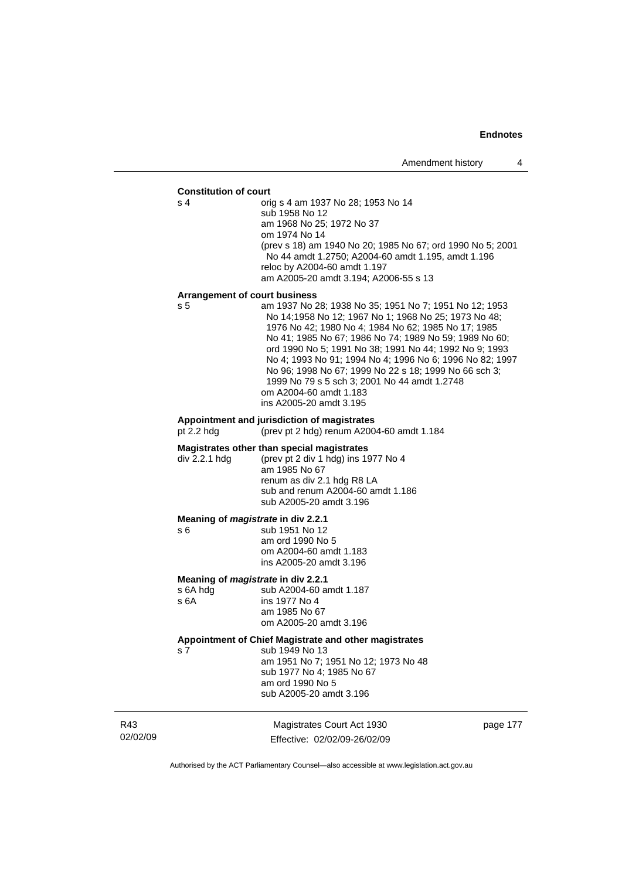#### **Constitution of court**

s 4 orig s 4 am 1937 No 28; 1953 No 14 sub 1958 No 12 am 1968 No 25; 1972 No 37 om 1974 No 14 (prev s 18) am 1940 No 20; 1985 No 67; ord 1990 No 5; 2001 No 44 amdt 1.2750; A2004-60 amdt 1.195, amdt 1.196 reloc by A2004-60 amdt 1.197 am A2005-20 amdt 3.194; A2006-55 s 13

#### **Arrangement of court business**

s 5 am 1937 No 28; 1938 No 35; 1951 No 7; 1951 No 12; 1953 No 14;1958 No 12; 1967 No 1; 1968 No 25; 1973 No 48; 1976 No 42; 1980 No 4; 1984 No 62; 1985 No 17; 1985 No 41; 1985 No 67; 1986 No 74; 1989 No 59; 1989 No 60; ord 1990 No 5; 1991 No 38; 1991 No 44; 1992 No 9; 1993 No 4; 1993 No 91; 1994 No 4; 1996 No 6; 1996 No 82; 1997 No 96; 1998 No 67; 1999 No 22 s 18; 1999 No 66 sch 3; 1999 No 79 s 5 sch 3; 2001 No 44 amdt 1.2748 om A2004-60 amdt 1.183 ins A2005-20 amdt 3.195

# **Appointment and jurisdiction of magistrates**

(prev pt 2 hdg) renum A2004-60 amdt  $1.184$ 

#### **Magistrates other than special magistrates**

div 2.2.1 hdg (prev pt 2 div 1 hdg) ins 1977 No 4 am 1985 No 67 renum as div 2.1 hdg R8 LA sub and renum A2004-60 amdt 1.186 sub A2005-20 amdt 3.196

### **Meaning of** *magistrate* **in div 2.2.1**

s 6 sub 1951 No 12 am ord 1990 No 5 om A2004-60 amdt 1.183 ins A2005-20 amdt 3.196

# **Meaning of** *magistrate* **in div 2.2.1 s** 6A hdg sub A2004-60 a

s 6A hdg sub A2004-60 amdt 1.187<br>s 6A ins 1977 No 4 ins 1977 No 4 am 1985 No 67 om A2005-20 amdt 3.196

# **Appointment of Chief Magistrate and other magistrates**

s 7 sub 1949 No 13 am 1951 No 7; 1951 No 12; 1973 No 48 sub 1977 No 4; 1985 No 67 am ord 1990 No 5 sub A2005-20 amdt 3.196

R43 02/02/09

Magistrates Court Act 1930 Effective: 02/02/09-26/02/09 page 177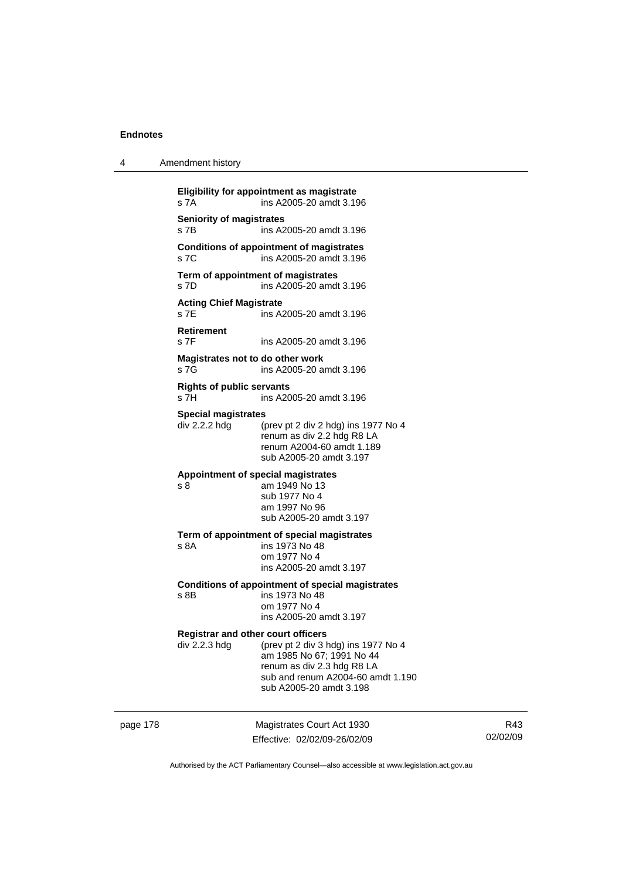|  | Amendment history |  |
|--|-------------------|--|
|--|-------------------|--|

**Eligibility for appointment as magistrate**  s 7A ins A2005-20 amdt 3.196 **Seniority of magistrates**  s 7B ins A2005-20 amdt 3.196 **Conditions of appointment of magistrates**  s 7C ins A2005-20 amdt 3.196 **Term of appointment of magistrates**  s 7D ins A2005-20 amdt 3.196 **Acting Chief Magistrate**  s 7E ins A2005-20 amdt 3.196 **Retirement**  s 7F ins A2005-20 amdt 3.196 **Magistrates not to do other work**  s 7G ins A2005-20 amdt 3.196 **Rights of public servants**  s 7H ins A2005-20 amdt 3.196 **Special magistrates**  div 2.2.2 hdg (prev pt 2 div 2 hdg) ins 1977 No 4 renum as div 2.2 hdg R8 LA renum A2004-60 amdt 1.189 sub A2005-20 amdt 3.197 **Appointment of special magistrates**  s 8 am 1949 No 13 sub 1977 No 4 am 1997 No 96 sub A2005-20 amdt 3.197 **Term of appointment of special magistrates**  ins 1973 No 48 om 1977 No 4 ins A2005-20 amdt 3.197 **Conditions of appointment of special magistrates**  s 8B ins 1973 No 48 om 1977 No 4 ins A2005-20 amdt 3.197 **Registrar and other court officers**<br>div 2.2.3 hdg (prev pt 2 div 3 b (prev pt 2 div 3 hdg) ins 1977 No 4 am 1985 No 67; 1991 No 44 renum as div 2.3 hdg R8 LA sub and renum A2004-60 amdt 1.190 sub A2005-20 amdt 3.198

page 178 Magistrates Court Act 1930 Effective: 02/02/09-26/02/09

R43 02/02/09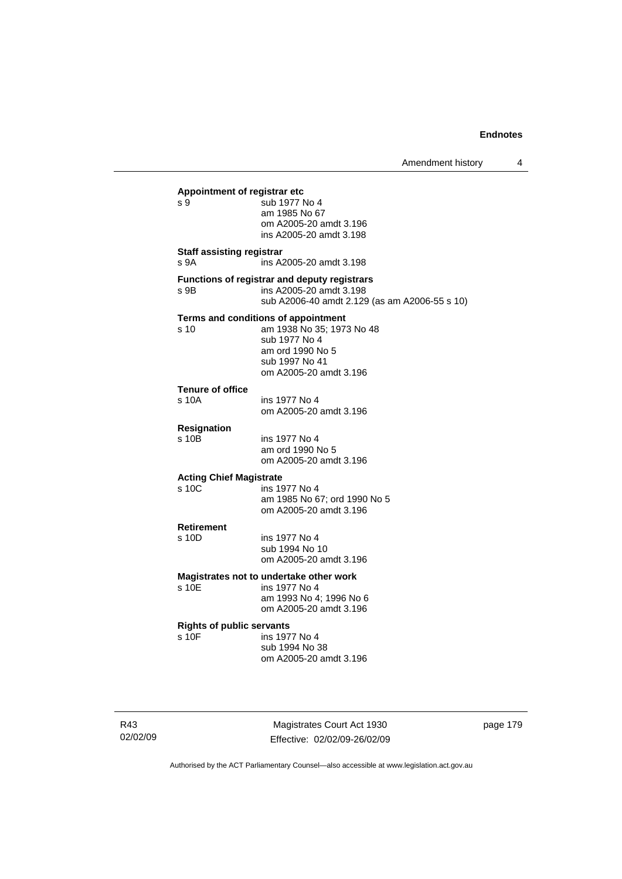Amendment history 4

**Appointment of registrar etc**  s 9 5 sub 1977 No 4 am 1985 No 67 om A2005-20 amdt 3.196 ins A2005-20 amdt 3.198 **Staff assisting registrar**  s 9A ins A2005-20 amdt 3.198 **Functions of registrar and deputy registrars**  s 9B ins A2005-20 amdt 3.198 sub A2006-40 amdt 2.129 (as am A2006-55 s 10) **Terms and conditions of appointment**  s 10 am 1938 No 35; 1973 No 48 sub 1977 No 4 am ord 1990 No 5 sub 1997 No 41 om A2005-20 amdt 3.196 **Tenure of office**  s 10A ins 1977 No 4 om A2005-20 amdt 3.196 **Resignation**  ins 1977 No 4 am ord 1990 No 5 om A2005-20 amdt 3.196 **Acting Chief Magistrate**  ins 1977 No 4 am 1985 No 67; ord 1990 No 5 om A2005-20 amdt 3.196 **Retirement**  s 10D ins 1977 No 4 sub 1994 No 10 om A2005-20 amdt 3.196 **Magistrates not to undertake other work**  ins 1977 No 4 am 1993 No 4; 1996 No 6 om A2005-20 amdt 3.196 **Rights of public servants**  ins 1977 No 4 sub 1994 No 38 om A2005-20 amdt 3.196

R43 02/02/09

Magistrates Court Act 1930 Effective: 02/02/09-26/02/09 page 179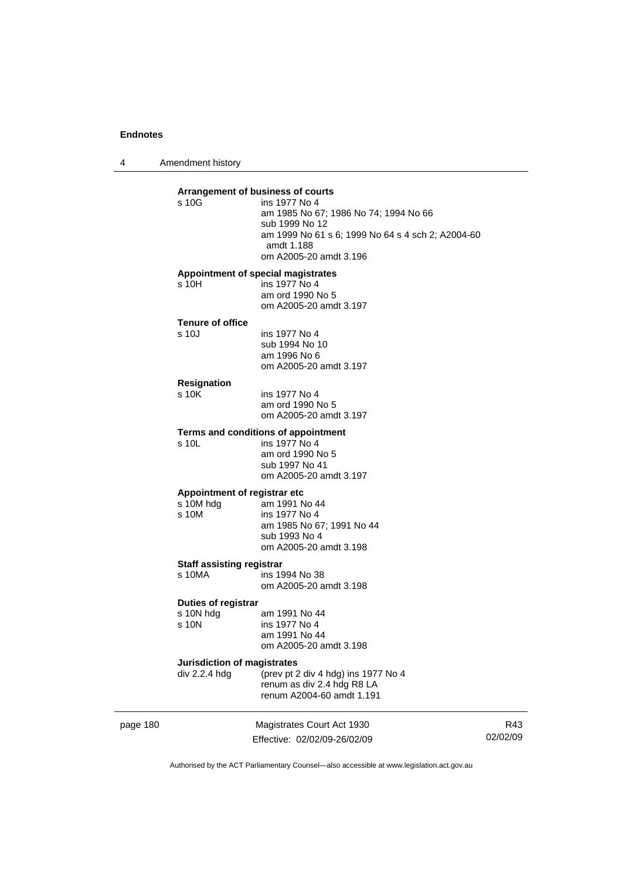4 Amendment history

| Arrangement of business of courts          |                                                                                                                                                                       |
|--------------------------------------------|-----------------------------------------------------------------------------------------------------------------------------------------------------------------------|
| s 10G                                      | ins 1977 No 4<br>am 1985 No 67; 1986 No 74; 1994 No 66<br>sub 1999 No 12<br>am 1999 No 61 s 6; 1999 No 64 s 4 sch 2; A2004-60<br>amdt 1.188<br>om A2005-20 amdt 3.196 |
| Appointment of special magistrates         |                                                                                                                                                                       |
| s 10H                                      | ins 1977 No 4<br>am ord 1990 No 5<br>om A2005-20 amdt 3.197                                                                                                           |
| <b>Tenure of office</b>                    |                                                                                                                                                                       |
| s 10J                                      | ins 1977 No 4<br>sub 1994 No 10<br>am 1996 No 6<br>om A2005-20 amdt 3.197                                                                                             |
| <b>Resignation</b>                         |                                                                                                                                                                       |
| s 10K                                      | ins 1977 No 4<br>am ord 1990 No 5<br>om A2005-20 amdt 3.197                                                                                                           |
|                                            | Terms and conditions of appointment                                                                                                                                   |
| s 10L                                      | ins 1977 No 4<br>am ord 1990 No 5<br>sub 1997 No 41<br>om A2005-20 amdt 3.197                                                                                         |
| Appointment of registrar etc               |                                                                                                                                                                       |
| s 10M hdg<br>s 10M                         | am 1991 No 44<br>ins 1977 No 4<br>am 1985 No 67; 1991 No 44<br>sub 1993 No 4<br>om A2005-20 amdt 3.198                                                                |
| <b>Staff assisting registrar</b>           |                                                                                                                                                                       |
| $s$ 10MA                                   | ins 1994 No 38<br>om A2005-20 amdt 3.198                                                                                                                              |
| Duties of registrar                        |                                                                                                                                                                       |
| s 10N hdg<br>s 10N                         | am 1991 No 44<br>ins 1977 No 4<br>am 1991 No 44<br>om A2005-20 amdt 3.198                                                                                             |
| Jurisdiction of magistrates<br>div 2.2.4 h | (prev pt 2 div 4 hdg) ins 1977 No 4<br>renum as div 2.4 hdg R8 LA<br>renum A2004-60 amdt 1.191                                                                        |

page 180 Magistrates Court Act 1930 Effective: 02/02/09-26/02/09

R43 02/02/09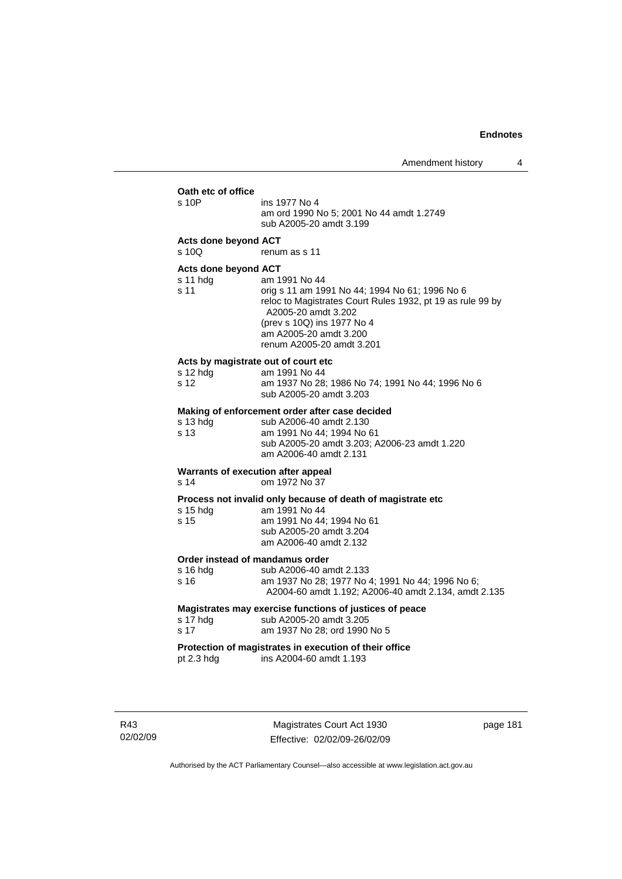|                                                         | AILICHUILICHE HISIUI Y                                                                                                                                                                                                                    |
|---------------------------------------------------------|-------------------------------------------------------------------------------------------------------------------------------------------------------------------------------------------------------------------------------------------|
| Oath etc of office<br>s 10P                             | ins 1977 No 4<br>am ord 1990 No 5; 2001 No 44 amdt 1.2749<br>sub A2005-20 amdt 3.199                                                                                                                                                      |
| Acts done beyond ACT<br>s 10Q                           | renum as s 11                                                                                                                                                                                                                             |
| Acts done beyond ACT<br>s 11 hdg<br>s 11                | am 1991 No 44<br>orig s 11 am 1991 No 44; 1994 No 61; 1996 No 6<br>reloc to Magistrates Court Rules 1932, pt 19 as rule 99 by<br>A2005-20 amdt 3.202<br>(prev s 10Q) ins 1977 No 4<br>am A2005-20 amdt 3.200<br>renum A2005-20 amdt 3.201 |
| Acts by magistrate out of court etc<br>s 12 hdg<br>s 12 | am 1991 No 44<br>am 1937 No 28; 1986 No 74; 1991 No 44; 1996 No 6<br>sub A2005-20 amdt 3.203                                                                                                                                              |
| s 13 hdg<br>s 13                                        | Making of enforcement order after case decided<br>sub A2006-40 amdt 2.130<br>am 1991 No 44; 1994 No 61<br>sub A2005-20 amdt 3.203; A2006-23 amdt 1.220<br>am A2006-40 amdt 2.131                                                          |
| Warrants of execution after appeal<br>s 14              | om 1972 No 37                                                                                                                                                                                                                             |
| $s$ 15 hdg<br>s 15                                      | Process not invalid only because of death of magistrate etc<br>am 1991 No 44<br>am 1991 No 44; 1994 No 61<br>sub A2005-20 amdt 3.204<br>am A2006-40 amdt 2.132                                                                            |
| Order instead of mandamus order<br>s 16 hda<br>s 16     | sub A2006-40 amdt 2.133<br>am 1937 No 28; 1977 No 4; 1991 No 44; 1996 No 6;<br>A2004-60 amdt 1.192; A2006-40 amdt 2.134, amdt 2.135                                                                                                       |
| s 17 hdg<br>s 17                                        | Magistrates may exercise functions of justices of peace<br>sub A2005-20 amdt 3.205<br>am 1937 No 28; ord 1990 No 5                                                                                                                        |
| pt 2.3 hdg                                              | Protection of magistrates in execution of their office<br>ins A2004-60 amdt 1.193                                                                                                                                                         |
|                                                         |                                                                                                                                                                                                                                           |

R43 02/02/09

Magistrates Court Act 1930 Effective: 02/02/09-26/02/09 page 181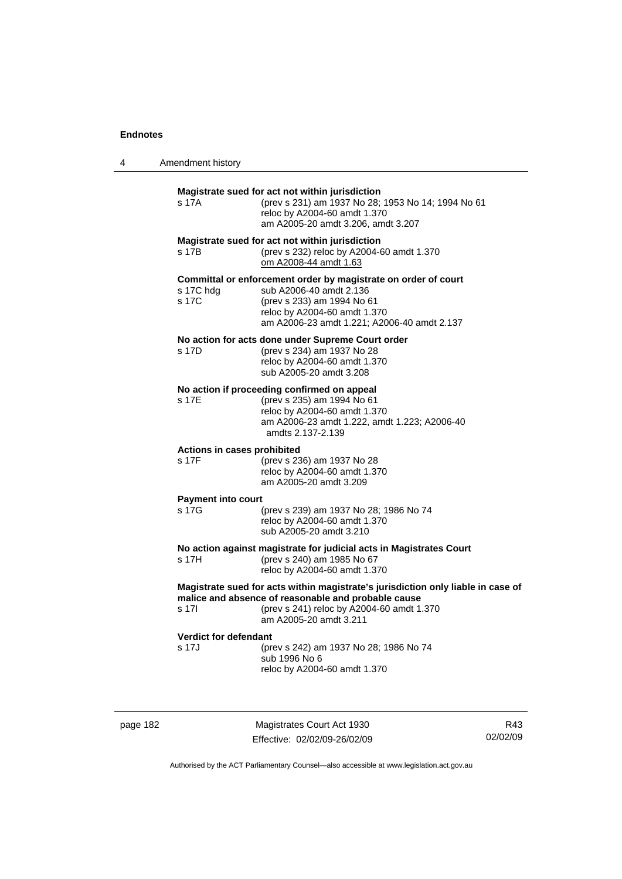| 4 | Amendment history |
|---|-------------------|
|---|-------------------|

| Magistrate sued for act not within jurisdiction<br>(prev s 231) am 1937 No 28; 1953 No 14; 1994 No 61<br>s 17A<br>reloc by A2004-60 amdt 1.370<br>am A2005-20 amdt 3.206, amdt 3.207<br>Magistrate sued for act not within jurisdiction<br>(prev s 232) reloc by A2004-60 amdt 1.370<br>s 17B<br>om A2008-44 amdt 1.63 |  |  |
|------------------------------------------------------------------------------------------------------------------------------------------------------------------------------------------------------------------------------------------------------------------------------------------------------------------------|--|--|
|                                                                                                                                                                                                                                                                                                                        |  |  |
|                                                                                                                                                                                                                                                                                                                        |  |  |
| Committal or enforcement order by magistrate on order of court<br>sub A2006-40 amdt 2.136<br>s 17C hdg<br>s 17C<br>(prev s 233) am 1994 No 61<br>reloc by A2004-60 amdt 1.370<br>am A2006-23 amdt 1.221; A2006-40 amdt 2.137                                                                                           |  |  |
| No action for acts done under Supreme Court order<br>(prev s 234) am 1937 No 28<br>s 17D<br>reloc by A2004-60 amdt 1.370<br>sub A2005-20 amdt 3.208                                                                                                                                                                    |  |  |
| No action if proceeding confirmed on appeal<br>s 17E<br>(prev s 235) am 1994 No 61<br>reloc by A2004-60 amdt 1.370<br>am A2006-23 amdt 1.222, amdt 1.223; A2006-40<br>amdts 2.137-2.139                                                                                                                                |  |  |
| Actions in cases prohibited<br>s 17F<br>(prev s 236) am 1937 No 28<br>reloc by A2004-60 amdt 1.370<br>am A2005-20 amdt 3.209                                                                                                                                                                                           |  |  |
| <b>Payment into court</b>                                                                                                                                                                                                                                                                                              |  |  |
| s 17G<br>(prev s 239) am 1937 No 28; 1986 No 74<br>reloc by A2004-60 amdt 1.370<br>sub A2005-20 amdt 3.210                                                                                                                                                                                                             |  |  |
| No action against magistrate for judicial acts in Magistrates Court<br>(prev s 240) am 1985 No 67<br>s 17H<br>reloc by A2004-60 amdt 1.370                                                                                                                                                                             |  |  |
| Magistrate sued for acts within magistrate's jurisdiction only liable in case of<br>malice and absence of reasonable and probable cause<br>(prev s 241) reloc by A2004-60 amdt 1.370<br>s 17l<br>am A2005-20 amdt 3.211                                                                                                |  |  |
| <b>Verdict for defendant</b><br>s 17J<br>(prev s 242) am 1937 No 28; 1986 No 74<br>sub 1996 No 6<br>reloc by A2004-60 amdt 1.370                                                                                                                                                                                       |  |  |

page 182 Magistrates Court Act 1930 Effective: 02/02/09-26/02/09

R43 02/02/09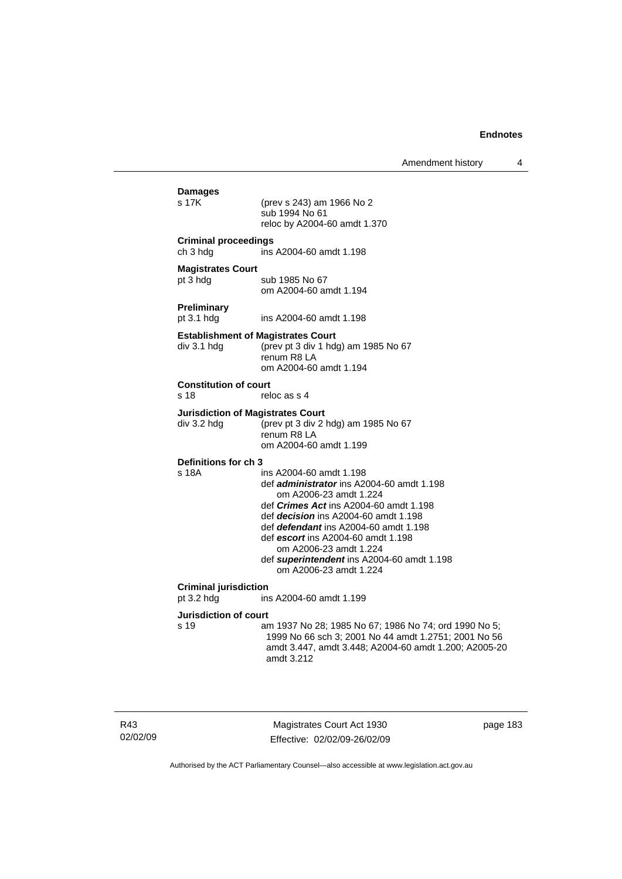| Damages<br>s 17K                                         | (prev s 243) am 1966 No 2<br>sub 1994 No 61<br>reloc by A2004-60 amdt 1.370                                                                                                                                                                                                                                                                                                            |
|----------------------------------------------------------|----------------------------------------------------------------------------------------------------------------------------------------------------------------------------------------------------------------------------------------------------------------------------------------------------------------------------------------------------------------------------------------|
|                                                          |                                                                                                                                                                                                                                                                                                                                                                                        |
| <b>Criminal proceedings</b><br>ch 3 hdg                  | ins A2004-60 amdt 1.198                                                                                                                                                                                                                                                                                                                                                                |
| <b>Magistrates Court</b><br>pt 3 hdg                     | sub 1985 No 67<br>om A2004-60 amdt 1.194                                                                                                                                                                                                                                                                                                                                               |
| Preliminary<br>pt 3.1 hdg                                | ins A2004-60 amdt 1.198                                                                                                                                                                                                                                                                                                                                                                |
| <b>Establishment of Magistrates Court</b><br>div 3.1 hdg | (prev pt 3 div 1 hdg) am 1985 No 67<br>renum R8 LA<br>om A2004-60 amdt 1.194                                                                                                                                                                                                                                                                                                           |
| <b>Constitution of court</b><br>s 18                     | reloc as s 4                                                                                                                                                                                                                                                                                                                                                                           |
| <b>Jurisdiction of Magistrates Court</b><br>div 3.2 hdg  | (prev pt 3 div 2 hdg) am 1985 No 67<br>renum R8 LA<br>om A2004-60 amdt 1.199                                                                                                                                                                                                                                                                                                           |
| Definitions for ch 3<br>s 18A                            | ins A2004-60 amdt 1.198<br>def administrator ins A2004-60 amdt 1.198<br>om A2006-23 amdt 1.224<br>def <i>Crimes Act</i> ins A2004-60 amdt 1.198<br>def <i>decision</i> ins A2004-60 amdt 1.198<br>def <i>defendant</i> ins A2004-60 amdt 1.198<br>def escort ins A2004-60 amdt 1.198<br>om A2006-23 amdt 1.224<br>def superintendent ins A2004-60 amdt 1.198<br>om A2006-23 amdt 1.224 |
| <b>Criminal jurisdiction</b><br>pt 3.2 hdg               | ins A2004-60 amdt 1.199                                                                                                                                                                                                                                                                                                                                                                |
| <b>Jurisdiction of court</b>                             |                                                                                                                                                                                                                                                                                                                                                                                        |
| s 19                                                     | am 1937 No 28; 1985 No 67; 1986 No 74; ord 1990 No 5;<br>1999 No 66 sch 3; 2001 No 44 amdt 1.2751; 2001 No 56<br>amdt 3.447, amdt 3.448; A2004-60 amdt 1.200; A2005-20<br>amdt 3.212                                                                                                                                                                                                   |
|                                                          |                                                                                                                                                                                                                                                                                                                                                                                        |

R43 02/02/09

Magistrates Court Act 1930 Effective: 02/02/09-26/02/09 page 183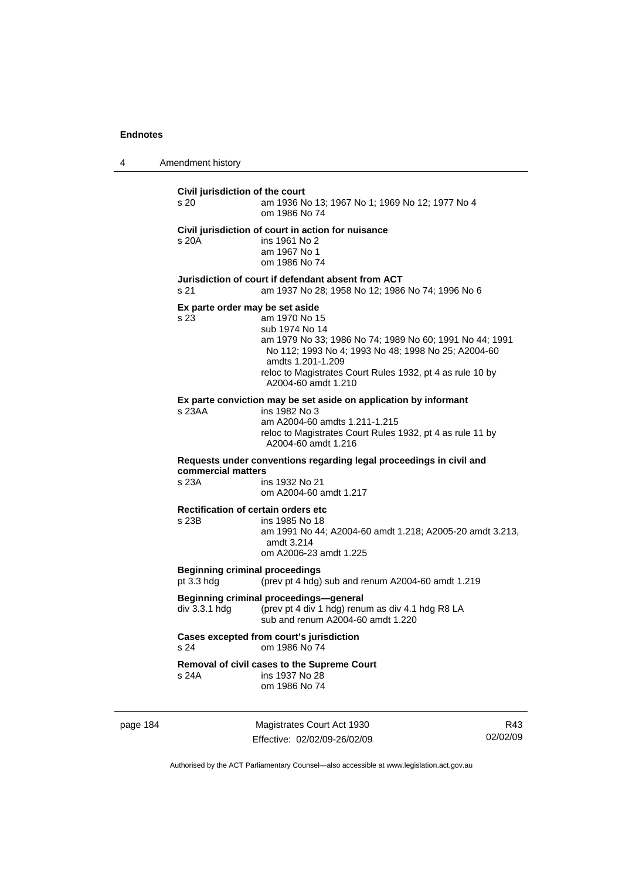4 Amendment history

**Civil jurisdiction of the court**  s 20 am 1936 No 13; 1967 No 1; 1969 No 12; 1977 No 4 om 1986 No 74 **Civil jurisdiction of court in action for nuisance**  s 20A ins 1961 No 2 am 1967 No 1 om 1986 No 74 **Jurisdiction of court if defendant absent from ACT**  s 21 am 1937 No 28; 1958 No 12; 1986 No 74; 1996 No 6 **Ex parte order may be set aside**  s 23 am 1970 No 15 sub 1974 No 14 am 1979 No 33; 1986 No 74; 1989 No 60; 1991 No 44; 1991 No 112; 1993 No 4; 1993 No 48; 1998 No 25; A2004-60 amdts 1.201-1.209 reloc to Magistrates Court Rules 1932, pt 4 as rule 10 by A2004-60 amdt 1.210 **Ex parte conviction may be set aside on application by informant**  s 23AA ins 1982 No 3 am A2004-60 amdts 1.211-1.215 reloc to Magistrates Court Rules 1932, pt 4 as rule 11 by A2004-60 amdt 1.216 **Requests under conventions regarding legal proceedings in civil and commercial matters**  s 23A ins 1932 No 21 om A2004-60 amdt 1.217 **Rectification of certain orders etc**  s 23B ins 1985 No 18 am 1991 No 44; A2004-60 amdt 1.218; A2005-20 amdt 3.213, amdt 3.214 om A2006-23 amdt 1.225 **Beginning criminal proceedings**  pt 3.3 hdg (prev pt 4 hdg) sub and renum A2004-60 amdt 1.219 **Beginning criminal proceedings—general**  div 3.3.1 hdg (prev pt 4 div 1 hdg) renum as div 4.1 hdg R8 LA sub and renum A2004-60 amdt 1.220 **Cases excepted from court's jurisdiction**  s 24 om 1986 No 74 **Removal of civil cases to the Supreme Court**  s 24A ins 1937 No 28 om 1986 No 74

page 184 Magistrates Court Act 1930 Effective: 02/02/09-26/02/09

R43 02/02/09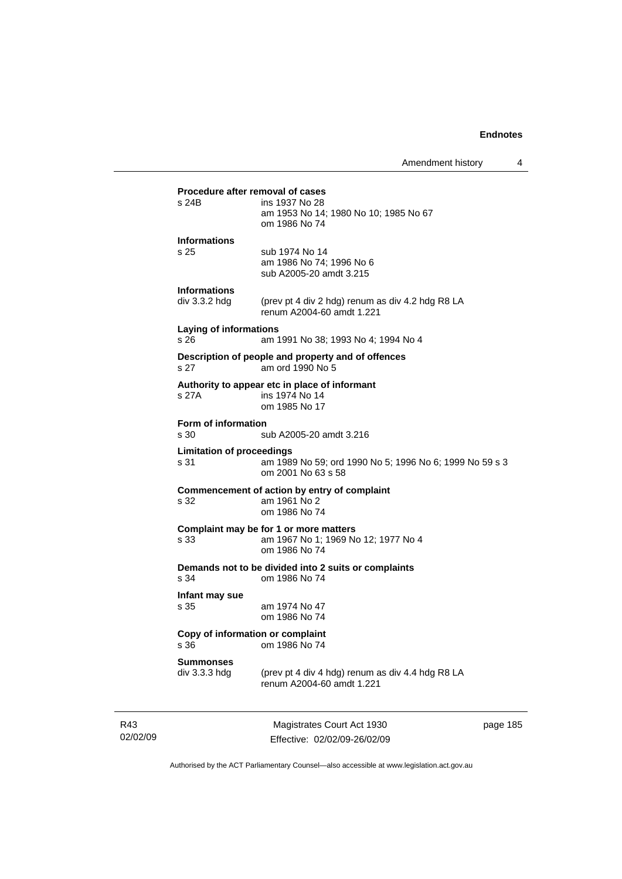| Amendment history |  |
|-------------------|--|
|-------------------|--|

**Procedure after removal of cases**<br>s 24B ins 1937 No 28 ins 1937 No 28 am 1953 No 14; 1980 No 10; 1985 No 67 om 1986 No 74 **Informations**  s 25 sub 1974 No 14 am 1986 No 74; 1996 No 6 sub A2005-20 amdt 3.215 **Informations**  div 3.3.2 hdg (prev pt 4 div 2 hdg) renum as div 4.2 hdg R8 LA renum A2004-60 amdt 1.221 **Laying of informations**  s 26 am 1991 No 38; 1993 No 4; 1994 No 4 **Description of people and property and of offences**  s 27 am ord 1990 No 5 **Authority to appear etc in place of informant**  s 27A ins 1974 No 14 om 1985 No 17 **Form of information**  s 30 sub A2005-20 amdt 3.216 **Limitation of proceedings**  s 31 am 1989 No 59; ord 1990 No 5; 1996 No 6; 1999 No 59 s 3 om 2001 No 63 s 58 **Commencement of action by entry of complaint**  s 32 am 1961 No 2 om 1986 No 74 **Complaint may be for 1 or more matters**  s 33 am 1967 No 1; 1969 No 12; 1977 No 4 om 1986 No 74 **Demands not to be divided into 2 suits or complaints**  om 1986 No 74 **Infant may sue**  s 35 am 1974 No 47 om 1986 No 74 **Copy of information or complaint**  s 36 om 1986 No 74 **Summonses**  div 3.3.3 hdg (prev pt 4 div 4 hdg) renum as div 4.4 hdg R8 LA renum A2004-60 amdt 1.221

R43 02/02/09

Magistrates Court Act 1930 Effective: 02/02/09-26/02/09 page 185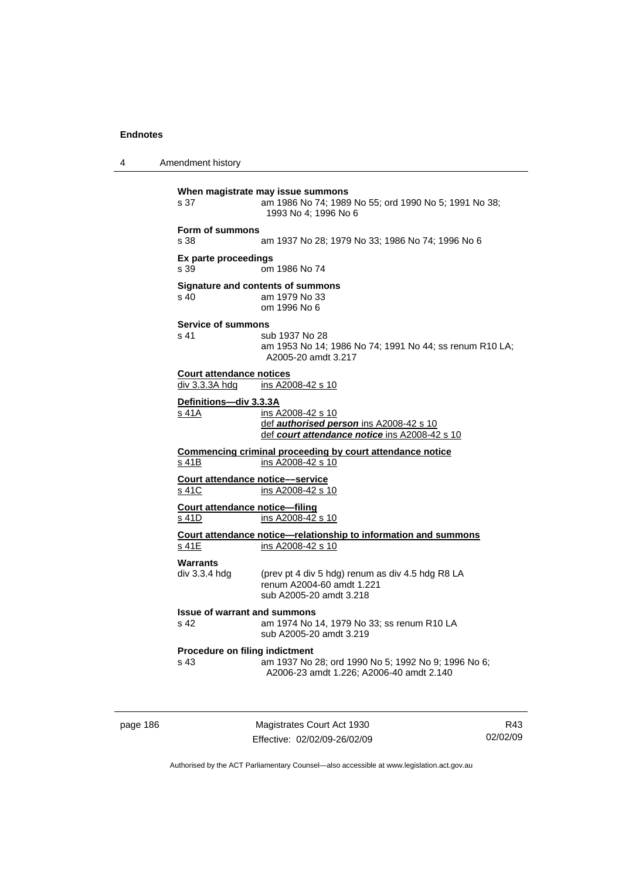4 Amendment history **When magistrate may issue summons**  s 37 am 1986 No 74; 1989 No 55; ord 1990 No 5; 1991 No 38; 1993 No 4; 1996 No 6 **Form of summons**  s 38 am 1937 No 28; 1979 No 33; 1986 No 74; 1996 No 6 **Ex parte proceedings**  s 39 om 1986 No 74 **Signature and contents of summons**  s 40 am 1979 No 33 om 1996 No 6 **Service of summons**  s 41 sub 1937 No 28 am 1953 No 14; 1986 No 74; 1991 No 44; ss renum R10 LA; A2005-20 amdt 3.217 **Court attendance notices**<br>div 3.3.3A hdg ins A20  $\overline{ins A2008-42 s 10}$ **Definitions—div 3.3.3A** s 41A ins A2008-42 s 10 def *authorised person* ins A2008-42 s 10 def *court attendance notice* ins A2008-42 s 10 **Commencing criminal proceeding by court attendance notice** s 41B ins A2008-42 s 10 **Court attendance notice––service** s 41C ins A2008-42 s 10 **Court attendance notice—filing** s 41D ins A2008-42 s 10 **Court attendance notice—relationship to information and summons** s 41E ins A2008-42 s 10 **Warrants**  div 3.3.4 hdg (prev pt 4 div 5 hdg) renum as div 4.5 hdg R8 LA renum A2004-60 amdt 1.221 sub A2005-20 amdt 3.218 **Issue of warrant and summons**  s 42 am 1974 No 14, 1979 No 33; ss renum R10 LA sub A2005-20 amdt 3.219 **Procedure on filing indictment**  s 43 am 1937 No 28; ord 1990 No 5; 1992 No 9; 1996 No 6; A2006-23 amdt 1.226; A2006-40 amdt 2.140

page 186 Magistrates Court Act 1930 Effective: 02/02/09-26/02/09

R43 02/02/09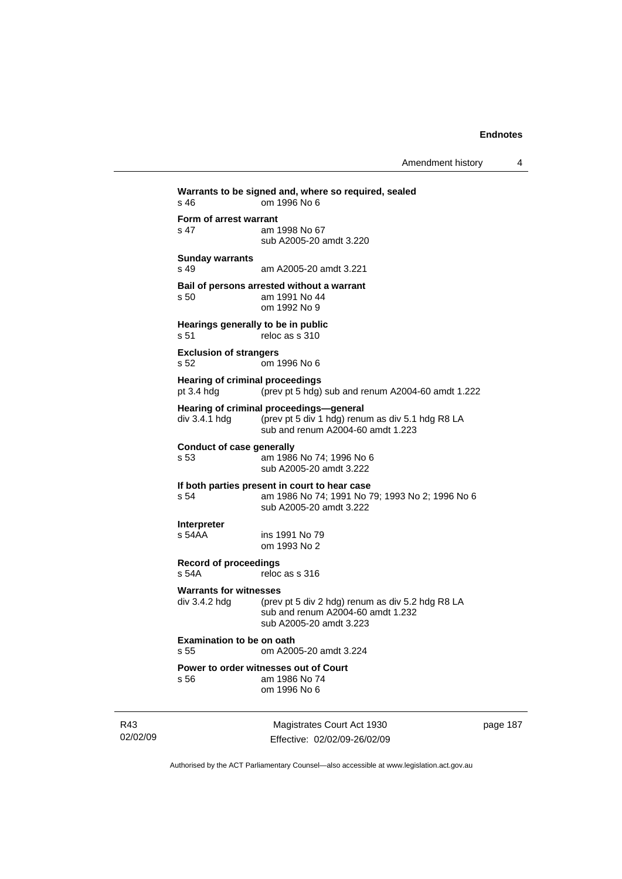Amendment history 4

| s 46                                                 | Warrants to be signed and, where so required, sealed<br>om 1996 No 6                                                             |
|------------------------------------------------------|----------------------------------------------------------------------------------------------------------------------------------|
| Form of arrest warrant<br>s <sub>47</sub>            | am 1998 No 67<br>sub A2005-20 amdt 3.220                                                                                         |
| <b>Sunday warrants</b><br>s <sub>49</sub>            | am A2005-20 amdt 3.221                                                                                                           |
| s 50                                                 | Bail of persons arrested without a warrant<br>am 1991 No 44<br>om 1992 No 9                                                      |
| Hearings generally to be in public<br>s 51           | reloc as s 310                                                                                                                   |
| <b>Exclusion of strangers</b><br>s 52                | om 1996 No 6                                                                                                                     |
| <b>Hearing of criminal proceedings</b><br>pt 3.4 hdg | (prev pt 5 hdg) sub and renum A2004-60 amdt 1.222                                                                                |
| div 3.4.1 hdg                                        | Hearing of criminal proceedings-general<br>(prev pt 5 div 1 hdg) renum as div 5.1 hdg R8 LA<br>sub and renum A2004-60 amdt 1.223 |
| <b>Conduct of case generally</b><br>s 53             | am 1986 No 74; 1996 No 6<br>sub A2005-20 amdt 3.222                                                                              |
| s 54                                                 | If both parties present in court to hear case<br>am 1986 No 74; 1991 No 79; 1993 No 2; 1996 No 6<br>sub A2005-20 amdt 3.222      |
| <b>Interpreter</b><br>s 54AA                         | ins 1991 No 79<br>om 1993 No 2                                                                                                   |
| <b>Record of proceedings</b><br>s <sub>54A</sub>     | reloc as s 316                                                                                                                   |
| <b>Warrants for witnesses</b><br>div 3.4.2 hda       | (prev pt 5 div 2 hdg) renum as div 5.2 hdg R8 LA<br>sub and renum A2004-60 amdt 1.232<br>sub A2005-20 amdt 3.223                 |
| <b>Examination to be on oath</b><br>s 55             | om A2005-20 amdt 3.224                                                                                                           |
| s 56                                                 | Power to order witnesses out of Court<br>am 1986 No 74<br>om 1996 No 6                                                           |
|                                                      |                                                                                                                                  |

R43 02/02/09

Magistrates Court Act 1930 Effective: 02/02/09-26/02/09 page 187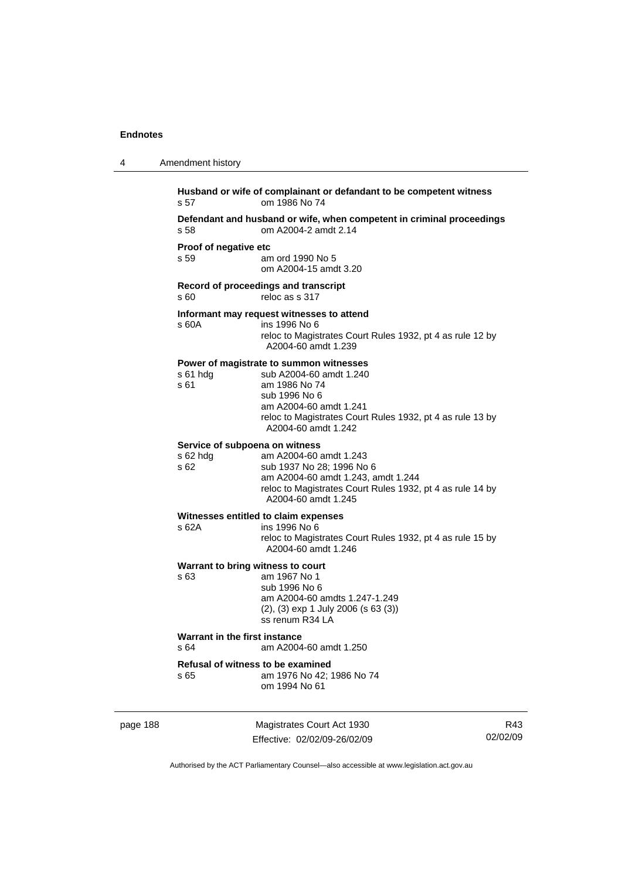| 4        | Amendment history                     |                                                                                                                                                                                                                    |     |
|----------|---------------------------------------|--------------------------------------------------------------------------------------------------------------------------------------------------------------------------------------------------------------------|-----|
|          | s 57                                  | Husband or wife of complainant or defandant to be competent witness<br>om 1986 No 74                                                                                                                               |     |
|          | s 58                                  | Defendant and husband or wife, when competent in criminal proceedings<br>om A2004-2 amdt 2.14                                                                                                                      |     |
|          | Proof of negative etc<br>s 59         | am ord 1990 No 5<br>om A2004-15 amdt 3.20                                                                                                                                                                          |     |
|          | s 60                                  | Record of proceedings and transcript<br>reloc as s 317                                                                                                                                                             |     |
|          | s 60A                                 | Informant may request witnesses to attend<br>ins 1996 No 6<br>reloc to Magistrates Court Rules 1932, pt 4 as rule 12 by<br>A2004-60 amdt 1.239                                                                     |     |
|          | $s61$ hdg<br>s 61                     | Power of magistrate to summon witnesses<br>sub A2004-60 amdt 1.240<br>am 1986 No 74<br>sub 1996 No 6<br>am A2004-60 amdt 1.241<br>reloc to Magistrates Court Rules 1932, pt 4 as rule 13 by<br>A2004-60 amdt 1.242 |     |
|          | s 62 hdg<br>s 62                      | Service of subpoena on witness<br>am A2004-60 amdt 1.243<br>sub 1937 No 28; 1996 No 6<br>am A2004-60 amdt 1.243, amdt 1.244<br>reloc to Magistrates Court Rules 1932, pt 4 as rule 14 by<br>A2004-60 amdt 1.245    |     |
|          | s 62A                                 | Witnesses entitled to claim expenses<br>ins 1996 No 6<br>reloc to Magistrates Court Rules 1932, pt 4 as rule 15 by<br>A2004-60 amdt 1.246                                                                          |     |
|          | s 63                                  | Warrant to bring witness to court<br>am 1967 No 1<br>sub 1996 No 6<br>am A2004-60 amdts 1.247-1.249<br>$(2)$ , $(3)$ exp 1 July 2006 (s 63 $(3)$ )<br>ss renum R34 LA                                              |     |
|          | Warrant in the first instance<br>s 64 | am A2004-60 amdt 1.250                                                                                                                                                                                             |     |
|          | s 65                                  | Refusal of witness to be examined<br>am 1976 No 42: 1986 No 74<br>om 1994 No 61                                                                                                                                    |     |
| page 188 |                                       | Magistrates Court Act 1930                                                                                                                                                                                         | R43 |

Authorised by the ACT Parliamentary Counsel—also accessible at www.legislation.act.gov.au

02/02/09

Effective: 02/02/09-26/02/09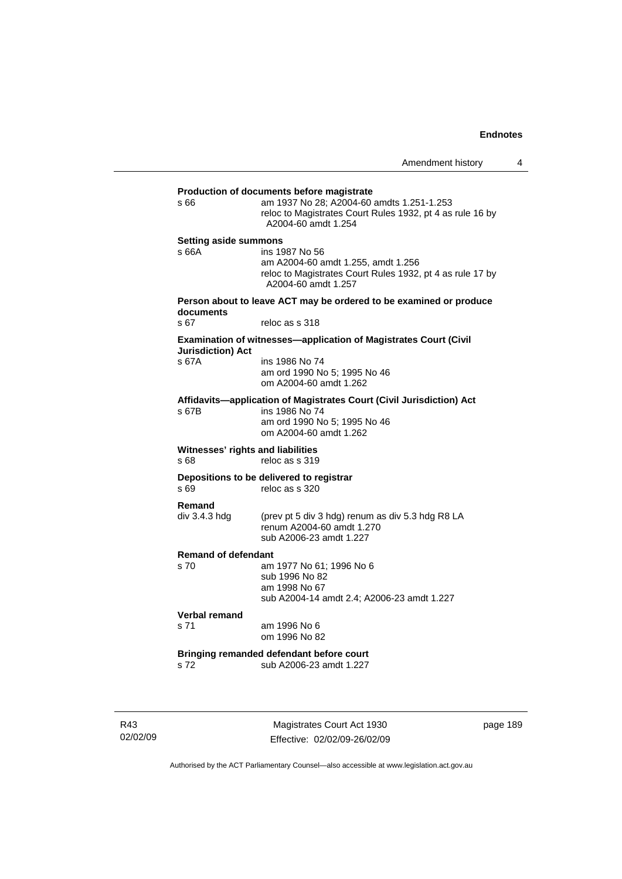# **Production of documents before magistrate**  s 66 am 1937 No 28; A2004-60 amdts 1.251-1.253 reloc to Magistrates Court Rules 1932, pt 4 as rule 16 by A2004-60 amdt 1.254 **Setting aside summons**  s 66A ins 1987 No 56 am A2004-60 amdt 1.255, amdt 1.256 reloc to Magistrates Court Rules 1932, pt 4 as rule 17 by A2004-60 amdt 1.257 **Person about to leave ACT may be ordered to be examined or produce documents**  s 67 reloc as s 318 **Examination of witnesses—application of Magistrates Court (Civil Jurisdiction) Act**  s 67A ins 1986 No 74 am ord 1990 No 5; 1995 No 46 om A2004-60 amdt 1.262 **Affidavits—application of Magistrates Court (Civil Jurisdiction) Act**  s 67B ins 1986 No 74 am ord 1990 No 5; 1995 No 46 om A2004-60 amdt 1.262 **Witnesses' rights and liabilities**  s 68 reloc as s 319 **Depositions to be delivered to registrar**  reloc as s 320 **Remand**  div 3.4.3 hdg (prev pt 5 div 3 hdg) renum as div 5.3 hdg R8 LA renum A2004-60 amdt 1.270 sub A2006-23 amdt 1.227 **Remand of defendant**  am 1977 No 61; 1996 No 6 sub 1996 No 82 am 1998 No 67 sub A2004-14 amdt 2.4; A2006-23 amdt 1.227 **Verbal remand**  s 71 am 1996 No 6 om 1996 No 82 **Bringing remanded defendant before court**  s 72 sub A2006-23 amdt 1.227

R43 02/02/09

Magistrates Court Act 1930 Effective: 02/02/09-26/02/09 page 189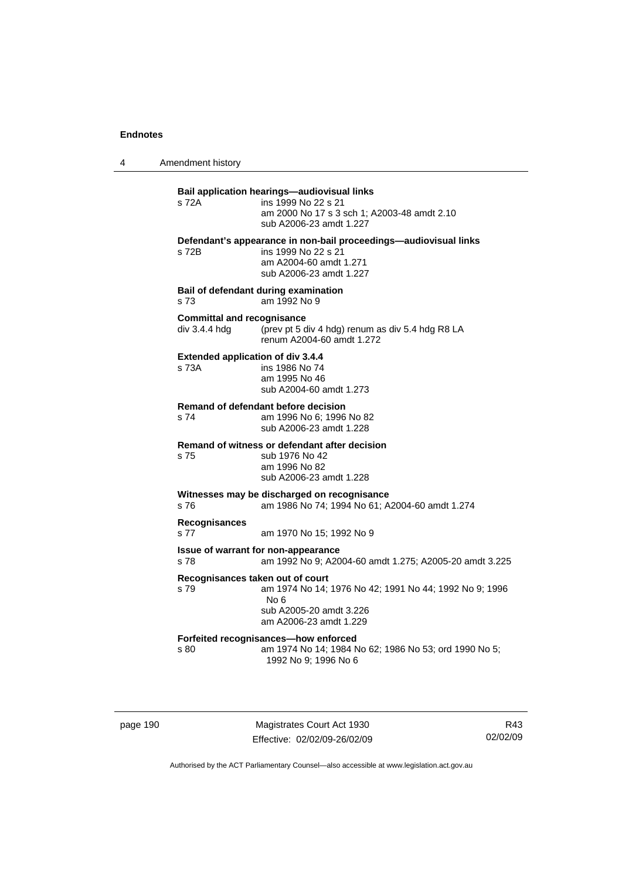4 Amendment history

### **Bail application hearings—audiovisual links**

s 72A ins 1999 No 22 s 21 am 2000 No 17 s 3 sch 1; A2003-48 amdt 2.10 sub A2006-23 amdt 1.227 **Defendant's appearance in non-bail proceedings—audiovisual links**  s 72B ins 1999 No 22 s 21 am A2004-60 amdt 1.271

sub A2006-23 amdt 1.227

**Bail of defendant during examination**  s 73 am 1992 No 9

# **Committal and recognisance**

div 3.4.4 hdg (prev pt 5 div 4 hdg) renum as div 5.4 hdg R8 LA renum A2004-60 amdt 1.272

# **Extended application of div 3.4.4**

s 73A ins 1986 No 74 am 1995 No 46 sub A2004-60 amdt 1.273

#### **Remand of defendant before decision**

s 74 am 1996 No 6; 1996 No 82 sub A2006-23 amdt 1.228

#### **Remand of witness or defendant after decision**

s 75 sub 1976 No 42 am 1996 No 82 sub A2006-23 amdt 1.228

#### **Witnesses may be discharged on recognisance**

s 76 am 1986 No 74; 1994 No 61; A2004-60 amdt 1.274

#### **Recognisances**

s 77 am 1970 No 15; 1992 No 9

#### **Issue of warrant for non-appearance**

s 78 am 1992 No 9; A2004-60 amdt 1.275; A2005-20 amdt 3.225

#### **Recognisances taken out of court**

s 79 am 1974 No 14; 1976 No 42; 1991 No 44; 1992 No 9; 1996 No 6

 sub A2005-20 amdt 3.226 am A2006-23 amdt 1.229

#### **Forfeited recognisances—how enforced**

s 80 am 1974 No 14; 1984 No 62; 1986 No 53; ord 1990 No 5; 1992 No 9; 1996 No 6

page 190 Magistrates Court Act 1930 Effective: 02/02/09-26/02/09

R43 02/02/09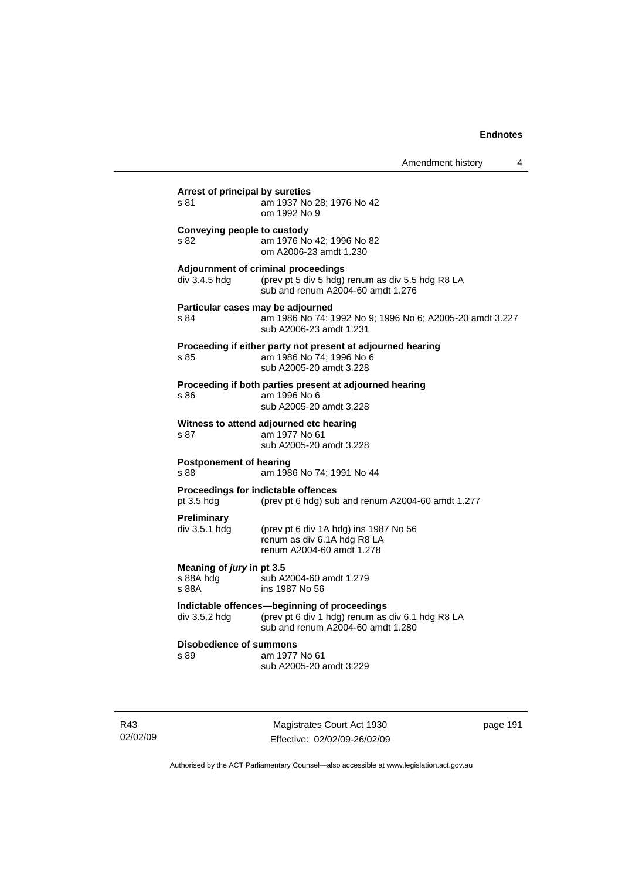| s 81                                              | am 1937 No 28; 1976 No 42<br>om 1992 No 9                                                                                             |
|---------------------------------------------------|---------------------------------------------------------------------------------------------------------------------------------------|
| Conveying people to custody<br>s 82               | am 1976 No 42; 1996 No 82<br>om A2006-23 amdt 1.230                                                                                   |
| div 3.4.5 hdg                                     | Adjournment of criminal proceedings<br>(prev pt 5 div 5 hdg) renum as div 5.5 hdg R8 LA<br>sub and renum A2004-60 amdt 1.276          |
| Particular cases may be adjourned<br>s 84         | am 1986 No 74; 1992 No 9; 1996 No 6; A2005-20 amdt 3.227<br>sub A2006-23 amdt 1.231                                                   |
| s 85                                              | Proceeding if either party not present at adjourned hearing<br>am 1986 No 74; 1996 No 6<br>sub A2005-20 amdt 3.228                    |
| s 86                                              | Proceeding if both parties present at adjourned hearing<br>am 1996 No 6<br>sub A2005-20 amdt 3.228                                    |
| s 87                                              | Witness to attend adjourned etc hearing<br>am 1977 No 61<br>sub A2005-20 amdt 3.228                                                   |
| <b>Postponement of hearing</b><br>s 88            | am 1986 No 74; 1991 No 44                                                                                                             |
| Proceedings for indictable offences<br>pt 3.5 hdg | (prev pt 6 hdg) sub and renum A2004-60 amdt 1.277                                                                                     |
| <b>Preliminary</b><br>div 3.5.1 hdg               | (prev pt 6 div 1A hdg) ins 1987 No 56<br>renum as div 6.1A hdg R8 LA<br>renum A2004-60 amdt 1.278                                     |
| Meaning of jury in pt 3.5<br>s 88A hdg<br>s 88A   | sub A2004-60 amdt 1.279<br>ins 1987 No 56                                                                                             |
| div 3.5.2 hdg                                     | Indictable offences-beginning of proceedings<br>(prev pt 6 div 1 hdg) renum as div 6.1 hdg R8 LA<br>sub and renum A2004-60 amdt 1.280 |
| <b>Disobedience of summons</b><br>s 89            | am 1977 No 61<br>sub A2005-20 amdt 3.229                                                                                              |

R43 02/02/09

Magistrates Court Act 1930 Effective: 02/02/09-26/02/09 page 191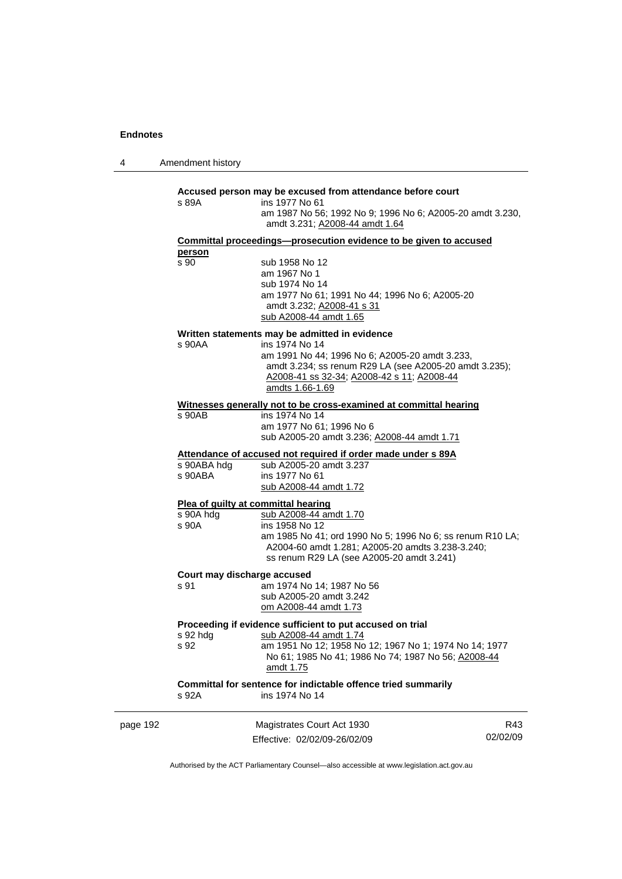4 Amendment history

#### **Accused person may be excused from attendance before court**

| s 89A | ins 1977 No 61                                            |
|-------|-----------------------------------------------------------|
|       | am 1987 No 56; 1992 No 9; 1996 No 6; A2005-20 amdt 3.230, |
|       | amdt 3.231: A2008-44 amdt 1.64                            |

**Committal proceedings—prosecution evidence to be given to accused person**

s 90 sub 1958 No 12 am 1967 No 1 sub 1974 No 14 am 1977 No 61; 1991 No 44; 1996 No 6; A2005-20 amdt 3.232; A2008-41 s 31 sub A2008-44 amdt 1.65

### **Written statements may be admitted in evidence**

s 90AA ins 1974 No 14 am 1991 No 44; 1996 No 6; A2005-20 amdt 3.233, amdt 3.234; ss renum R29 LA (see A2005-20 amdt 3.235); A2008-41 ss 32-34; A2008-42 s 11; A2008-44 amdts 1.66-1.69

### **Witnesses generally not to be cross-examined at committal hearing**

s 90AB ins 1974 No 14 am 1977 No 61; 1996 No 6 sub A2005-20 amdt 3.236; A2008-44 amdt 1.71

#### **Attendance of accused not required if order made under s 89A**

| s 90ABA hdg | sub A2005-20 amdt 3.237 |
|-------------|-------------------------|
| s 90ABA     | ins 1977 No 61          |
|             | sub A2008-44 amdt 1.72  |

### **Plea of guilty at committal hearing**

| s 90A hdq | sub A2008-44 amdt 1.70                                                                                                                                     |
|-----------|------------------------------------------------------------------------------------------------------------------------------------------------------------|
| s 90A     | ins 1958 No 12                                                                                                                                             |
|           | am 1985 No 41: ord 1990 No 5: 1996 No 6: ss renum R10 LA:<br>A2004-60 amdt 1.281; A2005-20 amdts 3.238-3.240;<br>ss renum R29 LA (see A2005-20 amdt 3.241) |
|           |                                                                                                                                                            |

#### **Court may discharge accused**

| s 91 | am 1974 No 14; 1987 No 56 |
|------|---------------------------|
|      | sub A2005-20 amdt 3.242   |
|      | om A2008-44 amdt 1.73     |

### **Proceeding if evidence sufficient to put accused on trial**

# s 92 hdg sub A2008-44 amdt 1.74

s 92 am 1951 No 12; 1958 No 12; 1967 No 1; 1974 No 14; 1977 No 61; 1985 No 41; 1986 No 74; 1987 No 56; A2008-44 amdt 1.75

## **Committal for sentence for indictable offence tried summarily**  s 92A ins 1974 No 14

| page 192 | Magistrates Court Act 1930   | R43.     |
|----------|------------------------------|----------|
|          | Effective: 02/02/09-26/02/09 | 02/02/09 |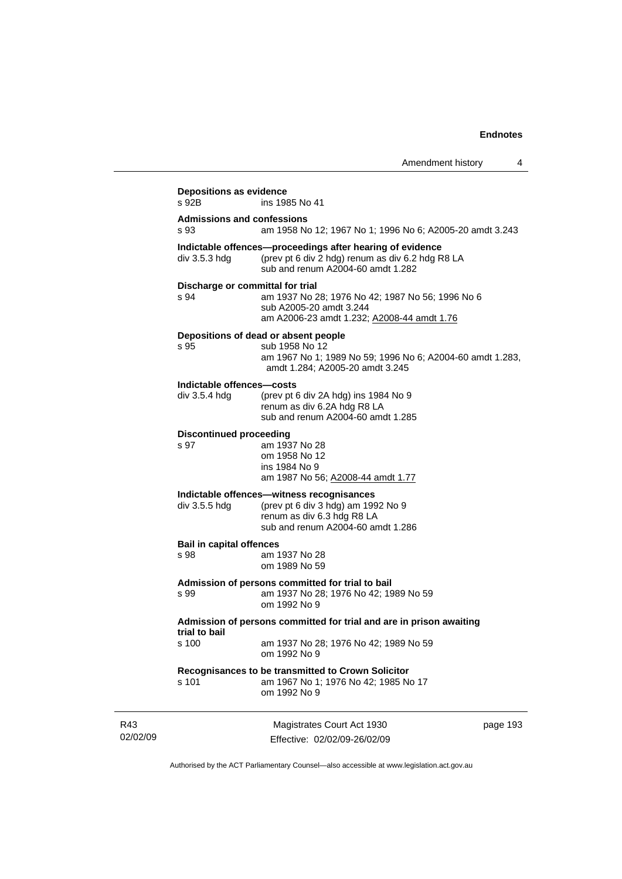| Amendment history |  |
|-------------------|--|
|-------------------|--|

|                                            | AUGUUNGULUSUU Y                                                                                                                                        |  |
|--------------------------------------------|--------------------------------------------------------------------------------------------------------------------------------------------------------|--|
| <b>Depositions as evidence</b><br>s 92B    | ins 1985 No 41                                                                                                                                         |  |
| <b>Admissions and confessions</b><br>s 93  | am 1958 No 12; 1967 No 1; 1996 No 6; A2005-20 amdt 3.243                                                                                               |  |
| div 3.5.3 hdg                              | Indictable offences--proceedings after hearing of evidence<br>(prev pt 6 div 2 hdg) renum as div 6.2 hdg R8 LA<br>sub and renum A2004-60 amdt 1.282    |  |
| Discharge or committal for trial<br>s 94   | am 1937 No 28; 1976 No 42; 1987 No 56; 1996 No 6<br>sub A2005-20 amdt 3.244<br>am A2006-23 amdt 1.232; A2008-44 amdt 1.76                              |  |
| s 95                                       | Depositions of dead or absent people<br>sub 1958 No 12<br>am 1967 No 1; 1989 No 59; 1996 No 6; A2004-60 amdt 1.283,<br>amdt 1.284; A2005-20 amdt 3.245 |  |
| Indictable offences-costs<br>div 3.5.4 hdg | (prev pt 6 div 2A hdg) ins 1984 No 9<br>renum as div 6.2A hdg R8 LA<br>sub and renum A2004-60 amdt 1.285                                               |  |
| <b>Discontinued proceeding</b><br>s 97     | am 1937 No 28<br>om 1958 No 12<br>ins 1984 No 9<br>am 1987 No 56; A2008-44 amdt 1.77                                                                   |  |
| div 3.5.5 hdg                              | Indictable offences-witness recognisances<br>(prev pt 6 div 3 hdg) am 1992 No 9<br>renum as div 6.3 hdg R8 LA<br>sub and renum A2004-60 amdt 1.286     |  |
| <b>Bail in capital offences</b><br>s 98    | am 1937 No 28<br>om 1989 No 59                                                                                                                         |  |
| s 99                                       | Admission of persons committed for trial to bail<br>am 1937 No 28; 1976 No 42; 1989 No 59<br>om 1992 No 9                                              |  |
| trial to bail                              | Admission of persons committed for trial and are in prison awaiting                                                                                    |  |
| s 100                                      | am 1937 No 28; 1976 No 42; 1989 No 59<br>om 1992 No 9                                                                                                  |  |
| s 101                                      | Recognisances to be transmitted to Crown Solicitor<br>am 1967 No 1; 1976 No 42; 1985 No 17<br>om 1992 No 9                                             |  |
|                                            |                                                                                                                                                        |  |

R43 02/02/09

Magistrates Court Act 1930 Effective: 02/02/09-26/02/09 page 193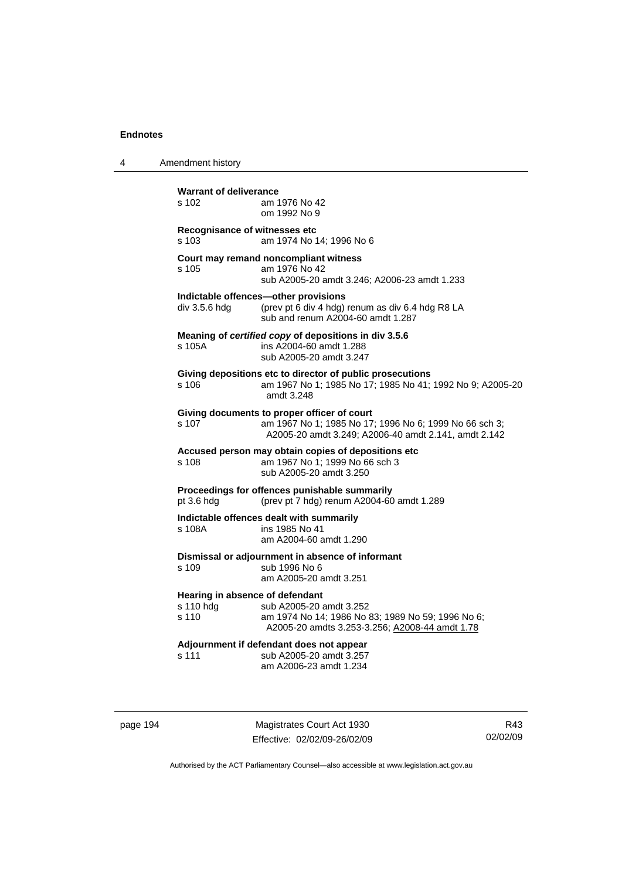4 Amendment history

| <b>Warrant of deliverance</b><br>s 102                | am 1976 No 42<br>om 1992 No 9                                                                                                                                 |
|-------------------------------------------------------|---------------------------------------------------------------------------------------------------------------------------------------------------------------|
| Recognisance of witnesses etc<br>s 103                | am 1974 No 14; 1996 No 6                                                                                                                                      |
| s 105                                                 | Court may remand noncompliant witness<br>am 1976 No 42<br>sub A2005-20 amdt 3.246; A2006-23 amdt 1.233                                                        |
| div 3.5.6 hdg                                         | Indictable offences-other provisions<br>(prev pt 6 div 4 hdg) renum as div 6.4 hdg R8 LA<br>sub and renum A2004-60 amdt 1.287                                 |
| s 105A                                                | Meaning of certified copy of depositions in div 3.5.6<br>ins A2004-60 amdt 1.288<br>sub A2005-20 amdt 3.247                                                   |
| s 106                                                 | Giving depositions etc to director of public prosecutions<br>am 1967 No 1; 1985 No 17; 1985 No 41; 1992 No 9; A2005-20<br>amdt 3.248                          |
| s 107                                                 | Giving documents to proper officer of court<br>am 1967 No 1; 1985 No 17; 1996 No 6; 1999 No 66 sch 3;<br>A2005-20 amdt 3.249; A2006-40 amdt 2.141, amdt 2.142 |
| s 108                                                 | Accused person may obtain copies of depositions etc<br>am 1967 No 1; 1999 No 66 sch 3<br>sub A2005-20 amdt 3.250                                              |
| pt 3.6 hdg                                            | Proceedings for offences punishable summarily<br>(prev pt 7 hdg) renum A2004-60 amdt 1.289                                                                    |
| s 108A                                                | Indictable offences dealt with summarily<br>ins 1985 No 41<br>am A2004-60 amdt 1.290                                                                          |
| s 109                                                 | Dismissal or adjournment in absence of informant<br>sub 1996 No 6<br>am A2005-20 amdt 3.251                                                                   |
| Hearing in absence of defendant<br>s 110 hdg<br>s 110 | sub A2005-20 amdt 3.252<br>am 1974 No 14; 1986 No 83; 1989 No 59; 1996 No 6;<br>A2005-20 amdts 3.253-3.256; A2008-44 amdt 1.78                                |
| s 111                                                 | Adjournment if defendant does not appear<br>sub A2005-20 amdt 3.257<br>am A2006-23 amdt 1.234                                                                 |

page 194 Magistrates Court Act 1930 Effective: 02/02/09-26/02/09

R43 02/02/09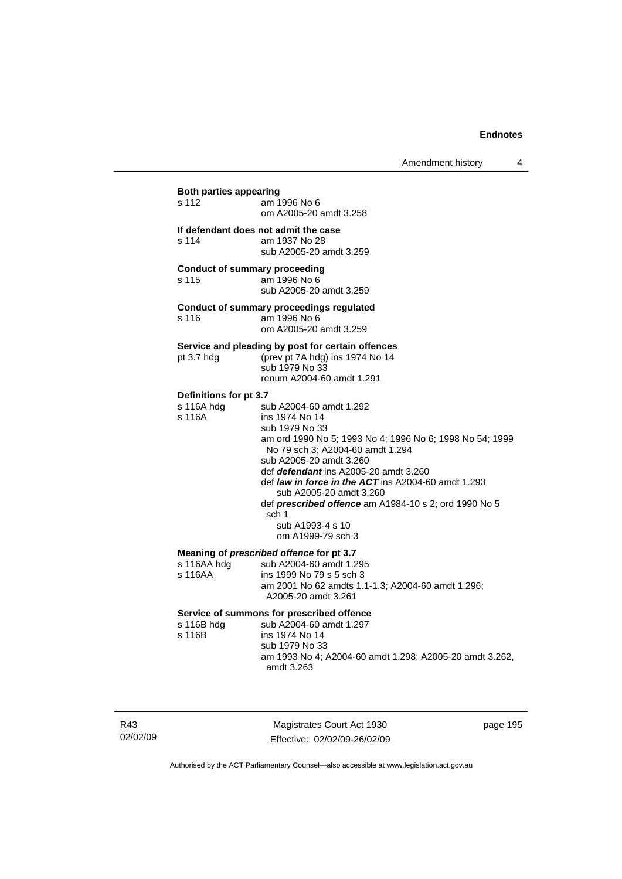# **Both parties appearing**  am 1996 No 6 om A2005-20 amdt 3.258 **If defendant does not admit the case**  am 1937 No 28 sub A2005-20 amdt 3.259 **Conduct of summary proceeding**  s 115 am 1996 No 6 sub A2005-20 amdt 3.259

#### **Conduct of summary proceedings regulated**

s 116 am 1996 No 6 om A2005-20 amdt 3.259

# **Service and pleading by post for certain offences**

pt 3.7 hdg (prev pt 7A hdg) ins 1974 No 14

 sub 1979 No 33 renum A2004-60 amdt 1.291

### **Definitions for pt 3.7**

| s 116A hdg | sub A2004-60 amdt 1.292                                      |
|------------|--------------------------------------------------------------|
| s 116A     | ins 1974 No 14                                               |
|            | sub 1979 No 33                                               |
|            | am ord 1990 No 5; 1993 No 4; 1996 No 6; 1998 No 54; 1999     |
|            | No 79 sch 3; A2004-60 amdt 1.294                             |
|            | sub A2005-20 amdt 3.260                                      |
|            | def <i>defendant</i> ins A2005-20 amdt 3.260                 |
|            | def <i>law in force in the ACT</i> ins A2004-60 amdt 1.293   |
|            | sub A2005-20 amdt 3.260                                      |
|            | def <b>prescribed offence</b> am A1984-10 s 2; ord 1990 No 5 |
|            | sch 1                                                        |
|            | sub A1993-4 s 10                                             |
|            | om A1999-79 sch 3                                            |
|            |                                                              |

#### **Meaning of** *prescribed offence* **for pt 3.7**

| s 116AA hdg | sub A2004-60 amdt 1.295                           |
|-------------|---------------------------------------------------|
| s 116AA     | ins 1999 No 79 s 5 sch 3                          |
|             | am 2001 No 62 amdts 1.1-1.3; A2004-60 amdt 1.296; |
|             | A2005-20 amdt 3.261                               |
|             |                                                   |

# **Service of summons for prescribed offence**

| sub A2004-60 amdt 1.297                                               |
|-----------------------------------------------------------------------|
| ins 1974 No 14                                                        |
| sub 1979 No 33                                                        |
| am 1993 No 4; A2004-60 amdt 1.298; A2005-20 amdt 3.262,<br>amdt 3.263 |
|                                                                       |

R43 02/02/09

Magistrates Court Act 1930 Effective: 02/02/09-26/02/09 page 195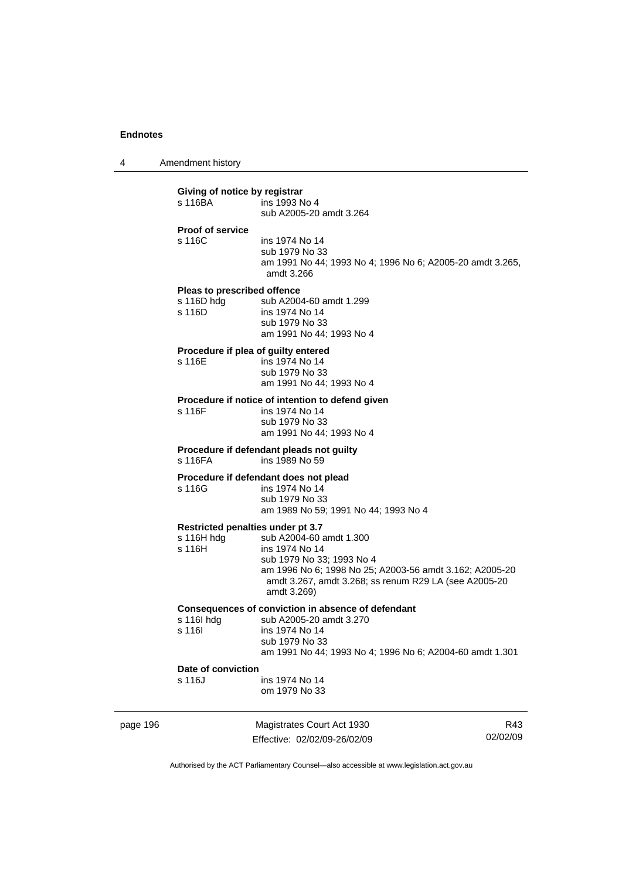4 Amendment history

|  | Giving of notice by registrar<br>s 116BA<br><b>Proof of service</b>                                                                                                                                 | ins 1993 No 4<br>sub A2005-20 amdt 3.264                                                                                                                                                                                                       |                                                            |                 |  |
|--|-----------------------------------------------------------------------------------------------------------------------------------------------------------------------------------------------------|------------------------------------------------------------------------------------------------------------------------------------------------------------------------------------------------------------------------------------------------|------------------------------------------------------------|-----------------|--|
|  | s 116C                                                                                                                                                                                              | ins 1974 No 14<br>sub 1979 No 33<br>am 1991 No 44; 1993 No 4; 1996 No 6; A2005-20 amdt 3.265,<br>amdt 3.266                                                                                                                                    |                                                            |                 |  |
|  | Pleas to prescribed offence<br>s $116D$ hdg<br>s 116D                                                                                                                                               | sub A2004-60 amdt 1.299<br>ins 1974 No 14<br>sub 1979 No 33<br>am 1991 No 44; 1993 No 4                                                                                                                                                        |                                                            |                 |  |
|  | s 116E                                                                                                                                                                                              | Procedure if plea of guilty entered<br>ins 1974 No 14<br>sub 1979 No 33<br>am 1991 No 44; 1993 No 4                                                                                                                                            |                                                            |                 |  |
|  | Procedure if notice of intention to defend given<br>s 116F<br>ins 1974 No 14<br>sub 1979 No 33<br>am 1991 No 44; 1993 No 4<br>Procedure if defendant pleads not guilty<br>s 116FA<br>ins 1989 No 59 |                                                                                                                                                                                                                                                |                                                            |                 |  |
|  |                                                                                                                                                                                                     |                                                                                                                                                                                                                                                |                                                            |                 |  |
|  | s 116H $h$ dg<br>s 116H                                                                                                                                                                             | Restricted penalties under pt 3.7<br>sub A2004-60 amdt 1.300<br>ins 1974 No 14<br>sub 1979 No 33; 1993 No 4<br>am 1996 No 6; 1998 No 25; A2003-56 amdt 3.162; A2005-20<br>amdt 3.267, amdt 3.268; ss renum R29 LA (see A2005-20<br>amdt 3.269) |                                                            |                 |  |
|  | s 116 hdg<br>s 116I                                                                                                                                                                                 | Consequences of conviction in absence of defendant<br>sub A2005-20 amdt 3.270<br>ins 1974 No 14<br>sub 1979 No 33<br>am 1991 No 44; 1993 No 4; 1996 No 6; A2004-60 amdt 1.301                                                                  |                                                            |                 |  |
|  | Date of conviction<br>s 116J                                                                                                                                                                        | ins 1974 No 14<br>om 1979 No 33                                                                                                                                                                                                                |                                                            |                 |  |
|  | page 196                                                                                                                                                                                            |                                                                                                                                                                                                                                                | Magistrates Court Act 1930<br>Effective: 02/02/09-26/02/09 | R43<br>02/02/09 |  |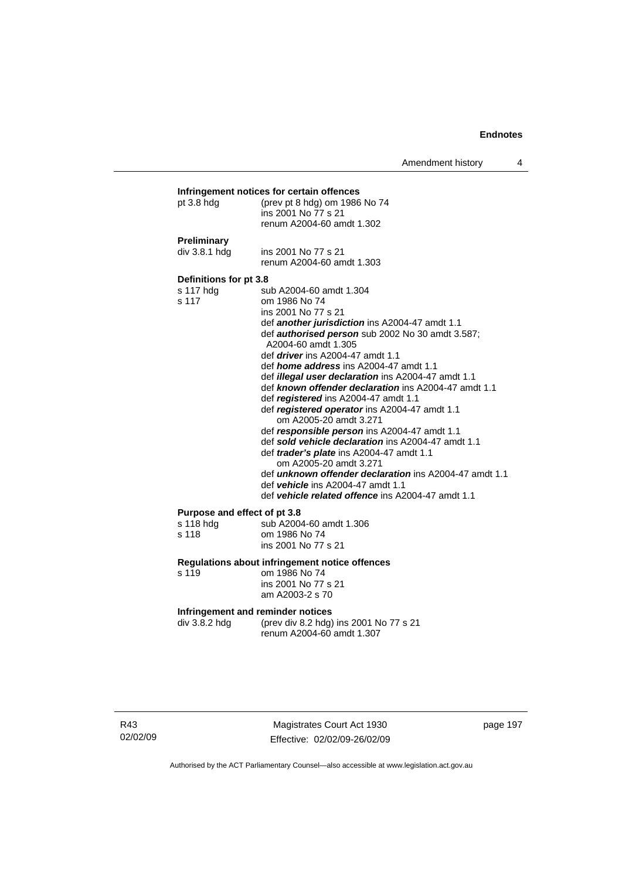Amendment history 4

| pt $3.8$ hdg                                       | (prev pt 8 hdg) om 1986 No 74<br>ins 2001 No 77 s 21<br>renum A2004-60 amdt 1.302                                                                                                                                                                                                                                                                                                                                                                                                                                                                                                                                                                                                                                                                                                                                                                                                     |
|----------------------------------------------------|---------------------------------------------------------------------------------------------------------------------------------------------------------------------------------------------------------------------------------------------------------------------------------------------------------------------------------------------------------------------------------------------------------------------------------------------------------------------------------------------------------------------------------------------------------------------------------------------------------------------------------------------------------------------------------------------------------------------------------------------------------------------------------------------------------------------------------------------------------------------------------------|
| <b>Preliminary</b><br>div 3.8.1 hdg                | ins 2001 No 77 s 21<br>renum A2004-60 amdt 1.303                                                                                                                                                                                                                                                                                                                                                                                                                                                                                                                                                                                                                                                                                                                                                                                                                                      |
| Definitions for pt 3.8<br>s 117 hdg<br>s 117       | sub A2004-60 amdt 1.304<br>om 1986 No 74<br>ins 2001 No 77 s 21<br>def another jurisdiction ins A2004-47 amdt 1.1<br>def <b>authorised person</b> sub 2002 No 30 amdt 3.587;<br>A2004-60 amdt 1.305<br>def <i>driver</i> ins A2004-47 amdt 1.1<br>def <i>home address</i> ins A2004-47 amdt 1.1<br>def <i>illegal user declaration</i> ins A2004-47 amdt 1.1<br>def known offender declaration ins A2004-47 amdt 1.1<br>def registered ins A2004-47 amdt 1.1<br>def registered operator ins A2004-47 amdt 1.1<br>om A2005-20 amdt 3.271<br>def responsible person ins A2004-47 amdt 1.1<br>def sold vehicle declaration ins A2004-47 amdt 1.1<br>def <i>trader's plate</i> ins A2004-47 amdt 1.1<br>om A2005-20 amdt 3.271<br>def <i>unknown offender declaration</i> ins A2004-47 amdt 1.1<br>def vehicle ins A2004-47 amdt 1.1<br>def vehicle related offence ins A2004-47 amdt 1.1 |
| Purpose and effect of pt 3.8<br>s 118 hdg<br>s 118 | sub A2004-60 amdt 1.306<br>om 1986 No 74<br>ins 2001 No 77 s 21                                                                                                                                                                                                                                                                                                                                                                                                                                                                                                                                                                                                                                                                                                                                                                                                                       |
| s 119                                              | Regulations about infringement notice offences<br>om 1986 No 74<br>ins 2001 No 77 s 21<br>am A2003-2 s 70                                                                                                                                                                                                                                                                                                                                                                                                                                                                                                                                                                                                                                                                                                                                                                             |
| div 3.8.2 hdg                                      | Infringement and reminder notices<br>(prev div 8.2 hdg) ins 2001 No 77 s 21<br>renum A2004-60 amdt 1.307                                                                                                                                                                                                                                                                                                                                                                                                                                                                                                                                                                                                                                                                                                                                                                              |

Magistrates Court Act 1930 Effective: 02/02/09-26/02/09 page 197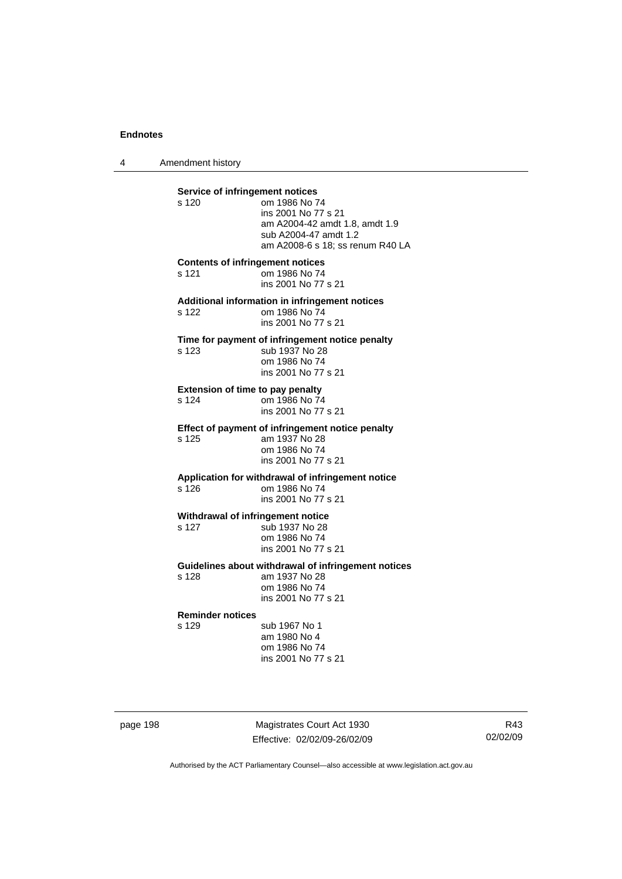4 Amendment history

**Service of infringement notices**  s 120 om 1986 No 74 ins 2001 No 77 s 21 am A2004-42 amdt 1.8, amdt 1.9 sub A2004-47 amdt 1.2 am A2008-6 s 18; ss renum R40 LA **Contents of infringement notices**  s 121 om 1986 No 74 ins 2001 No 77 s 21 **Additional information in infringement notices**  s 122 om 1986 No 74 ins 2001 No 77 s 21 **Time for payment of infringement notice penalty**  s 123 sub 1937 No 28 om 1986 No 74 ins 2001 No 77 s 21 **Extension of time to pay penalty**  s 124 om 1986 No 74 ins 2001 No 77 s 21 **Effect of payment of infringement notice penalty**  s 125 am 1937 No 28 om 1986 No 74 ins 2001 No 77 s 21 **Application for withdrawal of infringement notice**  s 126 om 1986 No 74 ins 2001 No 77 s 21 **Withdrawal of infringement notice**  s 127 sub 1937 No 28 om 1986 No 74 ins 2001 No 77 s 21 **Guidelines about withdrawal of infringement notices**  s 128 am 1937 No 28 om 1986 No 74 ins 2001 No 77 s 21 **Reminder notices**  s 129 sub 1967 No 1 am 1980 No 4 om 1986 No 74 ins 2001 No 77 s 21

page 198 Magistrates Court Act 1930 Effective: 02/02/09-26/02/09

R43 02/02/09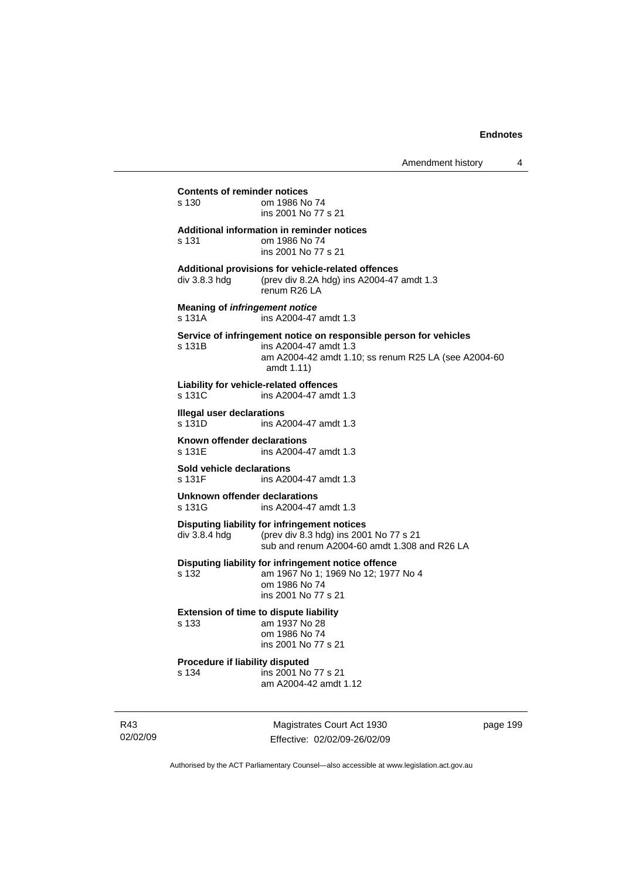# **Contents of reminder notices**  om 1986 No 74 ins 2001 No 77 s 21 **Additional information in reminder notices**  s 131 om 1986 No 74 ins 2001 No 77 s 21 **Additional provisions for vehicle-related offences**  div 3.8.3 hdg (prev div 8.2A hdg) ins A2004-47 amdt 1.3 renum R26 LA **Meaning of** *infringement notice* s 131A ins A2004-47 amdt 1.3 **Service of infringement notice on responsible person for vehicles**  s 131B ins A2004-47 amdt 1.3 am A2004-42 amdt 1.10; ss renum R25 LA (see A2004-60 amdt 1.11) **Liability for vehicle-related offences**  ins A2004-47 amdt 1.3 **Illegal user declarations**  s 131D ins A2004-47 amdt 1.3 **Known offender declarations**<br>s 131E ins A2004-4 ins A2004-47 amdt 1.3 **Sold vehicle declarations**  s 131F ins A2004-47 amdt 1.3 **Unknown offender declarations**  s 131G ins A2004-47 amdt 1.3 **Disputing liability for infringement notices**  div 3.8.4 hdg (prev div 8.3 hdg) ins 2001 No 77 s 21 sub and renum A2004-60 amdt 1.308 and R26 LA **Disputing liability for infringement notice offence**  s 132 am 1967 No 1; 1969 No 12; 1977 No 4 om 1986 No 74 ins 2001 No 77 s 21 **Extension of time to dispute liability**  s 133 am 1937 No 28 om 1986 No 74 ins 2001 No 77 s 21 **Procedure if liability disputed**  s 134 ins 2001 No 77 s 21 am A2004-42 amdt 1.12

R43 02/02/09

Magistrates Court Act 1930 Effective: 02/02/09-26/02/09 page 199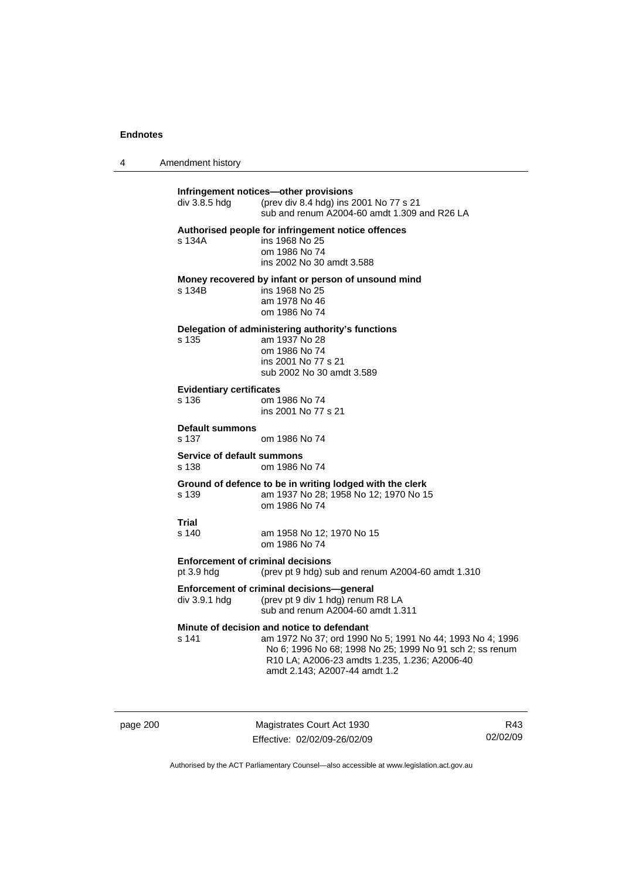| 4 | Amendment history |
|---|-------------------|
|---|-------------------|

| div 3.8.5 hdg                                            | Infringement notices-other provisions<br>(prev div 8.4 hdg) ins 2001 No 77 s 21<br>sub and renum A2004-60 amdt 1.309 and R26 LA                                                                                                                       |
|----------------------------------------------------------|-------------------------------------------------------------------------------------------------------------------------------------------------------------------------------------------------------------------------------------------------------|
| s 134A                                                   | Authorised people for infringement notice offences<br>ins 1968 No 25<br>om 1986 No 74<br>ins 2002 No 30 amdt 3.588                                                                                                                                    |
| s 134B                                                   | Money recovered by infant or person of unsound mind<br>ins 1968 No 25<br>am 1978 No 46<br>om 1986 No 74                                                                                                                                               |
| s 135                                                    | Delegation of administering authority's functions<br>am 1937 No 28<br>om 1986 No 74<br>ins 2001 No 77 s 21<br>sub 2002 No 30 amdt 3.589                                                                                                               |
| <b>Evidentiary certificates</b><br>s 136                 | om 1986 No 74<br>ins 2001 No 77 s 21                                                                                                                                                                                                                  |
| <b>Default summons</b><br>s 137                          | om 1986 No 74                                                                                                                                                                                                                                         |
| Service of default summons<br>s 138                      | om 1986 No 74                                                                                                                                                                                                                                         |
| s 139                                                    | Ground of defence to be in writing lodged with the clerk<br>am 1937 No 28; 1958 No 12; 1970 No 15<br>om 1986 No 74                                                                                                                                    |
| Trial<br>s 140                                           | am 1958 No 12; 1970 No 15<br>om 1986 No 74                                                                                                                                                                                                            |
| <b>Enforcement of criminal decisions</b><br>pt $3.9$ hdg | (prev pt 9 hdg) sub and renum A2004-60 amdt 1.310                                                                                                                                                                                                     |
| div 3.9.1 hdg                                            | Enforcement of criminal decisions-general<br>(prev pt 9 div 1 hdg) renum R8 LA<br>sub and renum A2004-60 amdt 1.311                                                                                                                                   |
| s 141                                                    | Minute of decision and notice to defendant<br>am 1972 No 37; ord 1990 No 5; 1991 No 44; 1993 No 4; 1996<br>No 6; 1996 No 68; 1998 No 25; 1999 No 91 sch 2; ss renum<br>R10 LA; A2006-23 amdts 1.235, 1.236; A2006-40<br>amdt 2.143; A2007-44 amdt 1.2 |

page 200 Magistrates Court Act 1930 Effective: 02/02/09-26/02/09

R43 02/02/09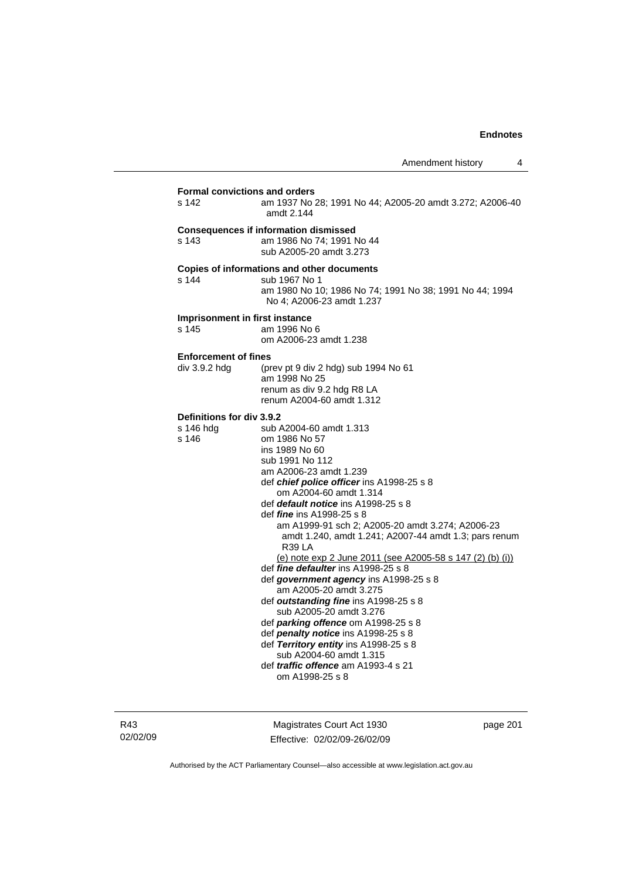| s 142                                           | am 1937 No 28; 1991 No 44; A2005-20 amdt 3.272; A2006-40<br>amdt 2.144                                                                                                                                                                                                                                                                                                                                                                                                                                                                                                                                                                                                                                                                                                                                                                                        |
|-------------------------------------------------|---------------------------------------------------------------------------------------------------------------------------------------------------------------------------------------------------------------------------------------------------------------------------------------------------------------------------------------------------------------------------------------------------------------------------------------------------------------------------------------------------------------------------------------------------------------------------------------------------------------------------------------------------------------------------------------------------------------------------------------------------------------------------------------------------------------------------------------------------------------|
| s 143                                           | <b>Consequences if information dismissed</b><br>am 1986 No 74; 1991 No 44<br>sub A2005-20 amdt 3.273                                                                                                                                                                                                                                                                                                                                                                                                                                                                                                                                                                                                                                                                                                                                                          |
| s 144                                           | Copies of informations and other documents<br>sub 1967 No 1<br>am 1980 No 10; 1986 No 74; 1991 No 38; 1991 No 44; 1994<br>No 4; A2006-23 amdt 1.237                                                                                                                                                                                                                                                                                                                                                                                                                                                                                                                                                                                                                                                                                                           |
| s 145                                           | Imprisonment in first instance<br>am 1996 No 6<br>om A2006-23 amdt 1.238                                                                                                                                                                                                                                                                                                                                                                                                                                                                                                                                                                                                                                                                                                                                                                                      |
| <b>Enforcement of fines</b><br>div 3.9.2 hdg    | (prev pt 9 div 2 hdg) sub 1994 No 61<br>am 1998 No 25<br>renum as div 9.2 hdg R8 LA<br>renum A2004-60 amdt 1.312                                                                                                                                                                                                                                                                                                                                                                                                                                                                                                                                                                                                                                                                                                                                              |
| Definitions for div 3.9.2<br>s 146 hdg<br>s 146 | sub A2004-60 amdt 1.313<br>om 1986 No 57<br>ins 1989 No 60<br>sub 1991 No 112<br>am A2006-23 amdt 1.239<br>def chief police officer ins A1998-25 s 8<br>om A2004-60 amdt 1.314<br>def <i>default notice</i> ins A1998-25 s 8<br>def <i>fine</i> ins A1998-25 s 8<br>am A1999-91 sch 2; A2005-20 amdt 3.274; A2006-23<br>amdt 1.240, amdt 1.241; A2007-44 amdt 1.3; pars renum<br><b>R39 LA</b><br>(e) note exp 2 June 2011 (see A2005-58 s 147 (2) (b) (i))<br>def fine defaulter ins A1998-25 s 8<br>def government agency ins A1998-25 s 8<br>am A2005-20 amdt 3.275<br>def outstanding fine ins A1998-25 s 8<br>sub A2005-20 amdt 3.276<br>def parking offence om A1998-25 s 8<br>def penalty notice ins A1998-25 s 8<br>def Territory entity ins A1998-25 s 8<br>sub A2004-60 amdt 1.315<br>def <i>traffic</i> offence am A1993-4 s 21<br>om A1998-25 s 8 |

R43 02/02/09

Magistrates Court Act 1930 Effective: 02/02/09-26/02/09 page 201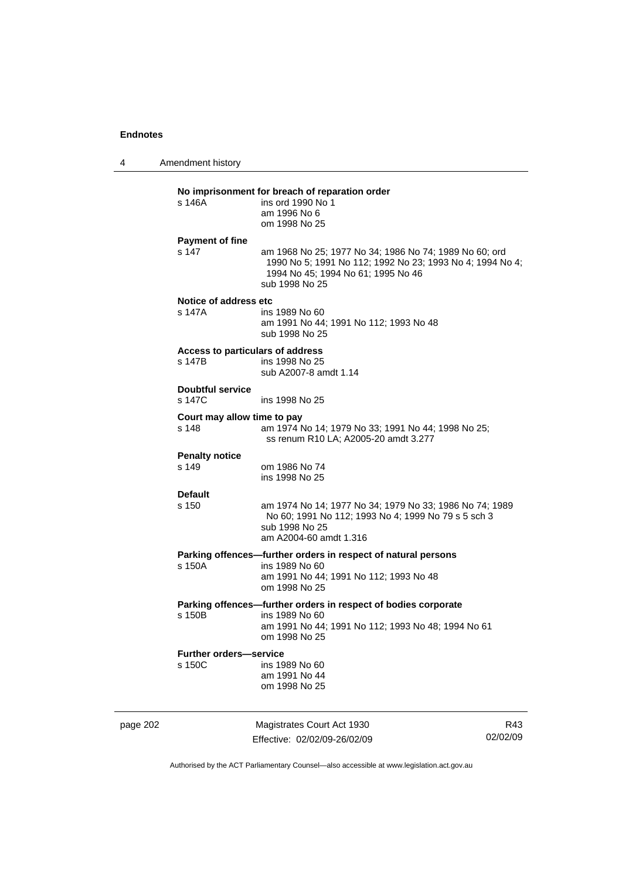4 Amendment history page 202 Magistrates Court Act 1930 R43 **No imprisonment for breach of reparation order**  ins ord 1990 No 1 am 1996 No 6 om 1998 No 25 **Payment of fine**  s 147 am 1968 No 25; 1977 No 34; 1986 No 74; 1989 No 60; ord 1990 No 5; 1991 No 112; 1992 No 23; 1993 No 4; 1994 No 4; 1994 No 45; 1994 No 61; 1995 No 46 sub 1998 No 25 **Notice of address etc**  s 147A ins 1989 No 60 am 1991 No 44; 1991 No 112; 1993 No 48 sub 1998 No 25 **Access to particulars of address**  ins 1998 No 25 sub A2007-8 amdt 1.14 **Doubtful service**  s 147C ins 1998 No 25 **Court may allow time to pay**  s 148 am 1974 No 14; 1979 No 33; 1991 No 44; 1998 No 25; ss renum R10 LA; A2005-20 amdt 3.277 **Penalty notice**  s 149 om 1986 No 74 ins 1998 No 25 **Default**  s 150 am 1974 No 14; 1977 No 34; 1979 No 33; 1986 No 74; 1989 No 60; 1991 No 112; 1993 No 4; 1999 No 79 s 5 sch 3 sub 1998 No 25 am A2004-60 amdt 1.316 **Parking offences—further orders in respect of natural persons**  ins 1989 No 60 am 1991 No 44; 1991 No 112; 1993 No 48 om 1998 No 25 **Parking offences—further orders in respect of bodies corporate**  s 150B ins 1989 No 60 am 1991 No 44; 1991 No 112; 1993 No 48; 1994 No 61 om 1998 No 25 **Further orders—service**  s 150C ins 1989 No 60 am 1991 No 44 om 1998 No 25

Authorised by the ACT Parliamentary Counsel—also accessible at www.legislation.act.gov.au

02/02/09

Effective: 02/02/09-26/02/09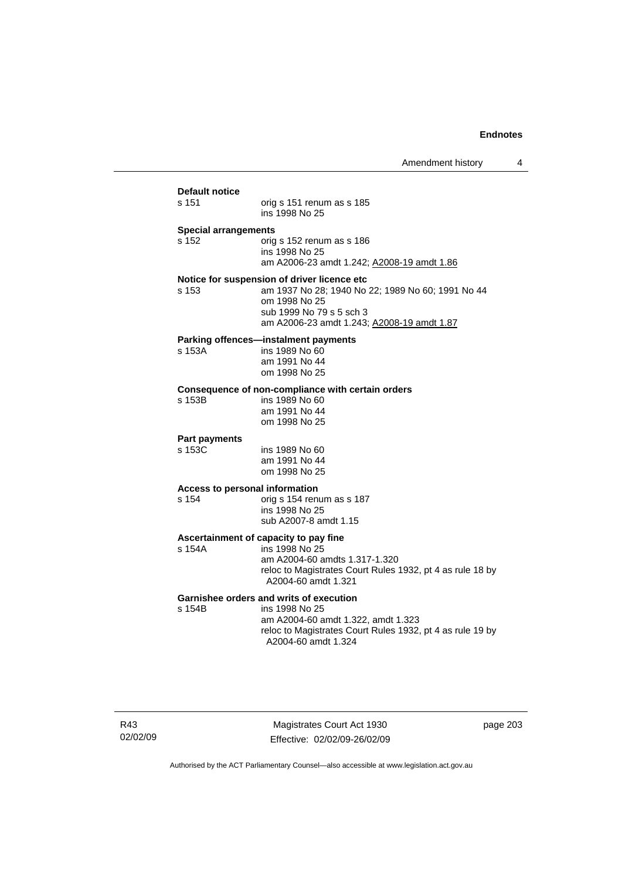| s 151                       | orig s 151 renum as s 185<br>ins 1998 No 25                                                     |
|-----------------------------|-------------------------------------------------------------------------------------------------|
| <b>Special arrangements</b> |                                                                                                 |
| s 152                       | orig s 152 renum as s 186<br>ins 1998 No 25                                                     |
|                             | am A2006-23 amdt 1.242; A2008-19 amdt 1.86                                                      |
|                             | Notice for suspension of driver licence etc                                                     |
| s 153                       | am 1937 No 28; 1940 No 22; 1989 No 60; 1991 No 44                                               |
|                             | om 1998 No 25<br>sub 1999 No 79 s 5 sch 3                                                       |
|                             | am A2006-23 amdt 1.243; A2008-19 amdt 1.87                                                      |
|                             | Parking offences-instalment payments                                                            |
| s 153A                      | ins 1989 No 60                                                                                  |
|                             | am 1991 No 44                                                                                   |
|                             | om 1998 No 25                                                                                   |
| s 153B                      | Consequence of non-compliance with certain orders<br>ins 1989 No 60                             |
|                             | am 1991 No 44                                                                                   |
|                             | om 1998 No 25                                                                                   |
| <b>Part payments</b>        |                                                                                                 |
| s 153C                      | ins 1989 No 60                                                                                  |
|                             | am 1991 No 44<br>om 1998 No 25                                                                  |
|                             | Access to personal information                                                                  |
| s 154                       | orig s 154 renum as s 187                                                                       |
|                             | ins 1998 No 25                                                                                  |
|                             | sub A2007-8 amdt 1.15                                                                           |
|                             | Ascertainment of capacity to pay fine                                                           |
| s 154A                      | ins 1998 No 25<br>am A2004-60 amdts 1.317-1.320                                                 |
|                             | reloc to Magistrates Court Rules 1932, pt 4 as rule 18 by                                       |
|                             | A2004-60 amdt 1.321                                                                             |
|                             | Garnishee orders and writs of execution                                                         |
| s 154B                      | ins 1998 No 25                                                                                  |
|                             | am A2004-60 amdt 1.322, amdt 1.323<br>reloc to Magistrates Court Rules 1932, pt 4 as rule 19 by |
|                             |                                                                                                 |

R43 02/02/09

Magistrates Court Act 1930 Effective: 02/02/09-26/02/09 page 203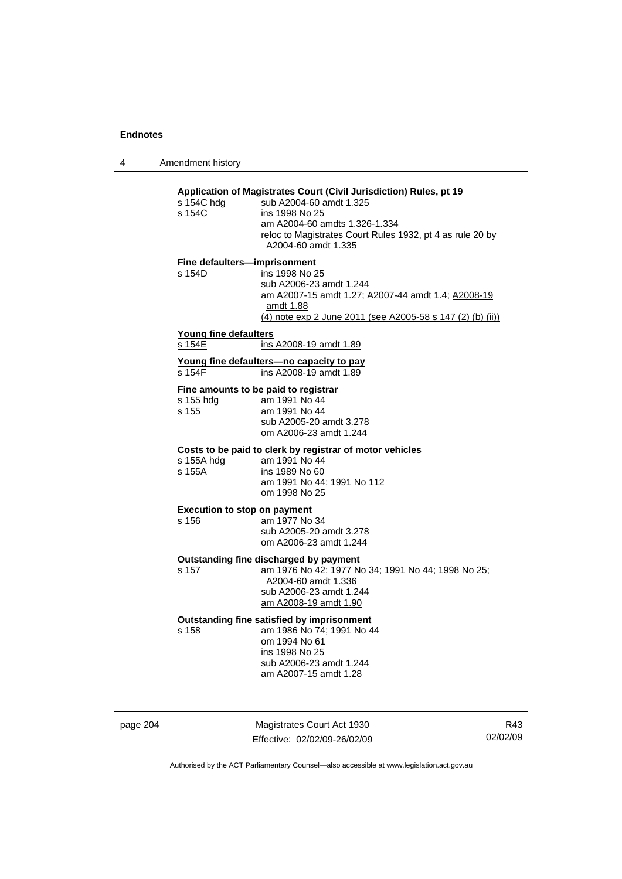4 Amendment history

| s 154C hdg<br>s 154C  | Application of Magistrates Court (Civil Jurisdiction) Rules, pt 19<br>sub A2004-60 amdt 1.325<br>ins 1998 No 25<br>am A2004-60 amdts 1.326-1.334<br>reloc to Magistrates Court Rules 1932, pt 4 as rule 20 by<br>A2004-60 amdt 1.335 |
|-----------------------|--------------------------------------------------------------------------------------------------------------------------------------------------------------------------------------------------------------------------------------|
| s 154D                | Fine defaulters-imprisonment<br>ins 1998 No 25<br>sub A2006-23 amdt 1.244<br>am A2007-15 amdt 1.27; A2007-44 amdt 1.4; A2008-19<br>amdt 1.88<br>(4) note exp 2 June 2011 (see A2005-58 s 147 (2) (b) (ii))                           |
| Young fine defaulters |                                                                                                                                                                                                                                      |
| s 154E                | ins A2008-19 amdt 1.89                                                                                                                                                                                                               |
| s 154F                | Young fine defaulters-no capacity to pay<br>ins A2008-19 amdt 1.89                                                                                                                                                                   |
| s 155 hdg<br>s 155    | Fine amounts to be paid to registrar<br>am 1991 No 44<br>am 1991 No 44<br>sub A2005-20 amdt 3.278<br>om A2006-23 amdt 1.244                                                                                                          |
| s 155A hdg<br>s 155A  | Costs to be paid to clerk by registrar of motor vehicles<br>am 1991 No 44<br>ins 1989 No 60<br>am 1991 No 44; 1991 No 112<br>om 1998 No 25                                                                                           |
| s 156                 | <b>Execution to stop on payment</b><br>am 1977 No 34<br>sub A2005-20 amdt 3.278<br>om A2006-23 amdt 1.244                                                                                                                            |
| s 157                 | Outstanding fine discharged by payment<br>am 1976 No 42; 1977 No 34; 1991 No 44; 1998 No 25;<br>A2004-60 amdt 1.336<br>sub A2006-23 amdt 1.244<br>am A2008-19 amdt 1.90                                                              |
| s 158                 | Outstanding fine satisfied by imprisonment<br>am 1986 No 74; 1991 No 44<br>om 1994 No 61<br>ins 1998 No 25<br>sub A2006-23 amdt 1.244<br>am A2007-15 amdt 1.28                                                                       |

page 204 Magistrates Court Act 1930 Effective: 02/02/09-26/02/09

R43 02/02/09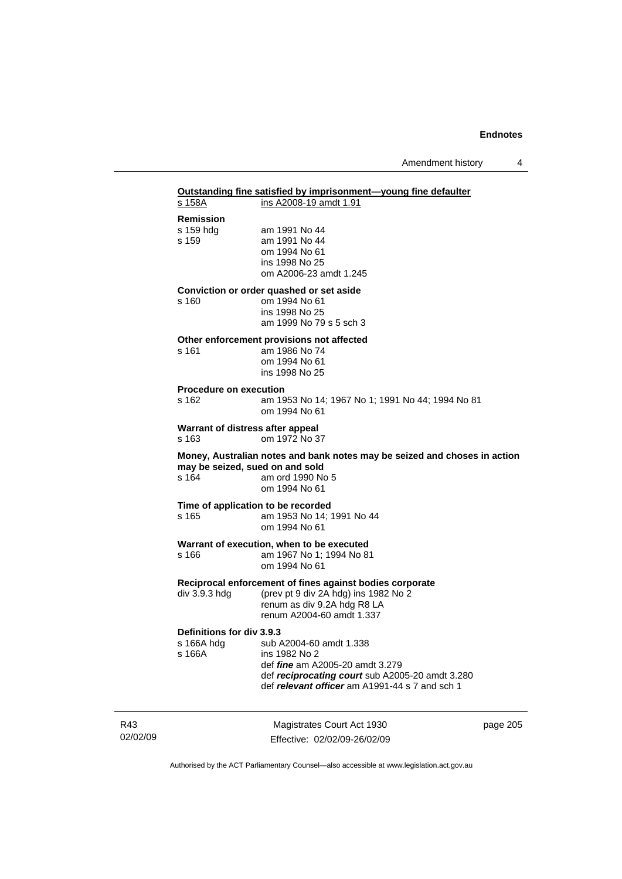# **Outstanding fine satisfied by imprisonment—young fine defaulter** s 158A ins A2008-19 amdt 1.91

| Remission                                         |                                                                                                                                                                                         |
|---------------------------------------------------|-----------------------------------------------------------------------------------------------------------------------------------------------------------------------------------------|
| s 159 hdg<br>s 159                                | am 1991 No 44<br>am 1991 No 44<br>om 1994 No 61<br>ins 1998 No 25<br>om A2006-23 amdt 1.245                                                                                             |
| s 160                                             | Conviction or order quashed or set aside<br>om 1994 No 61<br>ins 1998 No 25<br>am 1999 No 79 s 5 sch 3                                                                                  |
| s 161                                             | Other enforcement provisions not affected<br>am 1986 No 74<br>om 1994 No 61<br>ins 1998 No 25                                                                                           |
| <b>Procedure on execution</b><br>s 162            | am 1953 No 14; 1967 No 1; 1991 No 44; 1994 No 81<br>om 1994 No 61                                                                                                                       |
| Warrant of distress after appeal<br>s 163         | om 1972 No 37                                                                                                                                                                           |
| may be seized, sued on and sold<br>s 164          | Money, Australian notes and bank notes may be seized and choses in action<br>am ord 1990 No 5<br>om 1994 No 61                                                                          |
| Time of application to be recorded<br>s 165       | am 1953 No 14; 1991 No 44<br>om 1994 No 61                                                                                                                                              |
| s 166                                             | Warrant of execution, when to be executed<br>am 1967 No 1; 1994 No 81<br>om 1994 No 61                                                                                                  |
| div 3.9.3 hdg                                     | Reciprocal enforcement of fines against bodies corporate<br>(prev pt 9 div 2A hdg) ins 1982 No 2<br>renum as div 9.2A hdg R8 LA<br>renum A2004-60 amdt 1.337                            |
| Definitions for div 3.9.3<br>s 166A hdg<br>s 166A | sub A2004-60 amdt 1.338<br>ins 1982 No 2<br>def <i>fine</i> am A2005-20 amdt 3.279<br>def reciprocating court sub A2005-20 amdt 3.280<br>def relevant officer am A1991-44 s 7 and sch 1 |

R43 02/02/09

Magistrates Court Act 1930 Effective: 02/02/09-26/02/09 page 205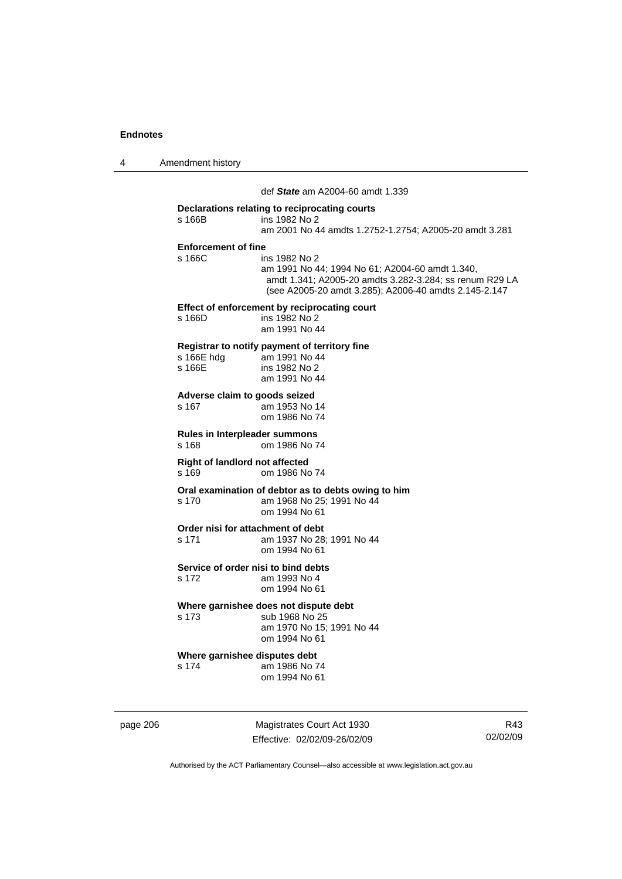4 Amendment history

 def *State* am A2004-60 amdt 1.339 **Declarations relating to reciprocating courts**  s 166B ins 1982 No 2 am 2001 No 44 amdts 1.2752-1.2754; A2005-20 amdt 3.281 **Enforcement of fine**  ins 1982 No 2 am 1991 No 44; 1994 No 61; A2004-60 amdt 1.340, amdt 1.341; A2005-20 amdts 3.282-3.284; ss renum R29 LA (see A2005-20 amdt 3.285); A2006-40 amdts 2.145-2.147 **Effect of enforcement by reciprocating court**  s 166D ins 1982 No 2 am 1991 No 44 **Registrar to notify payment of territory fine**  s 166E hdg am 1991 No 44<br>s 166E ins 1982 No 2 ins 1982 No 2 am 1991 No 44 **Adverse claim to goods seized**  s 167 am 1953 No 14 om 1986 No 74 **Rules in Interpleader summons**  s 168 om 1986 No 74 **Right of landlord not affected**  s 169 om 1986 No 74 **Oral examination of debtor as to debts owing to him**  s 170 am 1968 No 25; 1991 No 44 om 1994 No 61 **Order nisi for attachment of debt**  s 171 am 1937 No 28; 1991 No 44 om 1994 No 61 **Service of order nisi to bind debts**  s 172 am 1993 No 4 om 1994 No 61 **Where garnishee does not dispute debt**  s 173 sub 1968 No 25 am 1970 No 15; 1991 No 44 om 1994 No 61 **Where garnishee disputes debt**  s 174 am 1986 No 74 om 1994 No 61

page 206 Magistrates Court Act 1930 Effective: 02/02/09-26/02/09

R43 02/02/09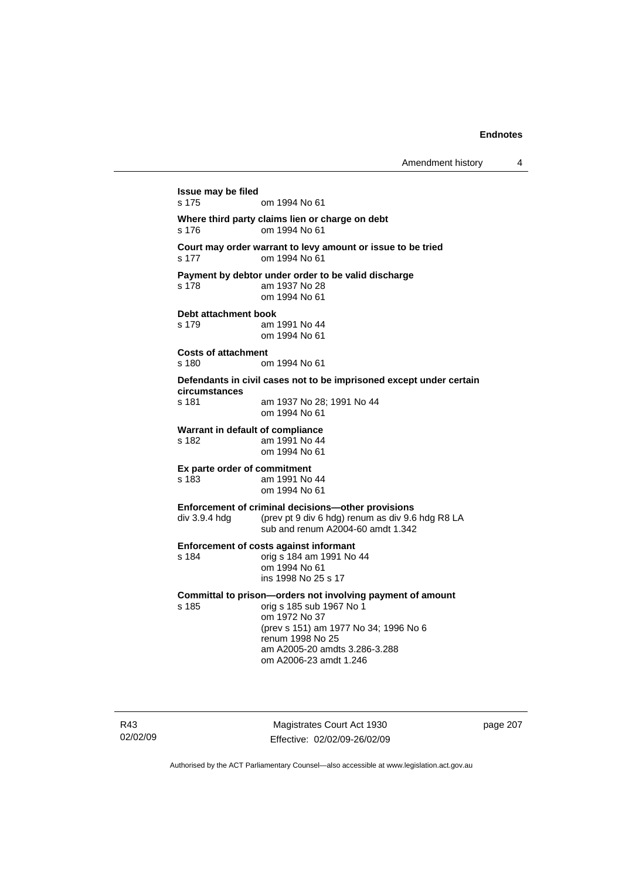```
Issue may be filed 
s 175 om 1994 No 61 
Where third party claims lien or charge on debt 
s 176 om 1994 No 61 
Court may order warrant to levy amount or issue to be tried 
s 177 om 1994 No 61 
Payment by debtor under order to be valid discharge 
s 178 am 1937 No 28 
                  om 1994 No 61 
Debt attachment book 
s 179 am 1991 No 44 
                  om 1994 No 61 
Costs of attachment 
s 180 om 1994 No 61 
Defendants in civil cases not to be imprisoned except under certain 
circumstances 
s 181 am 1937 No 28; 1991 No 44 
                  om 1994 No 61 
Warrant in default of compliance<br>s 182 am 1991 No 44
                 am 1991 No 44
                  om 1994 No 61 
Ex parte order of commitment 
s 183 am 1991 No 44 
                  om 1994 No 61 
Enforcement of criminal decisions—other provisions 
div 3.9.4 hdg (prev pt 9 div 6 hdg) renum as div 9.6 hdg R8 LA 
                  sub and renum A2004-60 amdt 1.342 
Enforcement of costs against informant 
s 184 orig s 184 am 1991 No 44 
                  om 1994 No 61 
                  ins 1998 No 25 s 17 
Committal to prison—orders not involving payment of amount 
s 185 orig s 185 sub 1967 No 1 
                  om 1972 No 37 
                  (prev s 151) am 1977 No 34; 1996 No 6 
                  renum 1998 No 25 
                  am A2005-20 amdts 3.286-3.288 
                  om A2006-23 amdt 1.246
```
R43 02/02/09

Magistrates Court Act 1930 Effective: 02/02/09-26/02/09 page 207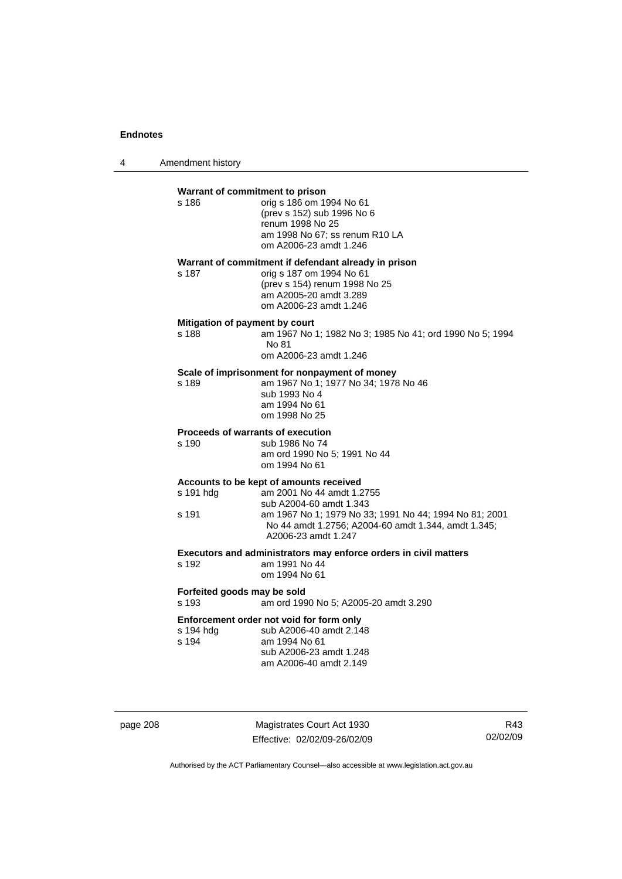4 Amendment history

| s 186                                | Warrant of commitment to prison<br>orig s 186 om 1994 No 61<br>(prev s 152) sub 1996 No 6<br>renum 1998 No 25<br>am 1998 No 67; ss renum R10 LA<br>om A2006-23 amdt 1.246                                                               |
|--------------------------------------|-----------------------------------------------------------------------------------------------------------------------------------------------------------------------------------------------------------------------------------------|
| s 187                                | Warrant of commitment if defendant already in prison<br>orig s 187 om 1994 No 61<br>(prev s 154) renum 1998 No 25<br>am A2005-20 amdt 3.289<br>om A2006-23 amdt 1.246                                                                   |
| s 188                                | Mitigation of payment by court<br>am 1967 No 1; 1982 No 3; 1985 No 41; ord 1990 No 5; 1994<br>No 81<br>om A2006-23 amdt 1.246                                                                                                           |
| s 189                                | Scale of imprisonment for nonpayment of money<br>am 1967 No 1; 1977 No 34; 1978 No 46<br>sub 1993 No 4<br>am 1994 No 61<br>om 1998 No 25                                                                                                |
| s 190                                | Proceeds of warrants of execution<br>sub 1986 No 74<br>am ord 1990 No 5; 1991 No 44<br>om 1994 No 61                                                                                                                                    |
| s 191 hdg<br>s 191                   | Accounts to be kept of amounts received<br>am 2001 No 44 amdt 1.2755<br>sub A2004-60 amdt 1.343<br>am 1967 No 1; 1979 No 33; 1991 No 44; 1994 No 81; 2001<br>No 44 amdt 1.2756; A2004-60 amdt 1.344, amdt 1.345;<br>A2006-23 amdt 1.247 |
| s 192                                | Executors and administrators may enforce orders in civil matters<br>am 1991 No 44<br>om 1994 No 61                                                                                                                                      |
| Forfeited goods may be sold<br>s 193 | am ord 1990 No 5; A2005-20 amdt 3.290                                                                                                                                                                                                   |
| s 194 hdg<br>s 194                   | Enforcement order not void for form only<br>sub A2006-40 amdt 2.148<br>am 1994 No 61<br>sub A2006-23 amdt 1.248<br>am A2006-40 amdt 2.149                                                                                               |

page 208 Magistrates Court Act 1930 Effective: 02/02/09-26/02/09

R43 02/02/09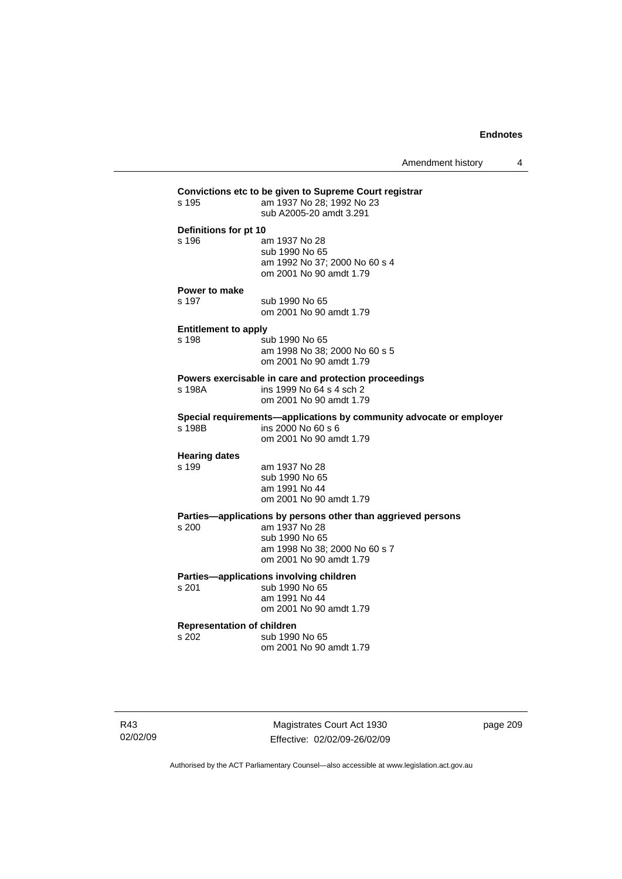Amendment history 4

| s 195                                      | Convictions etc to be given to Supreme Court registrar<br>am 1937 No 28; 1992 No 23<br>sub A2005-20 amdt 3.291                                              |
|--------------------------------------------|-------------------------------------------------------------------------------------------------------------------------------------------------------------|
| Definitions for pt 10<br>$s$ 196           | am 1937 No 28<br>sub 1990 No 65<br>am 1992 No 37; 2000 No 60 s 4<br>om 2001 No 90 amdt 1.79                                                                 |
| Power to make<br>s 197                     | sub 1990 No 65<br>om 2001 No 90 amdt 1.79                                                                                                                   |
| <b>Entitlement to apply</b><br>s 198       | sub 1990 No 65<br>am 1998 No 38; 2000 No 60 s 5<br>om 2001 No 90 amdt 1.79                                                                                  |
| s 198A                                     | Powers exercisable in care and protection proceedings<br>ins 1999 No 64 s 4 sch 2<br>om 2001 No 90 amdt 1.79                                                |
| s 198B                                     | Special requirements-applications by community advocate or employer<br>ins 2000 No 60 s 6<br>om 2001 No 90 amdt 1.79                                        |
| <b>Hearing dates</b><br>s 199              | am 1937 No 28<br>sub 1990 No 65<br>am 1991 No 44<br>om 2001 No 90 amdt 1.79                                                                                 |
| s <sub>200</sub>                           | Parties-applications by persons other than aggrieved persons<br>am 1937 No 28<br>sub 1990 No 65<br>am 1998 No 38; 2000 No 60 s 7<br>om 2001 No 90 amdt 1.79 |
| s 201                                      | Parties-applications involving children<br>sub 1990 No 65<br>am 1991 No 44<br>om 2001 No 90 amdt 1.79                                                       |
| <b>Representation of children</b><br>s 202 | sub 1990 No 65<br>om 2001 No 90 amdt 1.79                                                                                                                   |
|                                            |                                                                                                                                                             |

R43 02/02/09

Magistrates Court Act 1930 Effective: 02/02/09-26/02/09 page 209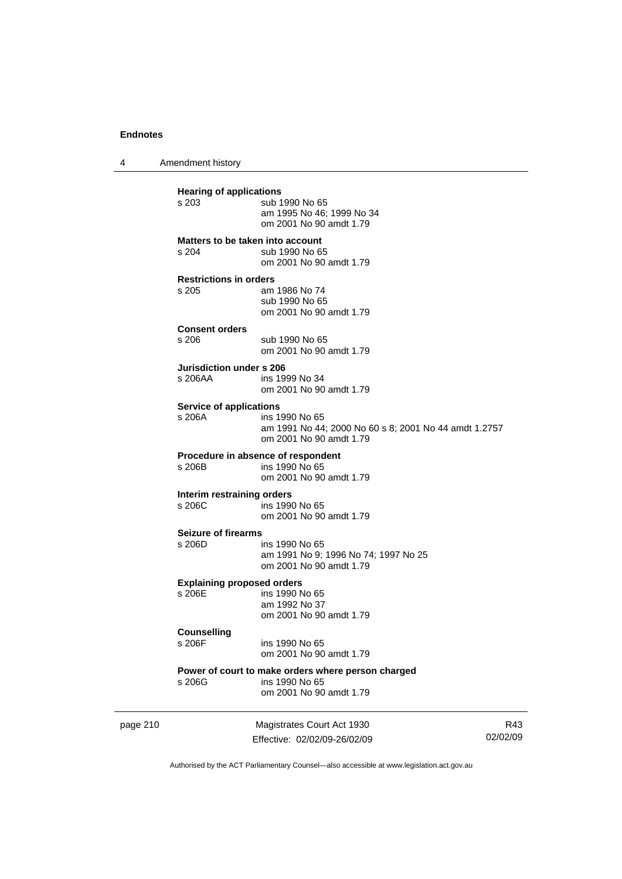4 Amendment history

page 210 Magistrates Court Act 1930 **Hearing of applications**<br>s 203 sub 1 sub 1990 No 65 am 1995 No 46; 1999 No 34 om 2001 No 90 amdt 1.79 **Matters to be taken into account**  s 204 sub 1990 No 65 om 2001 No 90 amdt 1.79 **Restrictions in orders**  am 1986 No 74 sub 1990 No 65 om 2001 No 90 amdt 1.79 **Consent orders**  sub 1990 No 65 om 2001 No 90 amdt 1.79 **Jurisdiction under s 206**  s 206AA ins 1999 No 34 om 2001 No 90 amdt 1.79 **Service of applications**<br>**s** 206A **ins 1** ins 1990 No 65 am 1991 No 44; 2000 No 60 s 8; 2001 No 44 amdt 1.2757 om 2001 No 90 amdt 1.79 **Procedure in absence of respondent**<br>s 206B ins 1990 No 65 ins 1990 No 65 om 2001 No 90 amdt 1.79 **Interim restraining orders**  s 206C ins 1990 No 65 om 2001 No 90 amdt 1.79 **Seizure of firearms**  s 206D ins 1990 No 65 am 1991 No 9; 1996 No 74; 1997 No 25 om 2001 No 90 amdt 1.79 **Explaining proposed orders**  s 206E ins 1990 No 65 am 1992 No 37 om 2001 No 90 amdt 1.79 **Counselling**  s 206F ins 1990 No 65 om 2001 No 90 amdt 1.79 **Power of court to make orders where person charged**  ins 1990 No 65 om 2001 No 90 amdt 1.79

Effective: 02/02/09-26/02/09

R43 02/02/09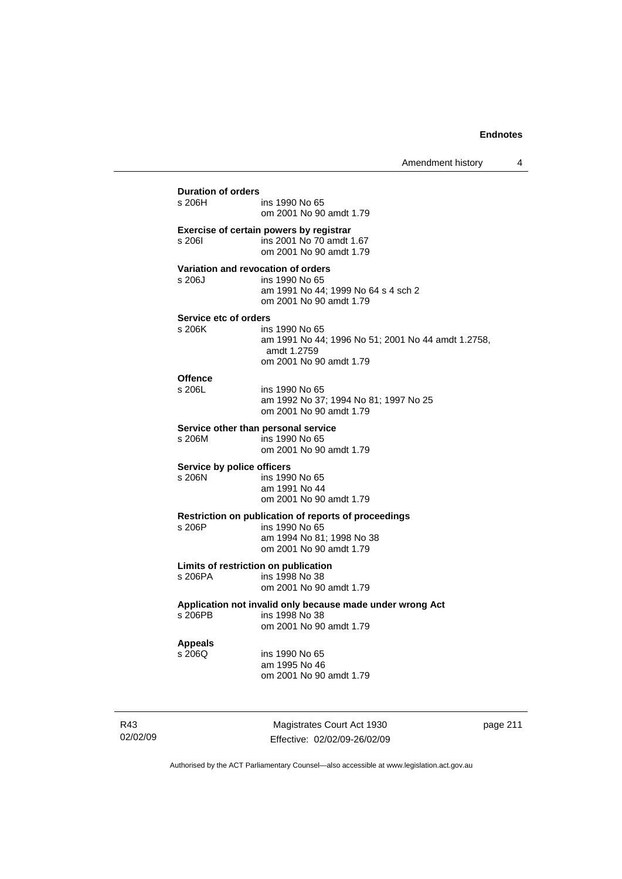| s 206H l                   | ins 1990 No 65<br>om 2001 No 90 amdt 1.79                                                                      |
|----------------------------|----------------------------------------------------------------------------------------------------------------|
| s 206I                     | Exercise of certain powers by registrar<br>ins 2001 No 70 amdt 1.67<br>om 2001 No 90 amdt 1.79                 |
|                            | Variation and revocation of orders                                                                             |
| s 206J                     | ins 1990 No 65<br>am 1991 No 44; 1999 No 64 s 4 sch 2<br>om 2001 No 90 amdt 1.79                               |
| Service etc of orders      |                                                                                                                |
| s 206K                     | ins 1990 No 65<br>am 1991 No 44; 1996 No 51; 2001 No 44 amdt 1.2758,<br>amdt 1.2759<br>om 2001 No 90 amdt 1.79 |
| <b>Offence</b>             |                                                                                                                |
| s 206L                     | ins 1990 No 65<br>am 1992 No 37; 1994 No 81; 1997 No 25<br>om 2001 No 90 amdt 1.79                             |
|                            | Service other than personal service                                                                            |
| s 206M                     | ins 1990 No 65<br>om 2001 No 90 amdt 1.79                                                                      |
| Service by police officers |                                                                                                                |
| s 206N                     | ins 1990 No 65<br>am 1991 No 44<br>om 2001 No 90 amdt 1.79                                                     |
|                            | Restriction on publication of reports of proceedings                                                           |
| s 206P                     | ins 1990 No 65<br>am 1994 No 81; 1998 No 38                                                                    |
|                            | om 2001 No 90 amdt 1.79                                                                                        |
|                            | Limits of restriction on publication                                                                           |
| s 206PA                    | ins 1998 No 38<br>om 2001 No 90 amdt 1.79                                                                      |
|                            | Application not invalid only because made under wrong Act                                                      |
| s 206PB                    | ins 1998 No 38<br>om 2001 No 90 amdt 1.79                                                                      |
| <b>Appeals</b>             |                                                                                                                |
| s 206Q                     | ins 1990 No 65                                                                                                 |
|                            | am 1995 No 46<br>om 2001 No 90 amdt 1.79                                                                       |
|                            |                                                                                                                |

R43 02/02/09

Magistrates Court Act 1930 Effective: 02/02/09-26/02/09 page 211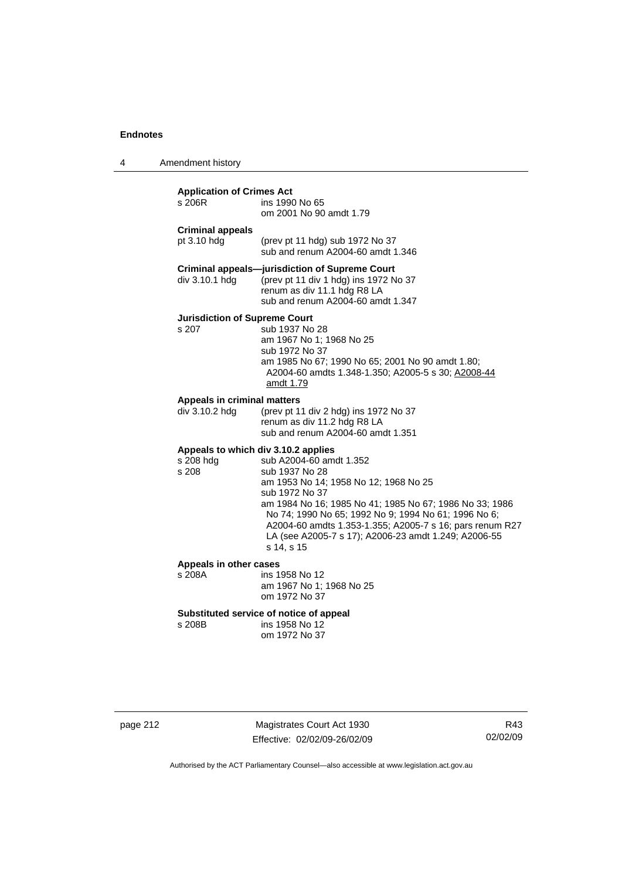4 Amendment history

| <b>Application of Crimes Act</b><br>s 206R                | ins 1990 No 65<br>om 2001 No 90 amdt 1.79                                                                                                                                                                                                                                                                                                                 |
|-----------------------------------------------------------|-----------------------------------------------------------------------------------------------------------------------------------------------------------------------------------------------------------------------------------------------------------------------------------------------------------------------------------------------------------|
| <b>Criminal appeals</b><br>pt 3.10 hdg                    | (prev pt 11 hdg) sub 1972 No 37<br>sub and renum A2004-60 amdt 1.346                                                                                                                                                                                                                                                                                      |
| div 3.10.1 hdg                                            | <b>Criminal appeals-jurisdiction of Supreme Court</b><br>(prev pt 11 div 1 hdg) ins 1972 No 37<br>renum as div 11.1 hdg R8 LA<br>sub and renum A2004-60 amdt 1.347                                                                                                                                                                                        |
| <b>Jurisdiction of Supreme Court</b><br>s 207             | sub 1937 No 28<br>am 1967 No 1; 1968 No 25<br>sub 1972 No 37<br>am 1985 No 67; 1990 No 65; 2001 No 90 amdt 1.80;<br>A2004-60 amdts 1.348-1.350; A2005-5 s 30; A2008-44<br>amdt 1.79                                                                                                                                                                       |
| Appeals in criminal matters<br>div 3.10.2 hdg             | (prev pt 11 div 2 hdg) ins 1972 No 37<br>renum as div 11.2 hdg R8 LA<br>sub and renum A2004-60 amdt 1.351                                                                                                                                                                                                                                                 |
| Appeals to which div 3.10.2 applies<br>s 208 hdg<br>s 208 | sub A2004-60 amdt 1.352<br>sub 1937 No 28<br>am 1953 No 14; 1958 No 12; 1968 No 25<br>sub 1972 No 37<br>am 1984 No 16; 1985 No 41; 1985 No 67; 1986 No 33; 1986<br>No 74; 1990 No 65; 1992 No 9; 1994 No 61; 1996 No 6;<br>A2004-60 amdts 1.353-1.355; A2005-7 s 16; pars renum R27<br>LA (see A2005-7 s 17); A2006-23 amdt 1.249; A2006-55<br>s 14, s 15 |
| Appeals in other cases<br>s 208A                          | ins 1958 No 12<br>am 1967 No 1; 1968 No 25<br>om 1972 No 37                                                                                                                                                                                                                                                                                               |

# **Substituted service of notice of appeal**

ins 1958 No 12 om 1972 No 37

| page 212 |  |
|----------|--|
|----------|--|

page 212 Magistrates Court Act 1930 Effective: 02/02/09-26/02/09

R43 02/02/09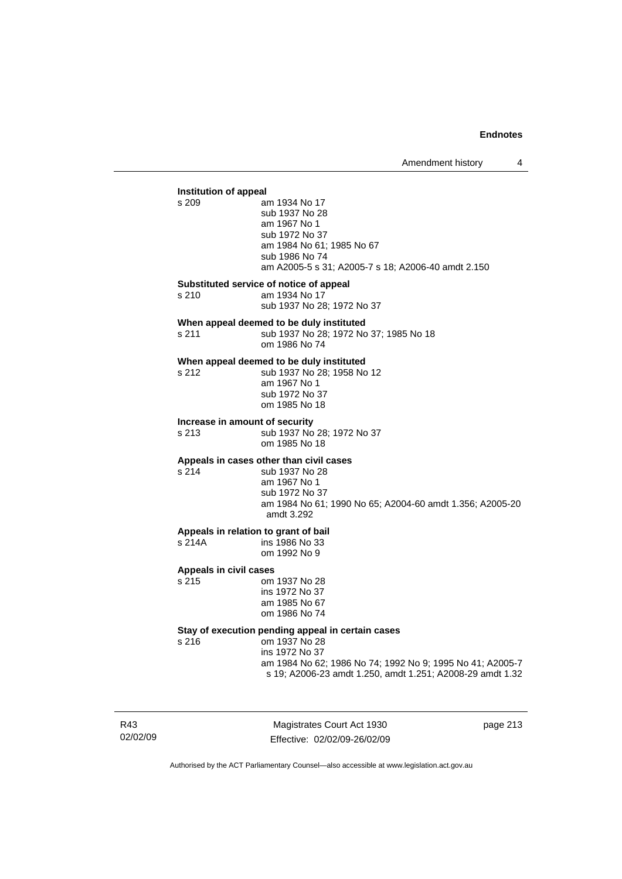### **Institution of appeal**<br>s 209 a am 1934 No 17 sub 1937 No 28 am 1967 No 1 sub 1972 No 37 am 1984 No 61; 1985 No 67 sub 1986 No 74 am A2005-5 s 31; A2005-7 s 18; A2006-40 amdt 2.150 **Substituted service of notice of appeal**  s 210 am 1934 No 17 sub 1937 No 28; 1972 No 37 **When appeal deemed to be duly instituted**  s 211 sub 1937 No 28; 1972 No 37; 1985 No 18 om 1986 No 74 **When appeal deemed to be duly instituted**<br>s 212 **b** sub 1937 No 28; 1958 No sub 1937 No 28; 1958 No 12 am 1967 No 1 sub 1972 No 37 om 1985 No 18 **Increase in amount of security**  s 213 sub 1937 No 28; 1972 No 37 om 1985 No 18 **Appeals in cases other than civil cases**  s 214 sub 1937 No 28 am 1967 No 1 sub 1972 No 37 am 1984 No 61; 1990 No 65; A2004-60 amdt 1.356; A2005-20 amdt 3.292 **Appeals in relation to grant of bail**  ins 1986 No 33 om 1992 No 9 **Appeals in civil cases**  om 1937 No 28 ins 1972 No 37 am 1985 No 67 om 1986 No 74 **Stay of execution pending appeal in certain cases**  s 216 om 1937 No 28 ins 1972 No 37 am 1984 No 62; 1986 No 74; 1992 No 9; 1995 No 41; A2005-7 s 19; A2006-23 amdt 1.250, amdt 1.251; A2008-29 amdt 1.32

R43 02/02/09

Magistrates Court Act 1930 Effective: 02/02/09-26/02/09 page 213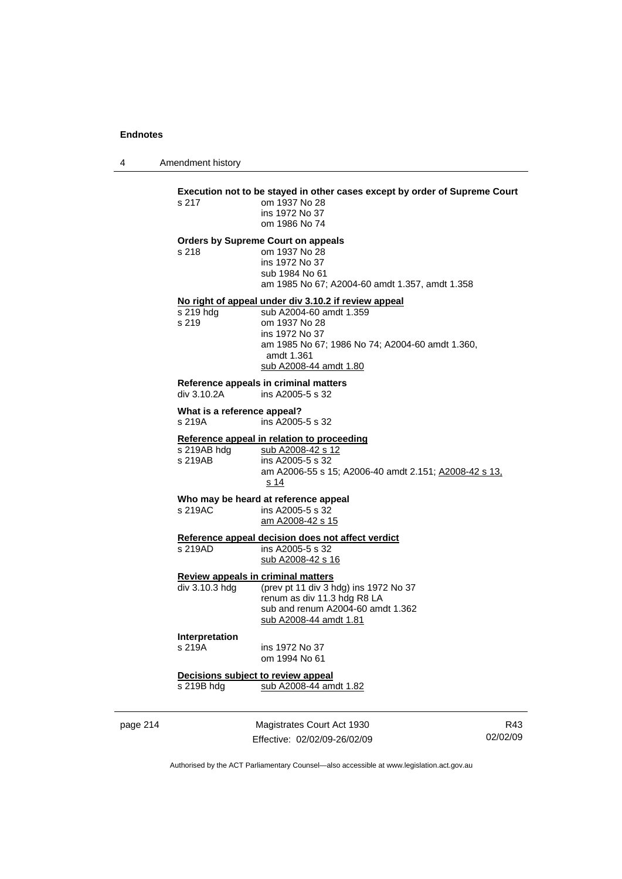4 Amendment history

# **Execution not to be stayed in other cases except by order of Supreme Court s 217** om 1937 No 28

| s 217 | om 1937 No 28  |
|-------|----------------|
|       | ins 1972 No 37 |
|       | om 1986 No 74  |

#### **Orders by Supreme Court on appeals**

s 218 om 1937 No 28 ins 1972 No 37 sub 1984 No 61 am 1985 No 67; A2004-60 amdt 1.357, amdt 1.358

#### **No right of appeal under div 3.10.2 if review appeal**

| s 219 hda | sub A2004-60 amdt 1.359                                       |
|-----------|---------------------------------------------------------------|
| s 219     | om 1937 No 28                                                 |
|           | ins 1972 No 37                                                |
|           | am 1985 No 67; 1986 No 74; A2004-60 amdt 1.360,<br>amdt 1.361 |
|           | sub A2008-44 amdt 1.80                                        |

# **Reference appeals in criminal matters**

ins A2005-5 s 32

### **What is a reference appeal?**

s 219A ins A2005-5 s 32

# **Reference appeal in relation to proceeding**<br>s 219AB hdg sub A2008-42 s 12

| s 219AB hdg | sub A2008-42 s 12                                     |
|-------------|-------------------------------------------------------|
| s 219AB     | ins A2005-5 s 32                                      |
|             | am A2006-55 s 15: A2006-40 amdt 2.151: A2008-42 s 13. |
|             | s 14                                                  |

# **Who may be heard at reference appeal**

 $ins$  A2005-5 s 32 am A2008-42 s 15

# **Reference appeal decision does not affect verdict**

s 219AD ins A2005-5 s 32 sub A2008-42 s 16

### **Review appeals in criminal matters**

div 3.10.3 hdg (prev pt 11 div 3 hdg) ins 1972 No 37 renum as div 11.3 hdg R8 LA sub and renum A2004-60 amdt 1.362 sub A2008-44 amdt 1.81

#### **Interpretation**

s 219A

| s 219A | ins 1972 No 37 |
|--------|----------------|
|        | om 1994 No 61  |

**Decisions subject to review appeal** s 219B hdg sub A2008-44 amdt 1.82

page 214 Magistrates Court Act 1930 Effective: 02/02/09-26/02/09

R43 02/02/09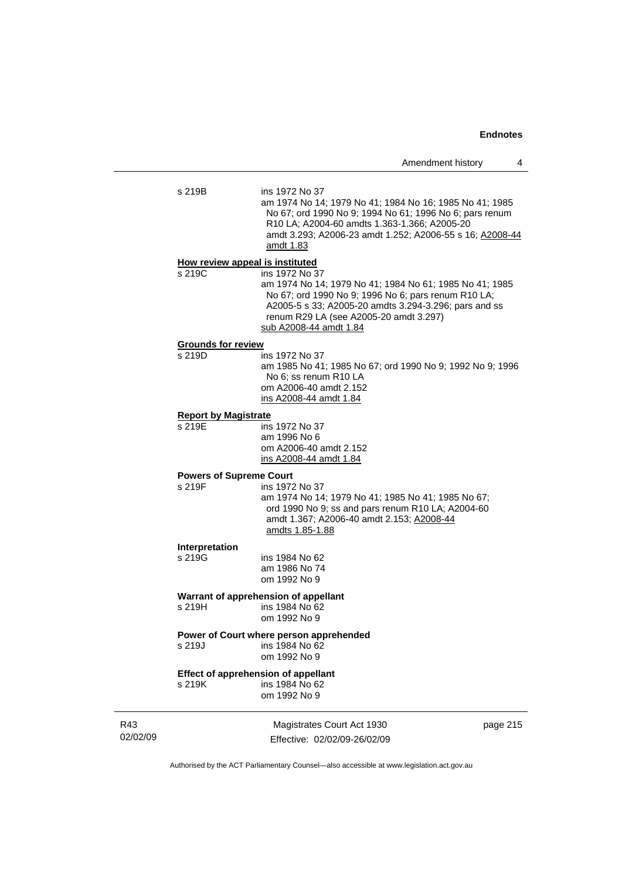| s 219B                                   | ins 1972 No 37<br>am 1974 No 14; 1979 No 41; 1984 No 16; 1985 No 41; 1985<br>No 67; ord 1990 No 9; 1994 No 61; 1996 No 6; pars renum<br>R10 LA; A2004-60 amdts 1.363-1.366; A2005-20<br>amdt 3.293; A2006-23 amdt 1.252; A2006-55 s 16; A2008-44<br>amdt 1.83 |
|------------------------------------------|---------------------------------------------------------------------------------------------------------------------------------------------------------------------------------------------------------------------------------------------------------------|
| How review appeal is instituted          |                                                                                                                                                                                                                                                               |
| s 219C                                   | ins 1972 No 37<br>am 1974 No 14; 1979 No 41; 1984 No 61; 1985 No 41; 1985<br>No 67; ord 1990 No 9; 1996 No 6; pars renum R10 LA;<br>A2005-5 s 33; A2005-20 amdts 3.294-3.296; pars and ss<br>renum R29 LA (see A2005-20 amdt 3.297)<br>sub A2008-44 amdt 1.84 |
| <b>Grounds for review</b>                |                                                                                                                                                                                                                                                               |
| s 219D                                   | ins 1972 No 37<br>am 1985 No 41; 1985 No 67; ord 1990 No 9; 1992 No 9; 1996<br>No 6; ss renum R10 LA<br>om A2006-40 amdt 2.152<br>ins A2008-44 amdt 1.84                                                                                                      |
| <b>Report by Magistrate</b>              |                                                                                                                                                                                                                                                               |
| s 219E                                   | ins 1972 No 37<br>am 1996 No 6<br>om A2006-40 amdt 2.152<br>ins A2008-44 amdt 1.84                                                                                                                                                                            |
| <b>Powers of Supreme Court</b><br>s 219F | ins 1972 No 37<br>am 1974 No 14; 1979 No 41; 1985 No 41; 1985 No 67;<br>ord 1990 No 9; ss and pars renum R10 LA; A2004-60<br>amdt 1.367; A2006-40 amdt 2.153; A2008-44<br>amdts 1.85-1.88                                                                     |
| Interpretation<br>s 219G                 | ins 1984 No 62<br>am 1986 No 74<br>om 1992 No 9                                                                                                                                                                                                               |
| s 219H                                   | Warrant of apprehension of appellant<br>ins 1984 No 62<br>om 1992 No 9                                                                                                                                                                                        |
| s 219J                                   | Power of Court where person apprehended<br>ins 1984 No 62<br>om 1992 No 9                                                                                                                                                                                     |
| s 219K                                   | <b>Effect of apprehension of appellant</b><br>ins 1984 No 62<br>om 1992 No 9                                                                                                                                                                                  |

R43 02/02/09

Magistrates Court Act 1930 Effective: 02/02/09-26/02/09 page 215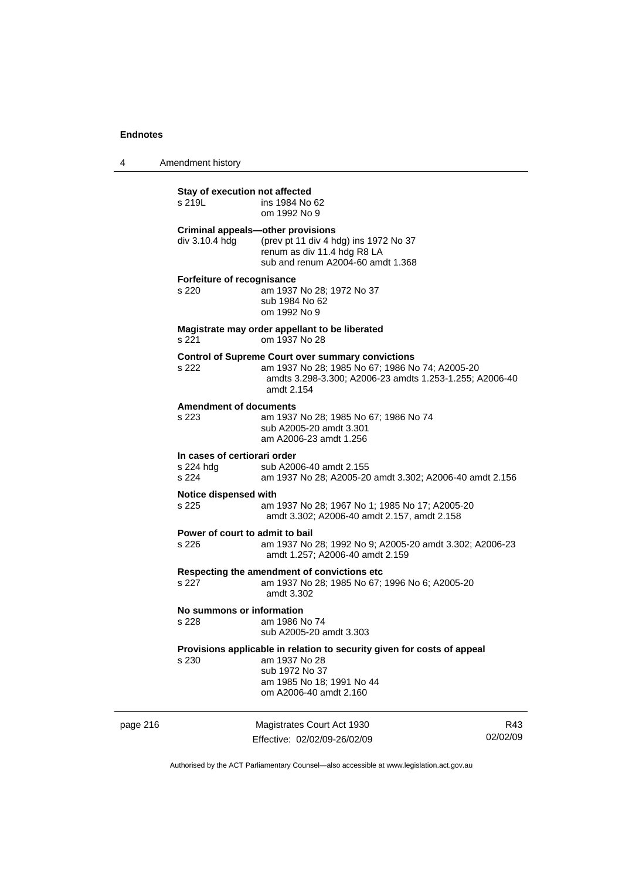4 Amendment history

|          | Stay of execution not affected<br>s 219L                   | ins 1984 No 62<br>om 1992 No 9                                                                                                                                                       |                 |
|----------|------------------------------------------------------------|--------------------------------------------------------------------------------------------------------------------------------------------------------------------------------------|-----------------|
|          | <b>Criminal appeals-other provisions</b><br>div 3.10.4 hdg | (prev pt 11 div 4 hdg) ins 1972 No 37<br>renum as div 11.4 hdg R8 LA<br>sub and renum A2004-60 amdt 1.368                                                                            |                 |
|          | Forfeiture of recognisance<br>s 220                        | am 1937 No 28; 1972 No 37<br>sub 1984 No 62<br>om 1992 No 9                                                                                                                          |                 |
|          | s 221                                                      | Magistrate may order appellant to be liberated<br>om 1937 No 28                                                                                                                      |                 |
|          | s 222                                                      | <b>Control of Supreme Court over summary convictions</b><br>am 1937 No 28; 1985 No 67; 1986 No 74; A2005-20<br>amdts 3.298-3.300; A2006-23 amdts 1.253-1.255; A2006-40<br>amdt 2.154 |                 |
|          | <b>Amendment of documents</b><br>s 223                     | am 1937 No 28; 1985 No 67; 1986 No 74<br>sub A2005-20 amdt 3.301<br>am A2006-23 amdt 1.256                                                                                           |                 |
|          | In cases of certiorari order<br>s 224 hdg<br>s 224         | sub A2006-40 amdt 2.155<br>am 1937 No 28; A2005-20 amdt 3.302; A2006-40 amdt 2.156                                                                                                   |                 |
|          | Notice dispensed with<br>s 225                             | am 1937 No 28; 1967 No 1; 1985 No 17; A2005-20<br>amdt 3.302; A2006-40 amdt 2.157, amdt 2.158                                                                                        |                 |
|          | Power of court to admit to bail<br>s 226                   | am 1937 No 28; 1992 No 9; A2005-20 amdt 3.302; A2006-23<br>amdt 1.257; A2006-40 amdt 2.159                                                                                           |                 |
|          | s 227                                                      | Respecting the amendment of convictions etc<br>am 1937 No 28; 1985 No 67; 1996 No 6; A2005-20<br>amdt 3.302                                                                          |                 |
|          | No summons or information<br>s 228                         | am 1986 No 74<br>sub A2005-20 amdt 3.303                                                                                                                                             |                 |
|          | s 230                                                      | Provisions applicable in relation to security given for costs of appeal<br>am 1937 No 28<br>sub 1972 No 37<br>am 1985 No 18; 1991 No 44<br>om A2006-40 amdt 2.160                    |                 |
| page 216 |                                                            | Magistrates Court Act 1930<br>Effective: 02/02/09-26/02/09                                                                                                                           | R43<br>02/02/09 |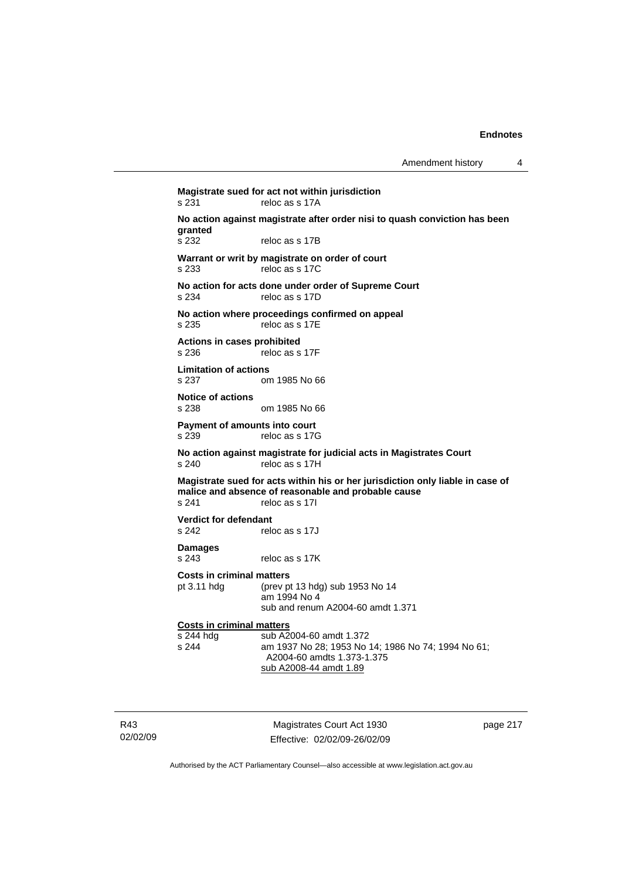**Magistrate sued for act not within jurisdiction**  s 231 reloc as s 17A **No action against magistrate after order nisi to quash conviction has been granted**  reloc as s 17B **Warrant or writ by magistrate on order of court**  s 233 reloc as s 17C **No action for acts done under order of Supreme Court**  s 234 reloc as s 17D **No action where proceedings confirmed on appeal**  s 235 reloc as s 17E **Actions in cases prohibited**  s 236 reloc as s 17F **Limitation of actions**  s 237 om 1985 No 66 **Notice of actions**  om 1985 No 66 **Payment of amounts into court**  s 239 reloc as s 17G **No action against magistrate for judicial acts in Magistrates Court**  s 240 reloc as s 17H **Magistrate sued for acts within his or her jurisdiction only liable in case of malice and absence of reasonable and probable cause**  s 241 reloc as s 17I **Verdict for defendant**<br>
s 242 rele reloc as s 17J **Damages**  s 243 reloc as s 17K **Costs in criminal matters**  pt 3.11 hdg (prev pt 13 hdg) sub 1953 No 14 am 1994 No 4 sub and renum A2004-60 amdt 1.371 **Costs in criminal matters** s 244 hdg sub A2004-60 amdt 1.372 s 244 am 1937 No 28; 1953 No 14; 1986 No 74; 1994 No 61; A2004-60 amdts 1.373-1.375 sub A2008-44 amdt 1.89

R43 02/02/09

Magistrates Court Act 1930 Effective: 02/02/09-26/02/09 page 217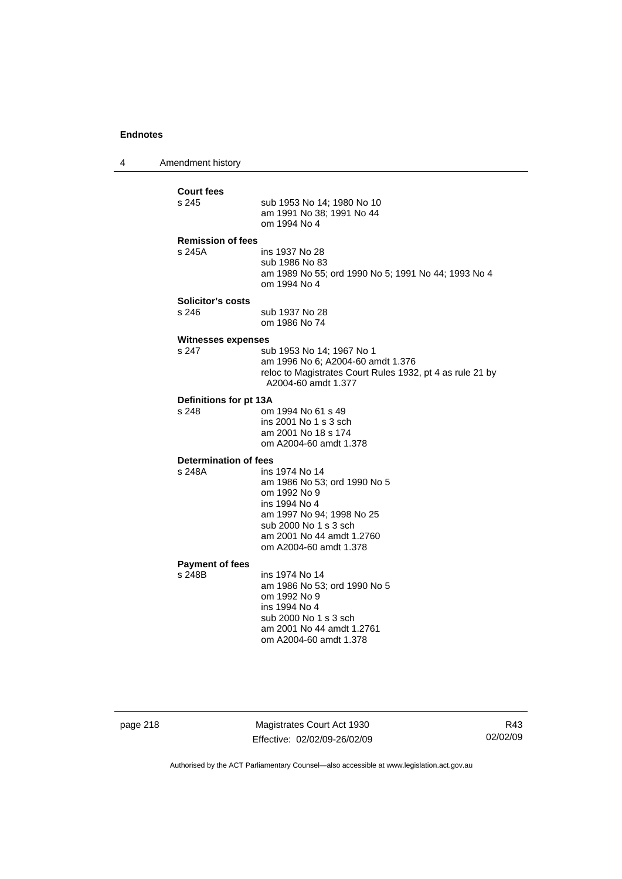4 Amendment history

**Court fees**  sub 1953 No 14: 1980 No 10 am 1991 No 38; 1991 No 44 om 1994 No 4 **Remission of fees**  s 245A ins 1937 No 28 sub 1986 No 83 am 1989 No 55; ord 1990 No 5; 1991 No 44; 1993 No 4 om 1994 No 4 **Solicitor's costs**  s 246 sub 1937 No 28 om 1986 No 74 **Witnesses expenses**  s 247 sub 1953 No 14; 1967 No 1 am 1996 No 6; A2004-60 amdt 1.376 reloc to Magistrates Court Rules 1932, pt 4 as rule 21 by A2004-60 amdt 1.377 **Definitions for pt 13A**  s 248 om 1994 No 61 s 49 ins 2001 No 1 s 3 sch am 2001 No 18 s 174 om A2004-60 amdt 1.378 **Determination of fees**  s 248A ins 1974 No 14 am 1986 No 53; ord 1990 No 5 om 1992 No 9 ins 1994 No 4 am 1997 No 94; 1998 No 25 sub 2000 No 1 s 3 sch am 2001 No 44 amdt 1.2760 om A2004-60 amdt 1.378 **Payment of fees**  ins 1974 No 14 am 1986 No 53; ord 1990 No 5 om 1992 No 9 ins 1994 No 4 sub 2000 No 1 s 3 sch am 2001 No 44 amdt 1.2761 om A2004-60 amdt 1.378

page 218 Magistrates Court Act 1930 Effective: 02/02/09-26/02/09

R43 02/02/09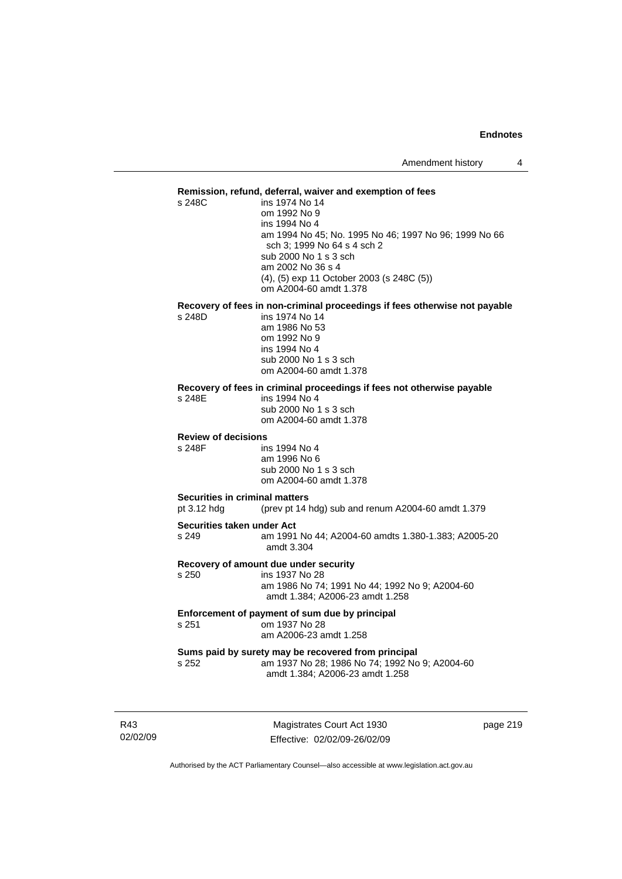#### **Remission, refund, deferral, waiver and exemption of fees**

s 248C ins 1974 No 14 om 1992 No 9 ins 1994 No 4 am 1994 No 45; No. 1995 No 46; 1997 No 96; 1999 No 66 sch 3; 1999 No 64 s 4 sch 2 sub 2000 No 1 s 3 sch am 2002 No 36 s 4 (4), (5) exp 11 October 2003 (s 248C (5)) om A2004-60 amdt 1.378

# **Recovery of fees in non-criminal proceedings if fees otherwise not payable**

ins 1974 No 14 am 1986 No 53 om 1992 No 9 ins 1994 No 4 sub 2000 No 1 s 3 sch om A2004-60 amdt 1.378

#### **Recovery of fees in criminal proceedings if fees not otherwise payable**

s 248E ins 1994 No 4 sub 2000 No 1 s 3 sch

om A2004-60 amdt 1.378

#### **Review of decisions**

s 248F ins 1994 No 4 am 1996 No 6 sub 2000 No 1 s 3 sch om A2004-60 amdt 1.378

#### **Securities in criminal matters**

pt 3.12 hdg (prev pt 14 hdg) sub and renum A2004-60 amdt 1.379

#### **Securities taken under Act**

s 249 am 1991 No 44; A2004-60 amdts 1.380-1.383; A2005-20 amdt 3.304

#### **Recovery of amount due under security**

s 250 ins 1937 No 28

 am 1986 No 74; 1991 No 44; 1992 No 9; A2004-60 amdt 1.384; A2006-23 amdt 1.258

#### **Enforcement of payment of sum due by principal**  s 251 om 1937 No 28 am A2006-23 amdt 1.258

#### **Sums paid by surety may be recovered from principal**  s 252 am 1937 No 28; 1986 No 74; 1992 No 9; A2004-60 amdt 1.384; A2006-23 amdt 1.258

R43 02/02/09

Magistrates Court Act 1930 Effective: 02/02/09-26/02/09 page 219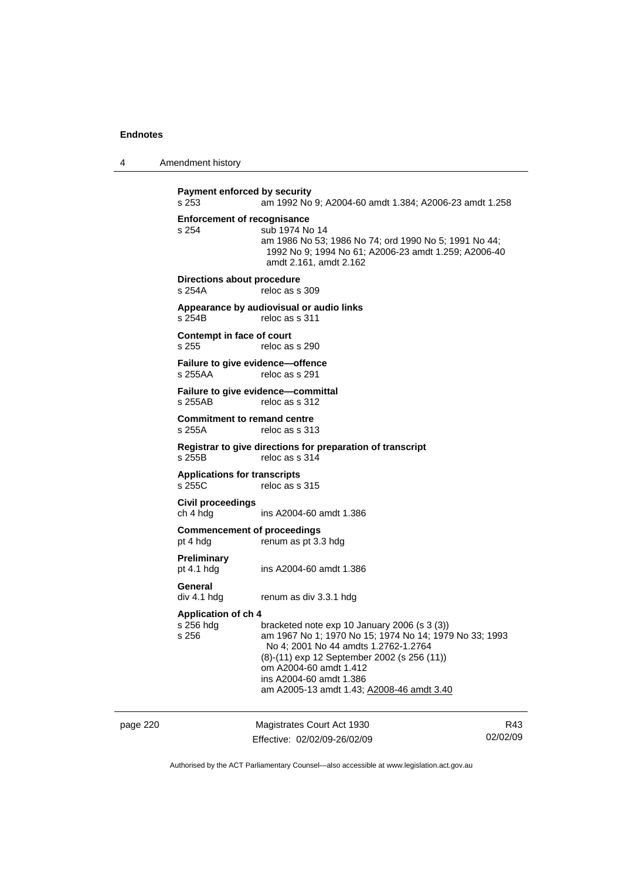4 Amendment history

page 220 Magistrates Court Act 1930 R43 **Payment enforced by security**  s 253 am 1992 No 9; A2004-60 amdt 1.384; A2006-23 amdt 1.258 **Enforcement of recognisance**  s 254 sub 1974 No 14 am 1986 No 53; 1986 No 74; ord 1990 No 5; 1991 No 44; 1992 No 9; 1994 No 61; A2006-23 amdt 1.259; A2006-40 amdt 2.161, amdt 2.162 **Directions about procedure**<br>s 254A reloc as s reloc as s 309 **Appearance by audiovisual or audio links**  s 254B reloc as s 311 **Contempt in face of court**  s 255 reloc as s 290 **Failure to give evidence—offence**  s 255AA reloc as s 291 **Failure to give evidence—committal**  s 255AB reloc as s 312 **Commitment to remand centre**  s 255A reloc as s 313 **Registrar to give directions for preparation of transcript**  s 255B reloc as s 314 **Applications for transcripts**  s 255C reloc as s 315 **Civil proceedings**  ch 4 hdg ins A2004-60 amdt 1.386 **Commencement of proceedings**  pt 4 hdg renum as pt 3.3 hdg **Preliminary**  pt 4.1 hdg ins A2004-60 amdt 1.386 **General**  div 4.1 hdg renum as div 3.3.1 hdg **Application of ch 4**  s 256 hdg bracketed note exp 10 January 2006 (s 3 (3))<br>s 256 am 1967 No 1: 1970 No 15: 1974 No 14: 197 am 1967 No 1: 1970 No 15: 1974 No 14: 1979 No 33: 1993 No 4; 2001 No 44 amdts 1.2762-1.2764 (8)-(11) exp 12 September 2002 (s 256 (11)) om A2004-60 amdt 1.412 ins A2004-60 amdt 1.386 am A2005-13 amdt 1.43; A2008-46 amdt 3.40

Effective: 02/02/09-26/02/09 02/02/09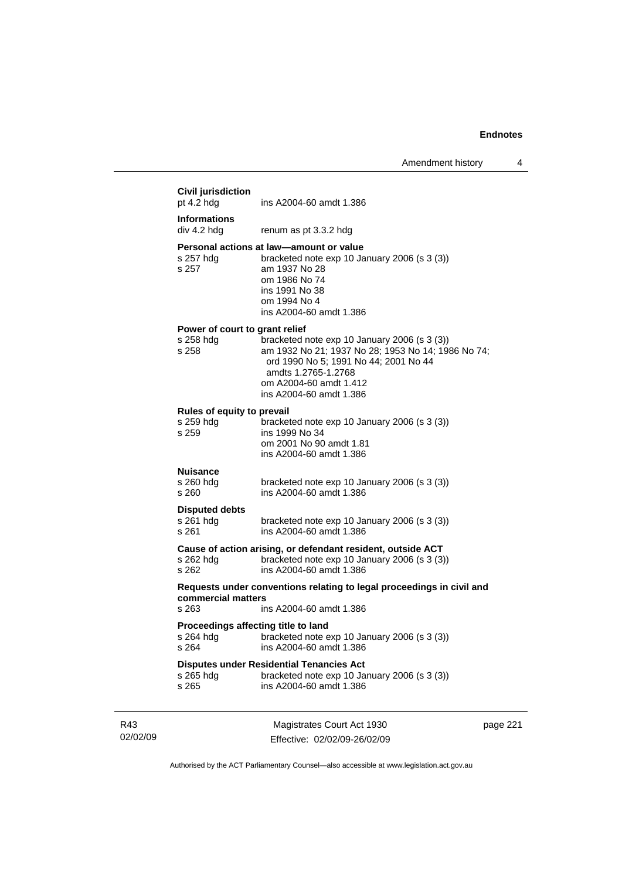|                 | <b>Civil jurisdiction</b><br>pt $4.2$ hdg            | ins A2004-60 amdt 1.386                                                                                                                                                                                                 |          |
|-----------------|------------------------------------------------------|-------------------------------------------------------------------------------------------------------------------------------------------------------------------------------------------------------------------------|----------|
|                 | <b>Informations</b><br>div 4.2 hdg                   | renum as pt 3.3.2 hdg                                                                                                                                                                                                   |          |
|                 | s 257 hdg<br>s 257                                   | Personal actions at law-amount or value<br>bracketed note exp 10 January 2006 (s 3 (3))<br>am 1937 No 28<br>om 1986 No 74<br>ins 1991 No 38<br>om 1994 No 4<br>ins A2004-60 amdt 1.386                                  |          |
|                 | Power of court to grant relief<br>s 258 hdg<br>s 258 | bracketed note exp 10 January 2006 (s 3 (3))<br>am 1932 No 21; 1937 No 28; 1953 No 14; 1986 No 74;<br>ord 1990 No 5; 1991 No 44; 2001 No 44<br>amdts 1.2765-1.2768<br>om A2004-60 amdt 1.412<br>ins A2004-60 amdt 1.386 |          |
|                 | Rules of equity to prevail<br>s 259 hdg<br>s 259     | bracketed note exp 10 January 2006 (s 3 (3))<br>ins 1999 No 34<br>om 2001 No 90 amdt 1.81<br>ins A2004-60 amdt 1.386                                                                                                    |          |
|                 | <b>Nuisance</b><br>s 260 hdg<br>s 260                | bracketed note exp 10 January 2006 (s 3 (3))<br>ins A2004-60 amdt 1.386                                                                                                                                                 |          |
|                 | <b>Disputed debts</b><br>s 261 hdg<br>s 261          | bracketed note exp 10 January 2006 (s 3 (3))<br>ins A2004-60 amdt 1.386                                                                                                                                                 |          |
|                 | s 262 hdg<br>s 262                                   | Cause of action arising, or defendant resident, outside ACT<br>bracketed note exp 10 January 2006 (s 3 (3))<br>ins A2004-60 amdt 1.386                                                                                  |          |
|                 | commercial matters<br>s 263                          | Requests under conventions relating to legal proceedings in civil and<br>ins A2004-60 amdt 1.386                                                                                                                        |          |
|                 | Proceedings affecting title to land<br>s 264         | s 264 hdg bracketed note exp 10 January 2006 (s 3 (3))<br>ins A2004-60 amdt 1.386                                                                                                                                       |          |
|                 | s 265 hdg<br>s 265                                   | <b>Disputes under Residential Tenancies Act</b><br>bracketed note exp 10 January 2006 (s 3 (3))<br>ins A2004-60 amdt 1.386                                                                                              |          |
| R43<br>02/02/09 |                                                      | Magistrates Court Act 1930<br>Effective: 02/02/09-26/02/09                                                                                                                                                              | page 221 |

Authorised by the ACT Parliamentary Counsel—also accessible at www.legislation.act.gov.au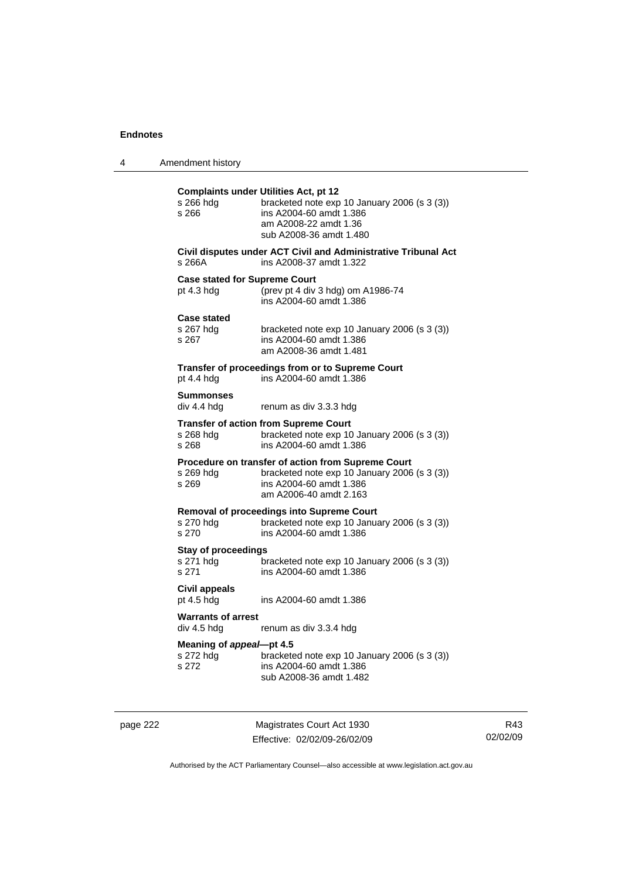| 4 | Amendment history |  |
|---|-------------------|--|
|---|-------------------|--|

| s 266 hdg<br>s 266                                 | <b>Complaints under Utilities Act, pt 12</b><br>bracketed note exp 10 January 2006 (s 3 (3))<br>ins A2004-60 amdt 1.386<br>am A2008-22 amdt 1.36<br>sub A2008-36 amdt 1.480 |
|----------------------------------------------------|-----------------------------------------------------------------------------------------------------------------------------------------------------------------------------|
| s 266A                                             | Civil disputes under ACT Civil and Administrative Tribunal Act<br>ins A2008-37 amdt 1.322                                                                                   |
| <b>Case stated for Supreme Court</b><br>pt 4.3 hdg | (prev pt 4 div 3 hdg) om A1986-74<br>ins A2004-60 amdt 1.386                                                                                                                |
| <b>Case stated</b><br>s 267 hda<br>s 267           | bracketed note exp 10 January 2006 (s 3 (3))<br>ins A2004-60 amdt 1.386<br>am A2008-36 amdt 1.481                                                                           |
| pt 4.4 hdg                                         | Transfer of proceedings from or to Supreme Court<br>ins A2004-60 amdt 1.386                                                                                                 |
| <b>Summonses</b><br>div 4.4 hdg                    | renum as div 3.3.3 hdg                                                                                                                                                      |
| s 268 hdg<br>s 268                                 | <b>Transfer of action from Supreme Court</b><br>bracketed note exp 10 January 2006 (s 3 (3))<br>ins A2004-60 amdt 1.386                                                     |
| s 269 hda<br>s 269                                 | Procedure on transfer of action from Supreme Court<br>bracketed note exp 10 January 2006 (s 3 (3))<br>ins A2004-60 amdt 1.386<br>am A2006-40 amdt 2.163                     |
| s 270 hdg<br>s.270                                 | Removal of proceedings into Supreme Court<br>bracketed note exp 10 January 2006 (s 3 (3))<br>ins A2004-60 amdt 1.386                                                        |
| <b>Stay of proceedings</b><br>s 271 hdg<br>s 271   | bracketed note exp 10 January 2006 (s 3 (3))<br>ins A2004-60 amdt 1.386                                                                                                     |
| Civil appeals<br>pt 4.5 hdg                        | ins A2004-60 amdt 1.386                                                                                                                                                     |
| <b>Warrants of arrest</b><br>div 4.5 hdg           | renum as div 3.3.4 hdg                                                                                                                                                      |
| Meaning of appeal-pt 4.5<br>s 272 hdq<br>s 272     | bracketed note exp 10 January 2006 (s 3 (3))<br>ins A2004-60 amdt 1.386<br>sub A2008-36 amdt 1.482                                                                          |

page 222 Magistrates Court Act 1930 Effective: 02/02/09-26/02/09

R43 02/02/09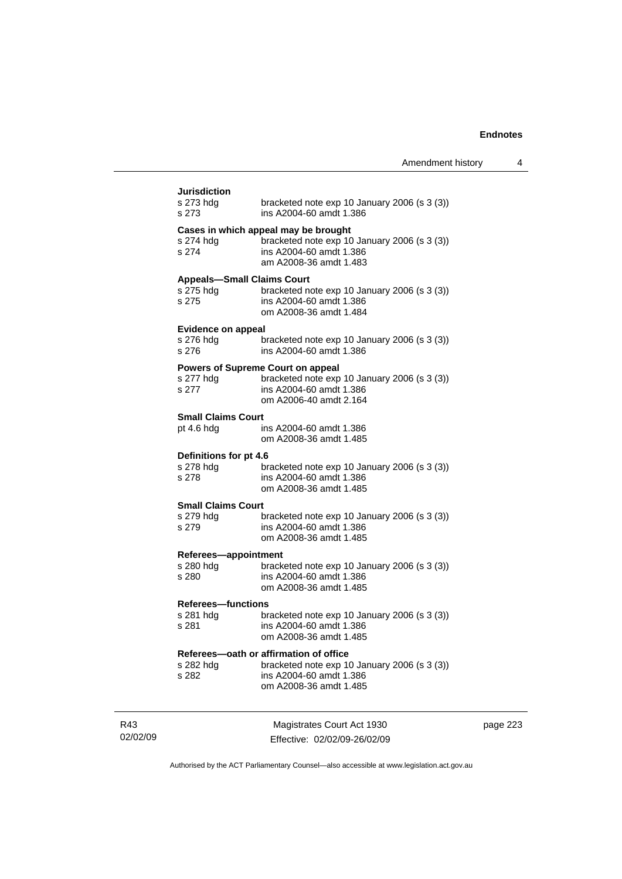| <b>Jurisdiction</b>                                     |                                                                                                                                                                                  |
|---------------------------------------------------------|----------------------------------------------------------------------------------------------------------------------------------------------------------------------------------|
| s 273 hdg<br>s 273                                      | bracketed note exp 10 January 2006 (s 3 (3))<br>ins A2004-60 amdt 1.386                                                                                                          |
| s 274                                                   | Cases in which appeal may be brought<br>s 274 hdg bracketed note $\exp 10 \text{ January } 2006 \text{ (s } 3 \text{ (3))}$<br>ins A2004-60 amdt 1.386<br>am A2008-36 amdt 1.483 |
| <b>Appeals-Small Claims Court</b><br>s 275 hdg<br>s 275 | bracketed note exp 10 January 2006 (s 3 (3))<br>ins A2004-60 amdt 1.386<br>om A2008-36 amdt 1.484                                                                                |
|                                                         |                                                                                                                                                                                  |
| <b>Evidence on appeal</b><br>s 276 hdg<br>s 276         | bracketed note exp 10 January 2006 (s 3 (3))<br>ins A2004-60 amdt 1.386                                                                                                          |
| s 277 hdg<br>s 277                                      | Powers of Supreme Court on appeal<br>bracketed note exp 10 January 2006 (s 3 (3))<br>ins A2004-60 amdt 1.386<br>om A2006-40 amdt 2.164                                           |
| <b>Small Claims Court</b>                               |                                                                                                                                                                                  |
| pt 4.6 hdg                                              | ins A2004-60 amdt 1.386<br>om A2008-36 amdt 1.485                                                                                                                                |
| Definitions for pt 4.6<br>s 278 hdg                     | bracketed note exp 10 January 2006 (s 3 (3))                                                                                                                                     |
| s 278                                                   | ins A2004-60 amdt 1.386<br>om A2008-36 amdt 1.485                                                                                                                                |
| <b>Small Claims Court</b>                               |                                                                                                                                                                                  |
| s 279 hdg<br>s 279                                      | bracketed note exp 10 January 2006 (s 3 (3))<br>ins A2004-60 amdt 1.386<br>om A2008-36 amdt 1.485                                                                                |
| Referees-appointment                                    |                                                                                                                                                                                  |
| s 280 hdg<br>s 280                                      | bracketed note exp 10 January 2006 (s 3 (3))<br>ins A2004-60 amdt 1.386<br>om A2008-36 amdt 1.485                                                                                |
| <b>Referees-functions</b>                               |                                                                                                                                                                                  |
| s 281 hdg<br>s 281                                      | bracketed note exp 10 January 2006 (s 3 (3))<br>ins A2004-60 amdt 1.386<br>om A2008-36 amdt 1.485                                                                                |
|                                                         | Referees-oath or affirmation of office                                                                                                                                           |
| s 282 hdg                                               | bracketed note exp 10 January 2006 (s 3 (3))                                                                                                                                     |
| s 282                                                   | ins A2004-60 amdt 1.386<br>om A2008-36 amdt 1.485                                                                                                                                |
|                                                         |                                                                                                                                                                                  |

R43 02/02/09

Magistrates Court Act 1930 Effective: 02/02/09-26/02/09 page 223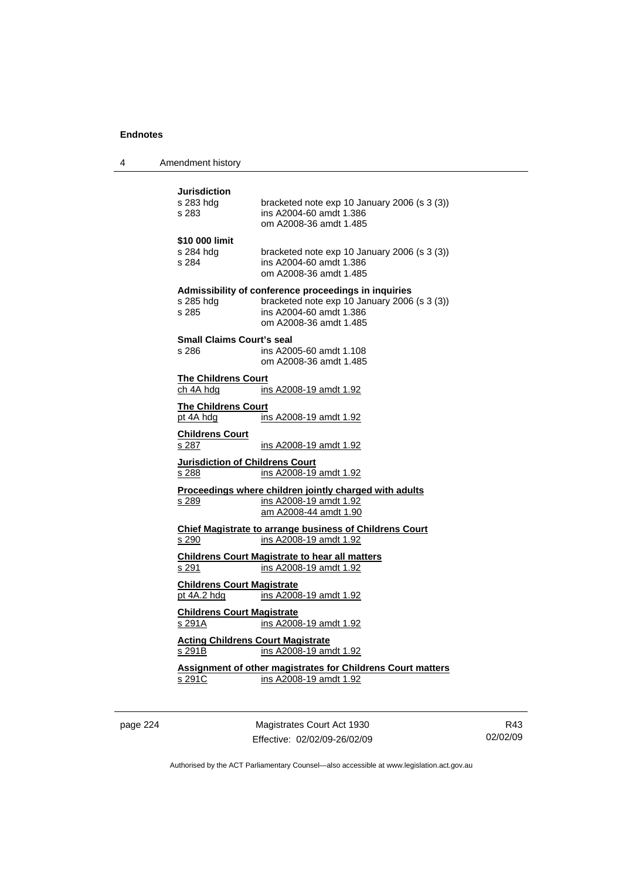|  | Amendment history |
|--|-------------------|
|--|-------------------|

# **Jurisdiction**<br>s 283 hdg bracketed note exp 10 January 2006 (s 3 (3)) s 283 ins A2004-60 amdt 1.386 om A2008-36 amdt 1.485 **\$10 000 limit**  s 284 hdg bracketed note exp 10 January 2006 (s 3 (3)) s 284 ins A2004-60 amdt 1.386 om A2008-36 amdt 1.485 **Admissibility of conference proceedings in inquiries**  s 285 hdg bracketed note exp 10 January 2006 (s 3 (3)) s 285 ins A2004-60 amdt 1.386 om A2008-36 amdt 1.485 **Small Claims Court's seal**  s 286 ins A2005-60 amdt 1.108 om A2008-36 amdt 1.485 **The Childrens Court** ch 4A hdg ins A2008-19 amdt 1.92 **The Childrens Court** pt 4A hdg ins A2008-19 amdt 1.92 **Childrens Court** s 287 ins A2008-19 amdt 1.92 **Jurisdiction of Childrens Court** s 288 **ins A2008-19 amdt 1.92 Proceedings where children jointly charged with adults** s 289 ins A2008-19 amdt 1.92 am A2008-44 amdt 1.90 **Chief Magistrate to arrange business of Childrens Court** s 290 ins A2008-19 amdt 1.92 **Childrens Court Magistrate to hear all matters** s 291 ins A2008-19 amdt 1.92 **Childrens Court Magistrate** pt 4A.2 hdg ins A2008-19 amdt 1.92 **Childrens Court Magistrate** s 291A ins A2008-19 amdt 1.92 **Acting Childrens Court Magistrate** s 291B ins A2008-19 amdt 1.92 **Assignment of other magistrates for Childrens Court matters** s 291C ins A2008-19 amdt 1.92

page 224 Magistrates Court Act 1930 Effective: 02/02/09-26/02/09

R43 02/02/09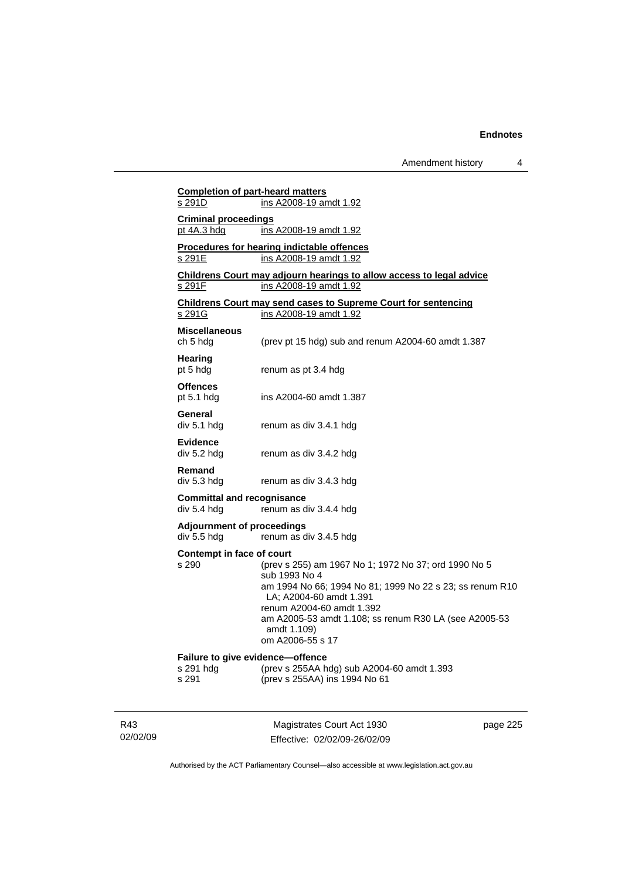dment history 4

|                                                        | Amendment history                                                                                                                                                                                                                                                                     |
|--------------------------------------------------------|---------------------------------------------------------------------------------------------------------------------------------------------------------------------------------------------------------------------------------------------------------------------------------------|
| <b>Completion of part-heard matters</b><br>s 291D      | ins A2008-19 amdt 1.92                                                                                                                                                                                                                                                                |
| <b>Criminal proceedings</b><br>pt 4A.3 hdg             | <u>ins A2008-19 amdt 1.92</u>                                                                                                                                                                                                                                                         |
| s 291E                                                 | Procedures for hearing indictable offences<br>ins A2008-19 amdt 1.92                                                                                                                                                                                                                  |
| s 291F                                                 | Childrens Court may adjourn hearings to allow access to legal advice<br>ins A2008-19 amdt 1.92                                                                                                                                                                                        |
| s 291G                                                 | <b>Childrens Court may send cases to Supreme Court for sentencing</b><br>ins A2008-19 amdt 1.92                                                                                                                                                                                       |
| <b>Miscellaneous</b><br>ch 5 hdg                       | (prev pt 15 hdg) sub and renum A2004-60 amdt 1.387                                                                                                                                                                                                                                    |
| Hearing<br>pt 5 hdg                                    | renum as pt 3.4 hdg                                                                                                                                                                                                                                                                   |
| <b>Offences</b><br>pt 5.1 hdg                          | ins A2004-60 amdt 1.387                                                                                                                                                                                                                                                               |
| General<br>div 5.1 hdg                                 | renum as div 3.4.1 hdg                                                                                                                                                                                                                                                                |
| <b>Evidence</b><br>div 5.2 hdg                         | renum as div 3.4.2 hdg                                                                                                                                                                                                                                                                |
| Remand<br>div 5.3 hdg                                  | renum as div 3.4.3 hdg                                                                                                                                                                                                                                                                |
| <b>Committal and recognisance</b><br>div 5.4 hdg       | renum as div 3.4.4 hdg                                                                                                                                                                                                                                                                |
| <b>Adjournment of proceedings</b><br>div 5.5 hdg       | renum as div 3.4.5 hdg                                                                                                                                                                                                                                                                |
| Contempt in face of court<br>s 290                     | (prev s 255) am 1967 No 1; 1972 No 37; ord 1990 No 5<br>sub 1993 No 4<br>am 1994 No 66; 1994 No 81; 1999 No 22 s 23; ss renum R10<br>LA; A2004-60 amdt 1.391<br>renum A2004-60 amdt 1.392<br>am A2005-53 amdt 1.108; ss renum R30 LA (see A2005-53<br>amdt 1.109)<br>om A2006-55 s 17 |
| Failure to give evidence-offence<br>s 291 hdg<br>s 291 | (prev s 255AA hdg) sub A2004-60 amdt 1.393<br>(prev s 255AA) ins 1994 No 61                                                                                                                                                                                                           |

R43 02/02/09

Magistrates Court Act 1930 Effective: 02/02/09-26/02/09 page 225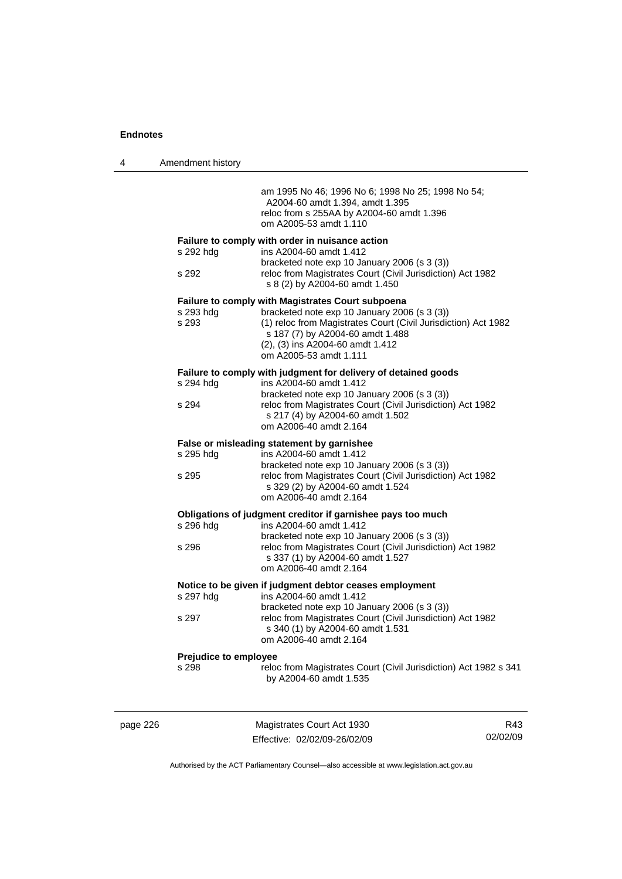| 4 | Amendment history     |                                                                                                                                                                                                                  |
|---|-----------------------|------------------------------------------------------------------------------------------------------------------------------------------------------------------------------------------------------------------|
|   |                       | am 1995 No 46; 1996 No 6; 1998 No 25; 1998 No 54;<br>A2004-60 amdt 1.394, amdt 1.395<br>reloc from s 255AA by A2004-60 amdt 1.396<br>om A2005-53 amdt 1.110                                                      |
|   | s 292 hdg             | Failure to comply with order in nuisance action<br>ins A2004-60 amdt 1.412                                                                                                                                       |
|   | s 292                 | bracketed note exp 10 January 2006 (s 3 (3))<br>reloc from Magistrates Court (Civil Jurisdiction) Act 1982<br>s 8 (2) by A2004-60 amdt 1.450                                                                     |
|   |                       | <b>Failure to comply with Magistrates Court subpoena</b>                                                                                                                                                         |
|   | s 293 hdg<br>s 293    | bracketed note exp 10 January 2006 (s 3 (3))<br>(1) reloc from Magistrates Court (Civil Jurisdiction) Act 1982<br>s 187 (7) by A2004-60 amdt 1.488<br>(2), (3) ins A2004-60 amdt 1.412<br>om A2005-53 amdt 1.111 |
|   |                       | Failure to comply with judgment for delivery of detained goods                                                                                                                                                   |
|   | s 294 hdg             | ins A2004-60 amdt 1.412                                                                                                                                                                                          |
|   | s 294                 | bracketed note exp 10 January 2006 (s 3 (3))<br>reloc from Magistrates Court (Civil Jurisdiction) Act 1982<br>s 217 (4) by A2004-60 amdt 1.502<br>om A2006-40 amdt 2.164                                         |
|   |                       | False or misleading statement by garnishee                                                                                                                                                                       |
|   | s 295 hdg<br>s 295    | ins A2004-60 amdt 1.412<br>bracketed note exp 10 January 2006 (s 3 (3))<br>reloc from Magistrates Court (Civil Jurisdiction) Act 1982<br>s 329 (2) by A2004-60 amdt 1.524<br>om A2006-40 amdt 2.164              |
|   |                       | Obligations of judgment creditor if garnishee pays too much                                                                                                                                                      |
|   | s 296 hdg             | ins A2004-60 amdt 1.412<br>bracketed note exp 10 January 2006 (s 3 (3))                                                                                                                                          |
|   | s 296                 | reloc from Magistrates Court (Civil Jurisdiction) Act 1982<br>s 337 (1) by A2004-60 amdt 1.527<br>om A2006-40 amdt 2.164                                                                                         |
|   |                       | Notice to be given if judgment debtor ceases employment                                                                                                                                                          |
|   | s 297 hdg             | ins A2004-60 amdt 1.412<br>bracketed note exp 10 January 2006 (s 3 (3))                                                                                                                                          |
|   | s 297                 | reloc from Magistrates Court (Civil Jurisdiction) Act 1982<br>s 340 (1) by A2004-60 amdt 1.531<br>om A2006-40 amdt 2.164                                                                                         |
|   | Prejudice to employee |                                                                                                                                                                                                                  |
|   | s 298                 | reloc from Magistrates Court (Civil Jurisdiction) Act 1982 s 341<br>by A2004-60 amdt 1.535                                                                                                                       |
|   |                       |                                                                                                                                                                                                                  |
|   |                       |                                                                                                                                                                                                                  |

page 226 Magistrates Court Act 1930 Effective: 02/02/09-26/02/09

R43 02/02/09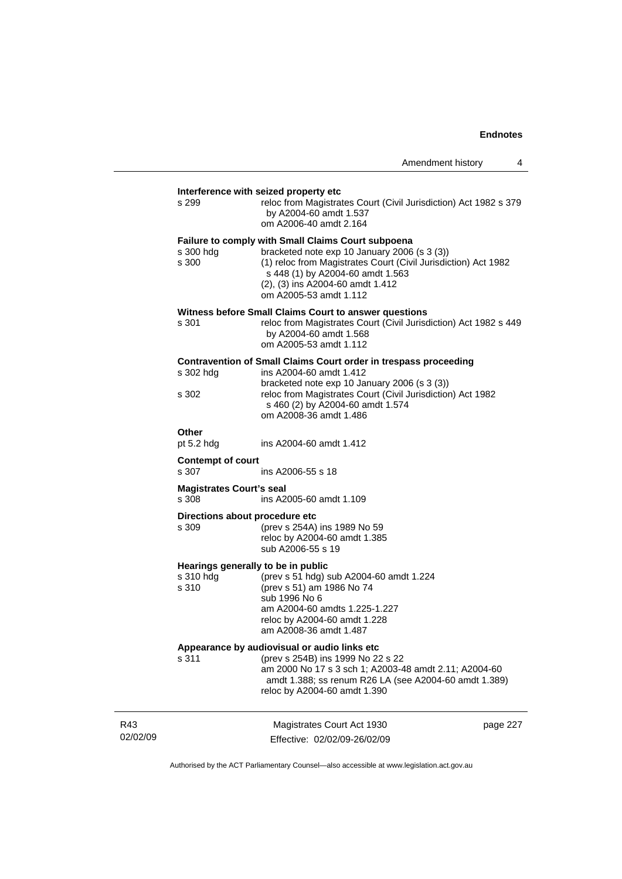| Amendment history |  |
|-------------------|--|
|-------------------|--|

| s 299                                    | Interference with seized property etc<br>reloc from Magistrates Court (Civil Jurisdiction) Act 1982 s 379<br>by A2004-60 amdt 1.537<br>om A2006-40 amdt 2.164                                                                                                                 |          |
|------------------------------------------|-------------------------------------------------------------------------------------------------------------------------------------------------------------------------------------------------------------------------------------------------------------------------------|----------|
| s 300 hdg<br>s 300                       | <b>Failure to comply with Small Claims Court subpoena</b><br>bracketed note exp 10 January 2006 (s 3 (3))<br>(1) reloc from Magistrates Court (Civil Jurisdiction) Act 1982<br>s 448 (1) by A2004-60 amdt 1.563<br>(2), (3) ins A2004-60 amdt 1.412<br>om A2005-53 amdt 1.112 |          |
| s 301                                    | Witness before Small Claims Court to answer questions<br>reloc from Magistrates Court (Civil Jurisdiction) Act 1982 s 449<br>by A2004-60 amdt 1.568<br>om A2005-53 amdt 1.112                                                                                                 |          |
| s 302 hdg                                | <b>Contravention of Small Claims Court order in trespass proceeding</b><br>ins A2004-60 amdt 1.412                                                                                                                                                                            |          |
| s 302                                    | bracketed note exp 10 January 2006 (s 3 (3))<br>reloc from Magistrates Court (Civil Jurisdiction) Act 1982<br>s 460 (2) by A2004-60 amdt 1.574<br>om A2008-36 amdt 1.486                                                                                                      |          |
| Other                                    |                                                                                                                                                                                                                                                                               |          |
| pt $5.2$ hdg                             | ins A2004-60 amdt 1.412                                                                                                                                                                                                                                                       |          |
| <b>Contempt of court</b><br>s 307        | ins A2006-55 s 18                                                                                                                                                                                                                                                             |          |
| <b>Magistrates Court's seal</b><br>s 308 | ins A2005-60 amdt 1.109                                                                                                                                                                                                                                                       |          |
| Directions about procedure etc<br>s 309  | (prev s 254A) ins 1989 No 59<br>reloc by A2004-60 amdt 1.385<br>sub A2006-55 s 19                                                                                                                                                                                             |          |
| s 310 hdg<br>s 310                       | Hearings generally to be in public<br>(prev s 51 hdg) sub A2004-60 amdt 1.224<br>(prev s 51) am 1986 No 74<br>sub 1996 No 6<br>am A2004-60 amdts 1.225-1.227<br>reloc by A2004-60 amdt 1.228<br>am A2008-36 amdt 1.487                                                        |          |
| s 311                                    | Appearance by audiovisual or audio links etc<br>(prev s 254B) ins 1999 No 22 s 22<br>am 2000 No 17 s 3 sch 1; A2003-48 amdt 2.11; A2004-60<br>amdt 1.388; ss renum R26 LA (see A2004-60 amdt 1.389)<br>reloc by A2004-60 amdt 1.390                                           |          |
|                                          | Magistrates Court Act 1930<br>Effective: 02/02/09-26/02/09                                                                                                                                                                                                                    | page 227 |

Authorised by the ACT Parliamentary Counsel—also accessible at www.legislation.act.gov.au

R43 02/02/09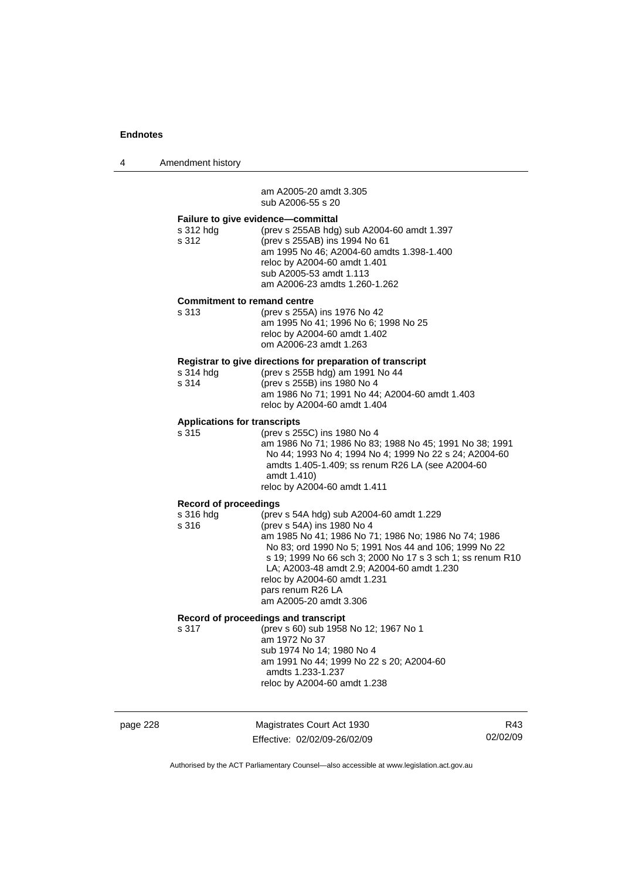4 Amendment history

 am A2005-20 amdt 3.305 sub A2006-55 s 20

| Failure to give evidence-committal<br>(prev s 255AB hdg) sub A2004-60 amdt 1.397<br>s 312 hdg<br>s 312<br>(prev s 255AB) ins 1994 No 61<br>am 1995 No 46; A2004-60 amdts 1.398-1.400<br>reloc by A2004-60 amdt 1.401<br>sub A2005-53 amdt 1.113<br>am A2006-23 amdts 1.260-1.262<br><b>Commitment to remand centre</b><br>(prev s 255A) ins 1976 No 42<br>s 313<br>am 1995 No 41; 1996 No 6; 1998 No 25<br>reloc by A2004-60 amdt 1.402<br>om A2006-23 amdt 1.263<br>Registrar to give directions for preparation of transcript<br>s 314 hdg<br>(prev s 255B hdg) am 1991 No 44<br>s 314<br>(prev s 255B) ins 1980 No 4<br>am 1986 No 71; 1991 No 44; A2004-60 amdt 1.403<br>reloc by A2004-60 amdt 1.404<br><b>Applications for transcripts</b><br>(prev s 255C) ins 1980 No 4<br>s 315<br>amdt 1.410)<br>reloc by A2004-60 amdt 1.411<br><b>Record of proceedings</b><br>s 316 hdg<br>(prev s 54A hdg) sub A2004-60 amdt 1.229<br>s 316<br>(prev s 54A) ins 1980 No 4<br>LA; A2003-48 amdt 2.9; A2004-60 amdt 1.230 |                                                                                                                                                                             |
|-----------------------------------------------------------------------------------------------------------------------------------------------------------------------------------------------------------------------------------------------------------------------------------------------------------------------------------------------------------------------------------------------------------------------------------------------------------------------------------------------------------------------------------------------------------------------------------------------------------------------------------------------------------------------------------------------------------------------------------------------------------------------------------------------------------------------------------------------------------------------------------------------------------------------------------------------------------------------------------------------------------------------|-----------------------------------------------------------------------------------------------------------------------------------------------------------------------------|
|                                                                                                                                                                                                                                                                                                                                                                                                                                                                                                                                                                                                                                                                                                                                                                                                                                                                                                                                                                                                                       |                                                                                                                                                                             |
|                                                                                                                                                                                                                                                                                                                                                                                                                                                                                                                                                                                                                                                                                                                                                                                                                                                                                                                                                                                                                       |                                                                                                                                                                             |
|                                                                                                                                                                                                                                                                                                                                                                                                                                                                                                                                                                                                                                                                                                                                                                                                                                                                                                                                                                                                                       |                                                                                                                                                                             |
|                                                                                                                                                                                                                                                                                                                                                                                                                                                                                                                                                                                                                                                                                                                                                                                                                                                                                                                                                                                                                       | am 1986 No 71; 1986 No 83; 1988 No 45; 1991 No 38; 1991<br>No 44; 1993 No 4; 1994 No 4; 1999 No 22 s 24; A2004-60<br>amdts 1.405-1.409; ss renum R26 LA (see A2004-60       |
|                                                                                                                                                                                                                                                                                                                                                                                                                                                                                                                                                                                                                                                                                                                                                                                                                                                                                                                                                                                                                       |                                                                                                                                                                             |
| reloc by A2004-60 amdt 1.231<br>pars renum R26 LA<br>am A2005-20 amdt 3.306                                                                                                                                                                                                                                                                                                                                                                                                                                                                                                                                                                                                                                                                                                                                                                                                                                                                                                                                           | am 1985 No 41; 1986 No 71; 1986 No; 1986 No 74; 1986<br>No 83; ord 1990 No 5; 1991 Nos 44 and 106; 1999 No 22<br>s 19; 1999 No 66 sch 3; 2000 No 17 s 3 sch 1; ss renum R10 |
| Record of proceedings and transcript<br>(prev s 60) sub 1958 No 12; 1967 No 1<br>s 317<br>am 1972 No 37<br>sub 1974 No 14; 1980 No 4<br>am 1991 No 44; 1999 No 22 s 20; A2004-60<br>amdts 1.233-1.237<br>reloc by A2004-60 amdt 1.238                                                                                                                                                                                                                                                                                                                                                                                                                                                                                                                                                                                                                                                                                                                                                                                 |                                                                                                                                                                             |

| page 228 |  |
|----------|--|
|----------|--|

page 228 Magistrates Court Act 1930 Effective: 02/02/09-26/02/09

R43 02/02/09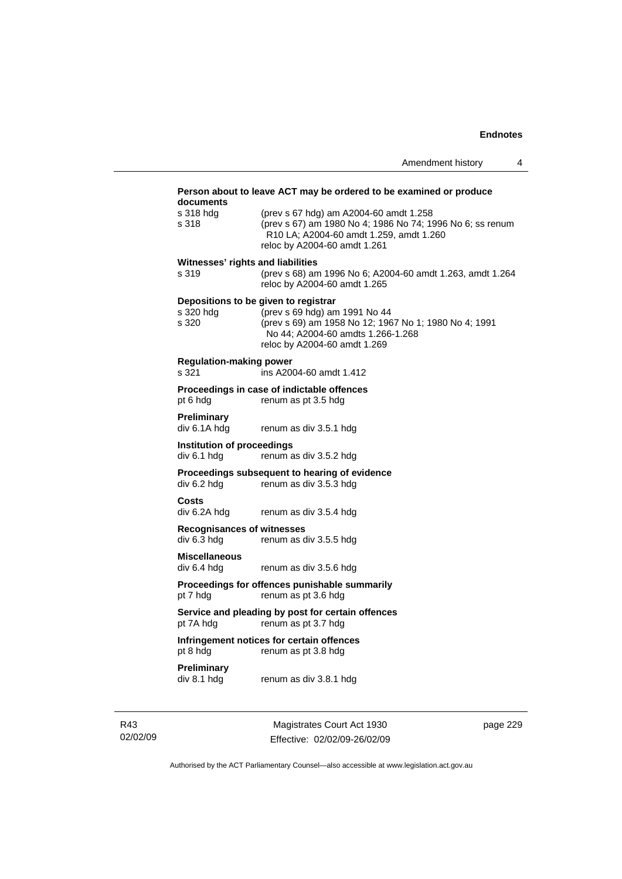| documents                                        | Person about to leave ACT may be ordered to be examined or produce                                                                                                                                  |
|--------------------------------------------------|-----------------------------------------------------------------------------------------------------------------------------------------------------------------------------------------------------|
| s 318 hdg<br>s 318                               | (prev s 67 hdg) am A2004-60 amdt 1.258<br>(prev s 67) am 1980 No 4; 1986 No 74; 1996 No 6; ss renum<br>R10 LA; A2004-60 amdt 1.259, amdt 1.260<br>reloc by A2004-60 amdt 1.261                      |
| Witnesses' rights and liabilities<br>s 319       | (prev s 68) am 1996 No 6; A2004-60 amdt 1.263, amdt 1.264<br>reloc by A2004-60 amdt 1.265                                                                                                           |
| s 320 hdg<br>s 320                               | Depositions to be given to registrar<br>(prev s 69 hdg) am 1991 No 44<br>(prev s 69) am 1958 No 12; 1967 No 1; 1980 No 4; 1991<br>No 44; A2004-60 amdts 1.266-1.268<br>reloc by A2004-60 amdt 1.269 |
| Regulation-making power<br>s 321                 | ins A2004-60 amdt 1.412                                                                                                                                                                             |
| pt 6 hdg                                         | Proceedings in case of indictable offences<br>renum as pt 3.5 hdg                                                                                                                                   |
| Preliminary<br>div 6.1A hdg                      | renum as div 3.5.1 hdg                                                                                                                                                                              |
| Institution of proceedings<br>div 6.1 hdg        | renum as div 3.5.2 hdg                                                                                                                                                                              |
| div 6.2 hdg                                      | Proceedings subsequent to hearing of evidence<br>renum as div 3.5.3 hdg                                                                                                                             |
| Costs<br>div 6.2A hdg                            | renum as div 3.5.4 hdg                                                                                                                                                                              |
| <b>Recognisances of witnesses</b><br>div 6.3 hdg | renum as div 3.5.5 hdg                                                                                                                                                                              |
| <b>Miscellaneous</b><br>div 6.4 hdg              | renum as div 3.5.6 hdg                                                                                                                                                                              |
| pt 7 hdg                                         | Proceedings for offences punishable summarily<br>renum as pt 3.6 hdg                                                                                                                                |
| pt 7A hdg                                        | Service and pleading by post for certain offences<br>renum as pt 3.7 hdg                                                                                                                            |
| pt 8 hdg                                         | Infringement notices for certain offences<br>renum as pt 3.8 hdg                                                                                                                                    |
| Preliminary<br>div 8.1 hdg                       | renum as div 3.8.1 hdg                                                                                                                                                                              |
|                                                  |                                                                                                                                                                                                     |

R43 02/02/09

Magistrates Court Act 1930 Effective: 02/02/09-26/02/09 page 229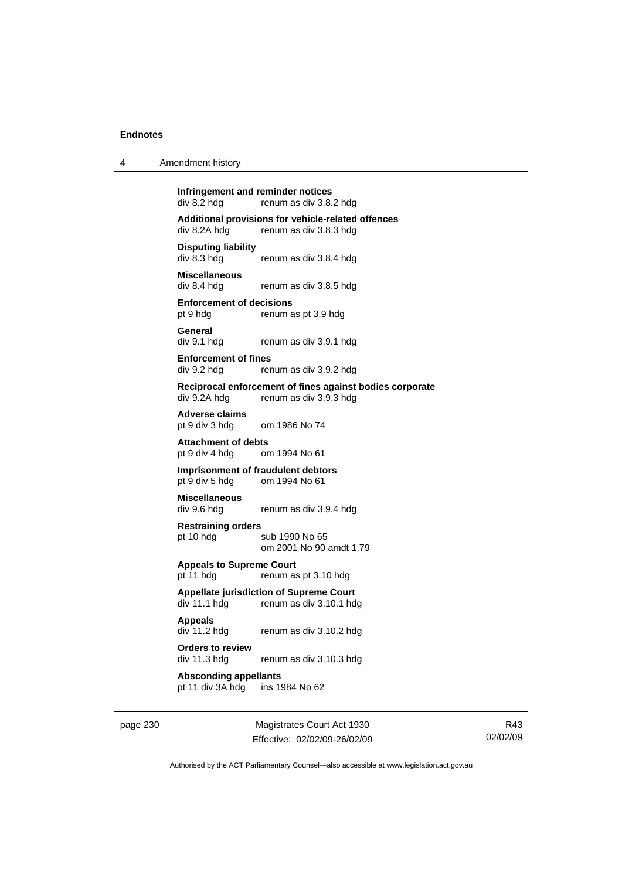| 4 | Amendment history |
|---|-------------------|
|---|-------------------|

**Infringement and reminder notices**<br>div 8.2 hdg renum as div 3.8. renum as div 3.8.2 hdg **Additional provisions for vehicle-related offences**  div 8.2A hdg renum as div 3.8.3 hdg **Disputing liability**  renum as div 3.8.4 hdg

**Miscellaneous**  div 8.4 hdg renum as div 3.8.5 hdg

**Enforcement of decisions**  pt 9 hdg renum as pt 3.9 hdg

**General**  div 9.1 hdg renum as div 3.9.1 hdg

**Enforcement of fines**  div 9.2 hdg renum as div 3.9.2 hdg

**Reciprocal enforcement of fines against bodies corporate**  div 9.2A hdg renum as div 3.9.3 hdg

**Adverse claims**  pt 9 div 3 hdg om 1986 No 74

**Attachment of debts**  pt 9 div 4 hdg om 1994 No 61

**Imprisonment of fraudulent debtors**  pt 9 div 5 hdg om 1994 No 61

**Miscellaneous**  div 9.6 hdg renum as div 3.9.4 hdg

**Restraining orders** 

pt 10 hdg sub 1990 No 65 om 2001 No 90 amdt 1.79

**Appeals to Supreme Court**  pt 11 hdg renum as pt 3.10 hdg

**Appellate jurisdiction of Supreme Court**  div 11.1 hdg renum as div 3.10.1 hdg

**Appeals** 

div 11.2 hdg renum as div 3.10.2 hdg

**Orders to review**  div 11.3 hdg renum as div 3.10.3 hdg

**Absconding appellants**  pt 11 div 3A hdg ins 1984 No 62

page 230 Magistrates Court Act 1930 Effective: 02/02/09-26/02/09

R43 02/02/09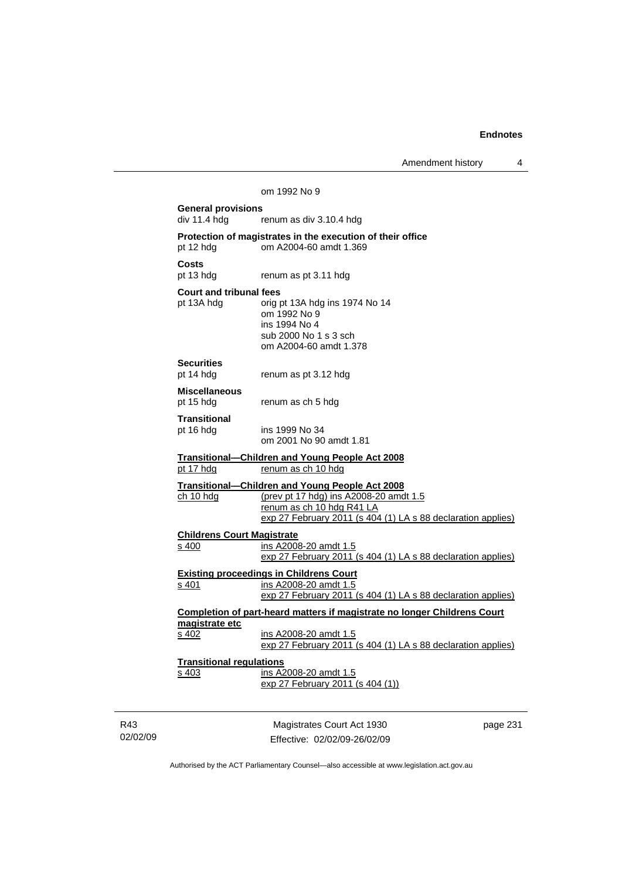Amendment history 4

|                                   | Amendment history                                                                                                                                                                             | 4        |  |  |  |
|-----------------------------------|-----------------------------------------------------------------------------------------------------------------------------------------------------------------------------------------------|----------|--|--|--|
|                                   | om 1992 No 9                                                                                                                                                                                  |          |  |  |  |
|                                   | <b>General provisions</b>                                                                                                                                                                     |          |  |  |  |
| div 11.4 hdg                      | renum as div 3.10.4 hdg                                                                                                                                                                       |          |  |  |  |
| pt 12 hdg                         | Protection of magistrates in the execution of their office<br>om A2004-60 amdt 1.369                                                                                                          |          |  |  |  |
| Costs<br>pt 13 hdg                | renum as pt 3.11 hdg                                                                                                                                                                          |          |  |  |  |
| <b>Court and tribunal fees</b>    |                                                                                                                                                                                               |          |  |  |  |
| pt 13A hdg                        | orig pt 13A hdg ins 1974 No 14<br>om 1992 No 9<br>ins 1994 No 4                                                                                                                               |          |  |  |  |
|                                   | sub 2000 No 1 s 3 sch<br>om A2004-60 amdt 1.378                                                                                                                                               |          |  |  |  |
| <b>Securities</b><br>pt 14 hdg    | renum as pt 3.12 hdg                                                                                                                                                                          |          |  |  |  |
| <b>Miscellaneous</b><br>pt 15 hdg | renum as ch 5 hdg                                                                                                                                                                             |          |  |  |  |
| Transitional                      |                                                                                                                                                                                               |          |  |  |  |
| pt 16 hdg                         | ins 1999 No 34<br>om 2001 No 90 amdt 1.81                                                                                                                                                     |          |  |  |  |
| pt 17 hdg                         | <u><b>Transitional—Children and Young People Act 2008</b></u><br>renum as ch 10 hdg                                                                                                           |          |  |  |  |
| ch 10 hdg                         | <b>Transitional-Children and Young People Act 2008</b><br>(prev pt 17 hdg) ins A2008-20 amdt 1.5<br>renum as ch 10 hdg R41 LA<br>exp 27 February 2011 (s 404 (1) LA s 88 declaration applies) |          |  |  |  |
| <b>Childrens Court Magistrate</b> |                                                                                                                                                                                               |          |  |  |  |
| s 400                             | ins A2008-20 amdt 1.5<br>exp 27 February 2011 (s 404 (1) LA s 88 declaration applies)                                                                                                         |          |  |  |  |
|                                   | <b>Existing proceedings in Childrens Court</b>                                                                                                                                                |          |  |  |  |
| s 401                             | ins A2008-20 amdt 1.5<br>exp 27 February 2011 (s 404 (1) LA s 88 declaration applies)                                                                                                         |          |  |  |  |
|                                   | Completion of part-heard matters if magistrate no longer Childrens Court                                                                                                                      |          |  |  |  |
| magistrate etc<br>s 402           | ins A2008-20 amdt 1.5<br>exp 27 February 2011 (s 404 (1) LA s 88 declaration applies)                                                                                                         |          |  |  |  |
| <b>Transitional regulations</b>   |                                                                                                                                                                                               |          |  |  |  |
| s 403                             | ins A2008-20 amdt 1.5<br>exp 27 February 2011 (s 404 (1))                                                                                                                                     |          |  |  |  |
|                                   |                                                                                                                                                                                               |          |  |  |  |
|                                   | Magistrates Court Act 1930                                                                                                                                                                    | page 231 |  |  |  |

Authorised by the ACT Parliamentary Counsel—also accessible at www.legislation.act.gov.au

Effective: 02/02/09-26/02/09

R43 02/02/09

J.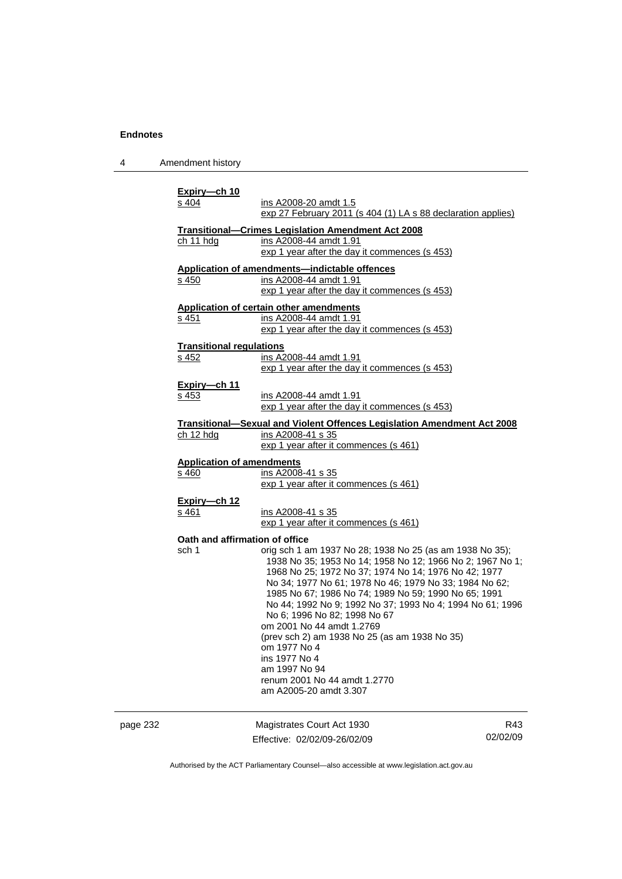4 Amendment history

| Expiry-ch 10<br>s 404                     | ins A2008-20 amdt 1.5<br>exp 27 February 2011 (s 404 (1) LA s 88 declaration applies)                                                                                                                                                                                                                                                                                                                                                                                                                                                                                                  |     |
|-------------------------------------------|----------------------------------------------------------------------------------------------------------------------------------------------------------------------------------------------------------------------------------------------------------------------------------------------------------------------------------------------------------------------------------------------------------------------------------------------------------------------------------------------------------------------------------------------------------------------------------------|-----|
| ch 11 hdg                                 | <b>Transitional-Crimes Legislation Amendment Act 2008</b><br>ins A2008-44 amdt 1.91<br>exp 1 year after the day it commences (s 453)                                                                                                                                                                                                                                                                                                                                                                                                                                                   |     |
| s 450                                     | Application of amendments-indictable offences<br>ins A2008-44 amdt 1.91<br>exp 1 year after the day it commences (s 453)                                                                                                                                                                                                                                                                                                                                                                                                                                                               |     |
| s 451                                     | Application of certain other amendments<br>ins A2008-44 amdt 1.91<br>exp 1 year after the day it commences (s 453)                                                                                                                                                                                                                                                                                                                                                                                                                                                                     |     |
| <b>Transitional regulations</b><br>s 452  | ins A2008-44 amdt 1.91<br>exp 1 year after the day it commences (s 453)                                                                                                                                                                                                                                                                                                                                                                                                                                                                                                                |     |
| Expiry-ch 11<br>s 453                     | ins A2008-44 amdt 1.91<br>exp 1 year after the day it commences (s 453)                                                                                                                                                                                                                                                                                                                                                                                                                                                                                                                |     |
| ch 12 hdg                                 | <u><b>Transitional-Sexual and Violent Offences Legislation Amendment Act 2008</b></u><br>ins A2008-41 s 35<br>exp 1 year after it commences (s 461)                                                                                                                                                                                                                                                                                                                                                                                                                                    |     |
| <b>Application of amendments</b><br>s 460 | ins A2008-41 s 35<br>exp 1 year after it commences (s 461)                                                                                                                                                                                                                                                                                                                                                                                                                                                                                                                             |     |
| Expiry-ch 12<br>s 461                     | ins A2008-41 s 35<br>exp 1 year after it commences (s 461)                                                                                                                                                                                                                                                                                                                                                                                                                                                                                                                             |     |
| Oath and affirmation of office<br>sch 1   | orig sch 1 am 1937 No 28; 1938 No 25 (as am 1938 No 35);<br>1938 No 35; 1953 No 14; 1958 No 12; 1966 No 2; 1967 No 1;<br>1968 No 25; 1972 No 37; 1974 No 14; 1976 No 42; 1977<br>No 34; 1977 No 61; 1978 No 46; 1979 No 33; 1984 No 62;<br>1985 No 67; 1986 No 74; 1989 No 59; 1990 No 65; 1991<br>No 44; 1992 No 9; 1992 No 37; 1993 No 4; 1994 No 61; 1996<br>No 6; 1996 No 82; 1998 No 67<br>om 2001 No 44 amdt 1.2769<br>(prev sch 2) am 1938 No 25 (as am 1938 No 35)<br>om 1977 No 4<br>ins 1977 No 4<br>am 1997 No 94<br>renum 2001 No 44 amdt 1.2770<br>am A2005-20 amdt 3.307 |     |
|                                           | Magistrates Court Act 1930                                                                                                                                                                                                                                                                                                                                                                                                                                                                                                                                                             | R43 |

| page 232 | Magistrates Court Act 1930   | R43      |
|----------|------------------------------|----------|
|          | Effective: 02/02/09-26/02/09 | 02/02/09 |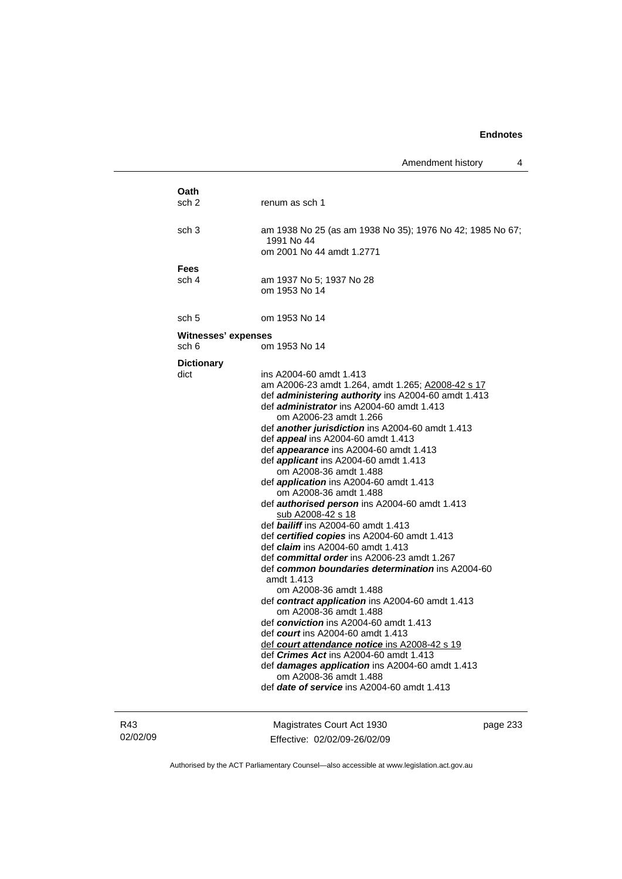| Oath<br>sch 2              | renum as sch 1                                                                                          |
|----------------------------|---------------------------------------------------------------------------------------------------------|
|                            |                                                                                                         |
| sch 3                      | am 1938 No 25 (as am 1938 No 35); 1976 No 42; 1985 No 67;                                               |
|                            | 1991 No 44                                                                                              |
|                            | om 2001 No 44 amdt 1.2771                                                                               |
| <b>Fees</b>                |                                                                                                         |
| sch 4                      | am 1937 No 5; 1937 No 28                                                                                |
|                            | om 1953 No 14                                                                                           |
| sch 5                      | om 1953 No 14                                                                                           |
| <b>Witnesses' expenses</b> |                                                                                                         |
| sch 6                      | om 1953 No 14                                                                                           |
|                            |                                                                                                         |
| <b>Dictionary</b><br>dict  | ins A2004-60 amdt 1.413                                                                                 |
|                            | am A2006-23 amdt 1.264, amdt 1.265; A2008-42 s 17                                                       |
|                            | def administering authority ins A2004-60 amdt 1.413                                                     |
|                            | def <i>administrator</i> ins A2004-60 amdt 1.413                                                        |
|                            | om A2006-23 amdt 1.266                                                                                  |
|                            | def another jurisdiction ins A2004-60 amdt 1.413                                                        |
|                            | def appeal ins A2004-60 amdt 1.413                                                                      |
|                            | def <i>appearance</i> ins A2004-60 amdt 1.413                                                           |
|                            | def <i>applicant</i> ins A2004-60 amdt 1.413                                                            |
|                            | om A2008-36 amdt 1.488                                                                                  |
|                            | def <i>application</i> ins A2004-60 amdt 1.413                                                          |
|                            | om A2008-36 amdt 1.488                                                                                  |
|                            | def <b>authorised person</b> ins A2004-60 amdt 1.413                                                    |
|                            | <u>sub A2008-42 s 18</u>                                                                                |
|                            | def bailiff ins A2004-60 amdt 1.413                                                                     |
|                            | def certified copies ins A2004-60 amdt 1.413                                                            |
|                            | def <i>claim</i> ins A2004-60 amdt 1.413                                                                |
|                            | def committal order ins A2006-23 amdt 1.267                                                             |
|                            | def common boundaries determination ins A2004-60                                                        |
|                            | amdt 1.413                                                                                              |
|                            | om A2008-36 amdt 1.488                                                                                  |
|                            | def contract application ins A2004-60 amdt 1.413                                                        |
|                            | om A2008-36 amdt 1.488                                                                                  |
|                            | def conviction ins $A2004-60$ amdt 1.413                                                                |
|                            | def <i>court</i> ins A2004-60 amdt 1.413                                                                |
|                            | def court attendance notice ins A2008-42 s 19                                                           |
|                            | def <i>Crimes Act</i> ins A2004-60 amdt 1.413<br>def <b>damages application</b> ins A2004-60 amdt 1.413 |
|                            | om A2008-36 amdt 1.488                                                                                  |
|                            | def date of service ins A2004-60 amdt 1.413                                                             |
|                            |                                                                                                         |
|                            |                                                                                                         |

R43 02/02/09

Magistrates Court Act 1930 Effective: 02/02/09-26/02/09 page 233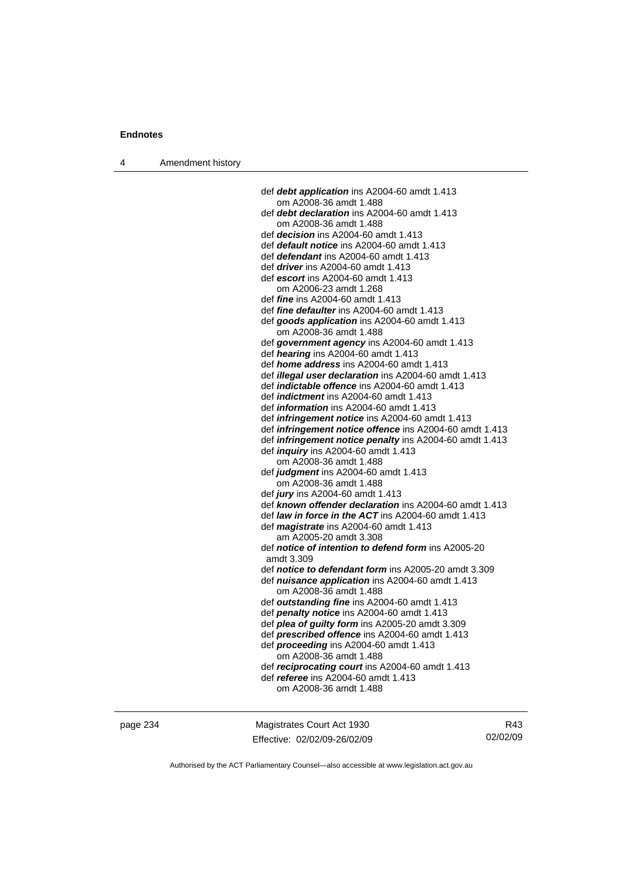4 Amendment history

 def *debt application* ins A2004-60 amdt 1.413 om A2008-36 amdt 1.488 def *debt declaration* ins A2004-60 amdt 1.413 om A2008-36 amdt 1.488 def *decision* ins A2004-60 amdt 1.413 def *default notice* ins A2004-60 amdt 1.413 def *defendant* ins A2004-60 amdt 1.413 def *driver* ins A2004-60 amdt 1.413 def *escort* ins A2004-60 amdt 1.413 om A2006-23 amdt 1.268 def *fine* ins A2004-60 amdt 1.413 def *fine defaulter* ins A2004-60 amdt 1.413 def *goods application* ins A2004-60 amdt 1.413 om A2008-36 amdt 1.488 def *government agency* ins A2004-60 amdt 1.413 def *hearing* ins A2004-60 amdt 1.413 def *home address* ins A2004-60 amdt 1.413 def *illegal user declaration* ins A2004-60 amdt 1.413 def *indictable offence* ins A2004-60 amdt 1.413 def *indictment* ins A2004-60 amdt 1.413 def *information* ins A2004-60 amdt 1.413 def *infringement notice* ins A2004-60 amdt 1.413 def *infringement notice offence* ins A2004-60 amdt 1.413 def *infringement notice penalty* ins A2004-60 amdt 1.413 def *inquiry* ins A2004-60 amdt 1.413 om A2008-36 amdt 1.488 def *judgment* ins A2004-60 amdt 1.413 om A2008-36 amdt 1.488 def *jury* ins A2004-60 amdt 1.413 def *known offender declaration* ins A2004-60 amdt 1.413 def *law in force in the ACT* ins A2004-60 amdt 1.413 def *magistrate* ins A2004-60 amdt 1.413 am A2005-20 amdt 3.308 def *notice of intention to defend form* ins A2005-20 amdt 3.309 def *notice to defendant form* ins A2005-20 amdt 3.309 def *nuisance application* ins A2004-60 amdt 1.413 om A2008-36 amdt 1.488 def *outstanding fine* ins A2004-60 amdt 1.413 def *penalty notice* ins A2004-60 amdt 1.413 def *plea of guilty form* ins A2005-20 amdt 3.309 def *prescribed offence* ins A2004-60 amdt 1.413 def *proceeding* ins A2004-60 amdt 1.413 om A2008-36 amdt 1.488 def *reciprocating court* ins A2004-60 amdt 1.413 def *referee* ins A2004-60 amdt 1.413 om A2008-36 amdt 1.488

page 234 Magistrates Court Act 1930 Effective: 02/02/09-26/02/09

R43 02/02/09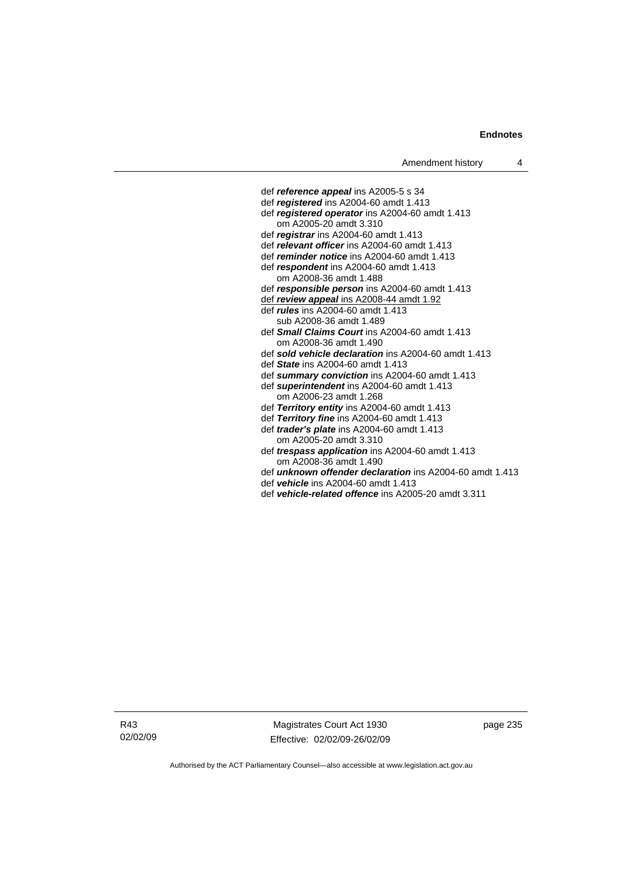def *reference appeal* ins A2005-5 s 34 def *registered* ins A2004-60 amdt 1.413 def *registered operator* ins A2004-60 amdt 1.413 om A2005-20 amdt 3.310 def *registrar* ins A2004-60 amdt 1.413 def *relevant officer* ins A2004-60 amdt 1.413 def *reminder notice* ins A2004-60 amdt 1.413 def *respondent* ins A2004-60 amdt 1.413 om A2008-36 amdt 1.488 def *responsible person* ins A2004-60 amdt 1.413 def *review appeal* ins A2008-44 amdt 1.92 def *rules* ins A2004-60 amdt 1.413 sub A2008-36 amdt 1.489 def *Small Claims Court* ins A2004-60 amdt 1.413 om A2008-36 amdt 1.490 def *sold vehicle declaration* ins A2004-60 amdt 1.413 def *State* ins A2004-60 amdt 1.413 def *summary conviction* ins A2004-60 amdt 1.413 def *superintendent* ins A2004-60 amdt 1.413 om A2006-23 amdt 1.268 def *Territory entity* ins A2004-60 amdt 1.413 def *Territory fine* ins A2004-60 amdt 1.413 def *trader's plate* ins A2004-60 amdt 1.413 om A2005-20 amdt 3.310 def *trespass application* ins A2004-60 amdt 1.413 om A2008-36 amdt 1.490

- def *unknown offender declaration* ins A2004-60 amdt 1.413
- def *vehicle* ins A2004-60 amdt 1.413
- def *vehicle-related offence* ins A2005-20 amdt 3.311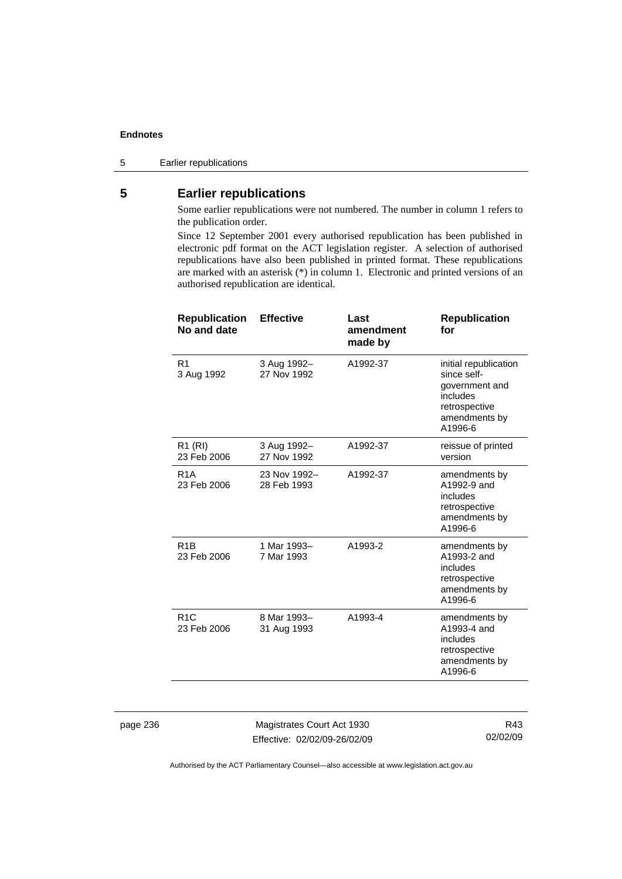5 Earlier republications

# **5 Earlier republications**

Some earlier republications were not numbered. The number in column 1 refers to the publication order.

Since 12 September 2001 every authorised republication has been published in electronic pdf format on the ACT legislation register. A selection of authorised republications have also been published in printed format. These republications are marked with an asterisk (\*) in column 1. Electronic and printed versions of an authorised republication are identical.

| <b>Effective</b>            | Last<br>amendment<br>made by | <b>Republication</b><br>for                                                                                     |
|-----------------------------|------------------------------|-----------------------------------------------------------------------------------------------------------------|
| 3 Aug 1992-<br>27 Nov 1992  | A1992-37                     | initial republication<br>since self-<br>government and<br>includes<br>retrospective<br>amendments by<br>A1996-6 |
| 3 Aug 1992-<br>27 Nov 1992  | A1992-37                     | reissue of printed<br>version                                                                                   |
| 23 Nov 1992-<br>28 Feb 1993 | A1992-37                     | amendments by<br>A1992-9 and<br>includes<br>retrospective<br>amendments by<br>A1996-6                           |
| 1 Mar 1993-<br>7 Mar 1993   | A1993-2                      | amendments by<br>A1993-2 and<br>includes<br>retrospective<br>amendments by<br>A1996-6                           |
| 8 Mar 1993-<br>31 Aug 1993  | A1993-4                      | amendments by<br>A1993-4 and<br>includes<br>retrospective<br>amendments by<br>A1996-6                           |
|                             |                              |                                                                                                                 |

page 236 Magistrates Court Act 1930 Effective: 02/02/09-26/02/09

R43 02/02/09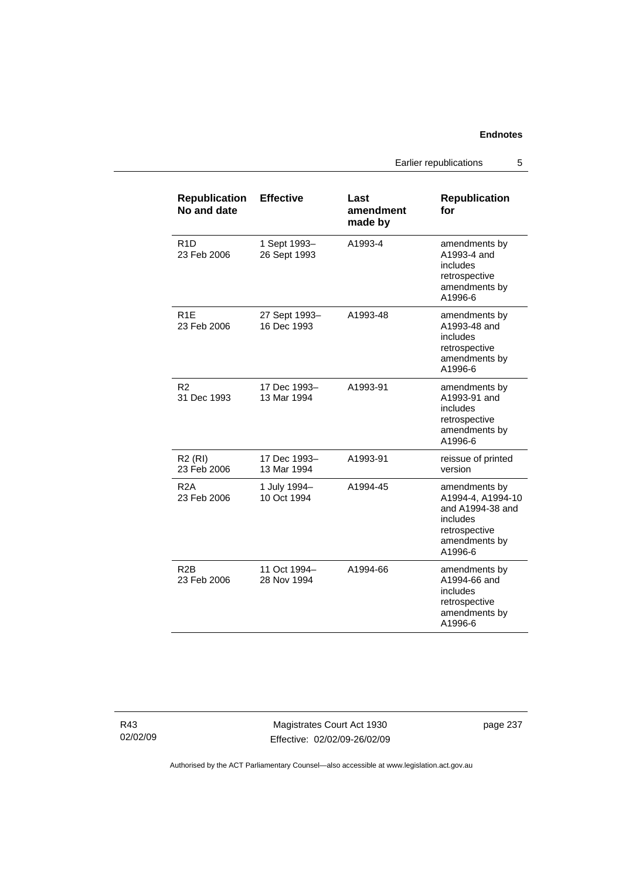Earlier republications 5

| <b>Republication</b><br>No and date | <b>Effective</b>             | Last<br>amendment<br>made by | <b>Republication</b><br>for                                                                                     |
|-------------------------------------|------------------------------|------------------------------|-----------------------------------------------------------------------------------------------------------------|
| R <sub>1</sub> D<br>23 Feb 2006     | 1 Sept 1993-<br>26 Sept 1993 | A1993-4                      | amendments by<br>A1993-4 and<br>includes<br>retrospective<br>amendments by<br>A1996-6                           |
| R <sub>1</sub> E<br>23 Feb 2006     | 27 Sept 1993-<br>16 Dec 1993 | A1993-48                     | amendments by<br>A1993-48 and<br>includes<br>retrospective<br>amendments by<br>A1996-6                          |
| R2<br>31 Dec 1993                   | 17 Dec 1993-<br>13 Mar 1994  | A1993-91                     | amendments by<br>A1993-91 and<br>includes<br>retrospective<br>amendments by<br>A1996-6                          |
| $R2$ (RI)<br>23 Feb 2006            | 17 Dec 1993–<br>13 Mar 1994  | A1993-91                     | reissue of printed<br>version                                                                                   |
| R <sub>2</sub> A<br>23 Feb 2006     | 1 July 1994-<br>10 Oct 1994  | A1994-45                     | amendments by<br>A1994-4, A1994-10<br>and A1994-38 and<br>includes<br>retrospective<br>amendments by<br>A1996-6 |
| R <sub>2</sub> B<br>23 Feb 2006     | 11 Oct 1994-<br>28 Nov 1994  | A1994-66                     | amendments by<br>A1994-66 and<br>includes<br>retrospective<br>amendments by<br>A1996-6                          |

R43 02/02/09

Magistrates Court Act 1930 Effective: 02/02/09-26/02/09 page 237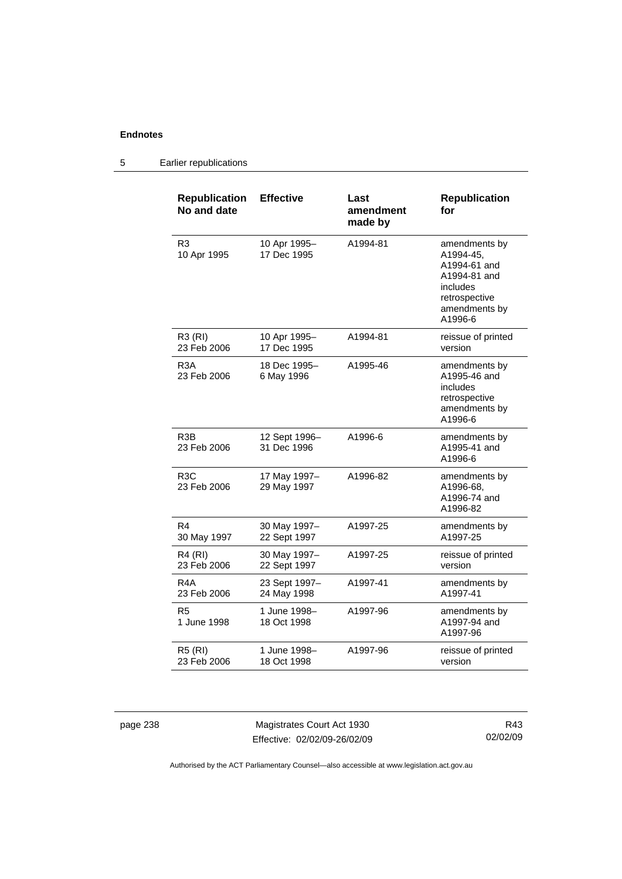| <b>Republication</b><br>No and date | <b>Effective</b>             | Last<br>amendment<br>made by | <b>Republication</b><br>for                                                                                         |
|-------------------------------------|------------------------------|------------------------------|---------------------------------------------------------------------------------------------------------------------|
| R <sub>3</sub><br>10 Apr 1995       | 10 Apr 1995-<br>17 Dec 1995  | A1994-81                     | amendments by<br>A1994-45,<br>A1994-61 and<br>A1994-81 and<br>includes<br>retrospective<br>amendments by<br>A1996-6 |
| R3 (RI)<br>23 Feb 2006              | 10 Apr 1995-<br>17 Dec 1995  | A1994-81                     | reissue of printed<br>version                                                                                       |
| R3A<br>23 Feb 2006                  | 18 Dec 1995-<br>6 May 1996   | A1995-46                     | amendments by<br>A1995-46 and<br>includes<br>retrospective<br>amendments by<br>A1996-6                              |
| R <sub>3</sub> B<br>23 Feb 2006     | 12 Sept 1996-<br>31 Dec 1996 | A1996-6                      | amendments by<br>A1995-41 and<br>A1996-6                                                                            |
| R <sub>3</sub> C<br>23 Feb 2006     | 17 May 1997-<br>29 May 1997  | A1996-82                     | amendments by<br>A1996-68,<br>A1996-74 and<br>A1996-82                                                              |
| R4<br>30 May 1997                   | 30 May 1997-<br>22 Sept 1997 | A1997-25                     | amendments by<br>A1997-25                                                                                           |
| R4 (RI)<br>23 Feb 2006              | 30 May 1997-<br>22 Sept 1997 | A1997-25                     | reissue of printed<br>version                                                                                       |
| R4A<br>23 Feb 2006                  | 23 Sept 1997-<br>24 May 1998 | A1997-41                     | amendments by<br>A1997-41                                                                                           |
| R5<br>1 June 1998                   | 1 June 1998-<br>18 Oct 1998  | A1997-96                     | amendments by<br>A1997-94 and<br>A1997-96                                                                           |
| <b>R5 (RI)</b><br>23 Feb 2006       | 1 June 1998–<br>18 Oct 1998  | A1997-96                     | reissue of printed<br>version                                                                                       |

### 5 Earlier republications

page 238 Magistrates Court Act 1930 Effective: 02/02/09-26/02/09

R43 02/02/09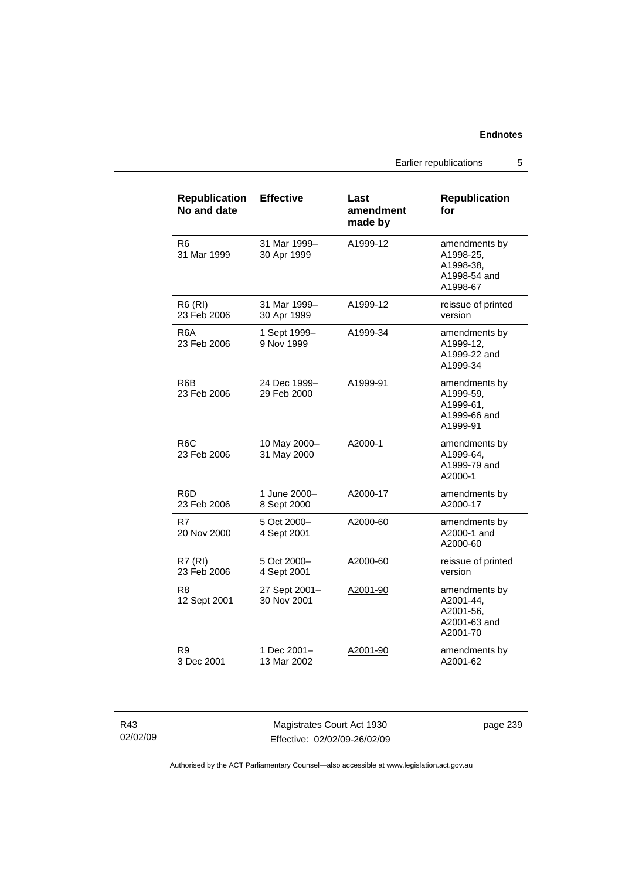Earlier republications 5

| <b>Republication</b><br>No and date | <b>Effective</b>             | Last<br>amendment<br>made by | <b>Republication</b><br>for                                         |
|-------------------------------------|------------------------------|------------------------------|---------------------------------------------------------------------|
| R6<br>31 Mar 1999                   | 31 Mar 1999-<br>30 Apr 1999  | A1999-12                     | amendments by<br>A1998-25,<br>A1998-38.<br>A1998-54 and<br>A1998-67 |
| R6 (RI)<br>23 Feb 2006              | 31 Mar 1999-<br>30 Apr 1999  | A1999-12                     | reissue of printed<br>version                                       |
| R6A<br>23 Feb 2006                  | 1 Sept 1999-<br>9 Nov 1999   | A1999-34                     | amendments by<br>A1999-12.<br>A1999-22 and<br>A1999-34              |
| R6B<br>23 Feb 2006                  | 24 Dec 1999-<br>29 Feb 2000  | A1999-91                     | amendments by<br>A1999-59,<br>A1999-61,<br>A1999-66 and<br>A1999-91 |
| R <sub>6</sub> C<br>23 Feb 2006     | 10 May 2000-<br>31 May 2000  | A2000-1                      | amendments by<br>A1999-64,<br>A1999-79 and<br>A2000-1               |
| R6D<br>23 Feb 2006                  | 1 June 2000-<br>8 Sept 2000  | A2000-17                     | amendments by<br>A2000-17                                           |
| R7<br>20 Nov 2000                   | 5 Oct 2000-<br>4 Sept 2001   | A2000-60                     | amendments by<br>A2000-1 and<br>A2000-60                            |
| <b>R7 (RI)</b><br>23 Feb 2006       | 5 Oct 2000-<br>4 Sept 2001   | A2000-60                     | reissue of printed<br>version                                       |
| R <sub>8</sub><br>12 Sept 2001      | 27 Sept 2001-<br>30 Nov 2001 | A2001-90                     | amendments by<br>A2001-44,<br>A2001-56,<br>A2001-63 and<br>A2001-70 |
| R9<br>3 Dec 2001                    | 1 Dec 2001-<br>13 Mar 2002   | A2001-90                     | amendments by<br>A2001-62                                           |

R43 02/02/09

Magistrates Court Act 1930 Effective: 02/02/09-26/02/09 page 239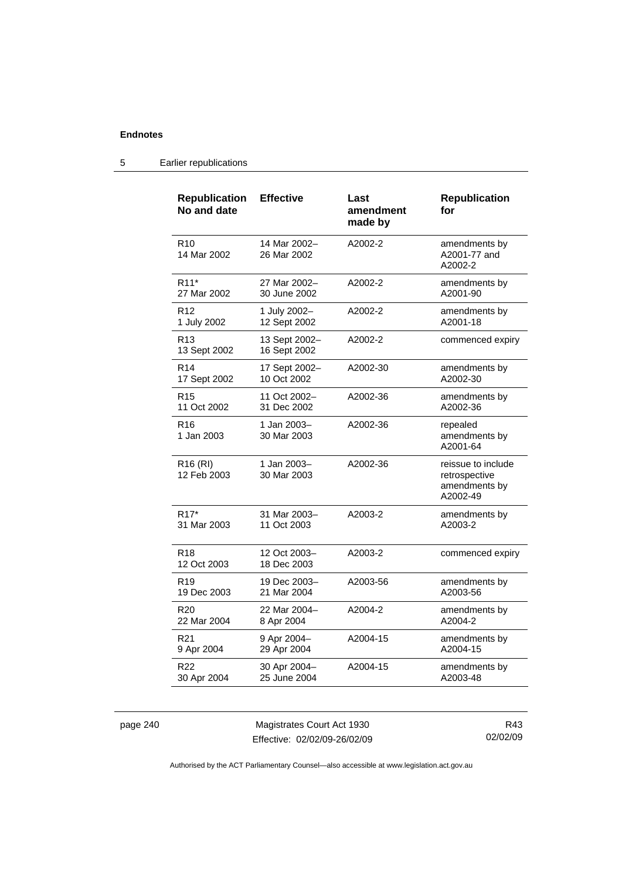| <b>Republication</b><br>No and date | <b>Effective</b>              | Last<br>amendment<br>made by | <b>Republication</b><br>for                                      |
|-------------------------------------|-------------------------------|------------------------------|------------------------------------------------------------------|
| R <sub>10</sub><br>14 Mar 2002      | 14 Mar 2002-<br>26 Mar 2002   | A2002-2                      | amendments by<br>A2001-77 and<br>A2002-2                         |
| R <sub>11</sub> *                   | 27 Mar 2002-                  | A2002-2                      | amendments by                                                    |
| 27 Mar 2002                         | 30 June 2002                  |                              | A2001-90                                                         |
| R <sub>12</sub>                     | 1 July 2002-                  | A2002-2                      | amendments by                                                    |
| 1 July 2002                         | 12 Sept 2002                  |                              | A2001-18                                                         |
| R <sub>13</sub><br>13 Sept 2002     | 13 Sept 2002-<br>16 Sept 2002 | A2002-2                      | commenced expiry                                                 |
| R <sub>14</sub>                     | 17 Sept 2002-                 | A2002-30                     | amendments by                                                    |
| 17 Sept 2002                        | 10 Oct 2002                   |                              | A2002-30                                                         |
| R <sub>15</sub>                     | 11 Oct 2002-                  | A2002-36                     | amendments by                                                    |
| 11 Oct 2002                         | 31 Dec 2002                   |                              | A2002-36                                                         |
| R <sub>16</sub><br>1 Jan 2003       | 1 Jan 2003-<br>30 Mar 2003    | A2002-36                     | repealed<br>amendments by<br>A2001-64                            |
| R <sub>16</sub> (RI)<br>12 Feb 2003 | 1 Jan 2003-<br>30 Mar 2003    | A2002-36                     | reissue to include<br>retrospective<br>amendments by<br>A2002-49 |
| $R17*$                              | 31 Mar 2003-                  | A2003-2                      | amendments by                                                    |
| 31 Mar 2003                         | 11 Oct 2003                   |                              | A2003-2                                                          |
| R <sub>18</sub><br>12 Oct 2003      | 12 Oct 2003-<br>18 Dec 2003   | A2003-2                      | commenced expiry                                                 |
| R <sub>19</sub>                     | 19 Dec 2003-                  | A2003-56                     | amendments by                                                    |
| 19 Dec 2003                         | 21 Mar 2004                   |                              | A2003-56                                                         |
| R <sub>20</sub>                     | 22 Mar 2004-                  | A2004-2                      | amendments by                                                    |
| 22 Mar 2004                         | 8 Apr 2004                    |                              | A2004-2                                                          |
| R <sub>21</sub>                     | 9 Apr 2004-                   | A2004-15                     | amendments by                                                    |
| 9 Apr 2004                          | 29 Apr 2004                   |                              | A2004-15                                                         |
| R22                                 | 30 Apr 2004-                  | A2004-15                     | amendments by                                                    |
| 30 Apr 2004                         | 25 June 2004                  |                              | A2003-48                                                         |

### 5 Earlier republications

page 240 Magistrates Court Act 1930 Effective: 02/02/09-26/02/09

R43 02/02/09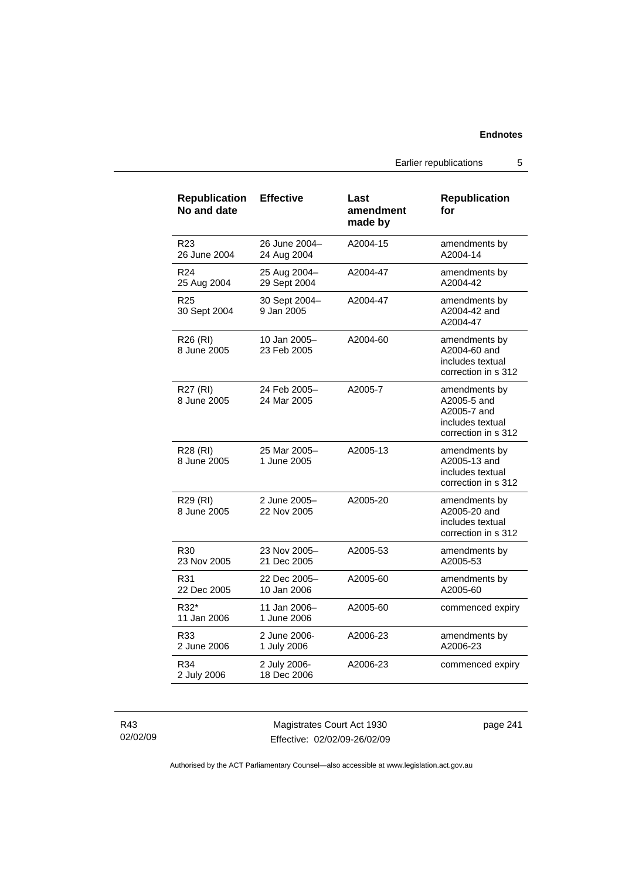Earlier republications 5

| <b>Republication</b><br>No and date | <b>Effective</b>             | Last<br>amendment<br>made by | <b>Republication</b><br>for                                                            |
|-------------------------------------|------------------------------|------------------------------|----------------------------------------------------------------------------------------|
| R23<br>26 June 2004                 | 26 June 2004-<br>24 Aug 2004 | A2004-15                     | amendments by<br>A2004-14                                                              |
| R <sub>24</sub><br>25 Aug 2004      | 25 Aug 2004-<br>29 Sept 2004 | A2004-47                     | amendments by<br>A2004-42                                                              |
| R <sub>25</sub><br>30 Sept 2004     | 30 Sept 2004-<br>9 Jan 2005  | A2004-47                     | amendments by<br>A2004-42 and<br>A2004-47                                              |
| R <sub>26</sub> (RI)<br>8 June 2005 | 10 Jan 2005-<br>23 Feb 2005  | A2004-60                     | amendments by<br>A2004-60 and<br>includes textual<br>correction in s 312               |
| R27 (RI)<br>8 June 2005             | 24 Feb 2005-<br>24 Mar 2005  | A2005-7                      | amendments by<br>A2005-5 and<br>A2005-7 and<br>includes textual<br>correction in s 312 |
| R28 (RI)<br>8 June 2005             | 25 Mar 2005-<br>1 June 2005  | A2005-13                     | amendments by<br>A2005-13 and<br>includes textual<br>correction in s 312               |
| R <sub>29</sub> (RI)<br>8 June 2005 | 2 June 2005-<br>22 Nov 2005  | A2005-20                     | amendments by<br>A2005-20 and<br>includes textual<br>correction in s 312               |
| R30<br>23 Nov 2005                  | 23 Nov 2005-<br>21 Dec 2005  | A2005-53                     | amendments by<br>A2005-53                                                              |
| R31<br>22 Dec 2005                  | 22 Dec 2005-<br>10 Jan 2006  | A2005-60                     | amendments by<br>A2005-60                                                              |
| R32*<br>11 Jan 2006                 | 11 Jan 2006-<br>1 June 2006  | A2005-60                     | commenced expiry                                                                       |
| R33<br>2 June 2006                  | 2 June 2006-<br>1 July 2006  | A2006-23                     | amendments by<br>A2006-23                                                              |
| R34<br>2 July 2006                  | 2 July 2006-<br>18 Dec 2006  | A2006-23                     | commenced expiry                                                                       |

R43 02/02/09

Magistrates Court Act 1930 Effective: 02/02/09-26/02/09 page 241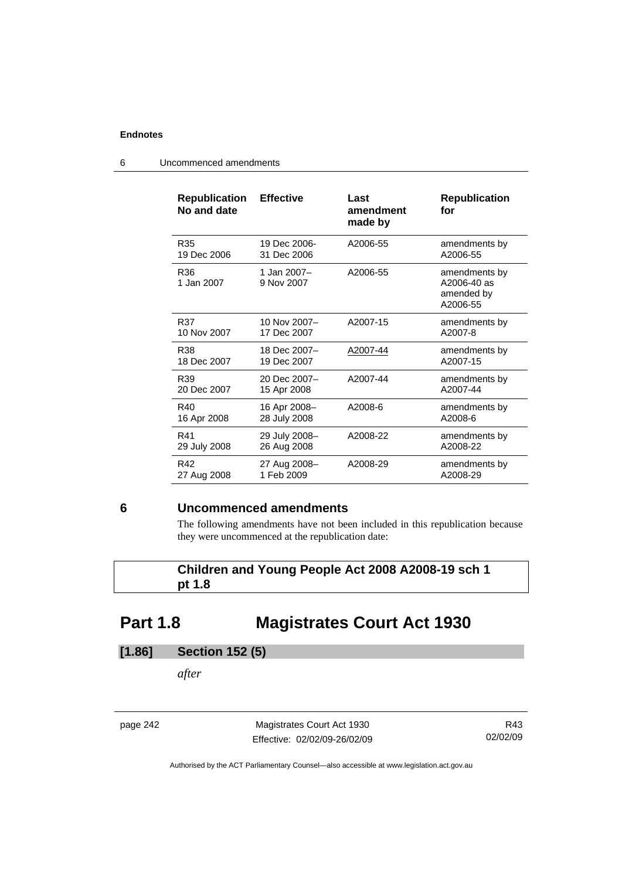| <b>Republication</b><br>No and date | <b>Effective</b>          | Last<br>amendment<br>made by | <b>Republication</b><br>for                            |
|-------------------------------------|---------------------------|------------------------------|--------------------------------------------------------|
| R35                                 | 19 Dec 2006-              | A2006-55                     | amendments by                                          |
| 19 Dec 2006                         | 31 Dec 2006               |                              | A2006-55                                               |
| R36<br>1 Jan 2007                   | 1 Jan 2007-<br>9 Nov 2007 | A2006-55                     | amendments by<br>A2006-40 as<br>amended by<br>A2006-55 |
| R37                                 | 10 Nov 2007-              | A2007-15                     | amendments by                                          |
| 10 Nov 2007                         | 17 Dec 2007               |                              | A2007-8                                                |
| R38                                 | 18 Dec 2007-              | A2007-44                     | amendments by                                          |
| 18 Dec 2007                         | 19 Dec 2007               |                              | A2007-15                                               |
| R <sub>39</sub>                     | 20 Dec 2007-              | A2007-44                     | amendments by                                          |
| 20 Dec 2007                         | 15 Apr 2008               |                              | A2007-44                                               |
| R40                                 | 16 Apr 2008-              | A2008-6                      | amendments by                                          |
| 16 Apr 2008                         | 28 July 2008              |                              | A2008-6                                                |
| R41                                 | 29 July 2008-             | A2008-22                     | amendments by                                          |
| 29 July 2008                        | 26 Aug 2008               |                              | A2008-22                                               |
| R42                                 | 27 Aug 2008-              | A2008-29                     | amendments by                                          |
| 27 Aug 2008                         | 1 Feb 2009                |                              | A2008-29                                               |

6 Uncommenced amendments

### **6 Uncommenced amendments**

The following amendments have not been included in this republication because they were uncommenced at the republication date:

### **Children and Young People Act 2008 A2008-19 sch 1 pt 1.8**

# **Part 1.8 Magistrates Court Act 1930**

## **[1.86] Section 152 (5)**

*after* 

page 242 Magistrates Court Act 1930 Effective: 02/02/09-26/02/09

R43 02/02/09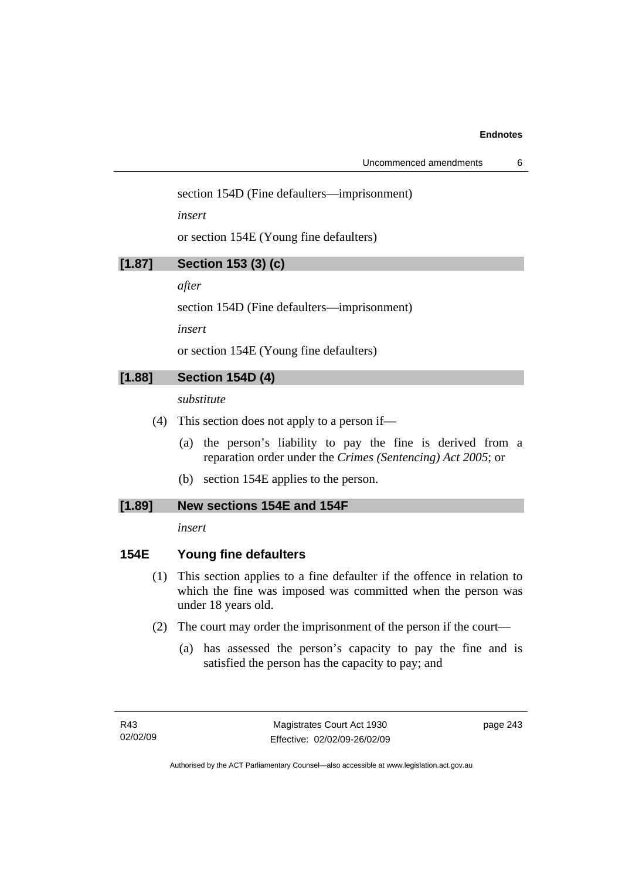section 154D (Fine defaulters—imprisonment)

*insert* 

or section 154E (Young fine defaulters)

| <b>Section 153 (3) (c)</b><br>[1.87] |  |  |
|--------------------------------------|--|--|
|--------------------------------------|--|--|

*after* 

section 154D (Fine defaulters—imprisonment)

*insert* 

or section 154E (Young fine defaulters)

### **[1.88] Section 154D (4)**

*substitute* 

- (4) This section does not apply to a person if—
	- (a) the person's liability to pay the fine is derived from a reparation order under the *Crimes (Sentencing) Act 2005*; or
	- (b) section 154E applies to the person.

### **[1.89] New sections 154E and 154F**

*insert* 

### **154E Young fine defaulters**

- (1) This section applies to a fine defaulter if the offence in relation to which the fine was imposed was committed when the person was under 18 years old.
- (2) The court may order the imprisonment of the person if the court—
	- (a) has assessed the person's capacity to pay the fine and is satisfied the person has the capacity to pay; and

page 243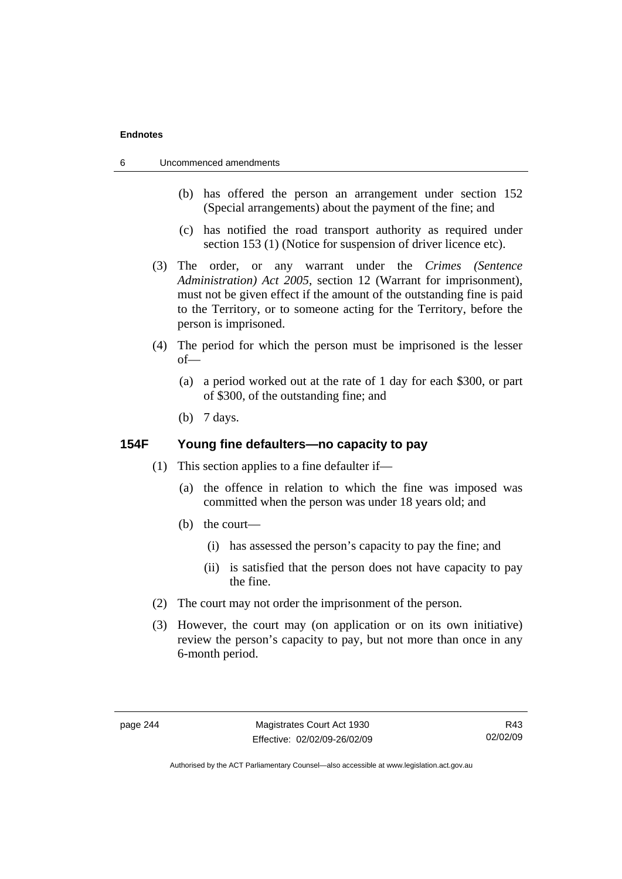- 6 Uncommenced amendments
	- (b) has offered the person an arrangement under section 152 (Special arrangements) about the payment of the fine; and
	- (c) has notified the road transport authority as required under section 153 (1) (Notice for suspension of driver licence etc).
	- (3) The order, or any warrant under the *Crimes (Sentence Administration) Act 2005*, section 12 (Warrant for imprisonment), must not be given effect if the amount of the outstanding fine is paid to the Territory, or to someone acting for the Territory, before the person is imprisoned.
	- (4) The period for which the person must be imprisoned is the lesser of—
		- (a) a period worked out at the rate of 1 day for each \$300, or part of \$300, of the outstanding fine; and
		- (b) 7 days.

### **154F Young fine defaulters—no capacity to pay**

- (1) This section applies to a fine defaulter if—
	- (a) the offence in relation to which the fine was imposed was committed when the person was under 18 years old; and
	- (b) the court—
		- (i) has assessed the person's capacity to pay the fine; and
		- (ii) is satisfied that the person does not have capacity to pay the fine.
- (2) The court may not order the imprisonment of the person.
- (3) However, the court may (on application or on its own initiative) review the person's capacity to pay, but not more than once in any 6-month period.

R43 02/02/09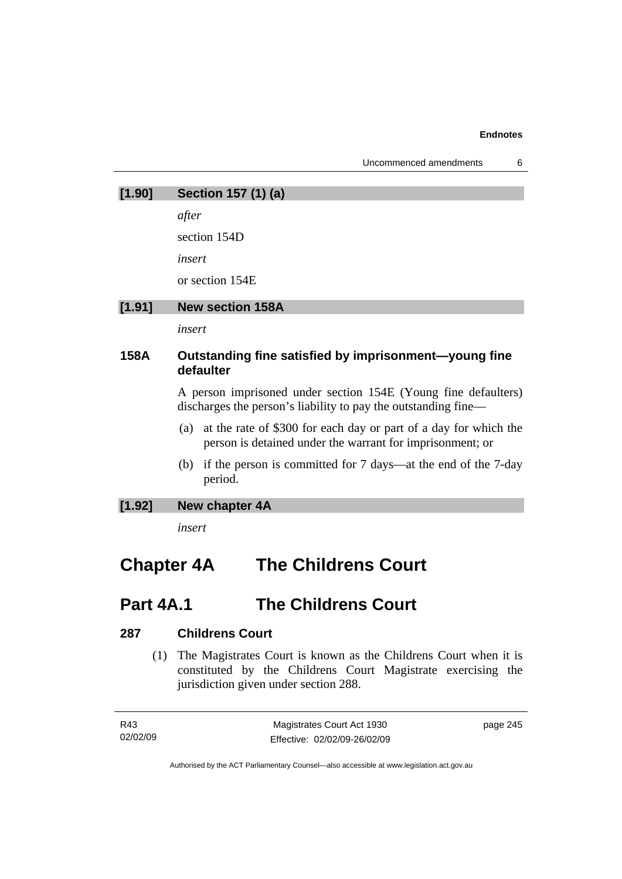| Uncommenced amendments |  |
|------------------------|--|
|------------------------|--|

| [1.90] | Section 157 (1) (a)                                                                                                                  |
|--------|--------------------------------------------------------------------------------------------------------------------------------------|
|        | after                                                                                                                                |
|        | section 154D                                                                                                                         |
|        | insert                                                                                                                               |
|        | or section 154E                                                                                                                      |
| [1.91] | <b>New section 158A</b>                                                                                                              |
|        | insert                                                                                                                               |
| 158A   | Outstanding fine satisfied by imprisonment—young fine<br>defaulter                                                                   |
|        | A person imprisoned under section 154E (Young fine defaulters)<br>discharges the person's liability to pay the outstanding fine—     |
|        | at the rate of \$300 for each day or part of a day for which the<br>(a)<br>person is detained under the warrant for imprisonment; or |
|        | if the person is committed for 7 days—at the end of the 7-day<br>(b)<br>period.                                                      |

### **[1.92] New chapter 4A**

*insert* 

# **Chapter 4A The Childrens Court**

## **Part 4A.1 The Childrens Court**

### **287 Childrens Court**

 (1) The Magistrates Court is known as the Childrens Court when it is constituted by the Childrens Court Magistrate exercising the jurisdiction given under section 288.

| R43      | Magistrates Court Act 1930   | page 245 |
|----------|------------------------------|----------|
| 02/02/09 | Effective: 02/02/09-26/02/09 |          |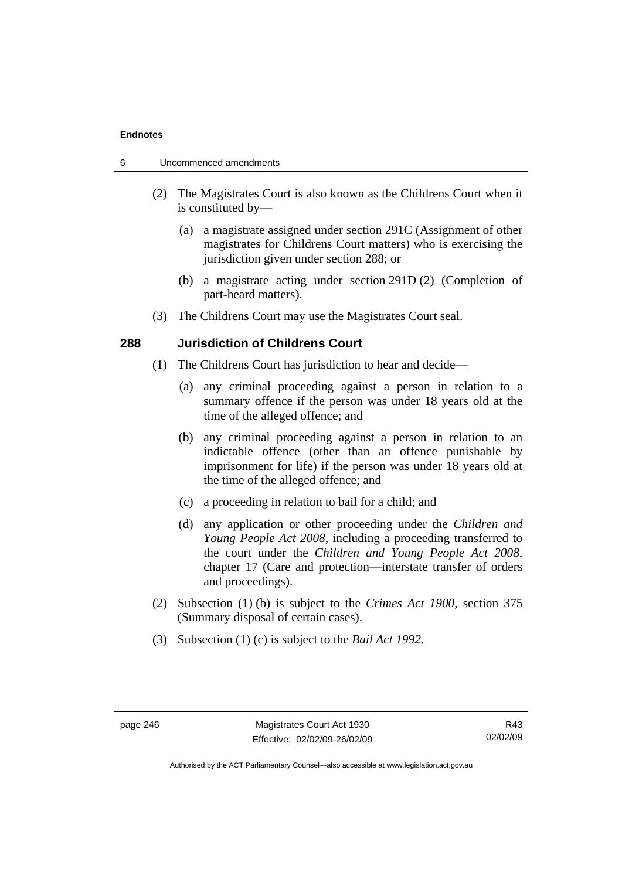- 6 Uncommenced amendments
	- (2) The Magistrates Court is also known as the Childrens Court when it is constituted by—
		- (a) a magistrate assigned under section 291C (Assignment of other magistrates for Childrens Court matters) who is exercising the jurisdiction given under section 288; or
		- (b) a magistrate acting under section 291D (2) (Completion of part-heard matters).
	- (3) The Childrens Court may use the Magistrates Court seal.

### **288 Jurisdiction of Childrens Court**

- (1) The Childrens Court has jurisdiction to hear and decide—
	- (a) any criminal proceeding against a person in relation to a summary offence if the person was under 18 years old at the time of the alleged offence; and
	- (b) any criminal proceeding against a person in relation to an indictable offence (other than an offence punishable by imprisonment for life) if the person was under 18 years old at the time of the alleged offence; and
	- (c) a proceeding in relation to bail for a child; and
	- (d) any application or other proceeding under the *Children and Young People Act 2008*, including a proceeding transferred to the court under the *Children and Young People Act 2008*, chapter 17 (Care and protection—interstate transfer of orders and proceedings).
- (2) Subsection (1) (b) is subject to the *Crimes Act 1900*, section 375 (Summary disposal of certain cases).
- (3) Subsection (1) (c) is subject to the *Bail Act 1992*.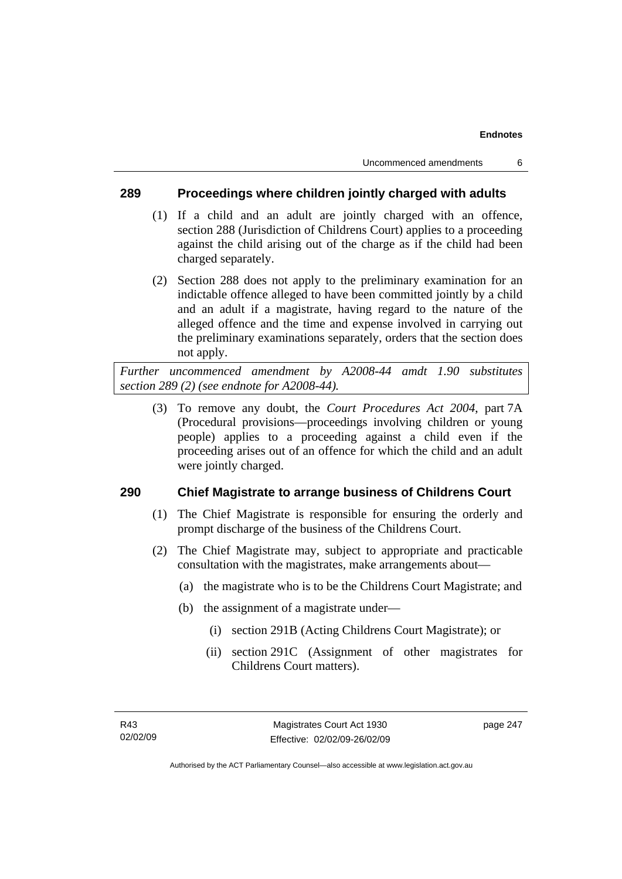### **289 Proceedings where children jointly charged with adults**

- (1) If a child and an adult are jointly charged with an offence, section 288 (Jurisdiction of Childrens Court) applies to a proceeding against the child arising out of the charge as if the child had been charged separately.
- (2) Section 288 does not apply to the preliminary examination for an indictable offence alleged to have been committed jointly by a child and an adult if a magistrate, having regard to the nature of the alleged offence and the time and expense involved in carrying out the preliminary examinations separately, orders that the section does not apply.

*Further uncommenced amendment by A2008-44 amdt 1.90 substitutes section 289 (2) (see endnote for A2008-44).* 

 (3) To remove any doubt, the *Court Procedures Act 2004*, part 7A (Procedural provisions—proceedings involving children or young people) applies to a proceeding against a child even if the proceeding arises out of an offence for which the child and an adult were jointly charged.

### **290 Chief Magistrate to arrange business of Childrens Court**

- (1) The Chief Magistrate is responsible for ensuring the orderly and prompt discharge of the business of the Childrens Court.
- (2) The Chief Magistrate may, subject to appropriate and practicable consultation with the magistrates, make arrangements about—
	- (a) the magistrate who is to be the Childrens Court Magistrate; and
	- (b) the assignment of a magistrate under—
		- (i) section 291B (Acting Childrens Court Magistrate); or
		- (ii) section 291C (Assignment of other magistrates for Childrens Court matters).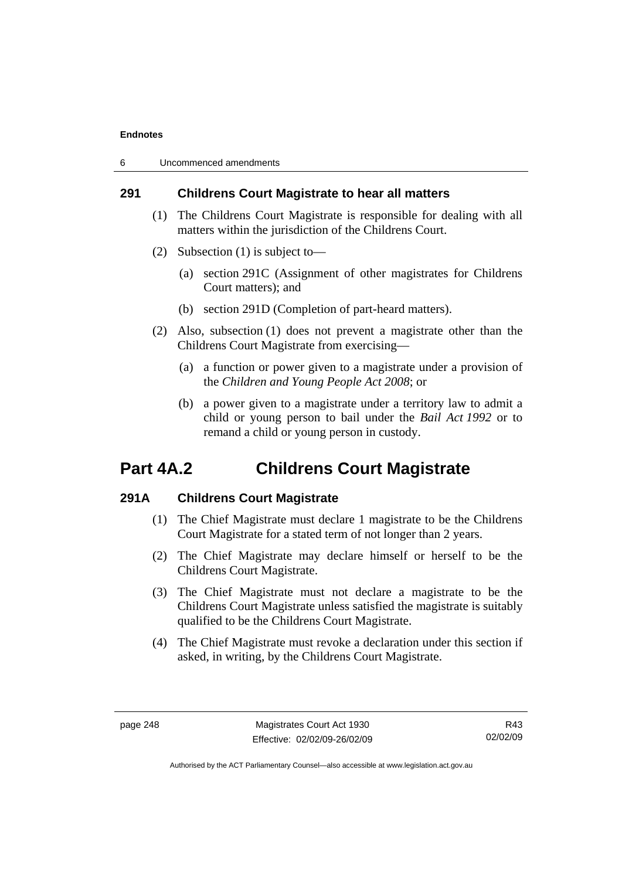| 6 | Uncommenced amendments |  |
|---|------------------------|--|
|---|------------------------|--|

### **291 Childrens Court Magistrate to hear all matters**

- (1) The Childrens Court Magistrate is responsible for dealing with all matters within the jurisdiction of the Childrens Court.
- (2) Subsection (1) is subject to—
	- (a) section 291C (Assignment of other magistrates for Childrens Court matters); and
	- (b) section 291D (Completion of part-heard matters).
- (2) Also, subsection (1) does not prevent a magistrate other than the Childrens Court Magistrate from exercising—
	- (a) a function or power given to a magistrate under a provision of the *Children and Young People Act 2008*; or
	- (b) a power given to a magistrate under a territory law to admit a child or young person to bail under the *Bail Act 1992* or to remand a child or young person in custody.

## **Part 4A.2 Childrens Court Magistrate**

### **291A Childrens Court Magistrate**

- (1) The Chief Magistrate must declare 1 magistrate to be the Childrens Court Magistrate for a stated term of not longer than 2 years.
- (2) The Chief Magistrate may declare himself or herself to be the Childrens Court Magistrate.
- (3) The Chief Magistrate must not declare a magistrate to be the Childrens Court Magistrate unless satisfied the magistrate is suitably qualified to be the Childrens Court Magistrate.
- (4) The Chief Magistrate must revoke a declaration under this section if asked, in writing, by the Childrens Court Magistrate.

R43 02/02/09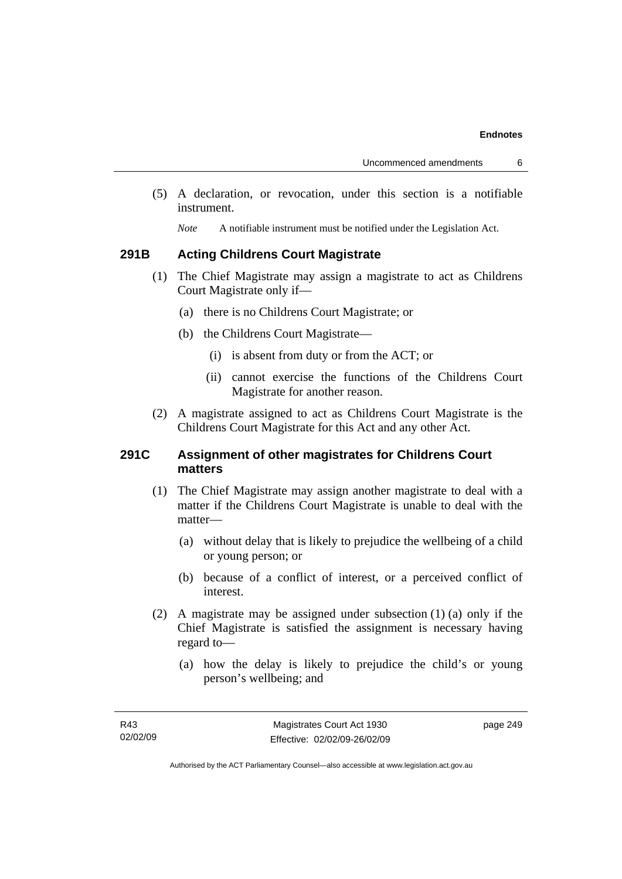(5) A declaration, or revocation, under this section is a notifiable instrument.

*Note* A notifiable instrument must be notified under the Legislation Act.

### **291B Acting Childrens Court Magistrate**

- (1) The Chief Magistrate may assign a magistrate to act as Childrens Court Magistrate only if—
	- (a) there is no Childrens Court Magistrate; or
	- (b) the Childrens Court Magistrate—
		- (i) is absent from duty or from the ACT; or
		- (ii) cannot exercise the functions of the Childrens Court Magistrate for another reason.
- (2) A magistrate assigned to act as Childrens Court Magistrate is the Childrens Court Magistrate for this Act and any other Act.

### **291C Assignment of other magistrates for Childrens Court matters**

- (1) The Chief Magistrate may assign another magistrate to deal with a matter if the Childrens Court Magistrate is unable to deal with the matter—
	- (a) without delay that is likely to prejudice the wellbeing of a child or young person; or
	- (b) because of a conflict of interest, or a perceived conflict of interest.
- (2) A magistrate may be assigned under subsection (1) (a) only if the Chief Magistrate is satisfied the assignment is necessary having regard to—
	- (a) how the delay is likely to prejudice the child's or young person's wellbeing; and

page 249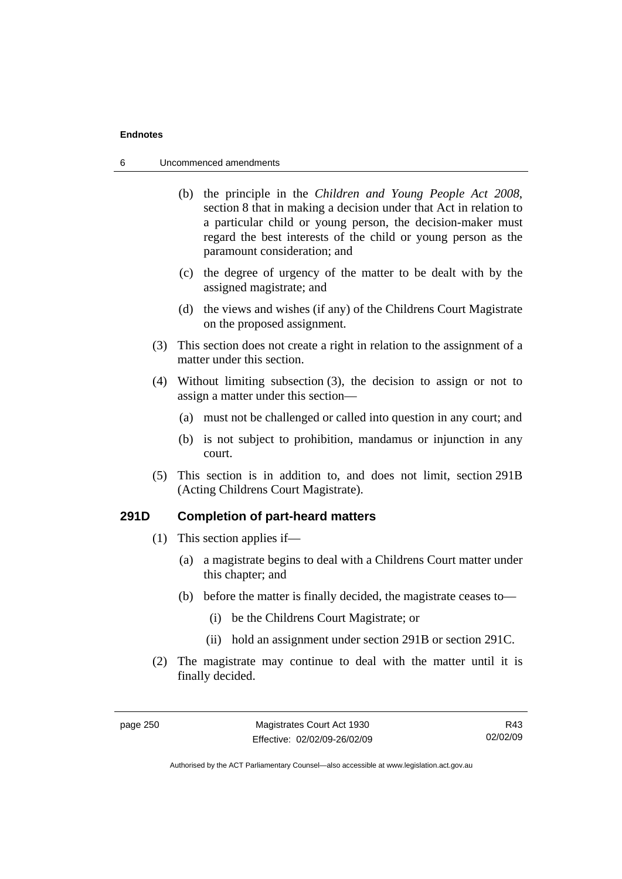- 6 Uncommenced amendments
	- (b) the principle in the *Children and Young People Act 2008*, section 8 that in making a decision under that Act in relation to a particular child or young person, the decision-maker must regard the best interests of the child or young person as the paramount consideration; and
	- (c) the degree of urgency of the matter to be dealt with by the assigned magistrate; and
	- (d) the views and wishes (if any) of the Childrens Court Magistrate on the proposed assignment.
	- (3) This section does not create a right in relation to the assignment of a matter under this section.
	- (4) Without limiting subsection (3), the decision to assign or not to assign a matter under this section—
		- (a) must not be challenged or called into question in any court; and
		- (b) is not subject to prohibition, mandamus or injunction in any court.
	- (5) This section is in addition to, and does not limit, section 291B (Acting Childrens Court Magistrate).

### **291D Completion of part-heard matters**

- (1) This section applies if—
	- (a) a magistrate begins to deal with a Childrens Court matter under this chapter; and
	- (b) before the matter is finally decided, the magistrate ceases to—
		- (i) be the Childrens Court Magistrate; or
		- (ii) hold an assignment under section 291B or section 291C.
- (2) The magistrate may continue to deal with the matter until it is finally decided.

R43 02/02/09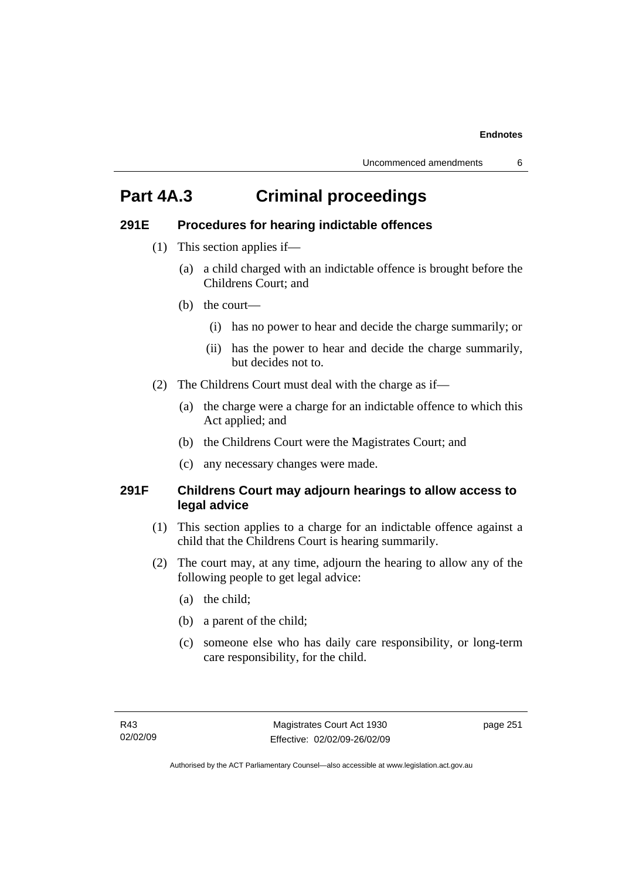## **Part 4A.3 Criminal proceedings**

### **291E Procedures for hearing indictable offences**

- (1) This section applies if—
	- (a) a child charged with an indictable offence is brought before the Childrens Court; and
	- (b) the court—
		- (i) has no power to hear and decide the charge summarily; or
		- (ii) has the power to hear and decide the charge summarily, but decides not to.
- (2) The Childrens Court must deal with the charge as if—
	- (a) the charge were a charge for an indictable offence to which this Act applied; and
	- (b) the Childrens Court were the Magistrates Court; and
	- (c) any necessary changes were made.

### **291F Childrens Court may adjourn hearings to allow access to legal advice**

- (1) This section applies to a charge for an indictable offence against a child that the Childrens Court is hearing summarily.
- (2) The court may, at any time, adjourn the hearing to allow any of the following people to get legal advice:
	- (a) the child;
	- (b) a parent of the child;
	- (c) someone else who has daily care responsibility, or long-term care responsibility, for the child.

page 251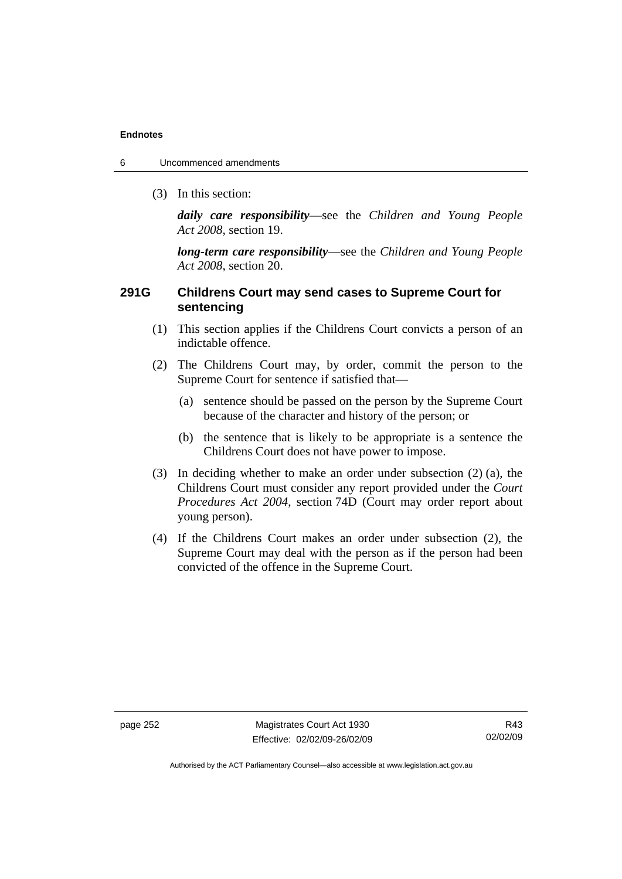- 6 Uncommenced amendments
	- (3) In this section:

*daily care responsibility*—see the *Children and Young People Act 2008*, section 19.

*long-term care responsibility*—see the *Children and Young People Act 2008*, section 20.

### **291G Childrens Court may send cases to Supreme Court for sentencing**

- (1) This section applies if the Childrens Court convicts a person of an indictable offence.
- (2) The Childrens Court may, by order, commit the person to the Supreme Court for sentence if satisfied that—
	- (a) sentence should be passed on the person by the Supreme Court because of the character and history of the person; or
	- (b) the sentence that is likely to be appropriate is a sentence the Childrens Court does not have power to impose.
- (3) In deciding whether to make an order under subsection (2) (a), the Childrens Court must consider any report provided under the *Court Procedures Act 2004*, section 74D (Court may order report about young person).
- (4) If the Childrens Court makes an order under subsection (2), the Supreme Court may deal with the person as if the person had been convicted of the offence in the Supreme Court.

R43 02/02/09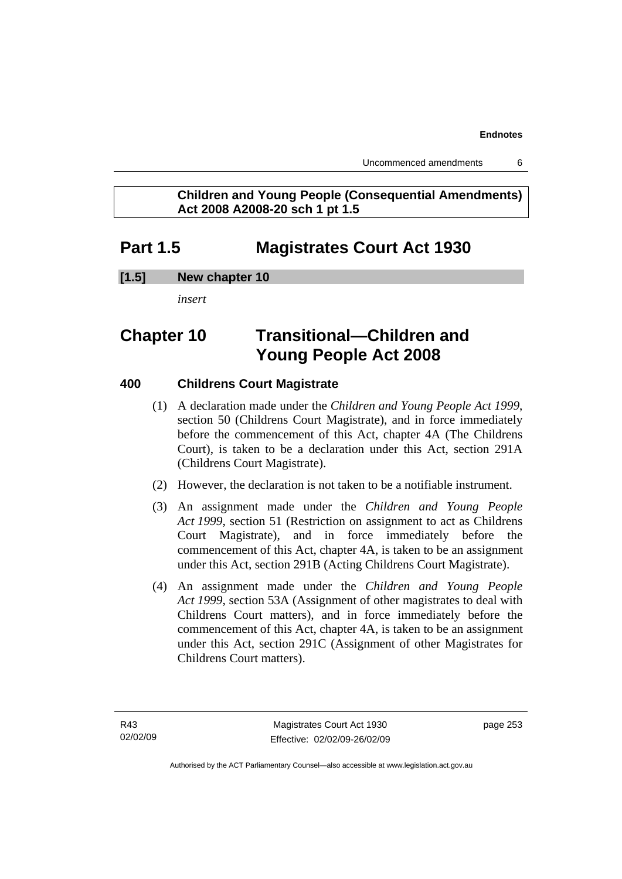### **Children and Young People (Consequential Amendments) Act 2008 A2008-20 sch 1 pt 1.5**

## **Part 1.5 Magistrates Court Act 1930**

### **[1.5] New chapter 10**

*insert* 

## **Chapter 10 Transitional—Children and Young People Act 2008**

### **400 Childrens Court Magistrate**

- (1) A declaration made under the *Children and Young People Act 1999*, section 50 (Childrens Court Magistrate), and in force immediately before the commencement of this Act, chapter 4A (The Childrens Court), is taken to be a declaration under this Act, section 291A (Childrens Court Magistrate).
- (2) However, the declaration is not taken to be a notifiable instrument.
- (3) An assignment made under the *Children and Young People Act 1999*, section 51 (Restriction on assignment to act as Childrens Court Magistrate), and in force immediately before the commencement of this Act, chapter 4A, is taken to be an assignment under this Act, section 291B (Acting Childrens Court Magistrate).
- (4) An assignment made under the *Children and Young People Act 1999*, section 53A (Assignment of other magistrates to deal with Childrens Court matters), and in force immediately before the commencement of this Act, chapter 4A, is taken to be an assignment under this Act, section 291C (Assignment of other Magistrates for Childrens Court matters).

page 253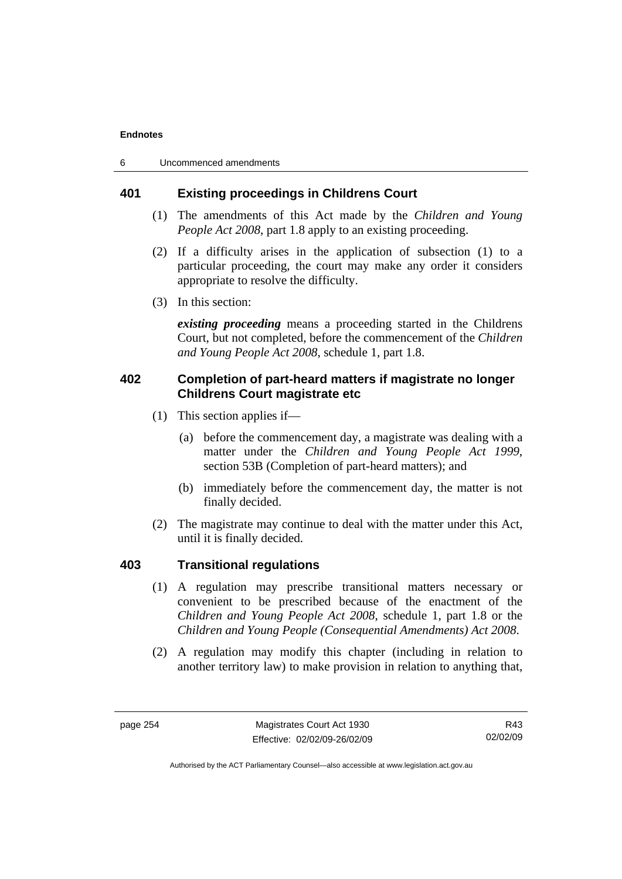6 Uncommenced amendments

### **401 Existing proceedings in Childrens Court**

- (1) The amendments of this Act made by the *Children and Young People Act 2008*, part 1.8 apply to an existing proceeding.
- (2) If a difficulty arises in the application of subsection (1) to a particular proceeding, the court may make any order it considers appropriate to resolve the difficulty.
- (3) In this section:

*existing proceeding* means a proceeding started in the Childrens Court, but not completed, before the commencement of the *Children and Young People Act 2008*, schedule 1, part 1.8.

### **402 Completion of part-heard matters if magistrate no longer Childrens Court magistrate etc**

- (1) This section applies if—
	- (a) before the commencement day, a magistrate was dealing with a matter under the *Children and Young People Act 1999*, section 53B (Completion of part-heard matters); and
	- (b) immediately before the commencement day, the matter is not finally decided.
- (2) The magistrate may continue to deal with the matter under this Act, until it is finally decided.

### **403 Transitional regulations**

- (1) A regulation may prescribe transitional matters necessary or convenient to be prescribed because of the enactment of the *Children and Young People Act 2008*, schedule 1, part 1.8 or the *Children and Young People (Consequential Amendments) Act 2008*.
- (2) A regulation may modify this chapter (including in relation to another territory law) to make provision in relation to anything that,

R43 02/02/09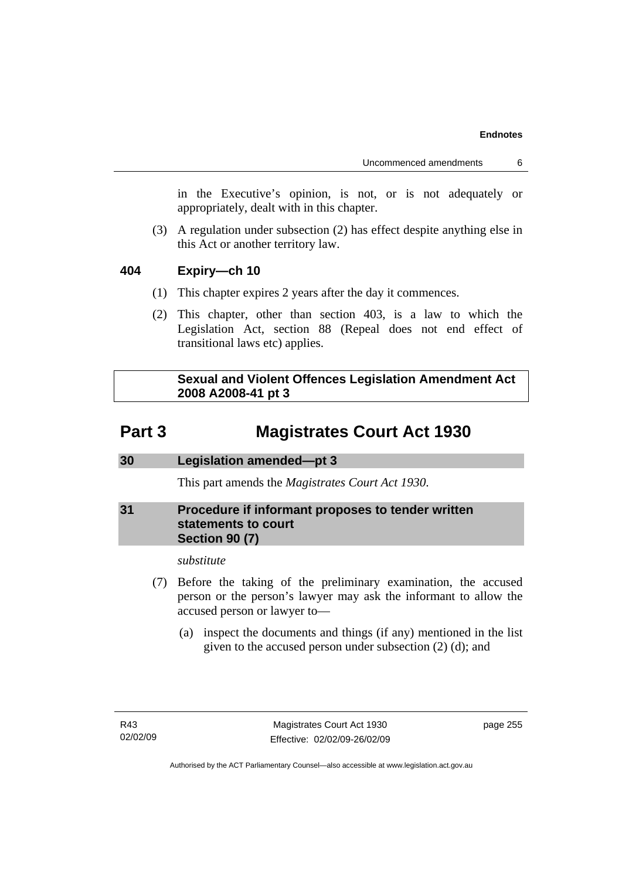in the Executive's opinion, is not, or is not adequately or appropriately, dealt with in this chapter.

 (3) A regulation under subsection (2) has effect despite anything else in this Act or another territory law.

### **404 Expiry—ch 10**

- (1) This chapter expires 2 years after the day it commences.
- (2) This chapter, other than section 403, is a law to which the Legislation Act, section 88 (Repeal does not end effect of transitional laws etc) applies.

 **Sexual and Violent Offences Legislation Amendment Act 2008 A2008-41 pt 3** 

## **Part 3 Magistrates Court Act 1930**

### **30 Legislation amended—pt 3**

This part amends the *Magistrates Court Act 1930*.

### **31 Procedure if informant proposes to tender written statements to court Section 90 (7)**

*substitute* 

- (7) Before the taking of the preliminary examination, the accused person or the person's lawyer may ask the informant to allow the accused person or lawyer to—
	- (a) inspect the documents and things (if any) mentioned in the list given to the accused person under subsection (2) (d); and

page 255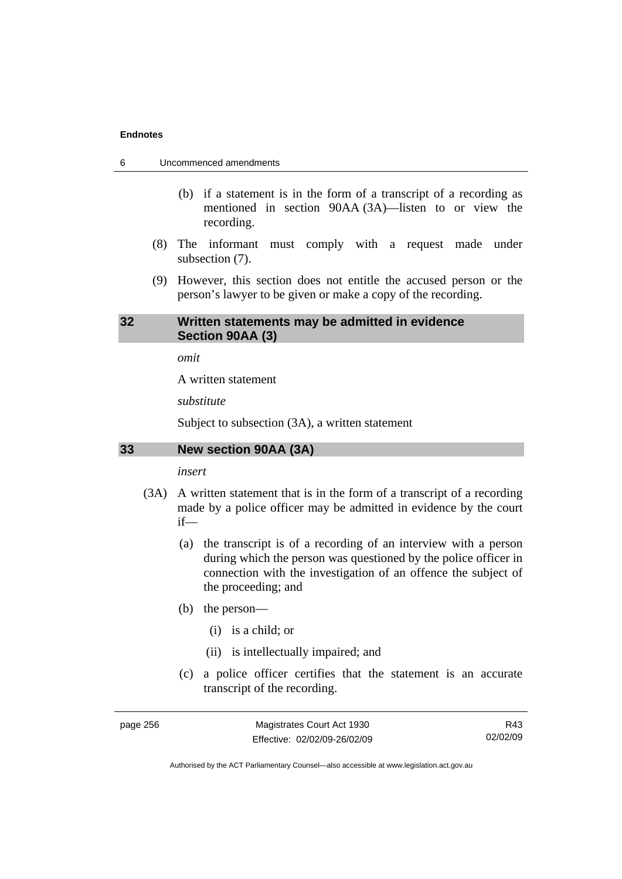- 6 Uncommenced amendments
	- (b) if a statement is in the form of a transcript of a recording as mentioned in section 90AA (3A)—listen to or view the recording.
	- (8) The informant must comply with a request made under subsection (7).
	- (9) However, this section does not entitle the accused person or the person's lawyer to be given or make a copy of the recording.

### **32 Written statements may be admitted in evidence Section 90AA (3)**

*omit* 

A written statement

*substitute* 

Subject to subsection (3A), a written statement

#### **33 New section 90AA (3A)**

*insert* 

- (3A) A written statement that is in the form of a transcript of a recording made by a police officer may be admitted in evidence by the court if—
	- (a) the transcript is of a recording of an interview with a person during which the person was questioned by the police officer in connection with the investigation of an offence the subject of the proceeding; and
	- (b) the person—
		- (i) is a child; or
		- (ii) is intellectually impaired; and
	- (c) a police officer certifies that the statement is an accurate transcript of the recording.

page 256 Magistrates Court Act 1930 Effective: 02/02/09-26/02/09

R43 02/02/09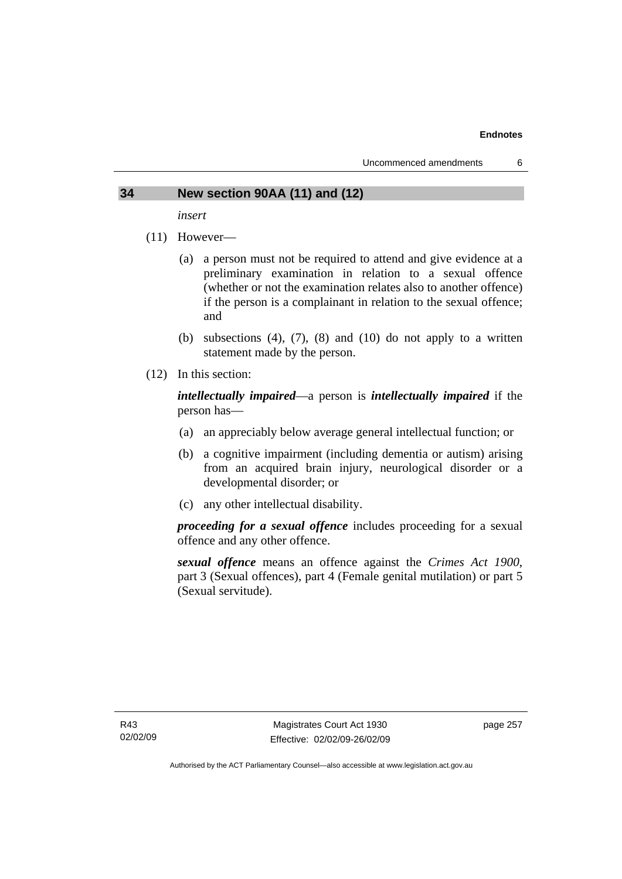### **34 New section 90AA (11) and (12)**

*insert* 

- (11) However—
	- (a) a person must not be required to attend and give evidence at a preliminary examination in relation to a sexual offence (whether or not the examination relates also to another offence) if the person is a complainant in relation to the sexual offence; and
	- (b) subsections  $(4)$ ,  $(7)$ ,  $(8)$  and  $(10)$  do not apply to a written statement made by the person.
- (12) In this section:

*intellectually impaired*—a person is *intellectually impaired* if the person has—

- (a) an appreciably below average general intellectual function; or
- (b) a cognitive impairment (including dementia or autism) arising from an acquired brain injury, neurological disorder or a developmental disorder; or
- (c) any other intellectual disability.

*proceeding for a sexual offence* includes proceeding for a sexual offence and any other offence.

*sexual offence* means an offence against the *Crimes Act 1900*, part 3 (Sexual offences), part 4 (Female genital mutilation) or part 5 (Sexual servitude).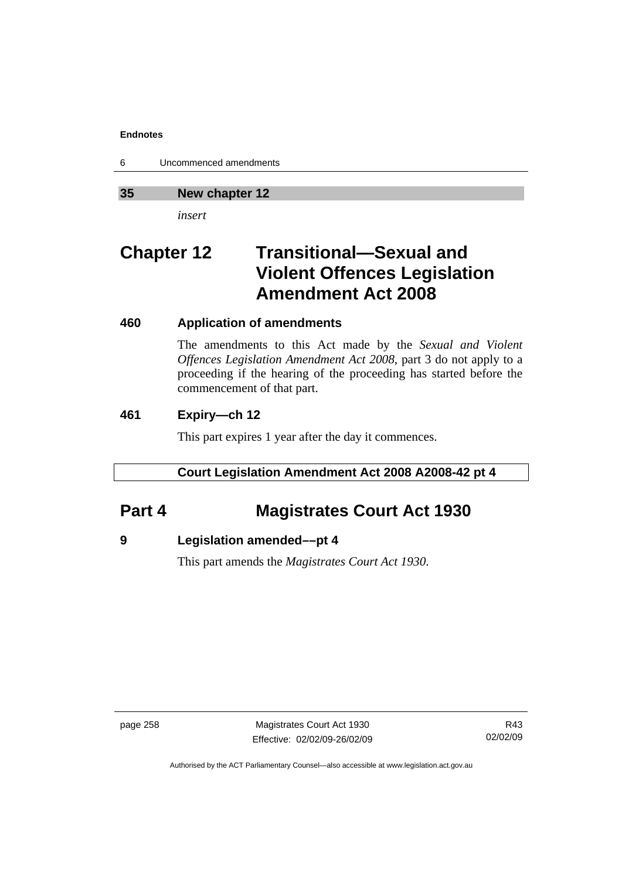6 Uncommenced amendments

### **35 New chapter 12**

*insert* 

## **Chapter 12 Transitional—Sexual and Violent Offences Legislation Amendment Act 2008**

### **460 Application of amendments**

The amendments to this Act made by the *Sexual and Violent Offences Legislation Amendment Act 2008*, part 3 do not apply to a proceeding if the hearing of the proceeding has started before the commencement of that part.

### **461 Expiry—ch 12**

This part expires 1 year after the day it commences.

### **Court Legislation Amendment Act 2008 A2008-42 pt 4**

## **Part 4 Magistrates Court Act 1930**

### **9 Legislation amended––pt 4**

This part amends the *Magistrates Court Act 1930*.

page 258 Magistrates Court Act 1930 Effective: 02/02/09-26/02/09

R43 02/02/09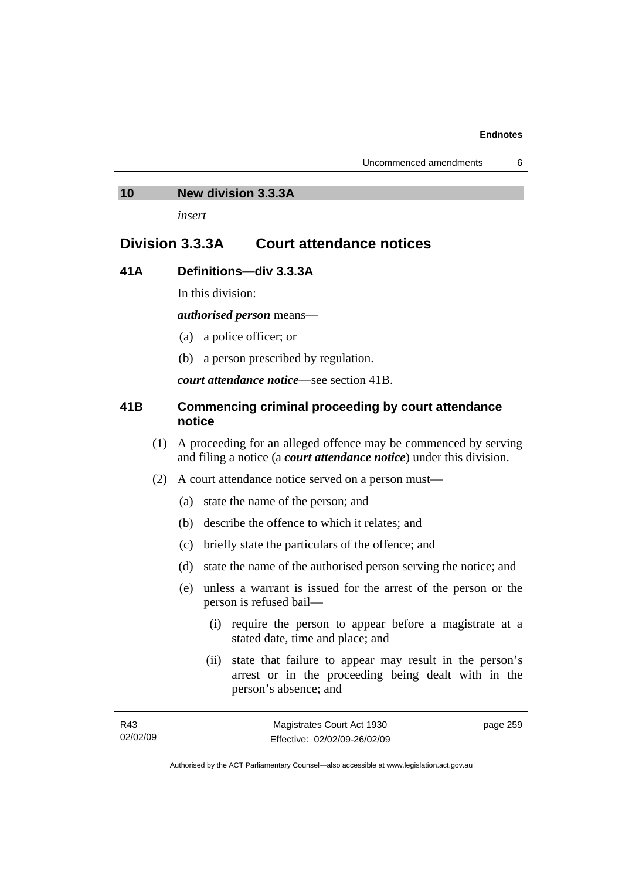#### **10 New division 3.3.3A**

*insert* 

## **Division 3.3.3A Court attendance notices**

### **41A Definitions—div 3.3.3A**

In this division:

*authorised person* means—

- (a) a police officer; or
- (b) a person prescribed by regulation.

*court attendance notice*—see section 41B.

### **41B Commencing criminal proceeding by court attendance notice**

- (1) A proceeding for an alleged offence may be commenced by serving and filing a notice (a *court attendance notice*) under this division.
- (2) A court attendance notice served on a person must––
	- (a) state the name of the person; and
	- (b) describe the offence to which it relates; and
	- (c) briefly state the particulars of the offence; and
	- (d) state the name of the authorised person serving the notice; and
	- (e) unless a warrant is issued for the arrest of the person or the person is refused bail—
		- (i) require the person to appear before a magistrate at a stated date, time and place; and
		- (ii) state that failure to appear may result in the person's arrest or in the proceeding being dealt with in the person's absence; and

page 259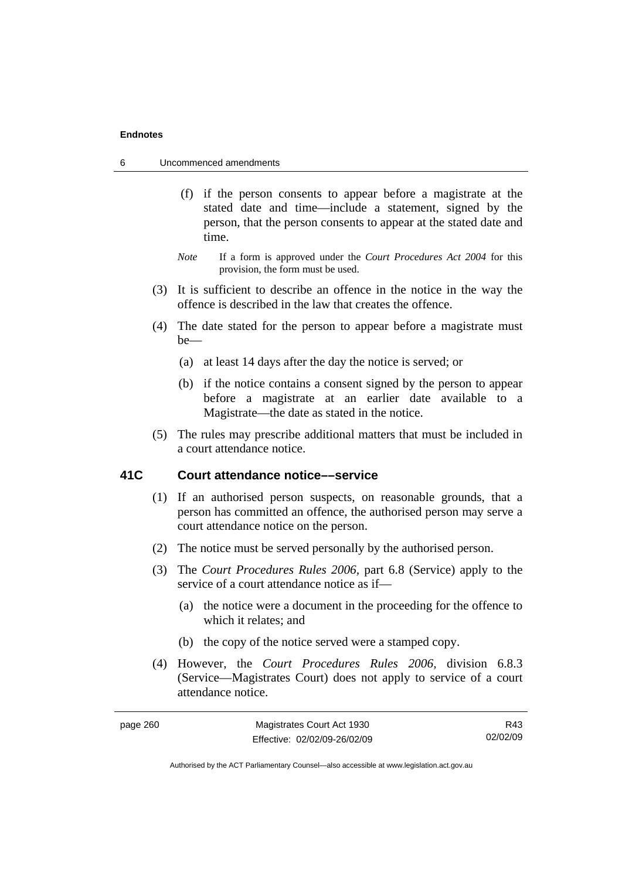- 6 Uncommenced amendments
	- (f) if the person consents to appear before a magistrate at the stated date and time—include a statement, signed by the person, that the person consents to appear at the stated date and time.
	- *Note* If a form is approved under the *Court Procedures Act 2004* for this provision, the form must be used.
	- (3) It is sufficient to describe an offence in the notice in the way the offence is described in the law that creates the offence.
	- (4) The date stated for the person to appear before a magistrate must be—
		- (a) at least 14 days after the day the notice is served; or
		- (b) if the notice contains a consent signed by the person to appear before a magistrate at an earlier date available to a Magistrate—the date as stated in the notice.
	- (5) The rules may prescribe additional matters that must be included in a court attendance notice.

### **41C Court attendance notice––service**

- (1) If an authorised person suspects, on reasonable grounds, that a person has committed an offence, the authorised person may serve a court attendance notice on the person.
- (2) The notice must be served personally by the authorised person.
- (3) The *Court Procedures Rules 2006,* part 6.8 (Service) apply to the service of a court attendance notice as if—
	- (a) the notice were a document in the proceeding for the offence to which it relates; and
	- (b) the copy of the notice served were a stamped copy.
- (4) However, the *Court Procedures Rules 2006,* division 6.8.3 (Service—Magistrates Court) does not apply to service of a court attendance notice.

| Magistrates Court Act 1930<br>page 260 |                              | R43      |
|----------------------------------------|------------------------------|----------|
|                                        | Effective: 02/02/09-26/02/09 | 02/02/09 |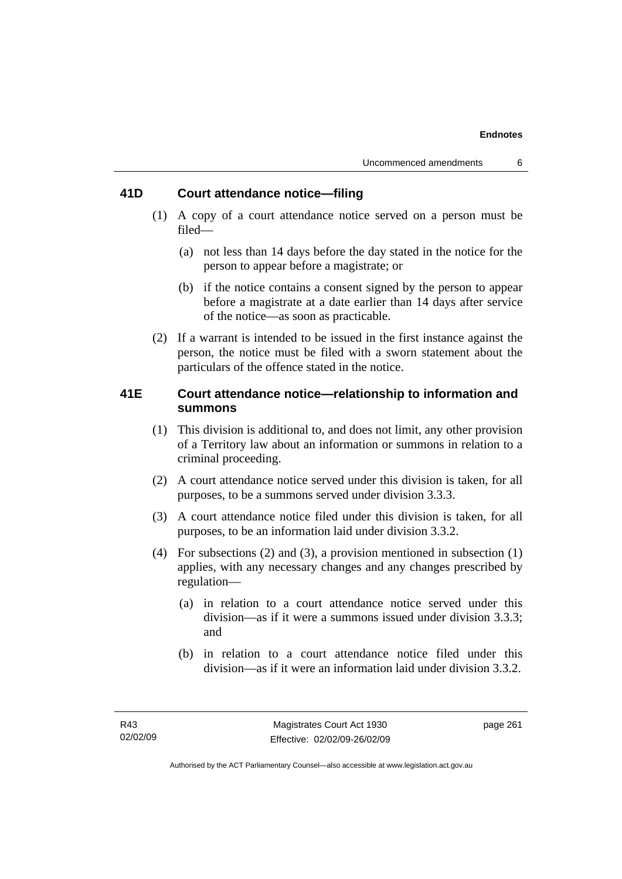### **41D Court attendance notice—filing**

- (1) A copy of a court attendance notice served on a person must be filed—
	- (a) not less than 14 days before the day stated in the notice for the person to appear before a magistrate; or
	- (b) if the notice contains a consent signed by the person to appear before a magistrate at a date earlier than 14 days after service of the notice—as soon as practicable.
- (2) If a warrant is intended to be issued in the first instance against the person, the notice must be filed with a sworn statement about the particulars of the offence stated in the notice.

### **41E Court attendance notice—relationship to information and summons**

- (1) This division is additional to, and does not limit, any other provision of a Territory law about an information or summons in relation to a criminal proceeding.
- (2) A court attendance notice served under this division is taken, for all purposes, to be a summons served under division 3.3.3.
- (3) A court attendance notice filed under this division is taken, for all purposes, to be an information laid under division 3.3.2.
- (4) For subsections (2) and (3), a provision mentioned in subsection (1) applies, with any necessary changes and any changes prescribed by regulation—
	- (a) in relation to a court attendance notice served under this division—as if it were a summons issued under division 3.3.3; and
	- (b) in relation to a court attendance notice filed under this division—as if it were an information laid under division 3.3.2.

page 261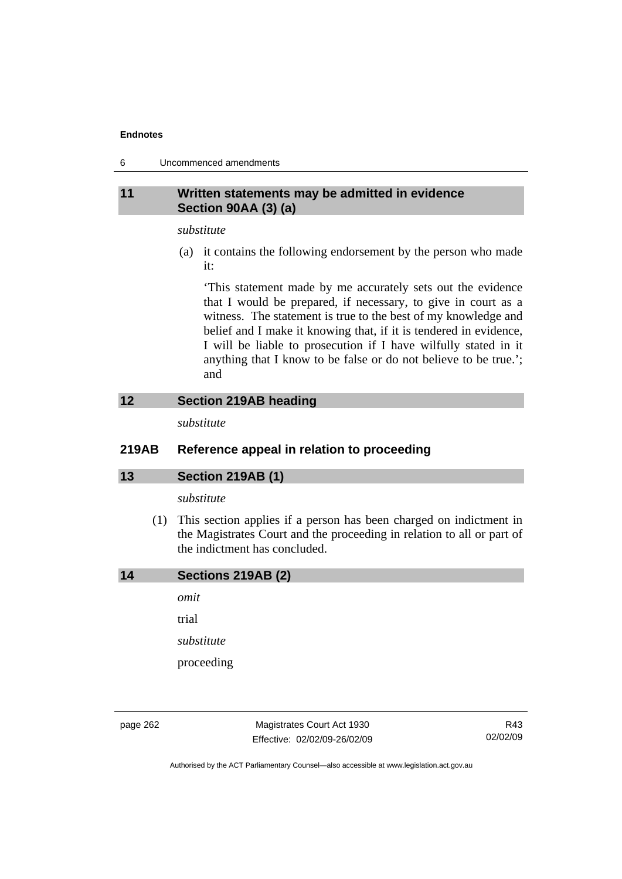6 Uncommenced amendments

### **11 Written statements may be admitted in evidence Section 90AA (3) (a)**

#### *substitute*

 (a) it contains the following endorsement by the person who made it:

'This statement made by me accurately sets out the evidence that I would be prepared, if necessary, to give in court as a witness. The statement is true to the best of my knowledge and belief and I make it knowing that, if it is tendered in evidence, I will be liable to prosecution if I have wilfully stated in it anything that I know to be false or do not believe to be true.'; and

### **12 Section 219AB heading**

*substitute* 

### **219AB Reference appeal in relation to proceeding**

### **13 Section 219AB (1)**

### *substitute*

 (1) This section applies if a person has been charged on indictment in the Magistrates Court and the proceeding in relation to all or part of the indictment has concluded.

*omit* 

trial

*substitute* 

proceeding

page 262 Magistrates Court Act 1930 Effective: 02/02/09-26/02/09

R43 02/02/09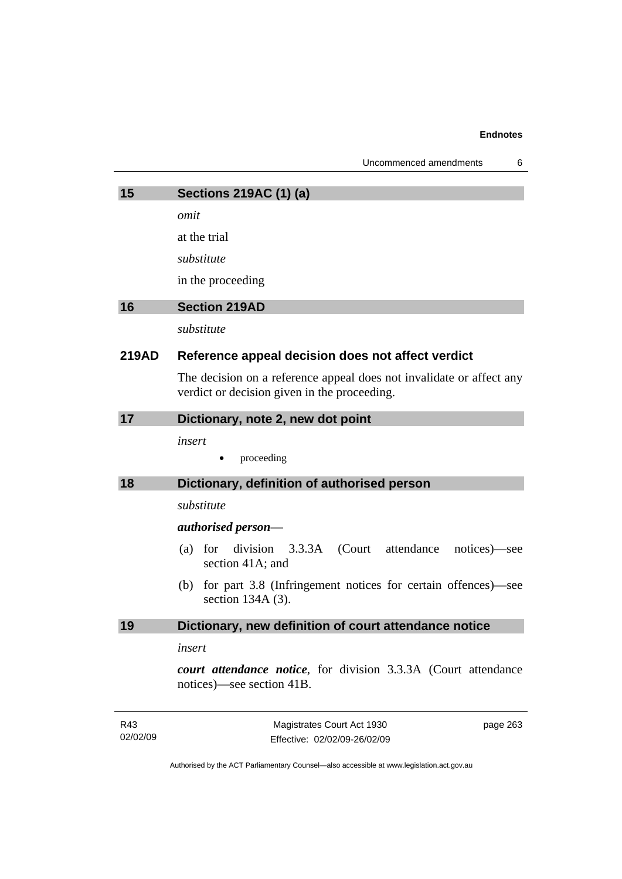| Uncommenced amendments |  |
|------------------------|--|
|------------------------|--|

| 15              | <b>Sections 219AC (1) (a)</b>                                                                                        |  |  |
|-----------------|----------------------------------------------------------------------------------------------------------------------|--|--|
|                 | omit                                                                                                                 |  |  |
|                 | at the trial                                                                                                         |  |  |
|                 | substitute                                                                                                           |  |  |
|                 | in the proceeding                                                                                                    |  |  |
| 16              | <b>Section 219AD</b>                                                                                                 |  |  |
|                 | substitute                                                                                                           |  |  |
| <b>219AD</b>    | Reference appeal decision does not affect verdict                                                                    |  |  |
|                 | The decision on a reference appeal does not invalidate or affect any<br>verdict or decision given in the proceeding. |  |  |
| 17              | Dictionary, note 2, new dot point                                                                                    |  |  |
|                 | insert                                                                                                               |  |  |
|                 | proceeding                                                                                                           |  |  |
| 18              | Dictionary, definition of authorised person                                                                          |  |  |
|                 | substitute                                                                                                           |  |  |
|                 | authorised person—                                                                                                   |  |  |
|                 | for division 3.3.3A (Court attendance<br>(a)<br>notices)—see<br>section 41A; and                                     |  |  |
|                 | for part 3.8 (Infringement notices for certain offences)—see<br>(b)<br>section $134A(3)$ .                           |  |  |
| 19              | Dictionary, new definition of court attendance notice                                                                |  |  |
|                 | insert                                                                                                               |  |  |
|                 | court attendance notice, for division 3.3.3A (Court attendance<br>notices)—see section 41B.                          |  |  |
| R43<br>02/02/09 | Magistrates Court Act 1930<br>page 263<br>Effective: 02/02/09-26/02/09                                               |  |  |
|                 | Authorised by the ACT Parliamentary Counsel—also accessible at www.legislation.act.gov.au                            |  |  |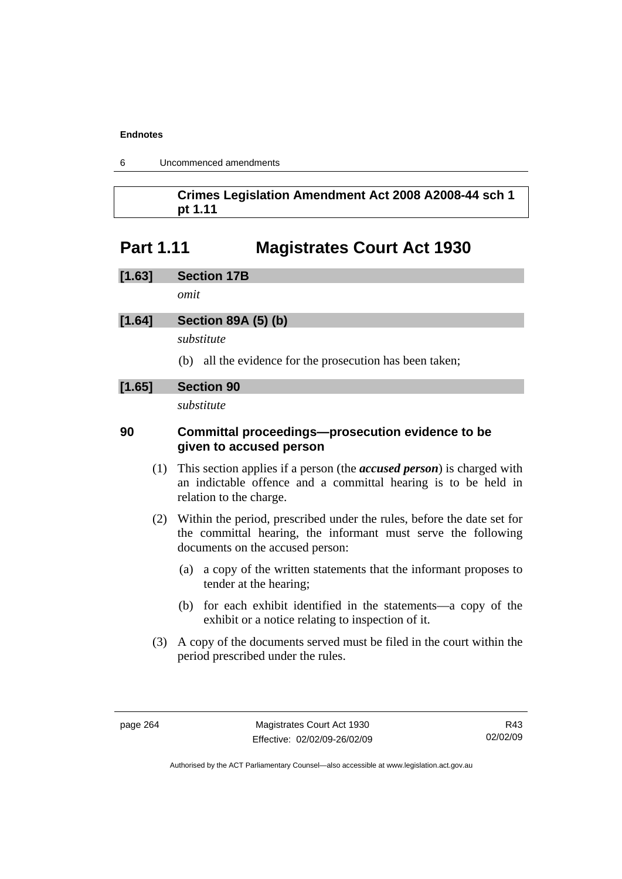| 6 |  | Uncommenced amendments |
|---|--|------------------------|
|---|--|------------------------|

### **Crimes Legislation Amendment Act 2008 A2008-44 sch 1 pt 1.11**

## **Part 1.11 Magistrates Court Act 1930**

| [1.63]<br><b>Section 17B</b> |
|------------------------------|
|------------------------------|

*omit* 

### **[1.64] Section 89A (5) (b)**

*substitute* 

(b) all the evidence for the prosecution has been taken;

### **[1.65] Section 90**

*substitute* 

### **90 Committal proceedings—prosecution evidence to be given to accused person**

- (1) This section applies if a person (the *accused person*) is charged with an indictable offence and a committal hearing is to be held in relation to the charge.
- (2) Within the period, prescribed under the rules, before the date set for the committal hearing, the informant must serve the following documents on the accused person:
	- (a) a copy of the written statements that the informant proposes to tender at the hearing;
	- (b) for each exhibit identified in the statements—a copy of the exhibit or a notice relating to inspection of it.
- (3) A copy of the documents served must be filed in the court within the period prescribed under the rules.

R43 02/02/09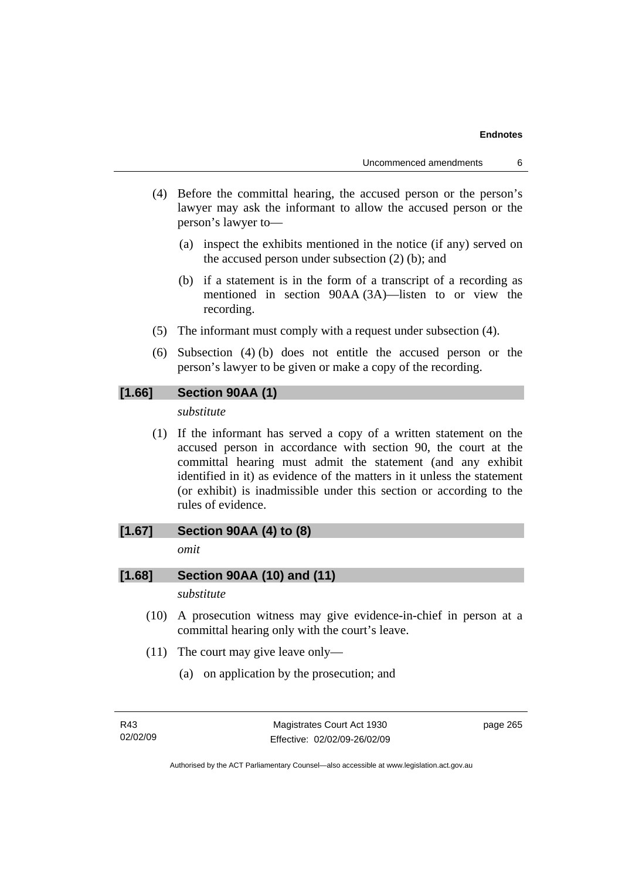- (4) Before the committal hearing, the accused person or the person's lawyer may ask the informant to allow the accused person or the person's lawyer to—
	- (a) inspect the exhibits mentioned in the notice (if any) served on the accused person under subsection (2) (b); and
	- (b) if a statement is in the form of a transcript of a recording as mentioned in section 90AA (3A)—listen to or view the recording.
- (5) The informant must comply with a request under subsection (4).
- (6) Subsection (4) (b) does not entitle the accused person or the person's lawyer to be given or make a copy of the recording.

### **[1.66] Section 90AA (1)**

### *substitute*

 (1) If the informant has served a copy of a written statement on the accused person in accordance with section 90, the court at the committal hearing must admit the statement (and any exhibit identified in it) as evidence of the matters in it unless the statement (or exhibit) is inadmissible under this section or according to the rules of evidence.

### **[1.67] Section 90AA (4) to (8)**

*omit* 

### **[1.68] Section 90AA (10) and (11)**

*substitute* 

- (10) A prosecution witness may give evidence-in-chief in person at a committal hearing only with the court's leave.
- (11) The court may give leave only—
	- (a) on application by the prosecution; and

page 265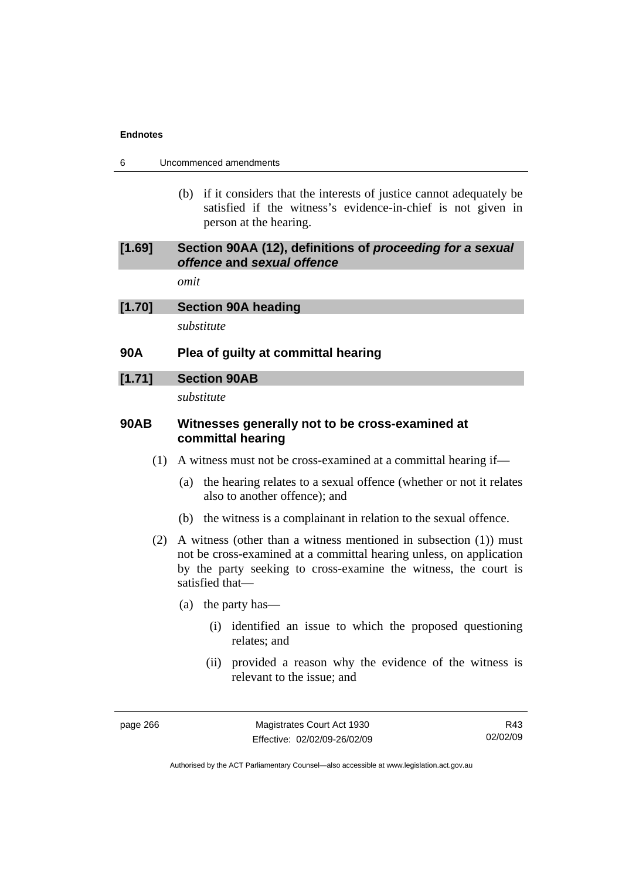| Uncommenced amendments<br>6 |  |
|-----------------------------|--|
|-----------------------------|--|

 (b) if it considers that the interests of justice cannot adequately be satisfied if the witness's evidence-in-chief is not given in person at the hearing.

### **[1.69] Section 90AA (12), definitions of** *proceeding for a sexual offence* **and** *sexual offence*

*omit* 

### **[1.70] Section 90A heading**

*substitute* 

### **90A Plea of guilty at committal hearing**

#### **[1.71] Section 90AB**

*substitute* 

### **90AB Witnesses generally not to be cross-examined at committal hearing**

- (1) A witness must not be cross-examined at a committal hearing if—
	- (a) the hearing relates to a sexual offence (whether or not it relates also to another offence); and
	- (b) the witness is a complainant in relation to the sexual offence.
- (2) A witness (other than a witness mentioned in subsection (1)) must not be cross-examined at a committal hearing unless, on application by the party seeking to cross-examine the witness, the court is satisfied that—
	- (a) the party has—
		- (i) identified an issue to which the proposed questioning relates; and
		- (ii) provided a reason why the evidence of the witness is relevant to the issue; and

page 266 Magistrates Court Act 1930 Effective: 02/02/09-26/02/09

R43 02/02/09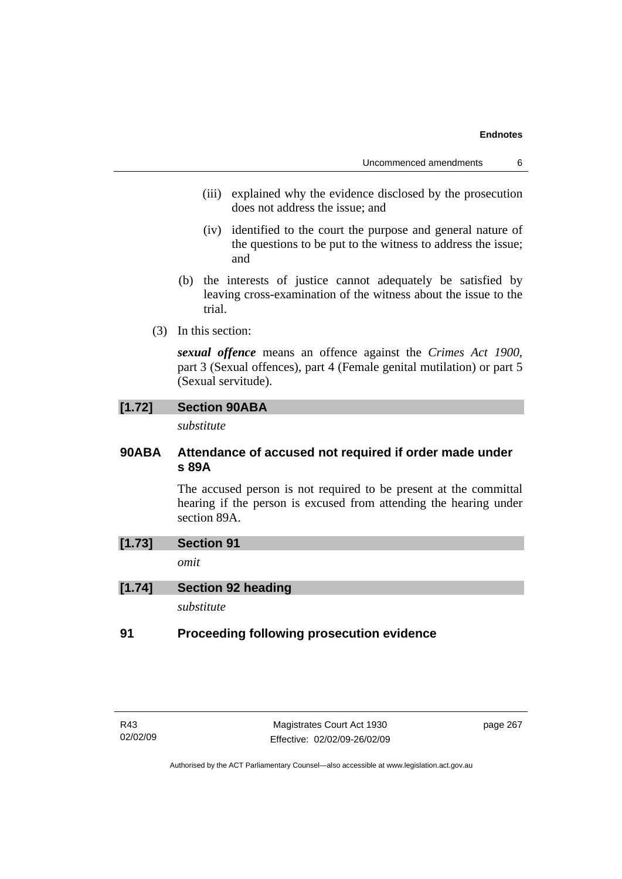- (iii) explained why the evidence disclosed by the prosecution does not address the issue; and
- (iv) identified to the court the purpose and general nature of the questions to be put to the witness to address the issue; and
- (b) the interests of justice cannot adequately be satisfied by leaving cross-examination of the witness about the issue to the trial.
- (3) In this section:

*sexual offence* means an offence against the *Crimes Act 1900*, part 3 (Sexual offences), part 4 (Female genital mutilation) or part 5 (Sexual servitude).

### **[1.72] Section 90ABA**

*substitute* 

### **90ABA Attendance of accused not required if order made under s 89A**

The accused person is not required to be present at the committal hearing if the person is excused from attending the hearing under section 89A.

### **[1.73] Section 91**

*omit* 

### **[1.74] Section 92 heading**

*substitute* 

### **91 Proceeding following prosecution evidence**

page 267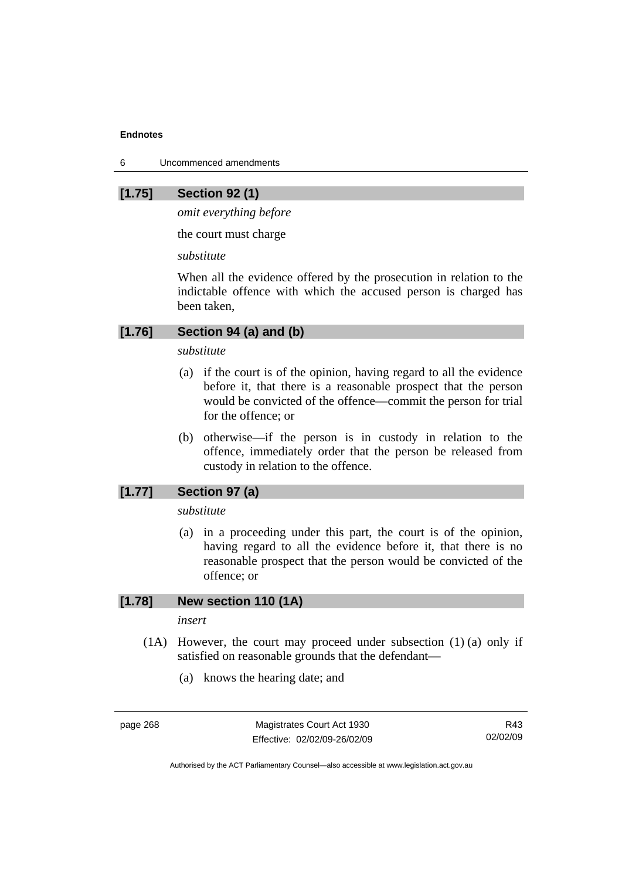6 Uncommenced amendments

### **[1.75] Section 92 (1)**

*omit everything before* 

the court must charge

*substitute* 

When all the evidence offered by the prosecution in relation to the indictable offence with which the accused person is charged has been taken,

### **[1.76] Section 94 (a) and (b)**

### *substitute*

- (a) if the court is of the opinion, having regard to all the evidence before it, that there is a reasonable prospect that the person would be convicted of the offence—commit the person for trial for the offence; or
- (b) otherwise—if the person is in custody in relation to the offence, immediately order that the person be released from custody in relation to the offence.

### **[1.77] Section 97 (a)**

*substitute* 

 (a) in a proceeding under this part, the court is of the opinion, having regard to all the evidence before it, that there is no reasonable prospect that the person would be convicted of the offence; or

### **[1.78] New section 110 (1A)**

*insert* 

- $(1)$  However, the court may proceed under subsection  $(1)$  (a) only if satisfied on reasonable grounds that the defendant—
	- (a) knows the hearing date; and

page 268 Magistrates Court Act 1930 Effective: 02/02/09-26/02/09

R43 02/02/09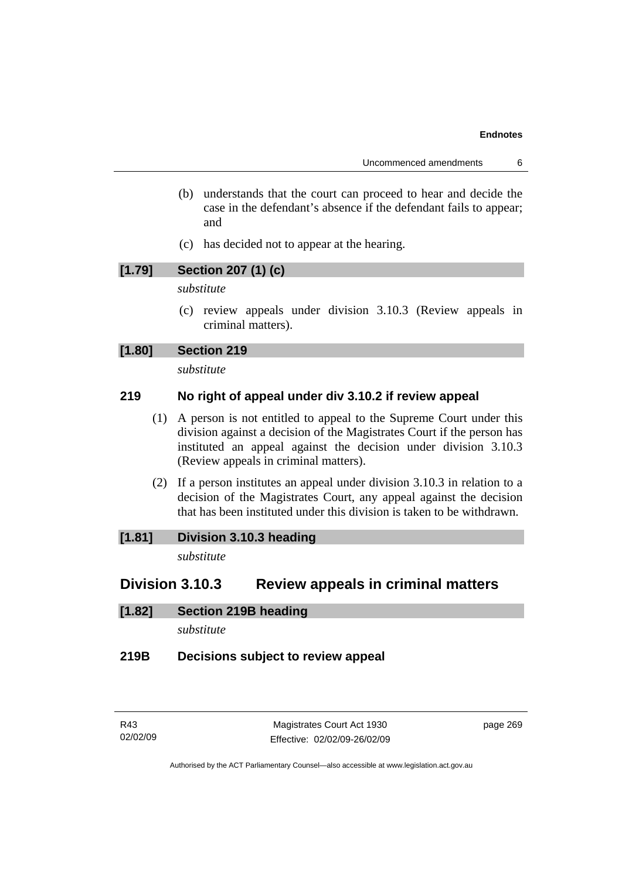- (b) understands that the court can proceed to hear and decide the case in the defendant's absence if the defendant fails to appear; and
- (c) has decided not to appear at the hearing.

### **[1.79] Section 207 (1) (c)**

### *substitute*

 (c) review appeals under division 3.10.3 (Review appeals in criminal matters).

### **[1.80] Section 219**

*substitute* 

### **219 No right of appeal under div 3.10.2 if review appeal**

- (1) A person is not entitled to appeal to the Supreme Court under this division against a decision of the Magistrates Court if the person has instituted an appeal against the decision under division 3.10.3 (Review appeals in criminal matters).
- (2) If a person institutes an appeal under division 3.10.3 in relation to a decision of the Magistrates Court, any appeal against the decision that has been instituted under this division is taken to be withdrawn.

### **[1.81] Division 3.10.3 heading**

*substitute* 

### **Division 3.10.3 Review appeals in criminal matters**

### **[1.82] Section 219B heading**

*substitute* 

### **219B Decisions subject to review appeal**

page 269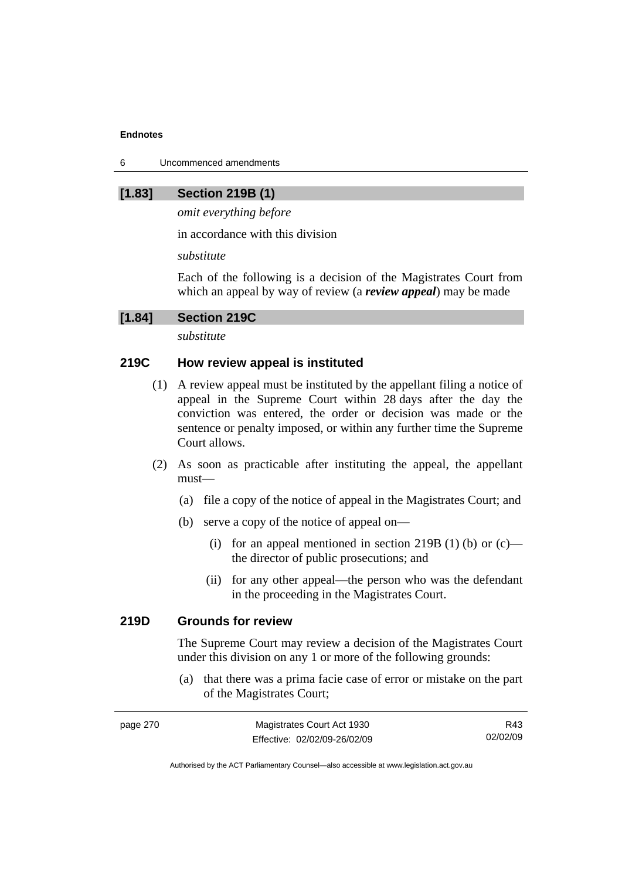6 Uncommenced amendments

### **[1.83] Section 219B (1)**

*omit everything before* 

in accordance with this division

*substitute* 

Each of the following is a decision of the Magistrates Court from which an appeal by way of review (a *review appeal*) may be made

### **[1.84] Section 219C**

*substitute* 

### **219C How review appeal is instituted**

- (1) A review appeal must be instituted by the appellant filing a notice of appeal in the Supreme Court within 28 days after the day the conviction was entered, the order or decision was made or the sentence or penalty imposed, or within any further time the Supreme Court allows.
- (2) As soon as practicable after instituting the appeal, the appellant must—
	- (a) file a copy of the notice of appeal in the Magistrates Court; and
	- (b) serve a copy of the notice of appeal on—
		- (i) for an appeal mentioned in section 219B (1) (b) or  $(c)$  the director of public prosecutions; and
		- (ii) for any other appeal—the person who was the defendant in the proceeding in the Magistrates Court.

### **219D Grounds for review**

The Supreme Court may review a decision of the Magistrates Court under this division on any 1 or more of the following grounds:

 (a) that there was a prima facie case of error or mistake on the part of the Magistrates Court;

| page 270 | Magistrates Court Act 1930   | R43      |
|----------|------------------------------|----------|
|          | Effective: 02/02/09-26/02/09 | 02/02/09 |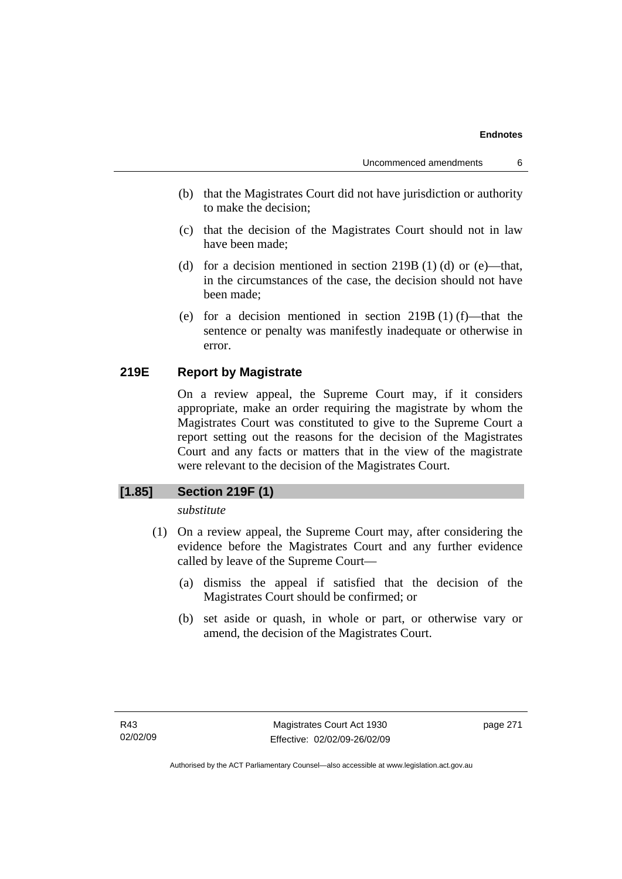- (b) that the Magistrates Court did not have jurisdiction or authority to make the decision;
- (c) that the decision of the Magistrates Court should not in law have been made;
- (d) for a decision mentioned in section  $219B(1)$  (d) or (e)—that, in the circumstances of the case, the decision should not have been made;
- (e) for a decision mentioned in section 219B (1) (f)—that the sentence or penalty was manifestly inadequate or otherwise in error.

### **219E Report by Magistrate**

On a review appeal, the Supreme Court may, if it considers appropriate, make an order requiring the magistrate by whom the Magistrates Court was constituted to give to the Supreme Court a report setting out the reasons for the decision of the Magistrates Court and any facts or matters that in the view of the magistrate were relevant to the decision of the Magistrates Court.

### **[1.85] Section 219F (1)**

*substitute* 

- (1) On a review appeal, the Supreme Court may, after considering the evidence before the Magistrates Court and any further evidence called by leave of the Supreme Court—
	- (a) dismiss the appeal if satisfied that the decision of the Magistrates Court should be confirmed; or
	- (b) set aside or quash, in whole or part, or otherwise vary or amend, the decision of the Magistrates Court.

page 271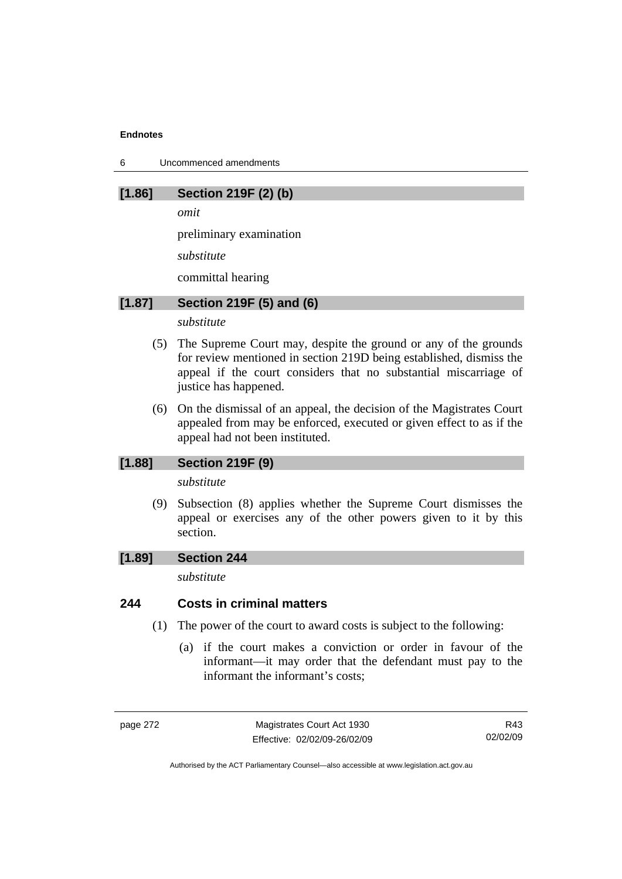6 Uncommenced amendments

### **[1.86] Section 219F (2) (b)**

*omit* 

preliminary examination

*substitute* 

committal hearing

### **[1.87] Section 219F (5) and (6)**

*substitute* 

- (5) The Supreme Court may, despite the ground or any of the grounds for review mentioned in section 219D being established, dismiss the appeal if the court considers that no substantial miscarriage of justice has happened.
- (6) On the dismissal of an appeal, the decision of the Magistrates Court appealed from may be enforced, executed or given effect to as if the appeal had not been instituted.

### **[1.88] Section 219F (9)**

*substitute* 

 (9) Subsection (8) applies whether the Supreme Court dismisses the appeal or exercises any of the other powers given to it by this section.

### **[1.89] Section 244**

*substitute* 

### **244 Costs in criminal matters**

- (1) The power of the court to award costs is subject to the following:
	- (a) if the court makes a conviction or order in favour of the informant—it may order that the defendant must pay to the informant the informant's costs;

page 272 Magistrates Court Act 1930 Effective: 02/02/09-26/02/09

R43 02/02/09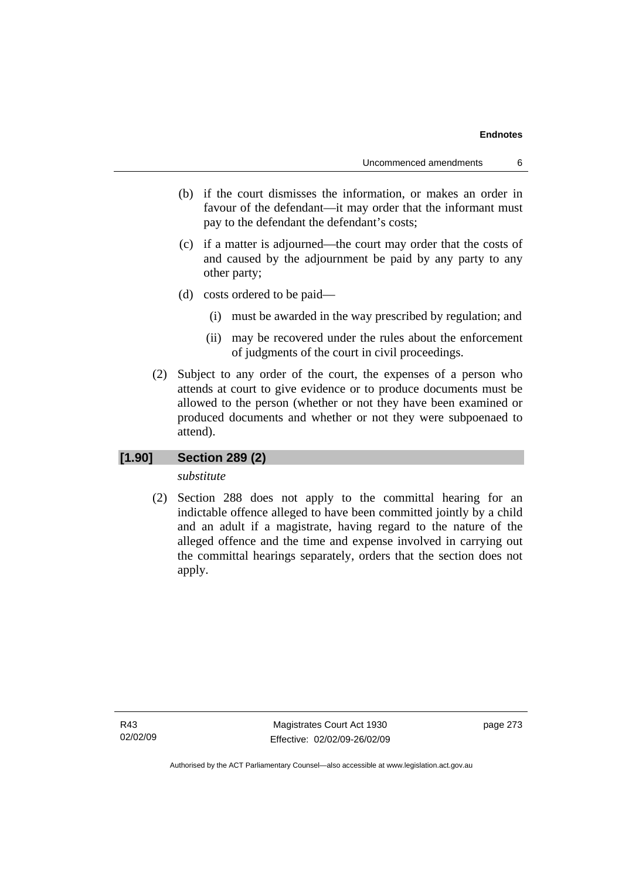- (b) if the court dismisses the information, or makes an order in favour of the defendant—it may order that the informant must pay to the defendant the defendant's costs;
- (c) if a matter is adjourned—the court may order that the costs of and caused by the adjournment be paid by any party to any other party;
- (d) costs ordered to be paid—
	- (i) must be awarded in the way prescribed by regulation; and
	- (ii) may be recovered under the rules about the enforcement of judgments of the court in civil proceedings.
- (2) Subject to any order of the court, the expenses of a person who attends at court to give evidence or to produce documents must be allowed to the person (whether or not they have been examined or produced documents and whether or not they were subpoenaed to attend).

#### **[1.90] Section 289 (2)**

#### *substitute*

 (2) Section 288 does not apply to the committal hearing for an indictable offence alleged to have been committed jointly by a child and an adult if a magistrate, having regard to the nature of the alleged offence and the time and expense involved in carrying out the committal hearings separately, orders that the section does not apply.

R43 02/02/09

Magistrates Court Act 1930 Effective: 02/02/09-26/02/09 page 273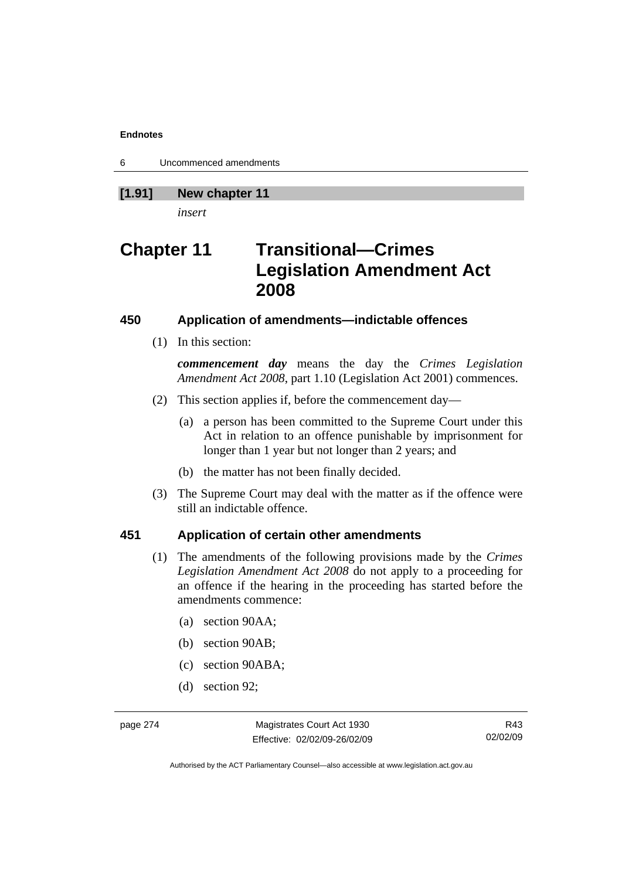6 Uncommenced amendments

## **[1.91] New chapter 11**

*insert* 

# **Chapter 11 Transitional—Crimes Legislation Amendment Act 2008**

#### **450 Application of amendments—indictable offences**

(1) In this section:

*commencement day* means the day the *Crimes Legislation Amendment Act 2008*, part 1.10 (Legislation Act 2001) commences.

- (2) This section applies if, before the commencement day—
	- (a) a person has been committed to the Supreme Court under this Act in relation to an offence punishable by imprisonment for longer than 1 year but not longer than 2 years; and
	- (b) the matter has not been finally decided.
- (3) The Supreme Court may deal with the matter as if the offence were still an indictable offence.

## **451 Application of certain other amendments**

- (1) The amendments of the following provisions made by the *Crimes Legislation Amendment Act 2008* do not apply to a proceeding for an offence if the hearing in the proceeding has started before the amendments commence:
	- (a) section 90AA;
	- (b) section 90AB;
	- (c) section 90ABA;
	- (d) section 92;

page 274 Magistrates Court Act 1930 Effective: 02/02/09-26/02/09

R43 02/02/09

Authorised by the ACT Parliamentary Counsel—also accessible at www.legislation.act.gov.au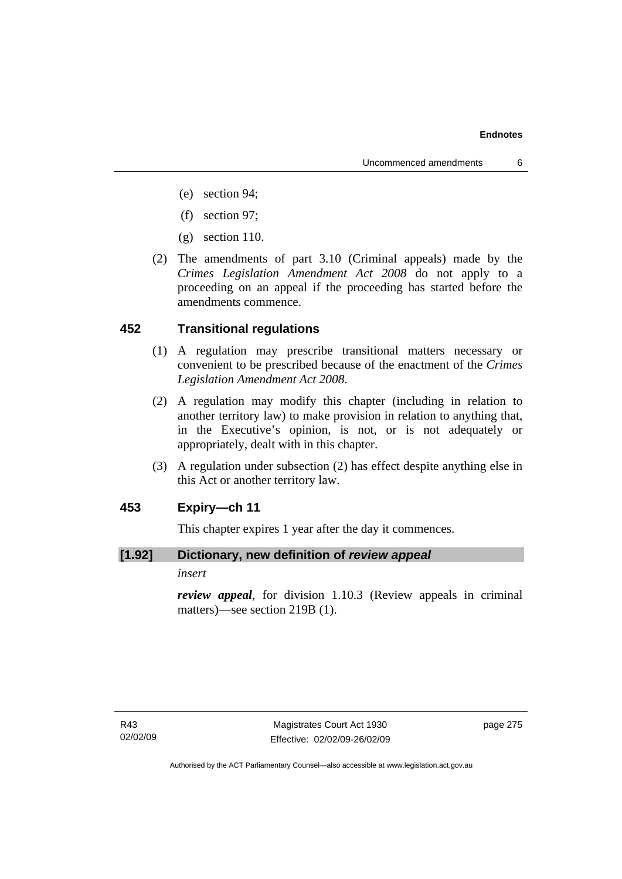- (e) section 94;
- (f) section 97;
- (g) section 110.
- (2) The amendments of part 3.10 (Criminal appeals) made by the *Crimes Legislation Amendment Act 2008* do not apply to a proceeding on an appeal if the proceeding has started before the amendments commence.

#### **452 Transitional regulations**

- (1) A regulation may prescribe transitional matters necessary or convenient to be prescribed because of the enactment of the *Crimes Legislation Amendment Act 2008*.
- (2) A regulation may modify this chapter (including in relation to another territory law) to make provision in relation to anything that, in the Executive's opinion, is not, or is not adequately or appropriately, dealt with in this chapter.
- (3) A regulation under subsection (2) has effect despite anything else in this Act or another territory law.

## **453 Expiry—ch 11**

This chapter expires 1 year after the day it commences.

## **[1.92] Dictionary, new definition of** *review appeal*

#### *insert*

*review appeal*, for division 1.10.3 (Review appeals in criminal matters)—see section 219B (1).